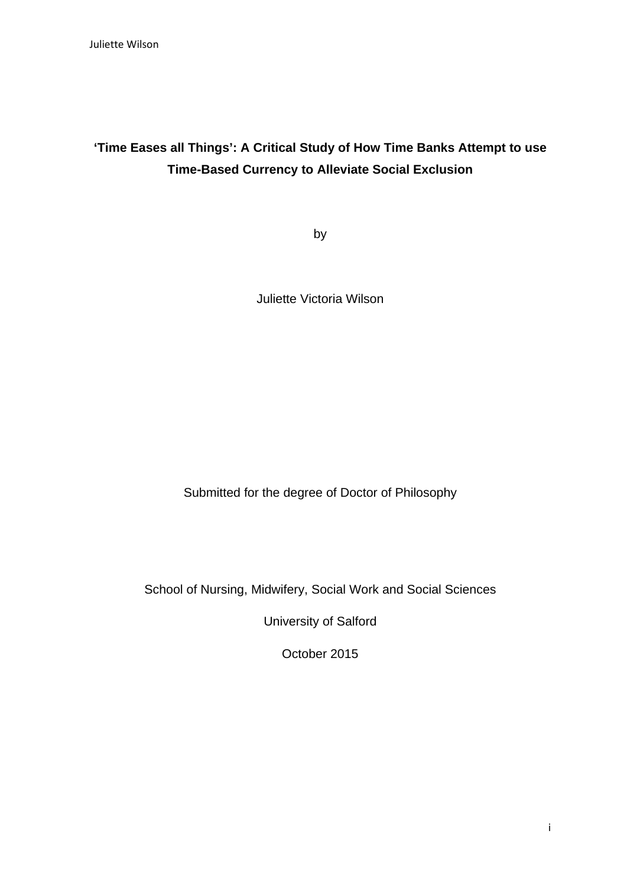# **'Time Eases all Things': A Critical Study of How Time Banks Attempt to use Time-Based Currency to Alleviate Social Exclusion**

by

Juliette Victoria Wilson

Submitted for the degree of Doctor of Philosophy

School of Nursing, Midwifery, Social Work and Social Sciences

University of Salford

October 2015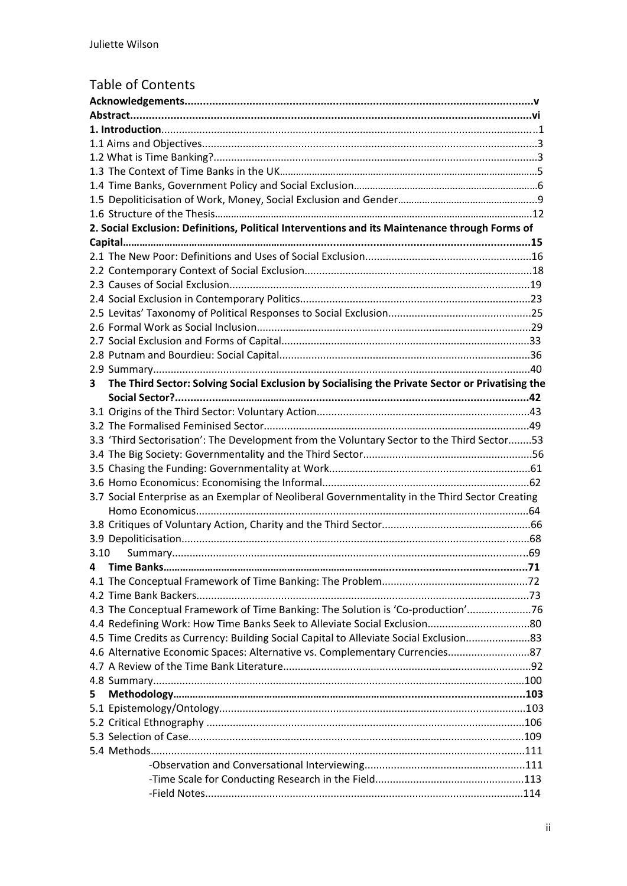### Table of Contents

| 2. Social Exclusion: Definitions, Political Interventions and its Maintenance through Forms of       |      |  |  |  |  |
|------------------------------------------------------------------------------------------------------|------|--|--|--|--|
|                                                                                                      |      |  |  |  |  |
|                                                                                                      |      |  |  |  |  |
|                                                                                                      |      |  |  |  |  |
|                                                                                                      |      |  |  |  |  |
|                                                                                                      |      |  |  |  |  |
|                                                                                                      |      |  |  |  |  |
|                                                                                                      |      |  |  |  |  |
|                                                                                                      |      |  |  |  |  |
|                                                                                                      |      |  |  |  |  |
|                                                                                                      |      |  |  |  |  |
| The Third Sector: Solving Social Exclusion by Socialising the Private Sector or Privatising the<br>3 |      |  |  |  |  |
|                                                                                                      |      |  |  |  |  |
|                                                                                                      |      |  |  |  |  |
|                                                                                                      |      |  |  |  |  |
| 3.3 'Third Sectorisation': The Development from the Voluntary Sector to the Third Sector53           |      |  |  |  |  |
|                                                                                                      |      |  |  |  |  |
|                                                                                                      |      |  |  |  |  |
|                                                                                                      |      |  |  |  |  |
| 3.7 Social Enterprise as an Exemplar of Neoliberal Governmentality in the Third Sector Creating      |      |  |  |  |  |
|                                                                                                      |      |  |  |  |  |
|                                                                                                      |      |  |  |  |  |
|                                                                                                      |      |  |  |  |  |
| 3.10                                                                                                 |      |  |  |  |  |
| <b>Time Banks.</b>                                                                                   | . 71 |  |  |  |  |
|                                                                                                      |      |  |  |  |  |
|                                                                                                      |      |  |  |  |  |
| 4.3 The Conceptual Framework of Time Banking: The Solution is 'Co-production'76                      |      |  |  |  |  |
|                                                                                                      |      |  |  |  |  |
|                                                                                                      |      |  |  |  |  |
| 4.5 Time Credits as Currency: Building Social Capital to Alleviate Social Exclusion83                |      |  |  |  |  |
|                                                                                                      |      |  |  |  |  |
|                                                                                                      |      |  |  |  |  |
|                                                                                                      |      |  |  |  |  |
| 5                                                                                                    |      |  |  |  |  |
|                                                                                                      |      |  |  |  |  |
|                                                                                                      |      |  |  |  |  |
|                                                                                                      |      |  |  |  |  |
|                                                                                                      |      |  |  |  |  |
|                                                                                                      |      |  |  |  |  |
|                                                                                                      |      |  |  |  |  |
|                                                                                                      |      |  |  |  |  |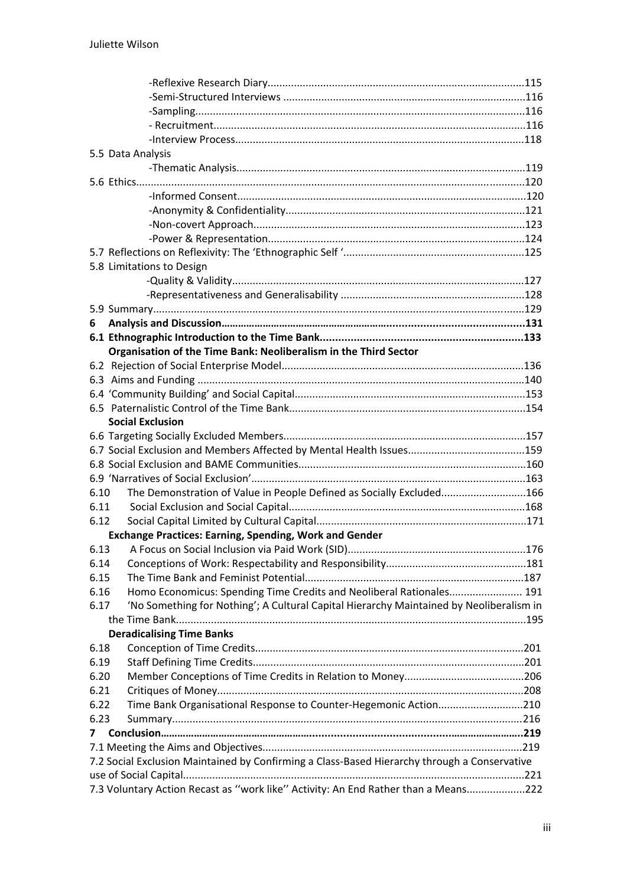|      | 5.5 Data Analysis                                                                            |  |
|------|----------------------------------------------------------------------------------------------|--|
|      |                                                                                              |  |
|      |                                                                                              |  |
|      |                                                                                              |  |
|      |                                                                                              |  |
|      |                                                                                              |  |
|      |                                                                                              |  |
|      |                                                                                              |  |
|      | 5.8 Limitations to Design                                                                    |  |
|      |                                                                                              |  |
|      |                                                                                              |  |
|      |                                                                                              |  |
| 6    |                                                                                              |  |
|      |                                                                                              |  |
|      | Organisation of the Time Bank: Neoliberalism in the Third Sector                             |  |
|      |                                                                                              |  |
|      |                                                                                              |  |
|      |                                                                                              |  |
|      |                                                                                              |  |
|      | <b>Social Exclusion</b>                                                                      |  |
|      |                                                                                              |  |
|      |                                                                                              |  |
|      |                                                                                              |  |
|      |                                                                                              |  |
| 6.10 | The Demonstration of Value in People Defined as Socially Excluded166                         |  |
| 6.11 |                                                                                              |  |
| 6.12 |                                                                                              |  |
|      | <b>Exchange Practices: Earning, Spending, Work and Gender</b>                                |  |
| 6.13 |                                                                                              |  |
| 6.14 |                                                                                              |  |
| 6.15 |                                                                                              |  |
| 6.16 | Homo Economicus: Spending Time Credits and Neoliberal Rationales 191                         |  |
| 6.17 | 'No Something for Nothing'; A Cultural Capital Hierarchy Maintained by Neoliberalism in      |  |
|      |                                                                                              |  |
|      | <b>Deradicalising Time Banks</b>                                                             |  |
| 6.18 |                                                                                              |  |
| 6.19 |                                                                                              |  |
| 6.20 |                                                                                              |  |
| 6.21 |                                                                                              |  |
| 6.22 | Time Bank Organisational Response to Counter-Hegemonic Action210                             |  |
| 6.23 |                                                                                              |  |
| 7    |                                                                                              |  |
|      |                                                                                              |  |
|      | 7.2 Social Exclusion Maintained by Confirming a Class-Based Hierarchy through a Conservative |  |
|      |                                                                                              |  |
|      | 7.3 Voluntary Action Recast as "work like" Activity: An End Rather than a Means222           |  |
|      |                                                                                              |  |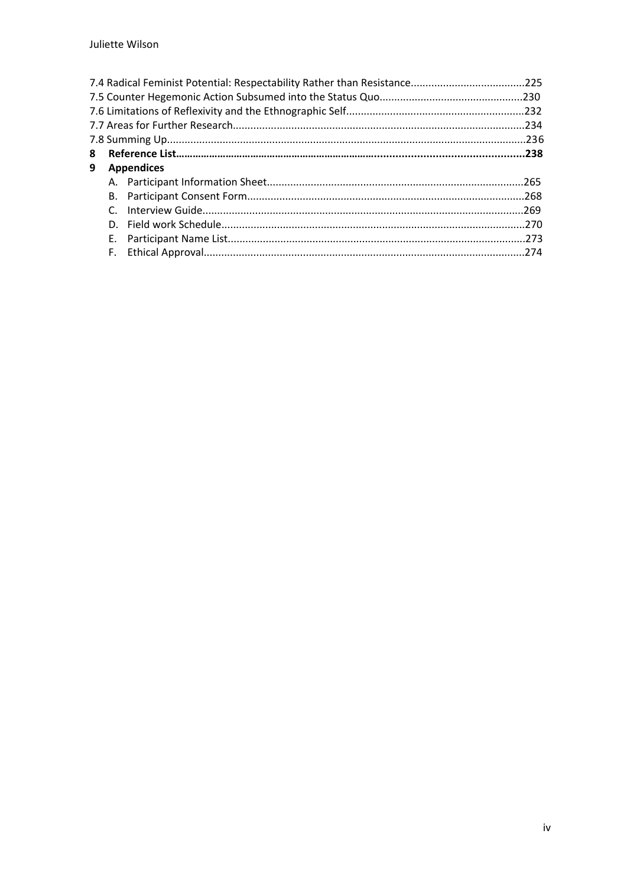| 8 |    |                   |  |
|---|----|-------------------|--|
| 9 |    | <b>Appendices</b> |  |
|   |    |                   |  |
|   |    |                   |  |
|   |    |                   |  |
|   |    |                   |  |
|   | Е. |                   |  |
|   | F. |                   |  |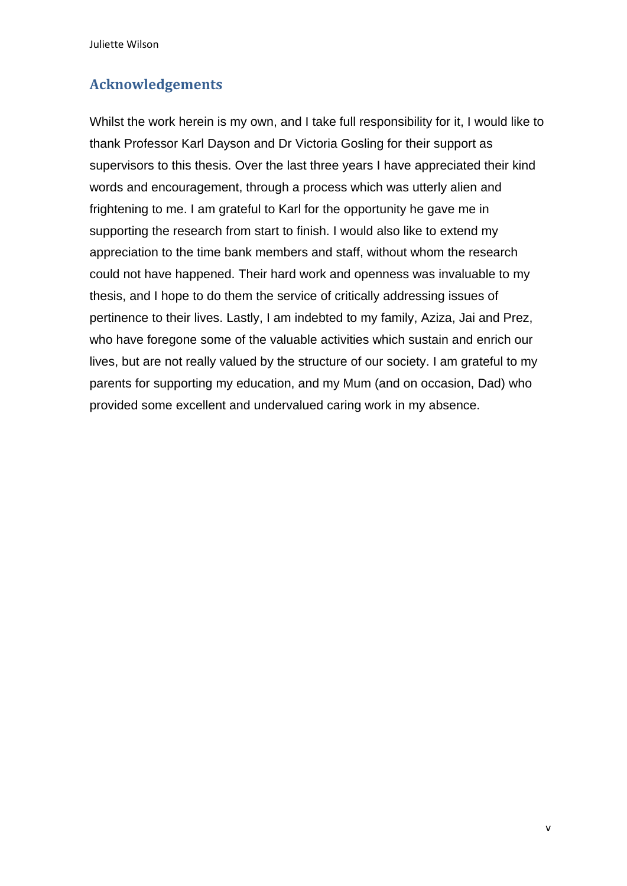## **Acknowledgements**

Whilst the work herein is my own, and I take full responsibility for it, I would like to thank Professor Karl Dayson and Dr Victoria Gosling for their support as supervisors to this thesis. Over the last three years I have appreciated their kind words and encouragement, through a process which was utterly alien and frightening to me. I am grateful to Karl for the opportunity he gave me in supporting the research from start to finish. I would also like to extend my appreciation to the time bank members and staff, without whom the research could not have happened. Their hard work and openness was invaluable to my thesis, and I hope to do them the service of critically addressing issues of pertinence to their lives. Lastly, I am indebted to my family, Aziza, Jai and Prez, who have foregone some of the valuable activities which sustain and enrich our lives, but are not really valued by the structure of our society. I am grateful to my parents for supporting my education, and my Mum (and on occasion, Dad) who provided some excellent and undervalued caring work in my absence.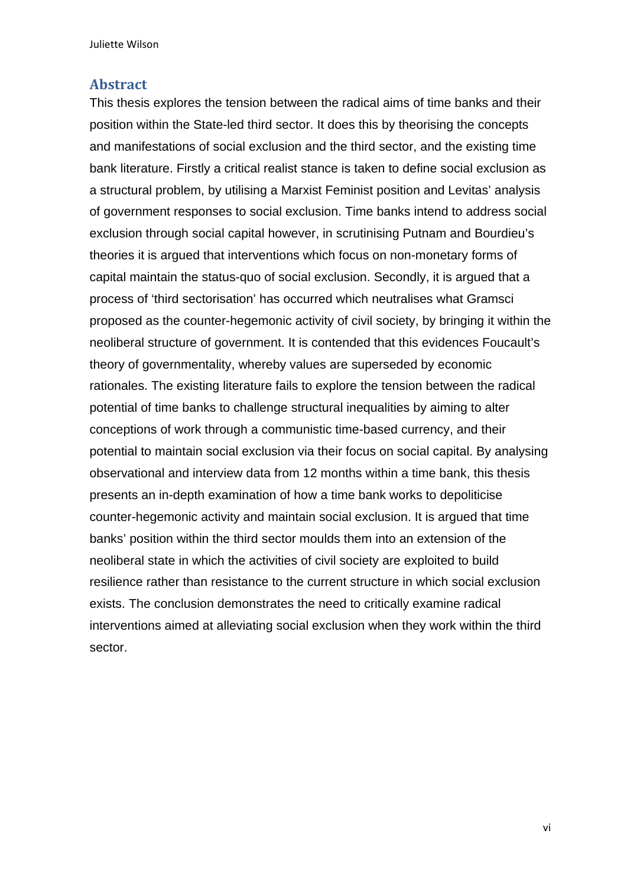#### **Abstract**

This thesis explores the tension between the radical aims of time banks and their position within the State-led third sector. It does this by theorising the concepts and manifestations of social exclusion and the third sector, and the existing time bank literature. Firstly a critical realist stance is taken to define social exclusion as a structural problem, by utilising a Marxist Feminist position and Levitas' analysis of government responses to social exclusion. Time banks intend to address social exclusion through social capital however, in scrutinising Putnam and Bourdieu's theories it is argued that interventions which focus on non-monetary forms of capital maintain the status-quo of social exclusion. Secondly, it is argued that a process of 'third sectorisation' has occurred which neutralises what Gramsci proposed as the counter-hegemonic activity of civil society, by bringing it within the neoliberal structure of government. It is contended that this evidences Foucault's theory of governmentality, whereby values are superseded by economic rationales. The existing literature fails to explore the tension between the radical potential of time banks to challenge structural inequalities by aiming to alter conceptions of work through a communistic time-based currency, and their potential to maintain social exclusion via their focus on social capital. By analysing observational and interview data from 12 months within a time bank, this thesis presents an in-depth examination of how a time bank works to depoliticise counter-hegemonic activity and maintain social exclusion. It is argued that time banks' position within the third sector moulds them into an extension of the neoliberal state in which the activities of civil society are exploited to build resilience rather than resistance to the current structure in which social exclusion exists. The conclusion demonstrates the need to critically examine radical interventions aimed at alleviating social exclusion when they work within the third sector.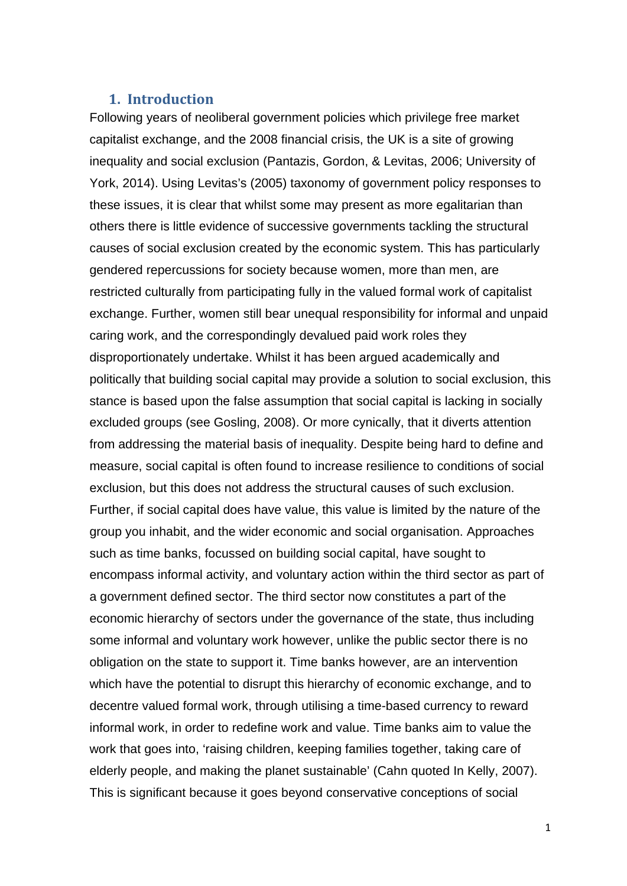### **1. Introduction**

Following years of neoliberal government policies which privilege free market capitalist exchange, and the 2008 financial crisis, the UK is a site of growing inequality and social exclusion (Pantazis, Gordon, & Levitas, 2006; University of York, 2014). Using Levitas's (2005) taxonomy of government policy responses to these issues, it is clear that whilst some may present as more egalitarian than others there is little evidence of successive governments tackling the structural causes of social exclusion created by the economic system. This has particularly gendered repercussions for society because women, more than men, are restricted culturally from participating fully in the valued formal work of capitalist exchange. Further, women still bear unequal responsibility for informal and unpaid caring work, and the correspondingly devalued paid work roles they disproportionately undertake. Whilst it has been argued academically and politically that building social capital may provide a solution to social exclusion, this stance is based upon the false assumption that social capital is lacking in socially excluded groups (see Gosling, 2008). Or more cynically, that it diverts attention from addressing the material basis of inequality. Despite being hard to define and measure, social capital is often found to increase resilience to conditions of social exclusion, but this does not address the structural causes of such exclusion. Further, if social capital does have value, this value is limited by the nature of the group you inhabit, and the wider economic and social organisation. Approaches such as time banks, focussed on building social capital, have sought to encompass informal activity, and voluntary action within the third sector as part of a government defined sector. The third sector now constitutes a part of the economic hierarchy of sectors under the governance of the state, thus including some informal and voluntary work however, unlike the public sector there is no obligation on the state to support it. Time banks however, are an intervention which have the potential to disrupt this hierarchy of economic exchange, and to decentre valued formal work, through utilising a time-based currency to reward informal work, in order to redefine work and value. Time banks aim to value the work that goes into, 'raising children, keeping families together, taking care of elderly people, and making the planet sustainable' (Cahn quoted In Kelly, 2007). This is significant because it goes beyond conservative conceptions of social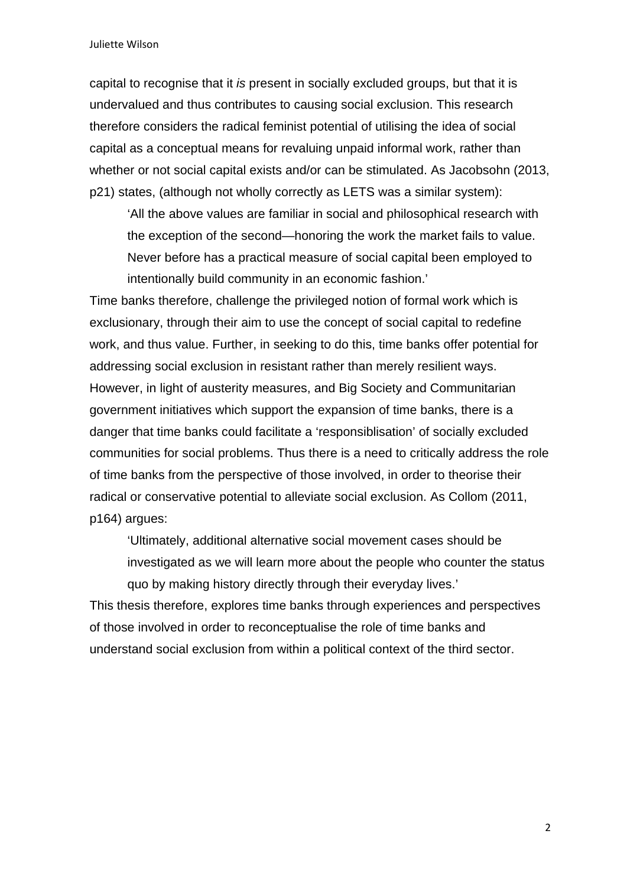capital to recognise that it *is* present in socially excluded groups, but that it is undervalued and thus contributes to causing social exclusion. This research therefore considers the radical feminist potential of utilising the idea of social capital as a conceptual means for revaluing unpaid informal work, rather than whether or not social capital exists and/or can be stimulated. As Jacobsohn (2013, p21) states, (although not wholly correctly as LETS was a similar system):

'All the above values are familiar in social and philosophical research with the exception of the second—honoring the work the market fails to value. Never before has a practical measure of social capital been employed to intentionally build community in an economic fashion.'

Time banks therefore, challenge the privileged notion of formal work which is exclusionary, through their aim to use the concept of social capital to redefine work, and thus value. Further, in seeking to do this, time banks offer potential for addressing social exclusion in resistant rather than merely resilient ways. However, in light of austerity measures, and Big Society and Communitarian government initiatives which support the expansion of time banks, there is a danger that time banks could facilitate a 'responsiblisation' of socially excluded communities for social problems. Thus there is a need to critically address the role of time banks from the perspective of those involved, in order to theorise their radical or conservative potential to alleviate social exclusion. As Collom (2011, p164) argues:

'Ultimately, additional alternative social movement cases should be investigated as we will learn more about the people who counter the status quo by making history directly through their everyday lives.'

This thesis therefore, explores time banks through experiences and perspectives of those involved in order to reconceptualise the role of time banks and understand social exclusion from within a political context of the third sector.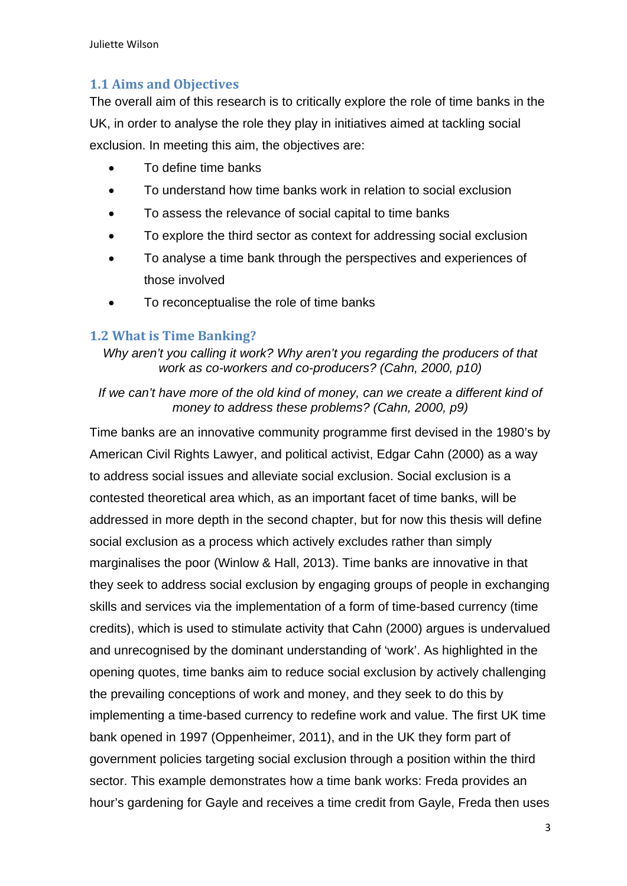### **1.1 Aims and Objectives**

The overall aim of this research is to critically explore the role of time banks in the UK, in order to analyse the role they play in initiatives aimed at tackling social exclusion. In meeting this aim, the objectives are:

- To define time banks
- To understand how time banks work in relation to social exclusion
- To assess the relevance of social capital to time banks
- To explore the third sector as context for addressing social exclusion
- To analyse a time bank through the perspectives and experiences of those involved
- To reconceptualise the role of time banks

### **1.2 What is Time Banking?**

*Why aren't you calling it work? Why aren't you regarding the producers of that work as co-workers and co-producers? (Cahn, 2000, p10)* 

### *If we can't have more of the old kind of money, can we create a different kind of money to address these problems? (Cahn, 2000, p9)*

Time banks are an innovative community programme first devised in the 1980's by American Civil Rights Lawyer, and political activist, Edgar Cahn (2000) as a way to address social issues and alleviate social exclusion. Social exclusion is a contested theoretical area which, as an important facet of time banks, will be addressed in more depth in the second chapter, but for now this thesis will define social exclusion as a process which actively excludes rather than simply marginalises the poor (Winlow & Hall, 2013). Time banks are innovative in that they seek to address social exclusion by engaging groups of people in exchanging skills and services via the implementation of a form of time-based currency (time credits), which is used to stimulate activity that Cahn (2000) argues is undervalued and unrecognised by the dominant understanding of 'work'. As highlighted in the opening quotes, time banks aim to reduce social exclusion by actively challenging the prevailing conceptions of work and money, and they seek to do this by implementing a time-based currency to redefine work and value. The first UK time bank opened in 1997 (Oppenheimer, 2011), and in the UK they form part of government policies targeting social exclusion through a position within the third sector. This example demonstrates how a time bank works: Freda provides an hour's gardening for Gayle and receives a time credit from Gayle, Freda then uses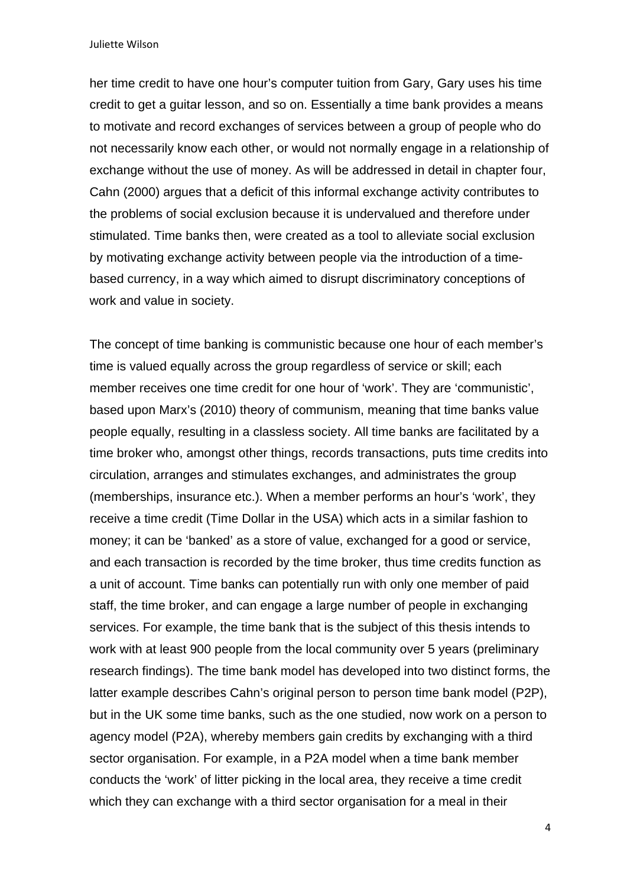her time credit to have one hour's computer tuition from Gary, Gary uses his time credit to get a guitar lesson, and so on. Essentially a time bank provides a means to motivate and record exchanges of services between a group of people who do not necessarily know each other, or would not normally engage in a relationship of exchange without the use of money. As will be addressed in detail in chapter four, Cahn (2000) argues that a deficit of this informal exchange activity contributes to the problems of social exclusion because it is undervalued and therefore under stimulated. Time banks then, were created as a tool to alleviate social exclusion by motivating exchange activity between people via the introduction of a timebased currency, in a way which aimed to disrupt discriminatory conceptions of work and value in society.

The concept of time banking is communistic because one hour of each member's time is valued equally across the group regardless of service or skill; each member receives one time credit for one hour of 'work'. They are 'communistic', based upon Marx's (2010) theory of communism, meaning that time banks value people equally, resulting in a classless society. All time banks are facilitated by a time broker who, amongst other things, records transactions, puts time credits into circulation, arranges and stimulates exchanges, and administrates the group (memberships, insurance etc.). When a member performs an hour's 'work', they receive a time credit (Time Dollar in the USA) which acts in a similar fashion to money; it can be 'banked' as a store of value, exchanged for a good or service, and each transaction is recorded by the time broker, thus time credits function as a unit of account. Time banks can potentially run with only one member of paid staff, the time broker, and can engage a large number of people in exchanging services. For example, the time bank that is the subject of this thesis intends to work with at least 900 people from the local community over 5 years (preliminary research findings). The time bank model has developed into two distinct forms, the latter example describes Cahn's original person to person time bank model (P2P), but in the UK some time banks, such as the one studied, now work on a person to agency model (P2A), whereby members gain credits by exchanging with a third sector organisation. For example, in a P2A model when a time bank member conducts the 'work' of litter picking in the local area, they receive a time credit which they can exchange with a third sector organisation for a meal in their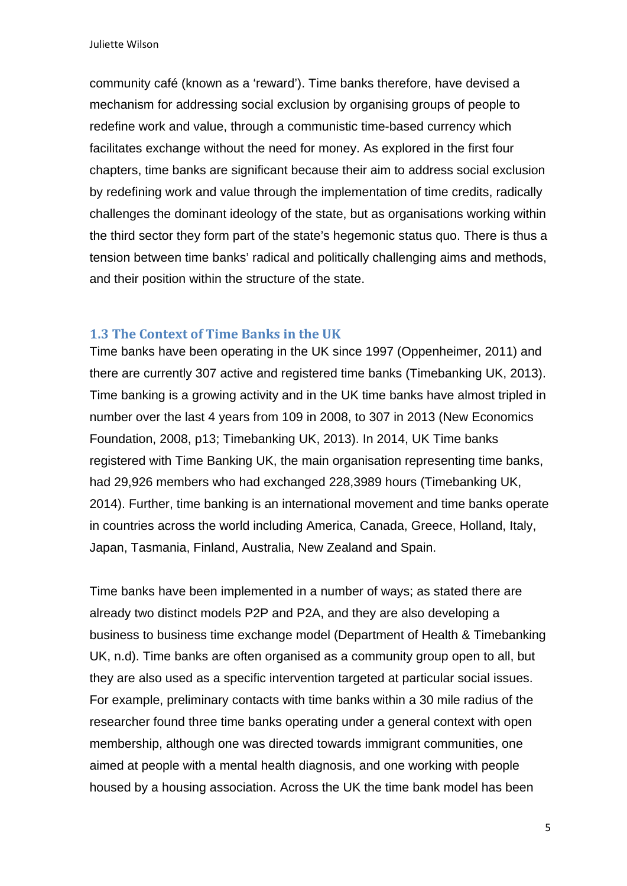community café (known as a 'reward'). Time banks therefore, have devised a mechanism for addressing social exclusion by organising groups of people to redefine work and value, through a communistic time-based currency which facilitates exchange without the need for money. As explored in the first four chapters, time banks are significant because their aim to address social exclusion by redefining work and value through the implementation of time credits, radically challenges the dominant ideology of the state, but as organisations working within the third sector they form part of the state's hegemonic status quo. There is thus a tension between time banks' radical and politically challenging aims and methods, and their position within the structure of the state.

#### **1.3 The Context of Time Banks in the UK**

Time banks have been operating in the UK since 1997 (Oppenheimer, 2011) and there are currently 307 active and registered time banks (Timebanking UK, 2013). Time banking is a growing activity and in the UK time banks have almost tripled in number over the last 4 years from 109 in 2008, to 307 in 2013 (New Economics Foundation, 2008, p13; Timebanking UK, 2013). In 2014, UK Time banks registered with Time Banking UK, the main organisation representing time banks, had 29,926 members who had exchanged 228,3989 hours (Timebanking UK, 2014). Further, time banking is an international movement and time banks operate in countries across the world including America, Canada, Greece, Holland, Italy, Japan, Tasmania, Finland, Australia, New Zealand and Spain.

Time banks have been implemented in a number of ways; as stated there are already two distinct models P2P and P2A, and they are also developing a business to business time exchange model (Department of Health & Timebanking UK, n.d). Time banks are often organised as a community group open to all, but they are also used as a specific intervention targeted at particular social issues. For example, preliminary contacts with time banks within a 30 mile radius of the researcher found three time banks operating under a general context with open membership, although one was directed towards immigrant communities, one aimed at people with a mental health diagnosis, and one working with people housed by a housing association. Across the UK the time bank model has been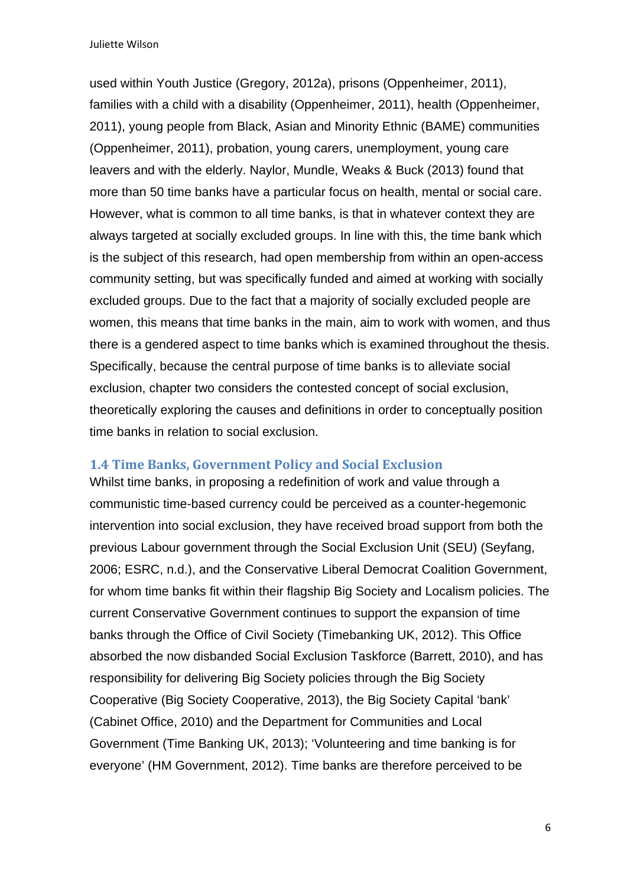used within Youth Justice (Gregory, 2012a), prisons (Oppenheimer, 2011), families with a child with a disability (Oppenheimer, 2011), health (Oppenheimer, 2011), young people from Black, Asian and Minority Ethnic (BAME) communities (Oppenheimer, 2011), probation, young carers, unemployment, young care leavers and with the elderly. Naylor, Mundle, Weaks & Buck (2013) found that more than 50 time banks have a particular focus on health, mental or social care. However, what is common to all time banks, is that in whatever context they are always targeted at socially excluded groups. In line with this, the time bank which is the subject of this research, had open membership from within an open-access community setting, but was specifically funded and aimed at working with socially excluded groups. Due to the fact that a majority of socially excluded people are women, this means that time banks in the main, aim to work with women, and thus there is a gendered aspect to time banks which is examined throughout the thesis. Specifically, because the central purpose of time banks is to alleviate social exclusion, chapter two considers the contested concept of social exclusion, theoretically exploring the causes and definitions in order to conceptually position time banks in relation to social exclusion.

#### **1.4 Time Banks, Government Policy and Social Exclusion**

Whilst time banks, in proposing a redefinition of work and value through a communistic time-based currency could be perceived as a counter-hegemonic intervention into social exclusion, they have received broad support from both the previous Labour government through the Social Exclusion Unit (SEU) (Seyfang, 2006; ESRC, n.d.), and the Conservative Liberal Democrat Coalition Government, for whom time banks fit within their flagship Big Society and Localism policies. The current Conservative Government continues to support the expansion of time banks through the Office of Civil Society (Timebanking UK, 2012). This Office absorbed the now disbanded Social Exclusion Taskforce (Barrett, 2010), and has responsibility for delivering Big Society policies through the Big Society Cooperative (Big Society Cooperative, 2013), the Big Society Capital 'bank' (Cabinet Office, 2010) and the Department for Communities and Local Government (Time Banking UK, 2013); 'Volunteering and time banking is for everyone' (HM Government, 2012). Time banks are therefore perceived to be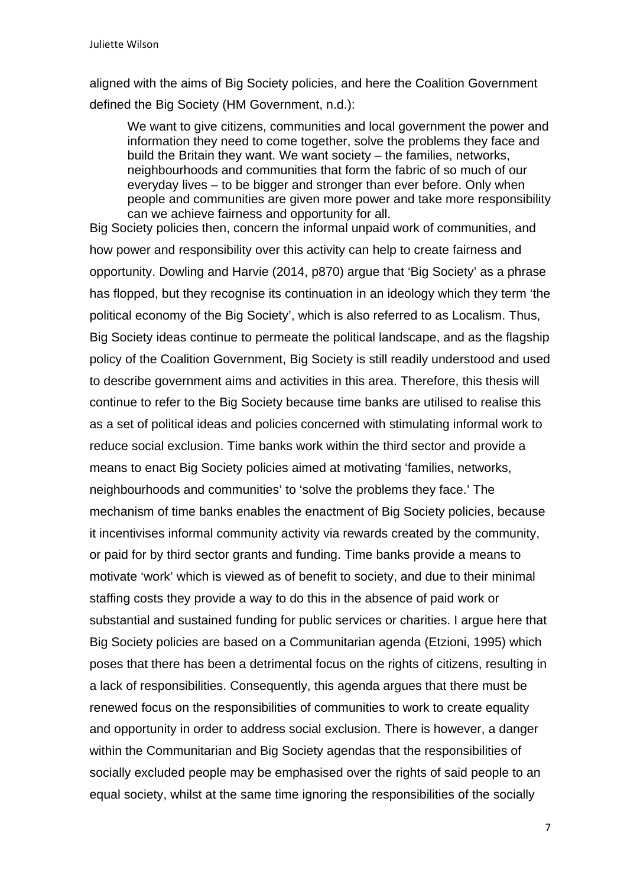aligned with the aims of Big Society policies, and here the Coalition Government defined the Big Society (HM Government, n.d.):

We want to give citizens, communities and local government the power and information they need to come together, solve the problems they face and build the Britain they want. We want society – the families, networks, neighbourhoods and communities that form the fabric of so much of our everyday lives – to be bigger and stronger than ever before. Only when people and communities are given more power and take more responsibility can we achieve fairness and opportunity for all.

Big Society policies then, concern the informal unpaid work of communities, and how power and responsibility over this activity can help to create fairness and opportunity. Dowling and Harvie (2014, p870) argue that 'Big Society' as a phrase has flopped, but they recognise its continuation in an ideology which they term 'the political economy of the Big Society', which is also referred to as Localism. Thus, Big Society ideas continue to permeate the political landscape, and as the flagship policy of the Coalition Government, Big Society is still readily understood and used to describe government aims and activities in this area. Therefore, this thesis will continue to refer to the Big Society because time banks are utilised to realise this as a set of political ideas and policies concerned with stimulating informal work to reduce social exclusion. Time banks work within the third sector and provide a means to enact Big Society policies aimed at motivating 'families, networks, neighbourhoods and communities' to 'solve the problems they face.' The mechanism of time banks enables the enactment of Big Society policies, because it incentivises informal community activity via rewards created by the community, or paid for by third sector grants and funding. Time banks provide a means to motivate 'work' which is viewed as of benefit to society, and due to their minimal staffing costs they provide a way to do this in the absence of paid work or substantial and sustained funding for public services or charities. I argue here that Big Society policies are based on a Communitarian agenda (Etzioni, 1995) which poses that there has been a detrimental focus on the rights of citizens, resulting in a lack of responsibilities. Consequently, this agenda argues that there must be renewed focus on the responsibilities of communities to work to create equality and opportunity in order to address social exclusion. There is however, a danger within the Communitarian and Big Society agendas that the responsibilities of socially excluded people may be emphasised over the rights of said people to an equal society, whilst at the same time ignoring the responsibilities of the socially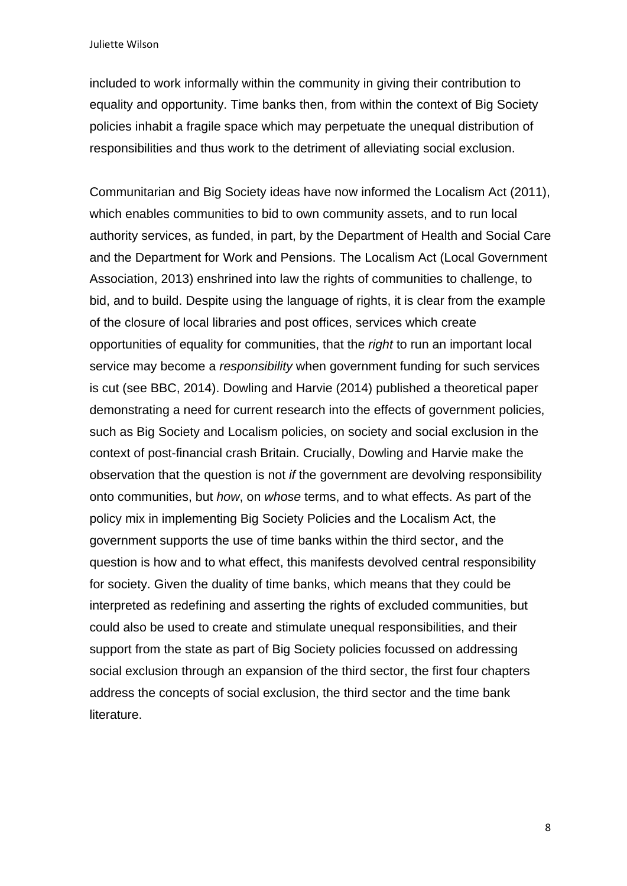included to work informally within the community in giving their contribution to equality and opportunity. Time banks then, from within the context of Big Society policies inhabit a fragile space which may perpetuate the unequal distribution of responsibilities and thus work to the detriment of alleviating social exclusion.

Communitarian and Big Society ideas have now informed the Localism Act (2011), which enables communities to bid to own community assets, and to run local authority services, as funded, in part, by the Department of Health and Social Care and the Department for Work and Pensions. The Localism Act (Local Government Association, 2013) enshrined into law the rights of communities to challenge, to bid, and to build. Despite using the language of rights, it is clear from the example of the closure of local libraries and post offices, services which create opportunities of equality for communities, that the *right* to run an important local service may become a *responsibility* when government funding for such services is cut (see BBC, 2014). Dowling and Harvie (2014) published a theoretical paper demonstrating a need for current research into the effects of government policies, such as Big Society and Localism policies, on society and social exclusion in the context of post-financial crash Britain. Crucially, Dowling and Harvie make the observation that the question is not *if* the government are devolving responsibility onto communities, but *how*, on *whose* terms, and to what effects. As part of the policy mix in implementing Big Society Policies and the Localism Act, the government supports the use of time banks within the third sector, and the question is how and to what effect, this manifests devolved central responsibility for society. Given the duality of time banks, which means that they could be interpreted as redefining and asserting the rights of excluded communities, but could also be used to create and stimulate unequal responsibilities, and their support from the state as part of Big Society policies focussed on addressing social exclusion through an expansion of the third sector, the first four chapters address the concepts of social exclusion, the third sector and the time bank literature.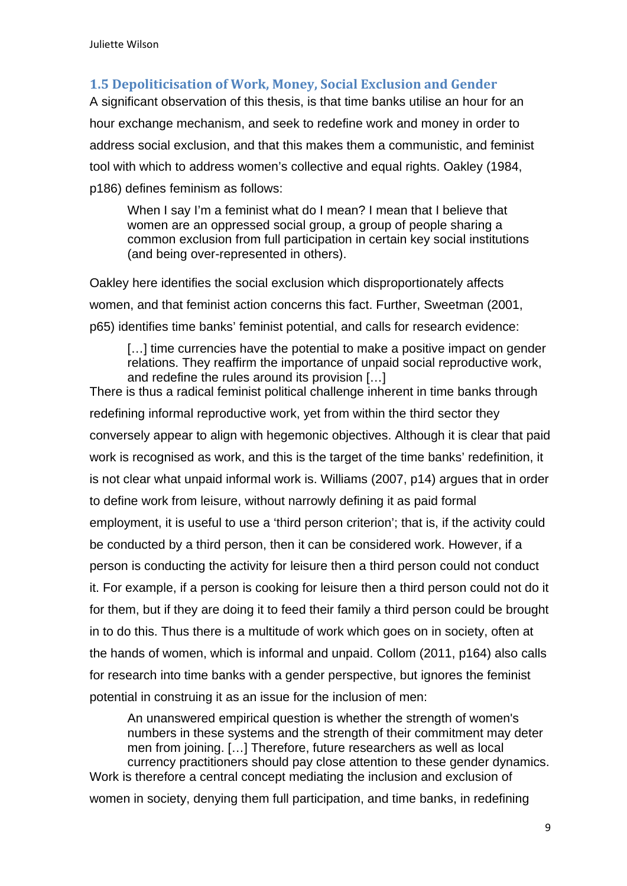## **1.5 Depoliticisation of Work, Money, Social Exclusion and Gender**

A significant observation of this thesis, is that time banks utilise an hour for an hour exchange mechanism, and seek to redefine work and money in order to address social exclusion, and that this makes them a communistic, and feminist tool with which to address women's collective and equal rights. Oakley (1984, p186) defines feminism as follows:

When I say I'm a feminist what do I mean? I mean that I believe that women are an oppressed social group, a group of people sharing a common exclusion from full participation in certain key social institutions (and being over-represented in others).

Oakley here identifies the social exclusion which disproportionately affects women, and that feminist action concerns this fact. Further, Sweetman (2001, p65) identifies time banks' feminist potential, and calls for research evidence:

[...] time currencies have the potential to make a positive impact on gender relations. They reaffirm the importance of unpaid social reproductive work, and redefine the rules around its provision […]

There is thus a radical feminist political challenge inherent in time banks through redefining informal reproductive work, yet from within the third sector they conversely appear to align with hegemonic objectives. Although it is clear that paid work is recognised as work, and this is the target of the time banks' redefinition, it is not clear what unpaid informal work is. Williams (2007, p14) argues that in order to define work from leisure, without narrowly defining it as paid formal employment, it is useful to use a 'third person criterion'; that is, if the activity could be conducted by a third person, then it can be considered work. However, if a person is conducting the activity for leisure then a third person could not conduct it. For example, if a person is cooking for leisure then a third person could not do it for them, but if they are doing it to feed their family a third person could be brought in to do this. Thus there is a multitude of work which goes on in society, often at the hands of women, which is informal and unpaid. Collom (2011, p164) also calls for research into time banks with a gender perspective, but ignores the feminist potential in construing it as an issue for the inclusion of men:

An unanswered empirical question is whether the strength of women's numbers in these systems and the strength of their commitment may deter men from joining. […] Therefore, future researchers as well as local currency practitioners should pay close attention to these gender dynamics. Work is therefore a central concept mediating the inclusion and exclusion of

women in society, denying them full participation, and time banks, in redefining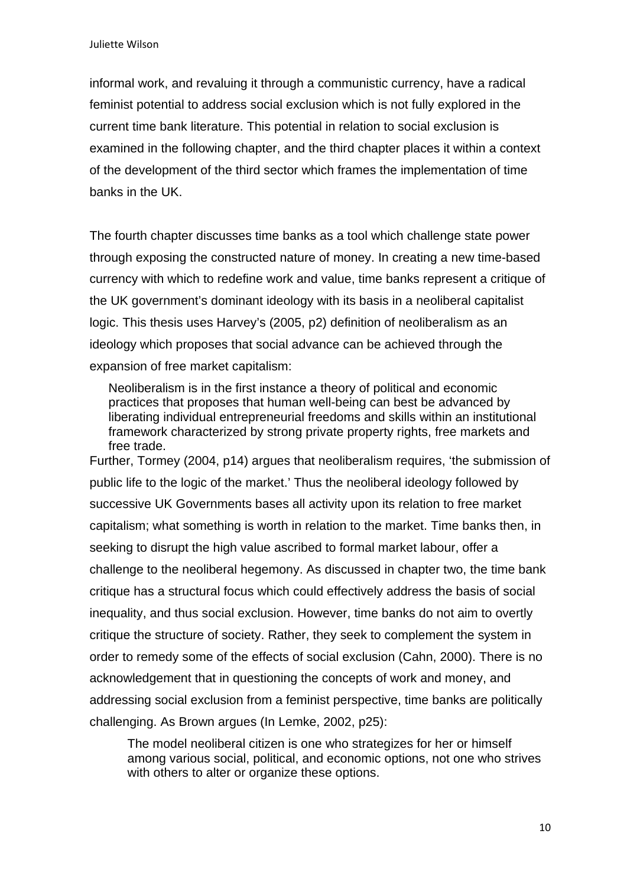informal work, and revaluing it through a communistic currency, have a radical feminist potential to address social exclusion which is not fully explored in the current time bank literature. This potential in relation to social exclusion is examined in the following chapter, and the third chapter places it within a context of the development of the third sector which frames the implementation of time banks in the UK.

The fourth chapter discusses time banks as a tool which challenge state power through exposing the constructed nature of money. In creating a new time-based currency with which to redefine work and value, time banks represent a critique of the UK government's dominant ideology with its basis in a neoliberal capitalist logic. This thesis uses Harvey's (2005, p2) definition of neoliberalism as an ideology which proposes that social advance can be achieved through the expansion of free market capitalism:

Neoliberalism is in the first instance a theory of political and economic practices that proposes that human well-being can best be advanced by liberating individual entrepreneurial freedoms and skills within an institutional framework characterized by strong private property rights, free markets and free trade.

Further, Tormey (2004, p14) argues that neoliberalism requires, 'the submission of public life to the logic of the market.' Thus the neoliberal ideology followed by successive UK Governments bases all activity upon its relation to free market capitalism; what something is worth in relation to the market. Time banks then, in seeking to disrupt the high value ascribed to formal market labour, offer a challenge to the neoliberal hegemony. As discussed in chapter two, the time bank critique has a structural focus which could effectively address the basis of social inequality, and thus social exclusion. However, time banks do not aim to overtly critique the structure of society. Rather, they seek to complement the system in order to remedy some of the effects of social exclusion (Cahn, 2000). There is no acknowledgement that in questioning the concepts of work and money, and addressing social exclusion from a feminist perspective, time banks are politically challenging. As Brown argues (In Lemke, 2002, p25):

The model neoliberal citizen is one who strategizes for her or himself among various social, political, and economic options, not one who strives with others to alter or organize these options.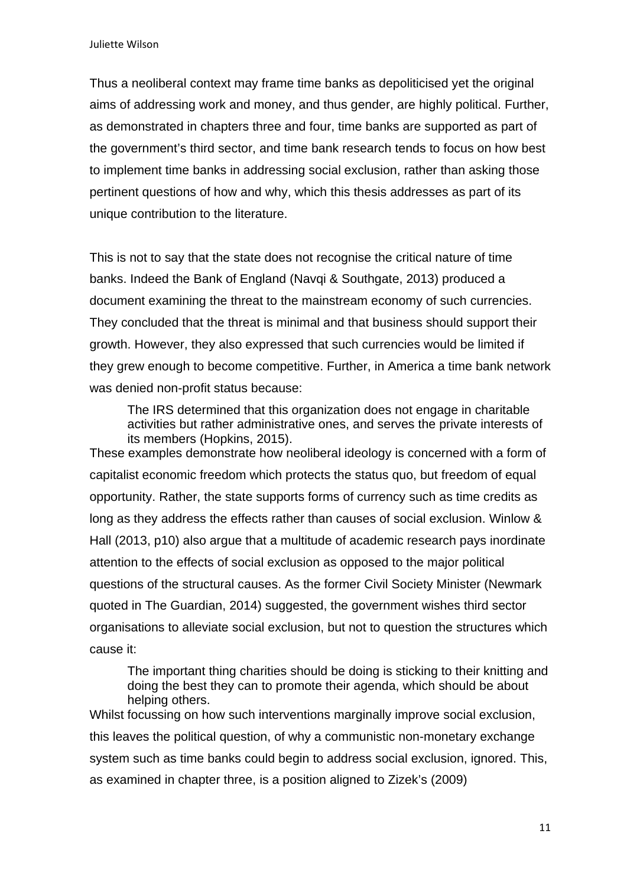Thus a neoliberal context may frame time banks as depoliticised yet the original aims of addressing work and money, and thus gender, are highly political. Further, as demonstrated in chapters three and four, time banks are supported as part of the government's third sector, and time bank research tends to focus on how best to implement time banks in addressing social exclusion, rather than asking those pertinent questions of how and why, which this thesis addresses as part of its unique contribution to the literature.

This is not to say that the state does not recognise the critical nature of time banks. Indeed the Bank of England (Navqi & Southgate, 2013) produced a document examining the threat to the mainstream economy of such currencies. They concluded that the threat is minimal and that business should support their growth. However, they also expressed that such currencies would be limited if they grew enough to become competitive. Further, in America a time bank network was denied non-profit status because:

The IRS determined that this organization does not engage in charitable activities but rather administrative ones, and serves the private interests of its members (Hopkins, 2015).

These examples demonstrate how neoliberal ideology is concerned with a form of capitalist economic freedom which protects the status quo, but freedom of equal opportunity. Rather, the state supports forms of currency such as time credits as long as they address the effects rather than causes of social exclusion. Winlow & Hall (2013, p10) also argue that a multitude of academic research pays inordinate attention to the effects of social exclusion as opposed to the major political questions of the structural causes. As the former Civil Society Minister (Newmark quoted in The Guardian, 2014) suggested, the government wishes third sector organisations to alleviate social exclusion, but not to question the structures which cause it:

The important thing charities should be doing is sticking to their knitting and doing the best they can to promote their agenda, which should be about helping others.

Whilst focussing on how such interventions marginally improve social exclusion, this leaves the political question, of why a communistic non-monetary exchange system such as time banks could begin to address social exclusion, ignored. This, as examined in chapter three, is a position aligned to Zizek's (2009)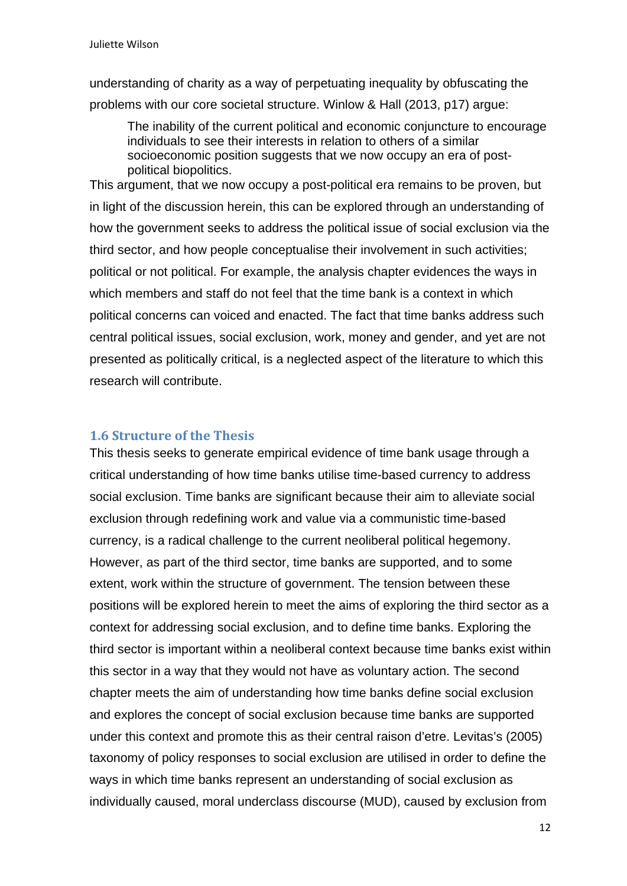understanding of charity as a way of perpetuating inequality by obfuscating the problems with our core societal structure. Winlow & Hall (2013, p17) argue:

The inability of the current political and economic conjuncture to encourage individuals to see their interests in relation to others of a similar socioeconomic position suggests that we now occupy an era of postpolitical biopolitics.

This argument, that we now occupy a post-political era remains to be proven, but in light of the discussion herein, this can be explored through an understanding of how the government seeks to address the political issue of social exclusion via the third sector, and how people conceptualise their involvement in such activities; political or not political. For example, the analysis chapter evidences the ways in which members and staff do not feel that the time bank is a context in which political concerns can voiced and enacted. The fact that time banks address such central political issues, social exclusion, work, money and gender, and yet are not presented as politically critical, is a neglected aspect of the literature to which this research will contribute.

#### **1.6 Structure of the Thesis**

This thesis seeks to generate empirical evidence of time bank usage through a critical understanding of how time banks utilise time-based currency to address social exclusion. Time banks are significant because their aim to alleviate social exclusion through redefining work and value via a communistic time-based currency, is a radical challenge to the current neoliberal political hegemony. However, as part of the third sector, time banks are supported, and to some extent, work within the structure of government. The tension between these positions will be explored herein to meet the aims of exploring the third sector as a context for addressing social exclusion, and to define time banks. Exploring the third sector is important within a neoliberal context because time banks exist within this sector in a way that they would not have as voluntary action. The second chapter meets the aim of understanding how time banks define social exclusion and explores the concept of social exclusion because time banks are supported under this context and promote this as their central raison d'etre. Levitas's (2005) taxonomy of policy responses to social exclusion are utilised in order to define the ways in which time banks represent an understanding of social exclusion as individually caused, moral underclass discourse (MUD), caused by exclusion from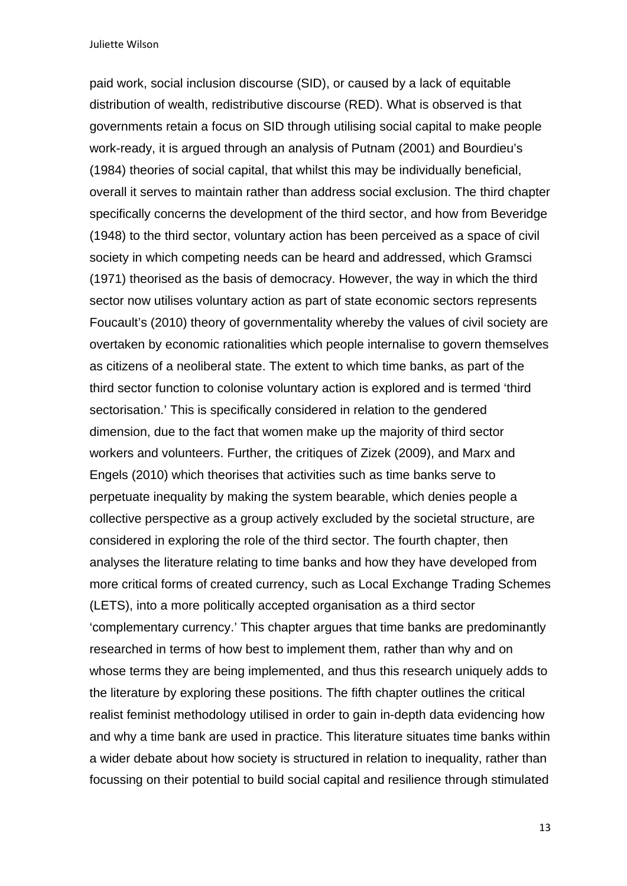paid work, social inclusion discourse (SID), or caused by a lack of equitable distribution of wealth, redistributive discourse (RED). What is observed is that governments retain a focus on SID through utilising social capital to make people work-ready, it is argued through an analysis of Putnam (2001) and Bourdieu's (1984) theories of social capital, that whilst this may be individually beneficial, overall it serves to maintain rather than address social exclusion. The third chapter specifically concerns the development of the third sector, and how from Beveridge (1948) to the third sector, voluntary action has been perceived as a space of civil society in which competing needs can be heard and addressed, which Gramsci (1971) theorised as the basis of democracy. However, the way in which the third sector now utilises voluntary action as part of state economic sectors represents Foucault's (2010) theory of governmentality whereby the values of civil society are overtaken by economic rationalities which people internalise to govern themselves as citizens of a neoliberal state. The extent to which time banks, as part of the third sector function to colonise voluntary action is explored and is termed 'third sectorisation.' This is specifically considered in relation to the gendered dimension, due to the fact that women make up the majority of third sector workers and volunteers. Further, the critiques of Zizek (2009), and Marx and Engels (2010) which theorises that activities such as time banks serve to perpetuate inequality by making the system bearable, which denies people a collective perspective as a group actively excluded by the societal structure, are considered in exploring the role of the third sector. The fourth chapter, then analyses the literature relating to time banks and how they have developed from more critical forms of created currency, such as Local Exchange Trading Schemes (LETS), into a more politically accepted organisation as a third sector 'complementary currency.' This chapter argues that time banks are predominantly researched in terms of how best to implement them, rather than why and on whose terms they are being implemented, and thus this research uniquely adds to the literature by exploring these positions. The fifth chapter outlines the critical realist feminist methodology utilised in order to gain in-depth data evidencing how and why a time bank are used in practice. This literature situates time banks within a wider debate about how society is structured in relation to inequality, rather than focussing on their potential to build social capital and resilience through stimulated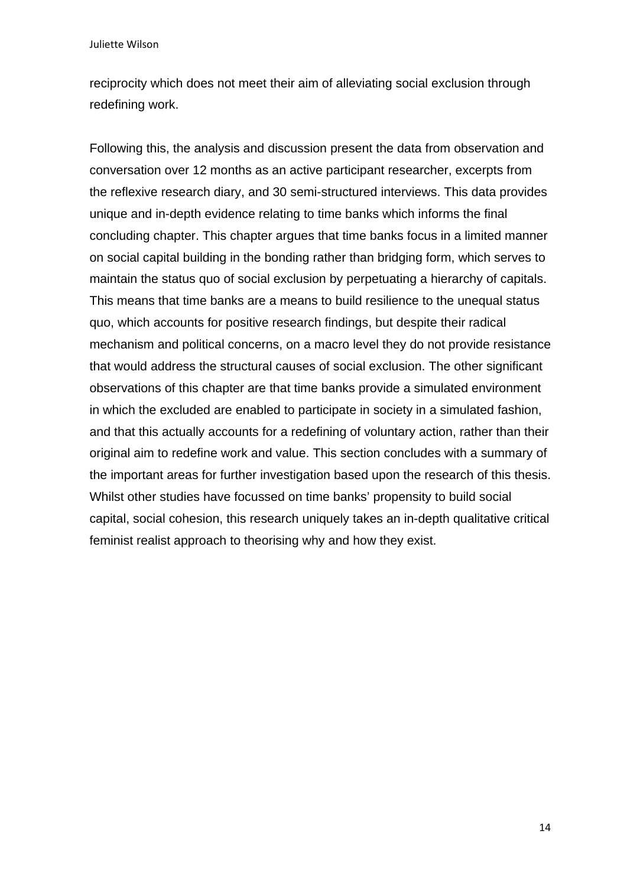reciprocity which does not meet their aim of alleviating social exclusion through redefining work.

Following this, the analysis and discussion present the data from observation and conversation over 12 months as an active participant researcher, excerpts from the reflexive research diary, and 30 semi-structured interviews. This data provides unique and in-depth evidence relating to time banks which informs the final concluding chapter. This chapter argues that time banks focus in a limited manner on social capital building in the bonding rather than bridging form, which serves to maintain the status quo of social exclusion by perpetuating a hierarchy of capitals. This means that time banks are a means to build resilience to the unequal status quo, which accounts for positive research findings, but despite their radical mechanism and political concerns, on a macro level they do not provide resistance that would address the structural causes of social exclusion. The other significant observations of this chapter are that time banks provide a simulated environment in which the excluded are enabled to participate in society in a simulated fashion, and that this actually accounts for a redefining of voluntary action, rather than their original aim to redefine work and value. This section concludes with a summary of the important areas for further investigation based upon the research of this thesis. Whilst other studies have focussed on time banks' propensity to build social capital, social cohesion, this research uniquely takes an in-depth qualitative critical feminist realist approach to theorising why and how they exist.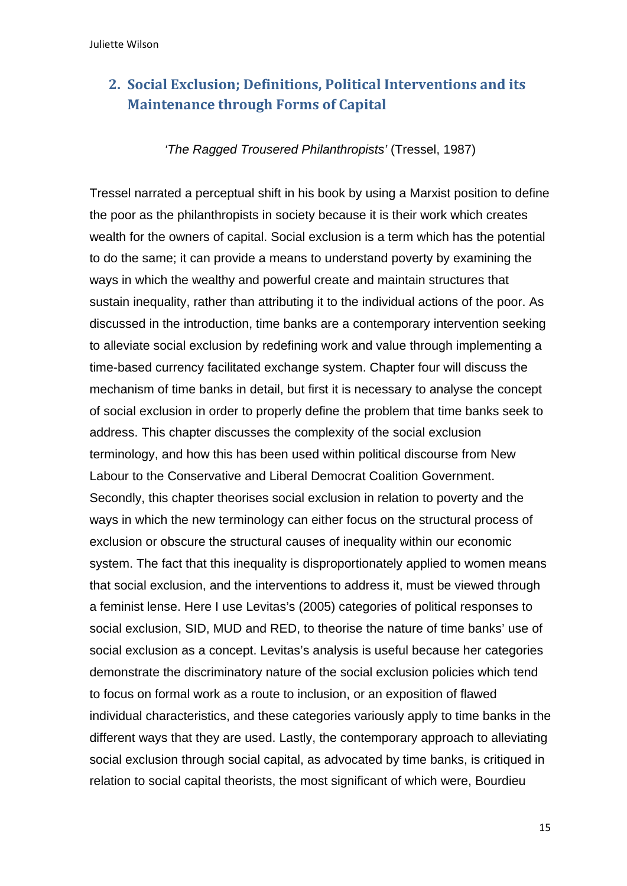# **2. Social Exclusion; Definitions, Political Interventions and its Maintenance through Forms of Capital**

### *'The Ragged Trousered Philanthropists'* (Tressel, 1987)

Tressel narrated a perceptual shift in his book by using a Marxist position to define the poor as the philanthropists in society because it is their work which creates wealth for the owners of capital. Social exclusion is a term which has the potential to do the same; it can provide a means to understand poverty by examining the ways in which the wealthy and powerful create and maintain structures that sustain inequality, rather than attributing it to the individual actions of the poor. As discussed in the introduction, time banks are a contemporary intervention seeking to alleviate social exclusion by redefining work and value through implementing a time-based currency facilitated exchange system. Chapter four will discuss the mechanism of time banks in detail, but first it is necessary to analyse the concept of social exclusion in order to properly define the problem that time banks seek to address. This chapter discusses the complexity of the social exclusion terminology, and how this has been used within political discourse from New Labour to the Conservative and Liberal Democrat Coalition Government. Secondly, this chapter theorises social exclusion in relation to poverty and the ways in which the new terminology can either focus on the structural process of exclusion or obscure the structural causes of inequality within our economic system. The fact that this inequality is disproportionately applied to women means that social exclusion, and the interventions to address it, must be viewed through a feminist lense. Here I use Levitas's (2005) categories of political responses to social exclusion, SID, MUD and RED, to theorise the nature of time banks' use of social exclusion as a concept. Levitas's analysis is useful because her categories demonstrate the discriminatory nature of the social exclusion policies which tend to focus on formal work as a route to inclusion, or an exposition of flawed individual characteristics, and these categories variously apply to time banks in the different ways that they are used. Lastly, the contemporary approach to alleviating social exclusion through social capital, as advocated by time banks, is critiqued in relation to social capital theorists, the most significant of which were, Bourdieu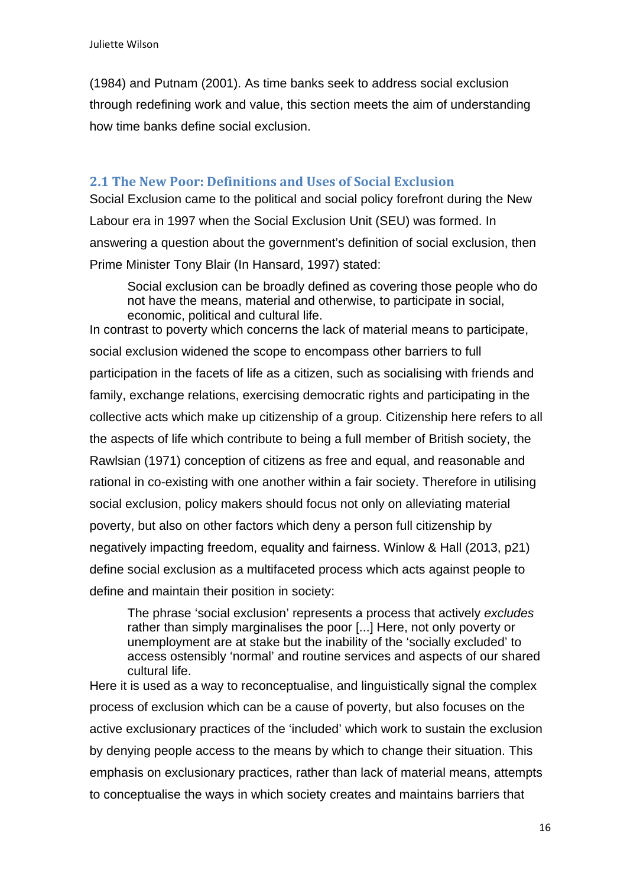(1984) and Putnam (2001). As time banks seek to address social exclusion through redefining work and value, this section meets the aim of understanding how time banks define social exclusion.

### **2.1 The New Poor: Definitions and Uses of Social Exclusion**

Social Exclusion came to the political and social policy forefront during the New Labour era in 1997 when the Social Exclusion Unit (SEU) was formed. In answering a question about the government's definition of social exclusion, then Prime Minister Tony Blair (In Hansard, 1997) stated:

Social exclusion can be broadly defined as covering those people who do not have the means, material and otherwise, to participate in social, economic, political and cultural life.

In contrast to poverty which concerns the lack of material means to participate, social exclusion widened the scope to encompass other barriers to full participation in the facets of life as a citizen, such as socialising with friends and family, exchange relations, exercising democratic rights and participating in the collective acts which make up citizenship of a group. Citizenship here refers to all the aspects of life which contribute to being a full member of British society, the Rawlsian (1971) conception of citizens as free and equal, and reasonable and rational in co-existing with one another within a fair society. Therefore in utilising social exclusion, policy makers should focus not only on alleviating material poverty, but also on other factors which deny a person full citizenship by negatively impacting freedom, equality and fairness. Winlow & Hall (2013, p21) define social exclusion as a multifaceted process which acts against people to define and maintain their position in society:

The phrase 'social exclusion' represents a process that actively *excludes*  rather than simply marginalises the poor [...] Here, not only poverty or unemployment are at stake but the inability of the 'socially excluded' to access ostensibly 'normal' and routine services and aspects of our shared cultural life.

Here it is used as a way to reconceptualise, and linguistically signal the complex process of exclusion which can be a cause of poverty, but also focuses on the active exclusionary practices of the 'included' which work to sustain the exclusion by denying people access to the means by which to change their situation. This emphasis on exclusionary practices, rather than lack of material means, attempts to conceptualise the ways in which society creates and maintains barriers that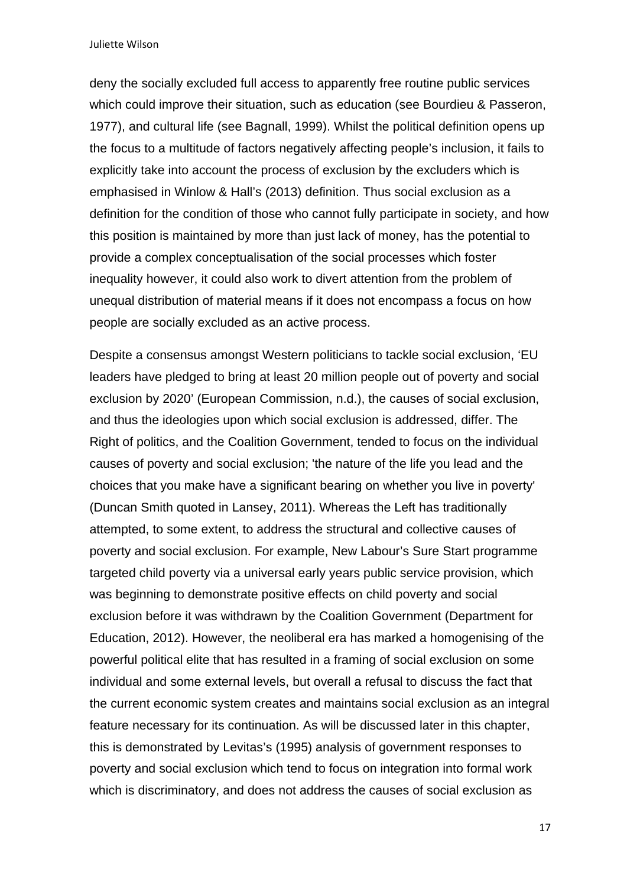deny the socially excluded full access to apparently free routine public services which could improve their situation, such as education (see Bourdieu & Passeron, 1977), and cultural life (see Bagnall, 1999). Whilst the political definition opens up the focus to a multitude of factors negatively affecting people's inclusion, it fails to explicitly take into account the process of exclusion by the excluders which is emphasised in Winlow & Hall's (2013) definition. Thus social exclusion as a definition for the condition of those who cannot fully participate in society, and how this position is maintained by more than just lack of money, has the potential to provide a complex conceptualisation of the social processes which foster inequality however, it could also work to divert attention from the problem of unequal distribution of material means if it does not encompass a focus on how people are socially excluded as an active process.

Despite a consensus amongst Western politicians to tackle social exclusion, 'EU leaders have pledged to bring at least 20 million people out of poverty and social exclusion by 2020' (European Commission, n.d.), the causes of social exclusion, and thus the ideologies upon which social exclusion is addressed, differ. The Right of politics, and the Coalition Government, tended to focus on the individual causes of poverty and social exclusion; 'the nature of the life you lead and the choices that you make have a significant bearing on whether you live in poverty' (Duncan Smith quoted in Lansey, 2011). Whereas the Left has traditionally attempted, to some extent, to address the structural and collective causes of poverty and social exclusion. For example, New Labour's Sure Start programme targeted child poverty via a universal early years public service provision, which was beginning to demonstrate positive effects on child poverty and social exclusion before it was withdrawn by the Coalition Government (Department for Education, 2012). However, the neoliberal era has marked a homogenising of the powerful political elite that has resulted in a framing of social exclusion on some individual and some external levels, but overall a refusal to discuss the fact that the current economic system creates and maintains social exclusion as an integral feature necessary for its continuation. As will be discussed later in this chapter, this is demonstrated by Levitas's (1995) analysis of government responses to poverty and social exclusion which tend to focus on integration into formal work which is discriminatory, and does not address the causes of social exclusion as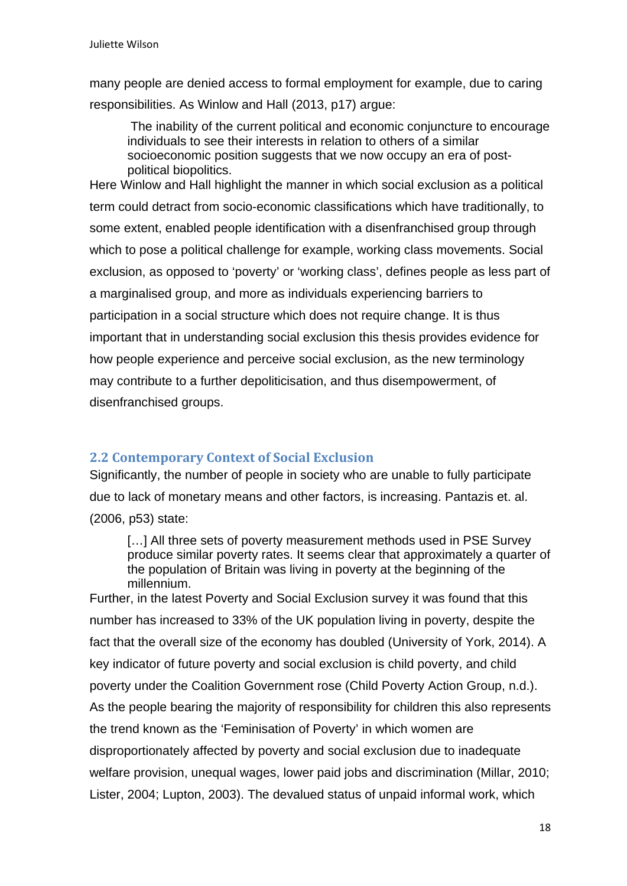many people are denied access to formal employment for example, due to caring responsibilities. As Winlow and Hall (2013, p17) argue:

The inability of the current political and economic conjuncture to encourage individuals to see their interests in relation to others of a similar socioeconomic position suggests that we now occupy an era of postpolitical biopolitics.

Here Winlow and Hall highlight the manner in which social exclusion as a political term could detract from socio-economic classifications which have traditionally, to some extent, enabled people identification with a disenfranchised group through which to pose a political challenge for example, working class movements. Social exclusion, as opposed to 'poverty' or 'working class', defines people as less part of a marginalised group, and more as individuals experiencing barriers to participation in a social structure which does not require change. It is thus important that in understanding social exclusion this thesis provides evidence for how people experience and perceive social exclusion, as the new terminology may contribute to a further depoliticisation, and thus disempowerment, of disenfranchised groups.

### **2.2 Contemporary Context of Social Exclusion**

Significantly, the number of people in society who are unable to fully participate due to lack of monetary means and other factors, is increasing. Pantazis et. al. (2006, p53) state:

[...] All three sets of poverty measurement methods used in PSE Survey produce similar poverty rates. It seems clear that approximately a quarter of the population of Britain was living in poverty at the beginning of the millennium.

Further, in the latest Poverty and Social Exclusion survey it was found that this number has increased to 33% of the UK population living in poverty, despite the fact that the overall size of the economy has doubled (University of York, 2014). A key indicator of future poverty and social exclusion is child poverty, and child poverty under the Coalition Government rose (Child Poverty Action Group, n.d.). As the people bearing the majority of responsibility for children this also represents the trend known as the 'Feminisation of Poverty' in which women are disproportionately affected by poverty and social exclusion due to inadequate welfare provision, unequal wages, lower paid jobs and discrimination (Millar, 2010; Lister, 2004; Lupton, 2003). The devalued status of unpaid informal work, which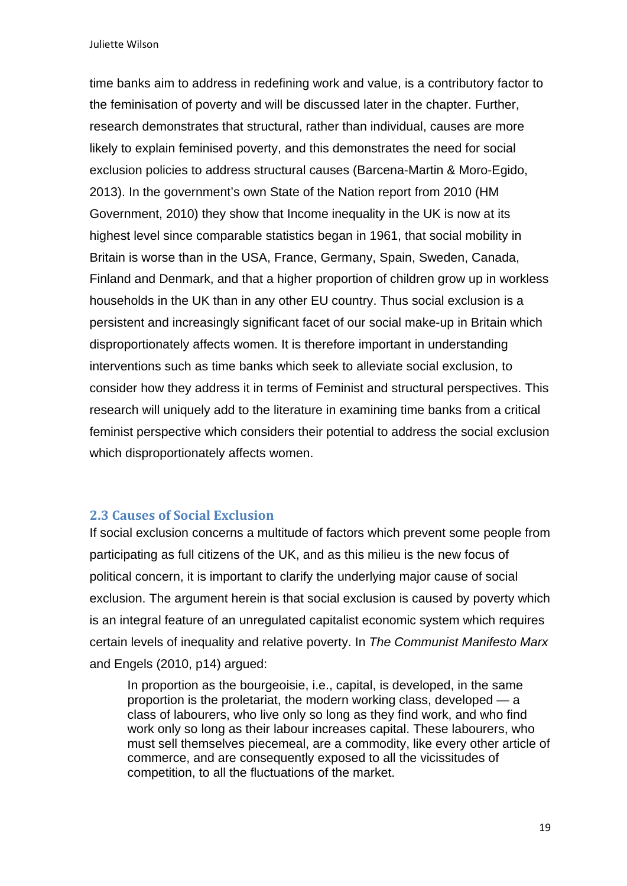time banks aim to address in redefining work and value, is a contributory factor to the feminisation of poverty and will be discussed later in the chapter. Further, research demonstrates that structural, rather than individual, causes are more likely to explain feminised poverty, and this demonstrates the need for social exclusion policies to address structural causes (Barcena-Martin & Moro-Egido, 2013). In the government's own State of the Nation report from 2010 (HM Government, 2010) they show that Income inequality in the UK is now at its highest level since comparable statistics began in 1961, that social mobility in Britain is worse than in the USA, France, Germany, Spain, Sweden, Canada, Finland and Denmark, and that a higher proportion of children grow up in workless households in the UK than in any other EU country. Thus social exclusion is a persistent and increasingly significant facet of our social make-up in Britain which disproportionately affects women. It is therefore important in understanding interventions such as time banks which seek to alleviate social exclusion, to consider how they address it in terms of Feminist and structural perspectives. This research will uniquely add to the literature in examining time banks from a critical feminist perspective which considers their potential to address the social exclusion which disproportionately affects women.

### **2.3 Causes of Social Exclusion**

If social exclusion concerns a multitude of factors which prevent some people from participating as full citizens of the UK, and as this milieu is the new focus of political concern, it is important to clarify the underlying major cause of social exclusion. The argument herein is that social exclusion is caused by poverty which is an integral feature of an unregulated capitalist economic system which requires certain levels of inequality and relative poverty. In *The Communist Manifesto Marx* and Engels (2010, p14) argued:

In proportion as the bourgeoisie, i.e., capital, is developed, in the same proportion is the proletariat, the modern working class, developed — a class of labourers, who live only so long as they find work, and who find work only so long as their labour increases capital. These labourers, who must sell themselves piecemeal, are a commodity, like every other article of commerce, and are consequently exposed to all the vicissitudes of competition, to all the fluctuations of the market.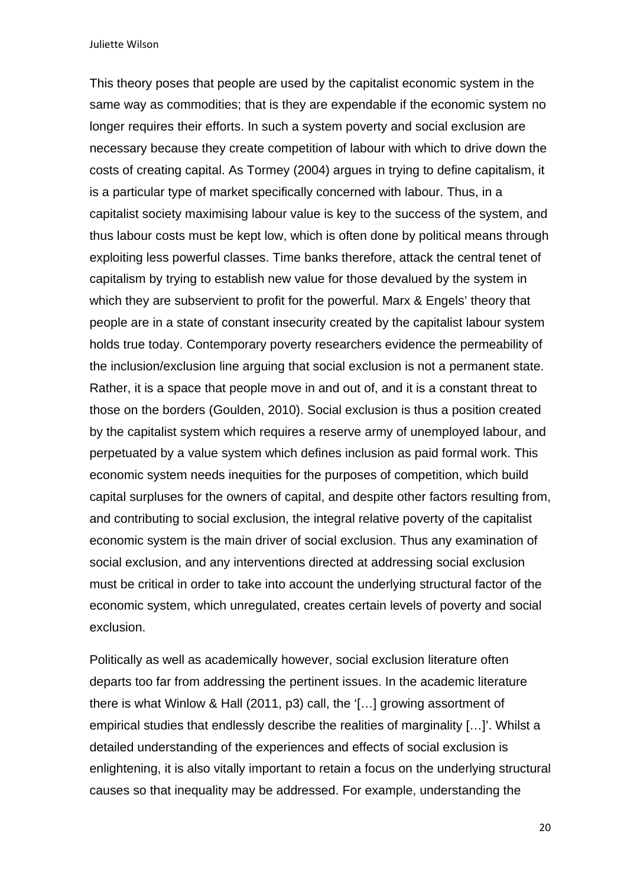This theory poses that people are used by the capitalist economic system in the same way as commodities; that is they are expendable if the economic system no longer requires their efforts. In such a system poverty and social exclusion are necessary because they create competition of labour with which to drive down the costs of creating capital. As Tormey (2004) argues in trying to define capitalism, it is a particular type of market specifically concerned with labour. Thus, in a capitalist society maximising labour value is key to the success of the system, and thus labour costs must be kept low, which is often done by political means through exploiting less powerful classes. Time banks therefore, attack the central tenet of capitalism by trying to establish new value for those devalued by the system in which they are subservient to profit for the powerful. Marx & Engels' theory that people are in a state of constant insecurity created by the capitalist labour system holds true today. Contemporary poverty researchers evidence the permeability of the inclusion/exclusion line arguing that social exclusion is not a permanent state. Rather, it is a space that people move in and out of, and it is a constant threat to those on the borders (Goulden, 2010). Social exclusion is thus a position created by the capitalist system which requires a reserve army of unemployed labour, and perpetuated by a value system which defines inclusion as paid formal work. This economic system needs inequities for the purposes of competition, which build capital surpluses for the owners of capital, and despite other factors resulting from, and contributing to social exclusion, the integral relative poverty of the capitalist economic system is the main driver of social exclusion. Thus any examination of social exclusion, and any interventions directed at addressing social exclusion must be critical in order to take into account the underlying structural factor of the economic system, which unregulated, creates certain levels of poverty and social exclusion.

Politically as well as academically however, social exclusion literature often departs too far from addressing the pertinent issues. In the academic literature there is what Winlow & Hall (2011, p3) call, the '[…] growing assortment of empirical studies that endlessly describe the realities of marginality […]'. Whilst a detailed understanding of the experiences and effects of social exclusion is enlightening, it is also vitally important to retain a focus on the underlying structural causes so that inequality may be addressed. For example, understanding the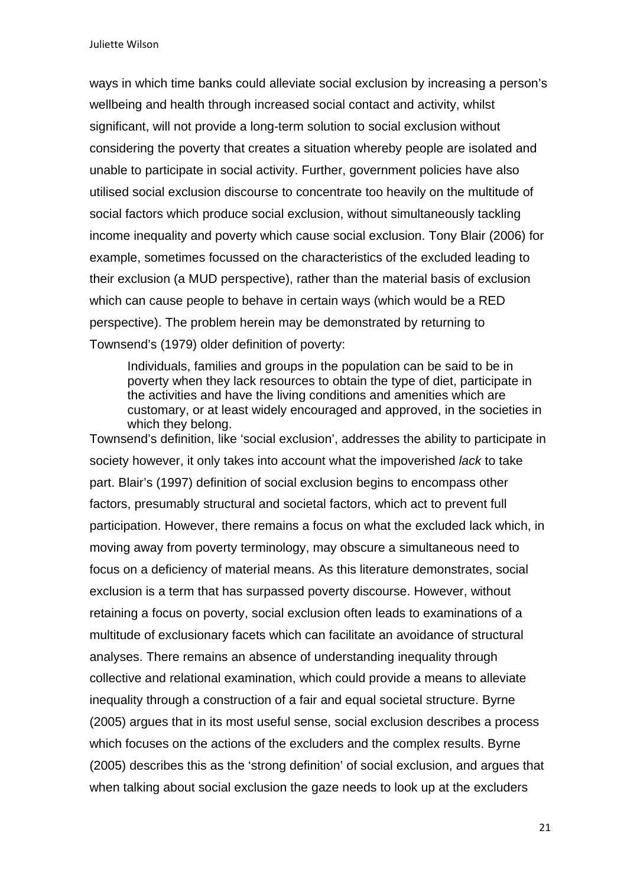ways in which time banks could alleviate social exclusion by increasing a person's wellbeing and health through increased social contact and activity, whilst significant, will not provide a long-term solution to social exclusion without considering the poverty that creates a situation whereby people are isolated and unable to participate in social activity. Further, government policies have also utilised social exclusion discourse to concentrate too heavily on the multitude of social factors which produce social exclusion, without simultaneously tackling income inequality and poverty which cause social exclusion. Tony Blair (2006) for example, sometimes focussed on the characteristics of the excluded leading to their exclusion (a MUD perspective), rather than the material basis of exclusion which can cause people to behave in certain ways (which would be a RED perspective). The problem herein may be demonstrated by returning to Townsend's (1979) older definition of poverty:

Individuals, families and groups in the population can be said to be in poverty when they lack resources to obtain the type of diet, participate in the activities and have the living conditions and amenities which are customary, or at least widely encouraged and approved, in the societies in which they belong.

Townsend's definition, like 'social exclusion', addresses the ability to participate in society however, it only takes into account what the impoverished *lack* to take part. Blair's (1997) definition of social exclusion begins to encompass other factors, presumably structural and societal factors, which act to prevent full participation. However, there remains a focus on what the excluded lack which, in moving away from poverty terminology, may obscure a simultaneous need to focus on a deficiency of material means. As this literature demonstrates, social exclusion is a term that has surpassed poverty discourse. However, without retaining a focus on poverty, social exclusion often leads to examinations of a multitude of exclusionary facets which can facilitate an avoidance of structural analyses. There remains an absence of understanding inequality through collective and relational examination, which could provide a means to alleviate inequality through a construction of a fair and equal societal structure. Byrne (2005) argues that in its most useful sense, social exclusion describes a process which focuses on the actions of the excluders and the complex results. Byrne (2005) describes this as the 'strong definition' of social exclusion, and argues that when talking about social exclusion the gaze needs to look up at the excluders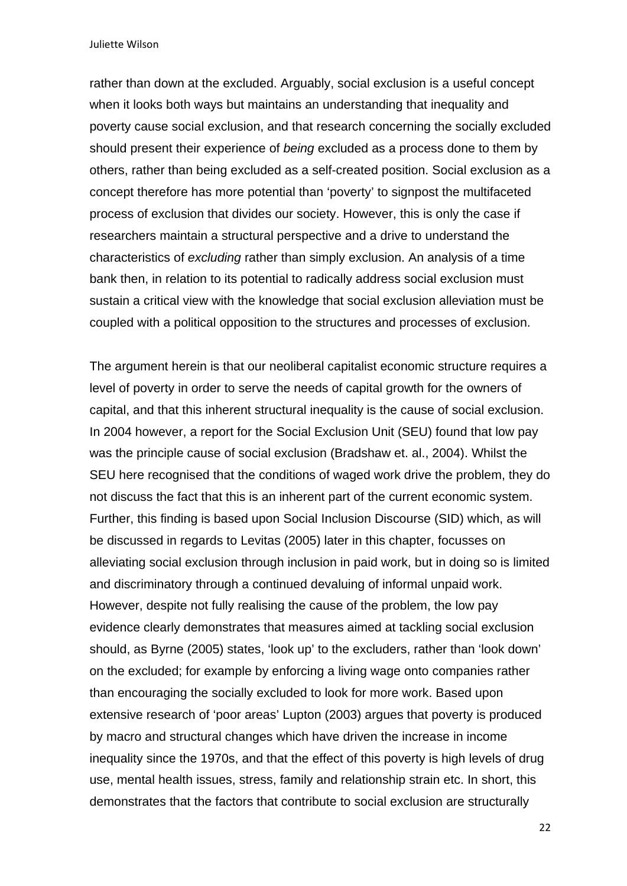rather than down at the excluded. Arguably, social exclusion is a useful concept when it looks both ways but maintains an understanding that inequality and poverty cause social exclusion, and that research concerning the socially excluded should present their experience of *being* excluded as a process done to them by others, rather than being excluded as a self-created position. Social exclusion as a concept therefore has more potential than 'poverty' to signpost the multifaceted process of exclusion that divides our society. However, this is only the case if researchers maintain a structural perspective and a drive to understand the characteristics of *excluding* rather than simply exclusion. An analysis of a time bank then, in relation to its potential to radically address social exclusion must sustain a critical view with the knowledge that social exclusion alleviation must be coupled with a political opposition to the structures and processes of exclusion.

The argument herein is that our neoliberal capitalist economic structure requires a level of poverty in order to serve the needs of capital growth for the owners of capital, and that this inherent structural inequality is the cause of social exclusion. In 2004 however, a report for the Social Exclusion Unit (SEU) found that low pay was the principle cause of social exclusion (Bradshaw et. al., 2004). Whilst the SEU here recognised that the conditions of waged work drive the problem, they do not discuss the fact that this is an inherent part of the current economic system. Further, this finding is based upon Social Inclusion Discourse (SID) which, as will be discussed in regards to Levitas (2005) later in this chapter, focusses on alleviating social exclusion through inclusion in paid work, but in doing so is limited and discriminatory through a continued devaluing of informal unpaid work. However, despite not fully realising the cause of the problem, the low pay evidence clearly demonstrates that measures aimed at tackling social exclusion should, as Byrne (2005) states, 'look up' to the excluders, rather than 'look down' on the excluded; for example by enforcing a living wage onto companies rather than encouraging the socially excluded to look for more work. Based upon extensive research of 'poor areas' Lupton (2003) argues that poverty is produced by macro and structural changes which have driven the increase in income inequality since the 1970s, and that the effect of this poverty is high levels of drug use, mental health issues, stress, family and relationship strain etc. In short, this demonstrates that the factors that contribute to social exclusion are structurally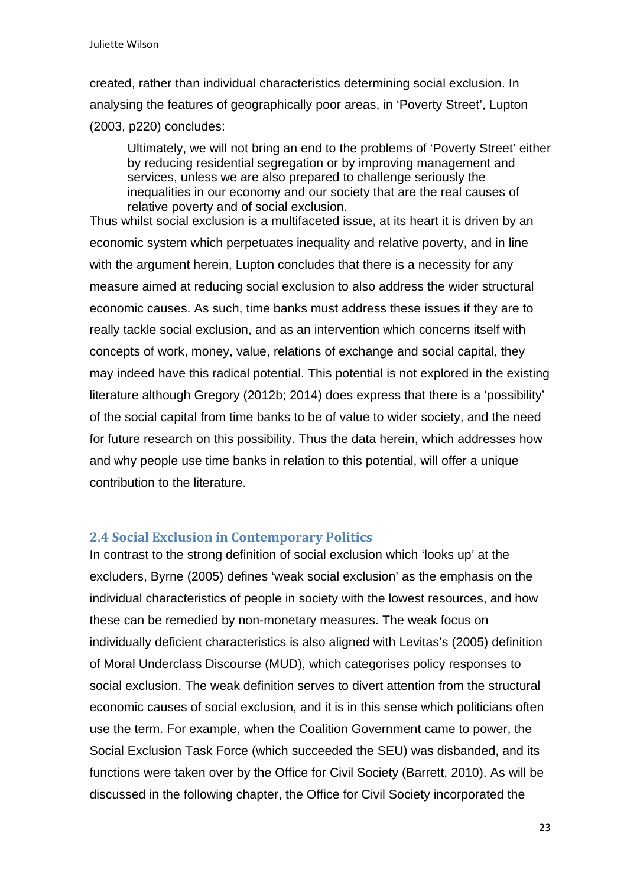created, rather than individual characteristics determining social exclusion. In analysing the features of geographically poor areas, in 'Poverty Street', Lupton (2003, p220) concludes:

Ultimately, we will not bring an end to the problems of 'Poverty Street' either by reducing residential segregation or by improving management and services, unless we are also prepared to challenge seriously the inequalities in our economy and our society that are the real causes of relative poverty and of social exclusion.

Thus whilst social exclusion is a multifaceted issue, at its heart it is driven by an economic system which perpetuates inequality and relative poverty, and in line with the argument herein, Lupton concludes that there is a necessity for any measure aimed at reducing social exclusion to also address the wider structural economic causes. As such, time banks must address these issues if they are to really tackle social exclusion, and as an intervention which concerns itself with concepts of work, money, value, relations of exchange and social capital, they may indeed have this radical potential. This potential is not explored in the existing literature although Gregory (2012b; 2014) does express that there is a 'possibility' of the social capital from time banks to be of value to wider society, and the need for future research on this possibility. Thus the data herein, which addresses how and why people use time banks in relation to this potential, will offer a unique contribution to the literature.

### **2.4 Social Exclusion in Contemporary Politics**

In contrast to the strong definition of social exclusion which 'looks up' at the excluders, Byrne (2005) defines 'weak social exclusion' as the emphasis on the individual characteristics of people in society with the lowest resources, and how these can be remedied by non-monetary measures. The weak focus on individually deficient characteristics is also aligned with Levitas's (2005) definition of Moral Underclass Discourse (MUD), which categorises policy responses to social exclusion. The weak definition serves to divert attention from the structural economic causes of social exclusion, and it is in this sense which politicians often use the term. For example, when the Coalition Government came to power, the Social Exclusion Task Force (which succeeded the SEU) was disbanded, and its functions were taken over by the Office for Civil Society (Barrett, 2010). As will be discussed in the following chapter, the Office for Civil Society incorporated the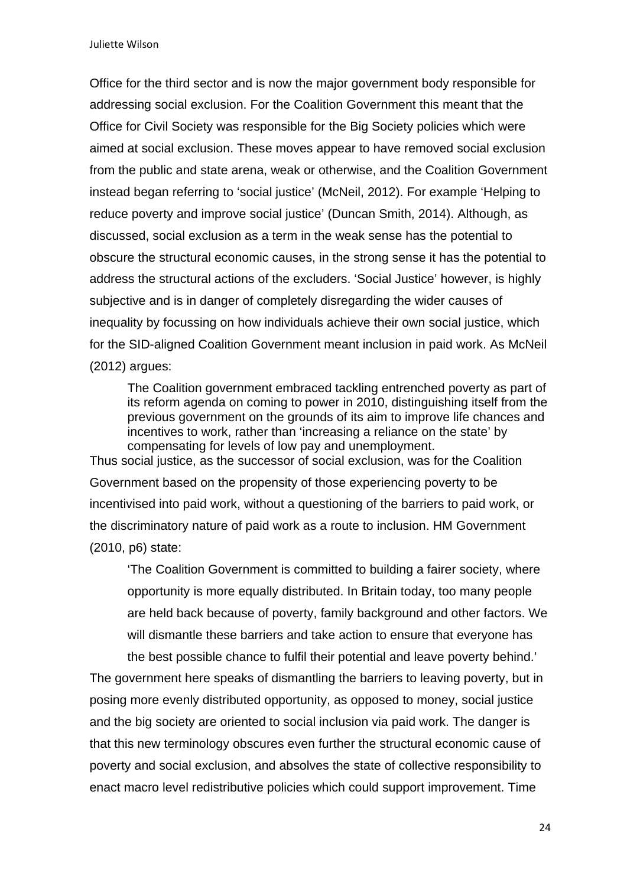Office for the third sector and is now the major government body responsible for addressing social exclusion. For the Coalition Government this meant that the Office for Civil Society was responsible for the Big Society policies which were aimed at social exclusion. These moves appear to have removed social exclusion from the public and state arena, weak or otherwise, and the Coalition Government instead began referring to 'social justice' (McNeil, 2012). For example 'Helping to reduce poverty and improve social justice' (Duncan Smith, 2014). Although, as discussed, social exclusion as a term in the weak sense has the potential to obscure the structural economic causes, in the strong sense it has the potential to address the structural actions of the excluders. 'Social Justice' however, is highly subjective and is in danger of completely disregarding the wider causes of inequality by focussing on how individuals achieve their own social justice, which for the SID-aligned Coalition Government meant inclusion in paid work. As McNeil (2012) argues:

The Coalition government embraced tackling entrenched poverty as part of its reform agenda on coming to power in 2010, distinguishing itself from the previous government on the grounds of its aim to improve life chances and incentives to work, rather than 'increasing a reliance on the state' by compensating for levels of low pay and unemployment.

Thus social justice, as the successor of social exclusion, was for the Coalition Government based on the propensity of those experiencing poverty to be incentivised into paid work, without a questioning of the barriers to paid work, or the discriminatory nature of paid work as a route to inclusion. HM Government (2010, p6) state:

'The Coalition Government is committed to building a fairer society, where opportunity is more equally distributed. In Britain today, too many people are held back because of poverty, family background and other factors. We will dismantle these barriers and take action to ensure that everyone has the best possible chance to fulfil their potential and leave poverty behind.'

The government here speaks of dismantling the barriers to leaving poverty, but in posing more evenly distributed opportunity, as opposed to money, social justice and the big society are oriented to social inclusion via paid work. The danger is that this new terminology obscures even further the structural economic cause of poverty and social exclusion, and absolves the state of collective responsibility to enact macro level redistributive policies which could support improvement. Time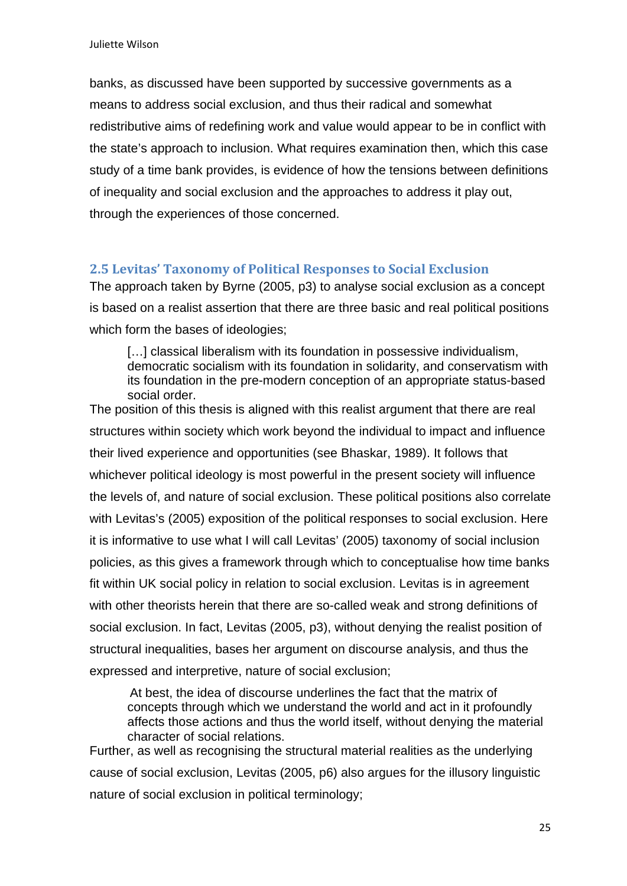banks, as discussed have been supported by successive governments as a means to address social exclusion, and thus their radical and somewhat redistributive aims of redefining work and value would appear to be in conflict with the state's approach to inclusion. What requires examination then, which this case study of a time bank provides, is evidence of how the tensions between definitions of inequality and social exclusion and the approaches to address it play out, through the experiences of those concerned.

### **2.5 Levitas' Taxonomy of Political Responses to Social Exclusion**

The approach taken by Byrne (2005, p3) to analyse social exclusion as a concept is based on a realist assertion that there are three basic and real political positions which form the bases of ideologies;

[...] classical liberalism with its foundation in possessive individualism, democratic socialism with its foundation in solidarity, and conservatism with its foundation in the pre-modern conception of an appropriate status-based social order.

The position of this thesis is aligned with this realist argument that there are real structures within society which work beyond the individual to impact and influence their lived experience and opportunities (see Bhaskar, 1989). It follows that whichever political ideology is most powerful in the present society will influence the levels of, and nature of social exclusion. These political positions also correlate with Levitas's (2005) exposition of the political responses to social exclusion. Here it is informative to use what I will call Levitas' (2005) taxonomy of social inclusion policies, as this gives a framework through which to conceptualise how time banks fit within UK social policy in relation to social exclusion. Levitas is in agreement with other theorists herein that there are so-called weak and strong definitions of social exclusion. In fact, Levitas (2005, p3), without denying the realist position of structural inequalities, bases her argument on discourse analysis, and thus the expressed and interpretive, nature of social exclusion;

At best, the idea of discourse underlines the fact that the matrix of concepts through which we understand the world and act in it profoundly affects those actions and thus the world itself, without denying the material character of social relations.

Further, as well as recognising the structural material realities as the underlying cause of social exclusion, Levitas (2005, p6) also argues for the illusory linguistic nature of social exclusion in political terminology;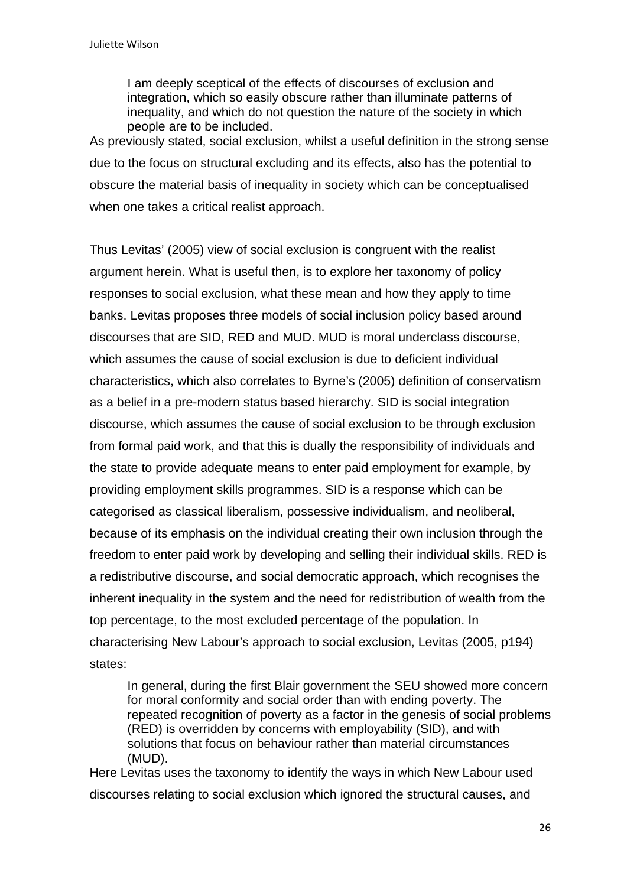I am deeply sceptical of the effects of discourses of exclusion and integration, which so easily obscure rather than illuminate patterns of inequality, and which do not question the nature of the society in which people are to be included.

As previously stated, social exclusion, whilst a useful definition in the strong sense due to the focus on structural excluding and its effects, also has the potential to obscure the material basis of inequality in society which can be conceptualised when one takes a critical realist approach.

Thus Levitas' (2005) view of social exclusion is congruent with the realist argument herein. What is useful then, is to explore her taxonomy of policy responses to social exclusion, what these mean and how they apply to time banks. Levitas proposes three models of social inclusion policy based around discourses that are SID, RED and MUD. MUD is moral underclass discourse, which assumes the cause of social exclusion is due to deficient individual characteristics, which also correlates to Byrne's (2005) definition of conservatism as a belief in a pre-modern status based hierarchy. SID is social integration discourse, which assumes the cause of social exclusion to be through exclusion from formal paid work, and that this is dually the responsibility of individuals and the state to provide adequate means to enter paid employment for example, by providing employment skills programmes. SID is a response which can be categorised as classical liberalism, possessive individualism, and neoliberal, because of its emphasis on the individual creating their own inclusion through the freedom to enter paid work by developing and selling their individual skills. RED is a redistributive discourse, and social democratic approach, which recognises the inherent inequality in the system and the need for redistribution of wealth from the top percentage, to the most excluded percentage of the population. In characterising New Labour's approach to social exclusion, Levitas (2005, p194) states:

In general, during the first Blair government the SEU showed more concern for moral conformity and social order than with ending poverty. The repeated recognition of poverty as a factor in the genesis of social problems (RED) is overridden by concerns with employability (SID), and with solutions that focus on behaviour rather than material circumstances (MUD).

Here Levitas uses the taxonomy to identify the ways in which New Labour used discourses relating to social exclusion which ignored the structural causes, and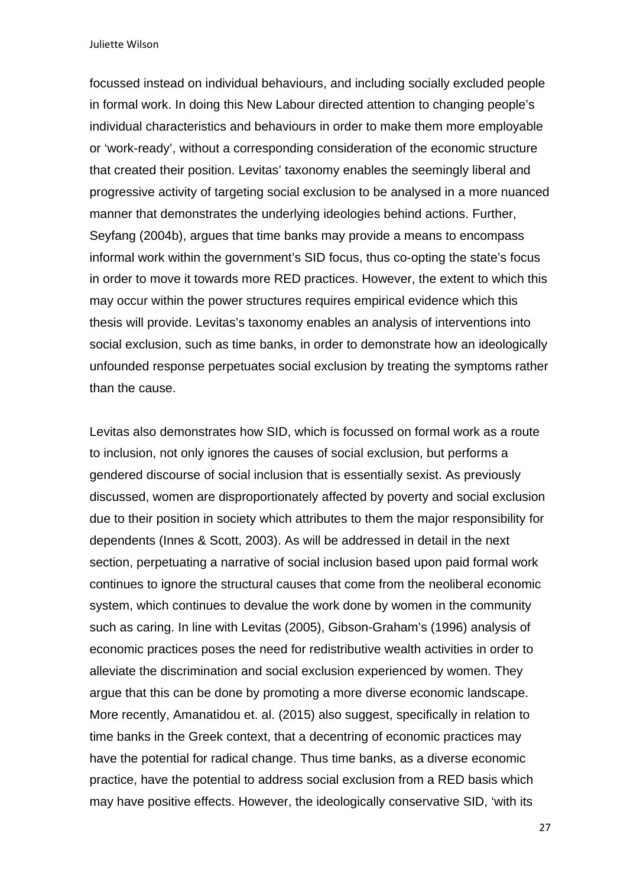focussed instead on individual behaviours, and including socially excluded people in formal work. In doing this New Labour directed attention to changing people's individual characteristics and behaviours in order to make them more employable or 'work-ready', without a corresponding consideration of the economic structure that created their position. Levitas' taxonomy enables the seemingly liberal and progressive activity of targeting social exclusion to be analysed in a more nuanced manner that demonstrates the underlying ideologies behind actions. Further, Seyfang (2004b), argues that time banks may provide a means to encompass informal work within the government's SID focus, thus co-opting the state's focus in order to move it towards more RED practices. However, the extent to which this may occur within the power structures requires empirical evidence which this thesis will provide. Levitas's taxonomy enables an analysis of interventions into social exclusion, such as time banks, in order to demonstrate how an ideologically unfounded response perpetuates social exclusion by treating the symptoms rather than the cause.

Levitas also demonstrates how SID, which is focussed on formal work as a route to inclusion, not only ignores the causes of social exclusion, but performs a gendered discourse of social inclusion that is essentially sexist. As previously discussed, women are disproportionately affected by poverty and social exclusion due to their position in society which attributes to them the major responsibility for dependents (Innes & Scott, 2003). As will be addressed in detail in the next section, perpetuating a narrative of social inclusion based upon paid formal work continues to ignore the structural causes that come from the neoliberal economic system, which continues to devalue the work done by women in the community such as caring. In line with Levitas (2005), Gibson-Graham's (1996) analysis of economic practices poses the need for redistributive wealth activities in order to alleviate the discrimination and social exclusion experienced by women. They argue that this can be done by promoting a more diverse economic landscape. More recently, Amanatidou et. al. (2015) also suggest, specifically in relation to time banks in the Greek context, that a decentring of economic practices may have the potential for radical change. Thus time banks, as a diverse economic practice, have the potential to address social exclusion from a RED basis which may have positive effects. However, the ideologically conservative SID, 'with its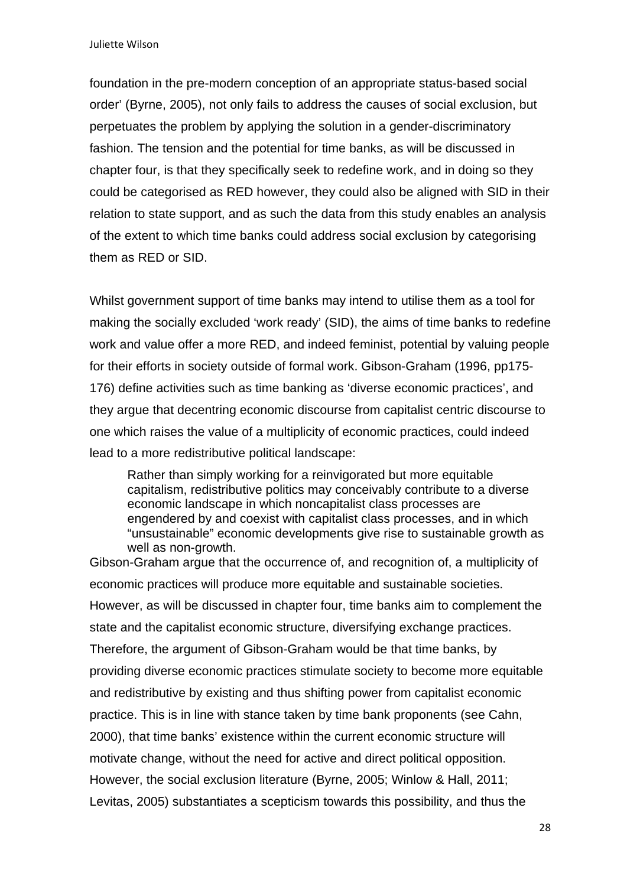foundation in the pre-modern conception of an appropriate status-based social order' (Byrne, 2005), not only fails to address the causes of social exclusion, but perpetuates the problem by applying the solution in a gender-discriminatory fashion. The tension and the potential for time banks, as will be discussed in chapter four, is that they specifically seek to redefine work, and in doing so they could be categorised as RED however, they could also be aligned with SID in their relation to state support, and as such the data from this study enables an analysis of the extent to which time banks could address social exclusion by categorising them as RED or SID.

Whilst government support of time banks may intend to utilise them as a tool for making the socially excluded 'work ready' (SID), the aims of time banks to redefine work and value offer a more RED, and indeed feminist, potential by valuing people for their efforts in society outside of formal work. Gibson-Graham (1996, pp175- 176) define activities such as time banking as 'diverse economic practices', and they argue that decentring economic discourse from capitalist centric discourse to one which raises the value of a multiplicity of economic practices, could indeed lead to a more redistributive political landscape:

Rather than simply working for a reinvigorated but more equitable capitalism, redistributive politics may conceivably contribute to a diverse economic landscape in which noncapitalist class processes are engendered by and coexist with capitalist class processes, and in which "unsustainable" economic developments give rise to sustainable growth as well as non-growth.

Gibson-Graham argue that the occurrence of, and recognition of, a multiplicity of economic practices will produce more equitable and sustainable societies. However, as will be discussed in chapter four, time banks aim to complement the state and the capitalist economic structure, diversifying exchange practices. Therefore, the argument of Gibson-Graham would be that time banks, by providing diverse economic practices stimulate society to become more equitable and redistributive by existing and thus shifting power from capitalist economic practice. This is in line with stance taken by time bank proponents (see Cahn, 2000), that time banks' existence within the current economic structure will motivate change, without the need for active and direct political opposition. However, the social exclusion literature (Byrne, 2005; Winlow & Hall, 2011; Levitas, 2005) substantiates a scepticism towards this possibility, and thus the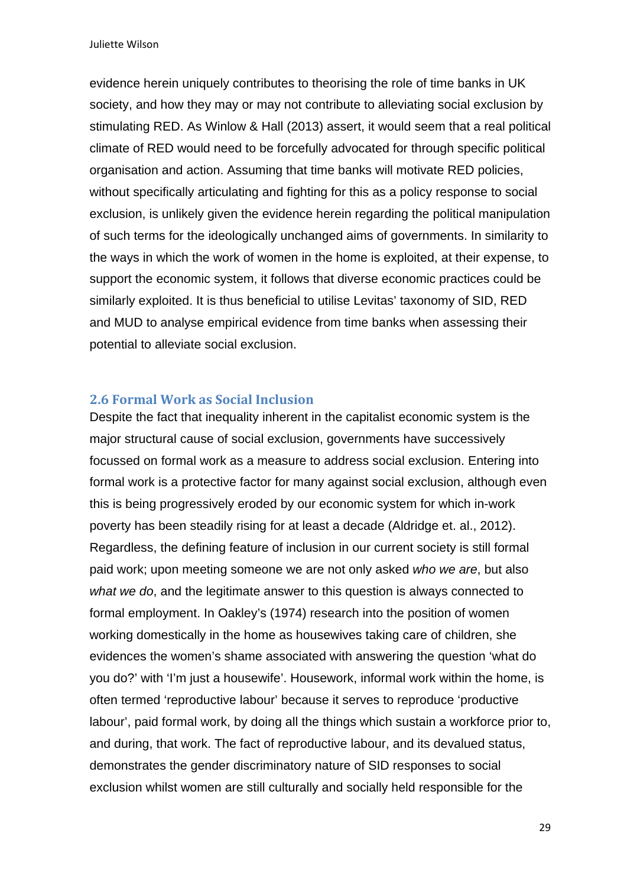evidence herein uniquely contributes to theorising the role of time banks in UK society, and how they may or may not contribute to alleviating social exclusion by stimulating RED. As Winlow & Hall (2013) assert, it would seem that a real political climate of RED would need to be forcefully advocated for through specific political organisation and action. Assuming that time banks will motivate RED policies, without specifically articulating and fighting for this as a policy response to social exclusion, is unlikely given the evidence herein regarding the political manipulation of such terms for the ideologically unchanged aims of governments. In similarity to the ways in which the work of women in the home is exploited, at their expense, to support the economic system, it follows that diverse economic practices could be similarly exploited. It is thus beneficial to utilise Levitas' taxonomy of SID, RED and MUD to analyse empirical evidence from time banks when assessing their potential to alleviate social exclusion.

### **2.6 Formal Work as Social Inclusion**

Despite the fact that inequality inherent in the capitalist economic system is the major structural cause of social exclusion, governments have successively focussed on formal work as a measure to address social exclusion. Entering into formal work is a protective factor for many against social exclusion, although even this is being progressively eroded by our economic system for which in-work poverty has been steadily rising for at least a decade (Aldridge et. al., 2012). Regardless, the defining feature of inclusion in our current society is still formal paid work; upon meeting someone we are not only asked *who we are*, but also *what we do*, and the legitimate answer to this question is always connected to formal employment. In Oakley's (1974) research into the position of women working domestically in the home as housewives taking care of children, she evidences the women's shame associated with answering the question 'what do you do?' with 'I'm just a housewife'. Housework, informal work within the home, is often termed 'reproductive labour' because it serves to reproduce 'productive labour', paid formal work, by doing all the things which sustain a workforce prior to, and during, that work. The fact of reproductive labour, and its devalued status, demonstrates the gender discriminatory nature of SID responses to social exclusion whilst women are still culturally and socially held responsible for the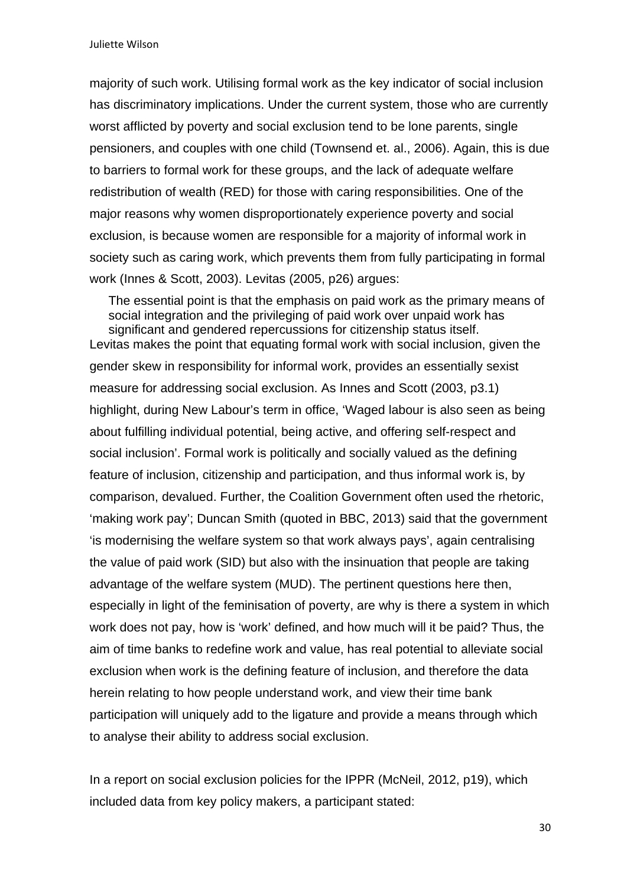majority of such work. Utilising formal work as the key indicator of social inclusion has discriminatory implications. Under the current system, those who are currently worst afflicted by poverty and social exclusion tend to be lone parents, single pensioners, and couples with one child (Townsend et. al., 2006). Again, this is due to barriers to formal work for these groups, and the lack of adequate welfare redistribution of wealth (RED) for those with caring responsibilities. One of the major reasons why women disproportionately experience poverty and social exclusion, is because women are responsible for a majority of informal work in society such as caring work, which prevents them from fully participating in formal work (Innes & Scott, 2003). Levitas (2005, p26) argues:

The essential point is that the emphasis on paid work as the primary means of social integration and the privileging of paid work over unpaid work has significant and gendered repercussions for citizenship status itself. Levitas makes the point that equating formal work with social inclusion, given the gender skew in responsibility for informal work, provides an essentially sexist measure for addressing social exclusion. As Innes and Scott (2003, p3.1) highlight, during New Labour's term in office, 'Waged labour is also seen as being about fulfilling individual potential, being active, and offering self-respect and social inclusion'. Formal work is politically and socially valued as the defining feature of inclusion, citizenship and participation, and thus informal work is, by comparison, devalued. Further, the Coalition Government often used the rhetoric, 'making work pay'; Duncan Smith (quoted in BBC, 2013) said that the government 'is modernising the welfare system so that work always pays', again centralising the value of paid work (SID) but also with the insinuation that people are taking advantage of the welfare system (MUD). The pertinent questions here then, especially in light of the feminisation of poverty, are why is there a system in which work does not pay, how is 'work' defined, and how much will it be paid? Thus, the aim of time banks to redefine work and value, has real potential to alleviate social exclusion when work is the defining feature of inclusion, and therefore the data herein relating to how people understand work, and view their time bank participation will uniquely add to the ligature and provide a means through which to analyse their ability to address social exclusion.

In a report on social exclusion policies for the IPPR (McNeil, 2012, p19), which included data from key policy makers, a participant stated: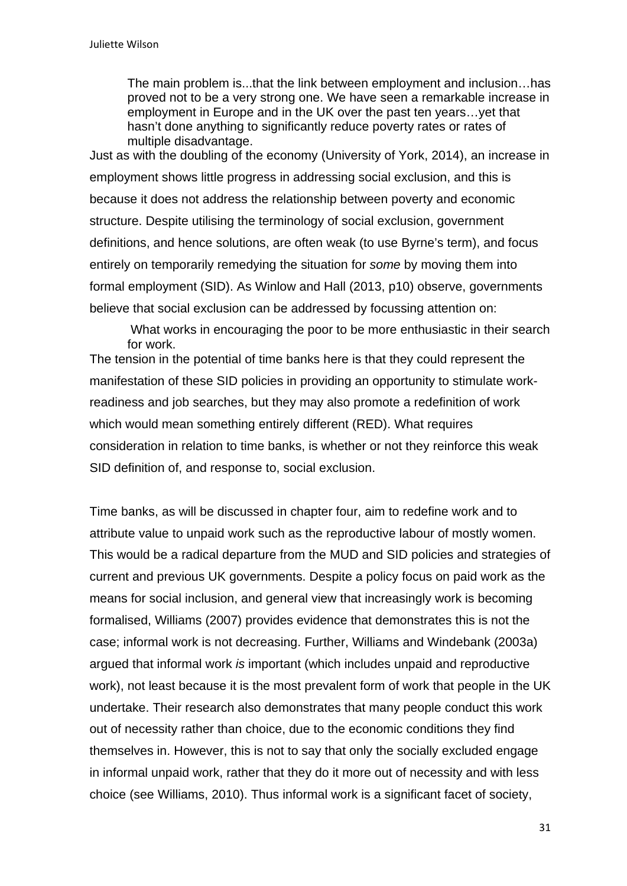The main problem is...that the link between employment and inclusion…has proved not to be a very strong one. We have seen a remarkable increase in employment in Europe and in the UK over the past ten years…yet that hasn't done anything to significantly reduce poverty rates or rates of multiple disadvantage.

Just as with the doubling of the economy (University of York, 2014), an increase in employment shows little progress in addressing social exclusion, and this is because it does not address the relationship between poverty and economic structure. Despite utilising the terminology of social exclusion, government definitions, and hence solutions, are often weak (to use Byrne's term), and focus entirely on temporarily remedying the situation for *some* by moving them into formal employment (SID). As Winlow and Hall (2013, p10) observe, governments believe that social exclusion can be addressed by focussing attention on:

What works in encouraging the poor to be more enthusiastic in their search for work. The tension in the potential of time banks here is that they could represent the manifestation of these SID policies in providing an opportunity to stimulate workreadiness and job searches, but they may also promote a redefinition of work which would mean something entirely different (RED). What requires consideration in relation to time banks, is whether or not they reinforce this weak SID definition of, and response to, social exclusion.

Time banks, as will be discussed in chapter four, aim to redefine work and to attribute value to unpaid work such as the reproductive labour of mostly women. This would be a radical departure from the MUD and SID policies and strategies of current and previous UK governments. Despite a policy focus on paid work as the means for social inclusion, and general view that increasingly work is becoming formalised, Williams (2007) provides evidence that demonstrates this is not the case; informal work is not decreasing. Further, Williams and Windebank (2003a) argued that informal work *is* important (which includes unpaid and reproductive work), not least because it is the most prevalent form of work that people in the UK undertake. Their research also demonstrates that many people conduct this work out of necessity rather than choice, due to the economic conditions they find themselves in. However, this is not to say that only the socially excluded engage in informal unpaid work, rather that they do it more out of necessity and with less choice (see Williams, 2010). Thus informal work is a significant facet of society,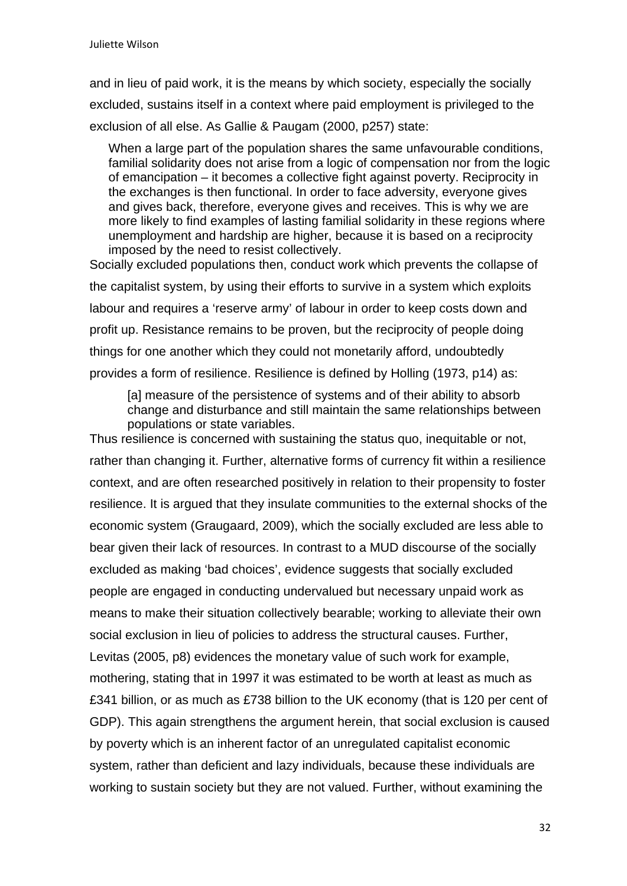and in lieu of paid work, it is the means by which society, especially the socially excluded, sustains itself in a context where paid employment is privileged to the exclusion of all else. As Gallie & Paugam (2000, p257) state:

When a large part of the population shares the same unfavourable conditions, familial solidarity does not arise from a logic of compensation nor from the logic of emancipation – it becomes a collective fight against poverty. Reciprocity in the exchanges is then functional. In order to face adversity, everyone gives and gives back, therefore, everyone gives and receives. This is why we are more likely to find examples of lasting familial solidarity in these regions where unemployment and hardship are higher, because it is based on a reciprocity imposed by the need to resist collectively.

Socially excluded populations then, conduct work which prevents the collapse of the capitalist system, by using their efforts to survive in a system which exploits labour and requires a 'reserve army' of labour in order to keep costs down and profit up. Resistance remains to be proven, but the reciprocity of people doing things for one another which they could not monetarily afford, undoubtedly provides a form of resilience. Resilience is defined by Holling (1973, p14) as:

[a] measure of the persistence of systems and of their ability to absorb change and disturbance and still maintain the same relationships between populations or state variables.

Thus resilience is concerned with sustaining the status quo, inequitable or not, rather than changing it. Further, alternative forms of currency fit within a resilience context, and are often researched positively in relation to their propensity to foster resilience. It is argued that they insulate communities to the external shocks of the economic system (Graugaard, 2009), which the socially excluded are less able to bear given their lack of resources. In contrast to a MUD discourse of the socially excluded as making 'bad choices', evidence suggests that socially excluded people are engaged in conducting undervalued but necessary unpaid work as means to make their situation collectively bearable; working to alleviate their own social exclusion in lieu of policies to address the structural causes. Further, Levitas (2005, p8) evidences the monetary value of such work for example, mothering, stating that in 1997 it was estimated to be worth at least as much as £341 billion, or as much as £738 billion to the UK economy (that is 120 per cent of GDP). This again strengthens the argument herein, that social exclusion is caused by poverty which is an inherent factor of an unregulated capitalist economic system, rather than deficient and lazy individuals, because these individuals are working to sustain society but they are not valued. Further, without examining the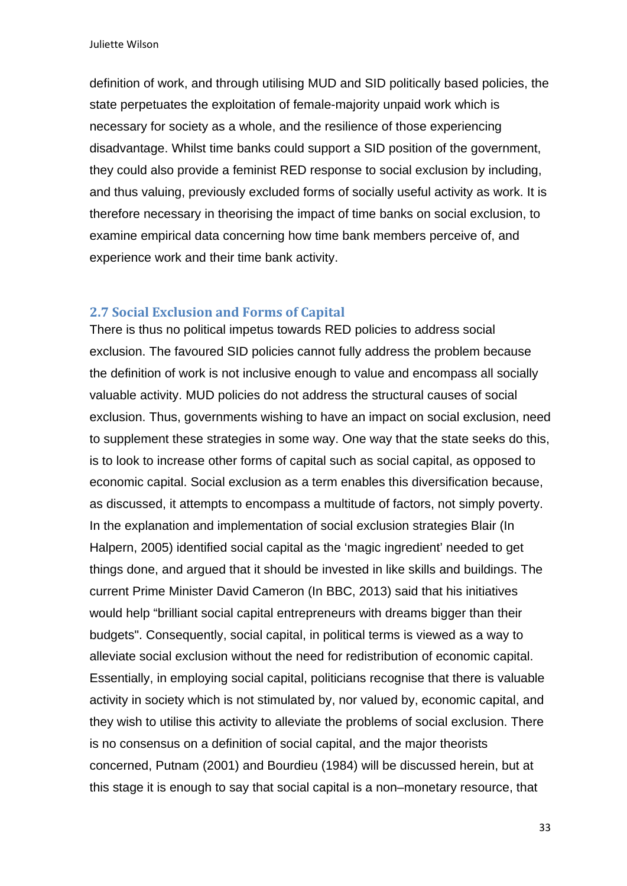definition of work, and through utilising MUD and SID politically based policies, the state perpetuates the exploitation of female-majority unpaid work which is necessary for society as a whole, and the resilience of those experiencing disadvantage. Whilst time banks could support a SID position of the government, they could also provide a feminist RED response to social exclusion by including, and thus valuing, previously excluded forms of socially useful activity as work. It is therefore necessary in theorising the impact of time banks on social exclusion, to examine empirical data concerning how time bank members perceive of, and experience work and their time bank activity.

### **2.7 Social Exclusion and Forms of Capital**

There is thus no political impetus towards RED policies to address social exclusion. The favoured SID policies cannot fully address the problem because the definition of work is not inclusive enough to value and encompass all socially valuable activity. MUD policies do not address the structural causes of social exclusion. Thus, governments wishing to have an impact on social exclusion, need to supplement these strategies in some way. One way that the state seeks do this, is to look to increase other forms of capital such as social capital, as opposed to economic capital. Social exclusion as a term enables this diversification because, as discussed, it attempts to encompass a multitude of factors, not simply poverty. In the explanation and implementation of social exclusion strategies Blair (In Halpern, 2005) identified social capital as the 'magic ingredient' needed to get things done, and argued that it should be invested in like skills and buildings. The current Prime Minister David Cameron (In BBC, 2013) said that his initiatives would help "brilliant social capital entrepreneurs with dreams bigger than their budgets". Consequently, social capital, in political terms is viewed as a way to alleviate social exclusion without the need for redistribution of economic capital. Essentially, in employing social capital, politicians recognise that there is valuable activity in society which is not stimulated by, nor valued by, economic capital, and they wish to utilise this activity to alleviate the problems of social exclusion. There is no consensus on a definition of social capital, and the major theorists concerned, Putnam (2001) and Bourdieu (1984) will be discussed herein, but at this stage it is enough to say that social capital is a non–monetary resource, that

33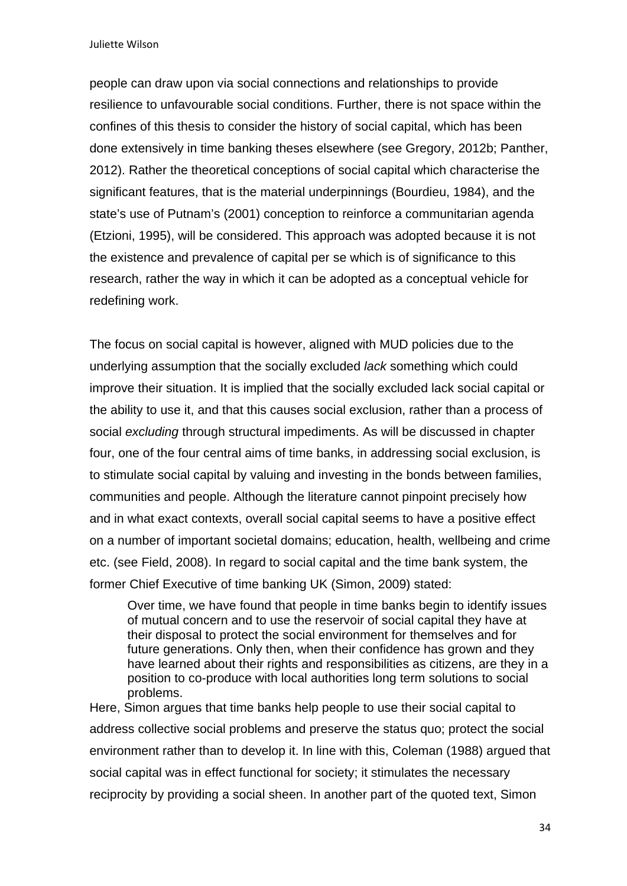people can draw upon via social connections and relationships to provide resilience to unfavourable social conditions. Further, there is not space within the confines of this thesis to consider the history of social capital, which has been done extensively in time banking theses elsewhere (see Gregory, 2012b; Panther, 2012). Rather the theoretical conceptions of social capital which characterise the significant features, that is the material underpinnings (Bourdieu, 1984), and the state's use of Putnam's (2001) conception to reinforce a communitarian agenda (Etzioni, 1995), will be considered. This approach was adopted because it is not the existence and prevalence of capital per se which is of significance to this research, rather the way in which it can be adopted as a conceptual vehicle for redefining work.

The focus on social capital is however, aligned with MUD policies due to the underlying assumption that the socially excluded *lack* something which could improve their situation. It is implied that the socially excluded lack social capital or the ability to use it, and that this causes social exclusion, rather than a process of social *excluding* through structural impediments. As will be discussed in chapter four, one of the four central aims of time banks, in addressing social exclusion, is to stimulate social capital by valuing and investing in the bonds between families, communities and people. Although the literature cannot pinpoint precisely how and in what exact contexts, overall social capital seems to have a positive effect on a number of important societal domains; education, health, wellbeing and crime etc. (see Field, 2008). In regard to social capital and the time bank system, the former Chief Executive of time banking UK (Simon, 2009) stated:

Over time, we have found that people in time banks begin to identify issues of mutual concern and to use the reservoir of social capital they have at their disposal to protect the social environment for themselves and for future generations. Only then, when their confidence has grown and they have learned about their rights and responsibilities as citizens, are they in a position to co-produce with local authorities long term solutions to social problems.

Here, Simon argues that time banks help people to use their social capital to address collective social problems and preserve the status quo; protect the social environment rather than to develop it. In line with this, Coleman (1988) argued that social capital was in effect functional for society; it stimulates the necessary reciprocity by providing a social sheen. In another part of the quoted text, Simon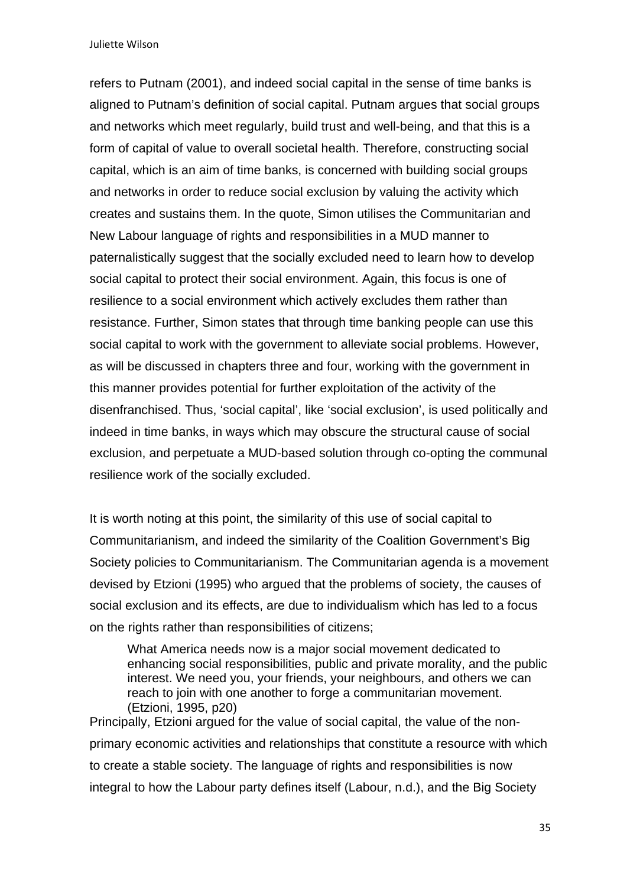refers to Putnam (2001), and indeed social capital in the sense of time banks is aligned to Putnam's definition of social capital. Putnam argues that social groups and networks which meet regularly, build trust and well-being, and that this is a form of capital of value to overall societal health. Therefore, constructing social capital, which is an aim of time banks, is concerned with building social groups and networks in order to reduce social exclusion by valuing the activity which creates and sustains them. In the quote, Simon utilises the Communitarian and New Labour language of rights and responsibilities in a MUD manner to paternalistically suggest that the socially excluded need to learn how to develop social capital to protect their social environment. Again, this focus is one of resilience to a social environment which actively excludes them rather than resistance. Further, Simon states that through time banking people can use this social capital to work with the government to alleviate social problems. However, as will be discussed in chapters three and four, working with the government in this manner provides potential for further exploitation of the activity of the disenfranchised. Thus, 'social capital', like 'social exclusion', is used politically and indeed in time banks, in ways which may obscure the structural cause of social exclusion, and perpetuate a MUD-based solution through co-opting the communal resilience work of the socially excluded.

It is worth noting at this point, the similarity of this use of social capital to Communitarianism, and indeed the similarity of the Coalition Government's Big Society policies to Communitarianism. The Communitarian agenda is a movement devised by Etzioni (1995) who argued that the problems of society, the causes of social exclusion and its effects, are due to individualism which has led to a focus on the rights rather than responsibilities of citizens;

What America needs now is a major social movement dedicated to enhancing social responsibilities, public and private morality, and the public interest. We need you, your friends, your neighbours, and others we can reach to join with one another to forge a communitarian movement. (Etzioni, 1995, p20)

Principally, Etzioni argued for the value of social capital, the value of the nonprimary economic activities and relationships that constitute a resource with which to create a stable society. The language of rights and responsibilities is now integral to how the Labour party defines itself (Labour, n.d.), and the Big Society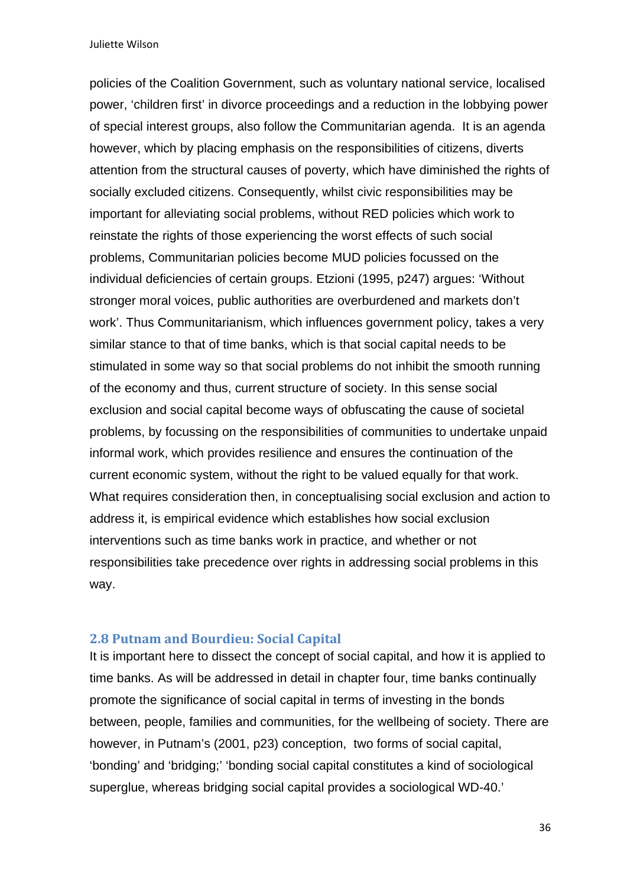policies of the Coalition Government, such as voluntary national service, localised power, 'children first' in divorce proceedings and a reduction in the lobbying power of special interest groups, also follow the Communitarian agenda. It is an agenda however, which by placing emphasis on the responsibilities of citizens, diverts attention from the structural causes of poverty, which have diminished the rights of socially excluded citizens. Consequently, whilst civic responsibilities may be important for alleviating social problems, without RED policies which work to reinstate the rights of those experiencing the worst effects of such social problems, Communitarian policies become MUD policies focussed on the individual deficiencies of certain groups. Etzioni (1995, p247) argues: 'Without stronger moral voices, public authorities are overburdened and markets don't work'. Thus Communitarianism, which influences government policy, takes a very similar stance to that of time banks, which is that social capital needs to be stimulated in some way so that social problems do not inhibit the smooth running of the economy and thus, current structure of society. In this sense social exclusion and social capital become ways of obfuscating the cause of societal problems, by focussing on the responsibilities of communities to undertake unpaid informal work, which provides resilience and ensures the continuation of the current economic system, without the right to be valued equally for that work. What requires consideration then, in conceptualising social exclusion and action to address it, is empirical evidence which establishes how social exclusion interventions such as time banks work in practice, and whether or not responsibilities take precedence over rights in addressing social problems in this way.

### **2.8 Putnam and Bourdieu: Social Capital**

It is important here to dissect the concept of social capital, and how it is applied to time banks. As will be addressed in detail in chapter four, time banks continually promote the significance of social capital in terms of investing in the bonds between, people, families and communities, for the wellbeing of society. There are however, in Putnam's (2001, p23) conception, two forms of social capital, 'bonding' and 'bridging;' 'bonding social capital constitutes a kind of sociological superglue, whereas bridging social capital provides a sociological WD-40.'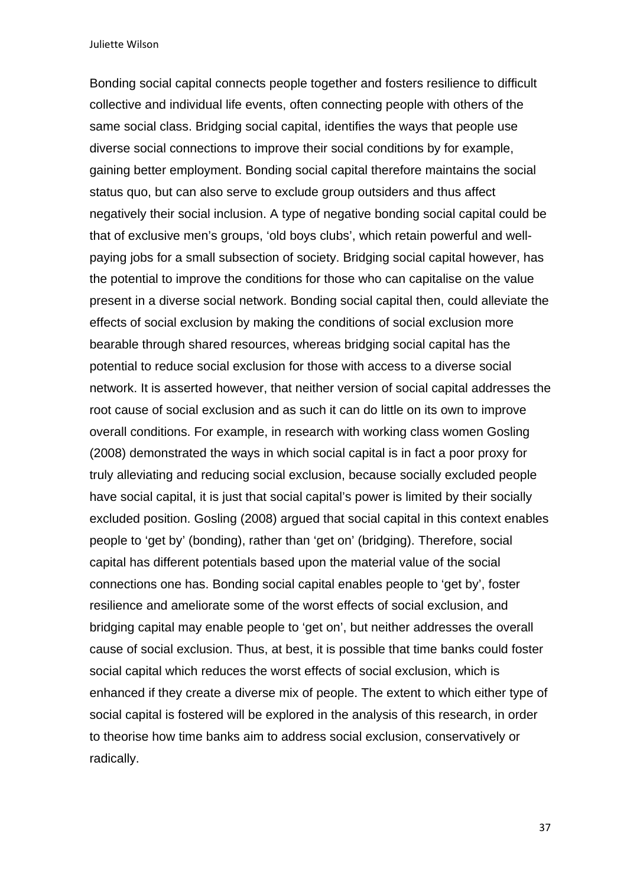Bonding social capital connects people together and fosters resilience to difficult collective and individual life events, often connecting people with others of the same social class. Bridging social capital, identifies the ways that people use diverse social connections to improve their social conditions by for example, gaining better employment. Bonding social capital therefore maintains the social status quo, but can also serve to exclude group outsiders and thus affect negatively their social inclusion. A type of negative bonding social capital could be that of exclusive men's groups, 'old boys clubs', which retain powerful and wellpaying jobs for a small subsection of society. Bridging social capital however, has the potential to improve the conditions for those who can capitalise on the value present in a diverse social network. Bonding social capital then, could alleviate the effects of social exclusion by making the conditions of social exclusion more bearable through shared resources, whereas bridging social capital has the potential to reduce social exclusion for those with access to a diverse social network. It is asserted however, that neither version of social capital addresses the root cause of social exclusion and as such it can do little on its own to improve overall conditions. For example, in research with working class women Gosling (2008) demonstrated the ways in which social capital is in fact a poor proxy for truly alleviating and reducing social exclusion, because socially excluded people have social capital, it is just that social capital's power is limited by their socially excluded position. Gosling (2008) argued that social capital in this context enables people to 'get by' (bonding), rather than 'get on' (bridging). Therefore, social capital has different potentials based upon the material value of the social connections one has. Bonding social capital enables people to 'get by', foster resilience and ameliorate some of the worst effects of social exclusion, and bridging capital may enable people to 'get on', but neither addresses the overall cause of social exclusion. Thus, at best, it is possible that time banks could foster social capital which reduces the worst effects of social exclusion, which is enhanced if they create a diverse mix of people. The extent to which either type of social capital is fostered will be explored in the analysis of this research, in order to theorise how time banks aim to address social exclusion, conservatively or radically.

37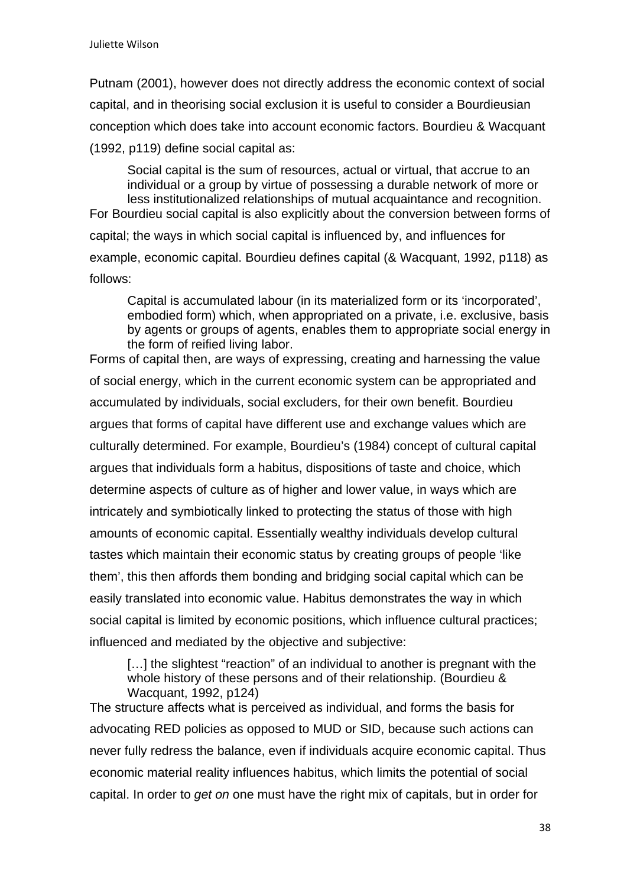Putnam (2001), however does not directly address the economic context of social capital, and in theorising social exclusion it is useful to consider a Bourdieusian conception which does take into account economic factors. Bourdieu & Wacquant (1992, p119) define social capital as:

Social capital is the sum of resources, actual or virtual, that accrue to an individual or a group by virtue of possessing a durable network of more or less institutionalized relationships of mutual acquaintance and recognition. For Bourdieu social capital is also explicitly about the conversion between forms of capital; the ways in which social capital is influenced by, and influences for example, economic capital. Bourdieu defines capital (& Wacquant, 1992, p118) as follows:

Capital is accumulated labour (in its materialized form or its 'incorporated', embodied form) which, when appropriated on a private, i.e. exclusive, basis by agents or groups of agents, enables them to appropriate social energy in the form of reified living labor.

Forms of capital then, are ways of expressing, creating and harnessing the value of social energy, which in the current economic system can be appropriated and accumulated by individuals, social excluders, for their own benefit. Bourdieu argues that forms of capital have different use and exchange values which are culturally determined. For example, Bourdieu's (1984) concept of cultural capital argues that individuals form a habitus, dispositions of taste and choice, which determine aspects of culture as of higher and lower value, in ways which are intricately and symbiotically linked to protecting the status of those with high amounts of economic capital. Essentially wealthy individuals develop cultural tastes which maintain their economic status by creating groups of people 'like them', this then affords them bonding and bridging social capital which can be easily translated into economic value. Habitus demonstrates the way in which social capital is limited by economic positions, which influence cultural practices; influenced and mediated by the objective and subjective:

[...] the slightest "reaction" of an individual to another is pregnant with the whole history of these persons and of their relationship. (Bourdieu & Wacquant, 1992, p124)

The structure affects what is perceived as individual, and forms the basis for advocating RED policies as opposed to MUD or SID, because such actions can never fully redress the balance, even if individuals acquire economic capital. Thus economic material reality influences habitus, which limits the potential of social capital. In order to *get on* one must have the right mix of capitals, but in order for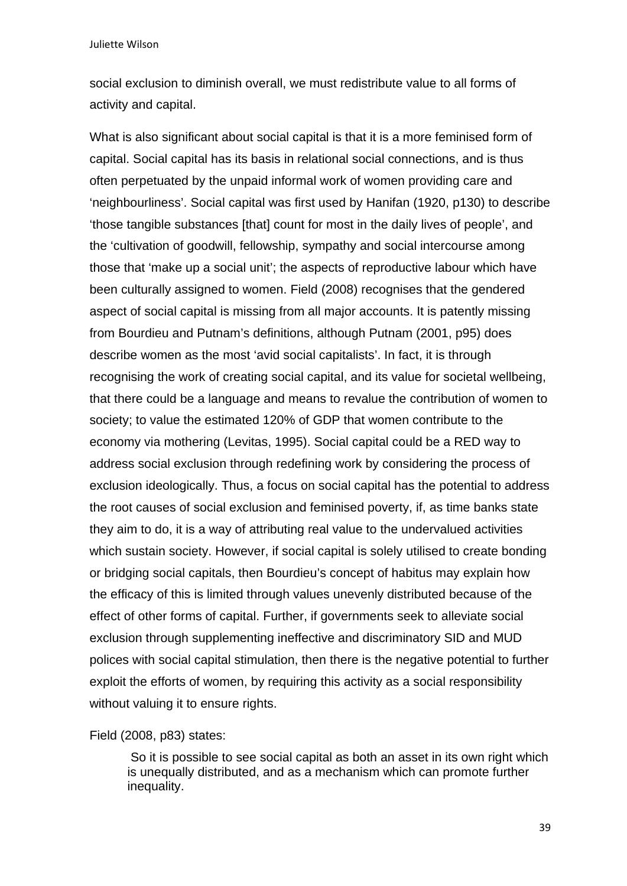social exclusion to diminish overall, we must redistribute value to all forms of activity and capital.

What is also significant about social capital is that it is a more feminised form of capital. Social capital has its basis in relational social connections, and is thus often perpetuated by the unpaid informal work of women providing care and 'neighbourliness'. Social capital was first used by Hanifan (1920, p130) to describe 'those tangible substances [that] count for most in the daily lives of people', and the 'cultivation of goodwill, fellowship, sympathy and social intercourse among those that 'make up a social unit'; the aspects of reproductive labour which have been culturally assigned to women. Field (2008) recognises that the gendered aspect of social capital is missing from all major accounts. It is patently missing from Bourdieu and Putnam's definitions, although Putnam (2001, p95) does describe women as the most 'avid social capitalists'. In fact, it is through recognising the work of creating social capital, and its value for societal wellbeing, that there could be a language and means to revalue the contribution of women to society; to value the estimated 120% of GDP that women contribute to the economy via mothering (Levitas, 1995). Social capital could be a RED way to address social exclusion through redefining work by considering the process of exclusion ideologically. Thus, a focus on social capital has the potential to address the root causes of social exclusion and feminised poverty, if, as time banks state they aim to do, it is a way of attributing real value to the undervalued activities which sustain society. However, if social capital is solely utilised to create bonding or bridging social capitals, then Bourdieu's concept of habitus may explain how the efficacy of this is limited through values unevenly distributed because of the effect of other forms of capital. Further, if governments seek to alleviate social exclusion through supplementing ineffective and discriminatory SID and MUD polices with social capital stimulation, then there is the negative potential to further exploit the efforts of women, by requiring this activity as a social responsibility without valuing it to ensure rights.

Field (2008, p83) states:

So it is possible to see social capital as both an asset in its own right which is unequally distributed, and as a mechanism which can promote further inequality.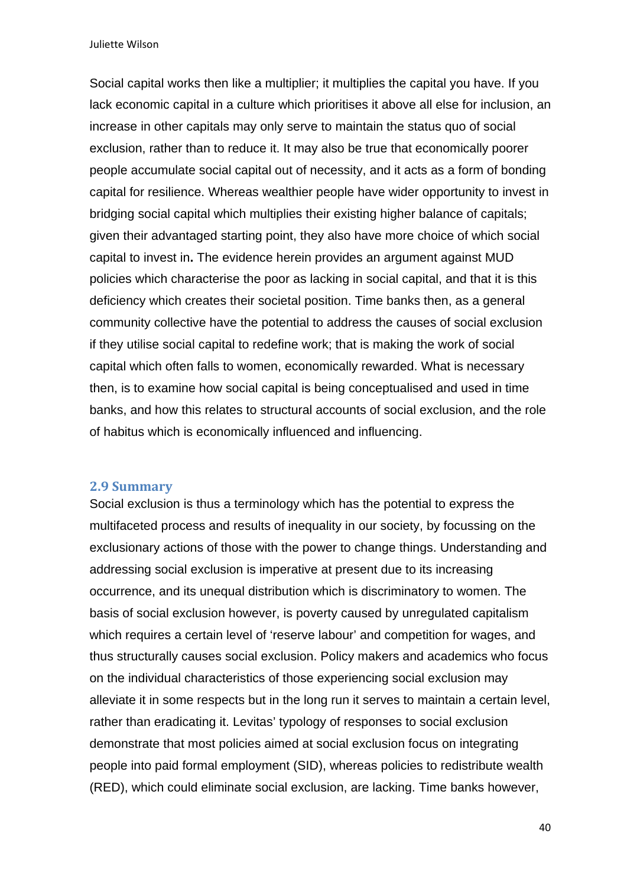Social capital works then like a multiplier; it multiplies the capital you have. If you lack economic capital in a culture which prioritises it above all else for inclusion, an increase in other capitals may only serve to maintain the status quo of social exclusion, rather than to reduce it. It may also be true that economically poorer people accumulate social capital out of necessity, and it acts as a form of bonding capital for resilience. Whereas wealthier people have wider opportunity to invest in bridging social capital which multiplies their existing higher balance of capitals; given their advantaged starting point, they also have more choice of which social capital to invest in**.** The evidence herein provides an argument against MUD policies which characterise the poor as lacking in social capital, and that it is this deficiency which creates their societal position. Time banks then, as a general community collective have the potential to address the causes of social exclusion if they utilise social capital to redefine work; that is making the work of social capital which often falls to women, economically rewarded. What is necessary then, is to examine how social capital is being conceptualised and used in time banks, and how this relates to structural accounts of social exclusion, and the role of habitus which is economically influenced and influencing.

#### **2.9 Summary**

Social exclusion is thus a terminology which has the potential to express the multifaceted process and results of inequality in our society, by focussing on the exclusionary actions of those with the power to change things. Understanding and addressing social exclusion is imperative at present due to its increasing occurrence, and its unequal distribution which is discriminatory to women. The basis of social exclusion however, is poverty caused by unregulated capitalism which requires a certain level of 'reserve labour' and competition for wages, and thus structurally causes social exclusion. Policy makers and academics who focus on the individual characteristics of those experiencing social exclusion may alleviate it in some respects but in the long run it serves to maintain a certain level, rather than eradicating it. Levitas' typology of responses to social exclusion demonstrate that most policies aimed at social exclusion focus on integrating people into paid formal employment (SID), whereas policies to redistribute wealth (RED), which could eliminate social exclusion, are lacking. Time banks however,

40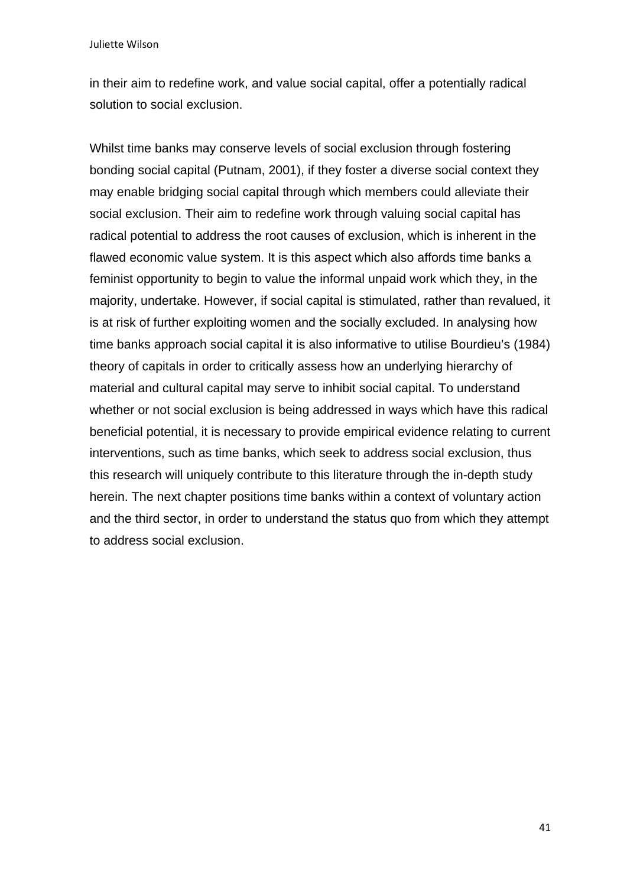in their aim to redefine work, and value social capital, offer a potentially radical solution to social exclusion.

Whilst time banks may conserve levels of social exclusion through fostering bonding social capital (Putnam, 2001), if they foster a diverse social context they may enable bridging social capital through which members could alleviate their social exclusion. Their aim to redefine work through valuing social capital has radical potential to address the root causes of exclusion, which is inherent in the flawed economic value system. It is this aspect which also affords time banks a feminist opportunity to begin to value the informal unpaid work which they, in the majority, undertake. However, if social capital is stimulated, rather than revalued, it is at risk of further exploiting women and the socially excluded. In analysing how time banks approach social capital it is also informative to utilise Bourdieu's (1984) theory of capitals in order to critically assess how an underlying hierarchy of material and cultural capital may serve to inhibit social capital. To understand whether or not social exclusion is being addressed in ways which have this radical beneficial potential, it is necessary to provide empirical evidence relating to current interventions, such as time banks, which seek to address social exclusion, thus this research will uniquely contribute to this literature through the in-depth study herein. The next chapter positions time banks within a context of voluntary action and the third sector, in order to understand the status quo from which they attempt to address social exclusion.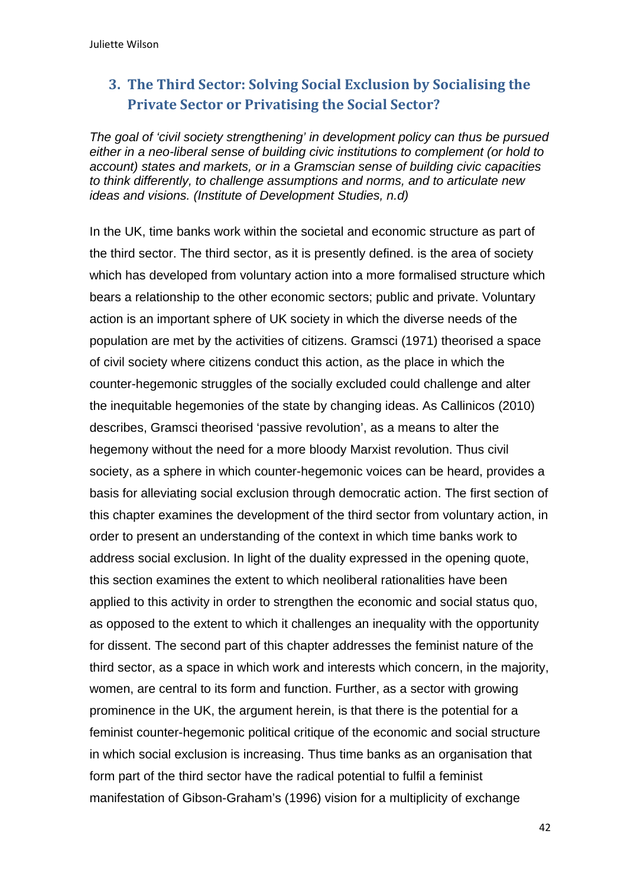# **3. The Third Sector: Solving Social Exclusion by Socialising the Private Sector or Privatising the Social Sector?**

*The goal of 'civil society strengthening' in development policy can thus be pursued either in a neo-liberal sense of building civic institutions to complement (or hold to account) states and markets, or in a Gramscian sense of building civic capacities to think differently, to challenge assumptions and norms, and to articulate new ideas and visions. (Institute of Development Studies, n.d)* 

In the UK, time banks work within the societal and economic structure as part of the third sector. The third sector, as it is presently defined. is the area of society which has developed from voluntary action into a more formalised structure which bears a relationship to the other economic sectors; public and private. Voluntary action is an important sphere of UK society in which the diverse needs of the population are met by the activities of citizens. Gramsci (1971) theorised a space of civil society where citizens conduct this action, as the place in which the counter-hegemonic struggles of the socially excluded could challenge and alter the inequitable hegemonies of the state by changing ideas. As Callinicos (2010) describes, Gramsci theorised 'passive revolution', as a means to alter the hegemony without the need for a more bloody Marxist revolution. Thus civil society, as a sphere in which counter-hegemonic voices can be heard, provides a basis for alleviating social exclusion through democratic action. The first section of this chapter examines the development of the third sector from voluntary action, in order to present an understanding of the context in which time banks work to address social exclusion. In light of the duality expressed in the opening quote, this section examines the extent to which neoliberal rationalities have been applied to this activity in order to strengthen the economic and social status quo, as opposed to the extent to which it challenges an inequality with the opportunity for dissent. The second part of this chapter addresses the feminist nature of the third sector, as a space in which work and interests which concern, in the majority, women, are central to its form and function. Further, as a sector with growing prominence in the UK, the argument herein, is that there is the potential for a feminist counter-hegemonic political critique of the economic and social structure in which social exclusion is increasing. Thus time banks as an organisation that form part of the third sector have the radical potential to fulfil a feminist manifestation of Gibson-Graham's (1996) vision for a multiplicity of exchange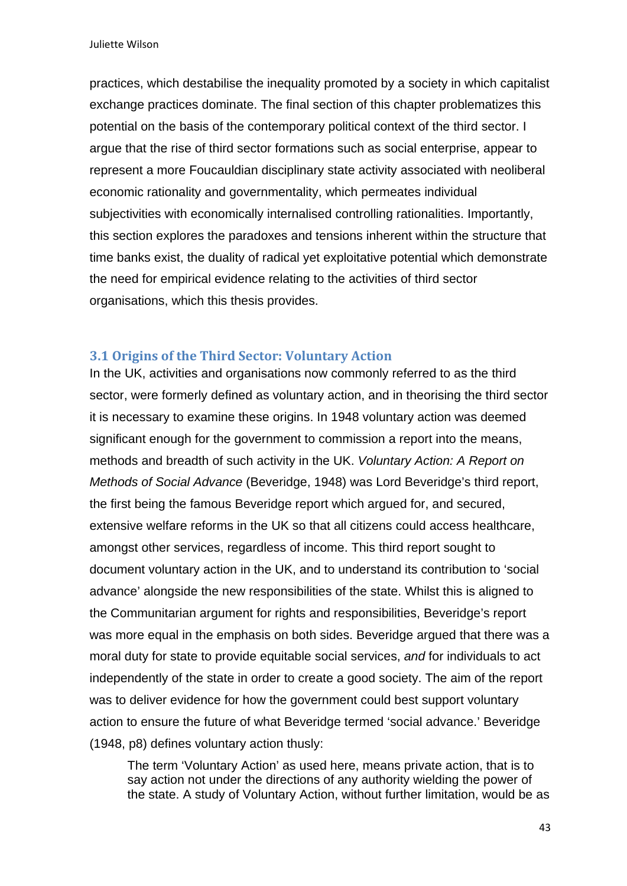practices, which destabilise the inequality promoted by a society in which capitalist exchange practices dominate. The final section of this chapter problematizes this potential on the basis of the contemporary political context of the third sector. I argue that the rise of third sector formations such as social enterprise, appear to represent a more Foucauldian disciplinary state activity associated with neoliberal economic rationality and governmentality, which permeates individual subjectivities with economically internalised controlling rationalities. Importantly, this section explores the paradoxes and tensions inherent within the structure that time banks exist, the duality of radical yet exploitative potential which demonstrate the need for empirical evidence relating to the activities of third sector organisations, which this thesis provides.

### **3.1 Origins of the Third Sector: Voluntary Action**

In the UK, activities and organisations now commonly referred to as the third sector, were formerly defined as voluntary action, and in theorising the third sector it is necessary to examine these origins. In 1948 voluntary action was deemed significant enough for the government to commission a report into the means, methods and breadth of such activity in the UK. *Voluntary Action: A Report on Methods of Social Advance* (Beveridge, 1948) was Lord Beveridge's third report, the first being the famous Beveridge report which argued for, and secured, extensive welfare reforms in the UK so that all citizens could access healthcare, amongst other services, regardless of income. This third report sought to document voluntary action in the UK, and to understand its contribution to 'social advance' alongside the new responsibilities of the state. Whilst this is aligned to the Communitarian argument for rights and responsibilities, Beveridge's report was more equal in the emphasis on both sides. Beveridge argued that there was a moral duty for state to provide equitable social services, *and* for individuals to act independently of the state in order to create a good society. The aim of the report was to deliver evidence for how the government could best support voluntary action to ensure the future of what Beveridge termed 'social advance.' Beveridge (1948, p8) defines voluntary action thusly:

The term 'Voluntary Action' as used here, means private action, that is to say action not under the directions of any authority wielding the power of the state. A study of Voluntary Action, without further limitation, would be as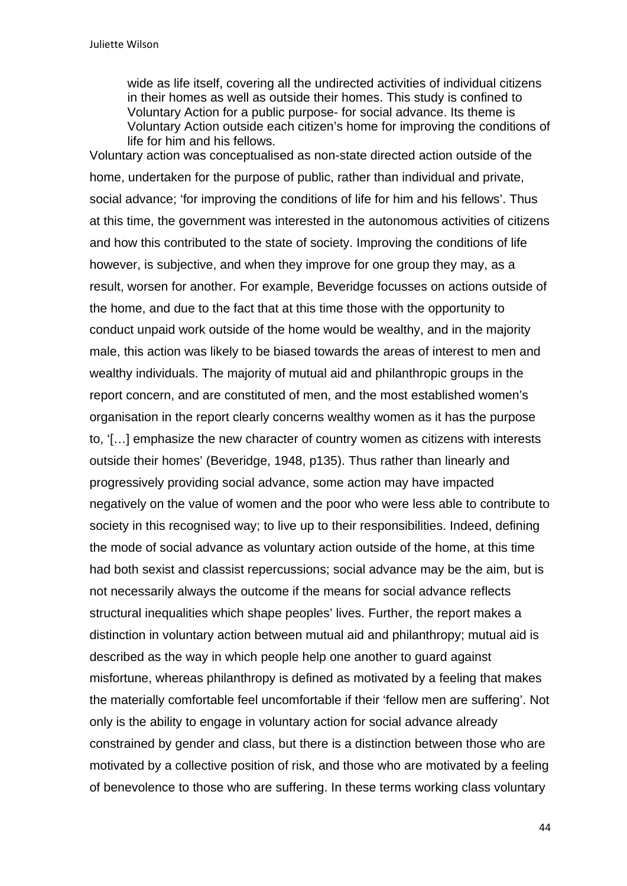wide as life itself, covering all the undirected activities of individual citizens in their homes as well as outside their homes. This study is confined to Voluntary Action for a public purpose- for social advance. Its theme is Voluntary Action outside each citizen's home for improving the conditions of life for him and his fellows.

Voluntary action was conceptualised as non-state directed action outside of the home, undertaken for the purpose of public, rather than individual and private, social advance; 'for improving the conditions of life for him and his fellows'. Thus at this time, the government was interested in the autonomous activities of citizens and how this contributed to the state of society. Improving the conditions of life however, is subjective, and when they improve for one group they may, as a result, worsen for another. For example, Beveridge focusses on actions outside of the home, and due to the fact that at this time those with the opportunity to conduct unpaid work outside of the home would be wealthy, and in the majority male, this action was likely to be biased towards the areas of interest to men and wealthy individuals. The majority of mutual aid and philanthropic groups in the report concern, and are constituted of men, and the most established women's organisation in the report clearly concerns wealthy women as it has the purpose to, '[…] emphasize the new character of country women as citizens with interests outside their homes' (Beveridge, 1948, p135). Thus rather than linearly and progressively providing social advance, some action may have impacted negatively on the value of women and the poor who were less able to contribute to society in this recognised way; to live up to their responsibilities. Indeed, defining the mode of social advance as voluntary action outside of the home, at this time had both sexist and classist repercussions; social advance may be the aim, but is not necessarily always the outcome if the means for social advance reflects structural inequalities which shape peoples' lives. Further, the report makes a distinction in voluntary action between mutual aid and philanthropy; mutual aid is described as the way in which people help one another to guard against misfortune, whereas philanthropy is defined as motivated by a feeling that makes the materially comfortable feel uncomfortable if their 'fellow men are suffering'. Not only is the ability to engage in voluntary action for social advance already constrained by gender and class, but there is a distinction between those who are motivated by a collective position of risk, and those who are motivated by a feeling of benevolence to those who are suffering. In these terms working class voluntary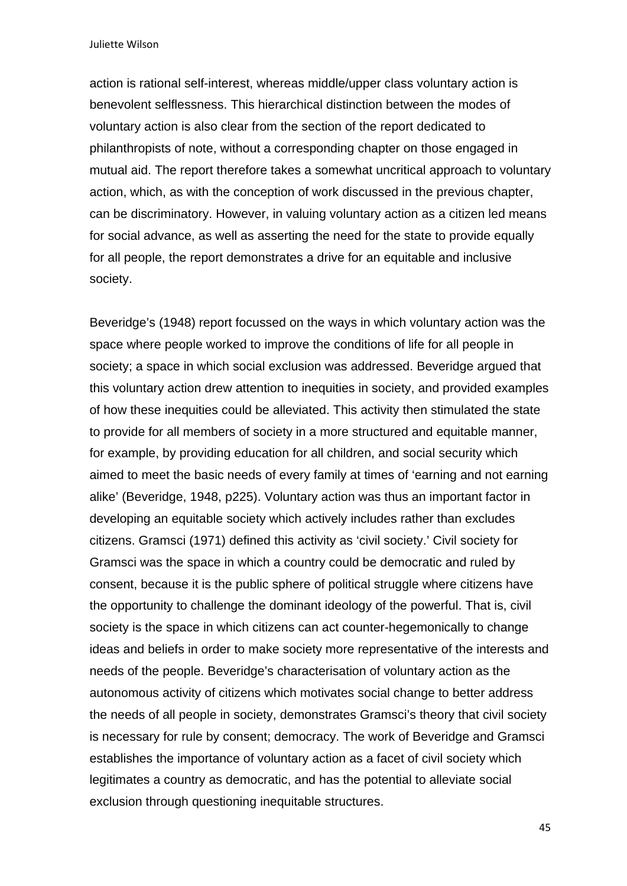action is rational self-interest, whereas middle/upper class voluntary action is benevolent selflessness. This hierarchical distinction between the modes of voluntary action is also clear from the section of the report dedicated to philanthropists of note, without a corresponding chapter on those engaged in mutual aid. The report therefore takes a somewhat uncritical approach to voluntary action, which, as with the conception of work discussed in the previous chapter, can be discriminatory. However, in valuing voluntary action as a citizen led means for social advance, as well as asserting the need for the state to provide equally for all people, the report demonstrates a drive for an equitable and inclusive society.

Beveridge's (1948) report focussed on the ways in which voluntary action was the space where people worked to improve the conditions of life for all people in society; a space in which social exclusion was addressed. Beveridge argued that this voluntary action drew attention to inequities in society, and provided examples of how these inequities could be alleviated. This activity then stimulated the state to provide for all members of society in a more structured and equitable manner, for example, by providing education for all children, and social security which aimed to meet the basic needs of every family at times of 'earning and not earning alike' (Beveridge, 1948, p225). Voluntary action was thus an important factor in developing an equitable society which actively includes rather than excludes citizens. Gramsci (1971) defined this activity as 'civil society.' Civil society for Gramsci was the space in which a country could be democratic and ruled by consent, because it is the public sphere of political struggle where citizens have the opportunity to challenge the dominant ideology of the powerful. That is, civil society is the space in which citizens can act counter-hegemonically to change ideas and beliefs in order to make society more representative of the interests and needs of the people. Beveridge's characterisation of voluntary action as the autonomous activity of citizens which motivates social change to better address the needs of all people in society, demonstrates Gramsci's theory that civil society is necessary for rule by consent; democracy. The work of Beveridge and Gramsci establishes the importance of voluntary action as a facet of civil society which legitimates a country as democratic, and has the potential to alleviate social exclusion through questioning inequitable structures.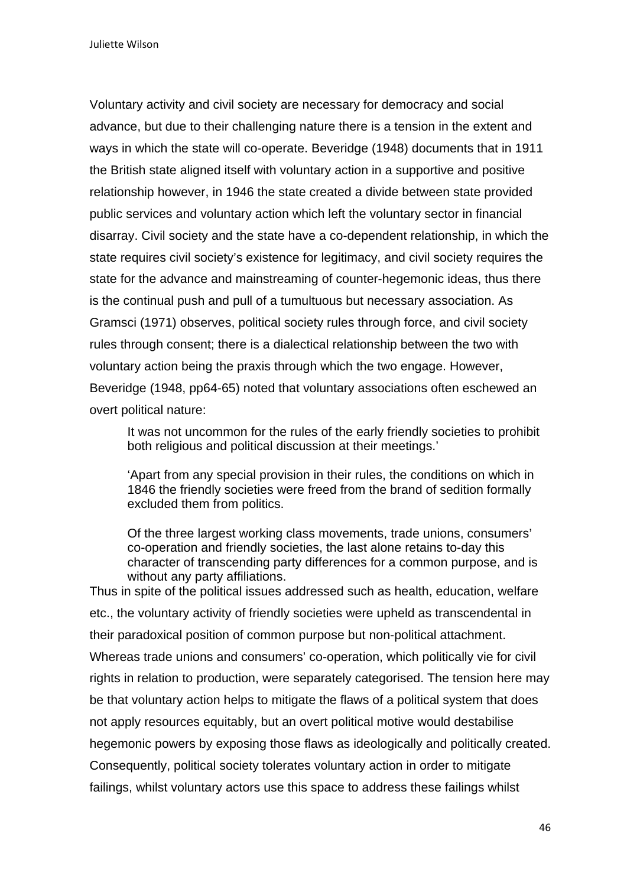Voluntary activity and civil society are necessary for democracy and social advance, but due to their challenging nature there is a tension in the extent and ways in which the state will co-operate. Beveridge (1948) documents that in 1911 the British state aligned itself with voluntary action in a supportive and positive relationship however, in 1946 the state created a divide between state provided public services and voluntary action which left the voluntary sector in financial disarray. Civil society and the state have a co-dependent relationship, in which the state requires civil society's existence for legitimacy, and civil society requires the state for the advance and mainstreaming of counter-hegemonic ideas, thus there is the continual push and pull of a tumultuous but necessary association. As Gramsci (1971) observes, political society rules through force, and civil society rules through consent; there is a dialectical relationship between the two with voluntary action being the praxis through which the two engage. However, Beveridge (1948, pp64-65) noted that voluntary associations often eschewed an overt political nature:

It was not uncommon for the rules of the early friendly societies to prohibit both religious and political discussion at their meetings.'

'Apart from any special provision in their rules, the conditions on which in 1846 the friendly societies were freed from the brand of sedition formally excluded them from politics.

Of the three largest working class movements, trade unions, consumers' co-operation and friendly societies, the last alone retains to-day this character of transcending party differences for a common purpose, and is without any party affiliations.

Thus in spite of the political issues addressed such as health, education, welfare etc., the voluntary activity of friendly societies were upheld as transcendental in their paradoxical position of common purpose but non-political attachment. Whereas trade unions and consumers' co-operation, which politically vie for civil rights in relation to production, were separately categorised. The tension here may be that voluntary action helps to mitigate the flaws of a political system that does not apply resources equitably, but an overt political motive would destabilise hegemonic powers by exposing those flaws as ideologically and politically created. Consequently, political society tolerates voluntary action in order to mitigate failings, whilst voluntary actors use this space to address these failings whilst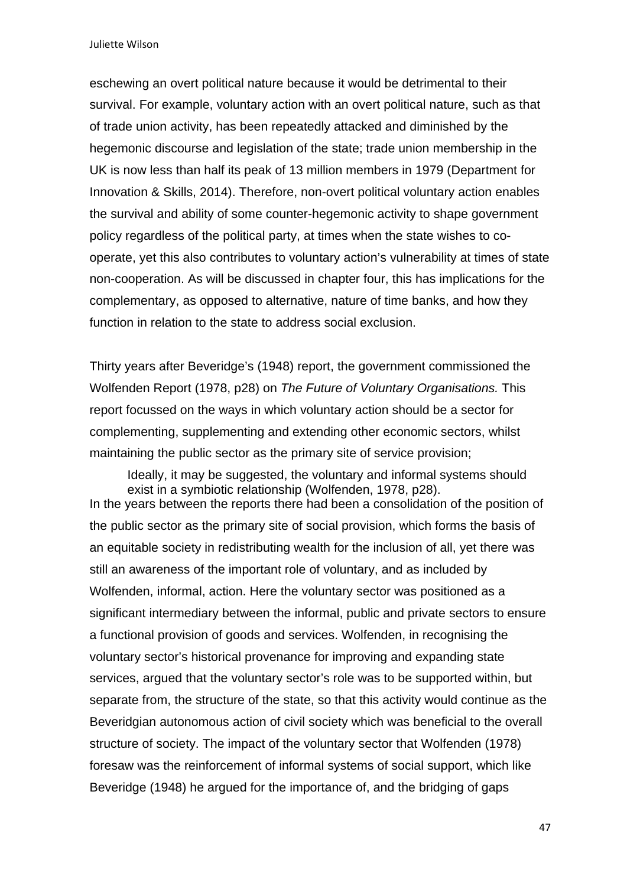eschewing an overt political nature because it would be detrimental to their survival. For example, voluntary action with an overt political nature, such as that of trade union activity, has been repeatedly attacked and diminished by the hegemonic discourse and legislation of the state; trade union membership in the UK is now less than half its peak of 13 million members in 1979 (Department for Innovation & Skills, 2014). Therefore, non-overt political voluntary action enables the survival and ability of some counter-hegemonic activity to shape government policy regardless of the political party, at times when the state wishes to cooperate, yet this also contributes to voluntary action's vulnerability at times of state non-cooperation. As will be discussed in chapter four, this has implications for the complementary, as opposed to alternative, nature of time banks, and how they function in relation to the state to address social exclusion.

Thirty years after Beveridge's (1948) report, the government commissioned the Wolfenden Report (1978, p28) on *The Future of Voluntary Organisations.* This report focussed on the ways in which voluntary action should be a sector for complementing, supplementing and extending other economic sectors, whilst maintaining the public sector as the primary site of service provision;

Ideally, it may be suggested, the voluntary and informal systems should exist in a symbiotic relationship (Wolfenden, 1978, p28). In the years between the reports there had been a consolidation of the position of the public sector as the primary site of social provision, which forms the basis of an equitable society in redistributing wealth for the inclusion of all, yet there was still an awareness of the important role of voluntary, and as included by Wolfenden, informal, action. Here the voluntary sector was positioned as a significant intermediary between the informal, public and private sectors to ensure a functional provision of goods and services. Wolfenden, in recognising the voluntary sector's historical provenance for improving and expanding state services, argued that the voluntary sector's role was to be supported within, but separate from, the structure of the state, so that this activity would continue as the Beveridgian autonomous action of civil society which was beneficial to the overall structure of society. The impact of the voluntary sector that Wolfenden (1978) foresaw was the reinforcement of informal systems of social support, which like Beveridge (1948) he argued for the importance of, and the bridging of gaps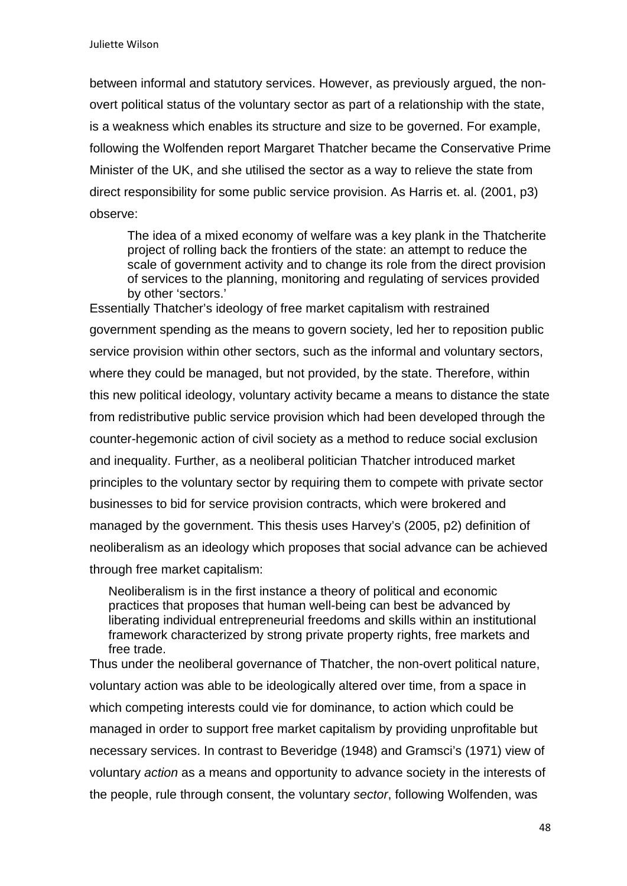between informal and statutory services. However, as previously argued, the nonovert political status of the voluntary sector as part of a relationship with the state, is a weakness which enables its structure and size to be governed. For example, following the Wolfenden report Margaret Thatcher became the Conservative Prime Minister of the UK, and she utilised the sector as a way to relieve the state from direct responsibility for some public service provision. As Harris et. al. (2001, p3) observe:

The idea of a mixed economy of welfare was a key plank in the Thatcherite project of rolling back the frontiers of the state: an attempt to reduce the scale of government activity and to change its role from the direct provision of services to the planning, monitoring and regulating of services provided by other 'sectors.'

Essentially Thatcher's ideology of free market capitalism with restrained government spending as the means to govern society, led her to reposition public service provision within other sectors, such as the informal and voluntary sectors, where they could be managed, but not provided, by the state. Therefore, within this new political ideology, voluntary activity became a means to distance the state from redistributive public service provision which had been developed through the counter-hegemonic action of civil society as a method to reduce social exclusion and inequality. Further, as a neoliberal politician Thatcher introduced market principles to the voluntary sector by requiring them to compete with private sector businesses to bid for service provision contracts, which were brokered and managed by the government. This thesis uses Harvey's (2005, p2) definition of neoliberalism as an ideology which proposes that social advance can be achieved through free market capitalism:

Neoliberalism is in the first instance a theory of political and economic practices that proposes that human well-being can best be advanced by liberating individual entrepreneurial freedoms and skills within an institutional framework characterized by strong private property rights, free markets and free trade.

Thus under the neoliberal governance of Thatcher, the non-overt political nature, voluntary action was able to be ideologically altered over time, from a space in which competing interests could vie for dominance, to action which could be managed in order to support free market capitalism by providing unprofitable but necessary services. In contrast to Beveridge (1948) and Gramsci's (1971) view of voluntary *action* as a means and opportunity to advance society in the interests of the people, rule through consent, the voluntary *sector*, following Wolfenden, was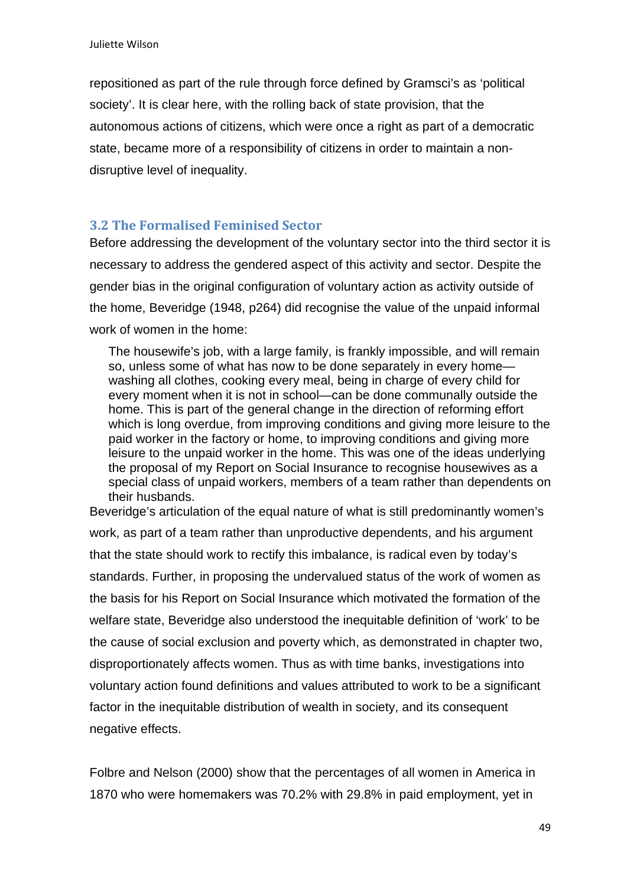repositioned as part of the rule through force defined by Gramsci's as 'political society'. It is clear here, with the rolling back of state provision, that the autonomous actions of citizens, which were once a right as part of a democratic state, became more of a responsibility of citizens in order to maintain a nondisruptive level of inequality.

### **3.2 The Formalised Feminised Sector**

Before addressing the development of the voluntary sector into the third sector it is necessary to address the gendered aspect of this activity and sector. Despite the gender bias in the original configuration of voluntary action as activity outside of the home, Beveridge (1948, p264) did recognise the value of the unpaid informal work of women in the home:

The housewife's job, with a large family, is frankly impossible, and will remain so, unless some of what has now to be done separately in every home washing all clothes, cooking every meal, being in charge of every child for every moment when it is not in school—can be done communally outside the home. This is part of the general change in the direction of reforming effort which is long overdue, from improving conditions and giving more leisure to the paid worker in the factory or home, to improving conditions and giving more leisure to the unpaid worker in the home. This was one of the ideas underlying the proposal of my Report on Social Insurance to recognise housewives as a special class of unpaid workers, members of a team rather than dependents on their husbands.

Beveridge's articulation of the equal nature of what is still predominantly women's work, as part of a team rather than unproductive dependents, and his argument that the state should work to rectify this imbalance, is radical even by today's standards. Further, in proposing the undervalued status of the work of women as the basis for his Report on Social Insurance which motivated the formation of the welfare state, Beveridge also understood the inequitable definition of 'work' to be the cause of social exclusion and poverty which, as demonstrated in chapter two, disproportionately affects women. Thus as with time banks, investigations into voluntary action found definitions and values attributed to work to be a significant factor in the inequitable distribution of wealth in society, and its consequent negative effects.

Folbre and Nelson (2000) show that the percentages of all women in America in 1870 who were homemakers was 70.2% with 29.8% in paid employment, yet in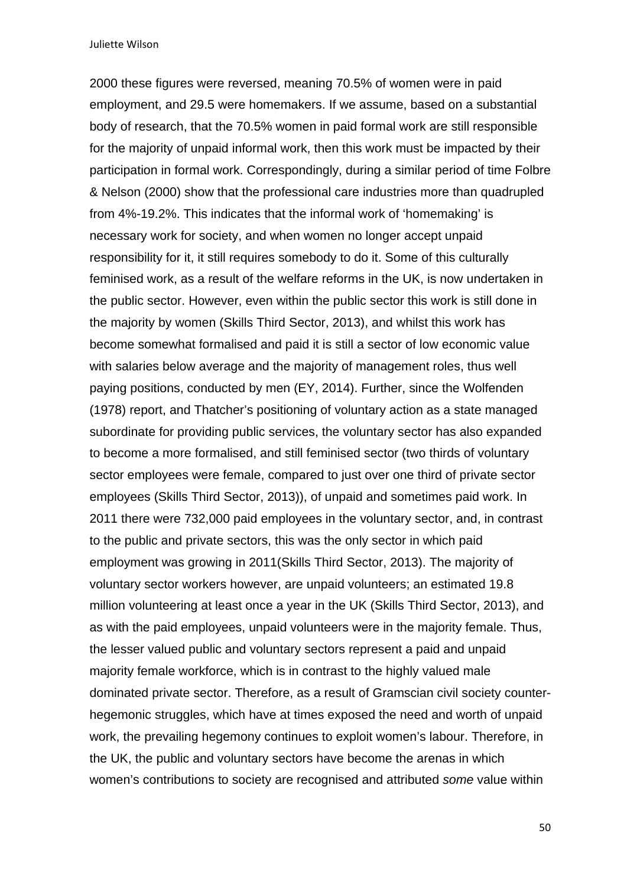2000 these figures were reversed, meaning 70.5% of women were in paid employment, and 29.5 were homemakers. If we assume, based on a substantial body of research, that the 70.5% women in paid formal work are still responsible for the majority of unpaid informal work, then this work must be impacted by their participation in formal work. Correspondingly, during a similar period of time Folbre & Nelson (2000) show that the professional care industries more than quadrupled from 4%-19.2%. This indicates that the informal work of 'homemaking' is necessary work for society, and when women no longer accept unpaid responsibility for it, it still requires somebody to do it. Some of this culturally feminised work, as a result of the welfare reforms in the UK, is now undertaken in the public sector. However, even within the public sector this work is still done in the majority by women (Skills Third Sector, 2013), and whilst this work has become somewhat formalised and paid it is still a sector of low economic value with salaries below average and the majority of management roles, thus well paying positions, conducted by men (EY, 2014). Further, since the Wolfenden (1978) report, and Thatcher's positioning of voluntary action as a state managed subordinate for providing public services, the voluntary sector has also expanded to become a more formalised, and still feminised sector (two thirds of voluntary sector employees were female, compared to just over one third of private sector employees (Skills Third Sector, 2013)), of unpaid and sometimes paid work. In 2011 there were 732,000 paid employees in the voluntary sector, and, in contrast to the public and private sectors, this was the only sector in which paid employment was growing in 2011(Skills Third Sector, 2013). The majority of voluntary sector workers however, are unpaid volunteers; an estimated 19.8 million volunteering at least once a year in the UK (Skills Third Sector, 2013), and as with the paid employees, unpaid volunteers were in the majority female. Thus, the lesser valued public and voluntary sectors represent a paid and unpaid majority female workforce, which is in contrast to the highly valued male dominated private sector. Therefore, as a result of Gramscian civil society counterhegemonic struggles, which have at times exposed the need and worth of unpaid work, the prevailing hegemony continues to exploit women's labour. Therefore, in the UK, the public and voluntary sectors have become the arenas in which women's contributions to society are recognised and attributed *some* value within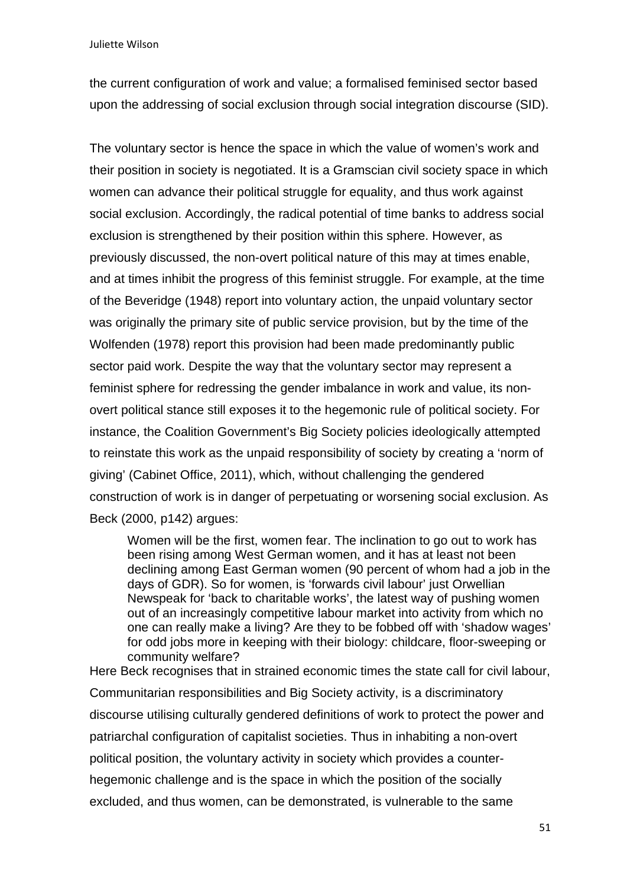the current configuration of work and value; a formalised feminised sector based upon the addressing of social exclusion through social integration discourse (SID).

The voluntary sector is hence the space in which the value of women's work and their position in society is negotiated. It is a Gramscian civil society space in which women can advance their political struggle for equality, and thus work against social exclusion. Accordingly, the radical potential of time banks to address social exclusion is strengthened by their position within this sphere. However, as previously discussed, the non-overt political nature of this may at times enable, and at times inhibit the progress of this feminist struggle. For example, at the time of the Beveridge (1948) report into voluntary action, the unpaid voluntary sector was originally the primary site of public service provision, but by the time of the Wolfenden (1978) report this provision had been made predominantly public sector paid work. Despite the way that the voluntary sector may represent a feminist sphere for redressing the gender imbalance in work and value, its nonovert political stance still exposes it to the hegemonic rule of political society. For instance, the Coalition Government's Big Society policies ideologically attempted to reinstate this work as the unpaid responsibility of society by creating a 'norm of giving' (Cabinet Office, 2011), which, without challenging the gendered construction of work is in danger of perpetuating or worsening social exclusion. As Beck (2000, p142) argues:

Women will be the first, women fear. The inclination to go out to work has been rising among West German women, and it has at least not been declining among East German women (90 percent of whom had a job in the days of GDR). So for women, is 'forwards civil labour' just Orwellian Newspeak for 'back to charitable works', the latest way of pushing women out of an increasingly competitive labour market into activity from which no one can really make a living? Are they to be fobbed off with 'shadow wages' for odd jobs more in keeping with their biology: childcare, floor-sweeping or community welfare?

Here Beck recognises that in strained economic times the state call for civil labour, Communitarian responsibilities and Big Society activity, is a discriminatory discourse utilising culturally gendered definitions of work to protect the power and patriarchal configuration of capitalist societies. Thus in inhabiting a non-overt political position, the voluntary activity in society which provides a counterhegemonic challenge and is the space in which the position of the socially excluded, and thus women, can be demonstrated, is vulnerable to the same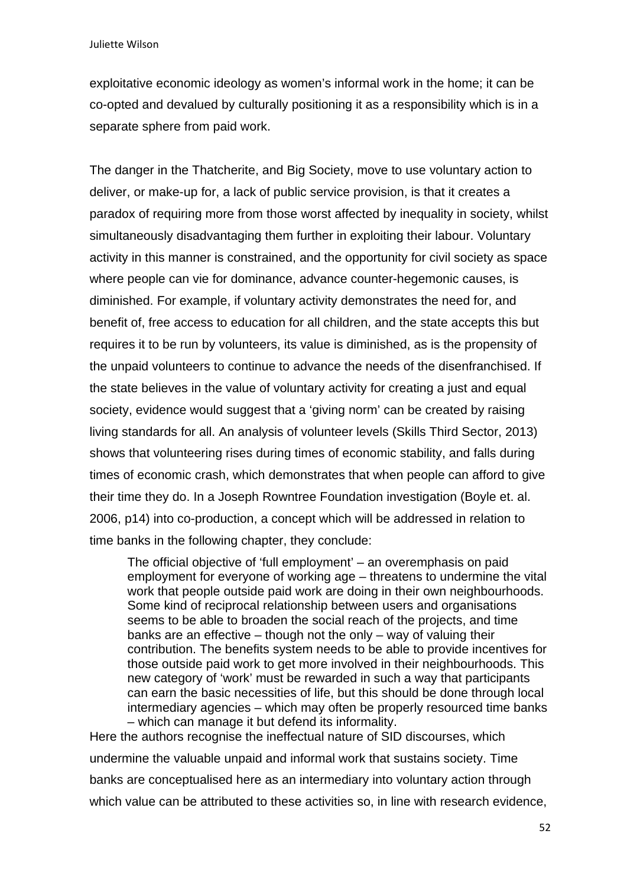exploitative economic ideology as women's informal work in the home; it can be co-opted and devalued by culturally positioning it as a responsibility which is in a separate sphere from paid work.

The danger in the Thatcherite, and Big Society, move to use voluntary action to deliver, or make-up for, a lack of public service provision, is that it creates a paradox of requiring more from those worst affected by inequality in society, whilst simultaneously disadvantaging them further in exploiting their labour. Voluntary activity in this manner is constrained, and the opportunity for civil society as space where people can vie for dominance, advance counter-hegemonic causes, is diminished. For example, if voluntary activity demonstrates the need for, and benefit of, free access to education for all children, and the state accepts this but requires it to be run by volunteers, its value is diminished, as is the propensity of the unpaid volunteers to continue to advance the needs of the disenfranchised. If the state believes in the value of voluntary activity for creating a just and equal society, evidence would suggest that a 'giving norm' can be created by raising living standards for all. An analysis of volunteer levels (Skills Third Sector, 2013) shows that volunteering rises during times of economic stability, and falls during times of economic crash, which demonstrates that when people can afford to give their time they do. In a Joseph Rowntree Foundation investigation (Boyle et. al. 2006, p14) into co-production, a concept which will be addressed in relation to time banks in the following chapter, they conclude:

The official objective of 'full employment' – an overemphasis on paid employment for everyone of working age – threatens to undermine the vital work that people outside paid work are doing in their own neighbourhoods. Some kind of reciprocal relationship between users and organisations seems to be able to broaden the social reach of the projects, and time banks are an effective – though not the only – way of valuing their contribution. The benefits system needs to be able to provide incentives for those outside paid work to get more involved in their neighbourhoods. This new category of 'work' must be rewarded in such a way that participants can earn the basic necessities of life, but this should be done through local intermediary agencies – which may often be properly resourced time banks – which can manage it but defend its informality.

Here the authors recognise the ineffectual nature of SID discourses, which undermine the valuable unpaid and informal work that sustains society. Time banks are conceptualised here as an intermediary into voluntary action through which value can be attributed to these activities so, in line with research evidence,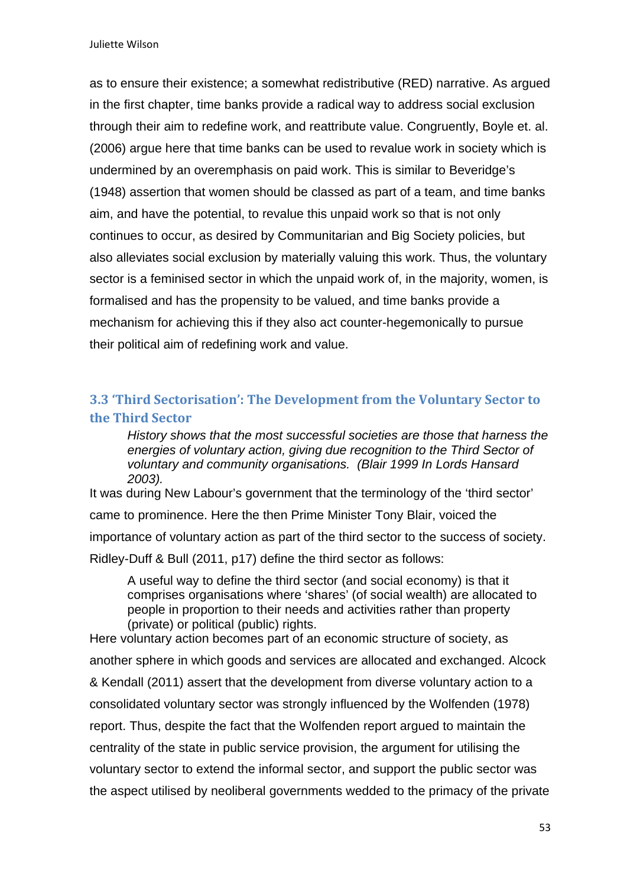as to ensure their existence; a somewhat redistributive (RED) narrative. As argued in the first chapter, time banks provide a radical way to address social exclusion through their aim to redefine work, and reattribute value. Congruently, Boyle et. al. (2006) argue here that time banks can be used to revalue work in society which is undermined by an overemphasis on paid work. This is similar to Beveridge's (1948) assertion that women should be classed as part of a team, and time banks aim, and have the potential, to revalue this unpaid work so that is not only continues to occur, as desired by Communitarian and Big Society policies, but also alleviates social exclusion by materially valuing this work. Thus, the voluntary sector is a feminised sector in which the unpaid work of, in the majority, women, is formalised and has the propensity to be valued, and time banks provide a mechanism for achieving this if they also act counter-hegemonically to pursue their political aim of redefining work and value.

## **3.3 'Third Sectorisation': The Development from the Voluntary Sector to the Third Sector**

*History shows that the most successful societies are those that harness the energies of voluntary action, giving due recognition to the Third Sector of voluntary and community organisations. (Blair 1999 In Lords Hansard 2003).* 

It was during New Labour's government that the terminology of the 'third sector' came to prominence. Here the then Prime Minister Tony Blair, voiced the importance of voluntary action as part of the third sector to the success of society. Ridley-Duff & Bull (2011, p17) define the third sector as follows:

A useful way to define the third sector (and social economy) is that it comprises organisations where 'shares' (of social wealth) are allocated to people in proportion to their needs and activities rather than property (private) or political (public) rights.

Here voluntary action becomes part of an economic structure of society, as another sphere in which goods and services are allocated and exchanged. Alcock & Kendall (2011) assert that the development from diverse voluntary action to a consolidated voluntary sector was strongly influenced by the Wolfenden (1978) report. Thus, despite the fact that the Wolfenden report argued to maintain the centrality of the state in public service provision, the argument for utilising the voluntary sector to extend the informal sector, and support the public sector was the aspect utilised by neoliberal governments wedded to the primacy of the private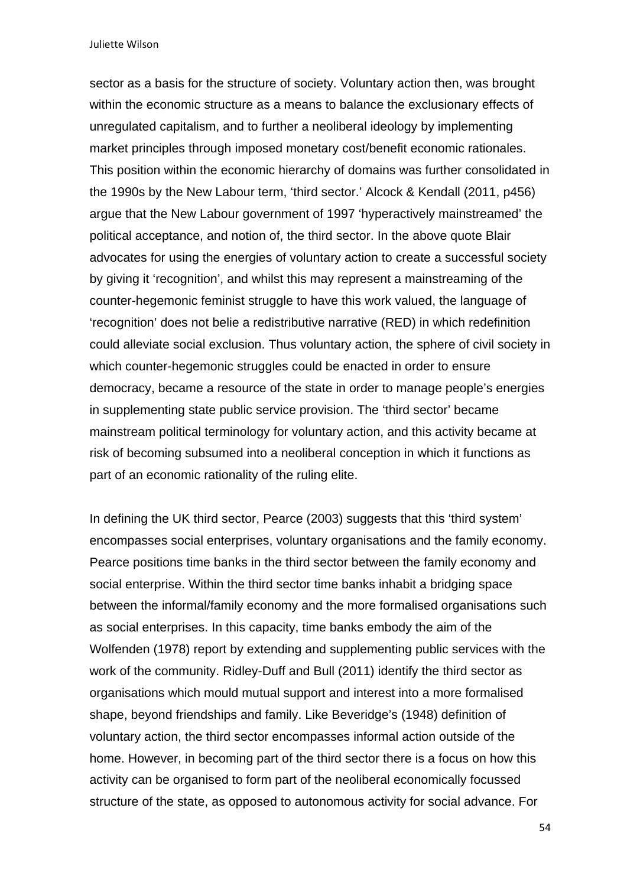sector as a basis for the structure of society. Voluntary action then, was brought within the economic structure as a means to balance the exclusionary effects of unregulated capitalism, and to further a neoliberal ideology by implementing market principles through imposed monetary cost/benefit economic rationales. This position within the economic hierarchy of domains was further consolidated in the 1990s by the New Labour term, 'third sector.' Alcock & Kendall (2011, p456) argue that the New Labour government of 1997 'hyperactively mainstreamed' the political acceptance, and notion of, the third sector. In the above quote Blair advocates for using the energies of voluntary action to create a successful society by giving it 'recognition', and whilst this may represent a mainstreaming of the counter-hegemonic feminist struggle to have this work valued, the language of 'recognition' does not belie a redistributive narrative (RED) in which redefinition could alleviate social exclusion. Thus voluntary action, the sphere of civil society in which counter-hegemonic struggles could be enacted in order to ensure democracy, became a resource of the state in order to manage people's energies in supplementing state public service provision. The 'third sector' became mainstream political terminology for voluntary action, and this activity became at risk of becoming subsumed into a neoliberal conception in which it functions as part of an economic rationality of the ruling elite.

In defining the UK third sector, Pearce (2003) suggests that this 'third system' encompasses social enterprises, voluntary organisations and the family economy. Pearce positions time banks in the third sector between the family economy and social enterprise. Within the third sector time banks inhabit a bridging space between the informal/family economy and the more formalised organisations such as social enterprises. In this capacity, time banks embody the aim of the Wolfenden (1978) report by extending and supplementing public services with the work of the community. Ridley-Duff and Bull (2011) identify the third sector as organisations which mould mutual support and interest into a more formalised shape, beyond friendships and family. Like Beveridge's (1948) definition of voluntary action, the third sector encompasses informal action outside of the home. However, in becoming part of the third sector there is a focus on how this activity can be organised to form part of the neoliberal economically focussed structure of the state, as opposed to autonomous activity for social advance. For

54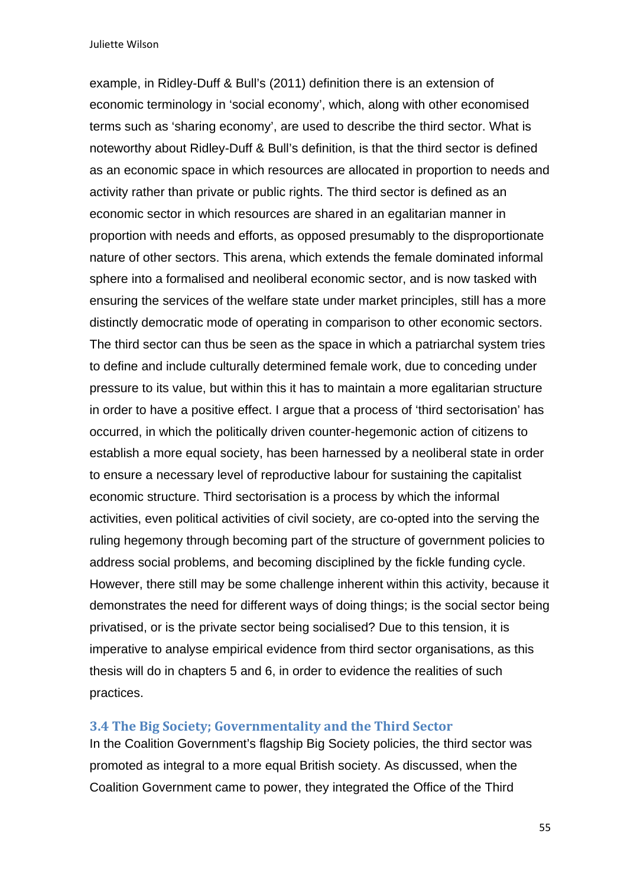example, in Ridley-Duff & Bull's (2011) definition there is an extension of economic terminology in 'social economy', which, along with other economised terms such as 'sharing economy', are used to describe the third sector. What is noteworthy about Ridley-Duff & Bull's definition, is that the third sector is defined as an economic space in which resources are allocated in proportion to needs and activity rather than private or public rights. The third sector is defined as an economic sector in which resources are shared in an egalitarian manner in proportion with needs and efforts, as opposed presumably to the disproportionate nature of other sectors. This arena, which extends the female dominated informal sphere into a formalised and neoliberal economic sector, and is now tasked with ensuring the services of the welfare state under market principles, still has a more distinctly democratic mode of operating in comparison to other economic sectors. The third sector can thus be seen as the space in which a patriarchal system tries to define and include culturally determined female work, due to conceding under pressure to its value, but within this it has to maintain a more egalitarian structure in order to have a positive effect. I argue that a process of 'third sectorisation' has occurred, in which the politically driven counter-hegemonic action of citizens to establish a more equal society, has been harnessed by a neoliberal state in order to ensure a necessary level of reproductive labour for sustaining the capitalist economic structure. Third sectorisation is a process by which the informal activities, even political activities of civil society, are co-opted into the serving the ruling hegemony through becoming part of the structure of government policies to address social problems, and becoming disciplined by the fickle funding cycle. However, there still may be some challenge inherent within this activity, because it demonstrates the need for different ways of doing things; is the social sector being privatised, or is the private sector being socialised? Due to this tension, it is imperative to analyse empirical evidence from third sector organisations, as this thesis will do in chapters 5 and 6, in order to evidence the realities of such practices.

### **3.4 The Big Society; Governmentality and the Third Sector**

In the Coalition Government's flagship Big Society policies, the third sector was promoted as integral to a more equal British society. As discussed, when the Coalition Government came to power, they integrated the Office of the Third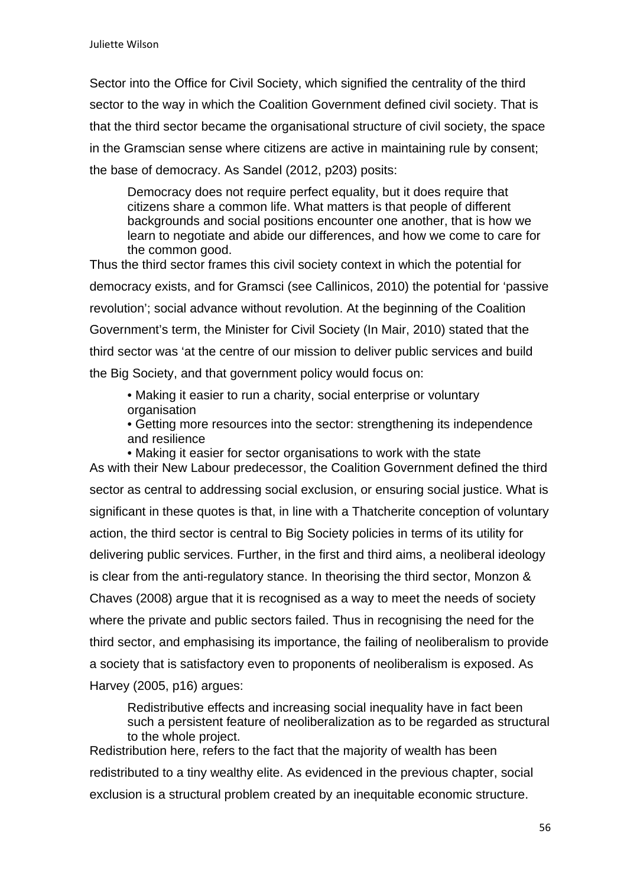Sector into the Office for Civil Society, which signified the centrality of the third sector to the way in which the Coalition Government defined civil society. That is that the third sector became the organisational structure of civil society, the space in the Gramscian sense where citizens are active in maintaining rule by consent; the base of democracy. As Sandel (2012, p203) posits:

Democracy does not require perfect equality, but it does require that citizens share a common life. What matters is that people of different backgrounds and social positions encounter one another, that is how we learn to negotiate and abide our differences, and how we come to care for the common good.

Thus the third sector frames this civil society context in which the potential for democracy exists, and for Gramsci (see Callinicos, 2010) the potential for 'passive revolution'; social advance without revolution. At the beginning of the Coalition Government's term, the Minister for Civil Society (In Mair, 2010) stated that the third sector was 'at the centre of our mission to deliver public services and build the Big Society, and that government policy would focus on:

• Making it easier to run a charity, social enterprise or voluntary organisation

• Getting more resources into the sector: strengthening its independence and resilience

• Making it easier for sector organisations to work with the state As with their New Labour predecessor, the Coalition Government defined the third sector as central to addressing social exclusion, or ensuring social justice. What is significant in these quotes is that, in line with a Thatcherite conception of voluntary action, the third sector is central to Big Society policies in terms of its utility for delivering public services. Further, in the first and third aims, a neoliberal ideology is clear from the anti-regulatory stance. In theorising the third sector, Monzon & Chaves (2008) argue that it is recognised as a way to meet the needs of society where the private and public sectors failed. Thus in recognising the need for the third sector, and emphasising its importance, the failing of neoliberalism to provide a society that is satisfactory even to proponents of neoliberalism is exposed. As Harvey (2005, p16) argues:

Redistributive effects and increasing social inequality have in fact been such a persistent feature of neoliberalization as to be regarded as structural to the whole project.

Redistribution here, refers to the fact that the majority of wealth has been redistributed to a tiny wealthy elite. As evidenced in the previous chapter, social exclusion is a structural problem created by an inequitable economic structure.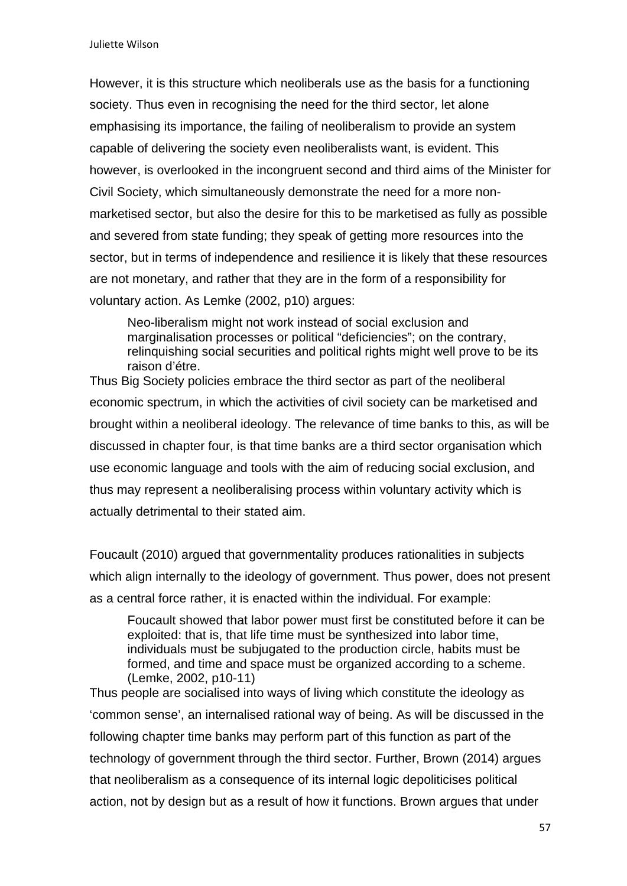However, it is this structure which neoliberals use as the basis for a functioning society. Thus even in recognising the need for the third sector, let alone emphasising its importance, the failing of neoliberalism to provide an system capable of delivering the society even neoliberalists want, is evident. This however, is overlooked in the incongruent second and third aims of the Minister for Civil Society, which simultaneously demonstrate the need for a more nonmarketised sector, but also the desire for this to be marketised as fully as possible and severed from state funding; they speak of getting more resources into the sector, but in terms of independence and resilience it is likely that these resources are not monetary, and rather that they are in the form of a responsibility for voluntary action. As Lemke (2002, p10) argues:

Neo-liberalism might not work instead of social exclusion and marginalisation processes or political "deficiencies"; on the contrary, relinguishing social securities and political rights might well prove to be its raison d'étre.

Thus Big Society policies embrace the third sector as part of the neoliberal economic spectrum, in which the activities of civil society can be marketised and brought within a neoliberal ideology. The relevance of time banks to this, as will be discussed in chapter four, is that time banks are a third sector organisation which use economic language and tools with the aim of reducing social exclusion, and thus may represent a neoliberalising process within voluntary activity which is actually detrimental to their stated aim.

Foucault (2010) argued that governmentality produces rationalities in subjects which align internally to the ideology of government. Thus power, does not present as a central force rather, it is enacted within the individual. For example:

Foucault showed that labor power must first be constituted before it can be exploited: that is, that life time must be synthesized into labor time, individuals must be subjugated to the production circle, habits must be formed, and time and space must be organized according to a scheme. (Lemke, 2002, p10-11)

Thus people are socialised into ways of living which constitute the ideology as 'common sense', an internalised rational way of being. As will be discussed in the following chapter time banks may perform part of this function as part of the technology of government through the third sector. Further, Brown (2014) argues that neoliberalism as a consequence of its internal logic depoliticises political action, not by design but as a result of how it functions. Brown argues that under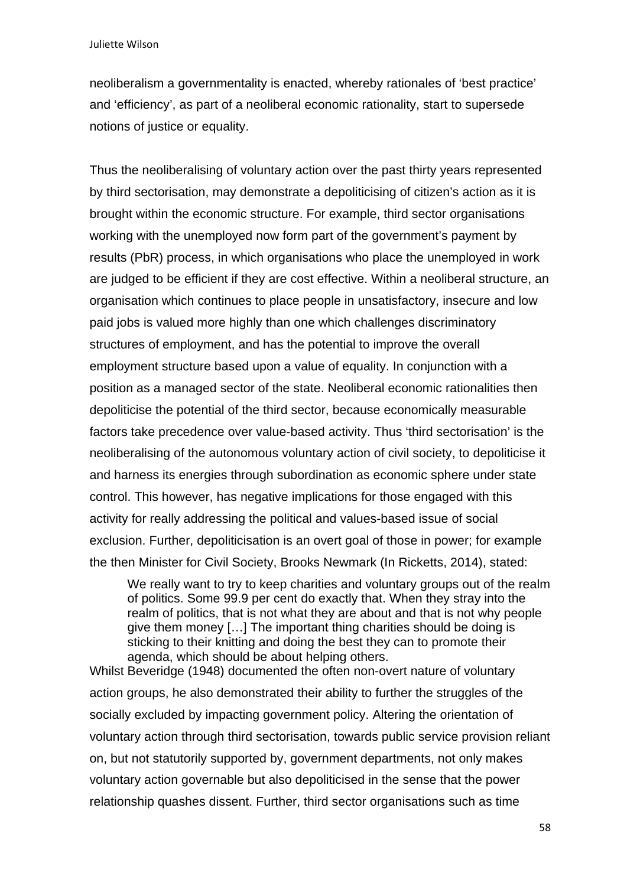neoliberalism a governmentality is enacted, whereby rationales of 'best practice' and 'efficiency', as part of a neoliberal economic rationality, start to supersede notions of justice or equality.

Thus the neoliberalising of voluntary action over the past thirty years represented by third sectorisation, may demonstrate a depoliticising of citizen's action as it is brought within the economic structure. For example, third sector organisations working with the unemployed now form part of the government's payment by results (PbR) process, in which organisations who place the unemployed in work are judged to be efficient if they are cost effective. Within a neoliberal structure, an organisation which continues to place people in unsatisfactory, insecure and low paid jobs is valued more highly than one which challenges discriminatory structures of employment, and has the potential to improve the overall employment structure based upon a value of equality. In conjunction with a position as a managed sector of the state. Neoliberal economic rationalities then depoliticise the potential of the third sector, because economically measurable factors take precedence over value-based activity. Thus 'third sectorisation' is the neoliberalising of the autonomous voluntary action of civil society, to depoliticise it and harness its energies through subordination as economic sphere under state control. This however, has negative implications for those engaged with this activity for really addressing the political and values-based issue of social exclusion. Further, depoliticisation is an overt goal of those in power; for example the then Minister for Civil Society, Brooks Newmark (In Ricketts, 2014), stated:

We really want to try to keep charities and voluntary groups out of the realm of politics. Some 99.9 per cent do exactly that. When they stray into the realm of politics, that is not what they are about and that is not why people give them money […] The important thing charities should be doing is sticking to their knitting and doing the best they can to promote their agenda, which should be about helping others.

Whilst Beveridge (1948) documented the often non-overt nature of voluntary action groups, he also demonstrated their ability to further the struggles of the socially excluded by impacting government policy. Altering the orientation of voluntary action through third sectorisation, towards public service provision reliant on, but not statutorily supported by, government departments, not only makes voluntary action governable but also depoliticised in the sense that the power relationship quashes dissent. Further, third sector organisations such as time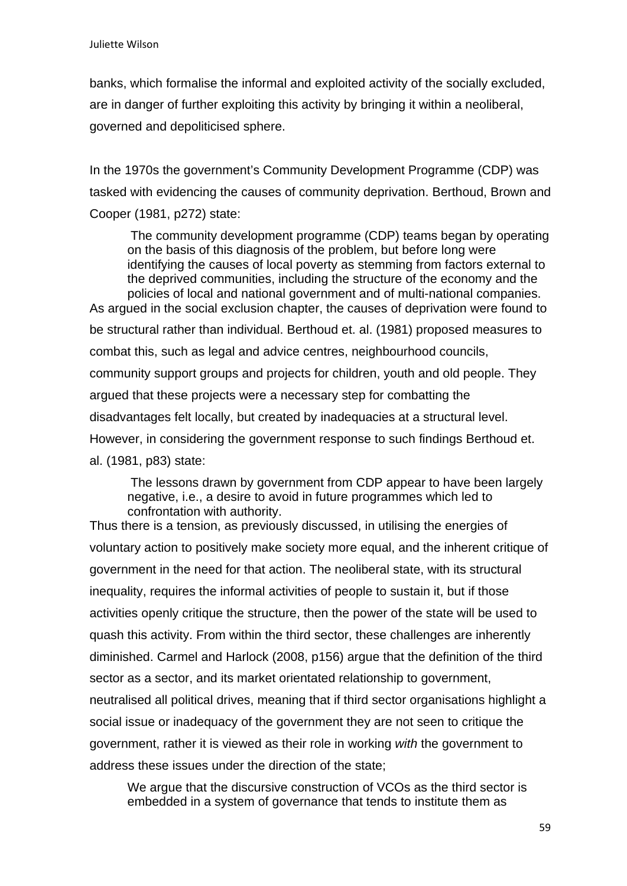banks, which formalise the informal and exploited activity of the socially excluded, are in danger of further exploiting this activity by bringing it within a neoliberal, governed and depoliticised sphere.

In the 1970s the government's Community Development Programme (CDP) was tasked with evidencing the causes of community deprivation. Berthoud, Brown and Cooper (1981, p272) state:

The community development programme (CDP) teams began by operating on the basis of this diagnosis of the problem, but before long were identifying the causes of local poverty as stemming from factors external to the deprived communities, including the structure of the economy and the policies of local and national government and of multi-national companies. As argued in the social exclusion chapter, the causes of deprivation were found to be structural rather than individual. Berthoud et. al. (1981) proposed measures to combat this, such as legal and advice centres, neighbourhood councils, community support groups and projects for children, youth and old people. They argued that these projects were a necessary step for combatting the disadvantages felt locally, but created by inadequacies at a structural level. However, in considering the government response to such findings Berthoud et. al. (1981, p83) state:

The lessons drawn by government from CDP appear to have been largely negative, i.e., a desire to avoid in future programmes which led to confrontation with authority.

Thus there is a tension, as previously discussed, in utilising the energies of voluntary action to positively make society more equal, and the inherent critique of government in the need for that action. The neoliberal state, with its structural inequality, requires the informal activities of people to sustain it, but if those activities openly critique the structure, then the power of the state will be used to quash this activity. From within the third sector, these challenges are inherently diminished. Carmel and Harlock (2008, p156) argue that the definition of the third sector as a sector, and its market orientated relationship to government, neutralised all political drives, meaning that if third sector organisations highlight a social issue or inadequacy of the government they are not seen to critique the government, rather it is viewed as their role in working *with* the government to address these issues under the direction of the state;

We argue that the discursive construction of VCOs as the third sector is embedded in a system of governance that tends to institute them as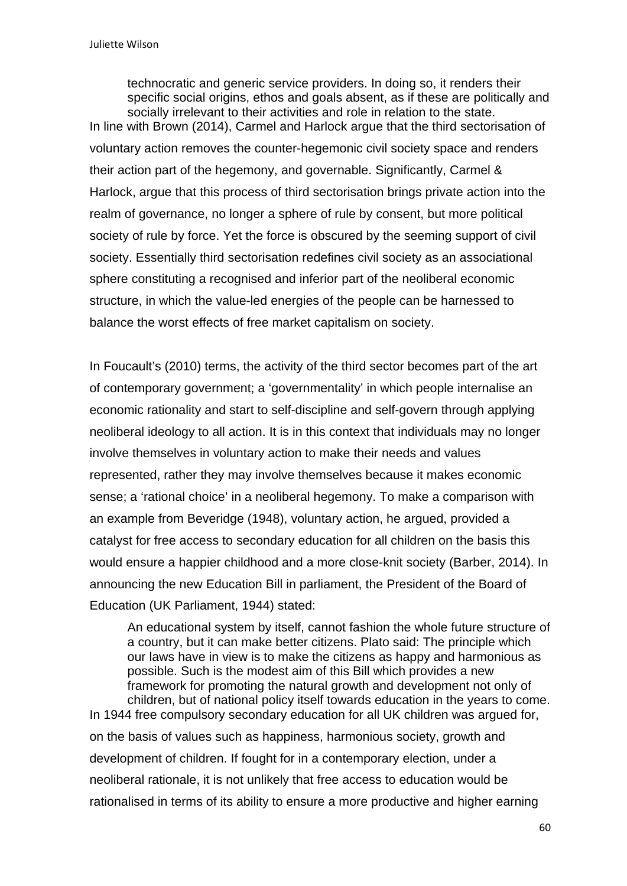technocratic and generic service providers. In doing so, it renders their specific social origins, ethos and goals absent, as if these are politically and socially irrelevant to their activities and role in relation to the state. In line with Brown (2014), Carmel and Harlock argue that the third sectorisation of voluntary action removes the counter-hegemonic civil society space and renders their action part of the hegemony, and governable. Significantly, Carmel & Harlock, argue that this process of third sectorisation brings private action into the realm of governance, no longer a sphere of rule by consent, but more political society of rule by force. Yet the force is obscured by the seeming support of civil society. Essentially third sectorisation redefines civil society as an associational sphere constituting a recognised and inferior part of the neoliberal economic structure, in which the value-led energies of the people can be harnessed to balance the worst effects of free market capitalism on society.

In Foucault's (2010) terms, the activity of the third sector becomes part of the art of contemporary government; a 'governmentality' in which people internalise an economic rationality and start to self-discipline and self-govern through applying neoliberal ideology to all action. It is in this context that individuals may no longer involve themselves in voluntary action to make their needs and values represented, rather they may involve themselves because it makes economic sense; a 'rational choice' in a neoliberal hegemony. To make a comparison with an example from Beveridge (1948), voluntary action, he argued, provided a catalyst for free access to secondary education for all children on the basis this would ensure a happier childhood and a more close-knit society (Barber, 2014). In announcing the new Education Bill in parliament, the President of the Board of Education (UK Parliament, 1944) stated:

An educational system by itself, cannot fashion the whole future structure of a country, but it can make better citizens. Plato said: The principle which our laws have in view is to make the citizens as happy and harmonious as possible. Such is the modest aim of this Bill which provides a new framework for promoting the natural growth and development not only of children, but of national policy itself towards education in the years to come. In 1944 free compulsory secondary education for all UK children was argued for, on the basis of values such as happiness, harmonious society, growth and development of children. If fought for in a contemporary election, under a neoliberal rationale, it is not unlikely that free access to education would be rationalised in terms of its ability to ensure a more productive and higher earning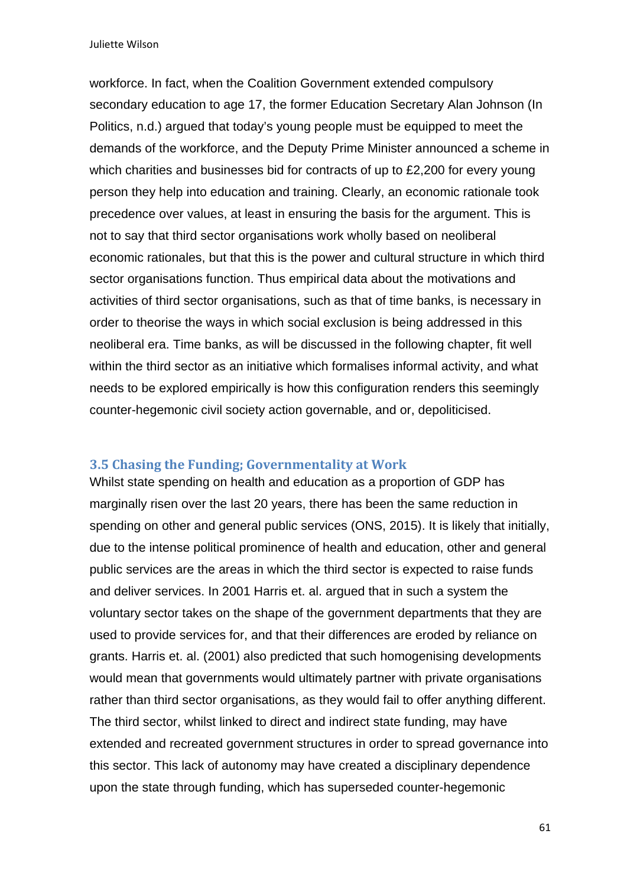workforce. In fact, when the Coalition Government extended compulsory secondary education to age 17, the former Education Secretary Alan Johnson (In Politics, n.d.) argued that today's young people must be equipped to meet the demands of the workforce, and the Deputy Prime Minister announced a scheme in which charities and businesses bid for contracts of up to £2,200 for every young person they help into education and training. Clearly, an economic rationale took precedence over values, at least in ensuring the basis for the argument. This is not to say that third sector organisations work wholly based on neoliberal economic rationales, but that this is the power and cultural structure in which third sector organisations function. Thus empirical data about the motivations and activities of third sector organisations, such as that of time banks, is necessary in order to theorise the ways in which social exclusion is being addressed in this neoliberal era. Time banks, as will be discussed in the following chapter, fit well within the third sector as an initiative which formalises informal activity, and what needs to be explored empirically is how this configuration renders this seemingly counter-hegemonic civil society action governable, and or, depoliticised.

#### **3.5 Chasing the Funding; Governmentality at Work**

Whilst state spending on health and education as a proportion of GDP has marginally risen over the last 20 years, there has been the same reduction in spending on other and general public services (ONS, 2015). It is likely that initially, due to the intense political prominence of health and education, other and general public services are the areas in which the third sector is expected to raise funds and deliver services. In 2001 Harris et. al. argued that in such a system the voluntary sector takes on the shape of the government departments that they are used to provide services for, and that their differences are eroded by reliance on grants. Harris et. al. (2001) also predicted that such homogenising developments would mean that governments would ultimately partner with private organisations rather than third sector organisations, as they would fail to offer anything different. The third sector, whilst linked to direct and indirect state funding, may have extended and recreated government structures in order to spread governance into this sector. This lack of autonomy may have created a disciplinary dependence upon the state through funding, which has superseded counter-hegemonic

61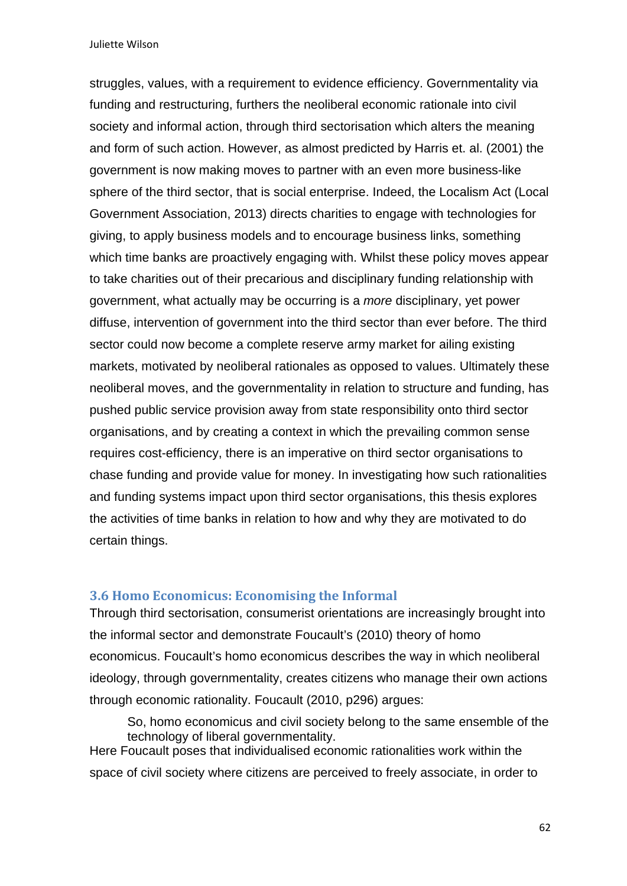struggles, values, with a requirement to evidence efficiency. Governmentality via funding and restructuring, furthers the neoliberal economic rationale into civil society and informal action, through third sectorisation which alters the meaning and form of such action. However, as almost predicted by Harris et. al. (2001) the government is now making moves to partner with an even more business-like sphere of the third sector, that is social enterprise. Indeed, the Localism Act (Local Government Association, 2013) directs charities to engage with technologies for giving, to apply business models and to encourage business links, something which time banks are proactively engaging with. Whilst these policy moves appear to take charities out of their precarious and disciplinary funding relationship with government, what actually may be occurring is a *more* disciplinary, yet power diffuse, intervention of government into the third sector than ever before. The third sector could now become a complete reserve army market for ailing existing markets, motivated by neoliberal rationales as opposed to values. Ultimately these neoliberal moves, and the governmentality in relation to structure and funding, has pushed public service provision away from state responsibility onto third sector organisations, and by creating a context in which the prevailing common sense requires cost-efficiency, there is an imperative on third sector organisations to chase funding and provide value for money. In investigating how such rationalities and funding systems impact upon third sector organisations, this thesis explores the activities of time banks in relation to how and why they are motivated to do certain things.

### **3.6 Homo Economicus: Economising the Informal**

Through third sectorisation, consumerist orientations are increasingly brought into the informal sector and demonstrate Foucault's (2010) theory of homo economicus. Foucault's homo economicus describes the way in which neoliberal ideology, through governmentality, creates citizens who manage their own actions through economic rationality. Foucault (2010, p296) argues:

So, homo economicus and civil society belong to the same ensemble of the technology of liberal governmentality. Here Foucault poses that individualised economic rationalities work within the space of civil society where citizens are perceived to freely associate, in order to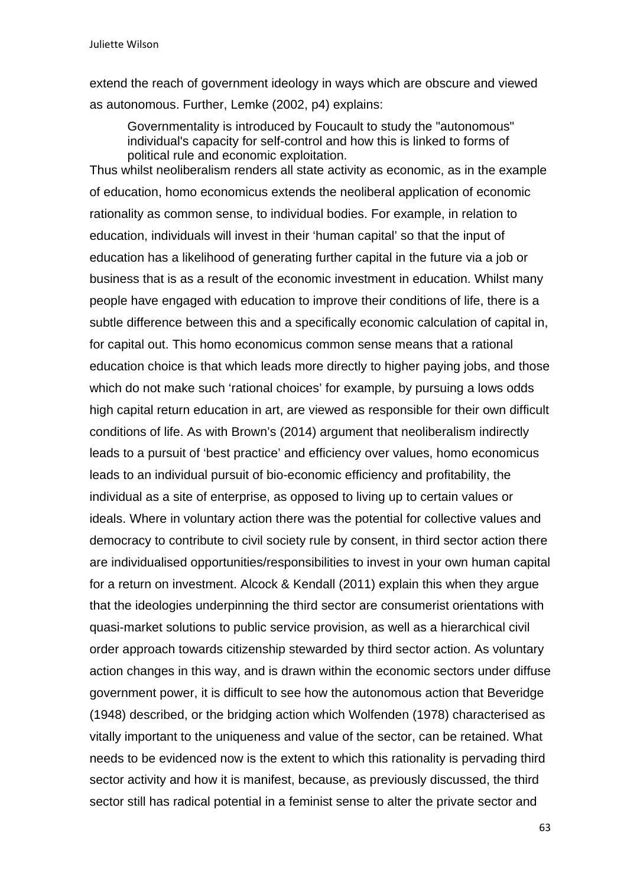extend the reach of government ideology in ways which are obscure and viewed as autonomous. Further, Lemke (2002, p4) explains:

Governmentality is introduced by Foucault to study the "autonomous" individual's capacity for self-control and how this is linked to forms of political rule and economic exploitation.

Thus whilst neoliberalism renders all state activity as economic, as in the example of education, homo economicus extends the neoliberal application of economic rationality as common sense, to individual bodies. For example, in relation to education, individuals will invest in their 'human capital' so that the input of education has a likelihood of generating further capital in the future via a job or business that is as a result of the economic investment in education. Whilst many people have engaged with education to improve their conditions of life, there is a subtle difference between this and a specifically economic calculation of capital in, for capital out. This homo economicus common sense means that a rational education choice is that which leads more directly to higher paying jobs, and those which do not make such 'rational choices' for example, by pursuing a lows odds high capital return education in art, are viewed as responsible for their own difficult conditions of life. As with Brown's (2014) argument that neoliberalism indirectly leads to a pursuit of 'best practice' and efficiency over values, homo economicus leads to an individual pursuit of bio-economic efficiency and profitability, the individual as a site of enterprise, as opposed to living up to certain values or ideals. Where in voluntary action there was the potential for collective values and democracy to contribute to civil society rule by consent, in third sector action there are individualised opportunities/responsibilities to invest in your own human capital for a return on investment. Alcock & Kendall (2011) explain this when they argue that the ideologies underpinning the third sector are consumerist orientations with quasi-market solutions to public service provision, as well as a hierarchical civil order approach towards citizenship stewarded by third sector action. As voluntary action changes in this way, and is drawn within the economic sectors under diffuse government power, it is difficult to see how the autonomous action that Beveridge (1948) described, or the bridging action which Wolfenden (1978) characterised as vitally important to the uniqueness and value of the sector, can be retained. What needs to be evidenced now is the extent to which this rationality is pervading third sector activity and how it is manifest, because, as previously discussed, the third sector still has radical potential in a feminist sense to alter the private sector and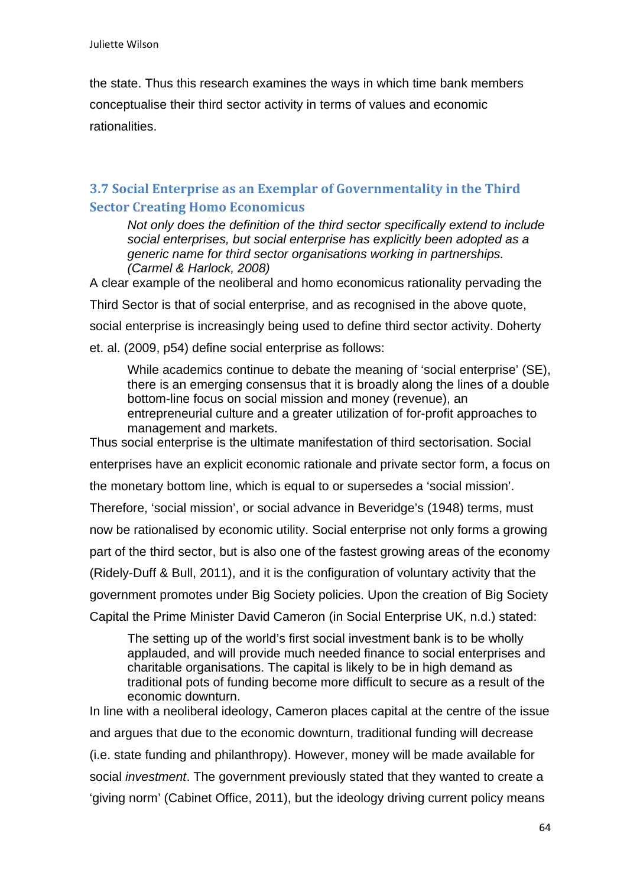the state. Thus this research examines the ways in which time bank members conceptualise their third sector activity in terms of values and economic rationalities.

### **3.7 Social Enterprise as an Exemplar of Governmentality in the Third Sector Creating Homo Economicus**

*Not only does the definition of the third sector specifically extend to include social enterprises, but social enterprise has explicitly been adopted as a generic name for third sector organisations working in partnerships. (Carmel & Harlock, 2008)* 

A clear example of the neoliberal and homo economicus rationality pervading the

Third Sector is that of social enterprise, and as recognised in the above quote,

social enterprise is increasingly being used to define third sector activity. Doherty

et. al. (2009, p54) define social enterprise as follows:

While academics continue to debate the meaning of 'social enterprise' (SE), there is an emerging consensus that it is broadly along the lines of a double bottom-line focus on social mission and money (revenue), an entrepreneurial culture and a greater utilization of for-profit approaches to management and markets.

Thus social enterprise is the ultimate manifestation of third sectorisation. Social enterprises have an explicit economic rationale and private sector form, a focus on the monetary bottom line, which is equal to or supersedes a 'social mission'. Therefore, 'social mission', or social advance in Beveridge's (1948) terms, must now be rationalised by economic utility. Social enterprise not only forms a growing part of the third sector, but is also one of the fastest growing areas of the economy (Ridely-Duff & Bull, 2011), and it is the configuration of voluntary activity that the government promotes under Big Society policies. Upon the creation of Big Society Capital the Prime Minister David Cameron (in Social Enterprise UK, n.d.) stated:

The setting up of the world's first social investment bank is to be wholly applauded, and will provide much needed finance to social enterprises and charitable organisations. The capital is likely to be in high demand as traditional pots of funding become more difficult to secure as a result of the economic downturn.

In line with a neoliberal ideology, Cameron places capital at the centre of the issue and argues that due to the economic downturn, traditional funding will decrease (i.e. state funding and philanthropy). However, money will be made available for social *investment*. The government previously stated that they wanted to create a 'giving norm' (Cabinet Office, 2011), but the ideology driving current policy means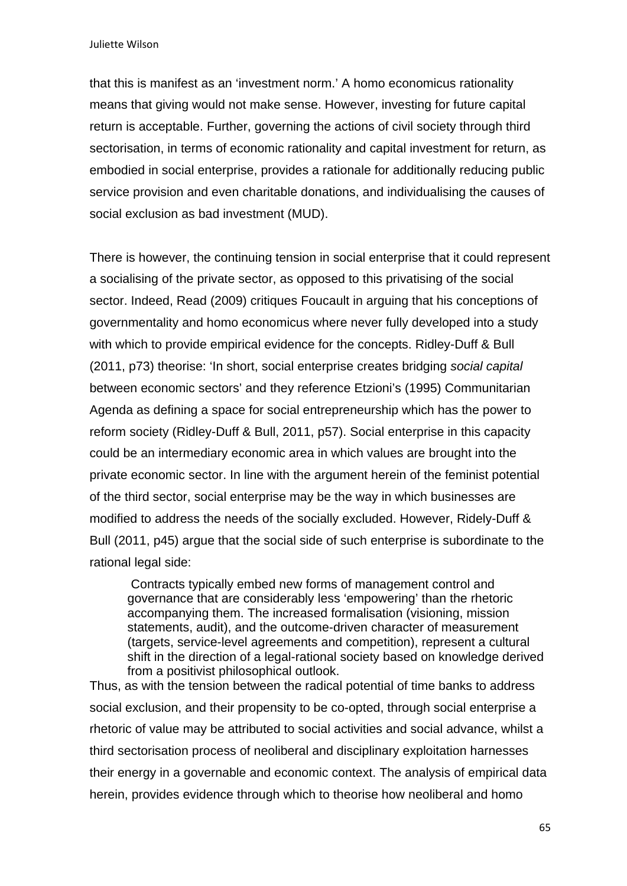that this is manifest as an 'investment norm.' A homo economicus rationality means that giving would not make sense. However, investing for future capital return is acceptable. Further, governing the actions of civil society through third sectorisation, in terms of economic rationality and capital investment for return, as embodied in social enterprise, provides a rationale for additionally reducing public service provision and even charitable donations, and individualising the causes of social exclusion as bad investment (MUD).

There is however, the continuing tension in social enterprise that it could represent a socialising of the private sector, as opposed to this privatising of the social sector. Indeed, Read (2009) critiques Foucault in arguing that his conceptions of governmentality and homo economicus where never fully developed into a study with which to provide empirical evidence for the concepts. Ridley-Duff & Bull (2011, p73) theorise: 'In short, social enterprise creates bridging *social capital*  between economic sectors' and they reference Etzioni's (1995) Communitarian Agenda as defining a space for social entrepreneurship which has the power to reform society (Ridley-Duff & Bull, 2011, p57). Social enterprise in this capacity could be an intermediary economic area in which values are brought into the private economic sector. In line with the argument herein of the feminist potential of the third sector, social enterprise may be the way in which businesses are modified to address the needs of the socially excluded. However, Ridely-Duff & Bull (2011, p45) argue that the social side of such enterprise is subordinate to the rational legal side:

 Contracts typically embed new forms of management control and governance that are considerably less 'empowering' than the rhetoric accompanying them. The increased formalisation (visioning, mission statements, audit), and the outcome-driven character of measurement (targets, service-level agreements and competition), represent a cultural shift in the direction of a legal-rational society based on knowledge derived from a positivist philosophical outlook.

Thus, as with the tension between the radical potential of time banks to address social exclusion, and their propensity to be co-opted, through social enterprise a rhetoric of value may be attributed to social activities and social advance, whilst a third sectorisation process of neoliberal and disciplinary exploitation harnesses their energy in a governable and economic context. The analysis of empirical data herein, provides evidence through which to theorise how neoliberal and homo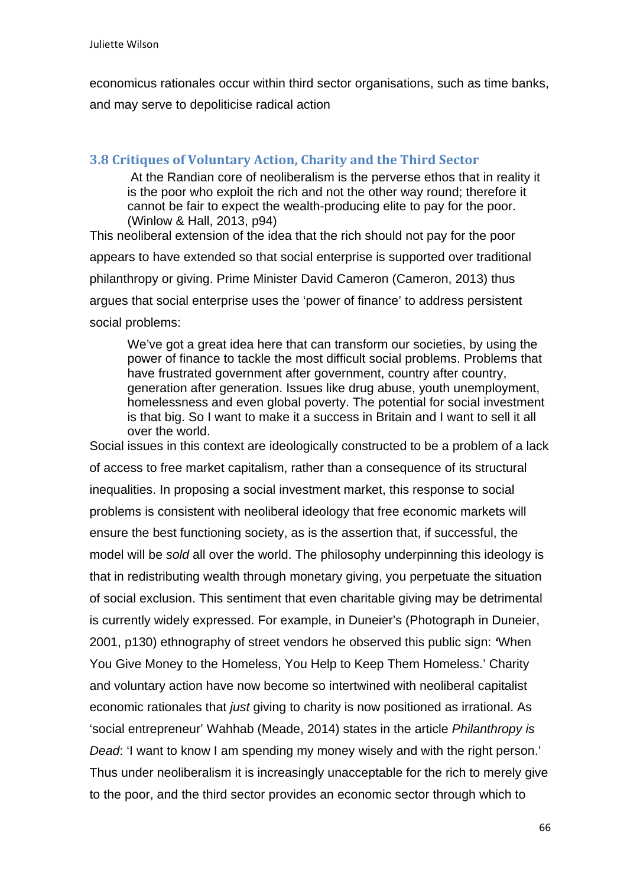economicus rationales occur within third sector organisations, such as time banks, and may serve to depoliticise radical action

### **3.8 Critiques of Voluntary Action, Charity and the Third Sector**

At the Randian core of neoliberalism is the perverse ethos that in reality it is the poor who exploit the rich and not the other way round; therefore it cannot be fair to expect the wealth-producing elite to pay for the poor. (Winlow & Hall, 2013, p94)

This neoliberal extension of the idea that the rich should not pay for the poor appears to have extended so that social enterprise is supported over traditional philanthropy or giving. Prime Minister David Cameron (Cameron, 2013) thus argues that social enterprise uses the 'power of finance' to address persistent social problems:

We've got a great idea here that can transform our societies, by using the power of finance to tackle the most difficult social problems. Problems that have frustrated government after government, country after country, generation after generation. Issues like drug abuse, youth unemployment, homelessness and even global poverty. The potential for social investment is that big. So I want to make it a success in Britain and I want to sell it all over the world.

Social issues in this context are ideologically constructed to be a problem of a lack of access to free market capitalism, rather than a consequence of its structural inequalities. In proposing a social investment market, this response to social problems is consistent with neoliberal ideology that free economic markets will ensure the best functioning society, as is the assertion that, if successful, the model will be *sold* all over the world. The philosophy underpinning this ideology is that in redistributing wealth through monetary giving, you perpetuate the situation of social exclusion. This sentiment that even charitable giving may be detrimental is currently widely expressed. For example, in Duneier's (Photograph in Duneier, 2001, p130) ethnography of street vendors he observed this public sign: *'*When You Give Money to the Homeless, You Help to Keep Them Homeless.' Charity and voluntary action have now become so intertwined with neoliberal capitalist economic rationales that *just* giving to charity is now positioned as irrational. As 'social entrepreneur' Wahhab (Meade, 2014) states in the article *Philanthropy is Dead*: 'I want to know I am spending my money wisely and with the right person.' Thus under neoliberalism it is increasingly unacceptable for the rich to merely give to the poor, and the third sector provides an economic sector through which to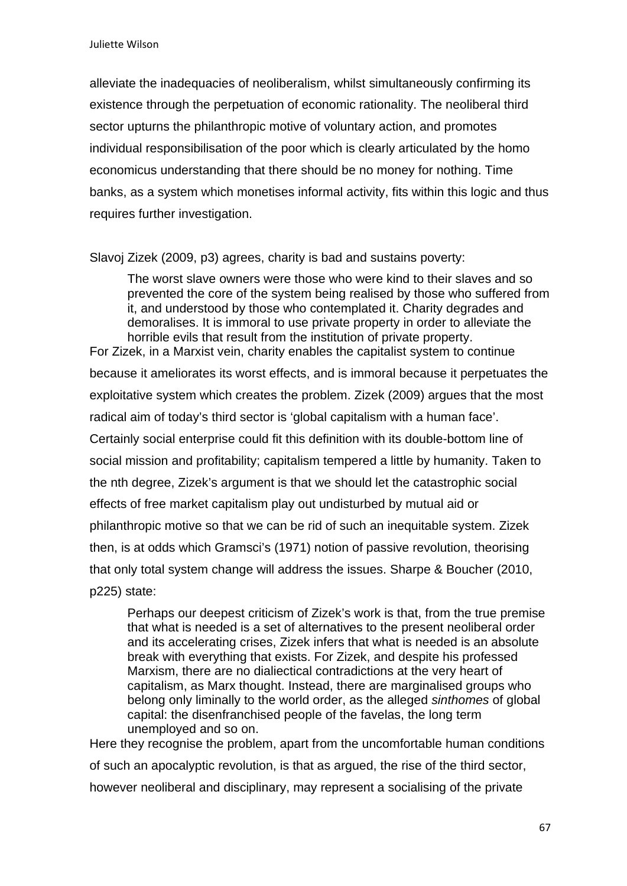alleviate the inadequacies of neoliberalism, whilst simultaneously confirming its existence through the perpetuation of economic rationality. The neoliberal third sector upturns the philanthropic motive of voluntary action, and promotes individual responsibilisation of the poor which is clearly articulated by the homo economicus understanding that there should be no money for nothing. Time banks, as a system which monetises informal activity, fits within this logic and thus requires further investigation.

Slavoj Zizek (2009, p3) agrees, charity is bad and sustains poverty:

The worst slave owners were those who were kind to their slaves and so prevented the core of the system being realised by those who suffered from it, and understood by those who contemplated it. Charity degrades and demoralises. It is immoral to use private property in order to alleviate the horrible evils that result from the institution of private property.

For Zizek, in a Marxist vein, charity enables the capitalist system to continue because it ameliorates its worst effects, and is immoral because it perpetuates the exploitative system which creates the problem. Zizek (2009) argues that the most radical aim of today's third sector is 'global capitalism with a human face'. Certainly social enterprise could fit this definition with its double-bottom line of social mission and profitability; capitalism tempered a little by humanity. Taken to the nth degree, Zizek's argument is that we should let the catastrophic social effects of free market capitalism play out undisturbed by mutual aid or philanthropic motive so that we can be rid of such an inequitable system. Zizek then, is at odds which Gramsci's (1971) notion of passive revolution, theorising that only total system change will address the issues. Sharpe & Boucher (2010, p225) state:

Perhaps our deepest criticism of Zizek's work is that, from the true premise that what is needed is a set of alternatives to the present neoliberal order and its accelerating crises, Zizek infers that what is needed is an absolute break with everything that exists. For Zizek, and despite his professed Marxism, there are no dialiectical contradictions at the very heart of capitalism, as Marx thought. Instead, there are marginalised groups who belong only liminally to the world order, as the alleged *sinthomes* of global capital: the disenfranchised people of the favelas, the long term unemployed and so on.

Here they recognise the problem, apart from the uncomfortable human conditions of such an apocalyptic revolution, is that as argued, the rise of the third sector, however neoliberal and disciplinary, may represent a socialising of the private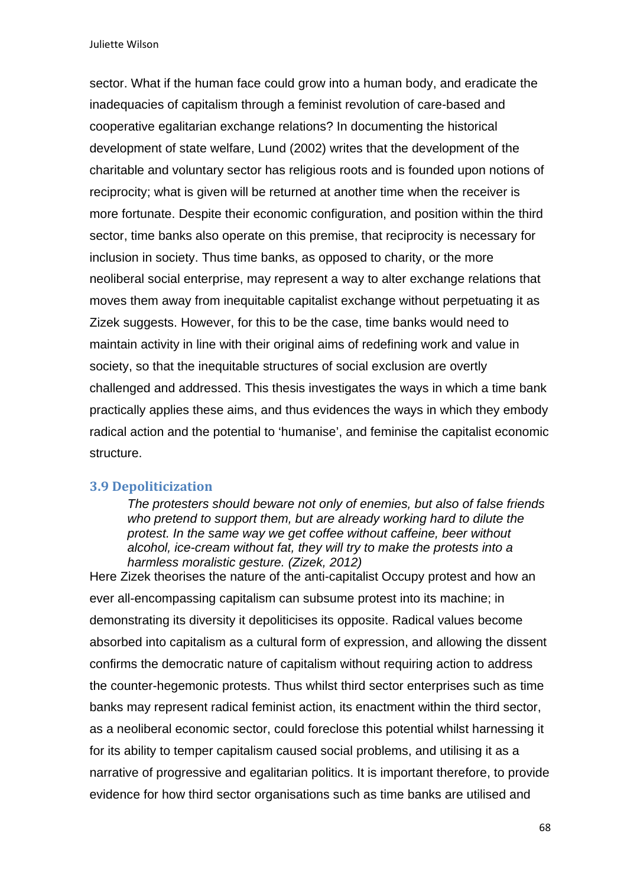sector. What if the human face could grow into a human body, and eradicate the inadequacies of capitalism through a feminist revolution of care-based and cooperative egalitarian exchange relations? In documenting the historical development of state welfare, Lund (2002) writes that the development of the charitable and voluntary sector has religious roots and is founded upon notions of reciprocity; what is given will be returned at another time when the receiver is more fortunate. Despite their economic configuration, and position within the third sector, time banks also operate on this premise, that reciprocity is necessary for inclusion in society. Thus time banks, as opposed to charity, or the more neoliberal social enterprise, may represent a way to alter exchange relations that moves them away from inequitable capitalist exchange without perpetuating it as Zizek suggests. However, for this to be the case, time banks would need to maintain activity in line with their original aims of redefining work and value in society, so that the inequitable structures of social exclusion are overtly challenged and addressed. This thesis investigates the ways in which a time bank practically applies these aims, and thus evidences the ways in which they embody radical action and the potential to 'humanise', and feminise the capitalist economic structure.

#### **3.9 Depoliticization**

*The protesters should beware not only of enemies, but also of false friends who pretend to support them, but are already working hard to dilute the protest. In the same way we get coffee without caffeine, beer without alcohol, ice-cream without fat, they will try to make the protests into a harmless moralistic gesture. (Zizek, 2012)* 

Here Zizek theorises the nature of the anti-capitalist Occupy protest and how an ever all-encompassing capitalism can subsume protest into its machine; in demonstrating its diversity it depoliticises its opposite. Radical values become absorbed into capitalism as a cultural form of expression, and allowing the dissent confirms the democratic nature of capitalism without requiring action to address the counter-hegemonic protests. Thus whilst third sector enterprises such as time banks may represent radical feminist action, its enactment within the third sector, as a neoliberal economic sector, could foreclose this potential whilst harnessing it for its ability to temper capitalism caused social problems, and utilising it as a narrative of progressive and egalitarian politics. It is important therefore, to provide evidence for how third sector organisations such as time banks are utilised and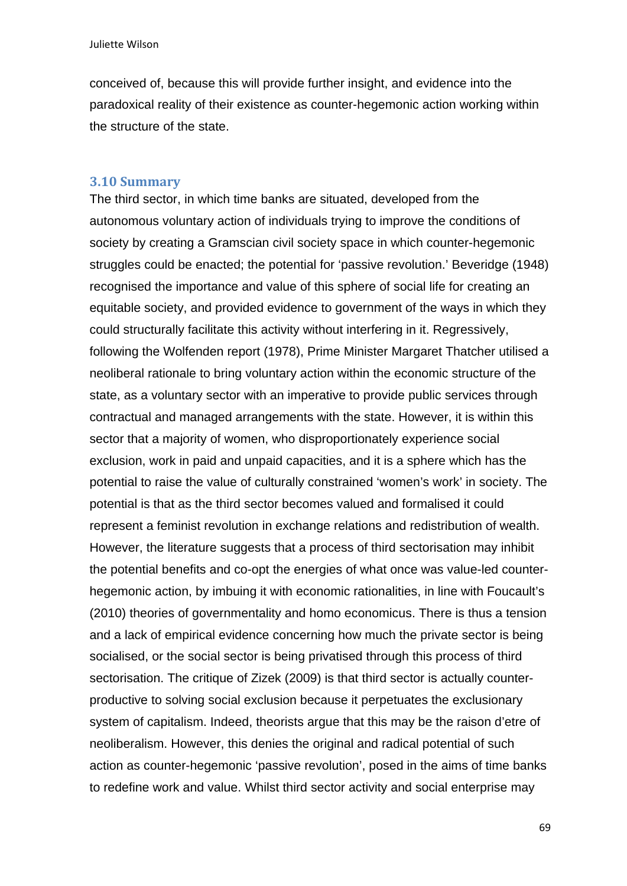conceived of, because this will provide further insight, and evidence into the paradoxical reality of their existence as counter-hegemonic action working within the structure of the state.

### **3.10 Summary**

The third sector, in which time banks are situated, developed from the autonomous voluntary action of individuals trying to improve the conditions of society by creating a Gramscian civil society space in which counter-hegemonic struggles could be enacted; the potential for 'passive revolution.' Beveridge (1948) recognised the importance and value of this sphere of social life for creating an equitable society, and provided evidence to government of the ways in which they could structurally facilitate this activity without interfering in it. Regressively, following the Wolfenden report (1978), Prime Minister Margaret Thatcher utilised a neoliberal rationale to bring voluntary action within the economic structure of the state, as a voluntary sector with an imperative to provide public services through contractual and managed arrangements with the state. However, it is within this sector that a majority of women, who disproportionately experience social exclusion, work in paid and unpaid capacities, and it is a sphere which has the potential to raise the value of culturally constrained 'women's work' in society. The potential is that as the third sector becomes valued and formalised it could represent a feminist revolution in exchange relations and redistribution of wealth. However, the literature suggests that a process of third sectorisation may inhibit the potential benefits and co-opt the energies of what once was value-led counterhegemonic action, by imbuing it with economic rationalities, in line with Foucault's (2010) theories of governmentality and homo economicus. There is thus a tension and a lack of empirical evidence concerning how much the private sector is being socialised, or the social sector is being privatised through this process of third sectorisation. The critique of Zizek (2009) is that third sector is actually counterproductive to solving social exclusion because it perpetuates the exclusionary system of capitalism. Indeed, theorists argue that this may be the raison d'etre of neoliberalism. However, this denies the original and radical potential of such action as counter-hegemonic 'passive revolution', posed in the aims of time banks to redefine work and value. Whilst third sector activity and social enterprise may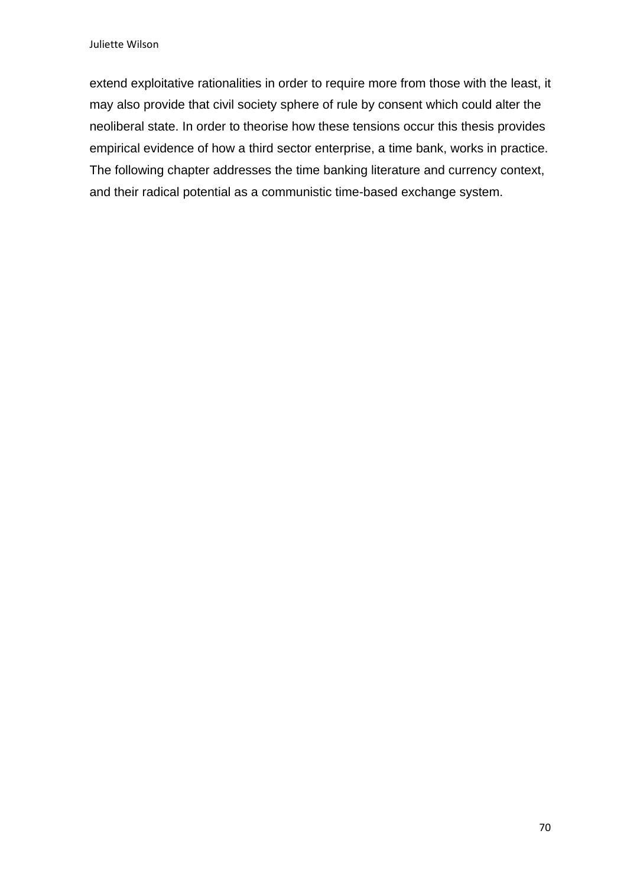extend exploitative rationalities in order to require more from those with the least, it may also provide that civil society sphere of rule by consent which could alter the neoliberal state. In order to theorise how these tensions occur this thesis provides empirical evidence of how a third sector enterprise, a time bank, works in practice. The following chapter addresses the time banking literature and currency context, and their radical potential as a communistic time-based exchange system.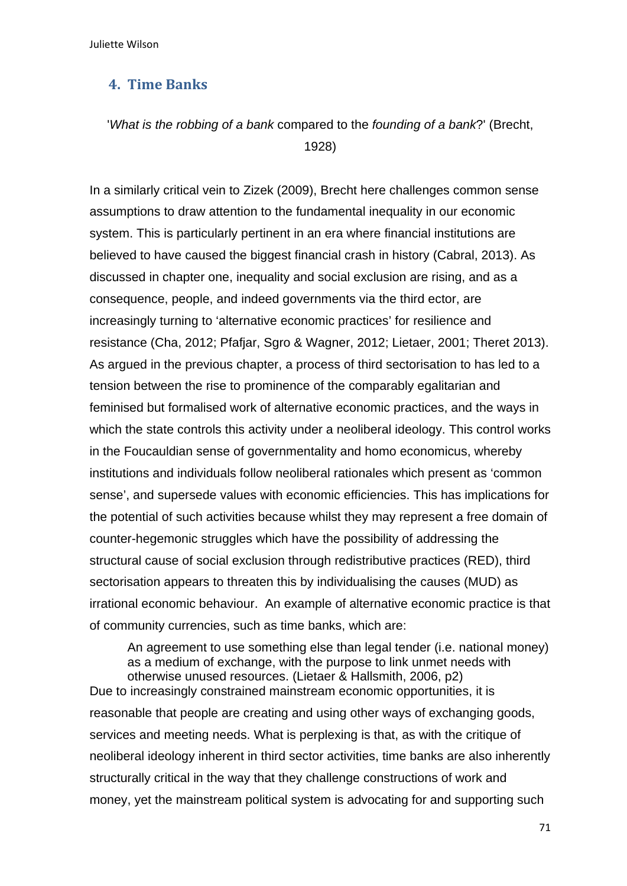## **4. Time Banks**

# '*What is the robbing of a bank* compared to the *founding of a bank*?' (Brecht, 1928)

In a similarly critical vein to Zizek (2009), Brecht here challenges common sense assumptions to draw attention to the fundamental inequality in our economic system. This is particularly pertinent in an era where financial institutions are believed to have caused the biggest financial crash in history (Cabral, 2013). As discussed in chapter one, inequality and social exclusion are rising, and as a consequence, people, and indeed governments via the third ector, are increasingly turning to 'alternative economic practices' for resilience and resistance (Cha, 2012; Pfafjar, Sgro & Wagner, 2012; Lietaer, 2001; Theret 2013). As argued in the previous chapter, a process of third sectorisation to has led to a tension between the rise to prominence of the comparably egalitarian and feminised but formalised work of alternative economic practices, and the ways in which the state controls this activity under a neoliberal ideology. This control works in the Foucauldian sense of governmentality and homo economicus, whereby institutions and individuals follow neoliberal rationales which present as 'common sense', and supersede values with economic efficiencies. This has implications for the potential of such activities because whilst they may represent a free domain of counter-hegemonic struggles which have the possibility of addressing the structural cause of social exclusion through redistributive practices (RED), third sectorisation appears to threaten this by individualising the causes (MUD) as irrational economic behaviour. An example of alternative economic practice is that of community currencies, such as time banks, which are:

An agreement to use something else than legal tender (i.e. national money) as a medium of exchange, with the purpose to link unmet needs with otherwise unused resources. (Lietaer & Hallsmith, 2006, p2) Due to increasingly constrained mainstream economic opportunities, it is reasonable that people are creating and using other ways of exchanging goods, services and meeting needs. What is perplexing is that, as with the critique of neoliberal ideology inherent in third sector activities, time banks are also inherently structurally critical in the way that they challenge constructions of work and money, yet the mainstream political system is advocating for and supporting such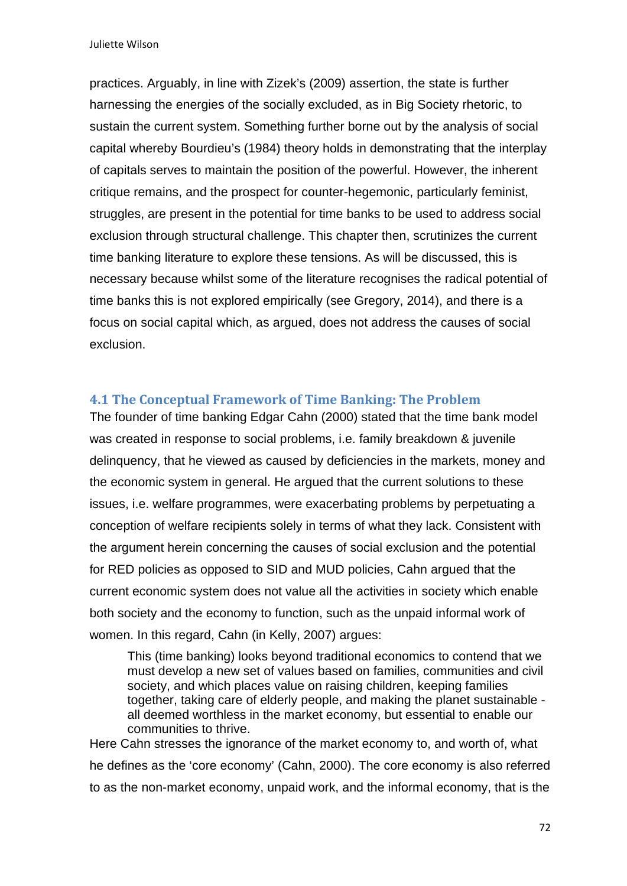practices. Arguably, in line with Zizek's (2009) assertion, the state is further harnessing the energies of the socially excluded, as in Big Society rhetoric, to sustain the current system. Something further borne out by the analysis of social capital whereby Bourdieu's (1984) theory holds in demonstrating that the interplay of capitals serves to maintain the position of the powerful. However, the inherent critique remains, and the prospect for counter-hegemonic, particularly feminist, struggles, are present in the potential for time banks to be used to address social exclusion through structural challenge. This chapter then, scrutinizes the current time banking literature to explore these tensions. As will be discussed, this is necessary because whilst some of the literature recognises the radical potential of time banks this is not explored empirically (see Gregory, 2014), and there is a focus on social capital which, as argued, does not address the causes of social exclusion.

#### **4.1 The Conceptual Framework of Time Banking: The Problem**

The founder of time banking Edgar Cahn (2000) stated that the time bank model was created in response to social problems, i.e. family breakdown & juvenile delinquency, that he viewed as caused by deficiencies in the markets, money and the economic system in general. He argued that the current solutions to these issues, i.e. welfare programmes, were exacerbating problems by perpetuating a conception of welfare recipients solely in terms of what they lack. Consistent with the argument herein concerning the causes of social exclusion and the potential for RED policies as opposed to SID and MUD policies, Cahn argued that the current economic system does not value all the activities in society which enable both society and the economy to function, such as the unpaid informal work of women. In this regard, Cahn (in Kelly, 2007) argues:

This (time banking) looks beyond traditional economics to contend that we must develop a new set of values based on families, communities and civil society, and which places value on raising children, keeping families together, taking care of elderly people, and making the planet sustainable all deemed worthless in the market economy, but essential to enable our communities to thrive.

Here Cahn stresses the ignorance of the market economy to, and worth of, what he defines as the 'core economy' (Cahn, 2000). The core economy is also referred to as the non-market economy, unpaid work, and the informal economy, that is the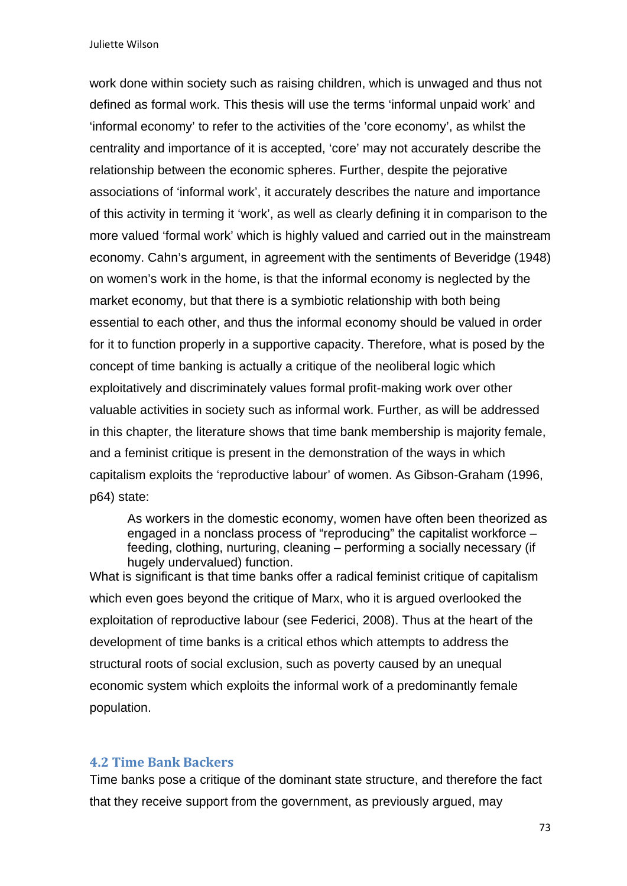work done within society such as raising children, which is unwaged and thus not defined as formal work. This thesis will use the terms 'informal unpaid work' and 'informal economy' to refer to the activities of the 'core economy', as whilst the centrality and importance of it is accepted, 'core' may not accurately describe the relationship between the economic spheres. Further, despite the pejorative associations of 'informal work', it accurately describes the nature and importance of this activity in terming it 'work', as well as clearly defining it in comparison to the more valued 'formal work' which is highly valued and carried out in the mainstream economy. Cahn's argument, in agreement with the sentiments of Beveridge (1948) on women's work in the home, is that the informal economy is neglected by the market economy, but that there is a symbiotic relationship with both being essential to each other, and thus the informal economy should be valued in order for it to function properly in a supportive capacity. Therefore, what is posed by the concept of time banking is actually a critique of the neoliberal logic which exploitatively and discriminately values formal profit-making work over other valuable activities in society such as informal work. Further, as will be addressed in this chapter, the literature shows that time bank membership is majority female, and a feminist critique is present in the demonstration of the ways in which capitalism exploits the 'reproductive labour' of women. As Gibson-Graham (1996, p64) state:

As workers in the domestic economy, women have often been theorized as engaged in a nonclass process of "reproducing" the capitalist workforce – feeding, clothing, nurturing, cleaning – performing a socially necessary (if hugely undervalued) function.

What is significant is that time banks offer a radical feminist critique of capitalism which even goes beyond the critique of Marx, who it is argued overlooked the exploitation of reproductive labour (see Federici, 2008). Thus at the heart of the development of time banks is a critical ethos which attempts to address the structural roots of social exclusion, such as poverty caused by an unequal economic system which exploits the informal work of a predominantly female population.

### **4.2 Time Bank Backers**

Time banks pose a critique of the dominant state structure, and therefore the fact that they receive support from the government, as previously argued, may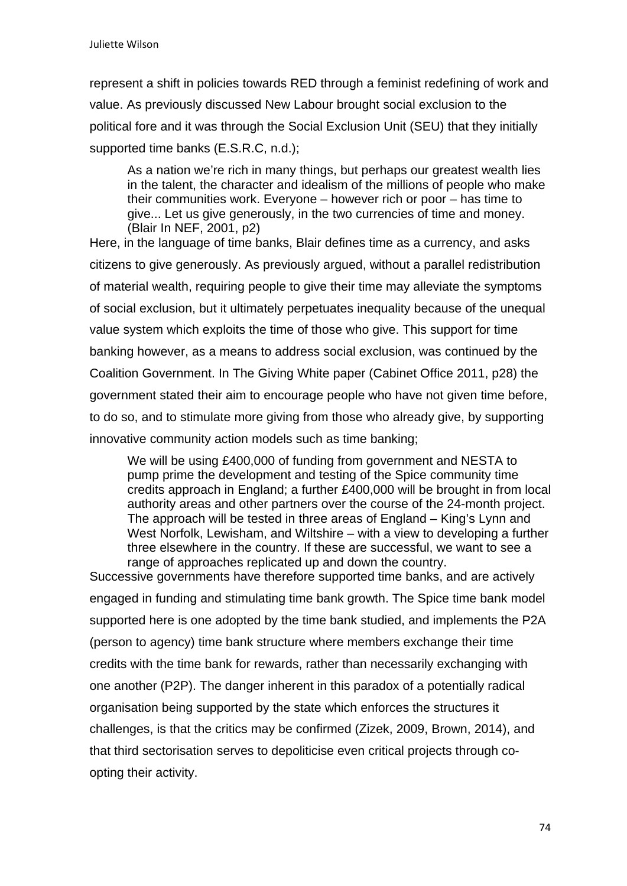represent a shift in policies towards RED through a feminist redefining of work and value. As previously discussed New Labour brought social exclusion to the political fore and it was through the Social Exclusion Unit (SEU) that they initially supported time banks (E.S.R.C, n.d.);

As a nation we're rich in many things, but perhaps our greatest wealth lies in the talent, the character and idealism of the millions of people who make their communities work. Everyone – however rich or poor – has time to give... Let us give generously, in the two currencies of time and money. (Blair In NEF, 2001, p2)

Here, in the language of time banks, Blair defines time as a currency, and asks citizens to give generously. As previously argued, without a parallel redistribution of material wealth, requiring people to give their time may alleviate the symptoms of social exclusion, but it ultimately perpetuates inequality because of the unequal value system which exploits the time of those who give. This support for time banking however, as a means to address social exclusion, was continued by the Coalition Government. In The Giving White paper (Cabinet Office 2011, p28) the government stated their aim to encourage people who have not given time before, to do so, and to stimulate more giving from those who already give, by supporting innovative community action models such as time banking;

We will be using £400,000 of funding from government and NESTA to pump prime the development and testing of the Spice community time credits approach in England; a further £400,000 will be brought in from local authority areas and other partners over the course of the 24-month project. The approach will be tested in three areas of England – King's Lynn and West Norfolk, Lewisham, and Wiltshire – with a view to developing a further three elsewhere in the country. If these are successful, we want to see a range of approaches replicated up and down the country.

Successive governments have therefore supported time banks, and are actively engaged in funding and stimulating time bank growth. The Spice time bank model supported here is one adopted by the time bank studied, and implements the P2A (person to agency) time bank structure where members exchange their time credits with the time bank for rewards, rather than necessarily exchanging with one another (P2P). The danger inherent in this paradox of a potentially radical organisation being supported by the state which enforces the structures it challenges, is that the critics may be confirmed (Zizek, 2009, Brown, 2014), and that third sectorisation serves to depoliticise even critical projects through coopting their activity.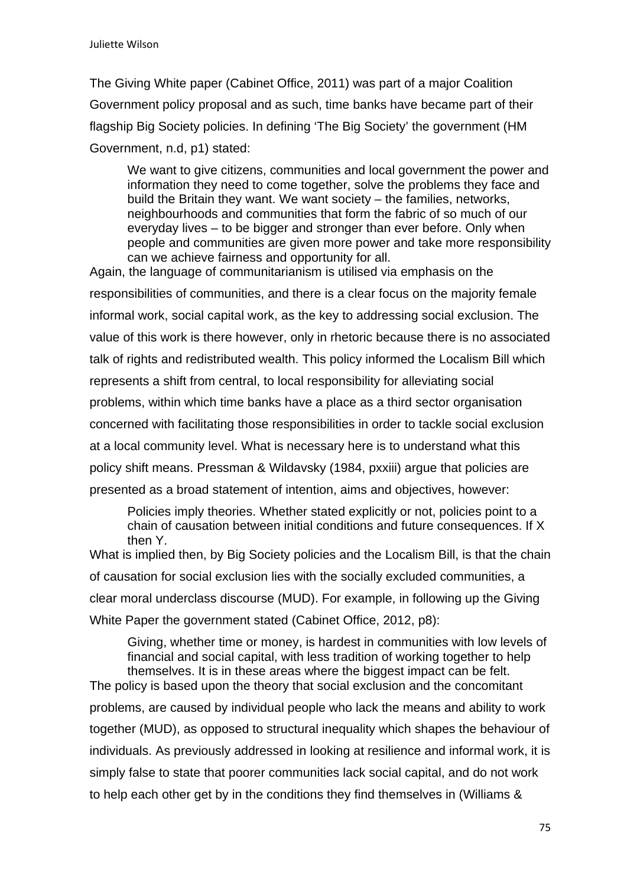The Giving White paper (Cabinet Office, 2011) was part of a major Coalition Government policy proposal and as such, time banks have became part of their flagship Big Society policies. In defining 'The Big Society' the government (HM Government, n.d, p1) stated:

We want to give citizens, communities and local government the power and information they need to come together, solve the problems they face and build the Britain they want. We want society – the families, networks, neighbourhoods and communities that form the fabric of so much of our everyday lives – to be bigger and stronger than ever before. Only when people and communities are given more power and take more responsibility can we achieve fairness and opportunity for all.

Again, the language of communitarianism is utilised via emphasis on the responsibilities of communities, and there is a clear focus on the majority female informal work, social capital work, as the key to addressing social exclusion. The value of this work is there however, only in rhetoric because there is no associated talk of rights and redistributed wealth. This policy informed the Localism Bill which represents a shift from central, to local responsibility for alleviating social problems, within which time banks have a place as a third sector organisation concerned with facilitating those responsibilities in order to tackle social exclusion at a local community level. What is necessary here is to understand what this policy shift means. Pressman & Wildavsky (1984, pxxiii) argue that policies are presented as a broad statement of intention, aims and objectives, however:

 Policies imply theories. Whether stated explicitly or not, policies point to a chain of causation between initial conditions and future consequences. If X then Y.

What is implied then, by Big Society policies and the Localism Bill, is that the chain of causation for social exclusion lies with the socially excluded communities, a clear moral underclass discourse (MUD). For example, in following up the Giving White Paper the government stated (Cabinet Office, 2012, p8):

Giving, whether time or money, is hardest in communities with low levels of financial and social capital, with less tradition of working together to help themselves. It is in these areas where the biggest impact can be felt. The policy is based upon the theory that social exclusion and the concomitant problems, are caused by individual people who lack the means and ability to work together (MUD), as opposed to structural inequality which shapes the behaviour of individuals. As previously addressed in looking at resilience and informal work, it is simply false to state that poorer communities lack social capital, and do not work to help each other get by in the conditions they find themselves in (Williams &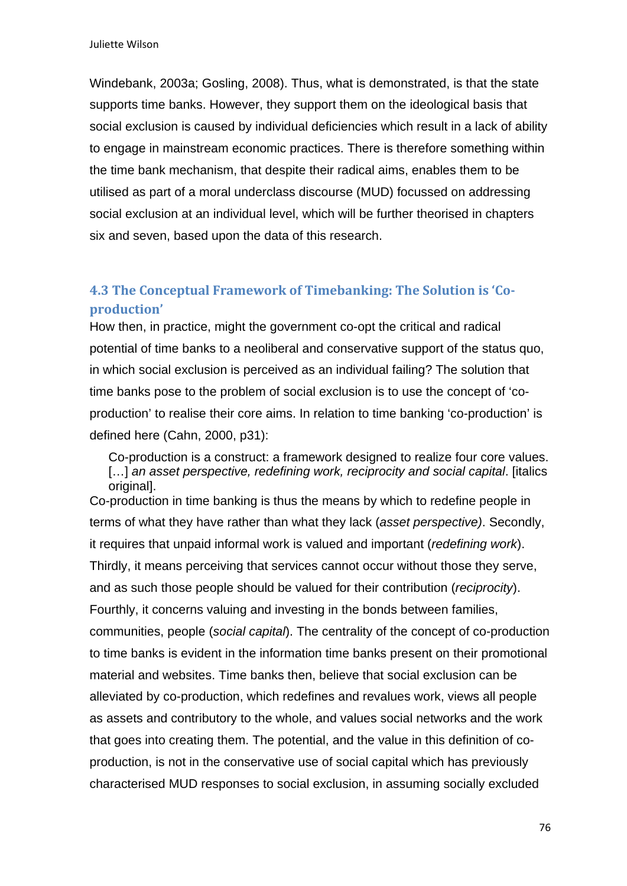Windebank, 2003a; Gosling, 2008). Thus, what is demonstrated, is that the state supports time banks. However, they support them on the ideological basis that social exclusion is caused by individual deficiencies which result in a lack of ability to engage in mainstream economic practices. There is therefore something within the time bank mechanism, that despite their radical aims, enables them to be utilised as part of a moral underclass discourse (MUD) focussed on addressing social exclusion at an individual level, which will be further theorised in chapters six and seven, based upon the data of this research.

# **4.3 The Conceptual Framework of Timebanking: The Solution is 'Co‐ production'**

How then, in practice, might the government co-opt the critical and radical potential of time banks to a neoliberal and conservative support of the status quo, in which social exclusion is perceived as an individual failing? The solution that time banks pose to the problem of social exclusion is to use the concept of 'coproduction' to realise their core aims. In relation to time banking 'co-production' is defined here (Cahn, 2000, p31):

Co-production is a construct: a framework designed to realize four core values. [...] *an asset perspective, redefining work, reciprocity and social capital.* [italics] original<sub>l</sub>.

Co-production in time banking is thus the means by which to redefine people in terms of what they have rather than what they lack (*asset perspective)*. Secondly, it requires that unpaid informal work is valued and important (*redefining work*). Thirdly, it means perceiving that services cannot occur without those they serve, and as such those people should be valued for their contribution (*reciprocity*). Fourthly, it concerns valuing and investing in the bonds between families, communities, people (*social capital*). The centrality of the concept of co-production to time banks is evident in the information time banks present on their promotional material and websites. Time banks then, believe that social exclusion can be alleviated by co-production, which redefines and revalues work, views all people as assets and contributory to the whole, and values social networks and the work that goes into creating them. The potential, and the value in this definition of coproduction, is not in the conservative use of social capital which has previously characterised MUD responses to social exclusion, in assuming socially excluded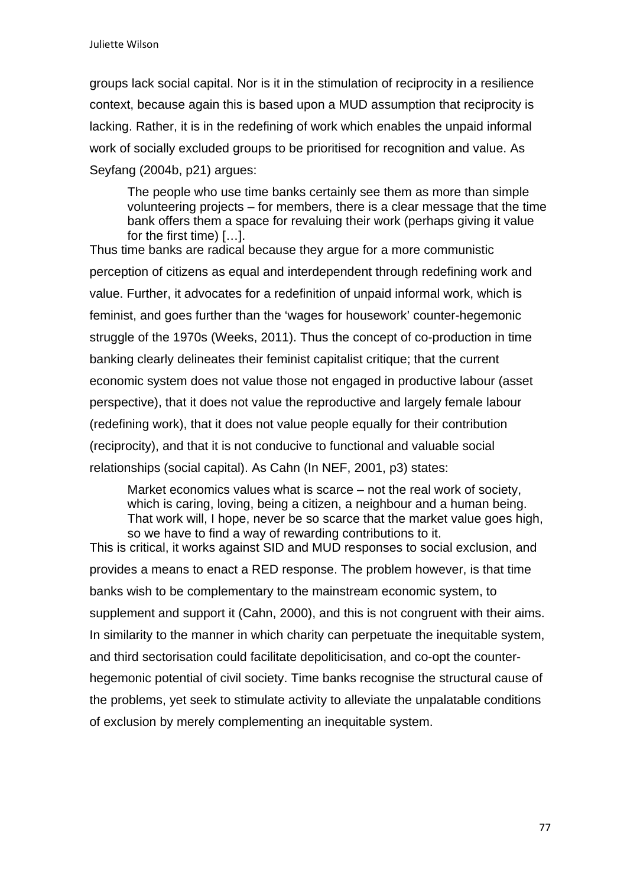groups lack social capital. Nor is it in the stimulation of reciprocity in a resilience context, because again this is based upon a MUD assumption that reciprocity is lacking. Rather, it is in the redefining of work which enables the unpaid informal work of socially excluded groups to be prioritised for recognition and value. As Seyfang (2004b, p21) argues:

The people who use time banks certainly see them as more than simple volunteering projects – for members, there is a clear message that the time bank offers them a space for revaluing their work (perhaps giving it value for the first time) […].

Thus time banks are radical because they argue for a more communistic perception of citizens as equal and interdependent through redefining work and value. Further, it advocates for a redefinition of unpaid informal work, which is feminist, and goes further than the 'wages for housework' counter-hegemonic struggle of the 1970s (Weeks, 2011). Thus the concept of co-production in time banking clearly delineates their feminist capitalist critique; that the current economic system does not value those not engaged in productive labour (asset perspective), that it does not value the reproductive and largely female labour (redefining work), that it does not value people equally for their contribution (reciprocity), and that it is not conducive to functional and valuable social relationships (social capital). As Cahn (In NEF, 2001, p3) states:

Market economics values what is scarce – not the real work of society, which is caring, loving, being a citizen, a neighbour and a human being. That work will, I hope, never be so scarce that the market value goes high, so we have to find a way of rewarding contributions to it.

This is critical, it works against SID and MUD responses to social exclusion, and provides a means to enact a RED response. The problem however, is that time banks wish to be complementary to the mainstream economic system, to supplement and support it (Cahn, 2000), and this is not congruent with their aims. In similarity to the manner in which charity can perpetuate the inequitable system, and third sectorisation could facilitate depoliticisation, and co-opt the counterhegemonic potential of civil society. Time banks recognise the structural cause of the problems, yet seek to stimulate activity to alleviate the unpalatable conditions of exclusion by merely complementing an inequitable system.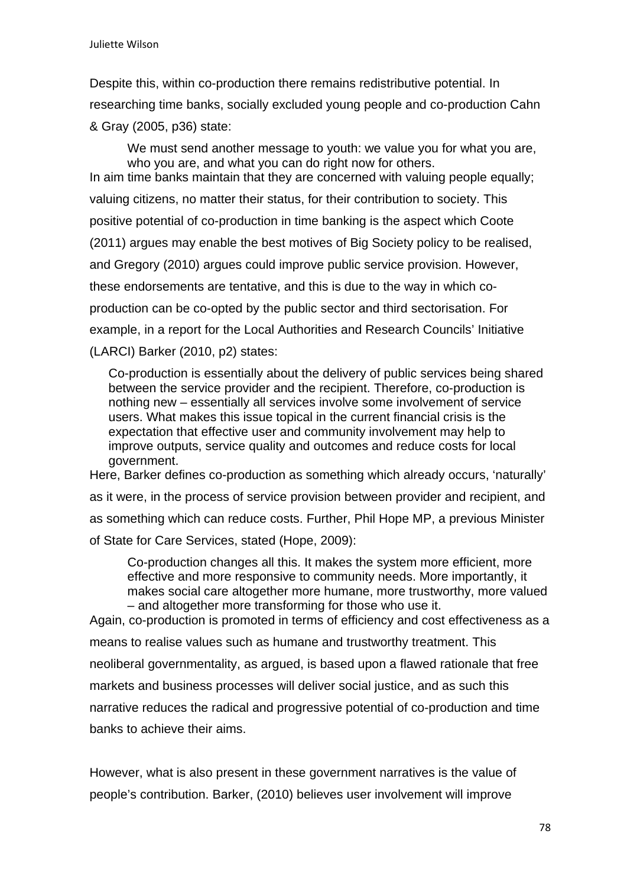Despite this, within co-production there remains redistributive potential. In researching time banks, socially excluded young people and co-production Cahn & Gray (2005, p36) state:

We must send another message to youth: we value you for what you are, who you are, and what you can do right now for others. In aim time banks maintain that they are concerned with valuing people equally; valuing citizens, no matter their status, for their contribution to society. This positive potential of co-production in time banking is the aspect which Coote (2011) argues may enable the best motives of Big Society policy to be realised, and Gregory (2010) argues could improve public service provision. However, these endorsements are tentative, and this is due to the way in which coproduction can be co-opted by the public sector and third sectorisation. For example, in a report for the Local Authorities and Research Councils' Initiative (LARCI) Barker (2010, p2) states:

Co-production is essentially about the delivery of public services being shared between the service provider and the recipient. Therefore, co-production is nothing new – essentially all services involve some involvement of service users. What makes this issue topical in the current financial crisis is the expectation that effective user and community involvement may help to improve outputs, service quality and outcomes and reduce costs for local government.

Here, Barker defines co-production as something which already occurs, 'naturally' as it were, in the process of service provision between provider and recipient, and as something which can reduce costs. Further, Phil Hope MP, a previous Minister of State for Care Services, stated (Hope, 2009):

Co-production changes all this. It makes the system more efficient, more effective and more responsive to community needs. More importantly, it makes social care altogether more humane, more trustworthy, more valued – and altogether more transforming for those who use it.

Again, co-production is promoted in terms of efficiency and cost effectiveness as a means to realise values such as humane and trustworthy treatment. This neoliberal governmentality, as argued, is based upon a flawed rationale that free markets and business processes will deliver social justice, and as such this narrative reduces the radical and progressive potential of co-production and time banks to achieve their aims.

However, what is also present in these government narratives is the value of people's contribution. Barker, (2010) believes user involvement will improve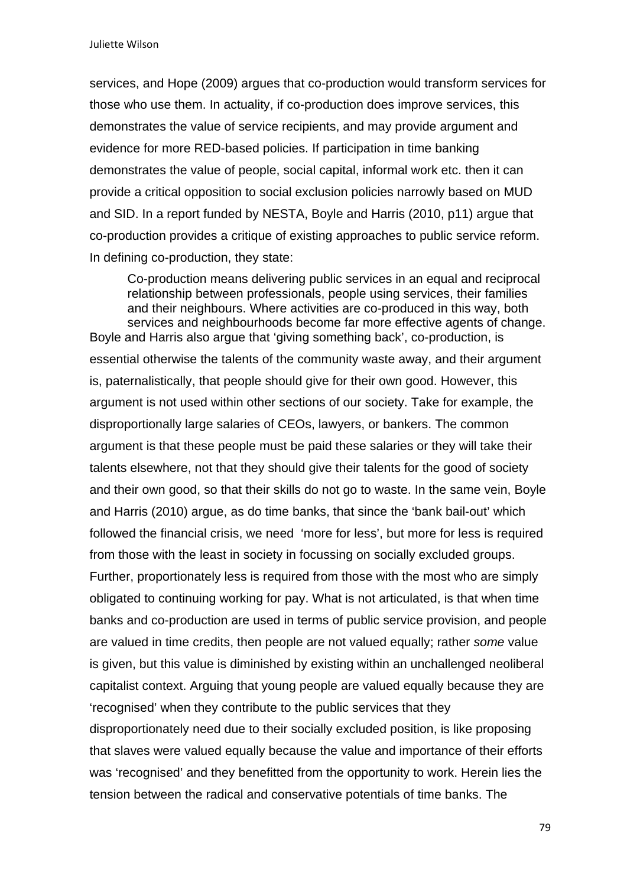services, and Hope (2009) argues that co-production would transform services for those who use them. In actuality, if co-production does improve services, this demonstrates the value of service recipients, and may provide argument and evidence for more RED-based policies. If participation in time banking demonstrates the value of people, social capital, informal work etc. then it can provide a critical opposition to social exclusion policies narrowly based on MUD and SID. In a report funded by NESTA, Boyle and Harris (2010, p11) argue that co-production provides a critique of existing approaches to public service reform. In defining co-production, they state:

Co-production means delivering public services in an equal and reciprocal relationship between professionals, people using services, their families and their neighbours. Where activities are co-produced in this way, both services and neighbourhoods become far more effective agents of change. Boyle and Harris also argue that 'giving something back', co-production, is

essential otherwise the talents of the community waste away, and their argument is, paternalistically, that people should give for their own good. However, this argument is not used within other sections of our society. Take for example, the disproportionally large salaries of CEOs, lawyers, or bankers. The common argument is that these people must be paid these salaries or they will take their talents elsewhere, not that they should give their talents for the good of society and their own good, so that their skills do not go to waste. In the same vein, Boyle and Harris (2010) argue, as do time banks, that since the 'bank bail-out' which followed the financial crisis, we need 'more for less', but more for less is required from those with the least in society in focussing on socially excluded groups. Further, proportionately less is required from those with the most who are simply obligated to continuing working for pay. What is not articulated, is that when time banks and co-production are used in terms of public service provision, and people are valued in time credits, then people are not valued equally; rather *some* value is given, but this value is diminished by existing within an unchallenged neoliberal capitalist context. Arguing that young people are valued equally because they are 'recognised' when they contribute to the public services that they disproportionately need due to their socially excluded position, is like proposing that slaves were valued equally because the value and importance of their efforts was 'recognised' and they benefitted from the opportunity to work. Herein lies the tension between the radical and conservative potentials of time banks. The

79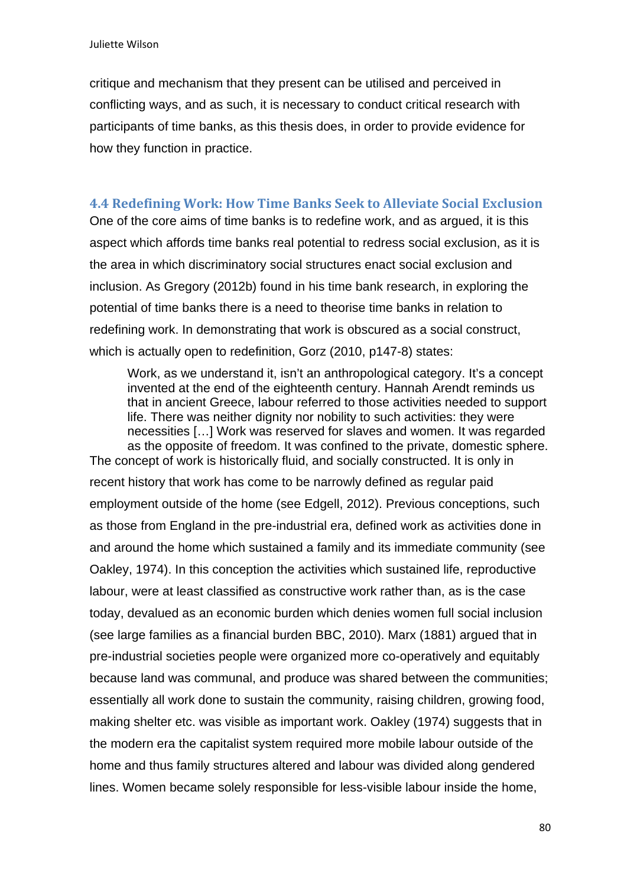critique and mechanism that they present can be utilised and perceived in conflicting ways, and as such, it is necessary to conduct critical research with participants of time banks, as this thesis does, in order to provide evidence for how they function in practice.

### **4.4 Redefining Work: How Time Banks Seek to Alleviate Social Exclusion**

One of the core aims of time banks is to redefine work, and as argued, it is this aspect which affords time banks real potential to redress social exclusion, as it is the area in which discriminatory social structures enact social exclusion and inclusion. As Gregory (2012b) found in his time bank research, in exploring the potential of time banks there is a need to theorise time banks in relation to redefining work. In demonstrating that work is obscured as a social construct, which is actually open to redefinition, Gorz (2010, p147-8) states:

Work, as we understand it, isn't an anthropological category. It's a concept invented at the end of the eighteenth century. Hannah Arendt reminds us that in ancient Greece, labour referred to those activities needed to support life. There was neither dignity nor nobility to such activities: they were necessities […] Work was reserved for slaves and women. It was regarded as the opposite of freedom. It was confined to the private, domestic sphere. The concept of work is historically fluid, and socially constructed. It is only in

recent history that work has come to be narrowly defined as regular paid employment outside of the home (see Edgell, 2012). Previous conceptions, such as those from England in the pre-industrial era, defined work as activities done in and around the home which sustained a family and its immediate community (see Oakley, 1974). In this conception the activities which sustained life, reproductive labour, were at least classified as constructive work rather than, as is the case today, devalued as an economic burden which denies women full social inclusion (see large families as a financial burden BBC, 2010). Marx (1881) argued that in pre-industrial societies people were organized more co-operatively and equitably because land was communal, and produce was shared between the communities; essentially all work done to sustain the community, raising children, growing food, making shelter etc. was visible as important work. Oakley (1974) suggests that in the modern era the capitalist system required more mobile labour outside of the home and thus family structures altered and labour was divided along gendered lines. Women became solely responsible for less-visible labour inside the home,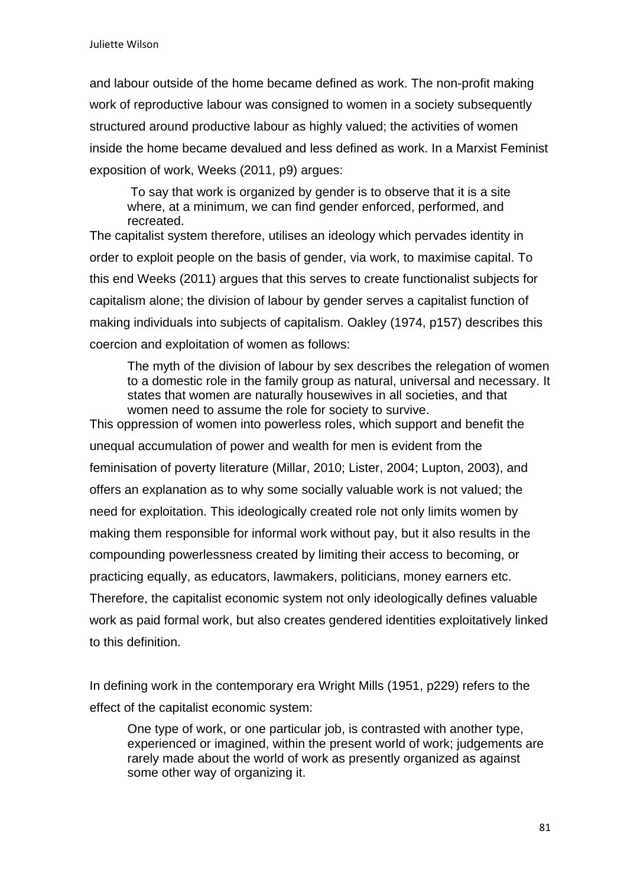and labour outside of the home became defined as work. The non-profit making work of reproductive labour was consigned to women in a society subsequently structured around productive labour as highly valued; the activities of women inside the home became devalued and less defined as work. In a Marxist Feminist exposition of work, Weeks (2011, p9) argues:

To say that work is organized by gender is to observe that it is a site where, at a minimum, we can find gender enforced, performed, and recreated.

The capitalist system therefore, utilises an ideology which pervades identity in order to exploit people on the basis of gender, via work, to maximise capital. To this end Weeks (2011) argues that this serves to create functionalist subjects for capitalism alone; the division of labour by gender serves a capitalist function of making individuals into subjects of capitalism. Oakley (1974, p157) describes this coercion and exploitation of women as follows:

The myth of the division of labour by sex describes the relegation of women to a domestic role in the family group as natural, universal and necessary. It states that women are naturally housewives in all societies, and that women need to assume the role for society to survive.

This oppression of women into powerless roles, which support and benefit the unequal accumulation of power and wealth for men is evident from the feminisation of poverty literature (Millar, 2010; Lister, 2004; Lupton, 2003), and offers an explanation as to why some socially valuable work is not valued; the need for exploitation. This ideologically created role not only limits women by making them responsible for informal work without pay, but it also results in the compounding powerlessness created by limiting their access to becoming, or practicing equally, as educators, lawmakers, politicians, money earners etc. Therefore, the capitalist economic system not only ideologically defines valuable work as paid formal work, but also creates gendered identities exploitatively linked to this definition.

In defining work in the contemporary era Wright Mills (1951, p229) refers to the effect of the capitalist economic system:

One type of work, or one particular job, is contrasted with another type, experienced or imagined, within the present world of work; judgements are rarely made about the world of work as presently organized as against some other way of organizing it.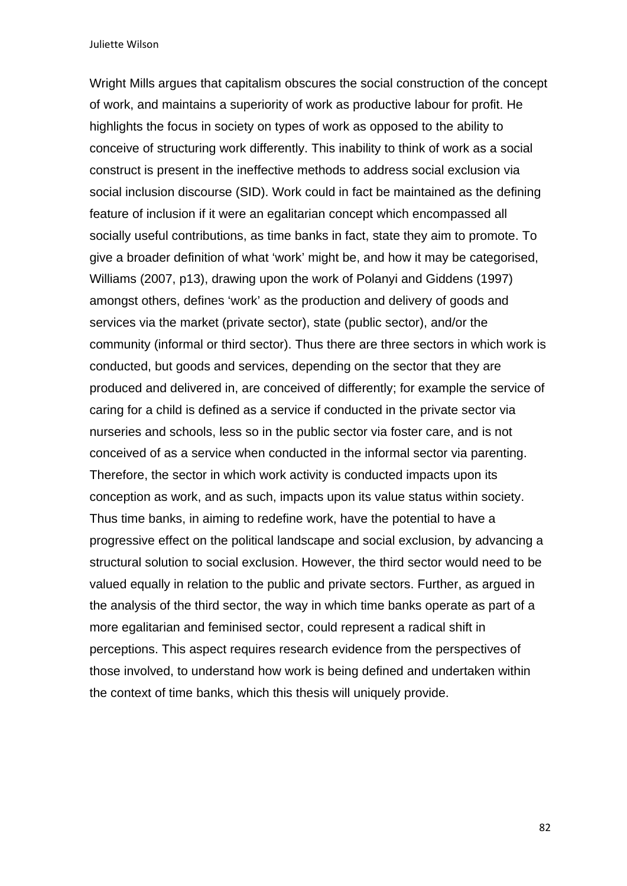Wright Mills argues that capitalism obscures the social construction of the concept of work, and maintains a superiority of work as productive labour for profit. He highlights the focus in society on types of work as opposed to the ability to conceive of structuring work differently. This inability to think of work as a social construct is present in the ineffective methods to address social exclusion via social inclusion discourse (SID). Work could in fact be maintained as the defining feature of inclusion if it were an egalitarian concept which encompassed all socially useful contributions, as time banks in fact, state they aim to promote. To give a broader definition of what 'work' might be, and how it may be categorised, Williams (2007, p13), drawing upon the work of Polanyi and Giddens (1997) amongst others, defines 'work' as the production and delivery of goods and services via the market (private sector), state (public sector), and/or the community (informal or third sector). Thus there are three sectors in which work is conducted, but goods and services, depending on the sector that they are produced and delivered in, are conceived of differently; for example the service of caring for a child is defined as a service if conducted in the private sector via nurseries and schools, less so in the public sector via foster care, and is not conceived of as a service when conducted in the informal sector via parenting. Therefore, the sector in which work activity is conducted impacts upon its conception as work, and as such, impacts upon its value status within society. Thus time banks, in aiming to redefine work, have the potential to have a progressive effect on the political landscape and social exclusion, by advancing a structural solution to social exclusion. However, the third sector would need to be valued equally in relation to the public and private sectors. Further, as argued in the analysis of the third sector, the way in which time banks operate as part of a more egalitarian and feminised sector, could represent a radical shift in perceptions. This aspect requires research evidence from the perspectives of those involved, to understand how work is being defined and undertaken within the context of time banks, which this thesis will uniquely provide.

82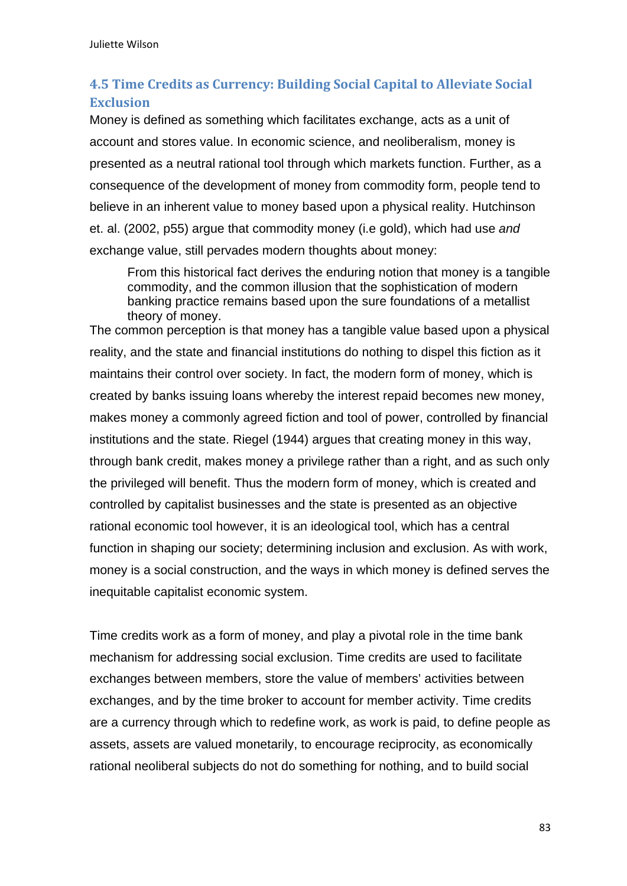# **4.5 Time Credits as Currency: Building Social Capital to Alleviate Social Exclusion**

Money is defined as something which facilitates exchange, acts as a unit of account and stores value. In economic science, and neoliberalism, money is presented as a neutral rational tool through which markets function. Further, as a consequence of the development of money from commodity form, people tend to believe in an inherent value to money based upon a physical reality. Hutchinson et. al. (2002, p55) argue that commodity money (i.e gold), which had use *and*  exchange value, still pervades modern thoughts about money:

From this historical fact derives the enduring notion that money is a tangible commodity, and the common illusion that the sophistication of modern banking practice remains based upon the sure foundations of a metallist theory of money.

The common perception is that money has a tangible value based upon a physical reality, and the state and financial institutions do nothing to dispel this fiction as it maintains their control over society. In fact, the modern form of money, which is created by banks issuing loans whereby the interest repaid becomes new money, makes money a commonly agreed fiction and tool of power, controlled by financial institutions and the state. Riegel (1944) argues that creating money in this way, through bank credit, makes money a privilege rather than a right, and as such only the privileged will benefit. Thus the modern form of money, which is created and controlled by capitalist businesses and the state is presented as an objective rational economic tool however, it is an ideological tool, which has a central function in shaping our society; determining inclusion and exclusion. As with work, money is a social construction, and the ways in which money is defined serves the inequitable capitalist economic system.

Time credits work as a form of money, and play a pivotal role in the time bank mechanism for addressing social exclusion. Time credits are used to facilitate exchanges between members, store the value of members' activities between exchanges, and by the time broker to account for member activity. Time credits are a currency through which to redefine work, as work is paid, to define people as assets, assets are valued monetarily, to encourage reciprocity, as economically rational neoliberal subjects do not do something for nothing, and to build social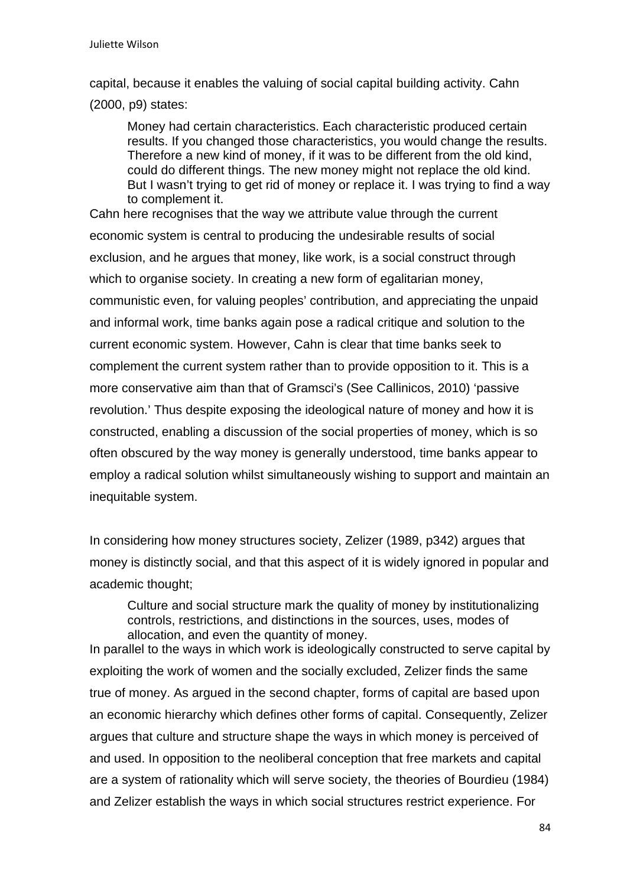capital, because it enables the valuing of social capital building activity. Cahn (2000, p9) states:

Money had certain characteristics. Each characteristic produced certain results. If you changed those characteristics, you would change the results. Therefore a new kind of money, if it was to be different from the old kind, could do different things. The new money might not replace the old kind. But I wasn't trying to get rid of money or replace it. I was trying to find a way to complement it.

Cahn here recognises that the way we attribute value through the current economic system is central to producing the undesirable results of social exclusion, and he argues that money, like work, is a social construct through which to organise society. In creating a new form of egalitarian money, communistic even, for valuing peoples' contribution, and appreciating the unpaid and informal work, time banks again pose a radical critique and solution to the current economic system. However, Cahn is clear that time banks seek to complement the current system rather than to provide opposition to it. This is a more conservative aim than that of Gramsci's (See Callinicos, 2010) 'passive revolution.' Thus despite exposing the ideological nature of money and how it is constructed, enabling a discussion of the social properties of money, which is so often obscured by the way money is generally understood, time banks appear to employ a radical solution whilst simultaneously wishing to support and maintain an inequitable system.

In considering how money structures society, Zelizer (1989, p342) argues that money is distinctly social, and that this aspect of it is widely ignored in popular and academic thought;

Culture and social structure mark the quality of money by institutionalizing controls, restrictions, and distinctions in the sources, uses, modes of allocation, and even the quantity of money.

In parallel to the ways in which work is ideologically constructed to serve capital by exploiting the work of women and the socially excluded, Zelizer finds the same true of money. As argued in the second chapter, forms of capital are based upon an economic hierarchy which defines other forms of capital. Consequently, Zelizer argues that culture and structure shape the ways in which money is perceived of and used. In opposition to the neoliberal conception that free markets and capital are a system of rationality which will serve society, the theories of Bourdieu (1984) and Zelizer establish the ways in which social structures restrict experience. For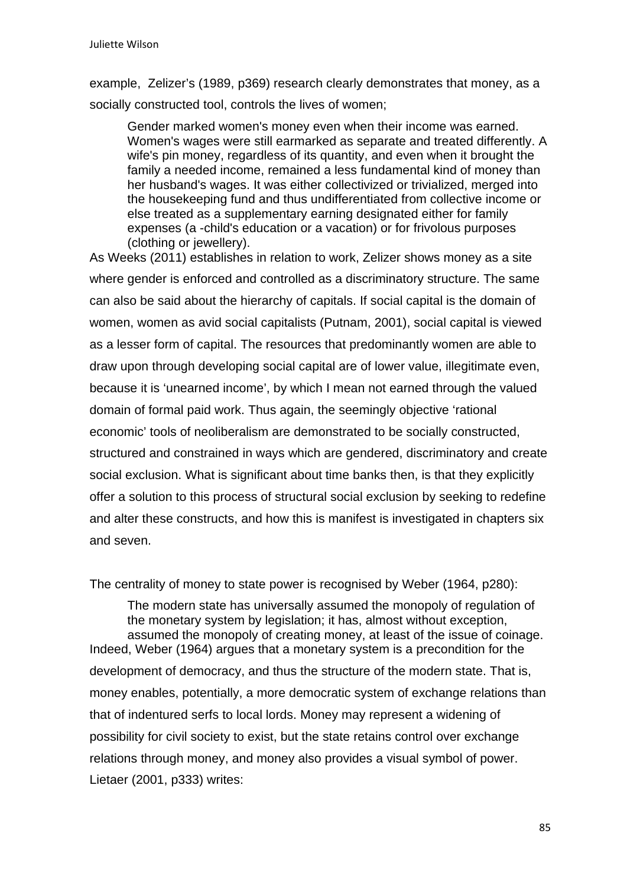example, Zelizer's (1989, p369) research clearly demonstrates that money, as a socially constructed tool, controls the lives of women;

Gender marked women's money even when their income was earned. Women's wages were still earmarked as separate and treated differently. A wife's pin money, regardless of its quantity, and even when it brought the family a needed income, remained a less fundamental kind of money than her husband's wages. It was either collectivized or trivialized, merged into the housekeeping fund and thus undifferentiated from collective income or else treated as a supplementary earning designated either for family expenses (a -child's education or a vacation) or for frivolous purposes (clothing or jewellery).

As Weeks (2011) establishes in relation to work, Zelizer shows money as a site where gender is enforced and controlled as a discriminatory structure. The same can also be said about the hierarchy of capitals. If social capital is the domain of women, women as avid social capitalists (Putnam, 2001), social capital is viewed as a lesser form of capital. The resources that predominantly women are able to draw upon through developing social capital are of lower value, illegitimate even, because it is 'unearned income', by which I mean not earned through the valued domain of formal paid work. Thus again, the seemingly objective 'rational economic' tools of neoliberalism are demonstrated to be socially constructed, structured and constrained in ways which are gendered, discriminatory and create social exclusion. What is significant about time banks then, is that they explicitly offer a solution to this process of structural social exclusion by seeking to redefine and alter these constructs, and how this is manifest is investigated in chapters six and seven.

The centrality of money to state power is recognised by Weber (1964, p280):

The modern state has universally assumed the monopoly of regulation of the monetary system by legislation; it has, almost without exception, assumed the monopoly of creating money, at least of the issue of coinage. Indeed, Weber (1964) argues that a monetary system is a precondition for the development of democracy, and thus the structure of the modern state. That is, money enables, potentially, a more democratic system of exchange relations than that of indentured serfs to local lords. Money may represent a widening of possibility for civil society to exist, but the state retains control over exchange relations through money, and money also provides a visual symbol of power. Lietaer (2001, p333) writes: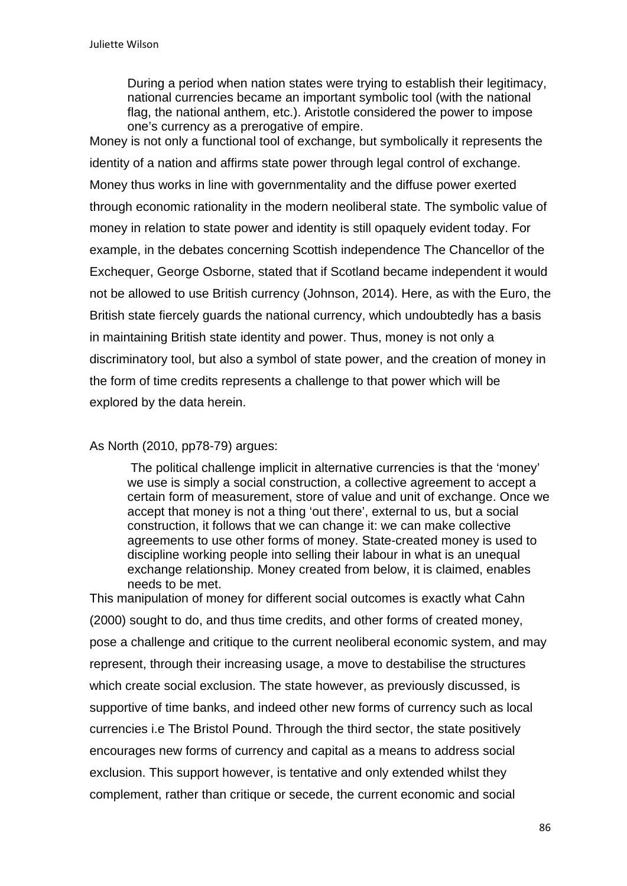During a period when nation states were trying to establish their legitimacy, national currencies became an important symbolic tool (with the national flag, the national anthem, etc.). Aristotle considered the power to impose one's currency as a prerogative of empire.

Money is not only a functional tool of exchange, but symbolically it represents the identity of a nation and affirms state power through legal control of exchange. Money thus works in line with governmentality and the diffuse power exerted through economic rationality in the modern neoliberal state. The symbolic value of money in relation to state power and identity is still opaquely evident today. For example, in the debates concerning Scottish independence The Chancellor of the Exchequer, George Osborne, stated that if Scotland became independent it would not be allowed to use British currency (Johnson, 2014). Here, as with the Euro, the British state fiercely guards the national currency, which undoubtedly has a basis in maintaining British state identity and power. Thus, money is not only a discriminatory tool, but also a symbol of state power, and the creation of money in the form of time credits represents a challenge to that power which will be explored by the data herein.

### As North (2010, pp78-79) argues:

The political challenge implicit in alternative currencies is that the 'money' we use is simply a social construction, a collective agreement to accept a certain form of measurement, store of value and unit of exchange. Once we accept that money is not a thing 'out there', external to us, but a social construction, it follows that we can change it: we can make collective agreements to use other forms of money. State-created money is used to discipline working people into selling their labour in what is an unequal exchange relationship. Money created from below, it is claimed, enables needs to be met.

This manipulation of money for different social outcomes is exactly what Cahn (2000) sought to do, and thus time credits, and other forms of created money, pose a challenge and critique to the current neoliberal economic system, and may represent, through their increasing usage, a move to destabilise the structures which create social exclusion. The state however, as previously discussed, is supportive of time banks, and indeed other new forms of currency such as local currencies i.e The Bristol Pound. Through the third sector, the state positively encourages new forms of currency and capital as a means to address social exclusion. This support however, is tentative and only extended whilst they complement, rather than critique or secede, the current economic and social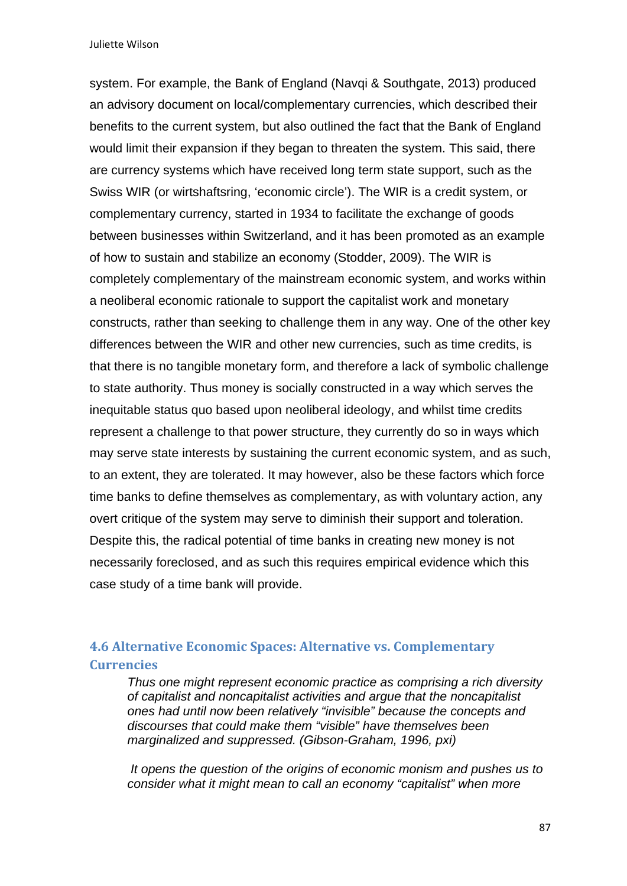system. For example, the Bank of England (Navqi & Southgate, 2013) produced an advisory document on local/complementary currencies, which described their benefits to the current system, but also outlined the fact that the Bank of England would limit their expansion if they began to threaten the system. This said, there are currency systems which have received long term state support, such as the Swiss WIR (or wirtshaftsring, 'economic circle'). The WIR is a credit system, or complementary currency, started in 1934 to facilitate the exchange of goods between businesses within Switzerland, and it has been promoted as an example of how to sustain and stabilize an economy (Stodder, 2009). The WIR is completely complementary of the mainstream economic system, and works within a neoliberal economic rationale to support the capitalist work and monetary constructs, rather than seeking to challenge them in any way. One of the other key differences between the WIR and other new currencies, such as time credits, is that there is no tangible monetary form, and therefore a lack of symbolic challenge to state authority. Thus money is socially constructed in a way which serves the inequitable status quo based upon neoliberal ideology, and whilst time credits represent a challenge to that power structure, they currently do so in ways which may serve state interests by sustaining the current economic system, and as such, to an extent, they are tolerated. It may however, also be these factors which force time banks to define themselves as complementary, as with voluntary action, any overt critique of the system may serve to diminish their support and toleration. Despite this, the radical potential of time banks in creating new money is not necessarily foreclosed, and as such this requires empirical evidence which this case study of a time bank will provide.

## **4.6 Alternative Economic Spaces: Alternative vs. Complementary Currencies**

*Thus one might represent economic practice as comprising a rich diversity of capitalist and noncapitalist activities and argue that the noncapitalist ones had until now been relatively "invisible" because the concepts and discourses that could make them "visible" have themselves been marginalized and suppressed. (Gibson-Graham, 1996, pxi)* 

*It opens the question of the origins of economic monism and pushes us to consider what it might mean to call an economy "capitalist" when more*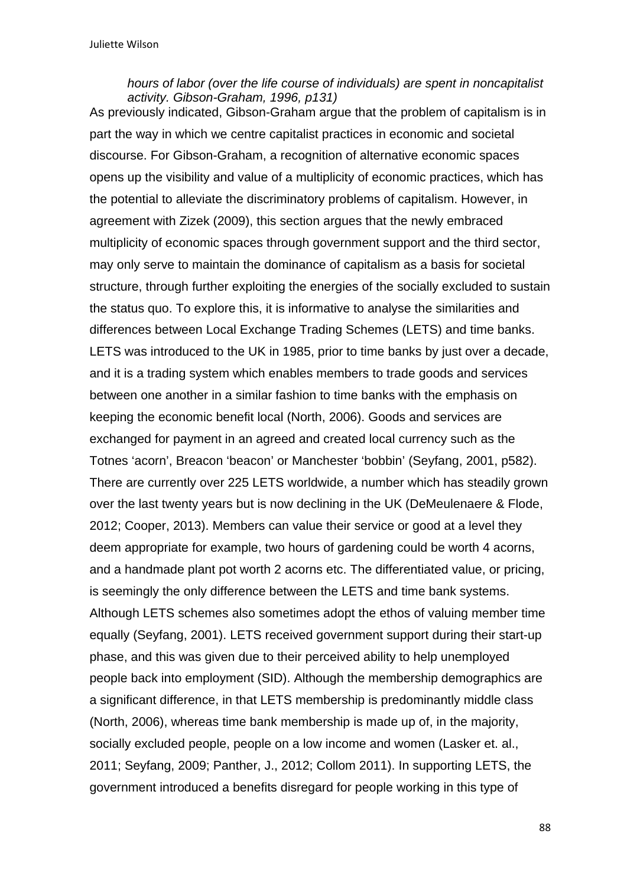#### *hours of labor (over the life course of individuals) are spent in noncapitalist activity. Gibson-Graham, 1996, p131)*

As previously indicated, Gibson-Graham argue that the problem of capitalism is in part the way in which we centre capitalist practices in economic and societal discourse. For Gibson-Graham, a recognition of alternative economic spaces opens up the visibility and value of a multiplicity of economic practices, which has the potential to alleviate the discriminatory problems of capitalism. However, in agreement with Zizek (2009), this section argues that the newly embraced multiplicity of economic spaces through government support and the third sector, may only serve to maintain the dominance of capitalism as a basis for societal structure, through further exploiting the energies of the socially excluded to sustain the status quo. To explore this, it is informative to analyse the similarities and differences between Local Exchange Trading Schemes (LETS) and time banks. LETS was introduced to the UK in 1985, prior to time banks by just over a decade, and it is a trading system which enables members to trade goods and services between one another in a similar fashion to time banks with the emphasis on keeping the economic benefit local (North, 2006). Goods and services are exchanged for payment in an agreed and created local currency such as the Totnes 'acorn', Breacon 'beacon' or Manchester 'bobbin' (Seyfang, 2001, p582). There are currently over 225 LETS worldwide, a number which has steadily grown over the last twenty years but is now declining in the UK (DeMeulenaere & Flode, 2012; Cooper, 2013). Members can value their service or good at a level they deem appropriate for example, two hours of gardening could be worth 4 acorns, and a handmade plant pot worth 2 acorns etc. The differentiated value, or pricing, is seemingly the only difference between the LETS and time bank systems. Although LETS schemes also sometimes adopt the ethos of valuing member time equally (Seyfang, 2001). LETS received government support during their start-up phase, and this was given due to their perceived ability to help unemployed people back into employment (SID). Although the membership demographics are a significant difference, in that LETS membership is predominantly middle class (North, 2006), whereas time bank membership is made up of, in the majority, socially excluded people, people on a low income and women (Lasker et. al., 2011; Seyfang, 2009; Panther, J., 2012; Collom 2011). In supporting LETS, the government introduced a benefits disregard for people working in this type of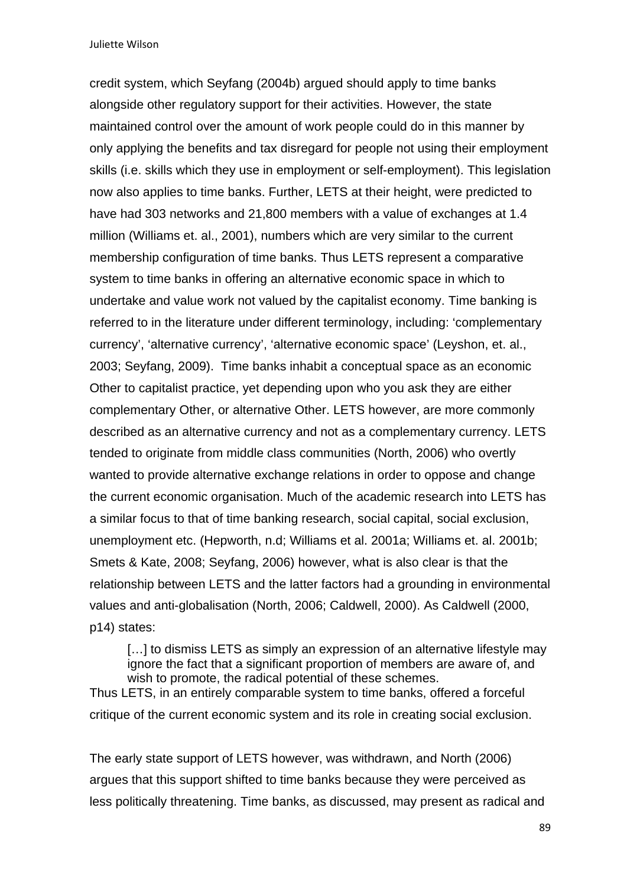credit system, which Seyfang (2004b) argued should apply to time banks alongside other regulatory support for their activities. However, the state maintained control over the amount of work people could do in this manner by only applying the benefits and tax disregard for people not using their employment skills (i.e. skills which they use in employment or self-employment). This legislation now also applies to time banks. Further, LETS at their height, were predicted to have had 303 networks and 21,800 members with a value of exchanges at 1.4 million (Williams et. al., 2001), numbers which are very similar to the current membership configuration of time banks. Thus LETS represent a comparative system to time banks in offering an alternative economic space in which to undertake and value work not valued by the capitalist economy. Time banking is referred to in the literature under different terminology, including: 'complementary currency', 'alternative currency', 'alternative economic space' (Leyshon, et. al., 2003; Seyfang, 2009). Time banks inhabit a conceptual space as an economic Other to capitalist practice, yet depending upon who you ask they are either complementary Other, or alternative Other. LETS however, are more commonly described as an alternative currency and not as a complementary currency. LETS tended to originate from middle class communities (North, 2006) who overtly wanted to provide alternative exchange relations in order to oppose and change the current economic organisation. Much of the academic research into LETS has a similar focus to that of time banking research, social capital, social exclusion, unemployment etc. (Hepworth, n.d; Williams et al. 2001a; WiIliams et. al. 2001b; Smets & Kate, 2008; Seyfang, 2006) however, what is also clear is that the relationship between LETS and the latter factors had a grounding in environmental values and anti-globalisation (North, 2006; Caldwell, 2000). As Caldwell (2000, p14) states:

[...] to dismiss LETS as simply an expression of an alternative lifestyle may ignore the fact that a significant proportion of members are aware of, and wish to promote, the radical potential of these schemes. Thus LETS, in an entirely comparable system to time banks, offered a forceful critique of the current economic system and its role in creating social exclusion.

The early state support of LETS however, was withdrawn, and North (2006) argues that this support shifted to time banks because they were perceived as less politically threatening. Time banks, as discussed, may present as radical and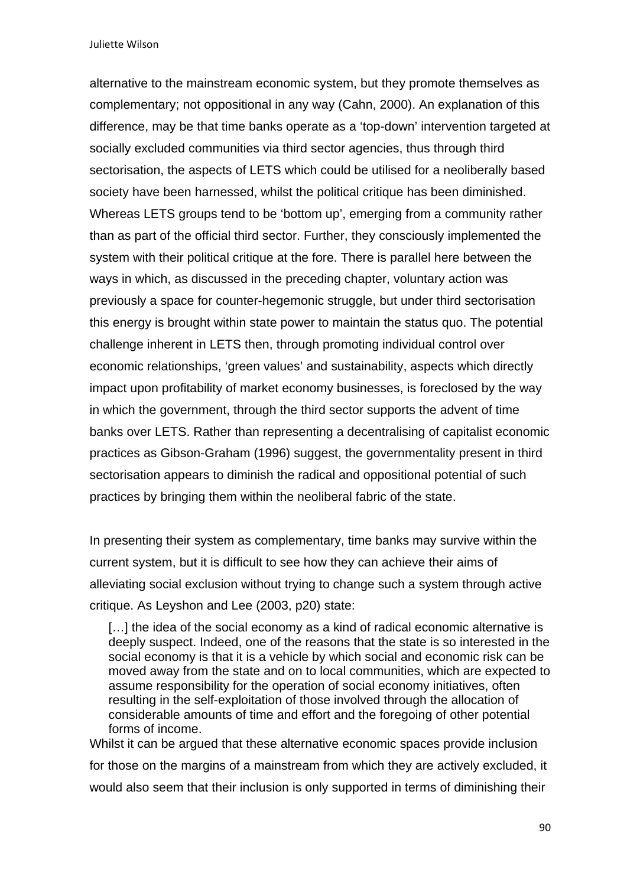alternative to the mainstream economic system, but they promote themselves as complementary; not oppositional in any way (Cahn, 2000). An explanation of this difference, may be that time banks operate as a 'top-down' intervention targeted at socially excluded communities via third sector agencies, thus through third sectorisation, the aspects of LETS which could be utilised for a neoliberally based society have been harnessed, whilst the political critique has been diminished. Whereas LETS groups tend to be 'bottom up', emerging from a community rather than as part of the official third sector. Further, they consciously implemented the system with their political critique at the fore. There is parallel here between the ways in which, as discussed in the preceding chapter, voluntary action was previously a space for counter-hegemonic struggle, but under third sectorisation this energy is brought within state power to maintain the status quo. The potential challenge inherent in LETS then, through promoting individual control over economic relationships, 'green values' and sustainability, aspects which directly impact upon profitability of market economy businesses, is foreclosed by the way in which the government, through the third sector supports the advent of time banks over LETS. Rather than representing a decentralising of capitalist economic practices as Gibson-Graham (1996) suggest, the governmentality present in third sectorisation appears to diminish the radical and oppositional potential of such practices by bringing them within the neoliberal fabric of the state.

In presenting their system as complementary, time banks may survive within the current system, but it is difficult to see how they can achieve their aims of alleviating social exclusion without trying to change such a system through active critique. As Leyshon and Lee (2003, p20) state:

[...] the idea of the social economy as a kind of radical economic alternative is deeply suspect. Indeed, one of the reasons that the state is so interested in the social economy is that it is a vehicle by which social and economic risk can be moved away from the state and on to local communities, which are expected to assume responsibility for the operation of social economy initiatives, often resulting in the self-exploitation of those involved through the allocation of considerable amounts of time and effort and the foregoing of other potential forms of income.

Whilst it can be argued that these alternative economic spaces provide inclusion for those on the margins of a mainstream from which they are actively excluded, it would also seem that their inclusion is only supported in terms of diminishing their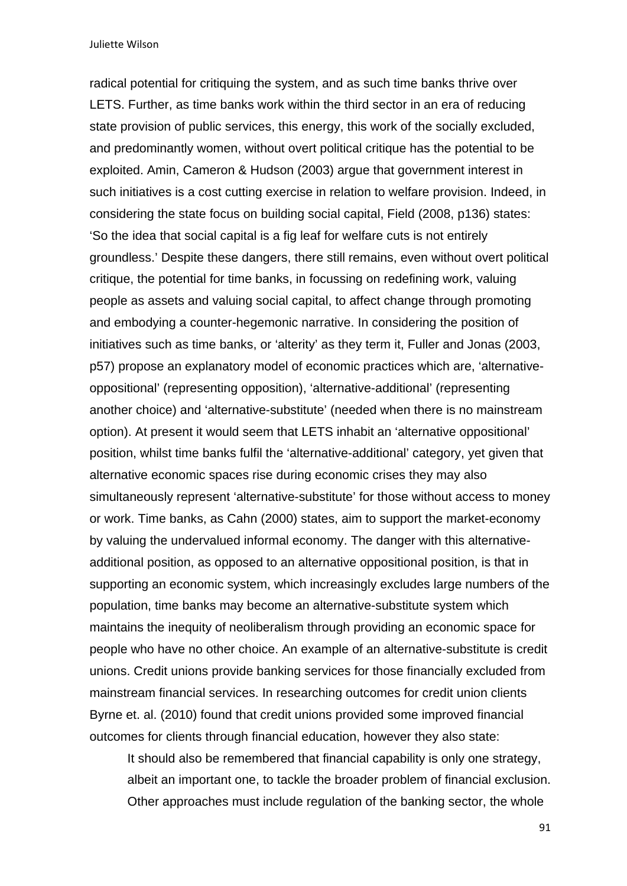radical potential for critiquing the system, and as such time banks thrive over LETS. Further, as time banks work within the third sector in an era of reducing state provision of public services, this energy, this work of the socially excluded, and predominantly women, without overt political critique has the potential to be exploited. Amin, Cameron & Hudson (2003) argue that government interest in such initiatives is a cost cutting exercise in relation to welfare provision. Indeed, in considering the state focus on building social capital, Field (2008, p136) states: 'So the idea that social capital is a fig leaf for welfare cuts is not entirely groundless.' Despite these dangers, there still remains, even without overt political critique, the potential for time banks, in focussing on redefining work, valuing people as assets and valuing social capital, to affect change through promoting and embodying a counter-hegemonic narrative. In considering the position of initiatives such as time banks, or 'alterity' as they term it, Fuller and Jonas (2003, p57) propose an explanatory model of economic practices which are, 'alternativeoppositional' (representing opposition), 'alternative-additional' (representing another choice) and 'alternative-substitute' (needed when there is no mainstream option). At present it would seem that LETS inhabit an 'alternative oppositional' position, whilst time banks fulfil the 'alternative-additional' category, yet given that alternative economic spaces rise during economic crises they may also simultaneously represent 'alternative-substitute' for those without access to money or work. Time banks, as Cahn (2000) states, aim to support the market-economy by valuing the undervalued informal economy. The danger with this alternativeadditional position, as opposed to an alternative oppositional position, is that in supporting an economic system, which increasingly excludes large numbers of the population, time banks may become an alternative-substitute system which maintains the inequity of neoliberalism through providing an economic space for people who have no other choice. An example of an alternative-substitute is credit unions. Credit unions provide banking services for those financially excluded from mainstream financial services. In researching outcomes for credit union clients Byrne et. al. (2010) found that credit unions provided some improved financial outcomes for clients through financial education, however they also state:

It should also be remembered that financial capability is only one strategy, albeit an important one, to tackle the broader problem of financial exclusion. Other approaches must include regulation of the banking sector, the whole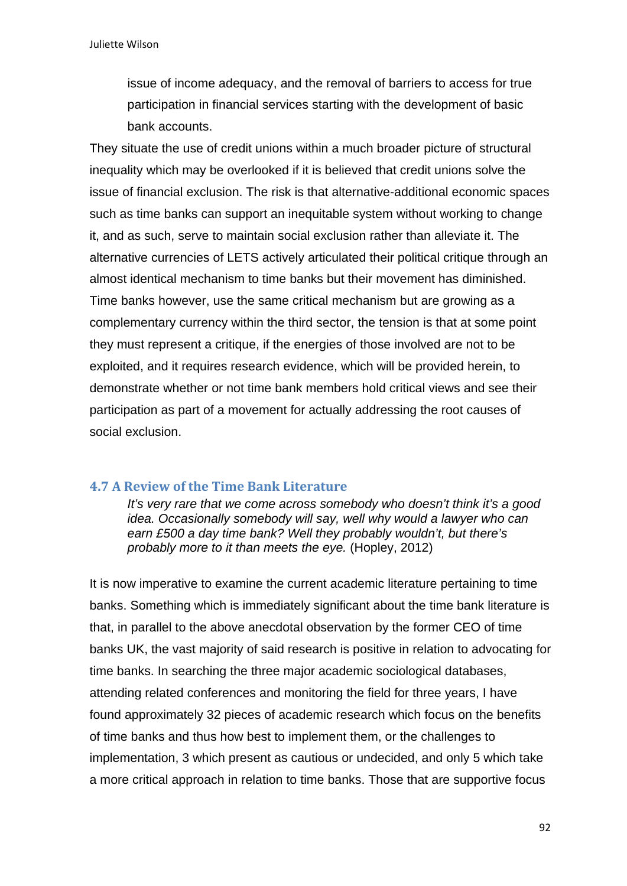issue of income adequacy, and the removal of barriers to access for true participation in financial services starting with the development of basic bank accounts.

They situate the use of credit unions within a much broader picture of structural inequality which may be overlooked if it is believed that credit unions solve the issue of financial exclusion. The risk is that alternative-additional economic spaces such as time banks can support an inequitable system without working to change it, and as such, serve to maintain social exclusion rather than alleviate it. The alternative currencies of LETS actively articulated their political critique through an almost identical mechanism to time banks but their movement has diminished. Time banks however, use the same critical mechanism but are growing as a complementary currency within the third sector, the tension is that at some point they must represent a critique, if the energies of those involved are not to be exploited, and it requires research evidence, which will be provided herein, to demonstrate whether or not time bank members hold critical views and see their participation as part of a movement for actually addressing the root causes of social exclusion.

### **4.7 A Review of the Time Bank Literature**

*It's very rare that we come across somebody who doesn't think it's a good idea. Occasionally somebody will say, well why would a lawyer who can earn £500 a day time bank? Well they probably wouldn't, but there's probably more to it than meets the eye.* (Hopley, 2012)

It is now imperative to examine the current academic literature pertaining to time banks. Something which is immediately significant about the time bank literature is that, in parallel to the above anecdotal observation by the former CEO of time banks UK, the vast majority of said research is positive in relation to advocating for time banks. In searching the three major academic sociological databases, attending related conferences and monitoring the field for three years, I have found approximately 32 pieces of academic research which focus on the benefits of time banks and thus how best to implement them, or the challenges to implementation, 3 which present as cautious or undecided, and only 5 which take a more critical approach in relation to time banks. Those that are supportive focus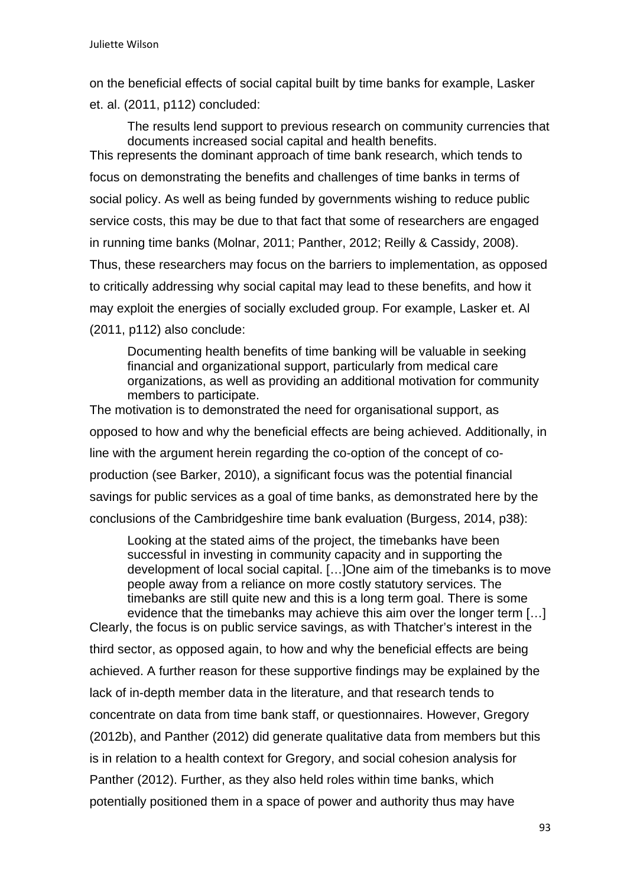on the beneficial effects of social capital built by time banks for example, Lasker et. al. (2011, p112) concluded:

The results lend support to previous research on community currencies that documents increased social capital and health benefits. This represents the dominant approach of time bank research, which tends to focus on demonstrating the benefits and challenges of time banks in terms of social policy. As well as being funded by governments wishing to reduce public service costs, this may be due to that fact that some of researchers are engaged in running time banks (Molnar, 2011; Panther, 2012; Reilly & Cassidy, 2008). Thus, these researchers may focus on the barriers to implementation, as opposed to critically addressing why social capital may lead to these benefits, and how it may exploit the energies of socially excluded group. For example, Lasker et. Al (2011, p112) also conclude:

Documenting health benefits of time banking will be valuable in seeking financial and organizational support, particularly from medical care organizations, as well as providing an additional motivation for community members to participate.

The motivation is to demonstrated the need for organisational support, as opposed to how and why the beneficial effects are being achieved. Additionally, in line with the argument herein regarding the co-option of the concept of coproduction (see Barker, 2010), a significant focus was the potential financial savings for public services as a goal of time banks, as demonstrated here by the conclusions of the Cambridgeshire time bank evaluation (Burgess, 2014, p38):

Looking at the stated aims of the project, the timebanks have been successful in investing in community capacity and in supporting the development of local social capital. […]One aim of the timebanks is to move people away from a reliance on more costly statutory services. The timebanks are still quite new and this is a long term goal. There is some evidence that the timebanks may achieve this aim over the longer term […]

Clearly, the focus is on public service savings, as with Thatcher's interest in the third sector, as opposed again, to how and why the beneficial effects are being achieved. A further reason for these supportive findings may be explained by the lack of in-depth member data in the literature, and that research tends to concentrate on data from time bank staff, or questionnaires. However, Gregory (2012b), and Panther (2012) did generate qualitative data from members but this is in relation to a health context for Gregory, and social cohesion analysis for Panther (2012). Further, as they also held roles within time banks, which potentially positioned them in a space of power and authority thus may have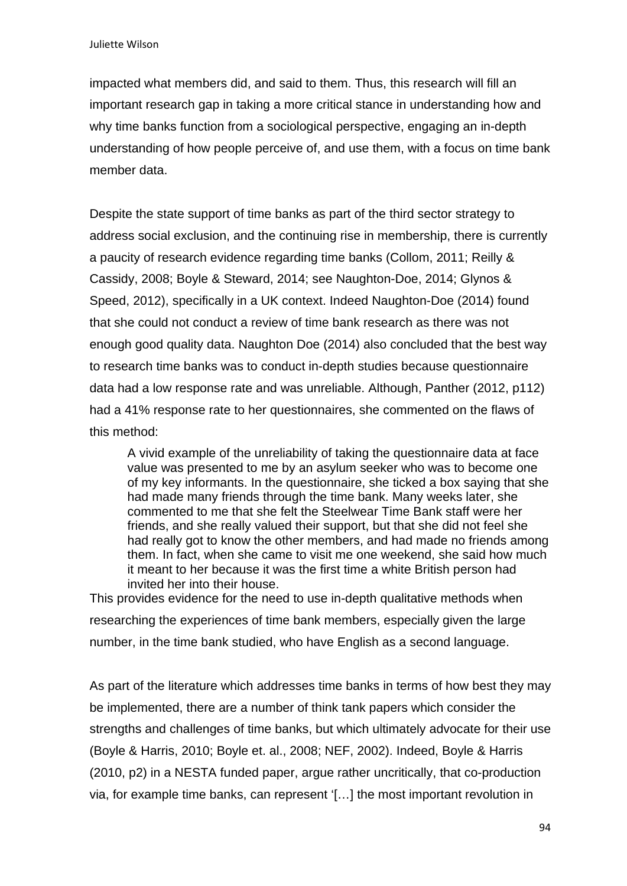impacted what members did, and said to them. Thus, this research will fill an important research gap in taking a more critical stance in understanding how and why time banks function from a sociological perspective, engaging an in-depth understanding of how people perceive of, and use them, with a focus on time bank member data.

Despite the state support of time banks as part of the third sector strategy to address social exclusion, and the continuing rise in membership, there is currently a paucity of research evidence regarding time banks (Collom, 2011; Reilly & Cassidy, 2008; Boyle & Steward, 2014; see Naughton-Doe, 2014; Glynos & Speed, 2012), specifically in a UK context. Indeed Naughton-Doe (2014) found that she could not conduct a review of time bank research as there was not enough good quality data. Naughton Doe (2014) also concluded that the best way to research time banks was to conduct in-depth studies because questionnaire data had a low response rate and was unreliable. Although, Panther (2012, p112) had a 41% response rate to her questionnaires, she commented on the flaws of this method:

A vivid example of the unreliability of taking the questionnaire data at face value was presented to me by an asylum seeker who was to become one of my key informants. In the questionnaire, she ticked a box saying that she had made many friends through the time bank. Many weeks later, she commented to me that she felt the Steelwear Time Bank staff were her friends, and she really valued their support, but that she did not feel she had really got to know the other members, and had made no friends among them. In fact, when she came to visit me one weekend, she said how much it meant to her because it was the first time a white British person had invited her into their house.

This provides evidence for the need to use in-depth qualitative methods when researching the experiences of time bank members, especially given the large number, in the time bank studied, who have English as a second language.

As part of the literature which addresses time banks in terms of how best they may be implemented, there are a number of think tank papers which consider the strengths and challenges of time banks, but which ultimately advocate for their use (Boyle & Harris, 2010; Boyle et. al., 2008; NEF, 2002). Indeed, Boyle & Harris (2010, p2) in a NESTA funded paper, argue rather uncritically, that co-production via, for example time banks, can represent '[…] the most important revolution in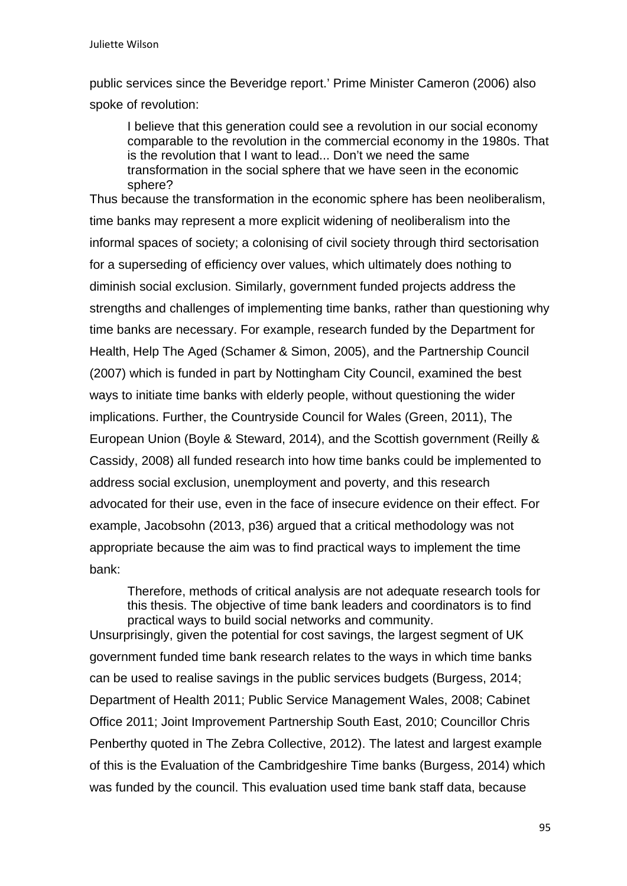public services since the Beveridge report.' Prime Minister Cameron (2006) also spoke of revolution:

I believe that this generation could see a revolution in our social economy comparable to the revolution in the commercial economy in the 1980s. That is the revolution that I want to lead... Don't we need the same transformation in the social sphere that we have seen in the economic sphere?

Thus because the transformation in the economic sphere has been neoliberalism, time banks may represent a more explicit widening of neoliberalism into the informal spaces of society; a colonising of civil society through third sectorisation for a superseding of efficiency over values, which ultimately does nothing to diminish social exclusion. Similarly, government funded projects address the strengths and challenges of implementing time banks, rather than questioning why time banks are necessary. For example, research funded by the Department for Health, Help The Aged (Schamer & Simon, 2005), and the Partnership Council (2007) which is funded in part by Nottingham City Council, examined the best ways to initiate time banks with elderly people, without questioning the wider implications. Further, the Countryside Council for Wales (Green, 2011), The European Union (Boyle & Steward, 2014), and the Scottish government (Reilly & Cassidy, 2008) all funded research into how time banks could be implemented to address social exclusion, unemployment and poverty, and this research advocated for their use, even in the face of insecure evidence on their effect. For example, Jacobsohn (2013, p36) argued that a critical methodology was not appropriate because the aim was to find practical ways to implement the time bank:

Therefore, methods of critical analysis are not adequate research tools for this thesis. The objective of time bank leaders and coordinators is to find practical ways to build social networks and community. Unsurprisingly, given the potential for cost savings, the largest segment of UK government funded time bank research relates to the ways in which time banks can be used to realise savings in the public services budgets (Burgess, 2014; Department of Health 2011; Public Service Management Wales, 2008; Cabinet Office 2011; Joint Improvement Partnership South East, 2010; Councillor Chris Penberthy quoted in The Zebra Collective, 2012). The latest and largest example of this is the Evaluation of the Cambridgeshire Time banks (Burgess, 2014) which was funded by the council. This evaluation used time bank staff data, because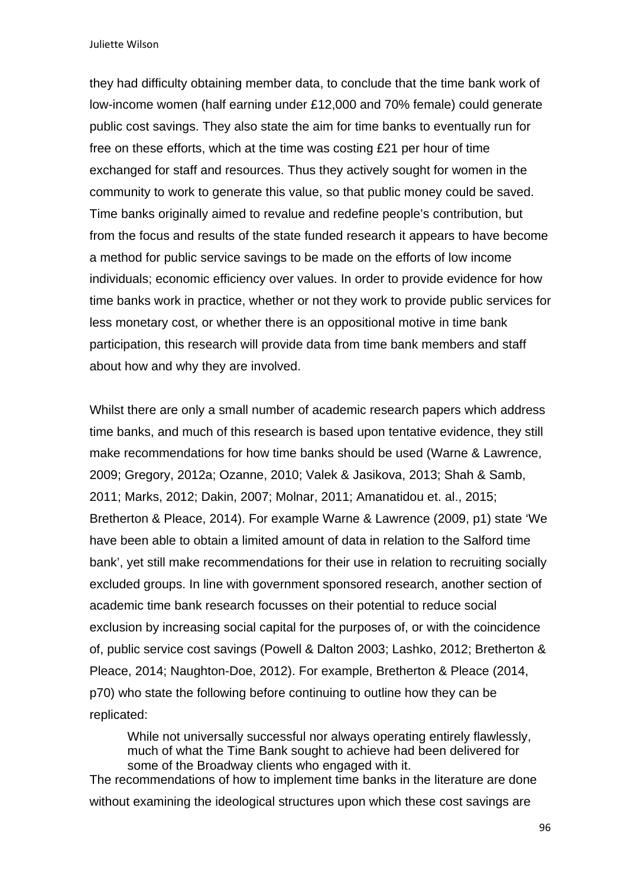they had difficulty obtaining member data, to conclude that the time bank work of low-income women (half earning under £12,000 and 70% female) could generate public cost savings. They also state the aim for time banks to eventually run for free on these efforts, which at the time was costing £21 per hour of time exchanged for staff and resources. Thus they actively sought for women in the community to work to generate this value, so that public money could be saved. Time banks originally aimed to revalue and redefine people's contribution, but from the focus and results of the state funded research it appears to have become a method for public service savings to be made on the efforts of low income individuals; economic efficiency over values. In order to provide evidence for how time banks work in practice, whether or not they work to provide public services for less monetary cost, or whether there is an oppositional motive in time bank participation, this research will provide data from time bank members and staff about how and why they are involved.

Whilst there are only a small number of academic research papers which address time banks, and much of this research is based upon tentative evidence, they still make recommendations for how time banks should be used (Warne & Lawrence, 2009; Gregory, 2012a; Ozanne, 2010; Valek & Jasikova, 2013; Shah & Samb, 2011; Marks, 2012; Dakin, 2007; Molnar, 2011; Amanatidou et. al., 2015; Bretherton & Pleace, 2014). For example Warne & Lawrence (2009, p1) state 'We have been able to obtain a limited amount of data in relation to the Salford time bank', yet still make recommendations for their use in relation to recruiting socially excluded groups. In line with government sponsored research, another section of academic time bank research focusses on their potential to reduce social exclusion by increasing social capital for the purposes of, or with the coincidence of, public service cost savings (Powell & Dalton 2003; Lashko, 2012; Bretherton & Pleace, 2014; Naughton-Doe, 2012). For example, Bretherton & Pleace (2014, p70) who state the following before continuing to outline how they can be replicated:

While not universally successful nor always operating entirely flawlessly, much of what the Time Bank sought to achieve had been delivered for some of the Broadway clients who engaged with it.

The recommendations of how to implement time banks in the literature are done without examining the ideological structures upon which these cost savings are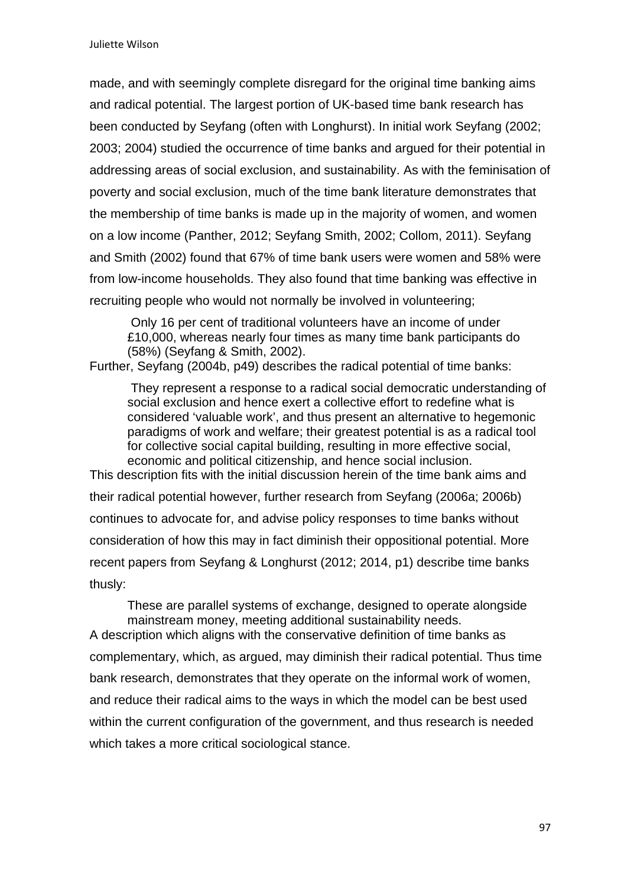made, and with seemingly complete disregard for the original time banking aims and radical potential. The largest portion of UK-based time bank research has been conducted by Seyfang (often with Longhurst). In initial work Seyfang (2002; 2003; 2004) studied the occurrence of time banks and argued for their potential in addressing areas of social exclusion, and sustainability. As with the feminisation of poverty and social exclusion, much of the time bank literature demonstrates that the membership of time banks is made up in the majority of women, and women on a low income (Panther, 2012; Seyfang Smith, 2002; Collom, 2011). Seyfang and Smith (2002) found that 67% of time bank users were women and 58% were from low-income households. They also found that time banking was effective in recruiting people who would not normally be involved in volunteering;

 Only 16 per cent of traditional volunteers have an income of under £10,000, whereas nearly four times as many time bank participants do (58%) (Seyfang & Smith, 2002).

Further, Seyfang (2004b, p49) describes the radical potential of time banks:

 They represent a response to a radical social democratic understanding of social exclusion and hence exert a collective effort to redefine what is considered 'valuable work', and thus present an alternative to hegemonic paradigms of work and welfare; their greatest potential is as a radical tool for collective social capital building, resulting in more effective social, economic and political citizenship, and hence social inclusion.

This description fits with the initial discussion herein of the time bank aims and their radical potential however, further research from Seyfang (2006a; 2006b) continues to advocate for, and advise policy responses to time banks without consideration of how this may in fact diminish their oppositional potential. More recent papers from Seyfang & Longhurst (2012; 2014, p1) describe time banks thusly:

These are parallel systems of exchange, designed to operate alongside mainstream money, meeting additional sustainability needs. A description which aligns with the conservative definition of time banks as complementary, which, as argued, may diminish their radical potential. Thus time bank research, demonstrates that they operate on the informal work of women, and reduce their radical aims to the ways in which the model can be best used within the current configuration of the government, and thus research is needed

which takes a more critical sociological stance.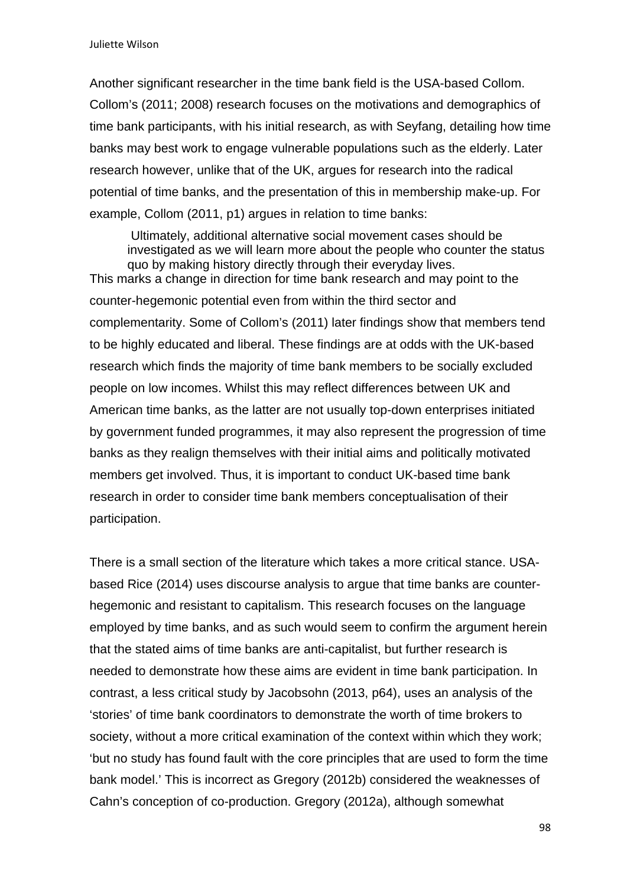Another significant researcher in the time bank field is the USA-based Collom. Collom's (2011; 2008) research focuses on the motivations and demographics of time bank participants, with his initial research, as with Seyfang, detailing how time banks may best work to engage vulnerable populations such as the elderly. Later research however, unlike that of the UK, argues for research into the radical potential of time banks, and the presentation of this in membership make-up. For example, Collom (2011, p1) argues in relation to time banks:

 Ultimately, additional alternative social movement cases should be investigated as we will learn more about the people who counter the status quo by making history directly through their everyday lives. This marks a change in direction for time bank research and may point to the counter-hegemonic potential even from within the third sector and complementarity. Some of Collom's (2011) later findings show that members tend to be highly educated and liberal. These findings are at odds with the UK-based research which finds the majority of time bank members to be socially excluded people on low incomes. Whilst this may reflect differences between UK and American time banks, as the latter are not usually top-down enterprises initiated by government funded programmes, it may also represent the progression of time banks as they realign themselves with their initial aims and politically motivated members get involved. Thus, it is important to conduct UK-based time bank research in order to consider time bank members conceptualisation of their participation.

There is a small section of the literature which takes a more critical stance. USAbased Rice (2014) uses discourse analysis to argue that time banks are counterhegemonic and resistant to capitalism. This research focuses on the language employed by time banks, and as such would seem to confirm the argument herein that the stated aims of time banks are anti-capitalist, but further research is needed to demonstrate how these aims are evident in time bank participation. In contrast, a less critical study by Jacobsohn (2013, p64), uses an analysis of the 'stories' of time bank coordinators to demonstrate the worth of time brokers to society, without a more critical examination of the context within which they work; 'but no study has found fault with the core principles that are used to form the time bank model.' This is incorrect as Gregory (2012b) considered the weaknesses of Cahn's conception of co-production. Gregory (2012a), although somewhat

98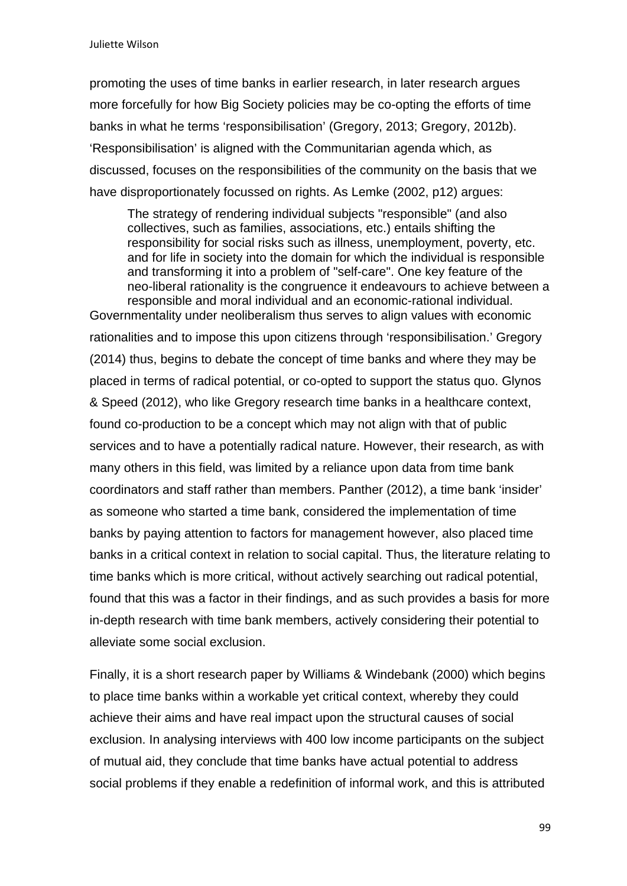promoting the uses of time banks in earlier research, in later research argues more forcefully for how Big Society policies may be co-opting the efforts of time banks in what he terms 'responsibilisation' (Gregory, 2013; Gregory, 2012b). 'Responsibilisation' is aligned with the Communitarian agenda which, as discussed, focuses on the responsibilities of the community on the basis that we have disproportionately focussed on rights. As Lemke (2002, p12) argues:

The strategy of rendering individual subjects "responsible" (and also collectives, such as families, associations, etc.) entails shifting the responsibility for social risks such as illness, unemployment, poverty, etc. and for life in society into the domain for which the individual is responsible and transforming it into a problem of "self-care". One key feature of the neo-liberal rationality is the congruence it endeavours to achieve between a responsible and moral individual and an economic-rational individual.

Governmentality under neoliberalism thus serves to align values with economic rationalities and to impose this upon citizens through 'responsibilisation.' Gregory (2014) thus, begins to debate the concept of time banks and where they may be placed in terms of radical potential, or co-opted to support the status quo. Glynos & Speed (2012), who like Gregory research time banks in a healthcare context, found co-production to be a concept which may not align with that of public services and to have a potentially radical nature. However, their research, as with many others in this field, was limited by a reliance upon data from time bank coordinators and staff rather than members. Panther (2012), a time bank 'insider' as someone who started a time bank, considered the implementation of time banks by paying attention to factors for management however, also placed time banks in a critical context in relation to social capital. Thus, the literature relating to time banks which is more critical, without actively searching out radical potential, found that this was a factor in their findings, and as such provides a basis for more in-depth research with time bank members, actively considering their potential to alleviate some social exclusion.

Finally, it is a short research paper by Williams & Windebank (2000) which begins to place time banks within a workable yet critical context, whereby they could achieve their aims and have real impact upon the structural causes of social exclusion. In analysing interviews with 400 low income participants on the subject of mutual aid, they conclude that time banks have actual potential to address social problems if they enable a redefinition of informal work, and this is attributed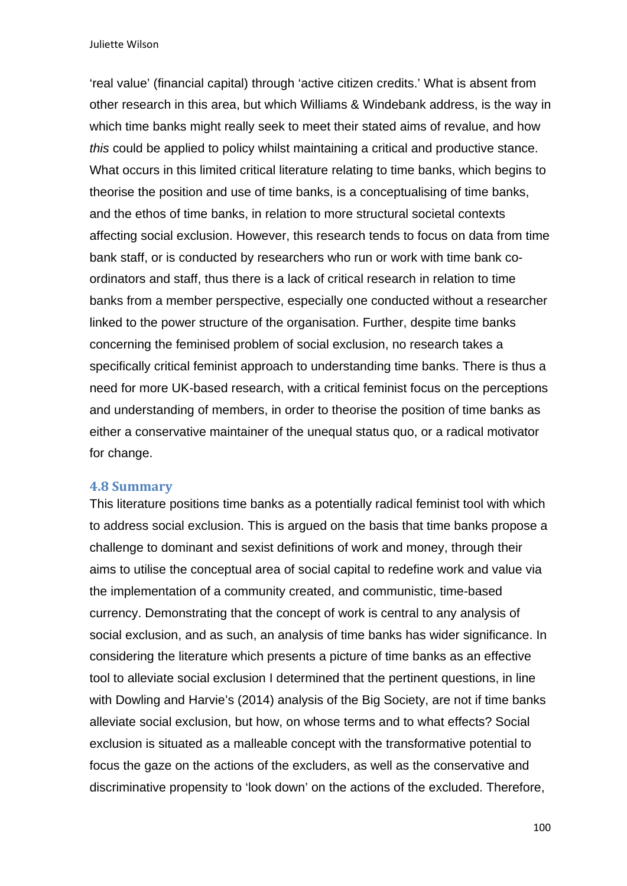'real value' (financial capital) through 'active citizen credits.' What is absent from other research in this area, but which Williams & Windebank address, is the way in which time banks might really seek to meet their stated aims of revalue, and how *this* could be applied to policy whilst maintaining a critical and productive stance. What occurs in this limited critical literature relating to time banks, which begins to theorise the position and use of time banks, is a conceptualising of time banks, and the ethos of time banks, in relation to more structural societal contexts affecting social exclusion. However, this research tends to focus on data from time bank staff, or is conducted by researchers who run or work with time bank coordinators and staff, thus there is a lack of critical research in relation to time banks from a member perspective, especially one conducted without a researcher linked to the power structure of the organisation. Further, despite time banks concerning the feminised problem of social exclusion, no research takes a specifically critical feminist approach to understanding time banks. There is thus a need for more UK-based research, with a critical feminist focus on the perceptions and understanding of members, in order to theorise the position of time banks as either a conservative maintainer of the unequal status quo, or a radical motivator for change.

#### **4.8 Summary**

This literature positions time banks as a potentially radical feminist tool with which to address social exclusion. This is argued on the basis that time banks propose a challenge to dominant and sexist definitions of work and money, through their aims to utilise the conceptual area of social capital to redefine work and value via the implementation of a community created, and communistic, time-based currency. Demonstrating that the concept of work is central to any analysis of social exclusion, and as such, an analysis of time banks has wider significance. In considering the literature which presents a picture of time banks as an effective tool to alleviate social exclusion I determined that the pertinent questions, in line with Dowling and Harvie's (2014) analysis of the Big Society, are not if time banks alleviate social exclusion, but how, on whose terms and to what effects? Social exclusion is situated as a malleable concept with the transformative potential to focus the gaze on the actions of the excluders, as well as the conservative and discriminative propensity to 'look down' on the actions of the excluded. Therefore,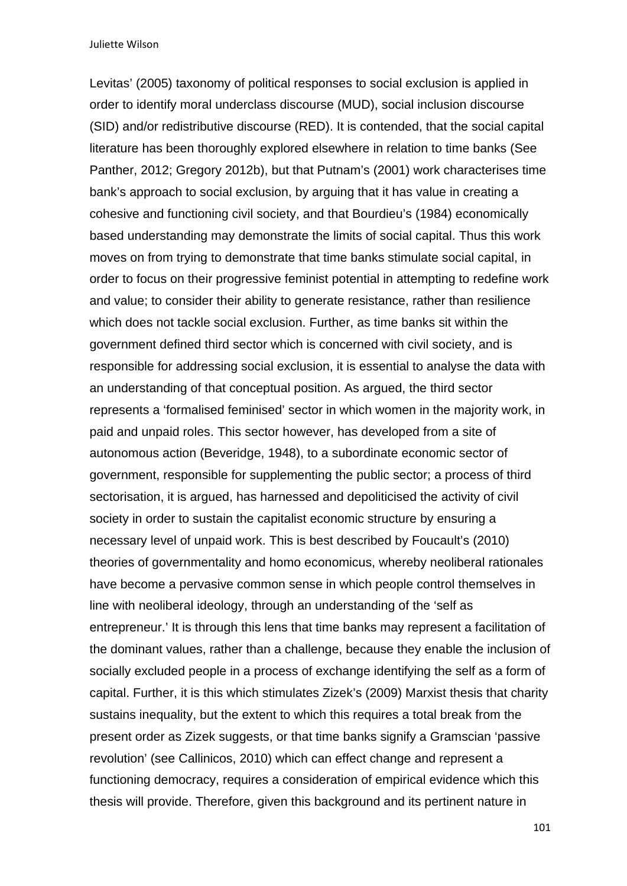Levitas' (2005) taxonomy of political responses to social exclusion is applied in order to identify moral underclass discourse (MUD), social inclusion discourse (SID) and/or redistributive discourse (RED). It is contended, that the social capital literature has been thoroughly explored elsewhere in relation to time banks (See Panther, 2012; Gregory 2012b), but that Putnam's (2001) work characterises time bank's approach to social exclusion, by arguing that it has value in creating a cohesive and functioning civil society, and that Bourdieu's (1984) economically based understanding may demonstrate the limits of social capital. Thus this work moves on from trying to demonstrate that time banks stimulate social capital, in order to focus on their progressive feminist potential in attempting to redefine work and value; to consider their ability to generate resistance, rather than resilience which does not tackle social exclusion. Further, as time banks sit within the government defined third sector which is concerned with civil society, and is responsible for addressing social exclusion, it is essential to analyse the data with an understanding of that conceptual position. As argued, the third sector represents a 'formalised feminised' sector in which women in the majority work, in paid and unpaid roles. This sector however, has developed from a site of autonomous action (Beveridge, 1948), to a subordinate economic sector of government, responsible for supplementing the public sector; a process of third sectorisation, it is argued, has harnessed and depoliticised the activity of civil society in order to sustain the capitalist economic structure by ensuring a necessary level of unpaid work. This is best described by Foucault's (2010) theories of governmentality and homo economicus, whereby neoliberal rationales have become a pervasive common sense in which people control themselves in line with neoliberal ideology, through an understanding of the 'self as entrepreneur.' It is through this lens that time banks may represent a facilitation of the dominant values, rather than a challenge, because they enable the inclusion of socially excluded people in a process of exchange identifying the self as a form of capital. Further, it is this which stimulates Zizek's (2009) Marxist thesis that charity sustains inequality, but the extent to which this requires a total break from the present order as Zizek suggests, or that time banks signify a Gramscian 'passive revolution' (see Callinicos, 2010) which can effect change and represent a functioning democracy, requires a consideration of empirical evidence which this thesis will provide. Therefore, given this background and its pertinent nature in

101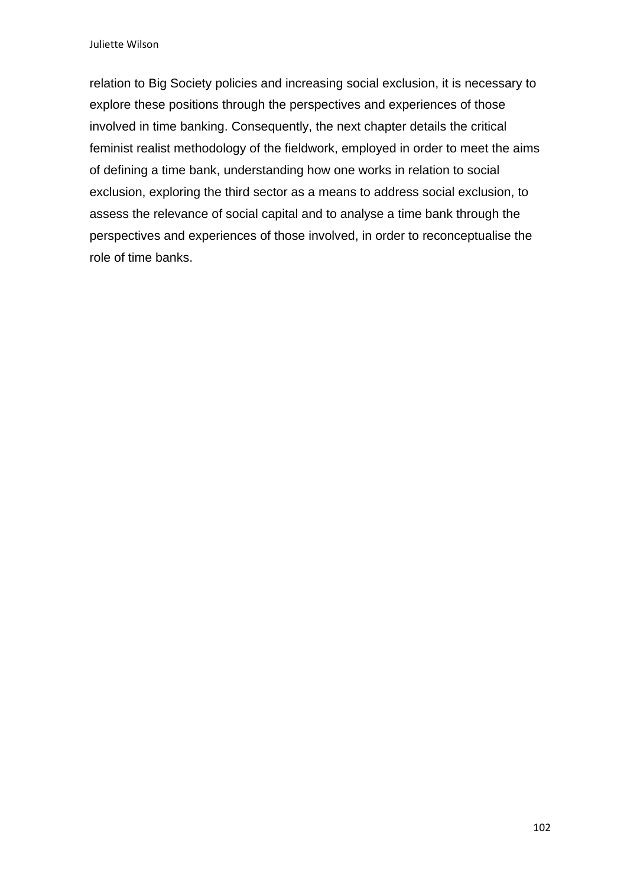relation to Big Society policies and increasing social exclusion, it is necessary to explore these positions through the perspectives and experiences of those involved in time banking. Consequently, the next chapter details the critical feminist realist methodology of the fieldwork, employed in order to meet the aims of defining a time bank, understanding how one works in relation to social exclusion, exploring the third sector as a means to address social exclusion, to assess the relevance of social capital and to analyse a time bank through the perspectives and experiences of those involved, in order to reconceptualise the role of time banks.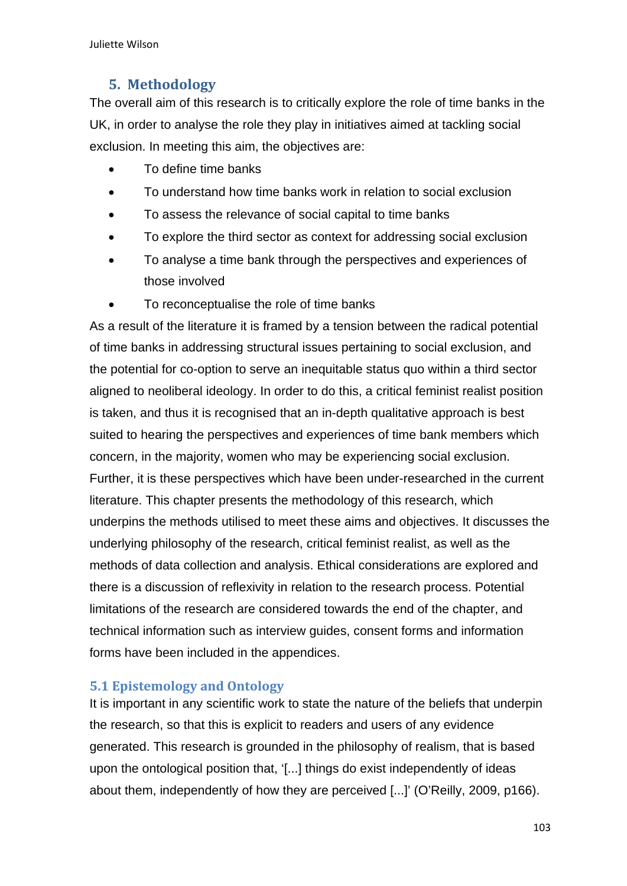# **5.** Methodology

The overall aim of this research is to critically explore the role of time banks in the UK, in order to analyse the role they play in initiatives aimed at tackling social exclusion. In meeting this aim, the objectives are:

- To define time banks
- To understand how time banks work in relation to social exclusion
- To assess the relevance of social capital to time banks
- To explore the third sector as context for addressing social exclusion
- To analyse a time bank through the perspectives and experiences of those involved
- To reconceptualise the role of time banks

As a result of the literature it is framed by a tension between the radical potential of time banks in addressing structural issues pertaining to social exclusion, and the potential for co-option to serve an inequitable status quo within a third sector aligned to neoliberal ideology. In order to do this, a critical feminist realist position is taken, and thus it is recognised that an in-depth qualitative approach is best suited to hearing the perspectives and experiences of time bank members which concern, in the majority, women who may be experiencing social exclusion. Further, it is these perspectives which have been under-researched in the current literature. This chapter presents the methodology of this research, which underpins the methods utilised to meet these aims and objectives. It discusses the underlying philosophy of the research, critical feminist realist, as well as the methods of data collection and analysis. Ethical considerations are explored and there is a discussion of reflexivity in relation to the research process. Potential limitations of the research are considered towards the end of the chapter, and technical information such as interview guides, consent forms and information forms have been included in the appendices.

## **5.1 Epistemology and Ontology**

It is important in any scientific work to state the nature of the beliefs that underpin the research, so that this is explicit to readers and users of any evidence generated. This research is grounded in the philosophy of realism, that is based upon the ontological position that, '[...] things do exist independently of ideas about them, independently of how they are perceived [...]' (O'Reilly, 2009, p166).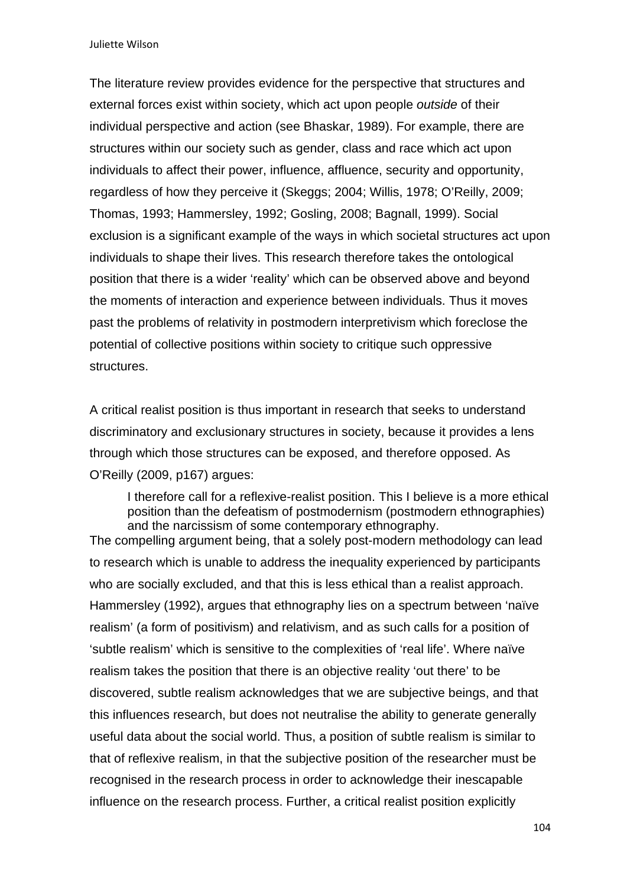The literature review provides evidence for the perspective that structures and external forces exist within society, which act upon people *outside* of their individual perspective and action (see Bhaskar, 1989). For example, there are structures within our society such as gender, class and race which act upon individuals to affect their power, influence, affluence, security and opportunity, regardless of how they perceive it (Skeggs; 2004; Willis, 1978; O'Reilly, 2009; Thomas, 1993; Hammersley, 1992; Gosling, 2008; Bagnall, 1999). Social exclusion is a significant example of the ways in which societal structures act upon individuals to shape their lives. This research therefore takes the ontological position that there is a wider 'reality' which can be observed above and beyond the moments of interaction and experience between individuals. Thus it moves past the problems of relativity in postmodern interpretivism which foreclose the potential of collective positions within society to critique such oppressive structures.

A critical realist position is thus important in research that seeks to understand discriminatory and exclusionary structures in society, because it provides a lens through which those structures can be exposed, and therefore opposed. As O'Reilly (2009, p167) argues:

I therefore call for a reflexive-realist position. This I believe is a more ethical position than the defeatism of postmodernism (postmodern ethnographies) and the narcissism of some contemporary ethnography.

The compelling argument being, that a solely post-modern methodology can lead to research which is unable to address the inequality experienced by participants who are socially excluded, and that this is less ethical than a realist approach. Hammersley (1992), argues that ethnography lies on a spectrum between 'naïve realism' (a form of positivism) and relativism, and as such calls for a position of 'subtle realism' which is sensitive to the complexities of 'real life'. Where naïve realism takes the position that there is an objective reality 'out there' to be discovered, subtle realism acknowledges that we are subjective beings, and that this influences research, but does not neutralise the ability to generate generally useful data about the social world. Thus, a position of subtle realism is similar to that of reflexive realism, in that the subjective position of the researcher must be recognised in the research process in order to acknowledge their inescapable influence on the research process. Further, a critical realist position explicitly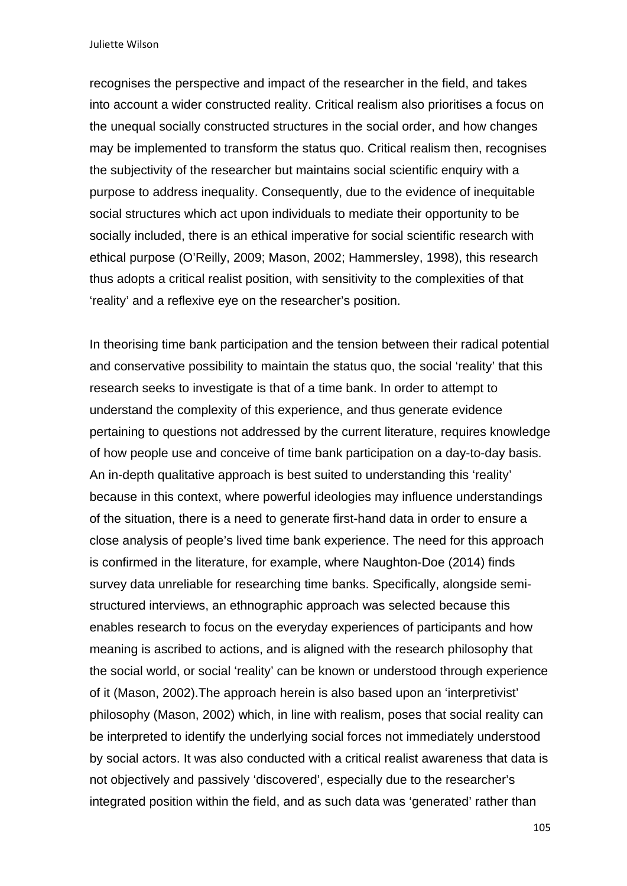recognises the perspective and impact of the researcher in the field, and takes into account a wider constructed reality. Critical realism also prioritises a focus on the unequal socially constructed structures in the social order, and how changes may be implemented to transform the status quo. Critical realism then, recognises the subjectivity of the researcher but maintains social scientific enquiry with a purpose to address inequality. Consequently, due to the evidence of inequitable social structures which act upon individuals to mediate their opportunity to be socially included, there is an ethical imperative for social scientific research with ethical purpose (O'Reilly, 2009; Mason, 2002; Hammersley, 1998), this research thus adopts a critical realist position, with sensitivity to the complexities of that 'reality' and a reflexive eye on the researcher's position.

In theorising time bank participation and the tension between their radical potential and conservative possibility to maintain the status quo, the social 'reality' that this research seeks to investigate is that of a time bank. In order to attempt to understand the complexity of this experience, and thus generate evidence pertaining to questions not addressed by the current literature, requires knowledge of how people use and conceive of time bank participation on a day-to-day basis. An in-depth qualitative approach is best suited to understanding this 'reality' because in this context, where powerful ideologies may influence understandings of the situation, there is a need to generate first-hand data in order to ensure a close analysis of people's lived time bank experience. The need for this approach is confirmed in the literature, for example, where Naughton-Doe (2014) finds survey data unreliable for researching time banks. Specifically, alongside semistructured interviews, an ethnographic approach was selected because this enables research to focus on the everyday experiences of participants and how meaning is ascribed to actions, and is aligned with the research philosophy that the social world, or social 'reality' can be known or understood through experience of it (Mason, 2002).The approach herein is also based upon an 'interpretivist' philosophy (Mason, 2002) which, in line with realism, poses that social reality can be interpreted to identify the underlying social forces not immediately understood by social actors. It was also conducted with a critical realist awareness that data is not objectively and passively 'discovered', especially due to the researcher's integrated position within the field, and as such data was 'generated' rather than

105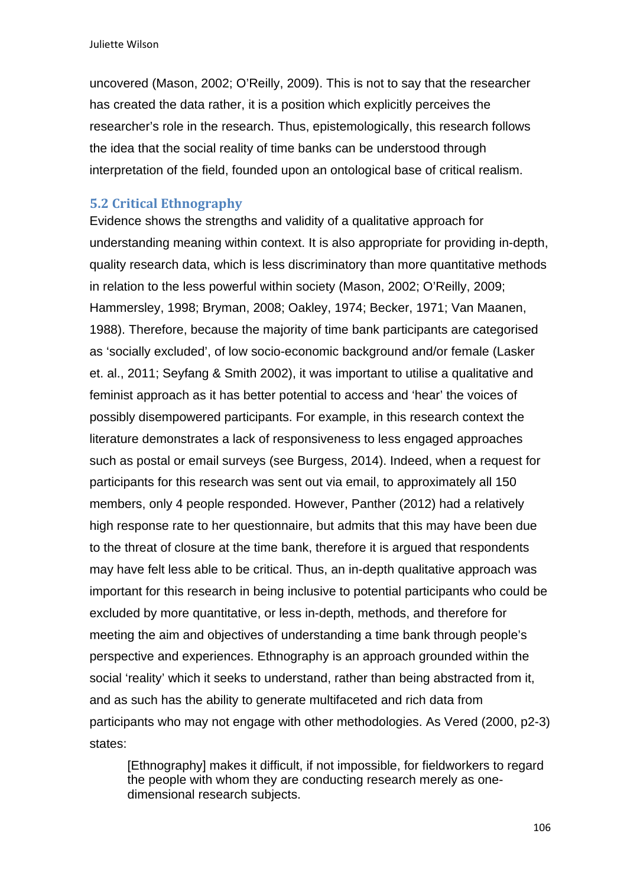uncovered (Mason, 2002; O'Reilly, 2009). This is not to say that the researcher has created the data rather, it is a position which explicitly perceives the researcher's role in the research. Thus, epistemologically, this research follows the idea that the social reality of time banks can be understood through interpretation of the field, founded upon an ontological base of critical realism.

#### **5.2 Critical Ethnography**

Evidence shows the strengths and validity of a qualitative approach for understanding meaning within context. It is also appropriate for providing in-depth, quality research data, which is less discriminatory than more quantitative methods in relation to the less powerful within society (Mason, 2002; O'Reilly, 2009; Hammersley, 1998; Bryman, 2008; Oakley, 1974; Becker, 1971; Van Maanen, 1988). Therefore, because the majority of time bank participants are categorised as 'socially excluded', of low socio-economic background and/or female (Lasker et. al., 2011; Seyfang & Smith 2002), it was important to utilise a qualitative and feminist approach as it has better potential to access and 'hear' the voices of possibly disempowered participants. For example, in this research context the literature demonstrates a lack of responsiveness to less engaged approaches such as postal or email surveys (see Burgess, 2014). Indeed, when a request for participants for this research was sent out via email, to approximately all 150 members, only 4 people responded. However, Panther (2012) had a relatively high response rate to her questionnaire, but admits that this may have been due to the threat of closure at the time bank, therefore it is argued that respondents may have felt less able to be critical. Thus, an in-depth qualitative approach was important for this research in being inclusive to potential participants who could be excluded by more quantitative, or less in-depth, methods, and therefore for meeting the aim and objectives of understanding a time bank through people's perspective and experiences. Ethnography is an approach grounded within the social 'reality' which it seeks to understand, rather than being abstracted from it, and as such has the ability to generate multifaceted and rich data from participants who may not engage with other methodologies. As Vered (2000, p2-3) states:

[Ethnography] makes it difficult, if not impossible, for fieldworkers to regard the people with whom they are conducting research merely as onedimensional research subjects.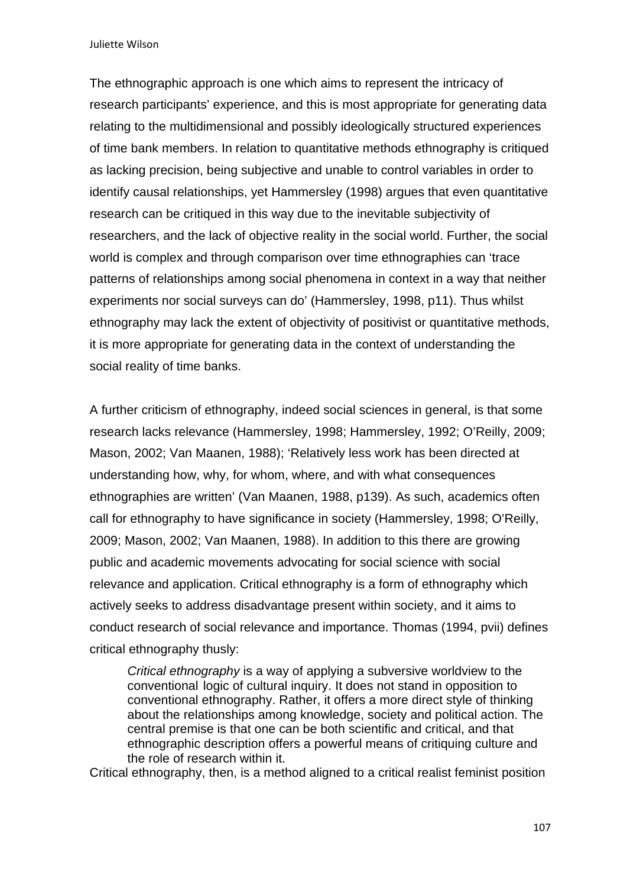The ethnographic approach is one which aims to represent the intricacy of research participants' experience, and this is most appropriate for generating data relating to the multidimensional and possibly ideologically structured experiences of time bank members. In relation to quantitative methods ethnography is critiqued as lacking precision, being subjective and unable to control variables in order to identify causal relationships, yet Hammersley (1998) argues that even quantitative research can be critiqued in this way due to the inevitable subjectivity of researchers, and the lack of objective reality in the social world. Further, the social world is complex and through comparison over time ethnographies can 'trace patterns of relationships among social phenomena in context in a way that neither experiments nor social surveys can do' (Hammersley, 1998, p11). Thus whilst ethnography may lack the extent of objectivity of positivist or quantitative methods, it is more appropriate for generating data in the context of understanding the social reality of time banks.

A further criticism of ethnography, indeed social sciences in general, is that some research lacks relevance (Hammersley, 1998; Hammersley, 1992; O'Reilly, 2009; Mason, 2002; Van Maanen, 1988); 'Relatively less work has been directed at understanding how, why, for whom, where, and with what consequences ethnographies are written' (Van Maanen, 1988, p139). As such, academics often call for ethnography to have significance in society (Hammersley, 1998; O'Reilly, 2009; Mason, 2002; Van Maanen, 1988). In addition to this there are growing public and academic movements advocating for social science with social relevance and application. Critical ethnography is a form of ethnography which actively seeks to address disadvantage present within society, and it aims to conduct research of social relevance and importance. Thomas (1994, pvii) defines critical ethnography thusly:

*Critical ethnography* is a way of applying a subversive worldview to the conventional logic of cultural inquiry. It does not stand in opposition to conventional ethnography. Rather, it offers a more direct style of thinking about the relationships among knowledge, society and political action. The central premise is that one can be both scientific and critical, and that ethnographic description offers a powerful means of critiquing culture and the role of research within it.

Critical ethnography, then, is a method aligned to a critical realist feminist position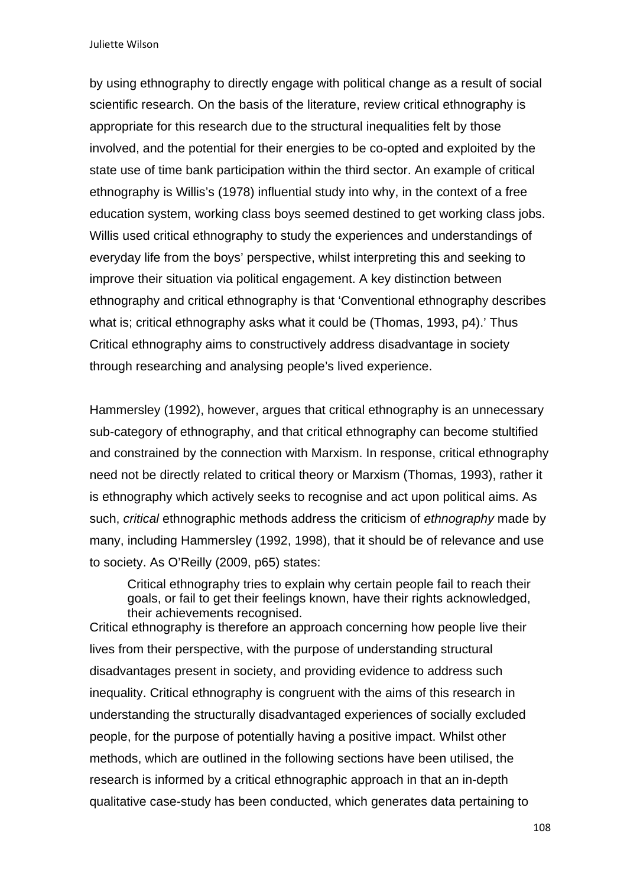by using ethnography to directly engage with political change as a result of social scientific research. On the basis of the literature, review critical ethnography is appropriate for this research due to the structural inequalities felt by those involved, and the potential for their energies to be co-opted and exploited by the state use of time bank participation within the third sector. An example of critical ethnography is Willis's (1978) influential study into why, in the context of a free education system, working class boys seemed destined to get working class jobs. Willis used critical ethnography to study the experiences and understandings of everyday life from the boys' perspective, whilst interpreting this and seeking to improve their situation via political engagement. A key distinction between ethnography and critical ethnography is that 'Conventional ethnography describes what is; critical ethnography asks what it could be (Thomas, 1993, p4).' Thus Critical ethnography aims to constructively address disadvantage in society through researching and analysing people's lived experience.

Hammersley (1992), however, argues that critical ethnography is an unnecessary sub-category of ethnography, and that critical ethnography can become stultified and constrained by the connection with Marxism. In response, critical ethnography need not be directly related to critical theory or Marxism (Thomas, 1993), rather it is ethnography which actively seeks to recognise and act upon political aims. As such, *critical* ethnographic methods address the criticism of *ethnography* made by many, including Hammersley (1992, 1998), that it should be of relevance and use to society. As O'Reilly (2009, p65) states:

Critical ethnography tries to explain why certain people fail to reach their goals, or fail to get their feelings known, have their rights acknowledged, their achievements recognised.

Critical ethnography is therefore an approach concerning how people live their lives from their perspective, with the purpose of understanding structural disadvantages present in society, and providing evidence to address such inequality. Critical ethnography is congruent with the aims of this research in understanding the structurally disadvantaged experiences of socially excluded people, for the purpose of potentially having a positive impact. Whilst other methods, which are outlined in the following sections have been utilised, the research is informed by a critical ethnographic approach in that an in-depth qualitative case-study has been conducted, which generates data pertaining to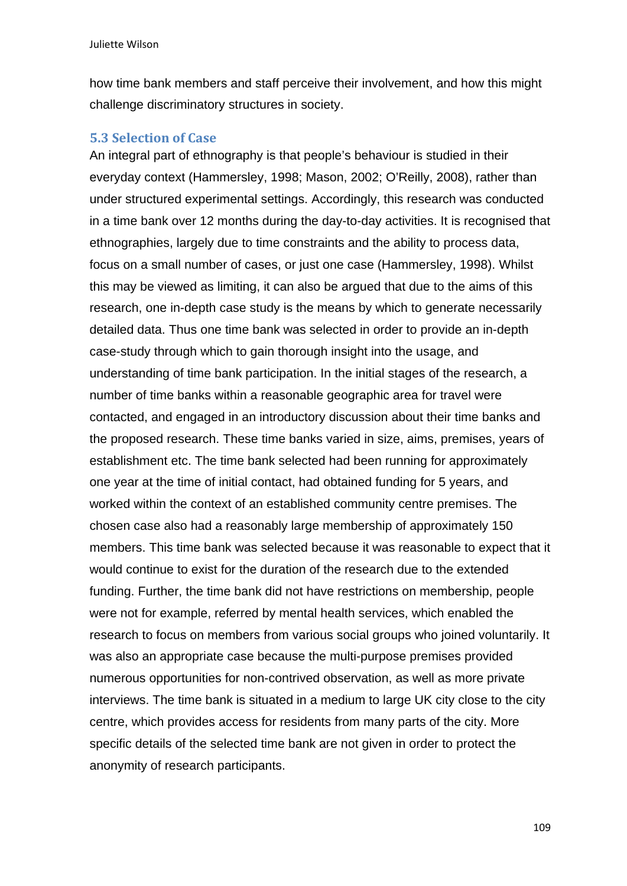how time bank members and staff perceive their involvement, and how this might challenge discriminatory structures in society.

#### **5.3 Selection of Case**

An integral part of ethnography is that people's behaviour is studied in their everyday context (Hammersley, 1998; Mason, 2002; O'Reilly, 2008), rather than under structured experimental settings. Accordingly, this research was conducted in a time bank over 12 months during the day-to-day activities. It is recognised that ethnographies, largely due to time constraints and the ability to process data, focus on a small number of cases, or just one case (Hammersley, 1998). Whilst this may be viewed as limiting, it can also be argued that due to the aims of this research, one in-depth case study is the means by which to generate necessarily detailed data. Thus one time bank was selected in order to provide an in-depth case-study through which to gain thorough insight into the usage, and understanding of time bank participation. In the initial stages of the research, a number of time banks within a reasonable geographic area for travel were contacted, and engaged in an introductory discussion about their time banks and the proposed research. These time banks varied in size, aims, premises, years of establishment etc. The time bank selected had been running for approximately one year at the time of initial contact, had obtained funding for 5 years, and worked within the context of an established community centre premises. The chosen case also had a reasonably large membership of approximately 150 members. This time bank was selected because it was reasonable to expect that it would continue to exist for the duration of the research due to the extended funding. Further, the time bank did not have restrictions on membership, people were not for example, referred by mental health services, which enabled the research to focus on members from various social groups who joined voluntarily. It was also an appropriate case because the multi-purpose premises provided numerous opportunities for non-contrived observation, as well as more private interviews. The time bank is situated in a medium to large UK city close to the city centre, which provides access for residents from many parts of the city. More specific details of the selected time bank are not given in order to protect the anonymity of research participants.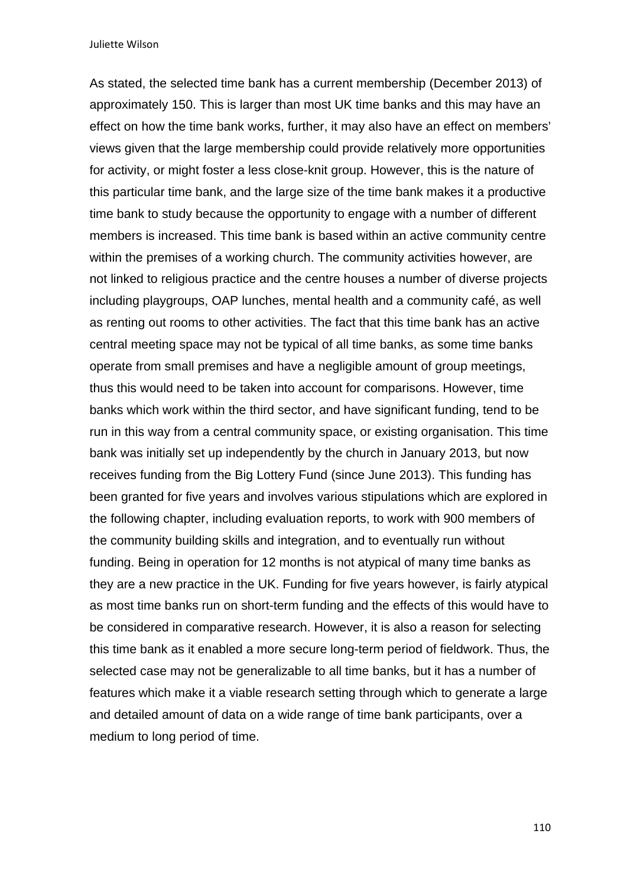As stated, the selected time bank has a current membership (December 2013) of approximately 150. This is larger than most UK time banks and this may have an effect on how the time bank works, further, it may also have an effect on members' views given that the large membership could provide relatively more opportunities for activity, or might foster a less close-knit group. However, this is the nature of this particular time bank, and the large size of the time bank makes it a productive time bank to study because the opportunity to engage with a number of different members is increased. This time bank is based within an active community centre within the premises of a working church. The community activities however, are not linked to religious practice and the centre houses a number of diverse projects including playgroups, OAP lunches, mental health and a community café, as well as renting out rooms to other activities. The fact that this time bank has an active central meeting space may not be typical of all time banks, as some time banks operate from small premises and have a negligible amount of group meetings, thus this would need to be taken into account for comparisons. However, time banks which work within the third sector, and have significant funding, tend to be run in this way from a central community space, or existing organisation. This time bank was initially set up independently by the church in January 2013, but now receives funding from the Big Lottery Fund (since June 2013). This funding has been granted for five years and involves various stipulations which are explored in the following chapter, including evaluation reports, to work with 900 members of the community building skills and integration, and to eventually run without funding. Being in operation for 12 months is not atypical of many time banks as they are a new practice in the UK. Funding for five years however, is fairly atypical as most time banks run on short-term funding and the effects of this would have to be considered in comparative research. However, it is also a reason for selecting this time bank as it enabled a more secure long-term period of fieldwork. Thus, the selected case may not be generalizable to all time banks, but it has a number of features which make it a viable research setting through which to generate a large and detailed amount of data on a wide range of time bank participants, over a medium to long period of time.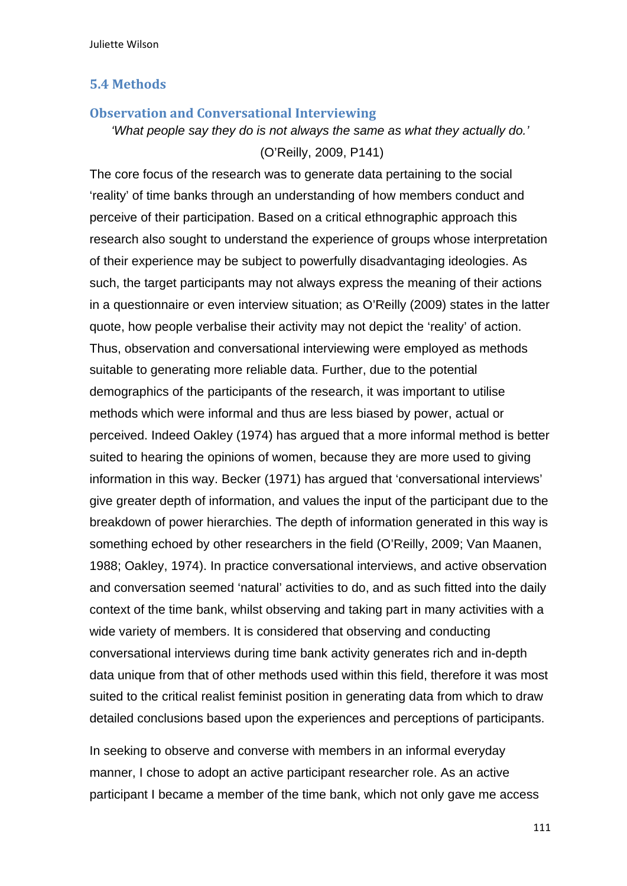#### **5.4 Methods**

### **Observation and Conversational Interviewing**

*'What people say they do is not always the same as what they actually do.'*  (O'Reilly, 2009, P141)

The core focus of the research was to generate data pertaining to the social 'reality' of time banks through an understanding of how members conduct and perceive of their participation. Based on a critical ethnographic approach this research also sought to understand the experience of groups whose interpretation of their experience may be subject to powerfully disadvantaging ideologies. As such, the target participants may not always express the meaning of their actions in a questionnaire or even interview situation; as O'Reilly (2009) states in the latter quote, how people verbalise their activity may not depict the 'reality' of action. Thus, observation and conversational interviewing were employed as methods suitable to generating more reliable data. Further, due to the potential demographics of the participants of the research, it was important to utilise methods which were informal and thus are less biased by power, actual or perceived. Indeed Oakley (1974) has argued that a more informal method is better suited to hearing the opinions of women, because they are more used to giving information in this way. Becker (1971) has argued that 'conversational interviews' give greater depth of information, and values the input of the participant due to the breakdown of power hierarchies. The depth of information generated in this way is something echoed by other researchers in the field (O'Reilly, 2009; Van Maanen, 1988; Oakley, 1974). In practice conversational interviews, and active observation and conversation seemed 'natural' activities to do, and as such fitted into the daily context of the time bank, whilst observing and taking part in many activities with a wide variety of members. It is considered that observing and conducting conversational interviews during time bank activity generates rich and in-depth data unique from that of other methods used within this field, therefore it was most suited to the critical realist feminist position in generating data from which to draw detailed conclusions based upon the experiences and perceptions of participants.

In seeking to observe and converse with members in an informal everyday manner, I chose to adopt an active participant researcher role. As an active participant I became a member of the time bank, which not only gave me access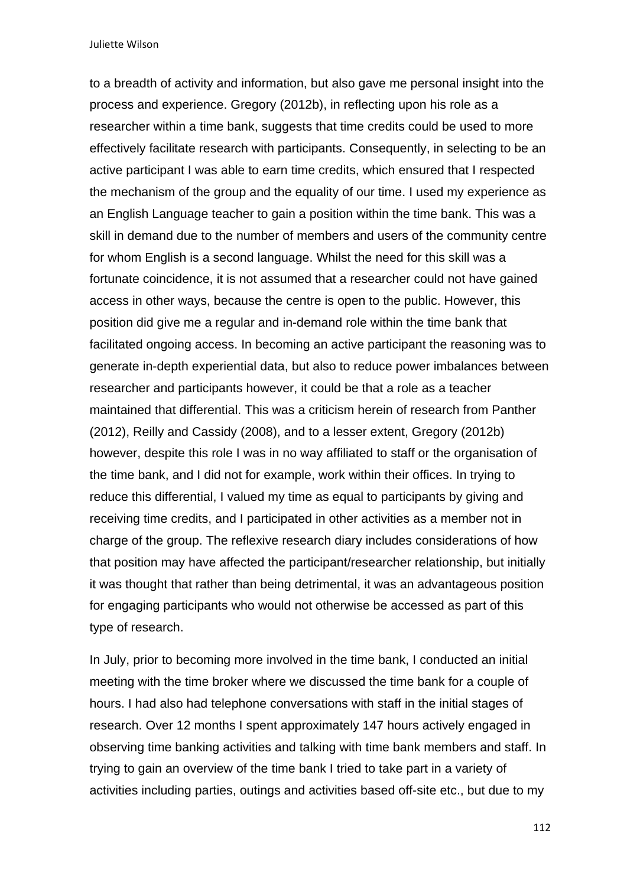to a breadth of activity and information, but also gave me personal insight into the process and experience. Gregory (2012b), in reflecting upon his role as a researcher within a time bank, suggests that time credits could be used to more effectively facilitate research with participants. Consequently, in selecting to be an active participant I was able to earn time credits, which ensured that I respected the mechanism of the group and the equality of our time. I used my experience as an English Language teacher to gain a position within the time bank. This was a skill in demand due to the number of members and users of the community centre for whom English is a second language. Whilst the need for this skill was a fortunate coincidence, it is not assumed that a researcher could not have gained access in other ways, because the centre is open to the public. However, this position did give me a regular and in-demand role within the time bank that facilitated ongoing access. In becoming an active participant the reasoning was to generate in-depth experiential data, but also to reduce power imbalances between researcher and participants however, it could be that a role as a teacher maintained that differential. This was a criticism herein of research from Panther (2012), Reilly and Cassidy (2008), and to a lesser extent, Gregory (2012b) however, despite this role I was in no way affiliated to staff or the organisation of the time bank, and I did not for example, work within their offices. In trying to reduce this differential, I valued my time as equal to participants by giving and receiving time credits, and I participated in other activities as a member not in charge of the group. The reflexive research diary includes considerations of how that position may have affected the participant/researcher relationship, but initially it was thought that rather than being detrimental, it was an advantageous position for engaging participants who would not otherwise be accessed as part of this type of research.

In July, prior to becoming more involved in the time bank, I conducted an initial meeting with the time broker where we discussed the time bank for a couple of hours. I had also had telephone conversations with staff in the initial stages of research. Over 12 months I spent approximately 147 hours actively engaged in observing time banking activities and talking with time bank members and staff. In trying to gain an overview of the time bank I tried to take part in a variety of activities including parties, outings and activities based off-site etc., but due to my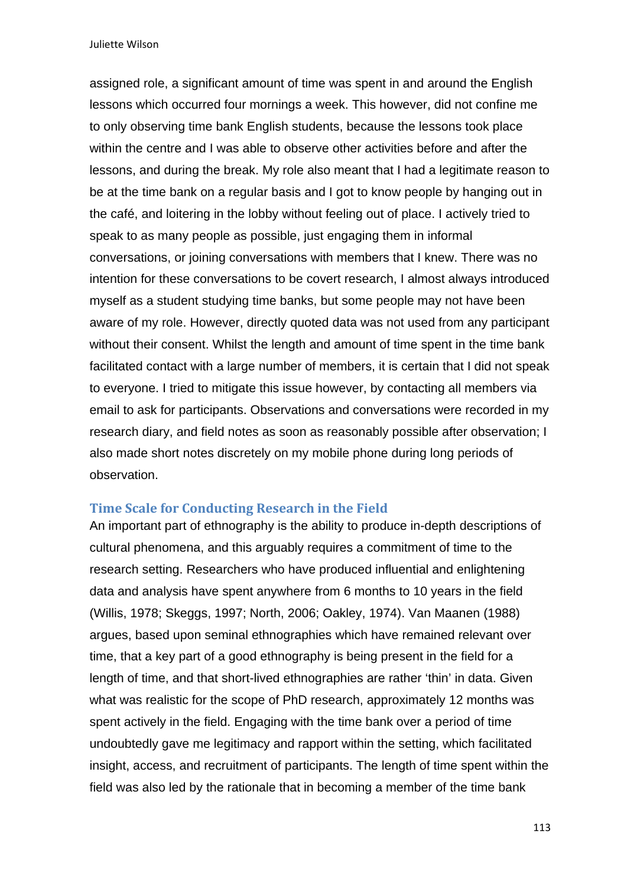assigned role, a significant amount of time was spent in and around the English lessons which occurred four mornings a week. This however, did not confine me to only observing time bank English students, because the lessons took place within the centre and I was able to observe other activities before and after the lessons, and during the break. My role also meant that I had a legitimate reason to be at the time bank on a regular basis and I got to know people by hanging out in the café, and loitering in the lobby without feeling out of place. I actively tried to speak to as many people as possible, just engaging them in informal conversations, or joining conversations with members that I knew. There was no intention for these conversations to be covert research, I almost always introduced myself as a student studying time banks, but some people may not have been aware of my role. However, directly quoted data was not used from any participant without their consent. Whilst the length and amount of time spent in the time bank facilitated contact with a large number of members, it is certain that I did not speak to everyone. I tried to mitigate this issue however, by contacting all members via email to ask for participants. Observations and conversations were recorded in my research diary, and field notes as soon as reasonably possible after observation; I also made short notes discretely on my mobile phone during long periods of observation.

### **Time Scale for Conducting Research in the Field**

An important part of ethnography is the ability to produce in-depth descriptions of cultural phenomena, and this arguably requires a commitment of time to the research setting. Researchers who have produced influential and enlightening data and analysis have spent anywhere from 6 months to 10 years in the field (Willis, 1978; Skeggs, 1997; North, 2006; Oakley, 1974). Van Maanen (1988) argues, based upon seminal ethnographies which have remained relevant over time, that a key part of a good ethnography is being present in the field for a length of time, and that short-lived ethnographies are rather 'thin' in data. Given what was realistic for the scope of PhD research, approximately 12 months was spent actively in the field. Engaging with the time bank over a period of time undoubtedly gave me legitimacy and rapport within the setting, which facilitated insight, access, and recruitment of participants. The length of time spent within the field was also led by the rationale that in becoming a member of the time bank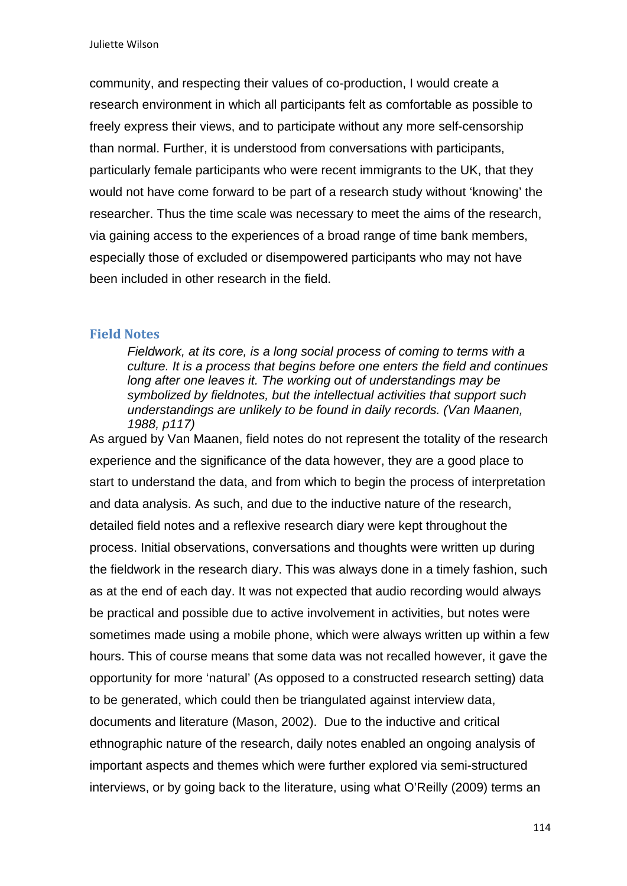community, and respecting their values of co-production, I would create a research environment in which all participants felt as comfortable as possible to freely express their views, and to participate without any more self-censorship than normal. Further, it is understood from conversations with participants, particularly female participants who were recent immigrants to the UK, that they would not have come forward to be part of a research study without 'knowing' the researcher. Thus the time scale was necessary to meet the aims of the research, via gaining access to the experiences of a broad range of time bank members, especially those of excluded or disempowered participants who may not have been included in other research in the field.

#### **Field Notes**

*Fieldwork, at its core, is a long social process of coming to terms with a culture. It is a process that begins before one enters the field and continues long after one leaves it. The working out of understandings may be symbolized by fieldnotes, but the intellectual activities that support such understandings are unlikely to be found in daily records. (Van Maanen, 1988, p117)* 

As argued by Van Maanen, field notes do not represent the totality of the research experience and the significance of the data however, they are a good place to start to understand the data, and from which to begin the process of interpretation and data analysis. As such, and due to the inductive nature of the research, detailed field notes and a reflexive research diary were kept throughout the process. Initial observations, conversations and thoughts were written up during the fieldwork in the research diary. This was always done in a timely fashion, such as at the end of each day. It was not expected that audio recording would always be practical and possible due to active involvement in activities, but notes were sometimes made using a mobile phone, which were always written up within a few hours. This of course means that some data was not recalled however, it gave the opportunity for more 'natural' (As opposed to a constructed research setting) data to be generated, which could then be triangulated against interview data, documents and literature (Mason, 2002). Due to the inductive and critical ethnographic nature of the research, daily notes enabled an ongoing analysis of important aspects and themes which were further explored via semi-structured interviews, or by going back to the literature, using what O'Reilly (2009) terms an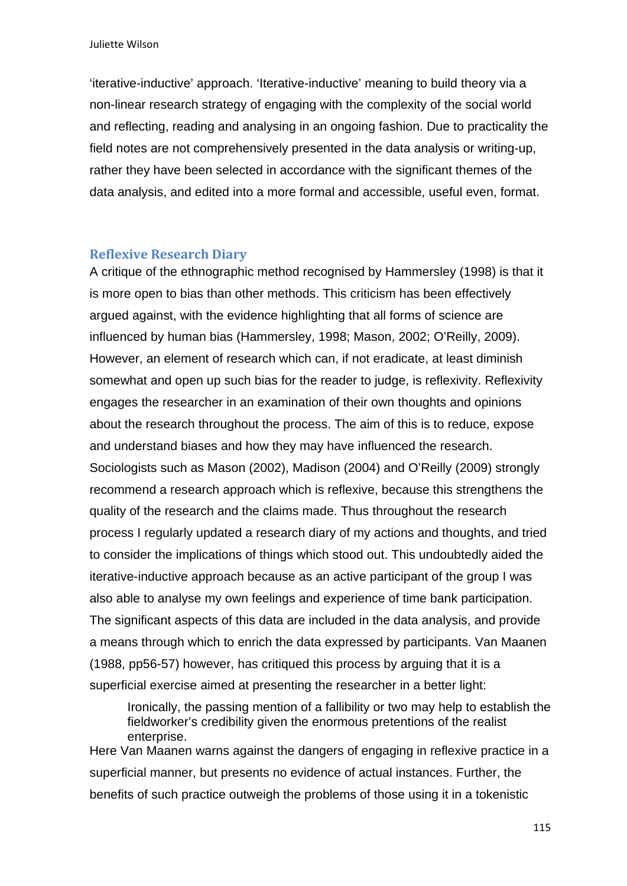'iterative-inductive' approach. 'Iterative-inductive' meaning to build theory via a non-linear research strategy of engaging with the complexity of the social world and reflecting, reading and analysing in an ongoing fashion. Due to practicality the field notes are not comprehensively presented in the data analysis or writing-up, rather they have been selected in accordance with the significant themes of the data analysis, and edited into a more formal and accessible, useful even, format.

#### **Reflexive Research Diary**

A critique of the ethnographic method recognised by Hammersley (1998) is that it is more open to bias than other methods. This criticism has been effectively argued against, with the evidence highlighting that all forms of science are influenced by human bias (Hammersley, 1998; Mason, 2002; O'Reilly, 2009). However, an element of research which can, if not eradicate, at least diminish somewhat and open up such bias for the reader to judge, is reflexivity. Reflexivity engages the researcher in an examination of their own thoughts and opinions about the research throughout the process. The aim of this is to reduce, expose and understand biases and how they may have influenced the research. Sociologists such as Mason (2002), Madison (2004) and O'Reilly (2009) strongly recommend a research approach which is reflexive, because this strengthens the quality of the research and the claims made. Thus throughout the research process I regularly updated a research diary of my actions and thoughts, and tried to consider the implications of things which stood out. This undoubtedly aided the iterative-inductive approach because as an active participant of the group I was also able to analyse my own feelings and experience of time bank participation. The significant aspects of this data are included in the data analysis, and provide a means through which to enrich the data expressed by participants. Van Maanen (1988, pp56-57) however, has critiqued this process by arguing that it is a superficial exercise aimed at presenting the researcher in a better light:

Ironically, the passing mention of a fallibility or two may help to establish the fieldworker's credibility given the enormous pretentions of the realist enterprise.

Here Van Maanen warns against the dangers of engaging in reflexive practice in a superficial manner, but presents no evidence of actual instances. Further, the benefits of such practice outweigh the problems of those using it in a tokenistic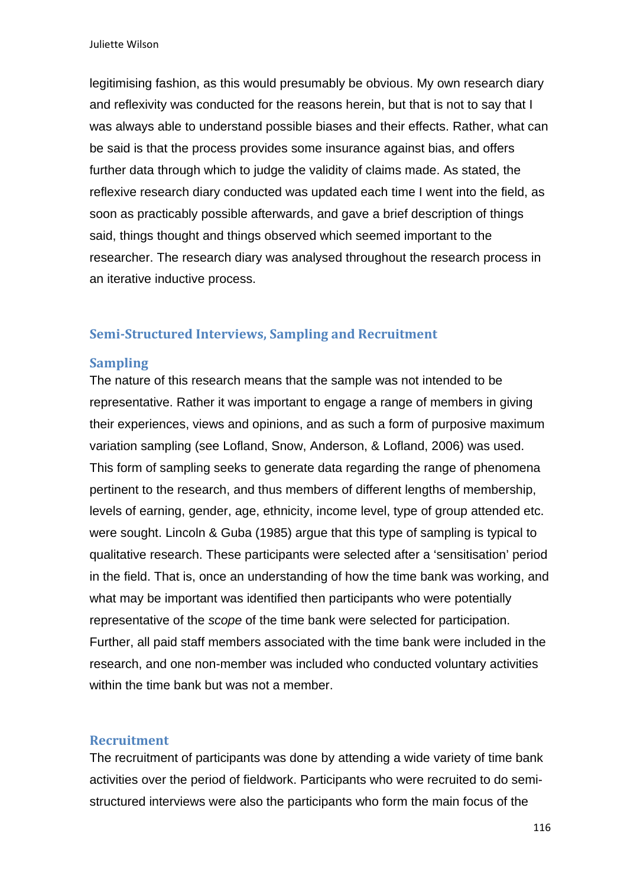legitimising fashion, as this would presumably be obvious. My own research diary and reflexivity was conducted for the reasons herein, but that is not to say that I was always able to understand possible biases and their effects. Rather, what can be said is that the process provides some insurance against bias, and offers further data through which to judge the validity of claims made. As stated, the reflexive research diary conducted was updated each time I went into the field, as soon as practicably possible afterwards, and gave a brief description of things said, things thought and things observed which seemed important to the researcher. The research diary was analysed throughout the research process in an iterative inductive process.

### **Semi‐Structured Interviews, Sampling and Recruitment**

#### **Sampling**

The nature of this research means that the sample was not intended to be representative. Rather it was important to engage a range of members in giving their experiences, views and opinions, and as such a form of purposive maximum variation sampling (see Lofland, Snow, Anderson, & Lofland, 2006) was used. This form of sampling seeks to generate data regarding the range of phenomena pertinent to the research, and thus members of different lengths of membership, levels of earning, gender, age, ethnicity, income level, type of group attended etc. were sought. Lincoln & Guba (1985) argue that this type of sampling is typical to qualitative research. These participants were selected after a 'sensitisation' period in the field. That is, once an understanding of how the time bank was working, and what may be important was identified then participants who were potentially representative of the *scope* of the time bank were selected for participation. Further, all paid staff members associated with the time bank were included in the research, and one non-member was included who conducted voluntary activities within the time bank but was not a member.

#### **Recruitment**

The recruitment of participants was done by attending a wide variety of time bank activities over the period of fieldwork. Participants who were recruited to do semistructured interviews were also the participants who form the main focus of the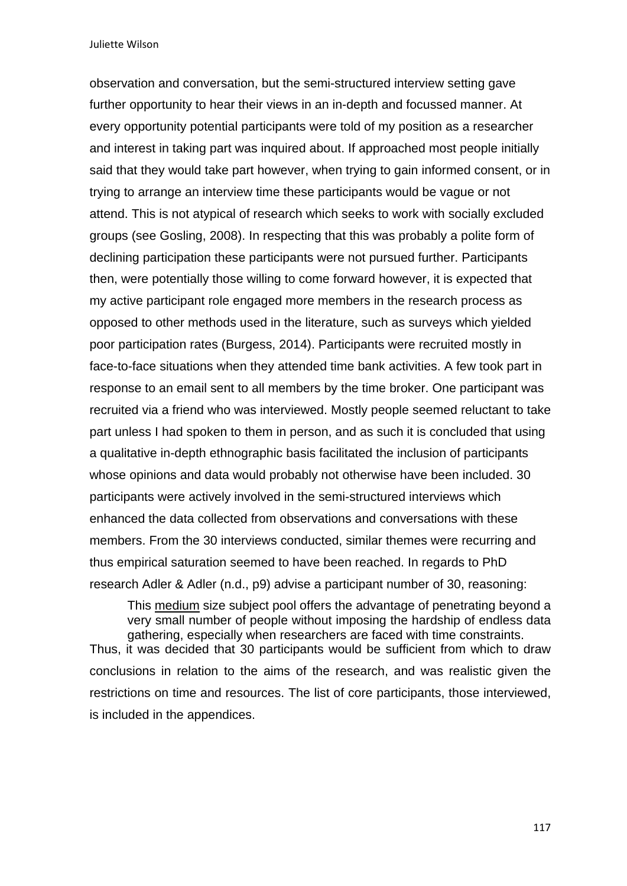observation and conversation, but the semi-structured interview setting gave further opportunity to hear their views in an in-depth and focussed manner. At every opportunity potential participants were told of my position as a researcher and interest in taking part was inquired about. If approached most people initially said that they would take part however, when trying to gain informed consent, or in trying to arrange an interview time these participants would be vague or not attend. This is not atypical of research which seeks to work with socially excluded groups (see Gosling, 2008). In respecting that this was probably a polite form of declining participation these participants were not pursued further. Participants then, were potentially those willing to come forward however, it is expected that my active participant role engaged more members in the research process as opposed to other methods used in the literature, such as surveys which yielded poor participation rates (Burgess, 2014). Participants were recruited mostly in face-to-face situations when they attended time bank activities. A few took part in response to an email sent to all members by the time broker. One participant was recruited via a friend who was interviewed. Mostly people seemed reluctant to take part unless I had spoken to them in person, and as such it is concluded that using a qualitative in-depth ethnographic basis facilitated the inclusion of participants whose opinions and data would probably not otherwise have been included. 30 participants were actively involved in the semi-structured interviews which enhanced the data collected from observations and conversations with these members. From the 30 interviews conducted, similar themes were recurring and thus empirical saturation seemed to have been reached. In regards to PhD research Adler & Adler (n.d., p9) advise a participant number of 30, reasoning:

This medium size subject pool offers the advantage of penetrating beyond a very small number of people without imposing the hardship of endless data gathering, especially when researchers are faced with time constraints. Thus, it was decided that 30 participants would be sufficient from which to draw conclusions in relation to the aims of the research, and was realistic given the restrictions on time and resources. The list of core participants, those interviewed, is included in the appendices.

117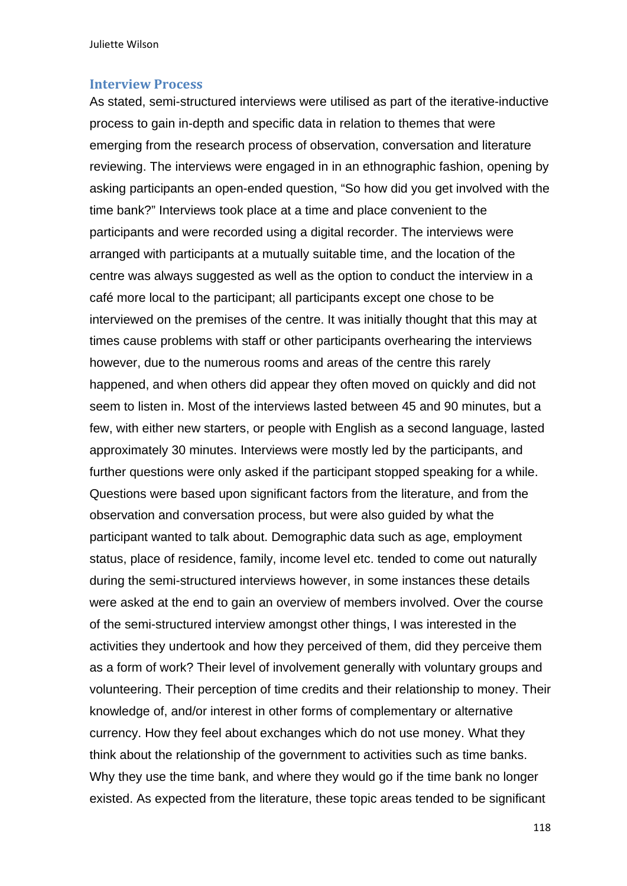#### **Interview Process**

As stated, semi-structured interviews were utilised as part of the iterative-inductive process to gain in-depth and specific data in relation to themes that were emerging from the research process of observation, conversation and literature reviewing. The interviews were engaged in in an ethnographic fashion, opening by asking participants an open-ended question, "So how did you get involved with the time bank?" Interviews took place at a time and place convenient to the participants and were recorded using a digital recorder. The interviews were arranged with participants at a mutually suitable time, and the location of the centre was always suggested as well as the option to conduct the interview in a café more local to the participant; all participants except one chose to be interviewed on the premises of the centre. It was initially thought that this may at times cause problems with staff or other participants overhearing the interviews however, due to the numerous rooms and areas of the centre this rarely happened, and when others did appear they often moved on quickly and did not seem to listen in. Most of the interviews lasted between 45 and 90 minutes, but a few, with either new starters, or people with English as a second language, lasted approximately 30 minutes. Interviews were mostly led by the participants, and further questions were only asked if the participant stopped speaking for a while. Questions were based upon significant factors from the literature, and from the observation and conversation process, but were also guided by what the participant wanted to talk about. Demographic data such as age, employment status, place of residence, family, income level etc. tended to come out naturally during the semi-structured interviews however, in some instances these details were asked at the end to gain an overview of members involved. Over the course of the semi-structured interview amongst other things, I was interested in the activities they undertook and how they perceived of them, did they perceive them as a form of work? Their level of involvement generally with voluntary groups and volunteering. Their perception of time credits and their relationship to money. Their knowledge of, and/or interest in other forms of complementary or alternative currency. How they feel about exchanges which do not use money. What they think about the relationship of the government to activities such as time banks. Why they use the time bank, and where they would go if the time bank no longer existed. As expected from the literature, these topic areas tended to be significant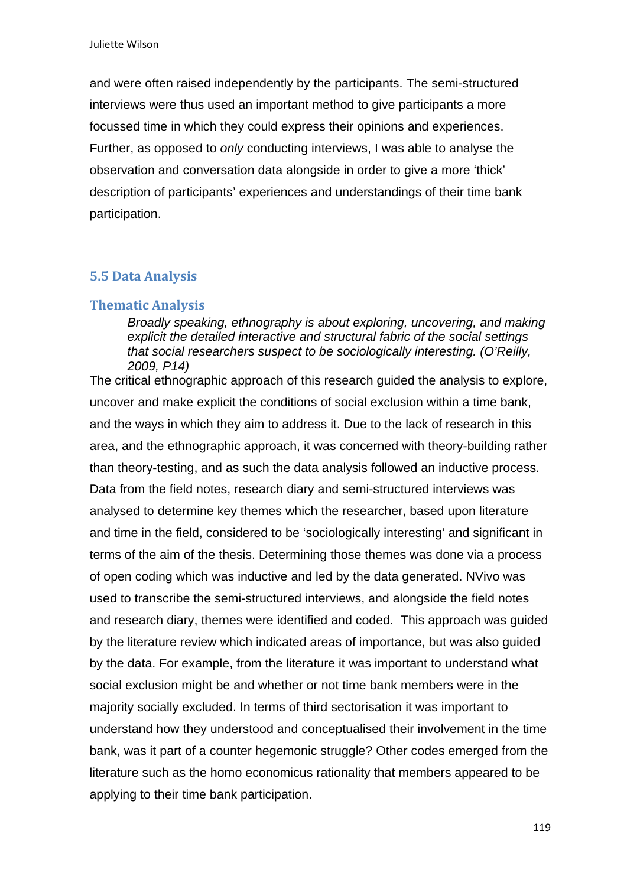and were often raised independently by the participants. The semi-structured interviews were thus used an important method to give participants a more focussed time in which they could express their opinions and experiences. Further, as opposed to *only* conducting interviews, I was able to analyse the observation and conversation data alongside in order to give a more 'thick' description of participants' experiences and understandings of their time bank participation.

## **5.5 Data Analysis**

#### **Thematic Analysis**

*Broadly speaking, ethnography is about exploring, uncovering, and making explicit the detailed interactive and structural fabric of the social settings that social researchers suspect to be sociologically interesting. (O'Reilly, 2009, P14)* 

The critical ethnographic approach of this research guided the analysis to explore, uncover and make explicit the conditions of social exclusion within a time bank, and the ways in which they aim to address it. Due to the lack of research in this area, and the ethnographic approach, it was concerned with theory-building rather than theory-testing, and as such the data analysis followed an inductive process. Data from the field notes, research diary and semi-structured interviews was analysed to determine key themes which the researcher, based upon literature and time in the field, considered to be 'sociologically interesting' and significant in terms of the aim of the thesis. Determining those themes was done via a process of open coding which was inductive and led by the data generated. NVivo was used to transcribe the semi-structured interviews, and alongside the field notes and research diary, themes were identified and coded. This approach was guided by the literature review which indicated areas of importance, but was also guided by the data. For example, from the literature it was important to understand what social exclusion might be and whether or not time bank members were in the majority socially excluded. In terms of third sectorisation it was important to understand how they understood and conceptualised their involvement in the time bank, was it part of a counter hegemonic struggle? Other codes emerged from the literature such as the homo economicus rationality that members appeared to be applying to their time bank participation.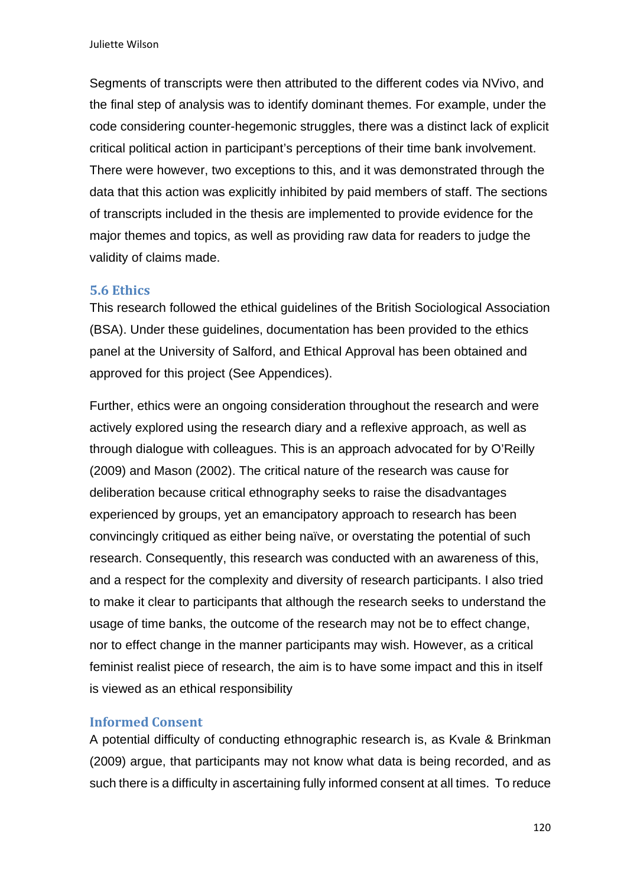Segments of transcripts were then attributed to the different codes via NVivo, and the final step of analysis was to identify dominant themes. For example, under the code considering counter-hegemonic struggles, there was a distinct lack of explicit critical political action in participant's perceptions of their time bank involvement. There were however, two exceptions to this, and it was demonstrated through the data that this action was explicitly inhibited by paid members of staff. The sections of transcripts included in the thesis are implemented to provide evidence for the major themes and topics, as well as providing raw data for readers to judge the validity of claims made.

## **5.6 Ethics**

This research followed the ethical guidelines of the British Sociological Association (BSA). Under these guidelines, documentation has been provided to the ethics panel at the University of Salford, and Ethical Approval has been obtained and approved for this project (See Appendices).

Further, ethics were an ongoing consideration throughout the research and were actively explored using the research diary and a reflexive approach, as well as through dialogue with colleagues. This is an approach advocated for by O'Reilly (2009) and Mason (2002). The critical nature of the research was cause for deliberation because critical ethnography seeks to raise the disadvantages experienced by groups, yet an emancipatory approach to research has been convincingly critiqued as either being naïve, or overstating the potential of such research. Consequently, this research was conducted with an awareness of this, and a respect for the complexity and diversity of research participants. I also tried to make it clear to participants that although the research seeks to understand the usage of time banks, the outcome of the research may not be to effect change, nor to effect change in the manner participants may wish. However, as a critical feminist realist piece of research, the aim is to have some impact and this in itself is viewed as an ethical responsibility

## **Informed Consent**

A potential difficulty of conducting ethnographic research is, as Kvale & Brinkman (2009) argue, that participants may not know what data is being recorded, and as such there is a difficulty in ascertaining fully informed consent at all times. To reduce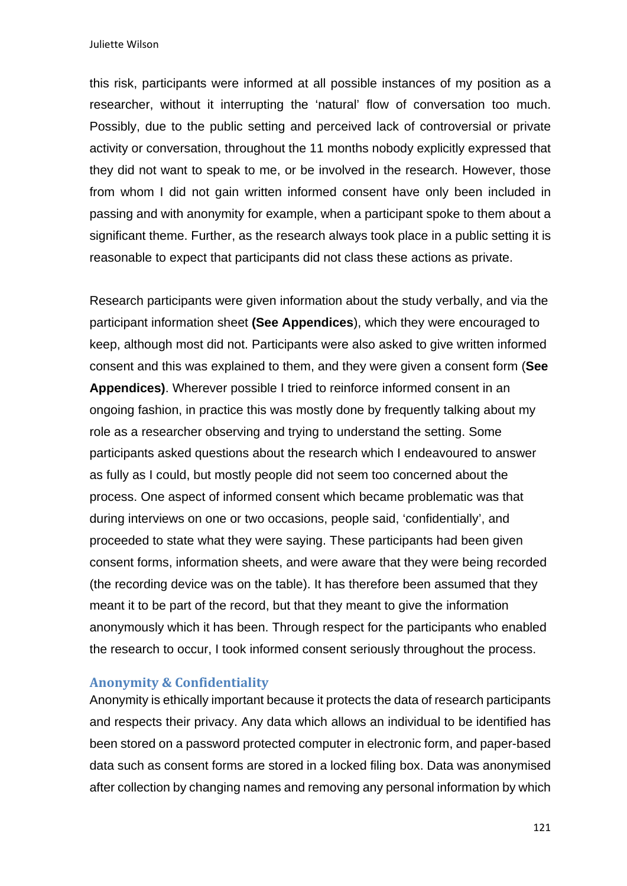this risk, participants were informed at all possible instances of my position as a researcher, without it interrupting the 'natural' flow of conversation too much. Possibly, due to the public setting and perceived lack of controversial or private activity or conversation, throughout the 11 months nobody explicitly expressed that they did not want to speak to me, or be involved in the research. However, those from whom I did not gain written informed consent have only been included in passing and with anonymity for example, when a participant spoke to them about a significant theme. Further, as the research always took place in a public setting it is reasonable to expect that participants did not class these actions as private.

Research participants were given information about the study verbally, and via the participant information sheet **(See Appendices**), which they were encouraged to keep, although most did not. Participants were also asked to give written informed consent and this was explained to them, and they were given a consent form (**See Appendices)**. Wherever possible I tried to reinforce informed consent in an ongoing fashion, in practice this was mostly done by frequently talking about my role as a researcher observing and trying to understand the setting. Some participants asked questions about the research which I endeavoured to answer as fully as I could, but mostly people did not seem too concerned about the process. One aspect of informed consent which became problematic was that during interviews on one or two occasions, people said, 'confidentially', and proceeded to state what they were saying. These participants had been given consent forms, information sheets, and were aware that they were being recorded (the recording device was on the table). It has therefore been assumed that they meant it to be part of the record, but that they meant to give the information anonymously which it has been. Through respect for the participants who enabled the research to occur, I took informed consent seriously throughout the process.

### **Anonymity & Confidentiality**

Anonymity is ethically important because it protects the data of research participants and respects their privacy. Any data which allows an individual to be identified has been stored on a password protected computer in electronic form, and paper-based data such as consent forms are stored in a locked filing box. Data was anonymised after collection by changing names and removing any personal information by which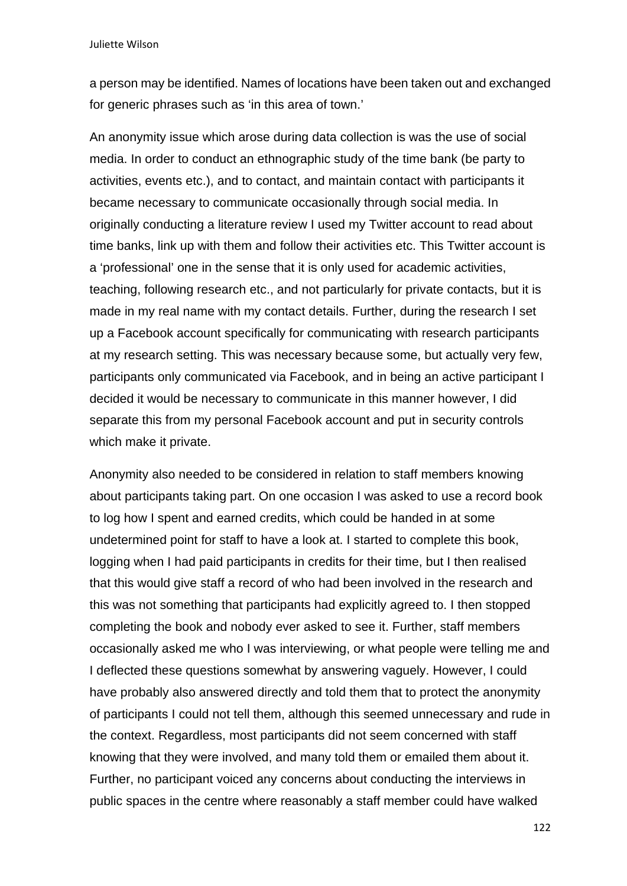a person may be identified. Names of locations have been taken out and exchanged for generic phrases such as 'in this area of town.'

An anonymity issue which arose during data collection is was the use of social media. In order to conduct an ethnographic study of the time bank (be party to activities, events etc.), and to contact, and maintain contact with participants it became necessary to communicate occasionally through social media. In originally conducting a literature review I used my Twitter account to read about time banks, link up with them and follow their activities etc. This Twitter account is a 'professional' one in the sense that it is only used for academic activities, teaching, following research etc., and not particularly for private contacts, but it is made in my real name with my contact details. Further, during the research I set up a Facebook account specifically for communicating with research participants at my research setting. This was necessary because some, but actually very few, participants only communicated via Facebook, and in being an active participant I decided it would be necessary to communicate in this manner however, I did separate this from my personal Facebook account and put in security controls which make it private.

Anonymity also needed to be considered in relation to staff members knowing about participants taking part. On one occasion I was asked to use a record book to log how I spent and earned credits, which could be handed in at some undetermined point for staff to have a look at. I started to complete this book, logging when I had paid participants in credits for their time, but I then realised that this would give staff a record of who had been involved in the research and this was not something that participants had explicitly agreed to. I then stopped completing the book and nobody ever asked to see it. Further, staff members occasionally asked me who I was interviewing, or what people were telling me and I deflected these questions somewhat by answering vaguely. However, I could have probably also answered directly and told them that to protect the anonymity of participants I could not tell them, although this seemed unnecessary and rude in the context. Regardless, most participants did not seem concerned with staff knowing that they were involved, and many told them or emailed them about it. Further, no participant voiced any concerns about conducting the interviews in public spaces in the centre where reasonably a staff member could have walked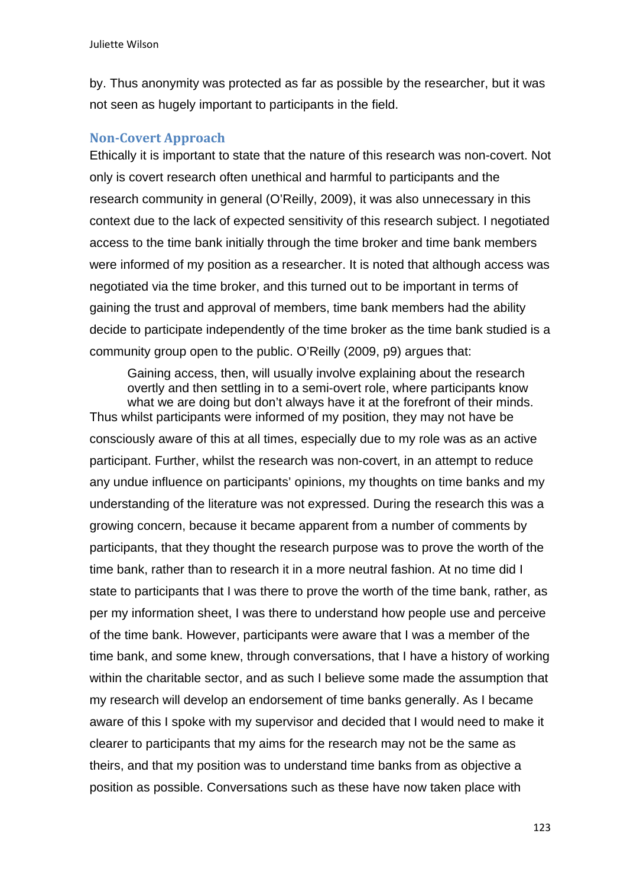by. Thus anonymity was protected as far as possible by the researcher, but it was not seen as hugely important to participants in the field.

## **Non-Covert Approach**

Ethically it is important to state that the nature of this research was non-covert. Not only is covert research often unethical and harmful to participants and the research community in general (O'Reilly, 2009), it was also unnecessary in this context due to the lack of expected sensitivity of this research subject. I negotiated access to the time bank initially through the time broker and time bank members were informed of my position as a researcher. It is noted that although access was negotiated via the time broker, and this turned out to be important in terms of gaining the trust and approval of members, time bank members had the ability decide to participate independently of the time broker as the time bank studied is a community group open to the public. O'Reilly (2009, p9) argues that:

Gaining access, then, will usually involve explaining about the research overtly and then settling in to a semi-overt role, where participants know what we are doing but don't always have it at the forefront of their minds. Thus whilst participants were informed of my position, they may not have be consciously aware of this at all times, especially due to my role was as an active participant. Further, whilst the research was non-covert, in an attempt to reduce any undue influence on participants' opinions, my thoughts on time banks and my understanding of the literature was not expressed. During the research this was a growing concern, because it became apparent from a number of comments by participants, that they thought the research purpose was to prove the worth of the time bank, rather than to research it in a more neutral fashion. At no time did I state to participants that I was there to prove the worth of the time bank, rather, as per my information sheet, I was there to understand how people use and perceive of the time bank. However, participants were aware that I was a member of the time bank, and some knew, through conversations, that I have a history of working within the charitable sector, and as such I believe some made the assumption that my research will develop an endorsement of time banks generally. As I became aware of this I spoke with my supervisor and decided that I would need to make it clearer to participants that my aims for the research may not be the same as theirs, and that my position was to understand time banks from as objective a position as possible. Conversations such as these have now taken place with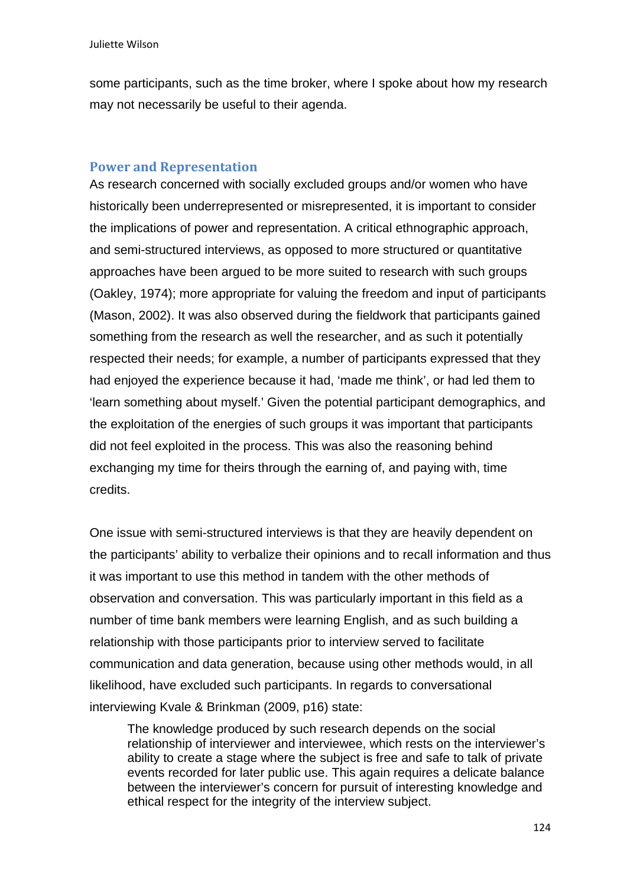some participants, such as the time broker, where I spoke about how my research may not necessarily be useful to their agenda.

## **Power and Representation**

As research concerned with socially excluded groups and/or women who have historically been underrepresented or misrepresented, it is important to consider the implications of power and representation. A critical ethnographic approach, and semi-structured interviews, as opposed to more structured or quantitative approaches have been argued to be more suited to research with such groups (Oakley, 1974); more appropriate for valuing the freedom and input of participants (Mason, 2002). It was also observed during the fieldwork that participants gained something from the research as well the researcher, and as such it potentially respected their needs; for example, a number of participants expressed that they had enjoyed the experience because it had, 'made me think', or had led them to 'learn something about myself.' Given the potential participant demographics, and the exploitation of the energies of such groups it was important that participants did not feel exploited in the process. This was also the reasoning behind exchanging my time for theirs through the earning of, and paying with, time credits.

One issue with semi-structured interviews is that they are heavily dependent on the participants' ability to verbalize their opinions and to recall information and thus it was important to use this method in tandem with the other methods of observation and conversation. This was particularly important in this field as a number of time bank members were learning English, and as such building a relationship with those participants prior to interview served to facilitate communication and data generation, because using other methods would, in all likelihood, have excluded such participants. In regards to conversational interviewing Kvale & Brinkman (2009, p16) state:

The knowledge produced by such research depends on the social relationship of interviewer and interviewee, which rests on the interviewer's ability to create a stage where the subject is free and safe to talk of private events recorded for later public use. This again requires a delicate balance between the interviewer's concern for pursuit of interesting knowledge and ethical respect for the integrity of the interview subject.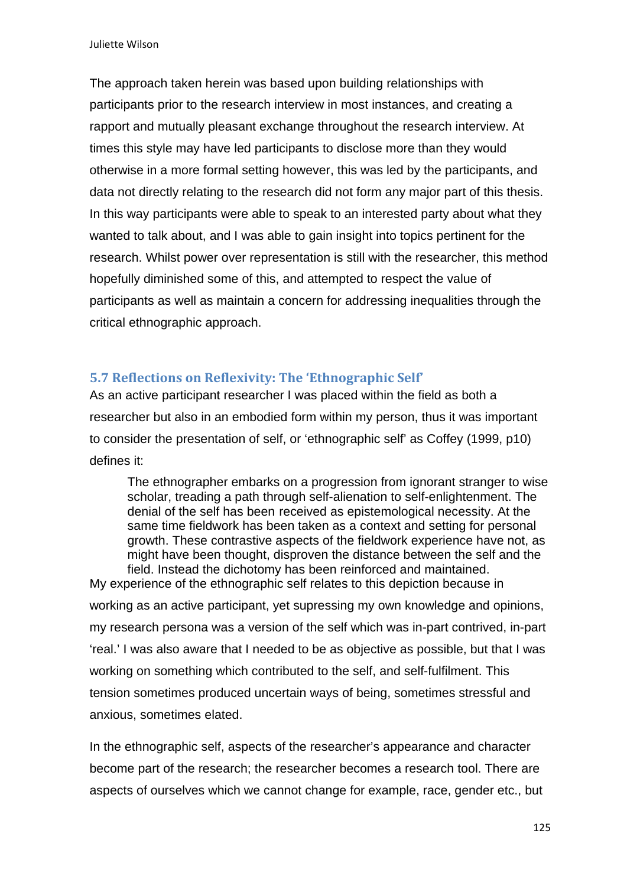The approach taken herein was based upon building relationships with participants prior to the research interview in most instances, and creating a rapport and mutually pleasant exchange throughout the research interview. At times this style may have led participants to disclose more than they would otherwise in a more formal setting however, this was led by the participants, and data not directly relating to the research did not form any major part of this thesis. In this way participants were able to speak to an interested party about what they wanted to talk about, and I was able to gain insight into topics pertinent for the research. Whilst power over representation is still with the researcher, this method hopefully diminished some of this, and attempted to respect the value of participants as well as maintain a concern for addressing inequalities through the critical ethnographic approach.

## **5.7 Reflections on Reflexivity: The 'Ethnographic Self'**

As an active participant researcher I was placed within the field as both a researcher but also in an embodied form within my person, thus it was important to consider the presentation of self, or 'ethnographic self' as Coffey (1999, p10) defines it:

The ethnographer embarks on a progression from ignorant stranger to wise scholar, treading a path through self-alienation to self-enlightenment. The denial of the self has been received as epistemological necessity. At the same time fieldwork has been taken as a context and setting for personal growth. These contrastive aspects of the fieldwork experience have not, as might have been thought, disproven the distance between the self and the field. Instead the dichotomy has been reinforced and maintained.

My experience of the ethnographic self relates to this depiction because in working as an active participant, yet supressing my own knowledge and opinions, my research persona was a version of the self which was in-part contrived, in-part 'real.' I was also aware that I needed to be as objective as possible, but that I was working on something which contributed to the self, and self-fulfilment. This tension sometimes produced uncertain ways of being, sometimes stressful and anxious, sometimes elated.

In the ethnographic self, aspects of the researcher's appearance and character become part of the research; the researcher becomes a research tool. There are aspects of ourselves which we cannot change for example, race, gender etc., but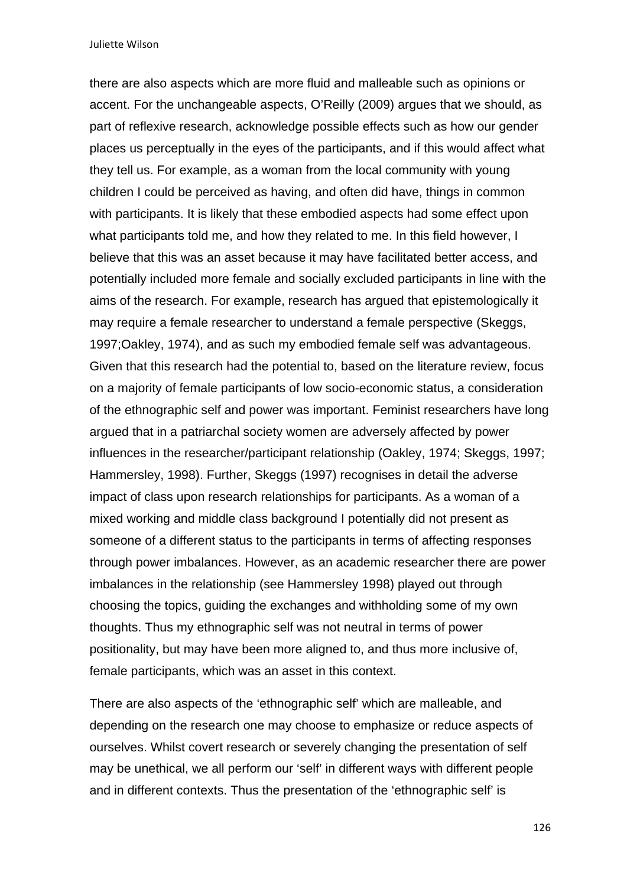there are also aspects which are more fluid and malleable such as opinions or accent. For the unchangeable aspects, O'Reilly (2009) argues that we should, as part of reflexive research, acknowledge possible effects such as how our gender places us perceptually in the eyes of the participants, and if this would affect what they tell us. For example, as a woman from the local community with young children I could be perceived as having, and often did have, things in common with participants. It is likely that these embodied aspects had some effect upon what participants told me, and how they related to me. In this field however, I believe that this was an asset because it may have facilitated better access, and potentially included more female and socially excluded participants in line with the aims of the research. For example, research has argued that epistemologically it may require a female researcher to understand a female perspective (Skeggs, 1997;Oakley, 1974), and as such my embodied female self was advantageous. Given that this research had the potential to, based on the literature review, focus on a majority of female participants of low socio-economic status, a consideration of the ethnographic self and power was important. Feminist researchers have long argued that in a patriarchal society women are adversely affected by power influences in the researcher/participant relationship (Oakley, 1974; Skeggs, 1997; Hammersley, 1998). Further, Skeggs (1997) recognises in detail the adverse impact of class upon research relationships for participants. As a woman of a mixed working and middle class background I potentially did not present as someone of a different status to the participants in terms of affecting responses through power imbalances. However, as an academic researcher there are power imbalances in the relationship (see Hammersley 1998) played out through choosing the topics, guiding the exchanges and withholding some of my own thoughts. Thus my ethnographic self was not neutral in terms of power positionality, but may have been more aligned to, and thus more inclusive of, female participants, which was an asset in this context.

There are also aspects of the 'ethnographic self' which are malleable, and depending on the research one may choose to emphasize or reduce aspects of ourselves. Whilst covert research or severely changing the presentation of self may be unethical, we all perform our 'self' in different ways with different people and in different contexts. Thus the presentation of the 'ethnographic self' is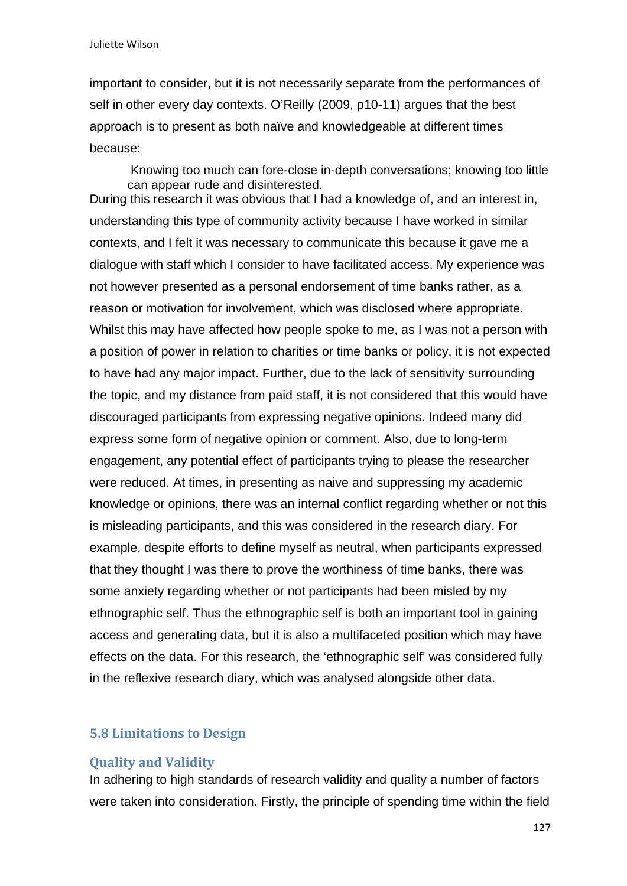important to consider, but it is not necessarily separate from the performances of self in other every day contexts. O'Reilly (2009, p10-11) argues that the best approach is to present as both naïve and knowledgeable at different times because:

Knowing too much can fore-close in-depth conversations; knowing too little can appear rude and disinterested. During this research it was obvious that I had a knowledge of, and an interest in, understanding this type of community activity because I have worked in similar contexts, and I felt it was necessary to communicate this because it gave me a dialogue with staff which I consider to have facilitated access. My experience was not however presented as a personal endorsement of time banks rather, as a reason or motivation for involvement, which was disclosed where appropriate. Whilst this may have affected how people spoke to me, as I was not a person with a position of power in relation to charities or time banks or policy, it is not expected to have had any major impact. Further, due to the lack of sensitivity surrounding the topic, and my distance from paid staff, it is not considered that this would have discouraged participants from expressing negative opinions. Indeed many did express some form of negative opinion or comment. Also, due to long-term engagement, any potential effect of participants trying to please the researcher were reduced. At times, in presenting as naive and suppressing my academic knowledge or opinions, there was an internal conflict regarding whether or not this is misleading participants, and this was considered in the research diary. For example, despite efforts to define myself as neutral, when participants expressed that they thought I was there to prove the worthiness of time banks, there was some anxiety regarding whether or not participants had been misled by my ethnographic self. Thus the ethnographic self is both an important tool in gaining access and generating data, but it is also a multifaceted position which may have effects on the data. For this research, the 'ethnographic self' was considered fully in the reflexive research diary, which was analysed alongside other data.

### **5.8 Limitations to Design**

### **Quality and Validity**

In adhering to high standards of research validity and quality a number of factors were taken into consideration. Firstly, the principle of spending time within the field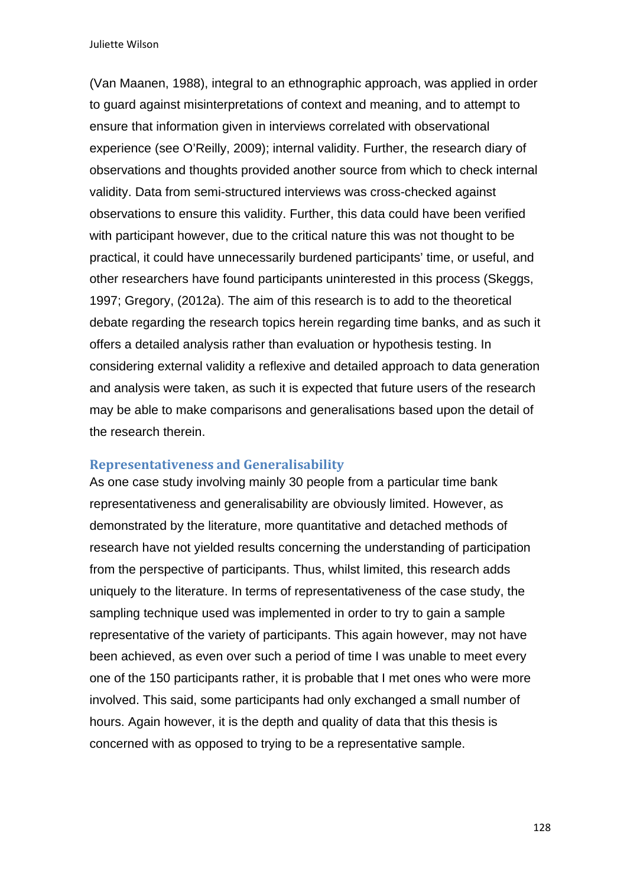(Van Maanen, 1988), integral to an ethnographic approach, was applied in order to guard against misinterpretations of context and meaning, and to attempt to ensure that information given in interviews correlated with observational experience (see O'Reilly, 2009); internal validity. Further, the research diary of observations and thoughts provided another source from which to check internal validity. Data from semi-structured interviews was cross-checked against observations to ensure this validity. Further, this data could have been verified with participant however, due to the critical nature this was not thought to be practical, it could have unnecessarily burdened participants' time, or useful, and other researchers have found participants uninterested in this process (Skeggs, 1997; Gregory, (2012a). The aim of this research is to add to the theoretical debate regarding the research topics herein regarding time banks, and as such it offers a detailed analysis rather than evaluation or hypothesis testing. In considering external validity a reflexive and detailed approach to data generation and analysis were taken, as such it is expected that future users of the research may be able to make comparisons and generalisations based upon the detail of the research therein.

#### **Representativeness and Generalisability**

As one case study involving mainly 30 people from a particular time bank representativeness and generalisability are obviously limited. However, as demonstrated by the literature, more quantitative and detached methods of research have not yielded results concerning the understanding of participation from the perspective of participants. Thus, whilst limited, this research adds uniquely to the literature. In terms of representativeness of the case study, the sampling technique used was implemented in order to try to gain a sample representative of the variety of participants. This again however, may not have been achieved, as even over such a period of time I was unable to meet every one of the 150 participants rather, it is probable that I met ones who were more involved. This said, some participants had only exchanged a small number of hours. Again however, it is the depth and quality of data that this thesis is concerned with as opposed to trying to be a representative sample.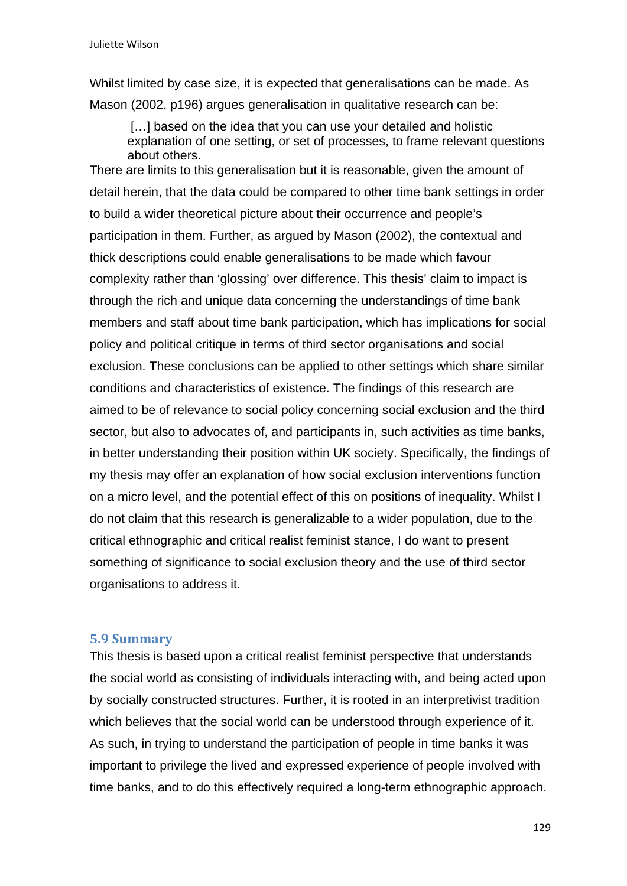Whilst limited by case size, it is expected that generalisations can be made. As Mason (2002, p196) argues generalisation in qualitative research can be:

[...] based on the idea that you can use your detailed and holistic explanation of one setting, or set of processes, to frame relevant questions about others.

There are limits to this generalisation but it is reasonable, given the amount of detail herein, that the data could be compared to other time bank settings in order to build a wider theoretical picture about their occurrence and people's participation in them. Further, as argued by Mason (2002), the contextual and thick descriptions could enable generalisations to be made which favour complexity rather than 'glossing' over difference. This thesis' claim to impact is through the rich and unique data concerning the understandings of time bank members and staff about time bank participation, which has implications for social policy and political critique in terms of third sector organisations and social exclusion. These conclusions can be applied to other settings which share similar conditions and characteristics of existence. The findings of this research are aimed to be of relevance to social policy concerning social exclusion and the third sector, but also to advocates of, and participants in, such activities as time banks, in better understanding their position within UK society. Specifically, the findings of my thesis may offer an explanation of how social exclusion interventions function on a micro level, and the potential effect of this on positions of inequality. Whilst I do not claim that this research is generalizable to a wider population, due to the critical ethnographic and critical realist feminist stance, I do want to present something of significance to social exclusion theory and the use of third sector organisations to address it.

### **5.9 Summary**

This thesis is based upon a critical realist feminist perspective that understands the social world as consisting of individuals interacting with, and being acted upon by socially constructed structures. Further, it is rooted in an interpretivist tradition which believes that the social world can be understood through experience of it. As such, in trying to understand the participation of people in time banks it was important to privilege the lived and expressed experience of people involved with time banks, and to do this effectively required a long-term ethnographic approach.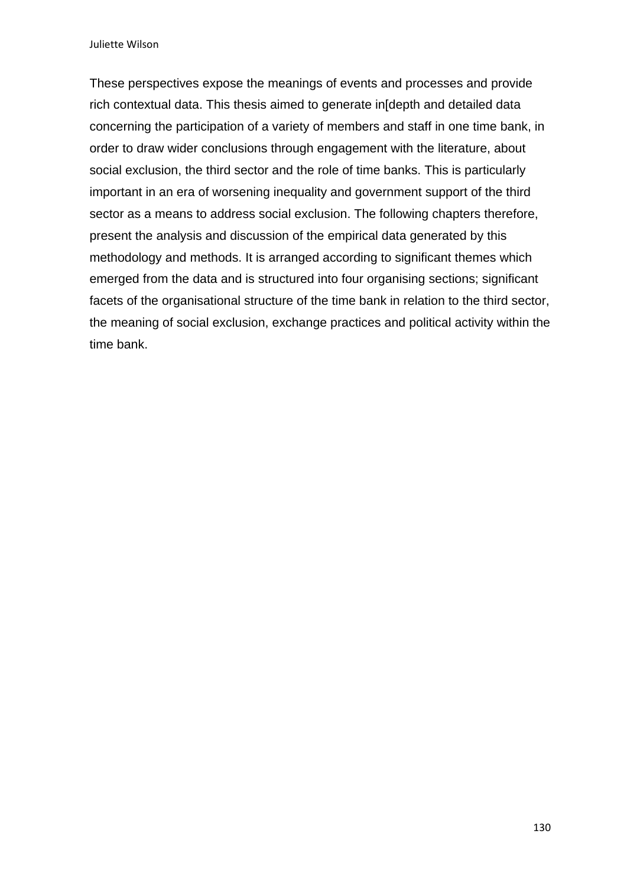These perspectives expose the meanings of events and processes and provide rich contextual data. This thesis aimed to generate in[depth and detailed data concerning the participation of a variety of members and staff in one time bank, in order to draw wider conclusions through engagement with the literature, about social exclusion, the third sector and the role of time banks. This is particularly important in an era of worsening inequality and government support of the third sector as a means to address social exclusion. The following chapters therefore, present the analysis and discussion of the empirical data generated by this methodology and methods. It is arranged according to significant themes which emerged from the data and is structured into four organising sections; significant facets of the organisational structure of the time bank in relation to the third sector, the meaning of social exclusion, exchange practices and political activity within the time bank.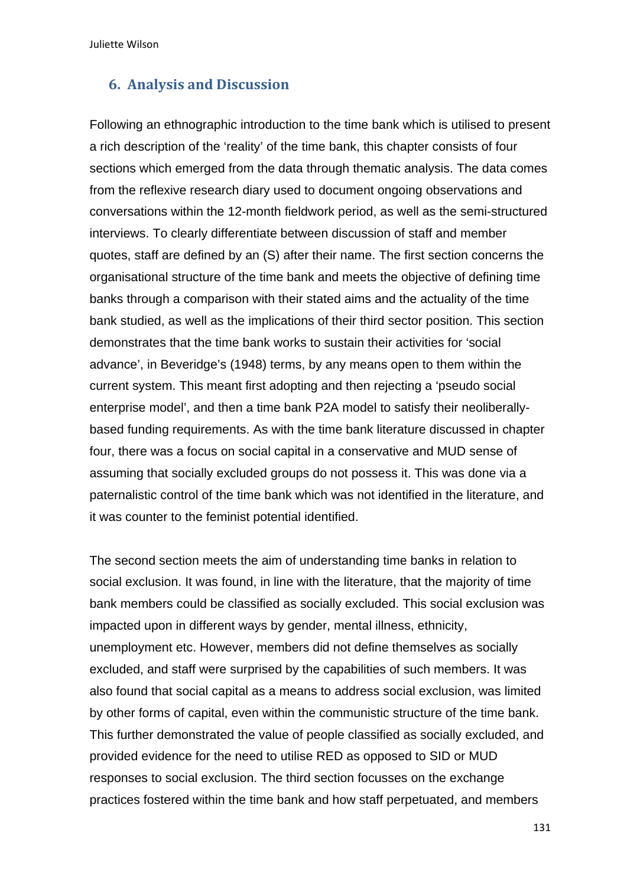## **6. Analysis and Discussion**

Following an ethnographic introduction to the time bank which is utilised to present a rich description of the 'reality' of the time bank, this chapter consists of four sections which emerged from the data through thematic analysis. The data comes from the reflexive research diary used to document ongoing observations and conversations within the 12-month fieldwork period, as well as the semi-structured interviews. To clearly differentiate between discussion of staff and member quotes, staff are defined by an (S) after their name. The first section concerns the organisational structure of the time bank and meets the objective of defining time banks through a comparison with their stated aims and the actuality of the time bank studied, as well as the implications of their third sector position. This section demonstrates that the time bank works to sustain their activities for 'social advance', in Beveridge's (1948) terms, by any means open to them within the current system. This meant first adopting and then rejecting a 'pseudo social enterprise model', and then a time bank P2A model to satisfy their neoliberallybased funding requirements. As with the time bank literature discussed in chapter four, there was a focus on social capital in a conservative and MUD sense of assuming that socially excluded groups do not possess it. This was done via a paternalistic control of the time bank which was not identified in the literature, and it was counter to the feminist potential identified.

The second section meets the aim of understanding time banks in relation to social exclusion. It was found, in line with the literature, that the majority of time bank members could be classified as socially excluded. This social exclusion was impacted upon in different ways by gender, mental illness, ethnicity, unemployment etc. However, members did not define themselves as socially excluded, and staff were surprised by the capabilities of such members. It was also found that social capital as a means to address social exclusion, was limited by other forms of capital, even within the communistic structure of the time bank. This further demonstrated the value of people classified as socially excluded, and provided evidence for the need to utilise RED as opposed to SID or MUD responses to social exclusion. The third section focusses on the exchange practices fostered within the time bank and how staff perpetuated, and members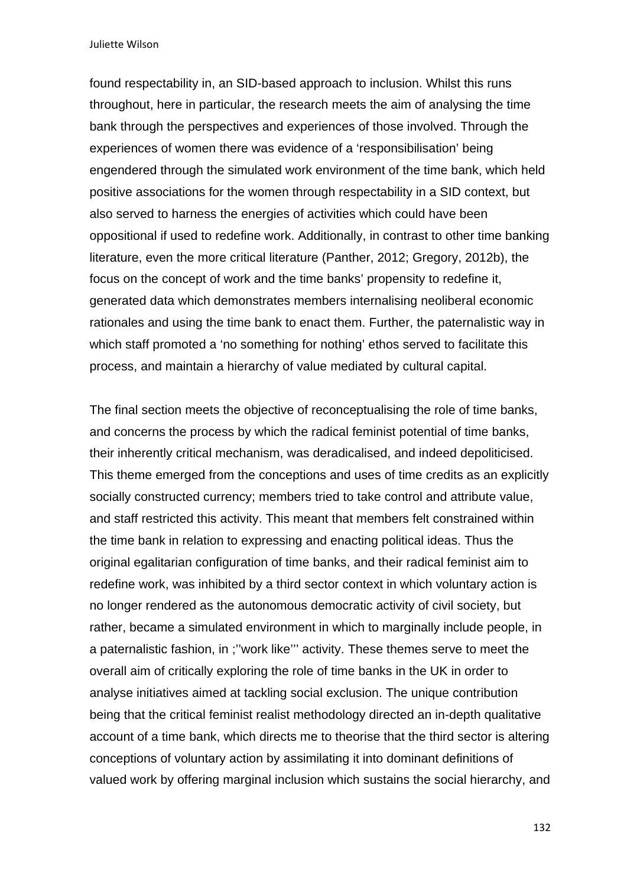found respectability in, an SID-based approach to inclusion. Whilst this runs throughout, here in particular, the research meets the aim of analysing the time bank through the perspectives and experiences of those involved. Through the experiences of women there was evidence of a 'responsibilisation' being engendered through the simulated work environment of the time bank, which held positive associations for the women through respectability in a SID context, but also served to harness the energies of activities which could have been oppositional if used to redefine work. Additionally, in contrast to other time banking literature, even the more critical literature (Panther, 2012; Gregory, 2012b), the focus on the concept of work and the time banks' propensity to redefine it, generated data which demonstrates members internalising neoliberal economic rationales and using the time bank to enact them. Further, the paternalistic way in which staff promoted a 'no something for nothing' ethos served to facilitate this process, and maintain a hierarchy of value mediated by cultural capital.

The final section meets the objective of reconceptualising the role of time banks, and concerns the process by which the radical feminist potential of time banks, their inherently critical mechanism, was deradicalised, and indeed depoliticised. This theme emerged from the conceptions and uses of time credits as an explicitly socially constructed currency; members tried to take control and attribute value, and staff restricted this activity. This meant that members felt constrained within the time bank in relation to expressing and enacting political ideas. Thus the original egalitarian configuration of time banks, and their radical feminist aim to redefine work, was inhibited by a third sector context in which voluntary action is no longer rendered as the autonomous democratic activity of civil society, but rather, became a simulated environment in which to marginally include people, in a paternalistic fashion, in ;''work like''' activity. These themes serve to meet the overall aim of critically exploring the role of time banks in the UK in order to analyse initiatives aimed at tackling social exclusion. The unique contribution being that the critical feminist realist methodology directed an in-depth qualitative account of a time bank, which directs me to theorise that the third sector is altering conceptions of voluntary action by assimilating it into dominant definitions of valued work by offering marginal inclusion which sustains the social hierarchy, and

132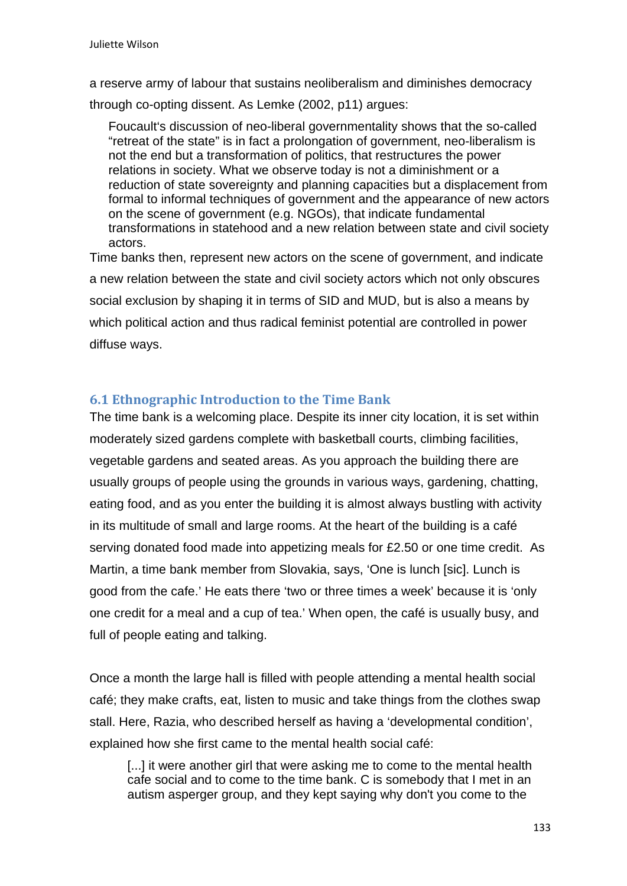a reserve army of labour that sustains neoliberalism and diminishes democracy through co-opting dissent. As Lemke (2002, p11) argues:

Foucault's discussion of neo-liberal governmentality shows that the so-called "retreat of the state" is in fact a prolongation of government, neo-liberalism is not the end but a transformation of politics, that restructures the power relations in society. What we observe today is not a diminishment or a reduction of state sovereignty and planning capacities but a displacement from formal to informal techniques of government and the appearance of new actors on the scene of government (e.g. NGOs), that indicate fundamental transformations in statehood and a new relation between state and civil society actors.

Time banks then, represent new actors on the scene of government, and indicate a new relation between the state and civil society actors which not only obscures social exclusion by shaping it in terms of SID and MUD, but is also a means by which political action and thus radical feminist potential are controlled in power diffuse ways.

# **6.1 Ethnographic Introduction to the Time Bank**

The time bank is a welcoming place. Despite its inner city location, it is set within moderately sized gardens complete with basketball courts, climbing facilities, vegetable gardens and seated areas. As you approach the building there are usually groups of people using the grounds in various ways, gardening, chatting, eating food, and as you enter the building it is almost always bustling with activity in its multitude of small and large rooms. At the heart of the building is a café serving donated food made into appetizing meals for £2.50 or one time credit. As Martin, a time bank member from Slovakia, says, 'One is lunch [sic]. Lunch is good from the cafe.' He eats there 'two or three times a week' because it is 'only one credit for a meal and a cup of tea.' When open, the café is usually busy, and full of people eating and talking.

Once a month the large hall is filled with people attending a mental health social café; they make crafts, eat, listen to music and take things from the clothes swap stall. Here, Razia, who described herself as having a 'developmental condition', explained how she first came to the mental health social café:

[...] it were another girl that were asking me to come to the mental health cafe social and to come to the time bank. C is somebody that I met in an autism asperger group, and they kept saying why don't you come to the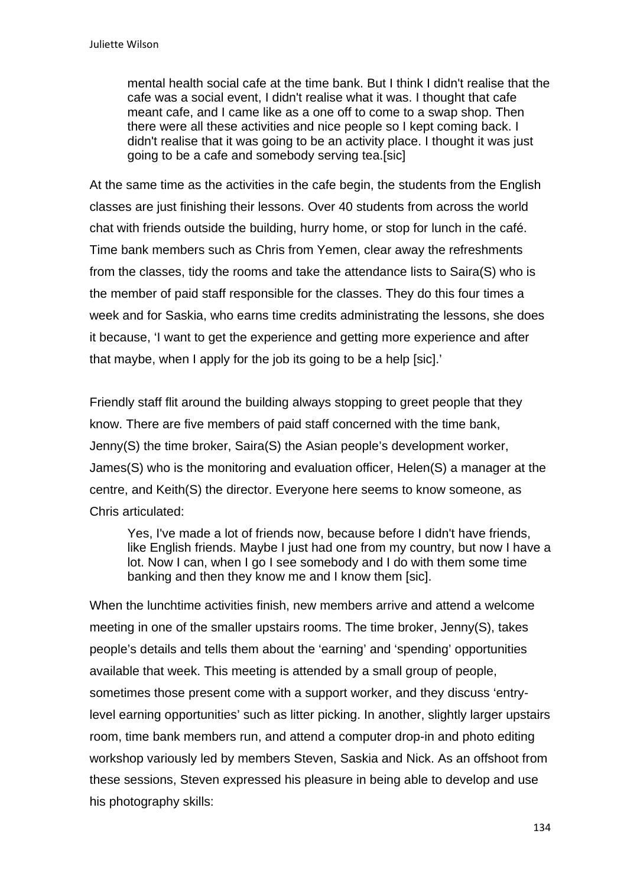mental health social cafe at the time bank. But I think I didn't realise that the cafe was a social event, I didn't realise what it was. I thought that cafe meant cafe, and I came like as a one off to come to a swap shop. Then there were all these activities and nice people so I kept coming back. I didn't realise that it was going to be an activity place. I thought it was just going to be a cafe and somebody serving tea.[sic]

At the same time as the activities in the cafe begin, the students from the English classes are just finishing their lessons. Over 40 students from across the world chat with friends outside the building, hurry home, or stop for lunch in the café. Time bank members such as Chris from Yemen, clear away the refreshments from the classes, tidy the rooms and take the attendance lists to Saira(S) who is the member of paid staff responsible for the classes. They do this four times a week and for Saskia, who earns time credits administrating the lessons, she does it because, 'I want to get the experience and getting more experience and after that maybe, when I apply for the job its going to be a help [sic].'

Friendly staff flit around the building always stopping to greet people that they know. There are five members of paid staff concerned with the time bank, Jenny(S) the time broker, Saira(S) the Asian people's development worker, James(S) who is the monitoring and evaluation officer, Helen(S) a manager at the centre, and Keith(S) the director. Everyone here seems to know someone, as Chris articulated:

Yes, I've made a lot of friends now, because before I didn't have friends, like English friends. Maybe I just had one from my country, but now I have a lot. Now I can, when I go I see somebody and I do with them some time banking and then they know me and I know them [sic].

When the lunchtime activities finish, new members arrive and attend a welcome meeting in one of the smaller upstairs rooms. The time broker, Jenny(S), takes people's details and tells them about the 'earning' and 'spending' opportunities available that week. This meeting is attended by a small group of people, sometimes those present come with a support worker, and they discuss 'entrylevel earning opportunities' such as litter picking. In another, slightly larger upstairs room, time bank members run, and attend a computer drop-in and photo editing workshop variously led by members Steven, Saskia and Nick. As an offshoot from these sessions, Steven expressed his pleasure in being able to develop and use his photography skills: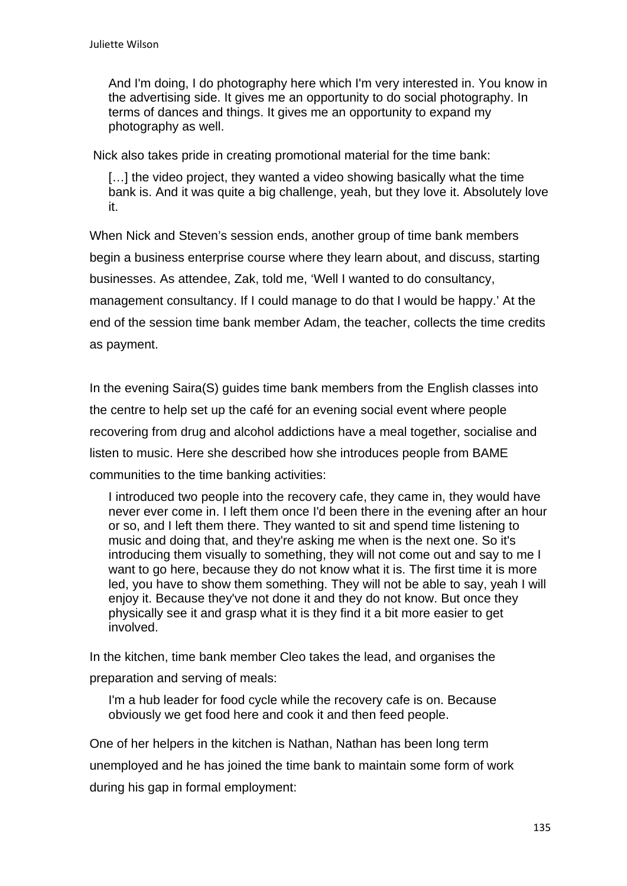And I'm doing, I do photography here which I'm very interested in. You know in the advertising side. It gives me an opportunity to do social photography. In terms of dances and things. It gives me an opportunity to expand my photography as well.

Nick also takes pride in creating promotional material for the time bank:

[...] the video project, they wanted a video showing basically what the time bank is. And it was quite a big challenge, yeah, but they love it. Absolutely love it.

When Nick and Steven's session ends, another group of time bank members begin a business enterprise course where they learn about, and discuss, starting businesses. As attendee, Zak, told me, 'Well I wanted to do consultancy, management consultancy. If I could manage to do that I would be happy.' At the end of the session time bank member Adam, the teacher, collects the time credits as payment.

In the evening Saira(S) guides time bank members from the English classes into the centre to help set up the café for an evening social event where people recovering from drug and alcohol addictions have a meal together, socialise and listen to music. Here she described how she introduces people from BAME communities to the time banking activities:

I introduced two people into the recovery cafe, they came in, they would have never ever come in. I left them once I'd been there in the evening after an hour or so, and I left them there. They wanted to sit and spend time listening to music and doing that, and they're asking me when is the next one. So it's introducing them visually to something, they will not come out and say to me I want to go here, because they do not know what it is. The first time it is more led, you have to show them something. They will not be able to say, yeah I will enjoy it. Because they've not done it and they do not know. But once they physically see it and grasp what it is they find it a bit more easier to get involved.

In the kitchen, time bank member Cleo takes the lead, and organises the preparation and serving of meals:

I'm a hub leader for food cycle while the recovery cafe is on. Because obviously we get food here and cook it and then feed people.

One of her helpers in the kitchen is Nathan, Nathan has been long term unemployed and he has joined the time bank to maintain some form of work during his gap in formal employment: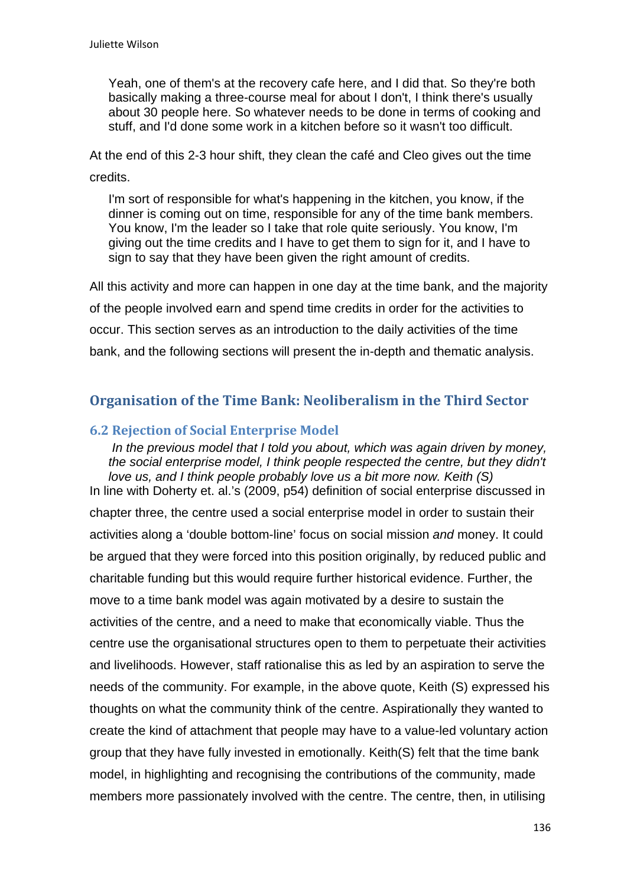Yeah, one of them's at the recovery cafe here, and I did that. So they're both basically making a three-course meal for about I don't, I think there's usually about 30 people here. So whatever needs to be done in terms of cooking and stuff, and I'd done some work in a kitchen before so it wasn't too difficult.

At the end of this 2-3 hour shift, they clean the café and Cleo gives out the time credits.

I'm sort of responsible for what's happening in the kitchen, you know, if the dinner is coming out on time, responsible for any of the time bank members. You know, I'm the leader so I take that role quite seriously. You know, I'm giving out the time credits and I have to get them to sign for it, and I have to sign to say that they have been given the right amount of credits.

All this activity and more can happen in one day at the time bank, and the majority of the people involved earn and spend time credits in order for the activities to occur. This section serves as an introduction to the daily activities of the time bank, and the following sections will present the in-depth and thematic analysis.

# **Organisation of the Time Bank: Neoliberalism in the Third Sector**

## **6.2 Rejection of Social Enterprise Model**

 *In the previous model that I told you about, which was again driven by money, the social enterprise model, I think people respected the centre, but they didn't love us, and I think people probably love us a bit more now. Keith (S)*  In line with Doherty et. al.'s (2009, p54) definition of social enterprise discussed in chapter three, the centre used a social enterprise model in order to sustain their activities along a 'double bottom-line' focus on social mission *and* money. It could be argued that they were forced into this position originally, by reduced public and charitable funding but this would require further historical evidence. Further, the move to a time bank model was again motivated by a desire to sustain the activities of the centre, and a need to make that economically viable. Thus the centre use the organisational structures open to them to perpetuate their activities and livelihoods. However, staff rationalise this as led by an aspiration to serve the needs of the community. For example, in the above quote, Keith (S) expressed his thoughts on what the community think of the centre. Aspirationally they wanted to create the kind of attachment that people may have to a value-led voluntary action group that they have fully invested in emotionally. Keith(S) felt that the time bank model, in highlighting and recognising the contributions of the community, made members more passionately involved with the centre. The centre, then, in utilising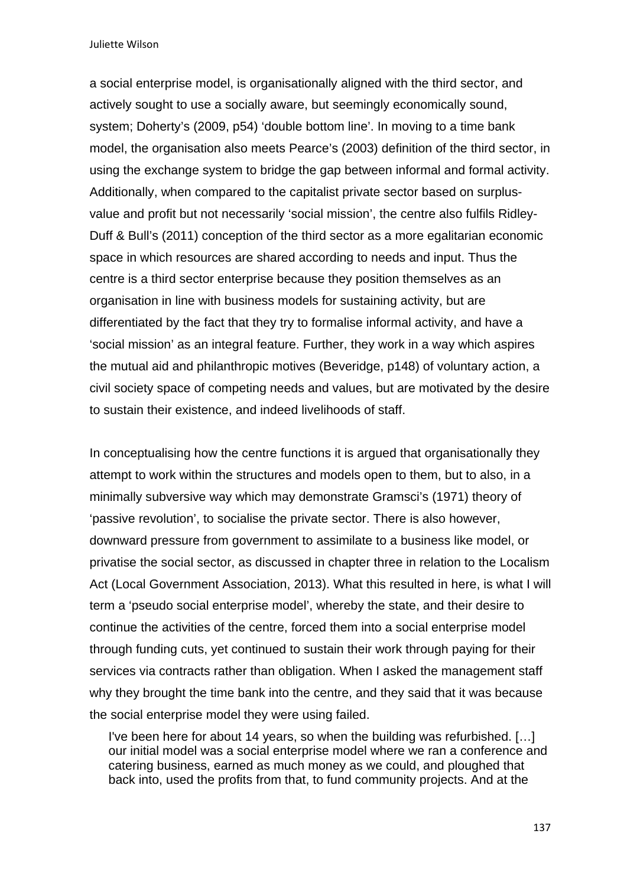a social enterprise model, is organisationally aligned with the third sector, and actively sought to use a socially aware, but seemingly economically sound, system; Doherty's (2009, p54) 'double bottom line'. In moving to a time bank model, the organisation also meets Pearce's (2003) definition of the third sector, in using the exchange system to bridge the gap between informal and formal activity. Additionally, when compared to the capitalist private sector based on surplusvalue and profit but not necessarily 'social mission', the centre also fulfils Ridley-Duff & Bull's (2011) conception of the third sector as a more egalitarian economic space in which resources are shared according to needs and input. Thus the centre is a third sector enterprise because they position themselves as an organisation in line with business models for sustaining activity, but are differentiated by the fact that they try to formalise informal activity, and have a 'social mission' as an integral feature. Further, they work in a way which aspires the mutual aid and philanthropic motives (Beveridge, p148) of voluntary action, a civil society space of competing needs and values, but are motivated by the desire to sustain their existence, and indeed livelihoods of staff.

In conceptualising how the centre functions it is argued that organisationally they attempt to work within the structures and models open to them, but to also, in a minimally subversive way which may demonstrate Gramsci's (1971) theory of 'passive revolution', to socialise the private sector. There is also however, downward pressure from government to assimilate to a business like model, or privatise the social sector, as discussed in chapter three in relation to the Localism Act (Local Government Association, 2013). What this resulted in here, is what I will term a 'pseudo social enterprise model', whereby the state, and their desire to continue the activities of the centre, forced them into a social enterprise model through funding cuts, yet continued to sustain their work through paying for their services via contracts rather than obligation. When I asked the management staff why they brought the time bank into the centre, and they said that it was because the social enterprise model they were using failed.

I've been here for about 14 years, so when the building was refurbished. […] our initial model was a social enterprise model where we ran a conference and catering business, earned as much money as we could, and ploughed that back into, used the profits from that, to fund community projects. And at the

137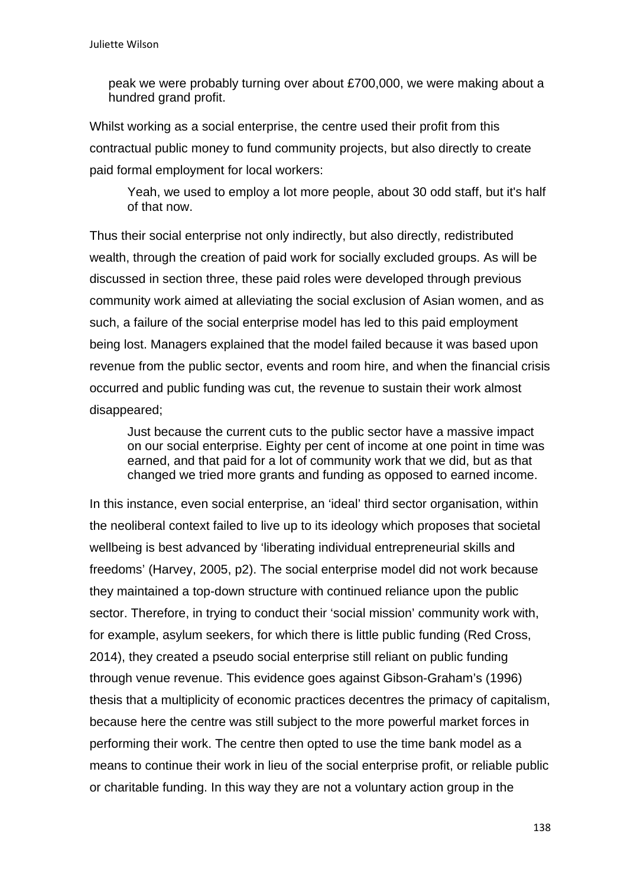peak we were probably turning over about £700,000, we were making about a hundred grand profit.

Whilst working as a social enterprise, the centre used their profit from this contractual public money to fund community projects, but also directly to create paid formal employment for local workers:

Yeah, we used to employ a lot more people, about 30 odd staff, but it's half of that now.

Thus their social enterprise not only indirectly, but also directly, redistributed wealth, through the creation of paid work for socially excluded groups. As will be discussed in section three, these paid roles were developed through previous community work aimed at alleviating the social exclusion of Asian women, and as such, a failure of the social enterprise model has led to this paid employment being lost. Managers explained that the model failed because it was based upon revenue from the public sector, events and room hire, and when the financial crisis occurred and public funding was cut, the revenue to sustain their work almost disappeared;

Just because the current cuts to the public sector have a massive impact on our social enterprise. Eighty per cent of income at one point in time was earned, and that paid for a lot of community work that we did, but as that changed we tried more grants and funding as opposed to earned income.

In this instance, even social enterprise, an 'ideal' third sector organisation, within the neoliberal context failed to live up to its ideology which proposes that societal wellbeing is best advanced by 'liberating individual entrepreneurial skills and freedoms' (Harvey, 2005, p2). The social enterprise model did not work because they maintained a top-down structure with continued reliance upon the public sector. Therefore, in trying to conduct their 'social mission' community work with, for example, asylum seekers, for which there is little public funding (Red Cross, 2014), they created a pseudo social enterprise still reliant on public funding through venue revenue. This evidence goes against Gibson-Graham's (1996) thesis that a multiplicity of economic practices decentres the primacy of capitalism, because here the centre was still subject to the more powerful market forces in performing their work. The centre then opted to use the time bank model as a means to continue their work in lieu of the social enterprise profit, or reliable public or charitable funding. In this way they are not a voluntary action group in the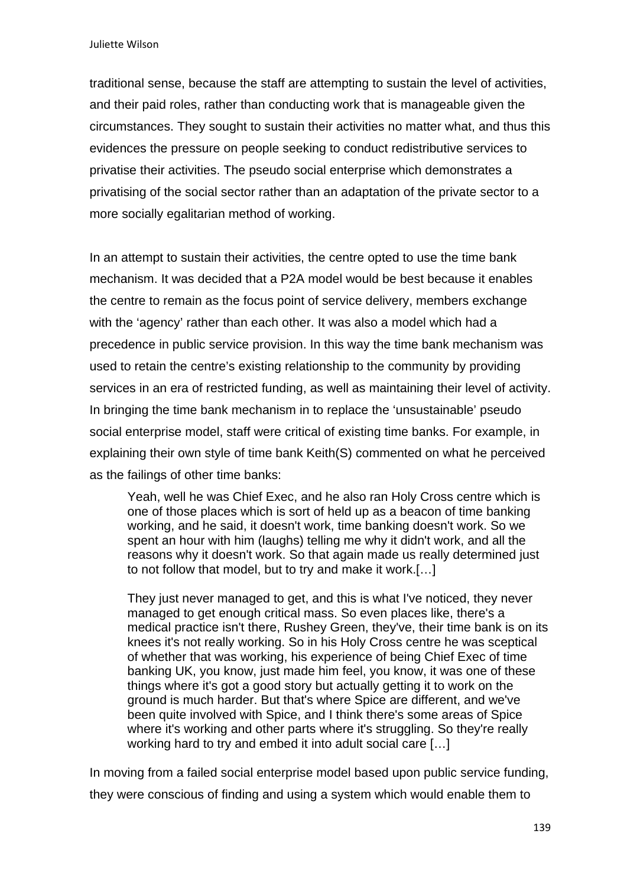traditional sense, because the staff are attempting to sustain the level of activities, and their paid roles, rather than conducting work that is manageable given the circumstances. They sought to sustain their activities no matter what, and thus this evidences the pressure on people seeking to conduct redistributive services to privatise their activities. The pseudo social enterprise which demonstrates a privatising of the social sector rather than an adaptation of the private sector to a more socially egalitarian method of working.

In an attempt to sustain their activities, the centre opted to use the time bank mechanism. It was decided that a P2A model would be best because it enables the centre to remain as the focus point of service delivery, members exchange with the 'agency' rather than each other. It was also a model which had a precedence in public service provision. In this way the time bank mechanism was used to retain the centre's existing relationship to the community by providing services in an era of restricted funding, as well as maintaining their level of activity. In bringing the time bank mechanism in to replace the 'unsustainable' pseudo social enterprise model, staff were critical of existing time banks. For example, in explaining their own style of time bank Keith(S) commented on what he perceived as the failings of other time banks:

Yeah, well he was Chief Exec, and he also ran Holy Cross centre which is one of those places which is sort of held up as a beacon of time banking working, and he said, it doesn't work, time banking doesn't work. So we spent an hour with him (laughs) telling me why it didn't work, and all the reasons why it doesn't work. So that again made us really determined just to not follow that model, but to try and make it work.[…]

They just never managed to get, and this is what I've noticed, they never managed to get enough critical mass. So even places like, there's a medical practice isn't there, Rushey Green, they've, their time bank is on its knees it's not really working. So in his Holy Cross centre he was sceptical of whether that was working, his experience of being Chief Exec of time banking UK, you know, just made him feel, you know, it was one of these things where it's got a good story but actually getting it to work on the ground is much harder. But that's where Spice are different, and we've been quite involved with Spice, and I think there's some areas of Spice where it's working and other parts where it's struggling. So they're really working hard to try and embed it into adult social care […]

In moving from a failed social enterprise model based upon public service funding, they were conscious of finding and using a system which would enable them to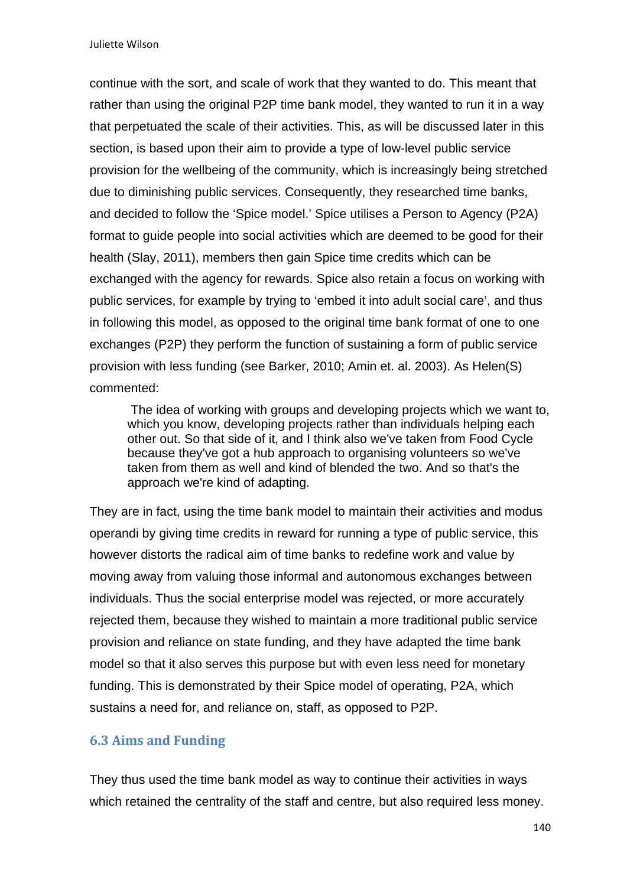continue with the sort, and scale of work that they wanted to do. This meant that rather than using the original P2P time bank model, they wanted to run it in a way that perpetuated the scale of their activities. This, as will be discussed later in this section, is based upon their aim to provide a type of low-level public service provision for the wellbeing of the community, which is increasingly being stretched due to diminishing public services. Consequently, they researched time banks, and decided to follow the 'Spice model.' Spice utilises a Person to Agency (P2A) format to guide people into social activities which are deemed to be good for their health (Slay, 2011), members then gain Spice time credits which can be exchanged with the agency for rewards. Spice also retain a focus on working with public services, for example by trying to 'embed it into adult social care', and thus in following this model, as opposed to the original time bank format of one to one exchanges (P2P) they perform the function of sustaining a form of public service provision with less funding (see Barker, 2010; Amin et. al. 2003). As Helen(S) commented:

 The idea of working with groups and developing projects which we want to, which you know, developing projects rather than individuals helping each other out. So that side of it, and I think also we've taken from Food Cycle because they've got a hub approach to organising volunteers so we've taken from them as well and kind of blended the two. And so that's the approach we're kind of adapting.

They are in fact, using the time bank model to maintain their activities and modus operandi by giving time credits in reward for running a type of public service, this however distorts the radical aim of time banks to redefine work and value by moving away from valuing those informal and autonomous exchanges between individuals. Thus the social enterprise model was rejected, or more accurately rejected them, because they wished to maintain a more traditional public service provision and reliance on state funding, and they have adapted the time bank model so that it also serves this purpose but with even less need for monetary funding. This is demonstrated by their Spice model of operating, P2A, which sustains a need for, and reliance on, staff, as opposed to P2P.

### **6.3 Aims and Funding**

They thus used the time bank model as way to continue their activities in ways which retained the centrality of the staff and centre, but also required less money.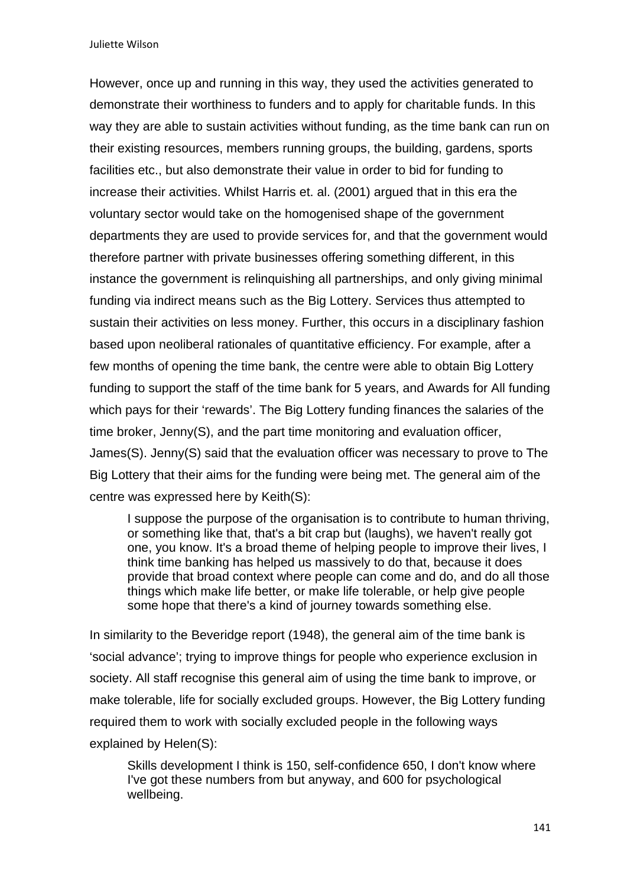Juliette Wilson

However, once up and running in this way, they used the activities generated to demonstrate their worthiness to funders and to apply for charitable funds. In this way they are able to sustain activities without funding, as the time bank can run on their existing resources, members running groups, the building, gardens, sports facilities etc., but also demonstrate their value in order to bid for funding to increase their activities. Whilst Harris et. al. (2001) argued that in this era the voluntary sector would take on the homogenised shape of the government departments they are used to provide services for, and that the government would therefore partner with private businesses offering something different, in this instance the government is relinquishing all partnerships, and only giving minimal funding via indirect means such as the Big Lottery. Services thus attempted to sustain their activities on less money. Further, this occurs in a disciplinary fashion based upon neoliberal rationales of quantitative efficiency. For example, after a few months of opening the time bank, the centre were able to obtain Big Lottery funding to support the staff of the time bank for 5 years, and Awards for All funding which pays for their 'rewards'. The Big Lottery funding finances the salaries of the time broker, Jenny(S), and the part time monitoring and evaluation officer, James(S). Jenny(S) said that the evaluation officer was necessary to prove to The Big Lottery that their aims for the funding were being met. The general aim of the centre was expressed here by Keith(S):

I suppose the purpose of the organisation is to contribute to human thriving, or something like that, that's a bit crap but (laughs), we haven't really got one, you know. It's a broad theme of helping people to improve their lives, I think time banking has helped us massively to do that, because it does provide that broad context where people can come and do, and do all those things which make life better, or make life tolerable, or help give people some hope that there's a kind of journey towards something else.

In similarity to the Beveridge report (1948), the general aim of the time bank is 'social advance'; trying to improve things for people who experience exclusion in society. All staff recognise this general aim of using the time bank to improve, or make tolerable, life for socially excluded groups. However, the Big Lottery funding required them to work with socially excluded people in the following ways explained by Helen(S):

Skills development I think is 150, self-confidence 650, I don't know where I've got these numbers from but anyway, and 600 for psychological wellbeing.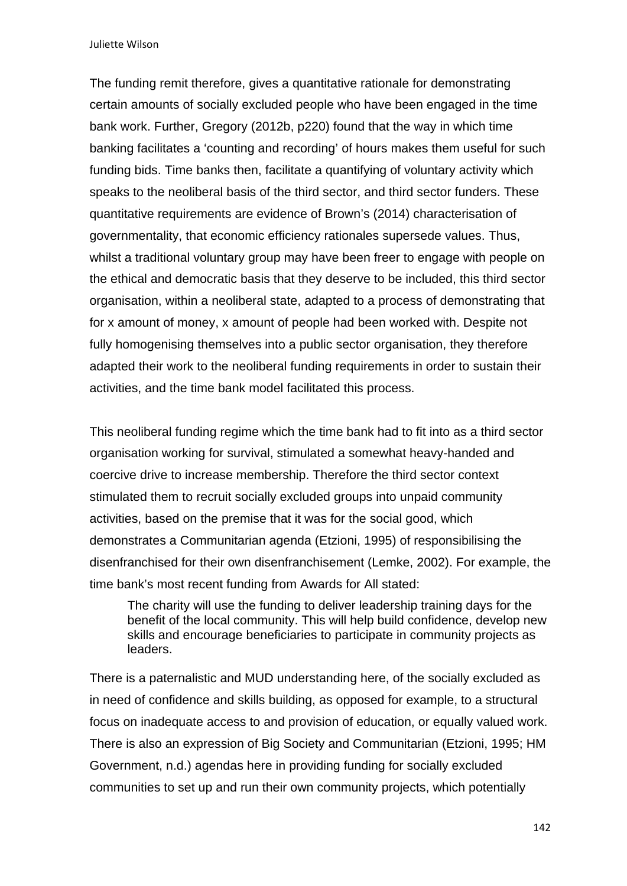Juliette Wilson

The funding remit therefore, gives a quantitative rationale for demonstrating certain amounts of socially excluded people who have been engaged in the time bank work. Further, Gregory (2012b, p220) found that the way in which time banking facilitates a 'counting and recording' of hours makes them useful for such funding bids. Time banks then, facilitate a quantifying of voluntary activity which speaks to the neoliberal basis of the third sector, and third sector funders. These quantitative requirements are evidence of Brown's (2014) characterisation of governmentality, that economic efficiency rationales supersede values. Thus, whilst a traditional voluntary group may have been freer to engage with people on the ethical and democratic basis that they deserve to be included, this third sector organisation, within a neoliberal state, adapted to a process of demonstrating that for x amount of money, x amount of people had been worked with. Despite not fully homogenising themselves into a public sector organisation, they therefore adapted their work to the neoliberal funding requirements in order to sustain their activities, and the time bank model facilitated this process.

This neoliberal funding regime which the time bank had to fit into as a third sector organisation working for survival, stimulated a somewhat heavy-handed and coercive drive to increase membership. Therefore the third sector context stimulated them to recruit socially excluded groups into unpaid community activities, based on the premise that it was for the social good, which demonstrates a Communitarian agenda (Etzioni, 1995) of responsibilising the disenfranchised for their own disenfranchisement (Lemke, 2002). For example, the time bank's most recent funding from Awards for All stated:

The charity will use the funding to deliver leadership training days for the benefit of the local community. This will help build confidence, develop new skills and encourage beneficiaries to participate in community projects as leaders.

There is a paternalistic and MUD understanding here, of the socially excluded as in need of confidence and skills building, as opposed for example, to a structural focus on inadequate access to and provision of education, or equally valued work. There is also an expression of Big Society and Communitarian (Etzioni, 1995; HM Government, n.d.) agendas here in providing funding for socially excluded communities to set up and run their own community projects, which potentially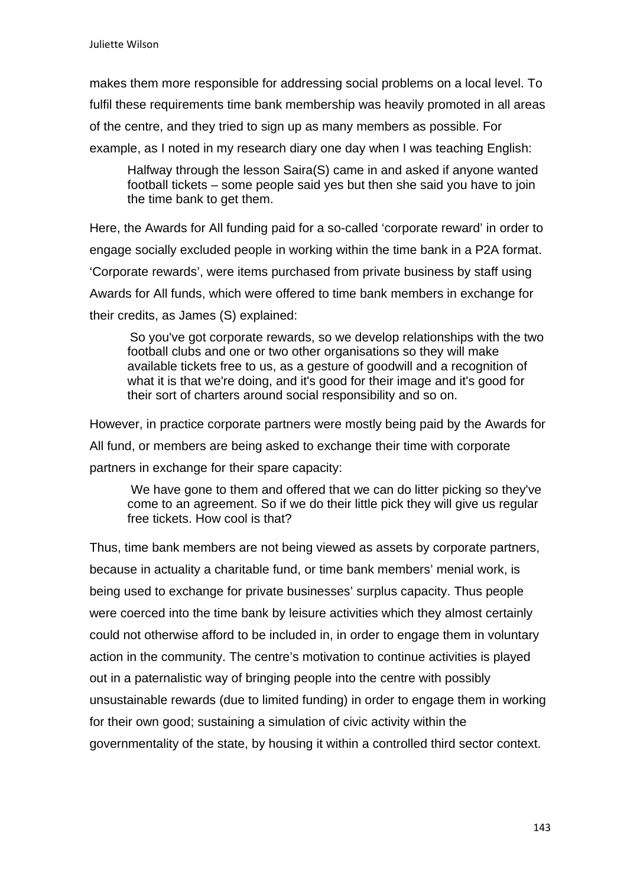makes them more responsible for addressing social problems on a local level. To fulfil these requirements time bank membership was heavily promoted in all areas of the centre, and they tried to sign up as many members as possible. For example, as I noted in my research diary one day when I was teaching English:

Halfway through the lesson Saira(S) came in and asked if anyone wanted football tickets – some people said yes but then she said you have to join the time bank to get them.

Here, the Awards for All funding paid for a so-called 'corporate reward' in order to engage socially excluded people in working within the time bank in a P2A format. 'Corporate rewards', were items purchased from private business by staff using Awards for All funds, which were offered to time bank members in exchange for their credits, as James (S) explained:

So you've got corporate rewards, so we develop relationships with the two football clubs and one or two other organisations so they will make available tickets free to us, as a gesture of goodwill and a recognition of what it is that we're doing, and it's good for their image and it's good for their sort of charters around social responsibility and so on.

However, in practice corporate partners were mostly being paid by the Awards for All fund, or members are being asked to exchange their time with corporate partners in exchange for their spare capacity:

We have gone to them and offered that we can do litter picking so they've come to an agreement. So if we do their little pick they will give us regular free tickets. How cool is that?

Thus, time bank members are not being viewed as assets by corporate partners, because in actuality a charitable fund, or time bank members' menial work, is being used to exchange for private businesses' surplus capacity. Thus people were coerced into the time bank by leisure activities which they almost certainly could not otherwise afford to be included in, in order to engage them in voluntary action in the community. The centre's motivation to continue activities is played out in a paternalistic way of bringing people into the centre with possibly unsustainable rewards (due to limited funding) in order to engage them in working for their own good; sustaining a simulation of civic activity within the governmentality of the state, by housing it within a controlled third sector context.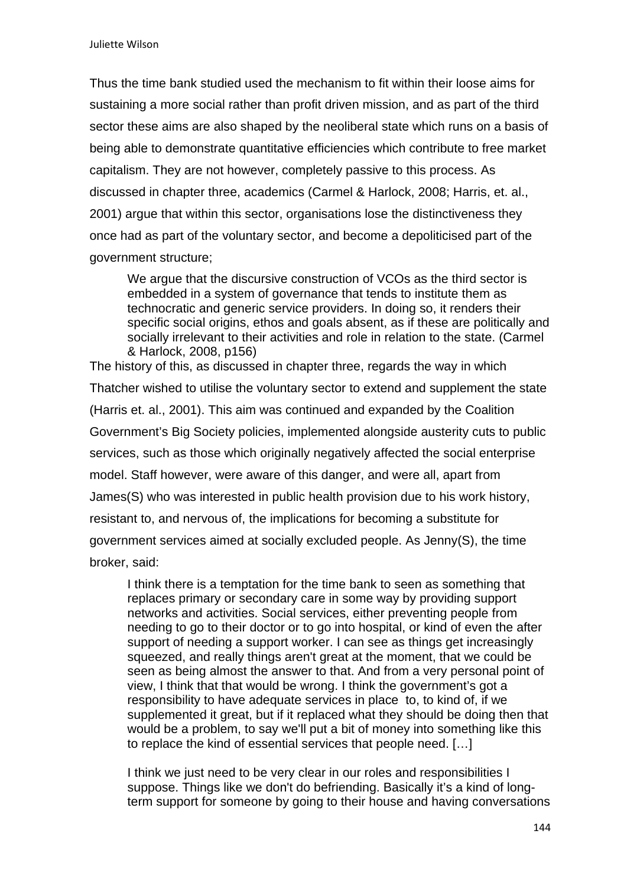Thus the time bank studied used the mechanism to fit within their loose aims for sustaining a more social rather than profit driven mission, and as part of the third sector these aims are also shaped by the neoliberal state which runs on a basis of being able to demonstrate quantitative efficiencies which contribute to free market capitalism. They are not however, completely passive to this process. As discussed in chapter three, academics (Carmel & Harlock, 2008; Harris, et. al., 2001) argue that within this sector, organisations lose the distinctiveness they once had as part of the voluntary sector, and become a depoliticised part of the government structure;

We argue that the discursive construction of VCOs as the third sector is embedded in a system of governance that tends to institute them as technocratic and generic service providers. In doing so, it renders their specific social origins, ethos and goals absent, as if these are politically and socially irrelevant to their activities and role in relation to the state. (Carmel & Harlock, 2008, p156)

The history of this, as discussed in chapter three, regards the way in which Thatcher wished to utilise the voluntary sector to extend and supplement the state (Harris et. al., 2001). This aim was continued and expanded by the Coalition Government's Big Society policies, implemented alongside austerity cuts to public services, such as those which originally negatively affected the social enterprise model. Staff however, were aware of this danger, and were all, apart from James(S) who was interested in public health provision due to his work history, resistant to, and nervous of, the implications for becoming a substitute for government services aimed at socially excluded people. As Jenny(S), the time broker, said:

I think there is a temptation for the time bank to seen as something that replaces primary or secondary care in some way by providing support networks and activities. Social services, either preventing people from needing to go to their doctor or to go into hospital, or kind of even the after support of needing a support worker. I can see as things get increasingly squeezed, and really things aren't great at the moment, that we could be seen as being almost the answer to that. And from a very personal point of view, I think that that would be wrong. I think the government's got a responsibility to have adequate services in place to, to kind of, if we supplemented it great, but if it replaced what they should be doing then that would be a problem, to say we'll put a bit of money into something like this to replace the kind of essential services that people need. […]

I think we just need to be very clear in our roles and responsibilities I suppose. Things like we don't do befriending. Basically it's a kind of longterm support for someone by going to their house and having conversations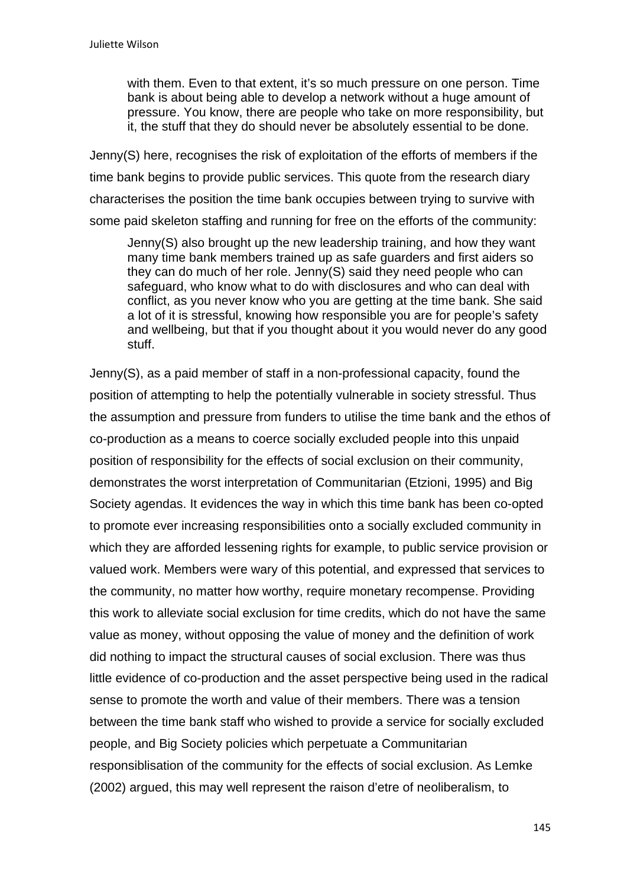with them. Even to that extent, it's so much pressure on one person. Time bank is about being able to develop a network without a huge amount of pressure. You know, there are people who take on more responsibility, but it, the stuff that they do should never be absolutely essential to be done.

Jenny(S) here, recognises the risk of exploitation of the efforts of members if the time bank begins to provide public services. This quote from the research diary characterises the position the time bank occupies between trying to survive with some paid skeleton staffing and running for free on the efforts of the community:

Jenny(S) also brought up the new leadership training, and how they want many time bank members trained up as safe guarders and first aiders so they can do much of her role. Jenny(S) said they need people who can safeguard, who know what to do with disclosures and who can deal with conflict, as you never know who you are getting at the time bank. She said a lot of it is stressful, knowing how responsible you are for people's safety and wellbeing, but that if you thought about it you would never do any good stuff.

Jenny(S), as a paid member of staff in a non-professional capacity, found the position of attempting to help the potentially vulnerable in society stressful. Thus the assumption and pressure from funders to utilise the time bank and the ethos of co-production as a means to coerce socially excluded people into this unpaid position of responsibility for the effects of social exclusion on their community, demonstrates the worst interpretation of Communitarian (Etzioni, 1995) and Big Society agendas. It evidences the way in which this time bank has been co-opted to promote ever increasing responsibilities onto a socially excluded community in which they are afforded lessening rights for example, to public service provision or valued work. Members were wary of this potential, and expressed that services to the community, no matter how worthy, require monetary recompense. Providing this work to alleviate social exclusion for time credits, which do not have the same value as money, without opposing the value of money and the definition of work did nothing to impact the structural causes of social exclusion. There was thus little evidence of co-production and the asset perspective being used in the radical sense to promote the worth and value of their members. There was a tension between the time bank staff who wished to provide a service for socially excluded people, and Big Society policies which perpetuate a Communitarian responsiblisation of the community for the effects of social exclusion. As Lemke (2002) argued, this may well represent the raison d'etre of neoliberalism, to

145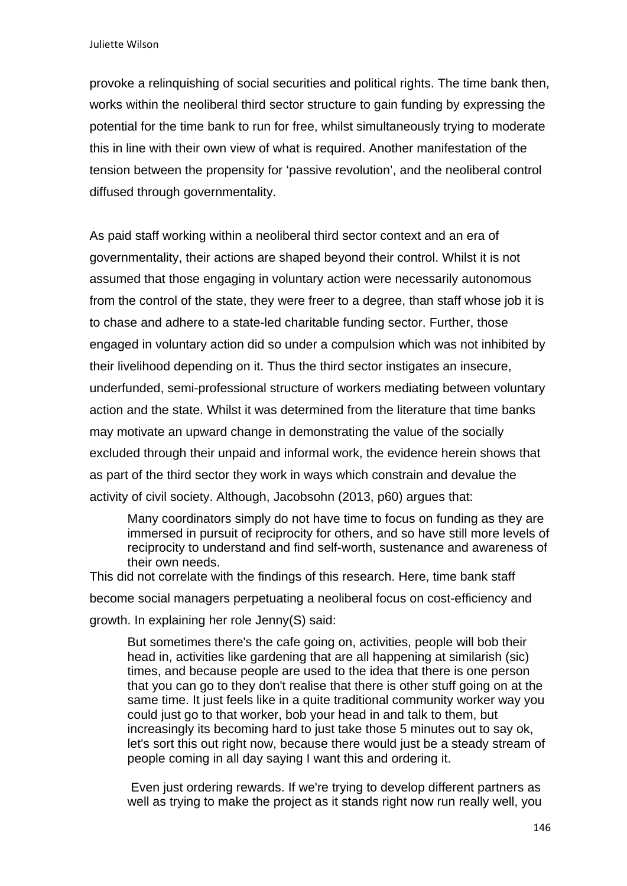provoke a relinquishing of social securities and political rights. The time bank then, works within the neoliberal third sector structure to gain funding by expressing the potential for the time bank to run for free, whilst simultaneously trying to moderate this in line with their own view of what is required. Another manifestation of the tension between the propensity for 'passive revolution', and the neoliberal control diffused through governmentality.

As paid staff working within a neoliberal third sector context and an era of governmentality, their actions are shaped beyond their control. Whilst it is not assumed that those engaging in voluntary action were necessarily autonomous from the control of the state, they were freer to a degree, than staff whose job it is to chase and adhere to a state-led charitable funding sector. Further, those engaged in voluntary action did so under a compulsion which was not inhibited by their livelihood depending on it. Thus the third sector instigates an insecure, underfunded, semi-professional structure of workers mediating between voluntary action and the state. Whilst it was determined from the literature that time banks may motivate an upward change in demonstrating the value of the socially excluded through their unpaid and informal work, the evidence herein shows that as part of the third sector they work in ways which constrain and devalue the activity of civil society. Although, Jacobsohn (2013, p60) argues that:

Many coordinators simply do not have time to focus on funding as they are immersed in pursuit of reciprocity for others, and so have still more levels of reciprocity to understand and find self-worth, sustenance and awareness of their own needs.

This did not correlate with the findings of this research. Here, time bank staff become social managers perpetuating a neoliberal focus on cost-efficiency and growth. In explaining her role Jenny(S) said:

But sometimes there's the cafe going on, activities, people will bob their head in, activities like gardening that are all happening at similarish (sic) times, and because people are used to the idea that there is one person that you can go to they don't realise that there is other stuff going on at the same time. It just feels like in a quite traditional community worker way you could just go to that worker, bob your head in and talk to them, but increasingly its becoming hard to just take those 5 minutes out to say ok, let's sort this out right now, because there would just be a steady stream of people coming in all day saying I want this and ordering it.

 Even just ordering rewards. If we're trying to develop different partners as well as trying to make the project as it stands right now run really well, you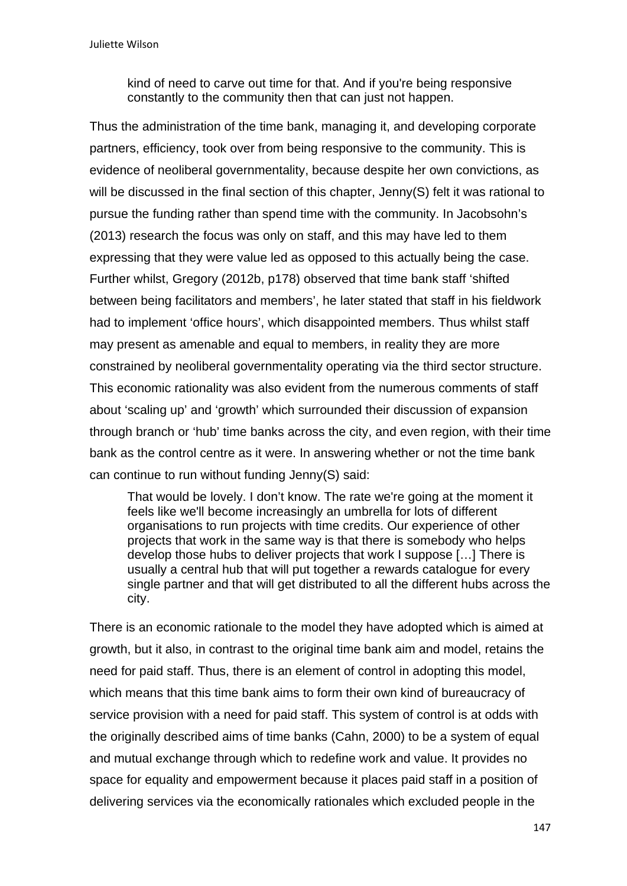kind of need to carve out time for that. And if you're being responsive constantly to the community then that can just not happen.

Thus the administration of the time bank, managing it, and developing corporate partners, efficiency, took over from being responsive to the community. This is evidence of neoliberal governmentality, because despite her own convictions, as will be discussed in the final section of this chapter, Jenny(S) felt it was rational to pursue the funding rather than spend time with the community. In Jacobsohn's (2013) research the focus was only on staff, and this may have led to them expressing that they were value led as opposed to this actually being the case. Further whilst, Gregory (2012b, p178) observed that time bank staff 'shifted between being facilitators and members', he later stated that staff in his fieldwork had to implement 'office hours', which disappointed members. Thus whilst staff may present as amenable and equal to members, in reality they are more constrained by neoliberal governmentality operating via the third sector structure. This economic rationality was also evident from the numerous comments of staff about 'scaling up' and 'growth' which surrounded their discussion of expansion through branch or 'hub' time banks across the city, and even region, with their time bank as the control centre as it were. In answering whether or not the time bank can continue to run without funding Jenny(S) said:

That would be lovely. I don't know. The rate we're going at the moment it feels like we'll become increasingly an umbrella for lots of different organisations to run projects with time credits. Our experience of other projects that work in the same way is that there is somebody who helps develop those hubs to deliver projects that work I suppose […] There is usually a central hub that will put together a rewards catalogue for every single partner and that will get distributed to all the different hubs across the city.

There is an economic rationale to the model they have adopted which is aimed at growth, but it also, in contrast to the original time bank aim and model, retains the need for paid staff. Thus, there is an element of control in adopting this model, which means that this time bank aims to form their own kind of bureaucracy of service provision with a need for paid staff. This system of control is at odds with the originally described aims of time banks (Cahn, 2000) to be a system of equal and mutual exchange through which to redefine work and value. It provides no space for equality and empowerment because it places paid staff in a position of delivering services via the economically rationales which excluded people in the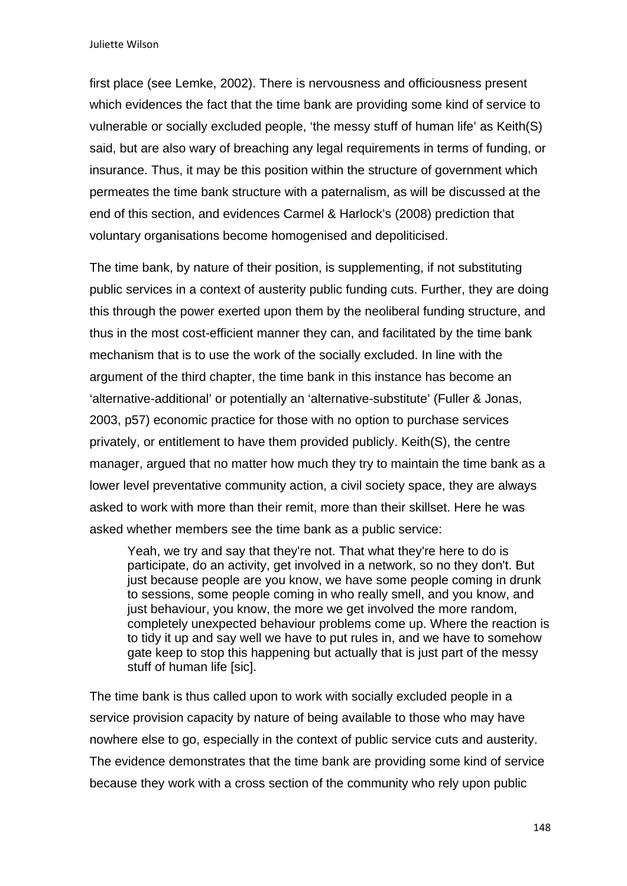Juliette Wilson

first place (see Lemke, 2002). There is nervousness and officiousness present which evidences the fact that the time bank are providing some kind of service to vulnerable or socially excluded people, 'the messy stuff of human life' as Keith(S) said, but are also wary of breaching any legal requirements in terms of funding, or insurance. Thus, it may be this position within the structure of government which permeates the time bank structure with a paternalism, as will be discussed at the end of this section, and evidences Carmel & Harlock's (2008) prediction that voluntary organisations become homogenised and depoliticised.

The time bank, by nature of their position, is supplementing, if not substituting public services in a context of austerity public funding cuts. Further, they are doing this through the power exerted upon them by the neoliberal funding structure, and thus in the most cost-efficient manner they can, and facilitated by the time bank mechanism that is to use the work of the socially excluded. In line with the argument of the third chapter, the time bank in this instance has become an 'alternative-additional' or potentially an 'alternative-substitute' (Fuller & Jonas, 2003, p57) economic practice for those with no option to purchase services privately, or entitlement to have them provided publicly. Keith(S), the centre manager, argued that no matter how much they try to maintain the time bank as a lower level preventative community action, a civil society space, they are always asked to work with more than their remit, more than their skillset. Here he was asked whether members see the time bank as a public service:

Yeah, we try and say that they're not. That what they're here to do is participate, do an activity, get involved in a network, so no they don't. But just because people are you know, we have some people coming in drunk to sessions, some people coming in who really smell, and you know, and just behaviour, you know, the more we get involved the more random, completely unexpected behaviour problems come up. Where the reaction is to tidy it up and say well we have to put rules in, and we have to somehow gate keep to stop this happening but actually that is just part of the messy stuff of human life [sic].

The time bank is thus called upon to work with socially excluded people in a service provision capacity by nature of being available to those who may have nowhere else to go, especially in the context of public service cuts and austerity. The evidence demonstrates that the time bank are providing some kind of service because they work with a cross section of the community who rely upon public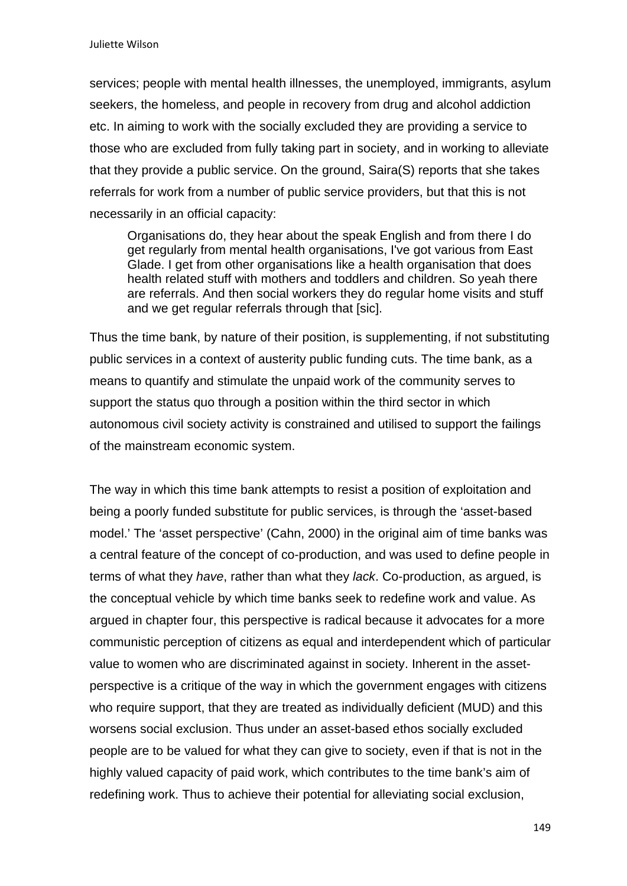services; people with mental health illnesses, the unemployed, immigrants, asylum seekers, the homeless, and people in recovery from drug and alcohol addiction etc. In aiming to work with the socially excluded they are providing a service to those who are excluded from fully taking part in society, and in working to alleviate that they provide a public service. On the ground, Saira(S) reports that she takes referrals for work from a number of public service providers, but that this is not necessarily in an official capacity:

Organisations do, they hear about the speak English and from there I do get regularly from mental health organisations, I've got various from East Glade. I get from other organisations like a health organisation that does health related stuff with mothers and toddlers and children. So yeah there are referrals. And then social workers they do regular home visits and stuff and we get regular referrals through that [sic].

Thus the time bank, by nature of their position, is supplementing, if not substituting public services in a context of austerity public funding cuts. The time bank, as a means to quantify and stimulate the unpaid work of the community serves to support the status quo through a position within the third sector in which autonomous civil society activity is constrained and utilised to support the failings of the mainstream economic system.

The way in which this time bank attempts to resist a position of exploitation and being a poorly funded substitute for public services, is through the 'asset-based model.' The 'asset perspective' (Cahn, 2000) in the original aim of time banks was a central feature of the concept of co-production, and was used to define people in terms of what they *have*, rather than what they *lack*. Co-production, as argued, is the conceptual vehicle by which time banks seek to redefine work and value. As argued in chapter four, this perspective is radical because it advocates for a more communistic perception of citizens as equal and interdependent which of particular value to women who are discriminated against in society. Inherent in the assetperspective is a critique of the way in which the government engages with citizens who require support, that they are treated as individually deficient (MUD) and this worsens social exclusion. Thus under an asset-based ethos socially excluded people are to be valued for what they can give to society, even if that is not in the highly valued capacity of paid work, which contributes to the time bank's aim of redefining work. Thus to achieve their potential for alleviating social exclusion,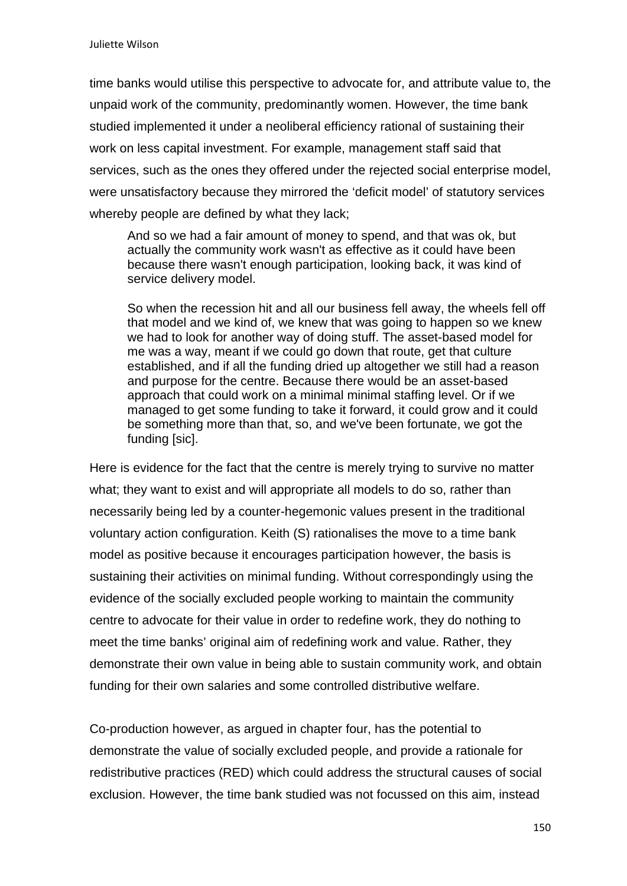time banks would utilise this perspective to advocate for, and attribute value to, the unpaid work of the community, predominantly women. However, the time bank studied implemented it under a neoliberal efficiency rational of sustaining their work on less capital investment. For example, management staff said that services, such as the ones they offered under the rejected social enterprise model, were unsatisfactory because they mirrored the 'deficit model' of statutory services whereby people are defined by what they lack:

And so we had a fair amount of money to spend, and that was ok, but actually the community work wasn't as effective as it could have been because there wasn't enough participation, looking back, it was kind of service delivery model.

So when the recession hit and all our business fell away, the wheels fell off that model and we kind of, we knew that was going to happen so we knew we had to look for another way of doing stuff. The asset-based model for me was a way, meant if we could go down that route, get that culture established, and if all the funding dried up altogether we still had a reason and purpose for the centre. Because there would be an asset-based approach that could work on a minimal minimal staffing level. Or if we managed to get some funding to take it forward, it could grow and it could be something more than that, so, and we've been fortunate, we got the funding [sic].

Here is evidence for the fact that the centre is merely trying to survive no matter what; they want to exist and will appropriate all models to do so, rather than necessarily being led by a counter-hegemonic values present in the traditional voluntary action configuration. Keith (S) rationalises the move to a time bank model as positive because it encourages participation however, the basis is sustaining their activities on minimal funding. Without correspondingly using the evidence of the socially excluded people working to maintain the community centre to advocate for their value in order to redefine work, they do nothing to meet the time banks' original aim of redefining work and value. Rather, they demonstrate their own value in being able to sustain community work, and obtain funding for their own salaries and some controlled distributive welfare.

Co-production however, as argued in chapter four, has the potential to demonstrate the value of socially excluded people, and provide a rationale for redistributive practices (RED) which could address the structural causes of social exclusion. However, the time bank studied was not focussed on this aim, instead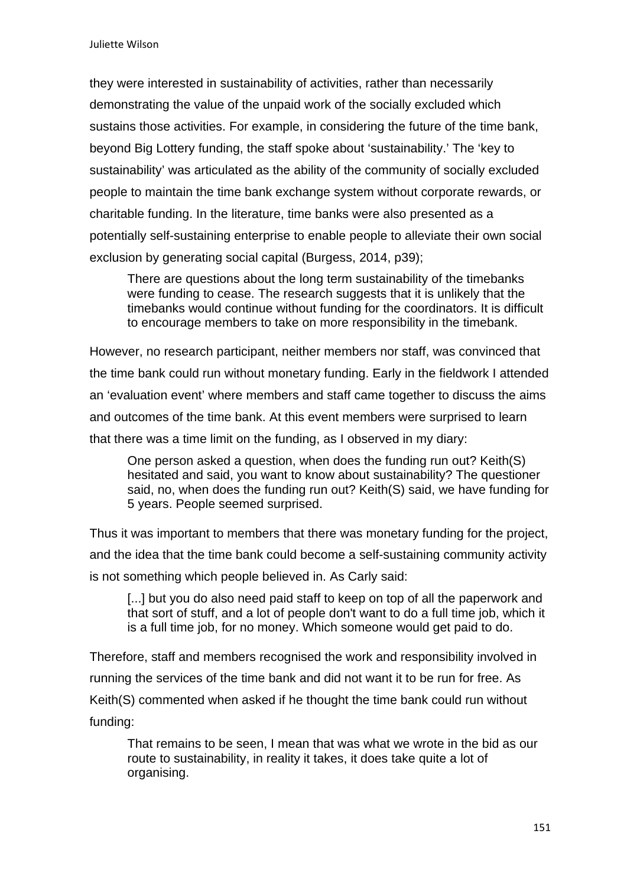they were interested in sustainability of activities, rather than necessarily demonstrating the value of the unpaid work of the socially excluded which sustains those activities. For example, in considering the future of the time bank, beyond Big Lottery funding, the staff spoke about 'sustainability.' The 'key to sustainability' was articulated as the ability of the community of socially excluded people to maintain the time bank exchange system without corporate rewards, or charitable funding. In the literature, time banks were also presented as a potentially self-sustaining enterprise to enable people to alleviate their own social exclusion by generating social capital (Burgess, 2014, p39);

There are questions about the long term sustainability of the timebanks were funding to cease. The research suggests that it is unlikely that the timebanks would continue without funding for the coordinators. It is difficult to encourage members to take on more responsibility in the timebank.

However, no research participant, neither members nor staff, was convinced that the time bank could run without monetary funding. Early in the fieldwork I attended an 'evaluation event' where members and staff came together to discuss the aims and outcomes of the time bank. At this event members were surprised to learn that there was a time limit on the funding, as I observed in my diary:

One person asked a question, when does the funding run out? Keith(S) hesitated and said, you want to know about sustainability? The questioner said, no, when does the funding run out? Keith(S) said, we have funding for 5 years. People seemed surprised.

Thus it was important to members that there was monetary funding for the project, and the idea that the time bank could become a self-sustaining community activity is not something which people believed in. As Carly said:

[...] but you do also need paid staff to keep on top of all the paperwork and that sort of stuff, and a lot of people don't want to do a full time job, which it is a full time job, for no money. Which someone would get paid to do.

Therefore, staff and members recognised the work and responsibility involved in running the services of the time bank and did not want it to be run for free. As Keith(S) commented when asked if he thought the time bank could run without funding:

That remains to be seen, I mean that was what we wrote in the bid as our route to sustainability, in reality it takes, it does take quite a lot of organising.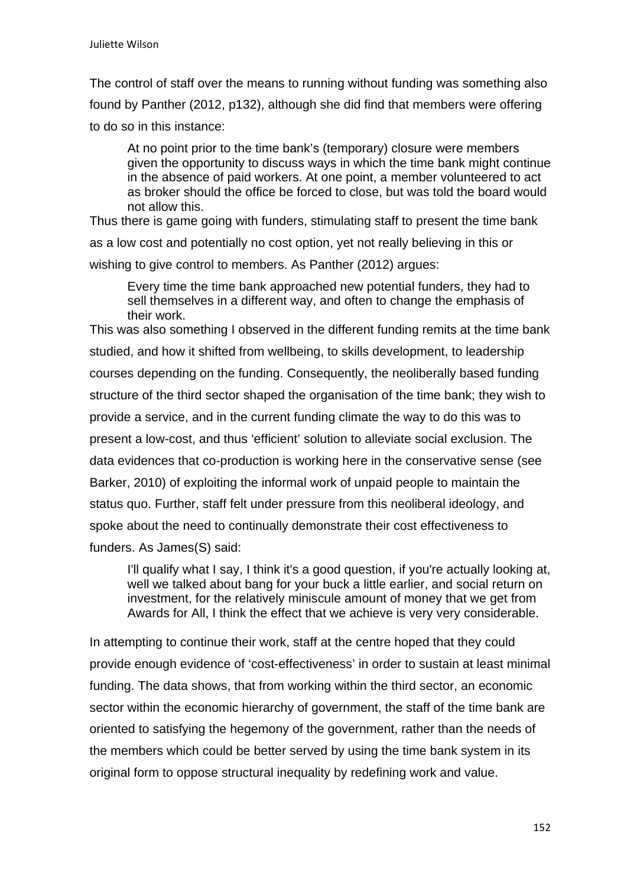The control of staff over the means to running without funding was something also found by Panther (2012, p132), although she did find that members were offering to do so in this instance:

At no point prior to the time bank's (temporary) closure were members given the opportunity to discuss ways in which the time bank might continue in the absence of paid workers. At one point, a member volunteered to act as broker should the office be forced to close, but was told the board would not allow this.

Thus there is game going with funders, stimulating staff to present the time bank as a low cost and potentially no cost option, yet not really believing in this or wishing to give control to members. As Panther (2012) argues:

Every time the time bank approached new potential funders, they had to sell themselves in a different way, and often to change the emphasis of their work.

This was also something I observed in the different funding remits at the time bank studied, and how it shifted from wellbeing, to skills development, to leadership courses depending on the funding. Consequently, the neoliberally based funding structure of the third sector shaped the organisation of the time bank; they wish to provide a service, and in the current funding climate the way to do this was to present a low-cost, and thus 'efficient' solution to alleviate social exclusion. The data evidences that co-production is working here in the conservative sense (see Barker, 2010) of exploiting the informal work of unpaid people to maintain the status quo. Further, staff felt under pressure from this neoliberal ideology, and spoke about the need to continually demonstrate their cost effectiveness to funders. As James(S) said:

I'll qualify what I say, I think it's a good question, if you're actually looking at, well we talked about bang for your buck a little earlier, and social return on investment, for the relatively miniscule amount of money that we get from Awards for All, I think the effect that we achieve is very very considerable.

In attempting to continue their work, staff at the centre hoped that they could provide enough evidence of 'cost-effectiveness' in order to sustain at least minimal funding. The data shows, that from working within the third sector, an economic sector within the economic hierarchy of government, the staff of the time bank are oriented to satisfying the hegemony of the government, rather than the needs of the members which could be better served by using the time bank system in its original form to oppose structural inequality by redefining work and value.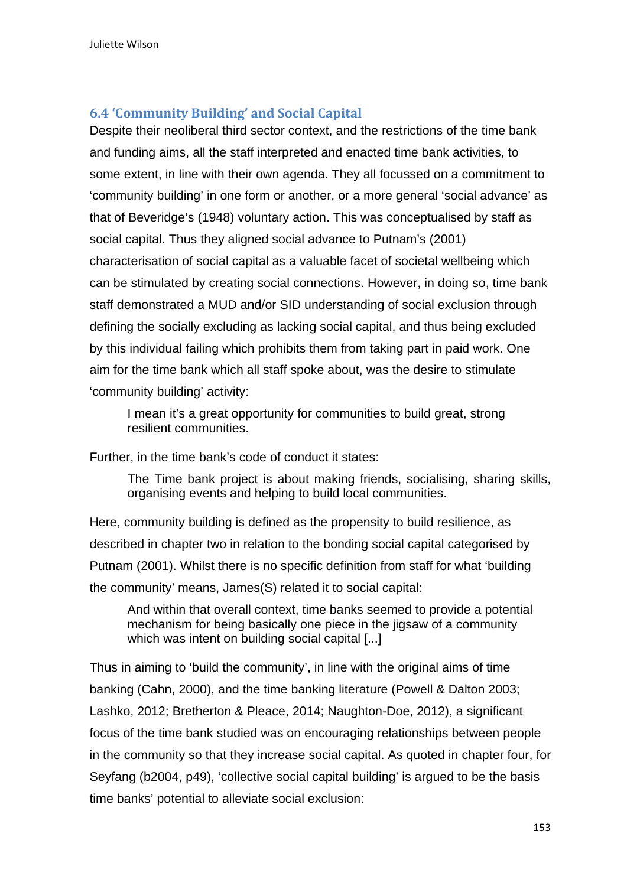## **6.4 'Community Building' and Social Capital**

Despite their neoliberal third sector context, and the restrictions of the time bank and funding aims, all the staff interpreted and enacted time bank activities, to some extent, in line with their own agenda. They all focussed on a commitment to 'community building' in one form or another, or a more general 'social advance' as that of Beveridge's (1948) voluntary action. This was conceptualised by staff as social capital. Thus they aligned social advance to Putnam's (2001) characterisation of social capital as a valuable facet of societal wellbeing which can be stimulated by creating social connections. However, in doing so, time bank staff demonstrated a MUD and/or SID understanding of social exclusion through defining the socially excluding as lacking social capital, and thus being excluded by this individual failing which prohibits them from taking part in paid work. One aim for the time bank which all staff spoke about, was the desire to stimulate 'community building' activity:

I mean it's a great opportunity for communities to build great, strong resilient communities.

Further, in the time bank's code of conduct it states:

The Time bank project is about making friends, socialising, sharing skills, organising events and helping to build local communities.

Here, community building is defined as the propensity to build resilience, as described in chapter two in relation to the bonding social capital categorised by Putnam (2001). Whilst there is no specific definition from staff for what 'building the community' means, James(S) related it to social capital:

And within that overall context, time banks seemed to provide a potential mechanism for being basically one piece in the jigsaw of a community which was intent on building social capital [...]

Thus in aiming to 'build the community', in line with the original aims of time banking (Cahn, 2000), and the time banking literature (Powell & Dalton 2003; Lashko, 2012; Bretherton & Pleace, 2014; Naughton-Doe, 2012), a significant focus of the time bank studied was on encouraging relationships between people in the community so that they increase social capital. As quoted in chapter four, for Seyfang (b2004, p49), 'collective social capital building' is argued to be the basis time banks' potential to alleviate social exclusion: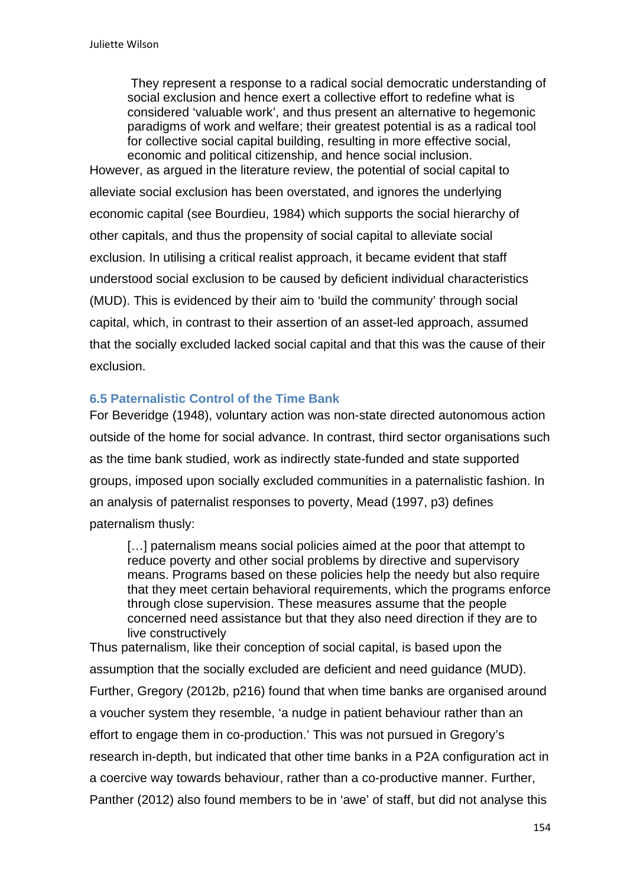They represent a response to a radical social democratic understanding of social exclusion and hence exert a collective effort to redefine what is considered 'valuable work', and thus present an alternative to hegemonic paradigms of work and welfare; their greatest potential is as a radical tool for collective social capital building, resulting in more effective social, economic and political citizenship, and hence social inclusion.

However, as argued in the literature review, the potential of social capital to alleviate social exclusion has been overstated, and ignores the underlying economic capital (see Bourdieu, 1984) which supports the social hierarchy of other capitals, and thus the propensity of social capital to alleviate social exclusion. In utilising a critical realist approach, it became evident that staff understood social exclusion to be caused by deficient individual characteristics (MUD). This is evidenced by their aim to 'build the community' through social capital, which, in contrast to their assertion of an asset-led approach, assumed that the socially excluded lacked social capital and that this was the cause of their exclusion.

### **6.5 Paternalistic Control of the Time Bank**

For Beveridge (1948), voluntary action was non-state directed autonomous action outside of the home for social advance. In contrast, third sector organisations such as the time bank studied, work as indirectly state-funded and state supported groups, imposed upon socially excluded communities in a paternalistic fashion. In an analysis of paternalist responses to poverty, Mead (1997, p3) defines paternalism thusly:

[...] paternalism means social policies aimed at the poor that attempt to reduce poverty and other social problems by directive and supervisory means. Programs based on these policies help the needy but also require that they meet certain behavioral requirements, which the programs enforce through close supervision. These measures assume that the people concerned need assistance but that they also need direction if they are to live constructively

Thus paternalism, like their conception of social capital, is based upon the assumption that the socially excluded are deficient and need guidance (MUD). Further, Gregory (2012b, p216) found that when time banks are organised around a voucher system they resemble, 'a nudge in patient behaviour rather than an effort to engage them in co-production.' This was not pursued in Gregory's research in-depth, but indicated that other time banks in a P2A configuration act in a coercive way towards behaviour, rather than a co-productive manner. Further, Panther (2012) also found members to be in 'awe' of staff, but did not analyse this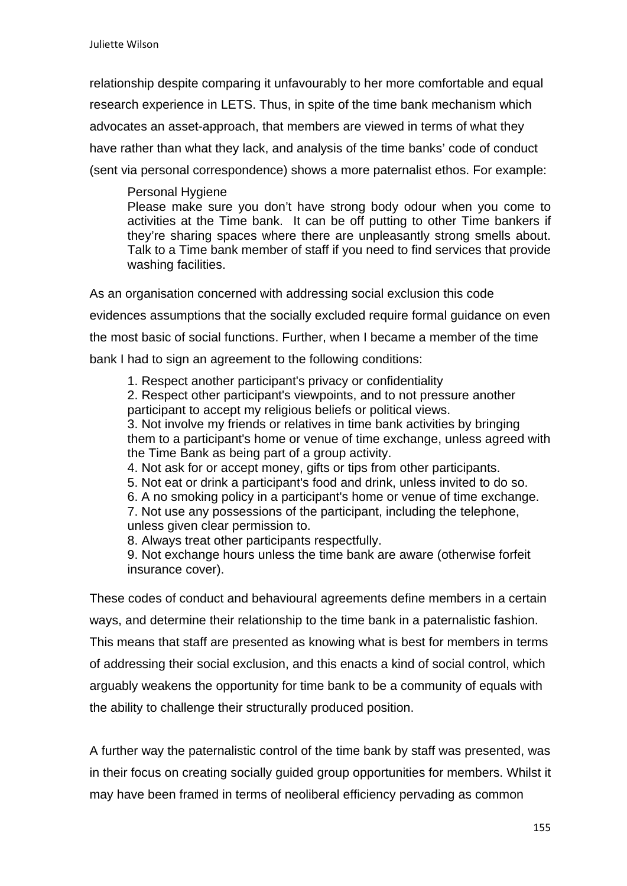relationship despite comparing it unfavourably to her more comfortable and equal research experience in LETS. Thus, in spite of the time bank mechanism which advocates an asset-approach, that members are viewed in terms of what they have rather than what they lack, and analysis of the time banks' code of conduct (sent via personal correspondence) shows a more paternalist ethos. For example:

 Personal Hygiene Please make sure you don't have strong body odour when you come to activities at the Time bank. It can be off putting to other Time bankers if they're sharing spaces where there are unpleasantly strong smells about. Talk to a Time bank member of staff if you need to find services that provide washing facilities.

As an organisation concerned with addressing social exclusion this code evidences assumptions that the socially excluded require formal guidance on even the most basic of social functions. Further, when I became a member of the time bank I had to sign an agreement to the following conditions:

1. Respect another participant's privacy or confidentiality

2. Respect other participant's viewpoints, and to not pressure another participant to accept my religious beliefs or political views.

3. Not involve my friends or relatives in time bank activities by bringing them to a participant's home or venue of time exchange, unless agreed with the Time Bank as being part of a group activity.

4. Not ask for or accept money, gifts or tips from other participants.

- 5. Not eat or drink a participant's food and drink, unless invited to do so.
- 6. A no smoking policy in a participant's home or venue of time exchange.
- 7. Not use any possessions of the participant, including the telephone, unless given clear permission to.

8. Always treat other participants respectfully.

9. Not exchange hours unless the time bank are aware (otherwise forfeit insurance cover).

These codes of conduct and behavioural agreements define members in a certain ways, and determine their relationship to the time bank in a paternalistic fashion. This means that staff are presented as knowing what is best for members in terms of addressing their social exclusion, and this enacts a kind of social control, which arguably weakens the opportunity for time bank to be a community of equals with the ability to challenge their structurally produced position.

A further way the paternalistic control of the time bank by staff was presented, was in their focus on creating socially guided group opportunities for members. Whilst it may have been framed in terms of neoliberal efficiency pervading as common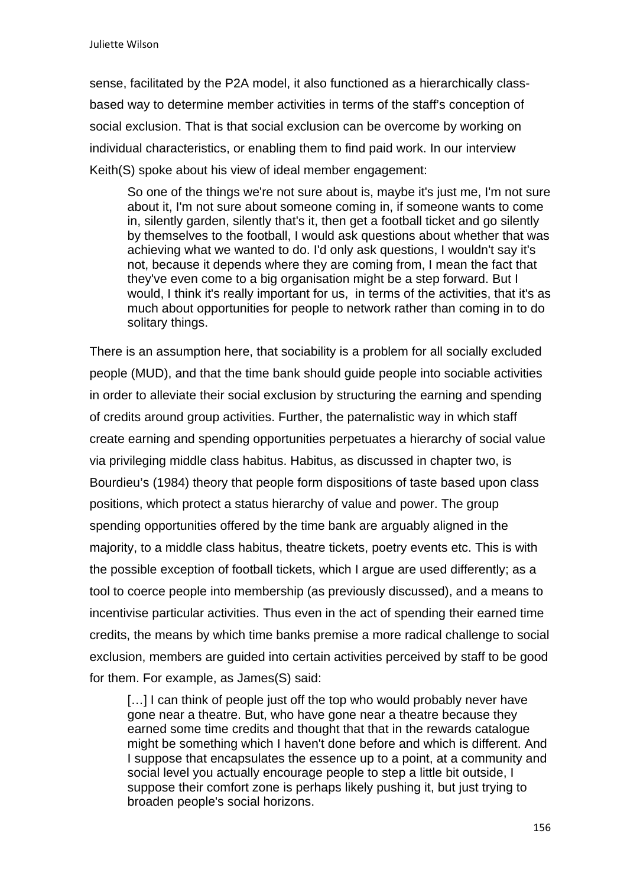sense, facilitated by the P2A model, it also functioned as a hierarchically classbased way to determine member activities in terms of the staff's conception of social exclusion. That is that social exclusion can be overcome by working on individual characteristics, or enabling them to find paid work. In our interview Keith(S) spoke about his view of ideal member engagement:

So one of the things we're not sure about is, maybe it's just me, I'm not sure about it, I'm not sure about someone coming in, if someone wants to come in, silently garden, silently that's it, then get a football ticket and go silently by themselves to the football, I would ask questions about whether that was achieving what we wanted to do. I'd only ask questions, I wouldn't say it's not, because it depends where they are coming from, I mean the fact that they've even come to a big organisation might be a step forward. But I would, I think it's really important for us, in terms of the activities, that it's as much about opportunities for people to network rather than coming in to do solitary things.

There is an assumption here, that sociability is a problem for all socially excluded people (MUD), and that the time bank should guide people into sociable activities in order to alleviate their social exclusion by structuring the earning and spending of credits around group activities. Further, the paternalistic way in which staff create earning and spending opportunities perpetuates a hierarchy of social value via privileging middle class habitus. Habitus, as discussed in chapter two, is Bourdieu's (1984) theory that people form dispositions of taste based upon class positions, which protect a status hierarchy of value and power. The group spending opportunities offered by the time bank are arguably aligned in the majority, to a middle class habitus, theatre tickets, poetry events etc. This is with the possible exception of football tickets, which I argue are used differently; as a tool to coerce people into membership (as previously discussed), and a means to incentivise particular activities. Thus even in the act of spending their earned time credits, the means by which time banks premise a more radical challenge to social exclusion, members are guided into certain activities perceived by staff to be good for them. For example, as James(S) said:

[...] I can think of people just off the top who would probably never have gone near a theatre. But, who have gone near a theatre because they earned some time credits and thought that that in the rewards catalogue might be something which I haven't done before and which is different. And I suppose that encapsulates the essence up to a point, at a community and social level you actually encourage people to step a little bit outside, I suppose their comfort zone is perhaps likely pushing it, but just trying to broaden people's social horizons.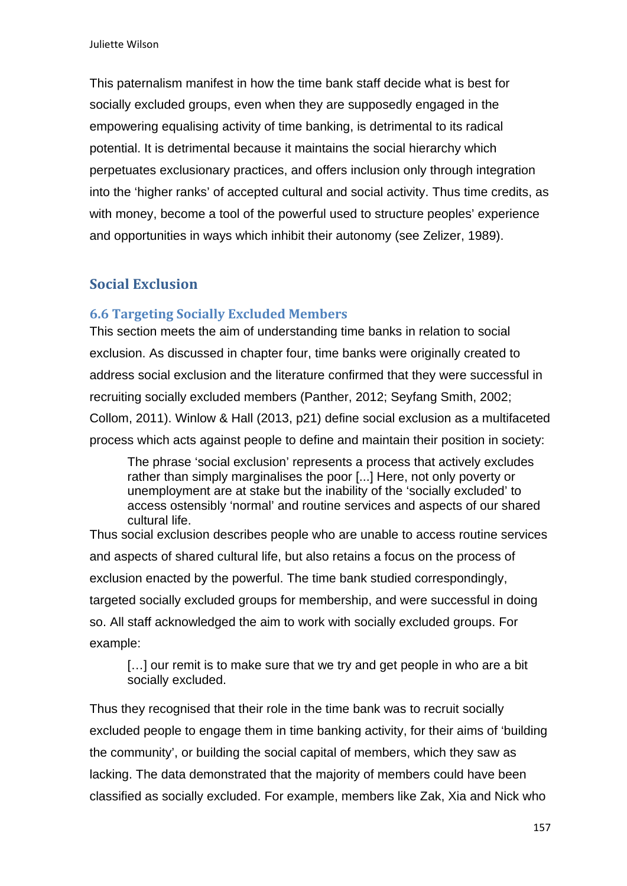This paternalism manifest in how the time bank staff decide what is best for socially excluded groups, even when they are supposedly engaged in the empowering equalising activity of time banking, is detrimental to its radical potential. It is detrimental because it maintains the social hierarchy which perpetuates exclusionary practices, and offers inclusion only through integration into the 'higher ranks' of accepted cultural and social activity. Thus time credits, as with money, become a tool of the powerful used to structure peoples' experience and opportunities in ways which inhibit their autonomy (see Zelizer, 1989).

# **Social Exclusion**

## **6.6 Targeting Socially Excluded Members**

This section meets the aim of understanding time banks in relation to social exclusion. As discussed in chapter four, time banks were originally created to address social exclusion and the literature confirmed that they were successful in recruiting socially excluded members (Panther, 2012; Seyfang Smith, 2002; Collom, 2011). Winlow & Hall (2013, p21) define social exclusion as a multifaceted process which acts against people to define and maintain their position in society:

The phrase 'social exclusion' represents a process that actively excludes rather than simply marginalises the poor [...] Here, not only poverty or unemployment are at stake but the inability of the 'socially excluded' to access ostensibly 'normal' and routine services and aspects of our shared cultural life.

Thus social exclusion describes people who are unable to access routine services and aspects of shared cultural life, but also retains a focus on the process of exclusion enacted by the powerful. The time bank studied correspondingly, targeted socially excluded groups for membership, and were successful in doing so. All staff acknowledged the aim to work with socially excluded groups. For example:

[...] our remit is to make sure that we try and get people in who are a bit socially excluded.

Thus they recognised that their role in the time bank was to recruit socially excluded people to engage them in time banking activity, for their aims of 'building the community', or building the social capital of members, which they saw as lacking. The data demonstrated that the majority of members could have been classified as socially excluded. For example, members like Zak, Xia and Nick who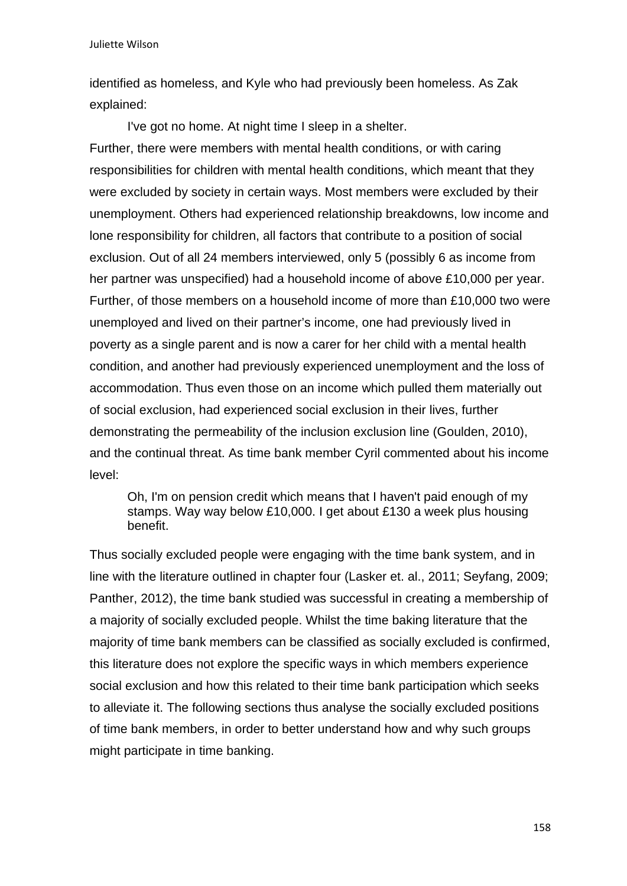Juliette Wilson

identified as homeless, and Kyle who had previously been homeless. As Zak explained:

 I've got no home. At night time I sleep in a shelter. Further, there were members with mental health conditions, or with caring responsibilities for children with mental health conditions, which meant that they were excluded by society in certain ways. Most members were excluded by their unemployment. Others had experienced relationship breakdowns, low income and lone responsibility for children, all factors that contribute to a position of social exclusion. Out of all 24 members interviewed, only 5 (possibly 6 as income from her partner was unspecified) had a household income of above £10,000 per year. Further, of those members on a household income of more than £10,000 two were unemployed and lived on their partner's income, one had previously lived in poverty as a single parent and is now a carer for her child with a mental health condition, and another had previously experienced unemployment and the loss of accommodation. Thus even those on an income which pulled them materially out of social exclusion, had experienced social exclusion in their lives, further demonstrating the permeability of the inclusion exclusion line (Goulden, 2010), and the continual threat. As time bank member Cyril commented about his income level:

Oh, I'm on pension credit which means that I haven't paid enough of my stamps. Way way below £10,000. I get about £130 a week plus housing benefit.

Thus socially excluded people were engaging with the time bank system, and in line with the literature outlined in chapter four (Lasker et. al., 2011; Seyfang, 2009; Panther, 2012), the time bank studied was successful in creating a membership of a majority of socially excluded people. Whilst the time baking literature that the majority of time bank members can be classified as socially excluded is confirmed, this literature does not explore the specific ways in which members experience social exclusion and how this related to their time bank participation which seeks to alleviate it. The following sections thus analyse the socially excluded positions of time bank members, in order to better understand how and why such groups might participate in time banking.

158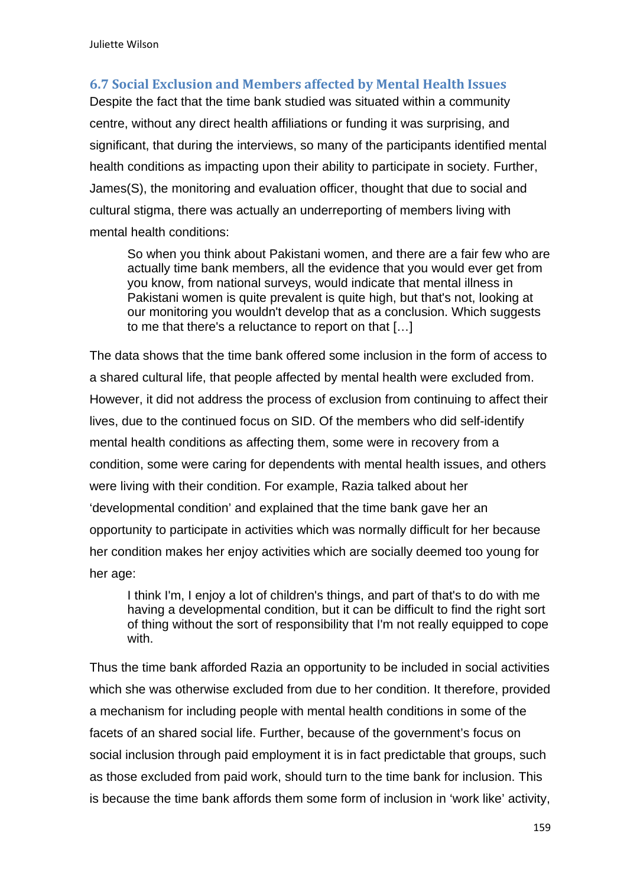# **6.7 Social Exclusion and Members affected by Mental Health Issues**

Despite the fact that the time bank studied was situated within a community centre, without any direct health affiliations or funding it was surprising, and significant, that during the interviews, so many of the participants identified mental health conditions as impacting upon their ability to participate in society. Further, James(S), the monitoring and evaluation officer, thought that due to social and cultural stigma, there was actually an underreporting of members living with mental health conditions:

So when you think about Pakistani women, and there are a fair few who are actually time bank members, all the evidence that you would ever get from you know, from national surveys, would indicate that mental illness in Pakistani women is quite prevalent is quite high, but that's not, looking at our monitoring you wouldn't develop that as a conclusion. Which suggests to me that there's a reluctance to report on that […]

The data shows that the time bank offered some inclusion in the form of access to a shared cultural life, that people affected by mental health were excluded from. However, it did not address the process of exclusion from continuing to affect their lives, due to the continued focus on SID. Of the members who did self-identify mental health conditions as affecting them, some were in recovery from a condition, some were caring for dependents with mental health issues, and others were living with their condition. For example, Razia talked about her 'developmental condition' and explained that the time bank gave her an opportunity to participate in activities which was normally difficult for her because her condition makes her enjoy activities which are socially deemed too young for her age:

I think I'm, I enjoy a lot of children's things, and part of that's to do with me having a developmental condition, but it can be difficult to find the right sort of thing without the sort of responsibility that I'm not really equipped to cope with.

Thus the time bank afforded Razia an opportunity to be included in social activities which she was otherwise excluded from due to her condition. It therefore, provided a mechanism for including people with mental health conditions in some of the facets of an shared social life. Further, because of the government's focus on social inclusion through paid employment it is in fact predictable that groups, such as those excluded from paid work, should turn to the time bank for inclusion. This is because the time bank affords them some form of inclusion in 'work like' activity,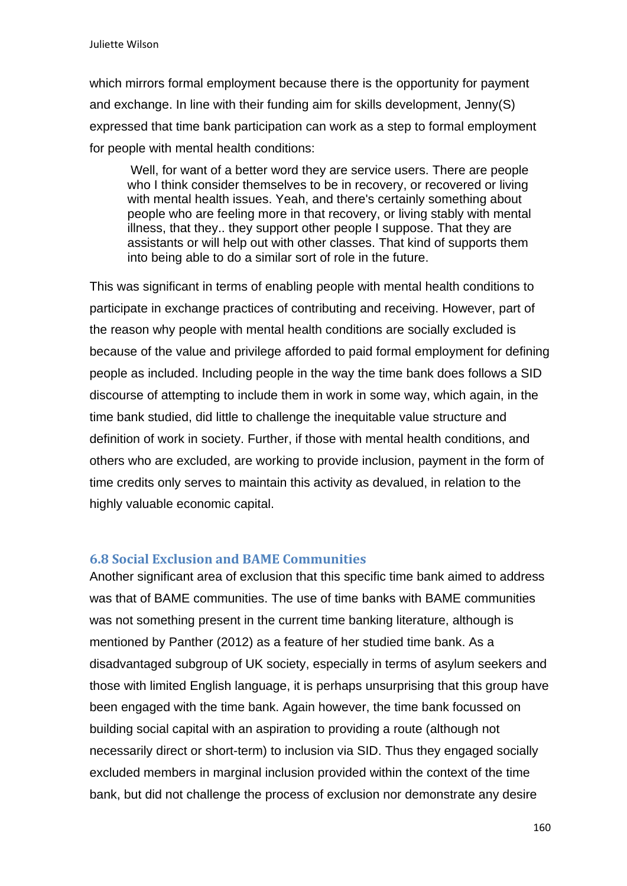which mirrors formal employment because there is the opportunity for payment and exchange. In line with their funding aim for skills development, Jenny(S) expressed that time bank participation can work as a step to formal employment for people with mental health conditions:

Well, for want of a better word they are service users. There are people who I think consider themselves to be in recovery, or recovered or living with mental health issues. Yeah, and there's certainly something about people who are feeling more in that recovery, or living stably with mental illness, that they.. they support other people I suppose. That they are assistants or will help out with other classes. That kind of supports them into being able to do a similar sort of role in the future.

This was significant in terms of enabling people with mental health conditions to participate in exchange practices of contributing and receiving. However, part of the reason why people with mental health conditions are socially excluded is because of the value and privilege afforded to paid formal employment for defining people as included. Including people in the way the time bank does follows a SID discourse of attempting to include them in work in some way, which again, in the time bank studied, did little to challenge the inequitable value structure and definition of work in society. Further, if those with mental health conditions, and others who are excluded, are working to provide inclusion, payment in the form of time credits only serves to maintain this activity as devalued, in relation to the highly valuable economic capital.

## **6.8 Social Exclusion and BAME Communities**

Another significant area of exclusion that this specific time bank aimed to address was that of BAME communities. The use of time banks with BAME communities was not something present in the current time banking literature, although is mentioned by Panther (2012) as a feature of her studied time bank. As a disadvantaged subgroup of UK society, especially in terms of asylum seekers and those with limited English language, it is perhaps unsurprising that this group have been engaged with the time bank. Again however, the time bank focussed on building social capital with an aspiration to providing a route (although not necessarily direct or short-term) to inclusion via SID. Thus they engaged socially excluded members in marginal inclusion provided within the context of the time bank, but did not challenge the process of exclusion nor demonstrate any desire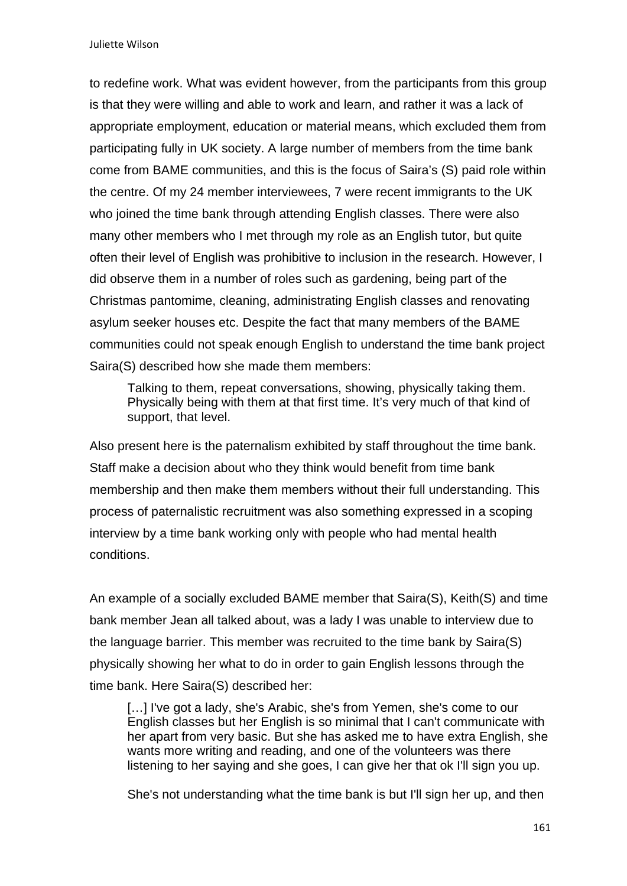Juliette Wilson

to redefine work. What was evident however, from the participants from this group is that they were willing and able to work and learn, and rather it was a lack of appropriate employment, education or material means, which excluded them from participating fully in UK society. A large number of members from the time bank come from BAME communities, and this is the focus of Saira's (S) paid role within the centre. Of my 24 member interviewees, 7 were recent immigrants to the UK who joined the time bank through attending English classes. There were also many other members who I met through my role as an English tutor, but quite often their level of English was prohibitive to inclusion in the research. However, I did observe them in a number of roles such as gardening, being part of the Christmas pantomime, cleaning, administrating English classes and renovating asylum seeker houses etc. Despite the fact that many members of the BAME communities could not speak enough English to understand the time bank project Saira(S) described how she made them members:

Talking to them, repeat conversations, showing, physically taking them. Physically being with them at that first time. It's very much of that kind of support, that level.

Also present here is the paternalism exhibited by staff throughout the time bank. Staff make a decision about who they think would benefit from time bank membership and then make them members without their full understanding. This process of paternalistic recruitment was also something expressed in a scoping interview by a time bank working only with people who had mental health conditions.

An example of a socially excluded BAME member that Saira(S), Keith(S) and time bank member Jean all talked about, was a lady I was unable to interview due to the language barrier. This member was recruited to the time bank by Saira(S) physically showing her what to do in order to gain English lessons through the time bank. Here Saira(S) described her:

[...] I've got a lady, she's Arabic, she's from Yemen, she's come to our English classes but her English is so minimal that I can't communicate with her apart from very basic. But she has asked me to have extra English, she wants more writing and reading, and one of the volunteers was there listening to her saying and she goes, I can give her that ok I'll sign you up.

She's not understanding what the time bank is but I'll sign her up, and then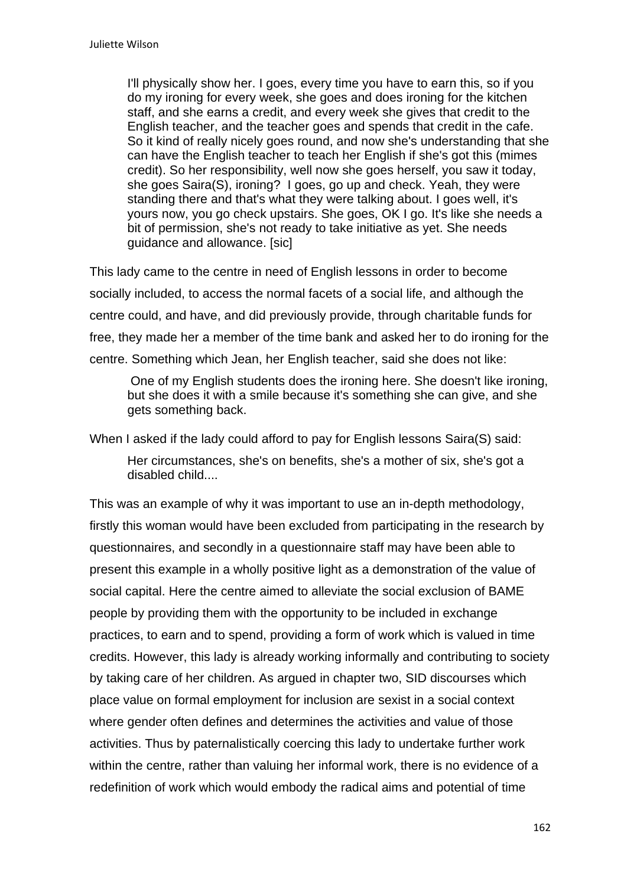I'll physically show her. I goes, every time you have to earn this, so if you do my ironing for every week, she goes and does ironing for the kitchen staff, and she earns a credit, and every week she gives that credit to the English teacher, and the teacher goes and spends that credit in the cafe. So it kind of really nicely goes round, and now she's understanding that she can have the English teacher to teach her English if she's got this (mimes credit). So her responsibility, well now she goes herself, you saw it today, she goes Saira(S), ironing? I goes, go up and check. Yeah, they were standing there and that's what they were talking about. I goes well, it's yours now, you go check upstairs. She goes, OK I go. It's like she needs a bit of permission, she's not ready to take initiative as yet. She needs guidance and allowance. [sic]

This lady came to the centre in need of English lessons in order to become socially included, to access the normal facets of a social life, and although the centre could, and have, and did previously provide, through charitable funds for free, they made her a member of the time bank and asked her to do ironing for the centre. Something which Jean, her English teacher, said she does not like:

One of my English students does the ironing here. She doesn't like ironing, but she does it with a smile because it's something she can give, and she gets something back.

When I asked if the lady could afford to pay for English lessons Saira(S) said: Her circumstances, she's on benefits, she's a mother of six, she's got a disabled child....

This was an example of why it was important to use an in-depth methodology, firstly this woman would have been excluded from participating in the research by questionnaires, and secondly in a questionnaire staff may have been able to present this example in a wholly positive light as a demonstration of the value of social capital. Here the centre aimed to alleviate the social exclusion of BAME people by providing them with the opportunity to be included in exchange practices, to earn and to spend, providing a form of work which is valued in time credits. However, this lady is already working informally and contributing to society by taking care of her children. As argued in chapter two, SID discourses which place value on formal employment for inclusion are sexist in a social context where gender often defines and determines the activities and value of those activities. Thus by paternalistically coercing this lady to undertake further work within the centre, rather than valuing her informal work, there is no evidence of a redefinition of work which would embody the radical aims and potential of time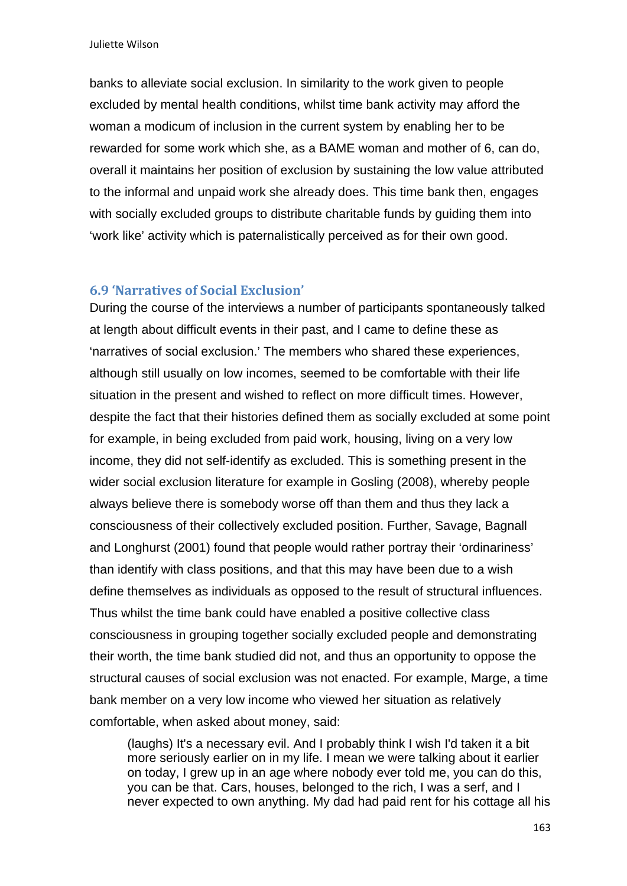banks to alleviate social exclusion. In similarity to the work given to people excluded by mental health conditions, whilst time bank activity may afford the woman a modicum of inclusion in the current system by enabling her to be rewarded for some work which she, as a BAME woman and mother of 6, can do, overall it maintains her position of exclusion by sustaining the low value attributed to the informal and unpaid work she already does. This time bank then, engages with socially excluded groups to distribute charitable funds by quiding them into 'work like' activity which is paternalistically perceived as for their own good.

### **6.9 'Narratives of Social Exclusion'**

During the course of the interviews a number of participants spontaneously talked at length about difficult events in their past, and I came to define these as 'narratives of social exclusion.' The members who shared these experiences, although still usually on low incomes, seemed to be comfortable with their life situation in the present and wished to reflect on more difficult times. However, despite the fact that their histories defined them as socially excluded at some point for example, in being excluded from paid work, housing, living on a very low income, they did not self-identify as excluded. This is something present in the wider social exclusion literature for example in Gosling (2008), whereby people always believe there is somebody worse off than them and thus they lack a consciousness of their collectively excluded position. Further, Savage, Bagnall and Longhurst (2001) found that people would rather portray their 'ordinariness' than identify with class positions, and that this may have been due to a wish define themselves as individuals as opposed to the result of structural influences. Thus whilst the time bank could have enabled a positive collective class consciousness in grouping together socially excluded people and demonstrating their worth, the time bank studied did not, and thus an opportunity to oppose the structural causes of social exclusion was not enacted. For example, Marge, a time bank member on a very low income who viewed her situation as relatively comfortable, when asked about money, said:

(laughs) It's a necessary evil. And I probably think I wish I'd taken it a bit more seriously earlier on in my life. I mean we were talking about it earlier on today, I grew up in an age where nobody ever told me, you can do this, you can be that. Cars, houses, belonged to the rich, I was a serf, and I never expected to own anything. My dad had paid rent for his cottage all his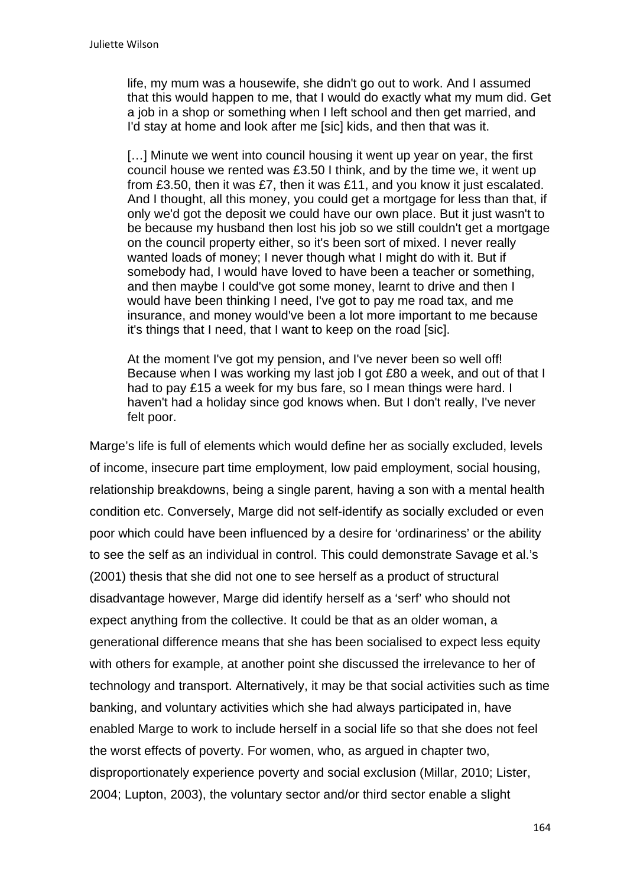life, my mum was a housewife, she didn't go out to work. And I assumed that this would happen to me, that I would do exactly what my mum did. Get a job in a shop or something when I left school and then get married, and I'd stay at home and look after me [sic] kids, and then that was it.

[...] Minute we went into council housing it went up year on year, the first council house we rented was £3.50 I think, and by the time we, it went up from £3.50, then it was £7, then it was £11, and you know it just escalated. And I thought, all this money, you could get a mortgage for less than that, if only we'd got the deposit we could have our own place. But it just wasn't to be because my husband then lost his job so we still couldn't get a mortgage on the council property either, so it's been sort of mixed. I never really wanted loads of money; I never though what I might do with it. But if somebody had, I would have loved to have been a teacher or something, and then maybe I could've got some money, learnt to drive and then I would have been thinking I need, I've got to pay me road tax, and me insurance, and money would've been a lot more important to me because it's things that I need, that I want to keep on the road [sic].

At the moment I've got my pension, and I've never been so well off! Because when I was working my last job I got £80 a week, and out of that I had to pay £15 a week for my bus fare, so I mean things were hard. I haven't had a holiday since god knows when. But I don't really, I've never felt poor.

Marge's life is full of elements which would define her as socially excluded, levels of income, insecure part time employment, low paid employment, social housing, relationship breakdowns, being a single parent, having a son with a mental health condition etc. Conversely, Marge did not self-identify as socially excluded or even poor which could have been influenced by a desire for 'ordinariness' or the ability to see the self as an individual in control. This could demonstrate Savage et al.'s (2001) thesis that she did not one to see herself as a product of structural disadvantage however, Marge did identify herself as a 'serf' who should not expect anything from the collective. It could be that as an older woman, a generational difference means that she has been socialised to expect less equity with others for example, at another point she discussed the irrelevance to her of technology and transport. Alternatively, it may be that social activities such as time banking, and voluntary activities which she had always participated in, have enabled Marge to work to include herself in a social life so that she does not feel the worst effects of poverty. For women, who, as argued in chapter two, disproportionately experience poverty and social exclusion (Millar, 2010; Lister, 2004; Lupton, 2003), the voluntary sector and/or third sector enable a slight

164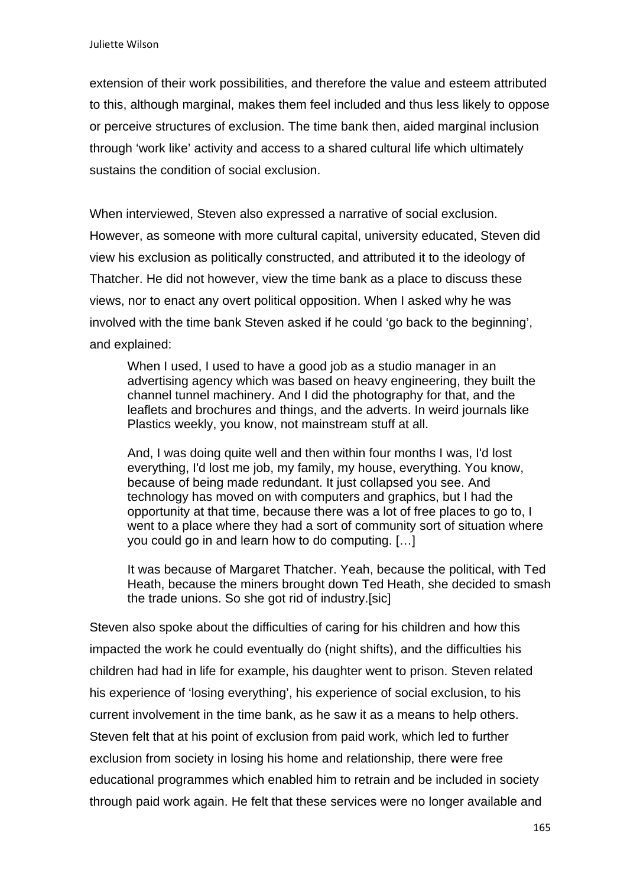extension of their work possibilities, and therefore the value and esteem attributed to this, although marginal, makes them feel included and thus less likely to oppose or perceive structures of exclusion. The time bank then, aided marginal inclusion through 'work like' activity and access to a shared cultural life which ultimately sustains the condition of social exclusion.

When interviewed, Steven also expressed a narrative of social exclusion. However, as someone with more cultural capital, university educated, Steven did view his exclusion as politically constructed, and attributed it to the ideology of Thatcher. He did not however, view the time bank as a place to discuss these views, nor to enact any overt political opposition. When I asked why he was involved with the time bank Steven asked if he could 'go back to the beginning', and explained:

When I used, I used to have a good job as a studio manager in an advertising agency which was based on heavy engineering, they built the channel tunnel machinery. And I did the photography for that, and the leaflets and brochures and things, and the adverts. In weird journals like Plastics weekly, you know, not mainstream stuff at all.

And, I was doing quite well and then within four months I was, I'd lost everything, I'd lost me job, my family, my house, everything. You know, because of being made redundant. It just collapsed you see. And technology has moved on with computers and graphics, but I had the opportunity at that time, because there was a lot of free places to go to, I went to a place where they had a sort of community sort of situation where you could go in and learn how to do computing. […]

It was because of Margaret Thatcher. Yeah, because the political, with Ted Heath, because the miners brought down Ted Heath, she decided to smash the trade unions. So she got rid of industry.[sic]

Steven also spoke about the difficulties of caring for his children and how this impacted the work he could eventually do (night shifts), and the difficulties his children had had in life for example, his daughter went to prison. Steven related his experience of 'losing everything', his experience of social exclusion, to his current involvement in the time bank, as he saw it as a means to help others. Steven felt that at his point of exclusion from paid work, which led to further exclusion from society in losing his home and relationship, there were free educational programmes which enabled him to retrain and be included in society through paid work again. He felt that these services were no longer available and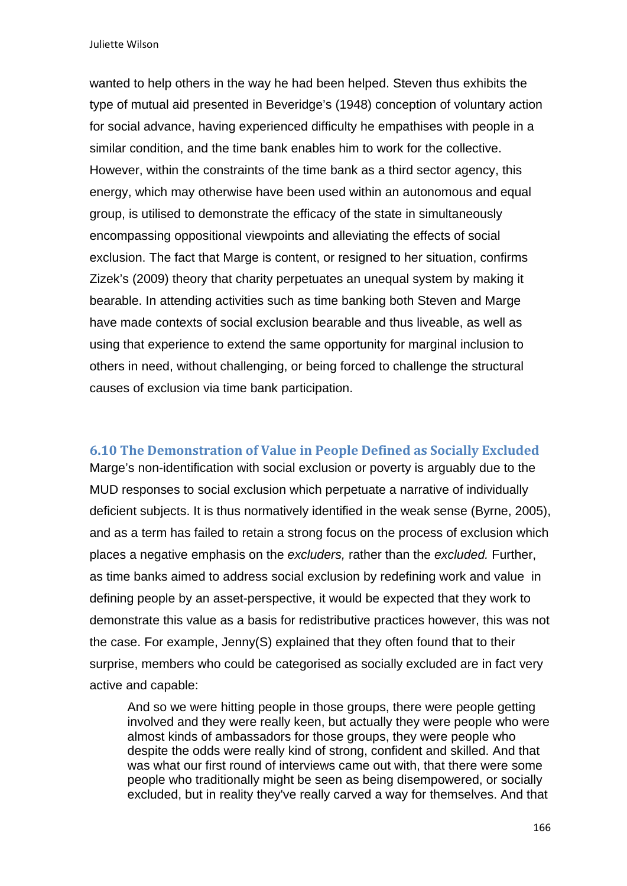Juliette Wilson

wanted to help others in the way he had been helped. Steven thus exhibits the type of mutual aid presented in Beveridge's (1948) conception of voluntary action for social advance, having experienced difficulty he empathises with people in a similar condition, and the time bank enables him to work for the collective. However, within the constraints of the time bank as a third sector agency, this energy, which may otherwise have been used within an autonomous and equal group, is utilised to demonstrate the efficacy of the state in simultaneously encompassing oppositional viewpoints and alleviating the effects of social exclusion. The fact that Marge is content, or resigned to her situation, confirms Zizek's (2009) theory that charity perpetuates an unequal system by making it bearable. In attending activities such as time banking both Steven and Marge have made contexts of social exclusion bearable and thus liveable, as well as using that experience to extend the same opportunity for marginal inclusion to others in need, without challenging, or being forced to challenge the structural causes of exclusion via time bank participation.

### **6.10 The Demonstration of Value in People Defined as Socially Excluded**

Marge's non-identification with social exclusion or poverty is arguably due to the MUD responses to social exclusion which perpetuate a narrative of individually deficient subjects. It is thus normatively identified in the weak sense (Byrne, 2005), and as a term has failed to retain a strong focus on the process of exclusion which places a negative emphasis on the *excluders,* rather than the *excluded.* Further, as time banks aimed to address social exclusion by redefining work and value in defining people by an asset-perspective, it would be expected that they work to demonstrate this value as a basis for redistributive practices however, this was not the case. For example, Jenny(S) explained that they often found that to their surprise, members who could be categorised as socially excluded are in fact very active and capable:

And so we were hitting people in those groups, there were people getting involved and they were really keen, but actually they were people who were almost kinds of ambassadors for those groups, they were people who despite the odds were really kind of strong, confident and skilled. And that was what our first round of interviews came out with, that there were some people who traditionally might be seen as being disempowered, or socially excluded, but in reality they've really carved a way for themselves. And that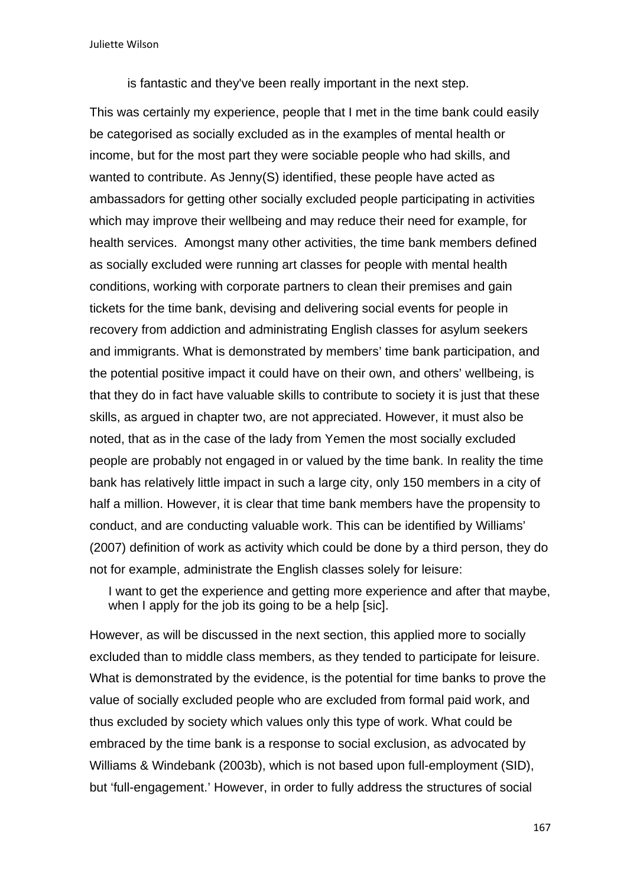Juliette Wilson

is fantastic and they've been really important in the next step.

This was certainly my experience, people that I met in the time bank could easily be categorised as socially excluded as in the examples of mental health or income, but for the most part they were sociable people who had skills, and wanted to contribute. As Jenny(S) identified, these people have acted as ambassadors for getting other socially excluded people participating in activities which may improve their wellbeing and may reduce their need for example, for health services. Amongst many other activities, the time bank members defined as socially excluded were running art classes for people with mental health conditions, working with corporate partners to clean their premises and gain tickets for the time bank, devising and delivering social events for people in recovery from addiction and administrating English classes for asylum seekers and immigrants. What is demonstrated by members' time bank participation, and the potential positive impact it could have on their own, and others' wellbeing, is that they do in fact have valuable skills to contribute to society it is just that these skills, as argued in chapter two, are not appreciated. However, it must also be noted, that as in the case of the lady from Yemen the most socially excluded people are probably not engaged in or valued by the time bank. In reality the time bank has relatively little impact in such a large city, only 150 members in a city of half a million. However, it is clear that time bank members have the propensity to conduct, and are conducting valuable work. This can be identified by Williams' (2007) definition of work as activity which could be done by a third person, they do not for example, administrate the English classes solely for leisure:

I want to get the experience and getting more experience and after that maybe, when I apply for the job its going to be a help [sic].

However, as will be discussed in the next section, this applied more to socially excluded than to middle class members, as they tended to participate for leisure. What is demonstrated by the evidence, is the potential for time banks to prove the value of socially excluded people who are excluded from formal paid work, and thus excluded by society which values only this type of work. What could be embraced by the time bank is a response to social exclusion, as advocated by Williams & Windebank (2003b), which is not based upon full-employment (SID), but 'full-engagement.' However, in order to fully address the structures of social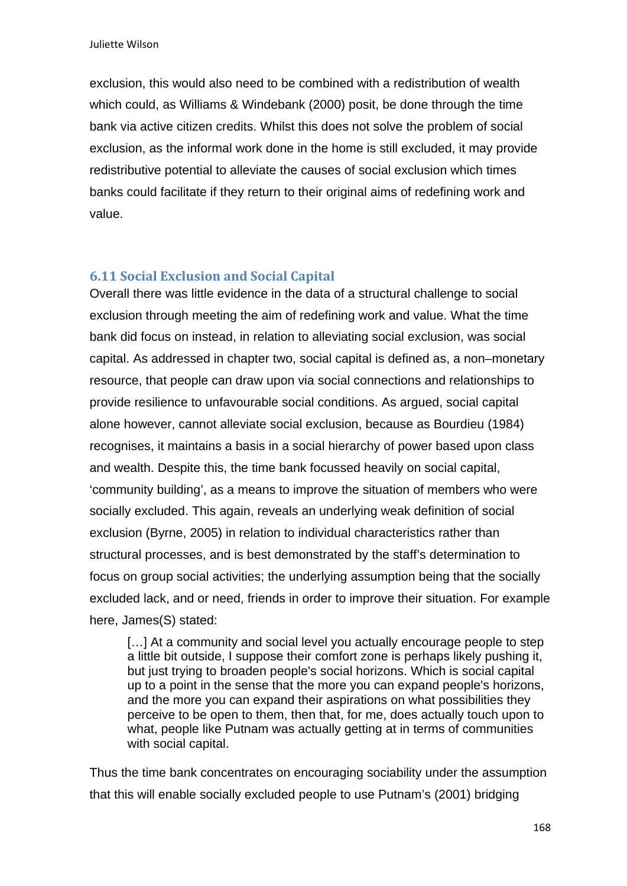exclusion, this would also need to be combined with a redistribution of wealth which could, as Williams & Windebank (2000) posit, be done through the time bank via active citizen credits. Whilst this does not solve the problem of social exclusion, as the informal work done in the home is still excluded, it may provide redistributive potential to alleviate the causes of social exclusion which times banks could facilitate if they return to their original aims of redefining work and value.

## **6.11 Social Exclusion and Social Capital**

Overall there was little evidence in the data of a structural challenge to social exclusion through meeting the aim of redefining work and value. What the time bank did focus on instead, in relation to alleviating social exclusion, was social capital. As addressed in chapter two, social capital is defined as, a non–monetary resource, that people can draw upon via social connections and relationships to provide resilience to unfavourable social conditions. As argued, social capital alone however, cannot alleviate social exclusion, because as Bourdieu (1984) recognises, it maintains a basis in a social hierarchy of power based upon class and wealth. Despite this, the time bank focussed heavily on social capital, 'community building', as a means to improve the situation of members who were socially excluded. This again, reveals an underlying weak definition of social exclusion (Byrne, 2005) in relation to individual characteristics rather than structural processes, and is best demonstrated by the staff's determination to focus on group social activities; the underlying assumption being that the socially excluded lack, and or need, friends in order to improve their situation. For example here, James(S) stated:

[...] At a community and social level you actually encourage people to step a little bit outside, I suppose their comfort zone is perhaps likely pushing it, but just trying to broaden people's social horizons. Which is social capital up to a point in the sense that the more you can expand people's horizons, and the more you can expand their aspirations on what possibilities they perceive to be open to them, then that, for me, does actually touch upon to what, people like Putnam was actually getting at in terms of communities with social capital.

Thus the time bank concentrates on encouraging sociability under the assumption that this will enable socially excluded people to use Putnam's (2001) bridging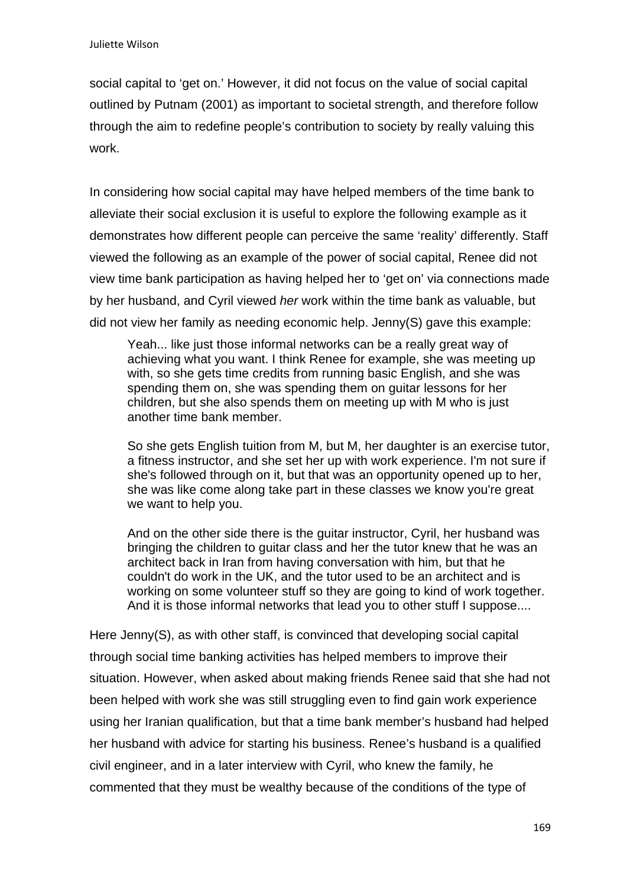social capital to 'get on.' However, it did not focus on the value of social capital outlined by Putnam (2001) as important to societal strength, and therefore follow through the aim to redefine people's contribution to society by really valuing this work.

In considering how social capital may have helped members of the time bank to alleviate their social exclusion it is useful to explore the following example as it demonstrates how different people can perceive the same 'reality' differently. Staff viewed the following as an example of the power of social capital, Renee did not view time bank participation as having helped her to 'get on' via connections made by her husband, and Cyril viewed *her* work within the time bank as valuable, but did not view her family as needing economic help. Jenny(S) gave this example:

Yeah... like just those informal networks can be a really great way of achieving what you want. I think Renee for example, she was meeting up with, so she gets time credits from running basic English, and she was spending them on, she was spending them on guitar lessons for her children, but she also spends them on meeting up with M who is just another time bank member.

So she gets English tuition from M, but M, her daughter is an exercise tutor, a fitness instructor, and she set her up with work experience. I'm not sure if she's followed through on it, but that was an opportunity opened up to her, she was like come along take part in these classes we know you're great we want to help you.

And on the other side there is the guitar instructor, Cyril, her husband was bringing the children to guitar class and her the tutor knew that he was an architect back in Iran from having conversation with him, but that he couldn't do work in the UK, and the tutor used to be an architect and is working on some volunteer stuff so they are going to kind of work together. And it is those informal networks that lead you to other stuff I suppose....

Here Jenny(S), as with other staff, is convinced that developing social capital through social time banking activities has helped members to improve their situation. However, when asked about making friends Renee said that she had not been helped with work she was still struggling even to find gain work experience using her Iranian qualification, but that a time bank member's husband had helped her husband with advice for starting his business. Renee's husband is a qualified civil engineer, and in a later interview with Cyril, who knew the family, he commented that they must be wealthy because of the conditions of the type of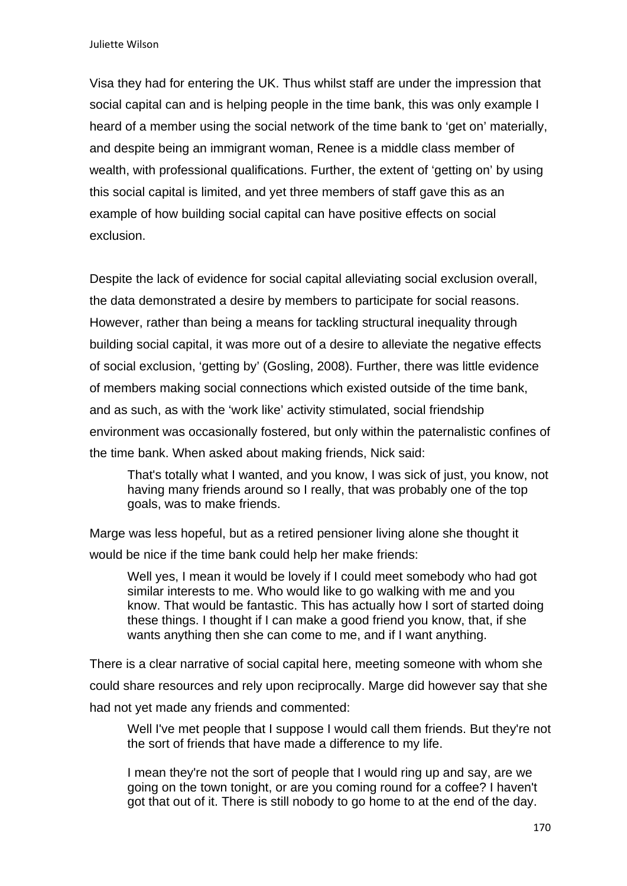Visa they had for entering the UK. Thus whilst staff are under the impression that social capital can and is helping people in the time bank, this was only example I heard of a member using the social network of the time bank to 'get on' materially, and despite being an immigrant woman, Renee is a middle class member of wealth, with professional qualifications. Further, the extent of 'getting on' by using this social capital is limited, and yet three members of staff gave this as an example of how building social capital can have positive effects on social exclusion.

Despite the lack of evidence for social capital alleviating social exclusion overall, the data demonstrated a desire by members to participate for social reasons. However, rather than being a means for tackling structural inequality through building social capital, it was more out of a desire to alleviate the negative effects of social exclusion, 'getting by' (Gosling, 2008). Further, there was little evidence of members making social connections which existed outside of the time bank, and as such, as with the 'work like' activity stimulated, social friendship environment was occasionally fostered, but only within the paternalistic confines of the time bank. When asked about making friends, Nick said:

That's totally what I wanted, and you know, I was sick of just, you know, not having many friends around so I really, that was probably one of the top goals, was to make friends.

Marge was less hopeful, but as a retired pensioner living alone she thought it would be nice if the time bank could help her make friends:

Well yes, I mean it would be lovely if I could meet somebody who had got similar interests to me. Who would like to go walking with me and you know. That would be fantastic. This has actually how I sort of started doing these things. I thought if I can make a good friend you know, that, if she wants anything then she can come to me, and if I want anything.

There is a clear narrative of social capital here, meeting someone with whom she could share resources and rely upon reciprocally. Marge did however say that she had not yet made any friends and commented:

Well I've met people that I suppose I would call them friends. But they're not the sort of friends that have made a difference to my life.

I mean they're not the sort of people that I would ring up and say, are we going on the town tonight, or are you coming round for a coffee? I haven't got that out of it. There is still nobody to go home to at the end of the day.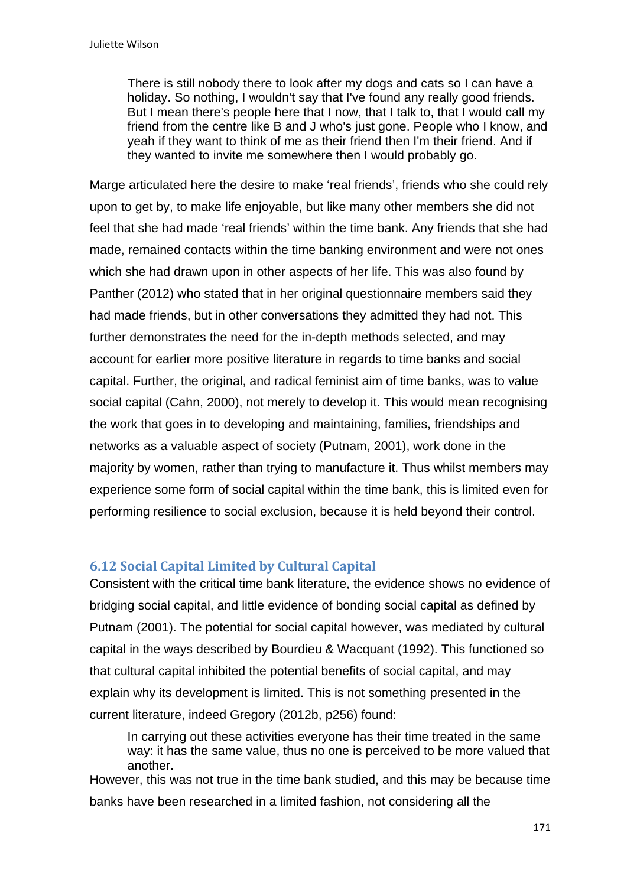There is still nobody there to look after my dogs and cats so I can have a holiday. So nothing, I wouldn't say that I've found any really good friends. But I mean there's people here that I now, that I talk to, that I would call my friend from the centre like B and J who's just gone. People who I know, and yeah if they want to think of me as their friend then I'm their friend. And if they wanted to invite me somewhere then I would probably go.

Marge articulated here the desire to make 'real friends', friends who she could rely upon to get by, to make life enjoyable, but like many other members she did not feel that she had made 'real friends' within the time bank. Any friends that she had made, remained contacts within the time banking environment and were not ones which she had drawn upon in other aspects of her life. This was also found by Panther (2012) who stated that in her original questionnaire members said they had made friends, but in other conversations they admitted they had not. This further demonstrates the need for the in-depth methods selected, and may account for earlier more positive literature in regards to time banks and social capital. Further, the original, and radical feminist aim of time banks, was to value social capital (Cahn, 2000), not merely to develop it. This would mean recognising the work that goes in to developing and maintaining, families, friendships and networks as a valuable aspect of society (Putnam, 2001), work done in the majority by women, rather than trying to manufacture it. Thus whilst members may experience some form of social capital within the time bank, this is limited even for performing resilience to social exclusion, because it is held beyond their control.

## **6.12 Social Capital Limited by Cultural Capital**

Consistent with the critical time bank literature, the evidence shows no evidence of bridging social capital, and little evidence of bonding social capital as defined by Putnam (2001). The potential for social capital however, was mediated by cultural capital in the ways described by Bourdieu & Wacquant (1992). This functioned so that cultural capital inhibited the potential benefits of social capital, and may explain why its development is limited. This is not something presented in the current literature, indeed Gregory (2012b, p256) found:

In carrying out these activities everyone has their time treated in the same way: it has the same value, thus no one is perceived to be more valued that another.

However, this was not true in the time bank studied, and this may be because time banks have been researched in a limited fashion, not considering all the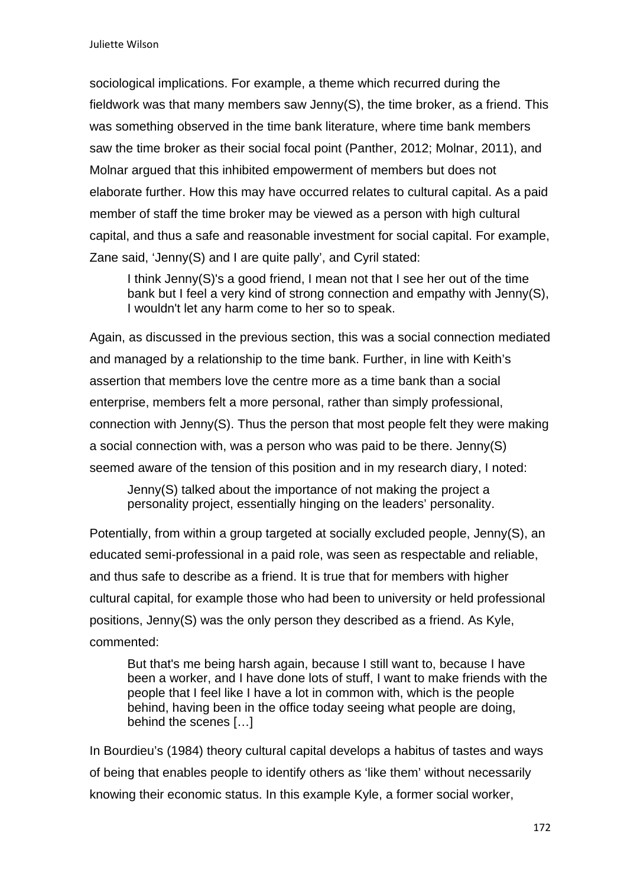sociological implications. For example, a theme which recurred during the fieldwork was that many members saw Jenny(S), the time broker, as a friend. This was something observed in the time bank literature, where time bank members saw the time broker as their social focal point (Panther, 2012; Molnar, 2011), and Molnar argued that this inhibited empowerment of members but does not elaborate further. How this may have occurred relates to cultural capital. As a paid member of staff the time broker may be viewed as a person with high cultural capital, and thus a safe and reasonable investment for social capital. For example, Zane said, 'Jenny(S) and I are quite pally', and Cyril stated:

I think Jenny(S)'s a good friend, I mean not that I see her out of the time bank but I feel a very kind of strong connection and empathy with Jenny(S), I wouldn't let any harm come to her so to speak.

Again, as discussed in the previous section, this was a social connection mediated and managed by a relationship to the time bank. Further, in line with Keith's assertion that members love the centre more as a time bank than a social enterprise, members felt a more personal, rather than simply professional, connection with Jenny(S). Thus the person that most people felt they were making a social connection with, was a person who was paid to be there. Jenny(S) seemed aware of the tension of this position and in my research diary, I noted:

Jenny(S) talked about the importance of not making the project a personality project, essentially hinging on the leaders' personality.

Potentially, from within a group targeted at socially excluded people, Jenny(S), an educated semi-professional in a paid role, was seen as respectable and reliable, and thus safe to describe as a friend. It is true that for members with higher cultural capital, for example those who had been to university or held professional positions, Jenny(S) was the only person they described as a friend. As Kyle, commented:

But that's me being harsh again, because I still want to, because I have been a worker, and I have done lots of stuff, I want to make friends with the people that I feel like I have a lot in common with, which is the people behind, having been in the office today seeing what people are doing, behind the scenes […]

In Bourdieu's (1984) theory cultural capital develops a habitus of tastes and ways of being that enables people to identify others as 'like them' without necessarily knowing their economic status. In this example Kyle, a former social worker,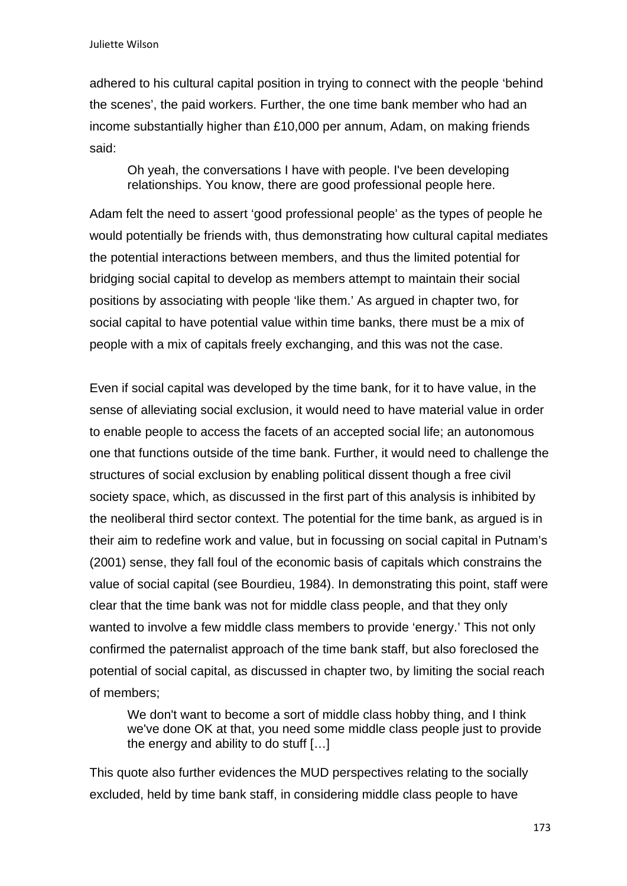adhered to his cultural capital position in trying to connect with the people 'behind the scenes', the paid workers. Further, the one time bank member who had an income substantially higher than £10,000 per annum, Adam, on making friends said:

Oh yeah, the conversations I have with people. I've been developing relationships. You know, there are good professional people here.

Adam felt the need to assert 'good professional people' as the types of people he would potentially be friends with, thus demonstrating how cultural capital mediates the potential interactions between members, and thus the limited potential for bridging social capital to develop as members attempt to maintain their social positions by associating with people 'like them.' As argued in chapter two, for social capital to have potential value within time banks, there must be a mix of people with a mix of capitals freely exchanging, and this was not the case.

Even if social capital was developed by the time bank, for it to have value, in the sense of alleviating social exclusion, it would need to have material value in order to enable people to access the facets of an accepted social life; an autonomous one that functions outside of the time bank. Further, it would need to challenge the structures of social exclusion by enabling political dissent though a free civil society space, which, as discussed in the first part of this analysis is inhibited by the neoliberal third sector context. The potential for the time bank, as argued is in their aim to redefine work and value, but in focussing on social capital in Putnam's (2001) sense, they fall foul of the economic basis of capitals which constrains the value of social capital (see Bourdieu, 1984). In demonstrating this point, staff were clear that the time bank was not for middle class people, and that they only wanted to involve a few middle class members to provide 'energy.' This not only confirmed the paternalist approach of the time bank staff, but also foreclosed the potential of social capital, as discussed in chapter two, by limiting the social reach of members;

We don't want to become a sort of middle class hobby thing, and I think we've done OK at that, you need some middle class people just to provide the energy and ability to do stuff […]

This quote also further evidences the MUD perspectives relating to the socially excluded, held by time bank staff, in considering middle class people to have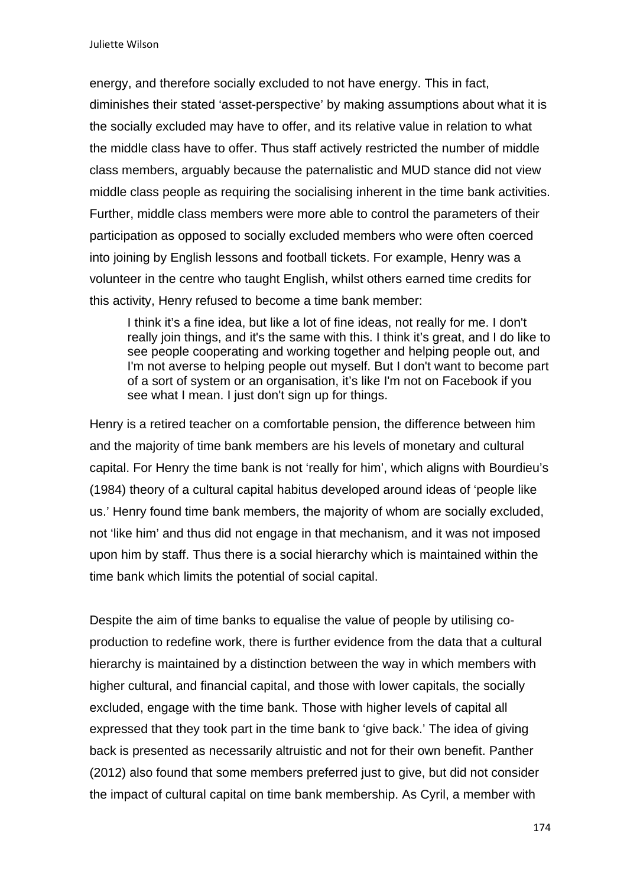energy, and therefore socially excluded to not have energy. This in fact, diminishes their stated 'asset-perspective' by making assumptions about what it is the socially excluded may have to offer, and its relative value in relation to what the middle class have to offer. Thus staff actively restricted the number of middle class members, arguably because the paternalistic and MUD stance did not view middle class people as requiring the socialising inherent in the time bank activities. Further, middle class members were more able to control the parameters of their participation as opposed to socially excluded members who were often coerced into joining by English lessons and football tickets. For example, Henry was a volunteer in the centre who taught English, whilst others earned time credits for this activity, Henry refused to become a time bank member:

I think it's a fine idea, but like a lot of fine ideas, not really for me. I don't really join things, and it's the same with this. I think it's great, and I do like to see people cooperating and working together and helping people out, and I'm not averse to helping people out myself. But I don't want to become part of a sort of system or an organisation, it's like I'm not on Facebook if you see what I mean. I just don't sign up for things.

Henry is a retired teacher on a comfortable pension, the difference between him and the majority of time bank members are his levels of monetary and cultural capital. For Henry the time bank is not 'really for him', which aligns with Bourdieu's (1984) theory of a cultural capital habitus developed around ideas of 'people like us.' Henry found time bank members, the majority of whom are socially excluded, not 'like him' and thus did not engage in that mechanism, and it was not imposed upon him by staff. Thus there is a social hierarchy which is maintained within the time bank which limits the potential of social capital.

Despite the aim of time banks to equalise the value of people by utilising coproduction to redefine work, there is further evidence from the data that a cultural hierarchy is maintained by a distinction between the way in which members with higher cultural, and financial capital, and those with lower capitals, the socially excluded, engage with the time bank. Those with higher levels of capital all expressed that they took part in the time bank to 'give back.' The idea of giving back is presented as necessarily altruistic and not for their own benefit. Panther (2012) also found that some members preferred just to give, but did not consider the impact of cultural capital on time bank membership. As Cyril, a member with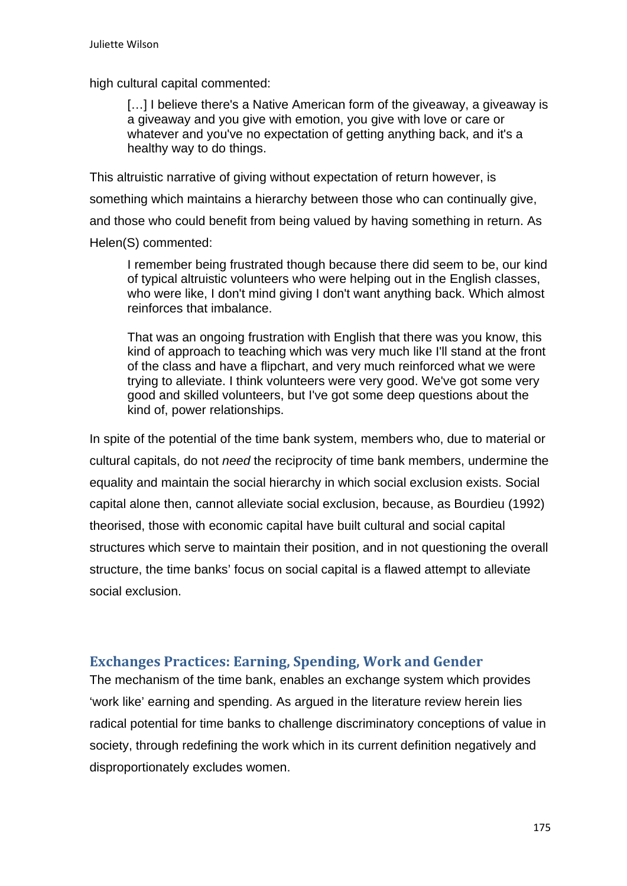high cultural capital commented:

[...] I believe there's a Native American form of the giveaway, a giveaway is a giveaway and you give with emotion, you give with love or care or whatever and you've no expectation of getting anything back, and it's a healthy way to do things.

This altruistic narrative of giving without expectation of return however, is something which maintains a hierarchy between those who can continually give, and those who could benefit from being valued by having something in return. As Helen(S) commented:

I remember being frustrated though because there did seem to be, our kind of typical altruistic volunteers who were helping out in the English classes, who were like, I don't mind giving I don't want anything back. Which almost reinforces that imbalance.

That was an ongoing frustration with English that there was you know, this kind of approach to teaching which was very much like I'll stand at the front of the class and have a flipchart, and very much reinforced what we were trying to alleviate. I think volunteers were very good. We've got some very good and skilled volunteers, but I've got some deep questions about the kind of, power relationships.

In spite of the potential of the time bank system, members who, due to material or cultural capitals, do not *need* the reciprocity of time bank members, undermine the equality and maintain the social hierarchy in which social exclusion exists. Social capital alone then, cannot alleviate social exclusion, because, as Bourdieu (1992) theorised, those with economic capital have built cultural and social capital structures which serve to maintain their position, and in not questioning the overall structure, the time banks' focus on social capital is a flawed attempt to alleviate social exclusion.

# **Exchanges Practices: Earning, Spending, Work and Gender**

The mechanism of the time bank, enables an exchange system which provides 'work like' earning and spending. As argued in the literature review herein lies radical potential for time banks to challenge discriminatory conceptions of value in society, through redefining the work which in its current definition negatively and disproportionately excludes women.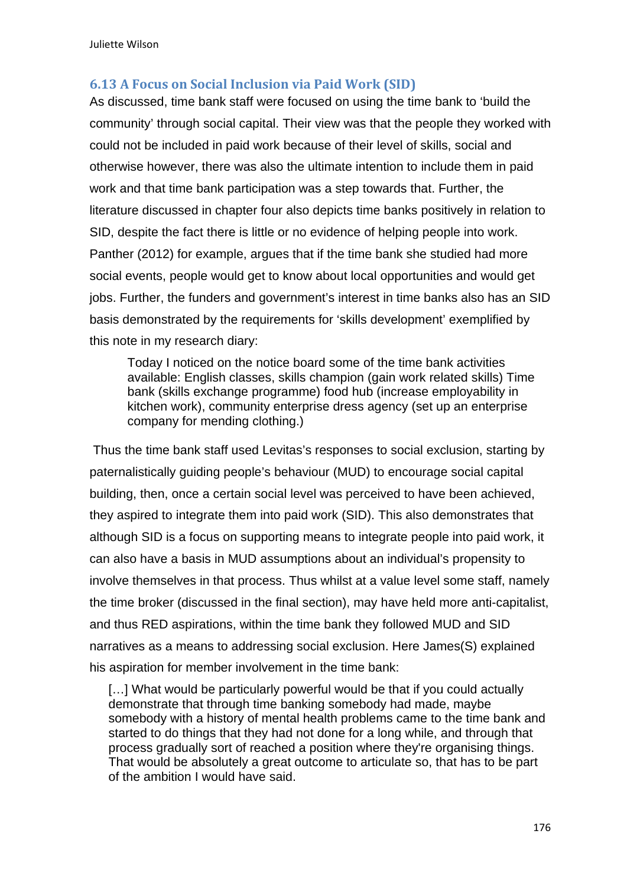# **6.13 A Focus on Social Inclusion via Paid Work (SID)**

As discussed, time bank staff were focused on using the time bank to 'build the community' through social capital. Their view was that the people they worked with could not be included in paid work because of their level of skills, social and otherwise however, there was also the ultimate intention to include them in paid work and that time bank participation was a step towards that. Further, the literature discussed in chapter four also depicts time banks positively in relation to SID, despite the fact there is little or no evidence of helping people into work. Panther (2012) for example, argues that if the time bank she studied had more social events, people would get to know about local opportunities and would get jobs. Further, the funders and government's interest in time banks also has an SID basis demonstrated by the requirements for 'skills development' exemplified by this note in my research diary:

Today I noticed on the notice board some of the time bank activities available: English classes, skills champion (gain work related skills) Time bank (skills exchange programme) food hub (increase employability in kitchen work), community enterprise dress agency (set up an enterprise company for mending clothing.)

 Thus the time bank staff used Levitas's responses to social exclusion, starting by paternalistically guiding people's behaviour (MUD) to encourage social capital building, then, once a certain social level was perceived to have been achieved, they aspired to integrate them into paid work (SID). This also demonstrates that although SID is a focus on supporting means to integrate people into paid work, it can also have a basis in MUD assumptions about an individual's propensity to involve themselves in that process. Thus whilst at a value level some staff, namely the time broker (discussed in the final section), may have held more anti-capitalist, and thus RED aspirations, within the time bank they followed MUD and SID narratives as a means to addressing social exclusion. Here James(S) explained his aspiration for member involvement in the time bank:

[...] What would be particularly powerful would be that if you could actually demonstrate that through time banking somebody had made, maybe somebody with a history of mental health problems came to the time bank and started to do things that they had not done for a long while, and through that process gradually sort of reached a position where they're organising things. That would be absolutely a great outcome to articulate so, that has to be part of the ambition I would have said.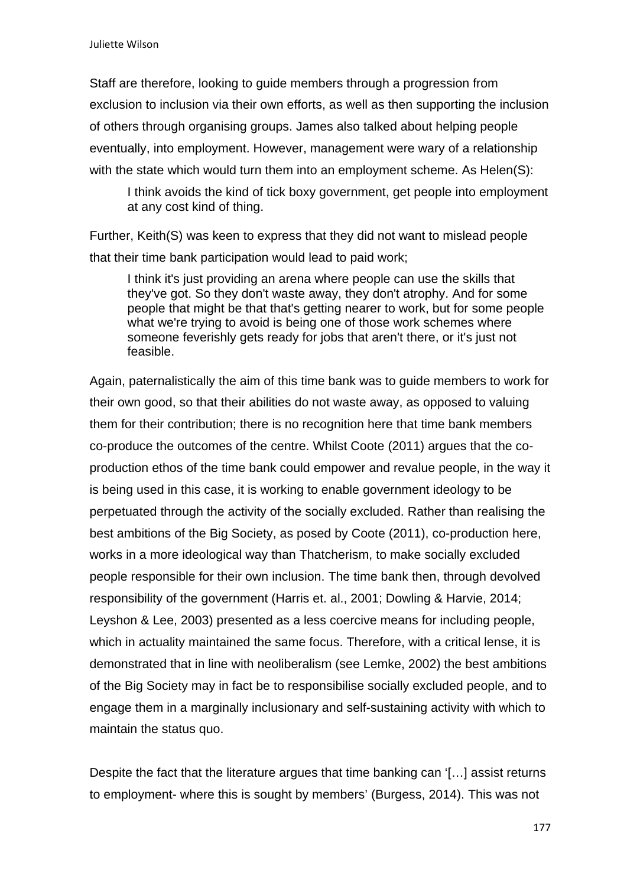Staff are therefore, looking to guide members through a progression from exclusion to inclusion via their own efforts, as well as then supporting the inclusion of others through organising groups. James also talked about helping people eventually, into employment. However, management were wary of a relationship with the state which would turn them into an employment scheme. As Helen(S):

I think avoids the kind of tick boxy government, get people into employment at any cost kind of thing.

Further, Keith(S) was keen to express that they did not want to mislead people that their time bank participation would lead to paid work;

I think it's just providing an arena where people can use the skills that they've got. So they don't waste away, they don't atrophy. And for some people that might be that that's getting nearer to work, but for some people what we're trying to avoid is being one of those work schemes where someone feverishly gets ready for jobs that aren't there, or it's just not feasible.

Again, paternalistically the aim of this time bank was to guide members to work for their own good, so that their abilities do not waste away, as opposed to valuing them for their contribution; there is no recognition here that time bank members co-produce the outcomes of the centre. Whilst Coote (2011) argues that the coproduction ethos of the time bank could empower and revalue people, in the way it is being used in this case, it is working to enable government ideology to be perpetuated through the activity of the socially excluded. Rather than realising the best ambitions of the Big Society, as posed by Coote (2011), co-production here, works in a more ideological way than Thatcherism, to make socially excluded people responsible for their own inclusion. The time bank then, through devolved responsibility of the government (Harris et. al., 2001; Dowling & Harvie, 2014; Leyshon & Lee, 2003) presented as a less coercive means for including people, which in actuality maintained the same focus. Therefore, with a critical lense, it is demonstrated that in line with neoliberalism (see Lemke, 2002) the best ambitions of the Big Society may in fact be to responsibilise socially excluded people, and to engage them in a marginally inclusionary and self-sustaining activity with which to maintain the status quo.

Despite the fact that the literature argues that time banking can '[…] assist returns to employment- where this is sought by members' (Burgess, 2014). This was not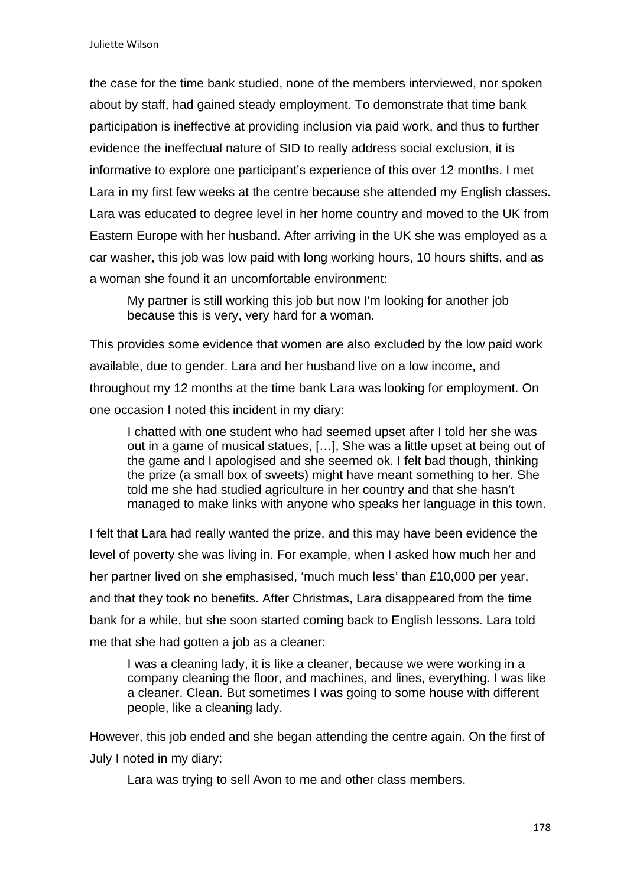the case for the time bank studied, none of the members interviewed, nor spoken about by staff, had gained steady employment. To demonstrate that time bank participation is ineffective at providing inclusion via paid work, and thus to further evidence the ineffectual nature of SID to really address social exclusion, it is informative to explore one participant's experience of this over 12 months. I met Lara in my first few weeks at the centre because she attended my English classes. Lara was educated to degree level in her home country and moved to the UK from Eastern Europe with her husband. After arriving in the UK she was employed as a car washer, this job was low paid with long working hours, 10 hours shifts, and as a woman she found it an uncomfortable environment:

My partner is still working this job but now I'm looking for another job because this is very, very hard for a woman.

This provides some evidence that women are also excluded by the low paid work available, due to gender. Lara and her husband live on a low income, and throughout my 12 months at the time bank Lara was looking for employment. On one occasion I noted this incident in my diary:

I chatted with one student who had seemed upset after I told her she was out in a game of musical statues, […], She was a little upset at being out of the game and I apologised and she seemed ok. I felt bad though, thinking the prize (a small box of sweets) might have meant something to her. She told me she had studied agriculture in her country and that she hasn't managed to make links with anyone who speaks her language in this town.

I felt that Lara had really wanted the prize, and this may have been evidence the level of poverty she was living in. For example, when I asked how much her and her partner lived on she emphasised, 'much much less' than £10,000 per year, and that they took no benefits. After Christmas, Lara disappeared from the time bank for a while, but she soon started coming back to English lessons. Lara told me that she had gotten a job as a cleaner:

I was a cleaning lady, it is like a cleaner, because we were working in a company cleaning the floor, and machines, and lines, everything. I was like a cleaner. Clean. But sometimes I was going to some house with different people, like a cleaning lady.

However, this job ended and she began attending the centre again. On the first of July I noted in my diary:

Lara was trying to sell Avon to me and other class members.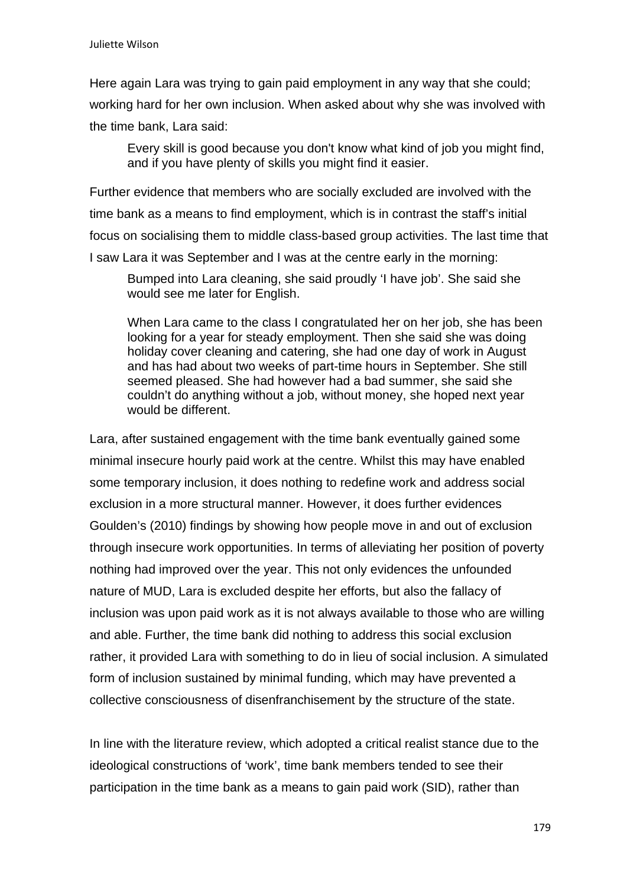Here again Lara was trying to gain paid employment in any way that she could; working hard for her own inclusion. When asked about why she was involved with the time bank, Lara said:

Every skill is good because you don't know what kind of job you might find, and if you have plenty of skills you might find it easier.

Further evidence that members who are socially excluded are involved with the time bank as a means to find employment, which is in contrast the staff's initial focus on socialising them to middle class-based group activities. The last time that I saw Lara it was September and I was at the centre early in the morning:

Bumped into Lara cleaning, she said proudly 'I have job'. She said she would see me later for English.

When Lara came to the class I congratulated her on her job, she has been looking for a year for steady employment. Then she said she was doing holiday cover cleaning and catering, she had one day of work in August and has had about two weeks of part-time hours in September. She still seemed pleased. She had however had a bad summer, she said she couldn't do anything without a job, without money, she hoped next year would be different.

Lara, after sustained engagement with the time bank eventually gained some minimal insecure hourly paid work at the centre. Whilst this may have enabled some temporary inclusion, it does nothing to redefine work and address social exclusion in a more structural manner. However, it does further evidences Goulden's (2010) findings by showing how people move in and out of exclusion through insecure work opportunities. In terms of alleviating her position of poverty nothing had improved over the year. This not only evidences the unfounded nature of MUD, Lara is excluded despite her efforts, but also the fallacy of inclusion was upon paid work as it is not always available to those who are willing and able. Further, the time bank did nothing to address this social exclusion rather, it provided Lara with something to do in lieu of social inclusion. A simulated form of inclusion sustained by minimal funding, which may have prevented a collective consciousness of disenfranchisement by the structure of the state.

In line with the literature review, which adopted a critical realist stance due to the ideological constructions of 'work', time bank members tended to see their participation in the time bank as a means to gain paid work (SID), rather than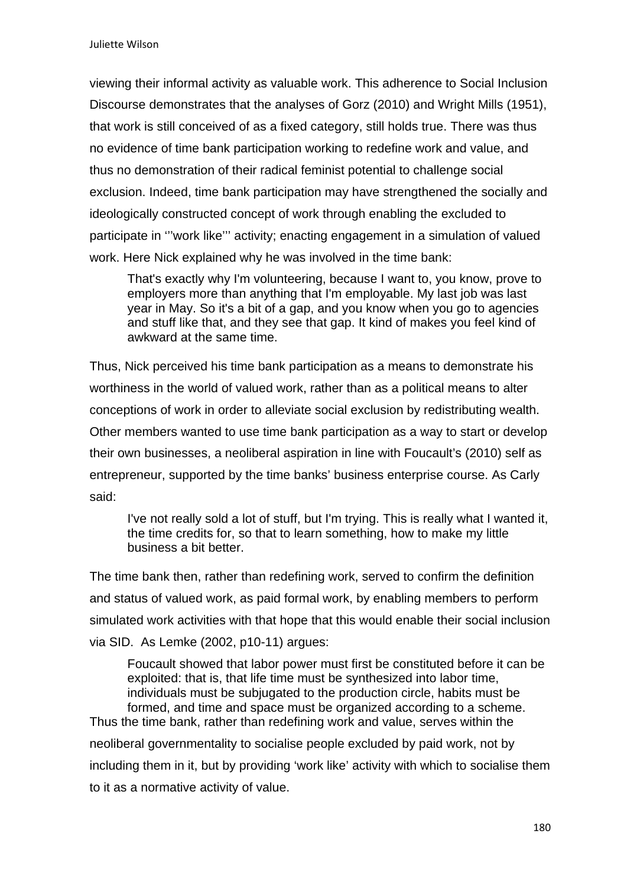viewing their informal activity as valuable work. This adherence to Social Inclusion Discourse demonstrates that the analyses of Gorz (2010) and Wright Mills (1951), that work is still conceived of as a fixed category, still holds true. There was thus no evidence of time bank participation working to redefine work and value, and thus no demonstration of their radical feminist potential to challenge social exclusion. Indeed, time bank participation may have strengthened the socially and ideologically constructed concept of work through enabling the excluded to participate in '''work like''' activity; enacting engagement in a simulation of valued work. Here Nick explained why he was involved in the time bank:

That's exactly why I'm volunteering, because I want to, you know, prove to employers more than anything that I'm employable. My last job was last year in May. So it's a bit of a gap, and you know when you go to agencies and stuff like that, and they see that gap. It kind of makes you feel kind of awkward at the same time.

Thus, Nick perceived his time bank participation as a means to demonstrate his worthiness in the world of valued work, rather than as a political means to alter conceptions of work in order to alleviate social exclusion by redistributing wealth. Other members wanted to use time bank participation as a way to start or develop their own businesses, a neoliberal aspiration in line with Foucault's (2010) self as entrepreneur, supported by the time banks' business enterprise course. As Carly said:

I've not really sold a lot of stuff, but I'm trying. This is really what I wanted it, the time credits for, so that to learn something, how to make my little business a bit better.

The time bank then, rather than redefining work, served to confirm the definition and status of valued work, as paid formal work, by enabling members to perform simulated work activities with that hope that this would enable their social inclusion via SID. As Lemke (2002, p10-11) argues:

Foucault showed that labor power must first be constituted before it can be exploited: that is, that life time must be synthesized into labor time, individuals must be subjugated to the production circle, habits must be formed, and time and space must be organized according to a scheme. Thus the time bank, rather than redefining work and value, serves within the neoliberal governmentality to socialise people excluded by paid work, not by

including them in it, but by providing 'work like' activity with which to socialise them to it as a normative activity of value.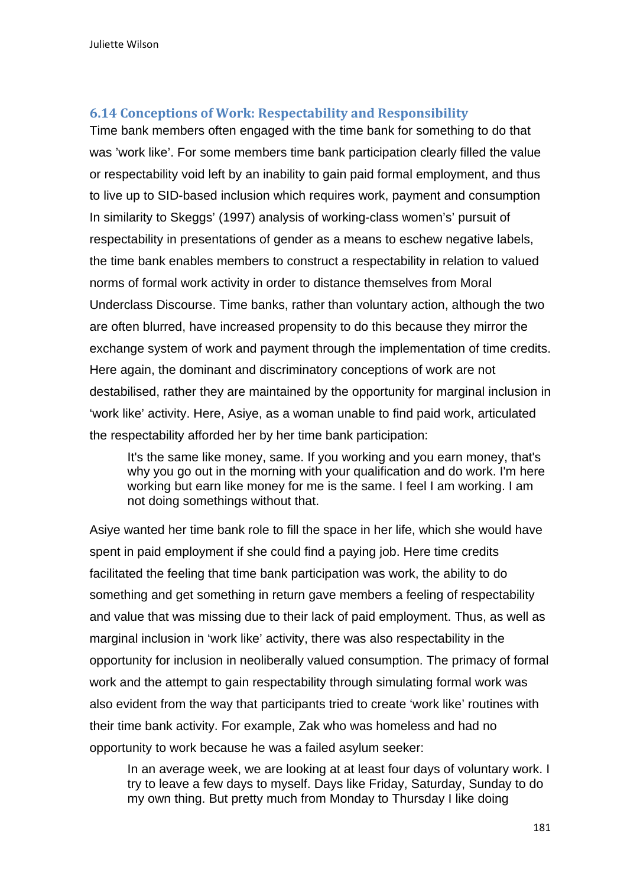# **6.14 Conceptions of Work: Respectability and Responsibility**

Time bank members often engaged with the time bank for something to do that was 'work like'. For some members time bank participation clearly filled the value or respectability void left by an inability to gain paid formal employment, and thus to live up to SID-based inclusion which requires work, payment and consumption In similarity to Skeggs' (1997) analysis of working-class women's' pursuit of respectability in presentations of gender as a means to eschew negative labels, the time bank enables members to construct a respectability in relation to valued norms of formal work activity in order to distance themselves from Moral Underclass Discourse. Time banks, rather than voluntary action, although the two are often blurred, have increased propensity to do this because they mirror the exchange system of work and payment through the implementation of time credits. Here again, the dominant and discriminatory conceptions of work are not destabilised, rather they are maintained by the opportunity for marginal inclusion in 'work like' activity. Here, Asiye, as a woman unable to find paid work, articulated the respectability afforded her by her time bank participation:

It's the same like money, same. If you working and you earn money, that's why you go out in the morning with your qualification and do work. I'm here working but earn like money for me is the same. I feel I am working. I am not doing somethings without that.

Asiye wanted her time bank role to fill the space in her life, which she would have spent in paid employment if she could find a paying job. Here time credits facilitated the feeling that time bank participation was work, the ability to do something and get something in return gave members a feeling of respectability and value that was missing due to their lack of paid employment. Thus, as well as marginal inclusion in 'work like' activity, there was also respectability in the opportunity for inclusion in neoliberally valued consumption. The primacy of formal work and the attempt to gain respectability through simulating formal work was also evident from the way that participants tried to create 'work like' routines with their time bank activity. For example, Zak who was homeless and had no opportunity to work because he was a failed asylum seeker:

In an average week, we are looking at at least four days of voluntary work. I try to leave a few days to myself. Days like Friday, Saturday, Sunday to do my own thing. But pretty much from Monday to Thursday I like doing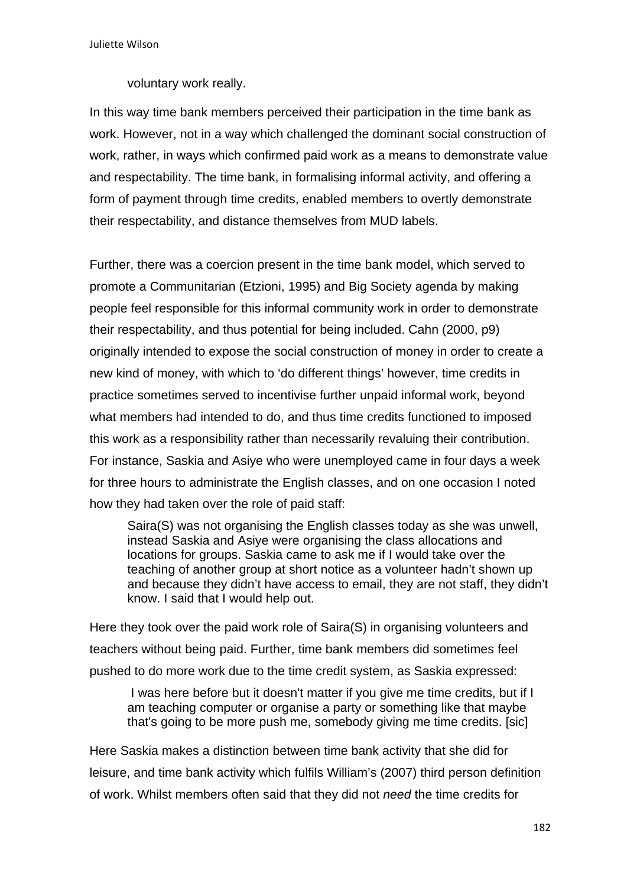voluntary work really.

In this way time bank members perceived their participation in the time bank as work. However, not in a way which challenged the dominant social construction of work, rather, in ways which confirmed paid work as a means to demonstrate value and respectability. The time bank, in formalising informal activity, and offering a form of payment through time credits, enabled members to overtly demonstrate their respectability, and distance themselves from MUD labels.

Further, there was a coercion present in the time bank model, which served to promote a Communitarian (Etzioni, 1995) and Big Society agenda by making people feel responsible for this informal community work in order to demonstrate their respectability, and thus potential for being included. Cahn (2000, p9) originally intended to expose the social construction of money in order to create a new kind of money, with which to 'do different things' however, time credits in practice sometimes served to incentivise further unpaid informal work, beyond what members had intended to do, and thus time credits functioned to imposed this work as a responsibility rather than necessarily revaluing their contribution. For instance, Saskia and Asiye who were unemployed came in four days a week for three hours to administrate the English classes, and on one occasion I noted how they had taken over the role of paid staff:

Saira(S) was not organising the English classes today as she was unwell, instead Saskia and Asiye were organising the class allocations and locations for groups. Saskia came to ask me if I would take over the teaching of another group at short notice as a volunteer hadn't shown up and because they didn't have access to email, they are not staff, they didn't know. I said that I would help out.

Here they took over the paid work role of Saira(S) in organising volunteers and teachers without being paid. Further, time bank members did sometimes feel pushed to do more work due to the time credit system, as Saskia expressed:

 I was here before but it doesn't matter if you give me time credits, but if I am teaching computer or organise a party or something like that maybe that's going to be more push me, somebody giving me time credits. [sic]

Here Saskia makes a distinction between time bank activity that she did for leisure, and time bank activity which fulfils William's (2007) third person definition of work. Whilst members often said that they did not *need* the time credits for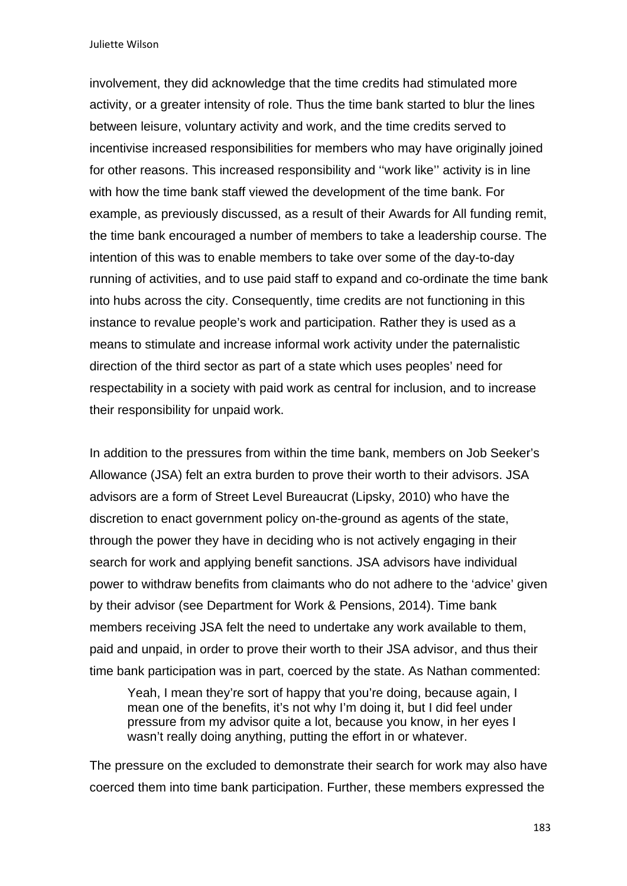Juliette Wilson

involvement, they did acknowledge that the time credits had stimulated more activity, or a greater intensity of role. Thus the time bank started to blur the lines between leisure, voluntary activity and work, and the time credits served to incentivise increased responsibilities for members who may have originally joined for other reasons. This increased responsibility and ''work like'' activity is in line with how the time bank staff viewed the development of the time bank. For example, as previously discussed, as a result of their Awards for All funding remit, the time bank encouraged a number of members to take a leadership course. The intention of this was to enable members to take over some of the day-to-day running of activities, and to use paid staff to expand and co-ordinate the time bank into hubs across the city. Consequently, time credits are not functioning in this instance to revalue people's work and participation. Rather they is used as a means to stimulate and increase informal work activity under the paternalistic direction of the third sector as part of a state which uses peoples' need for respectability in a society with paid work as central for inclusion, and to increase their responsibility for unpaid work.

In addition to the pressures from within the time bank, members on Job Seeker's Allowance (JSA) felt an extra burden to prove their worth to their advisors. JSA advisors are a form of Street Level Bureaucrat (Lipsky, 2010) who have the discretion to enact government policy on-the-ground as agents of the state, through the power they have in deciding who is not actively engaging in their search for work and applying benefit sanctions. JSA advisors have individual power to withdraw benefits from claimants who do not adhere to the 'advice' given by their advisor (see Department for Work & Pensions, 2014). Time bank members receiving JSA felt the need to undertake any work available to them, paid and unpaid, in order to prove their worth to their JSA advisor, and thus their time bank participation was in part, coerced by the state. As Nathan commented:

Yeah, I mean they're sort of happy that you're doing, because again, I mean one of the benefits, it's not why I'm doing it, but I did feel under pressure from my advisor quite a lot, because you know, in her eyes I wasn't really doing anything, putting the effort in or whatever.

The pressure on the excluded to demonstrate their search for work may also have coerced them into time bank participation. Further, these members expressed the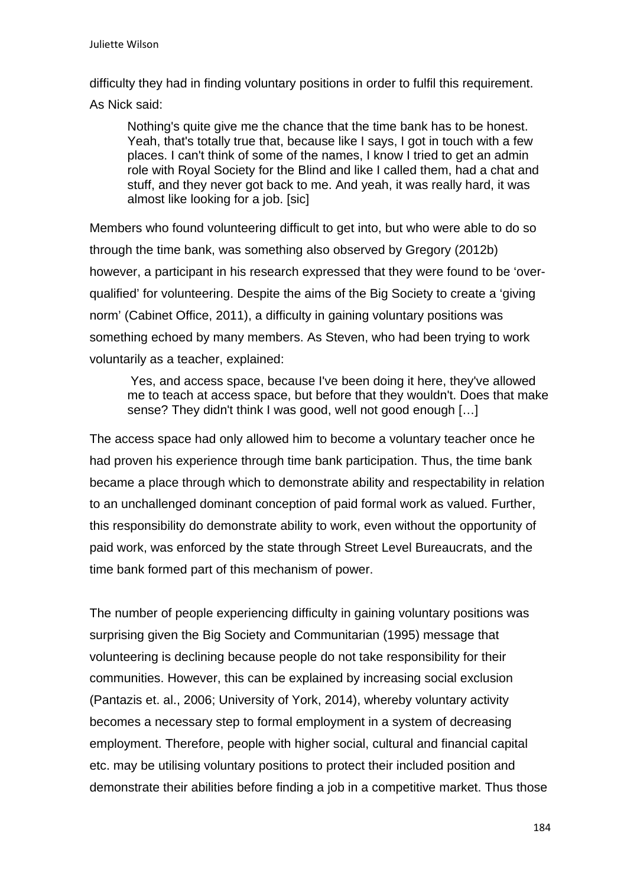difficulty they had in finding voluntary positions in order to fulfil this requirement.

As Nick said:

Nothing's quite give me the chance that the time bank has to be honest. Yeah, that's totally true that, because like I says, I got in touch with a few places. I can't think of some of the names, I know I tried to get an admin role with Royal Society for the Blind and like I called them, had a chat and stuff, and they never got back to me. And yeah, it was really hard, it was almost like looking for a job. [sic]

Members who found volunteering difficult to get into, but who were able to do so through the time bank, was something also observed by Gregory (2012b) however, a participant in his research expressed that they were found to be 'overqualified' for volunteering. Despite the aims of the Big Society to create a 'giving norm' (Cabinet Office, 2011), a difficulty in gaining voluntary positions was something echoed by many members. As Steven, who had been trying to work voluntarily as a teacher, explained:

Yes, and access space, because I've been doing it here, they've allowed me to teach at access space, but before that they wouldn't. Does that make sense? They didn't think I was good, well not good enough […]

The access space had only allowed him to become a voluntary teacher once he had proven his experience through time bank participation. Thus, the time bank became a place through which to demonstrate ability and respectability in relation to an unchallenged dominant conception of paid formal work as valued. Further, this responsibility do demonstrate ability to work, even without the opportunity of paid work, was enforced by the state through Street Level Bureaucrats, and the time bank formed part of this mechanism of power.

The number of people experiencing difficulty in gaining voluntary positions was surprising given the Big Society and Communitarian (1995) message that volunteering is declining because people do not take responsibility for their communities. However, this can be explained by increasing social exclusion (Pantazis et. al., 2006; University of York, 2014), whereby voluntary activity becomes a necessary step to formal employment in a system of decreasing employment. Therefore, people with higher social, cultural and financial capital etc. may be utilising voluntary positions to protect their included position and demonstrate their abilities before finding a job in a competitive market. Thus those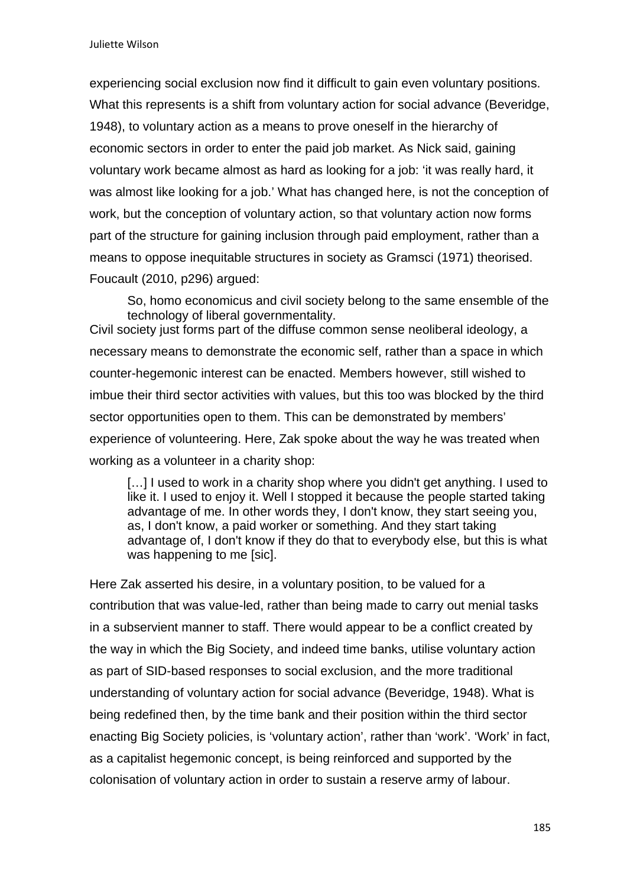experiencing social exclusion now find it difficult to gain even voluntary positions. What this represents is a shift from voluntary action for social advance (Beveridge, 1948), to voluntary action as a means to prove oneself in the hierarchy of economic sectors in order to enter the paid job market. As Nick said, gaining voluntary work became almost as hard as looking for a job: 'it was really hard, it was almost like looking for a job.' What has changed here, is not the conception of work, but the conception of voluntary action, so that voluntary action now forms part of the structure for gaining inclusion through paid employment, rather than a means to oppose inequitable structures in society as Gramsci (1971) theorised. Foucault (2010, p296) argued:

So, homo economicus and civil society belong to the same ensemble of the technology of liberal governmentality. Civil society just forms part of the diffuse common sense neoliberal ideology, a necessary means to demonstrate the economic self, rather than a space in which counter-hegemonic interest can be enacted. Members however, still wished to imbue their third sector activities with values, but this too was blocked by the third sector opportunities open to them. This can be demonstrated by members' experience of volunteering. Here, Zak spoke about the way he was treated when working as a volunteer in a charity shop:

[...] I used to work in a charity shop where you didn't get anything. I used to like it. I used to enjoy it. Well I stopped it because the people started taking advantage of me. In other words they, I don't know, they start seeing you, as, I don't know, a paid worker or something. And they start taking advantage of, I don't know if they do that to everybody else, but this is what was happening to me [sic].

Here Zak asserted his desire, in a voluntary position, to be valued for a contribution that was value-led, rather than being made to carry out menial tasks in a subservient manner to staff. There would appear to be a conflict created by the way in which the Big Society, and indeed time banks, utilise voluntary action as part of SID-based responses to social exclusion, and the more traditional understanding of voluntary action for social advance (Beveridge, 1948). What is being redefined then, by the time bank and their position within the third sector enacting Big Society policies, is 'voluntary action', rather than 'work'. 'Work' in fact, as a capitalist hegemonic concept, is being reinforced and supported by the colonisation of voluntary action in order to sustain a reserve army of labour.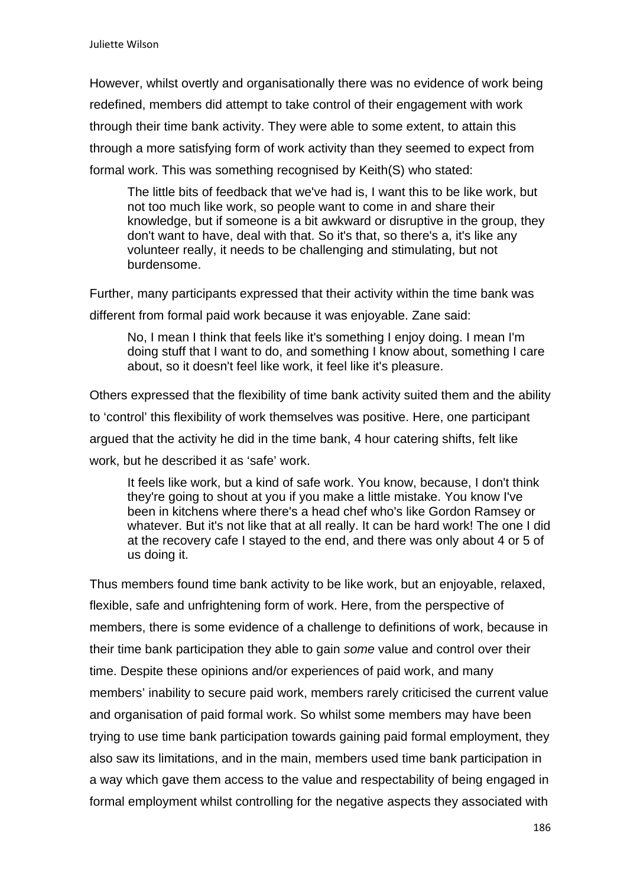However, whilst overtly and organisationally there was no evidence of work being redefined, members did attempt to take control of their engagement with work through their time bank activity. They were able to some extent, to attain this through a more satisfying form of work activity than they seemed to expect from formal work. This was something recognised by Keith(S) who stated:

The little bits of feedback that we've had is, I want this to be like work, but not too much like work, so people want to come in and share their knowledge, but if someone is a bit awkward or disruptive in the group, they don't want to have, deal with that. So it's that, so there's a, it's like any volunteer really, it needs to be challenging and stimulating, but not burdensome.

Further, many participants expressed that their activity within the time bank was different from formal paid work because it was enjoyable. Zane said:

No, I mean I think that feels like it's something I enjoy doing. I mean I'm doing stuff that I want to do, and something I know about, something I care about, so it doesn't feel like work, it feel like it's pleasure.

Others expressed that the flexibility of time bank activity suited them and the ability to 'control' this flexibility of work themselves was positive. Here, one participant argued that the activity he did in the time bank, 4 hour catering shifts, felt like work, but he described it as 'safe' work.

It feels like work, but a kind of safe work. You know, because, I don't think they're going to shout at you if you make a little mistake. You know I've been in kitchens where there's a head chef who's like Gordon Ramsey or whatever. But it's not like that at all really. It can be hard work! The one I did at the recovery cafe I stayed to the end, and there was only about 4 or 5 of us doing it.

Thus members found time bank activity to be like work, but an enjoyable, relaxed, flexible, safe and unfrightening form of work. Here, from the perspective of members, there is some evidence of a challenge to definitions of work, because in their time bank participation they able to gain *some* value and control over their time. Despite these opinions and/or experiences of paid work, and many members' inability to secure paid work, members rarely criticised the current value and organisation of paid formal work. So whilst some members may have been trying to use time bank participation towards gaining paid formal employment, they also saw its limitations, and in the main, members used time bank participation in a way which gave them access to the value and respectability of being engaged in formal employment whilst controlling for the negative aspects they associated with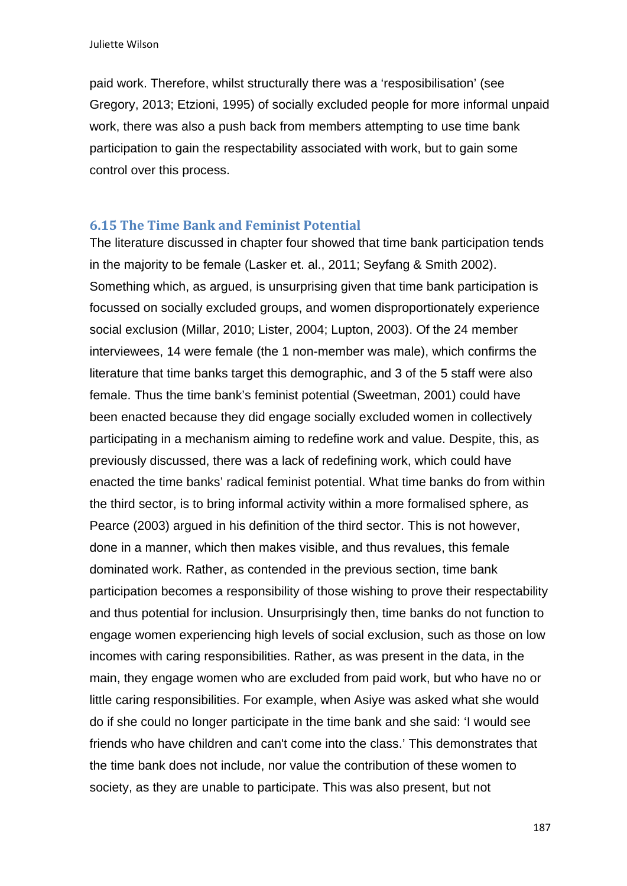paid work. Therefore, whilst structurally there was a 'resposibilisation' (see Gregory, 2013; Etzioni, 1995) of socially excluded people for more informal unpaid work, there was also a push back from members attempting to use time bank participation to gain the respectability associated with work, but to gain some control over this process.

#### **6.15 The Time Bank and Feminist Potential**

The literature discussed in chapter four showed that time bank participation tends in the majority to be female (Lasker et. al., 2011; Seyfang & Smith 2002). Something which, as argued, is unsurprising given that time bank participation is focussed on socially excluded groups, and women disproportionately experience social exclusion (Millar, 2010; Lister, 2004; Lupton, 2003). Of the 24 member interviewees, 14 were female (the 1 non-member was male), which confirms the literature that time banks target this demographic, and 3 of the 5 staff were also female. Thus the time bank's feminist potential (Sweetman, 2001) could have been enacted because they did engage socially excluded women in collectively participating in a mechanism aiming to redefine work and value. Despite, this, as previously discussed, there was a lack of redefining work, which could have enacted the time banks' radical feminist potential. What time banks do from within the third sector, is to bring informal activity within a more formalised sphere, as Pearce (2003) argued in his definition of the third sector. This is not however, done in a manner, which then makes visible, and thus revalues, this female dominated work. Rather, as contended in the previous section, time bank participation becomes a responsibility of those wishing to prove their respectability and thus potential for inclusion. Unsurprisingly then, time banks do not function to engage women experiencing high levels of social exclusion, such as those on low incomes with caring responsibilities. Rather, as was present in the data, in the main, they engage women who are excluded from paid work, but who have no or little caring responsibilities. For example, when Asiye was asked what she would do if she could no longer participate in the time bank and she said: 'I would see friends who have children and can't come into the class.' This demonstrates that the time bank does not include, nor value the contribution of these women to society, as they are unable to participate. This was also present, but not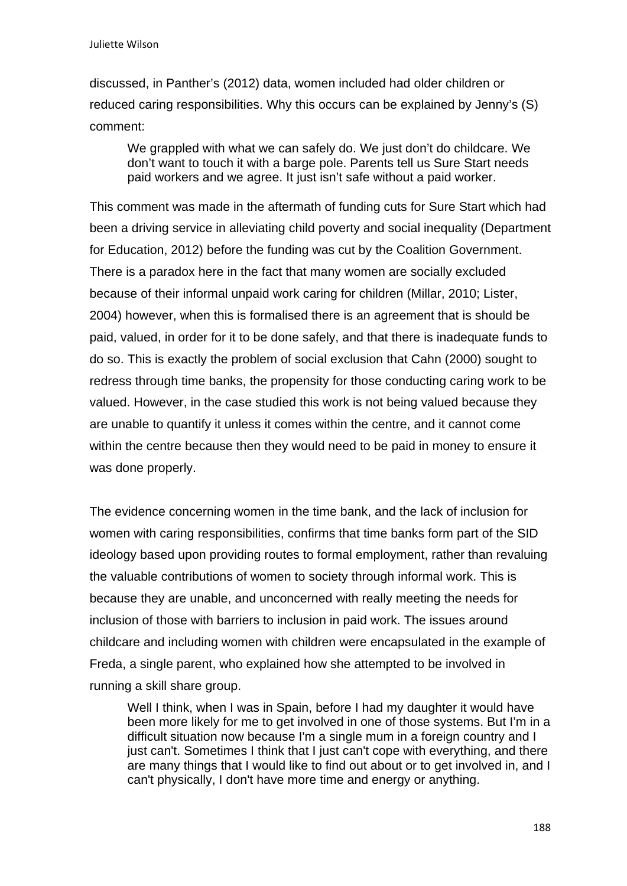discussed, in Panther's (2012) data, women included had older children or reduced caring responsibilities. Why this occurs can be explained by Jenny's (S) comment:

We grappled with what we can safely do. We just don't do childcare. We don't want to touch it with a barge pole. Parents tell us Sure Start needs paid workers and we agree. It just isn't safe without a paid worker.

This comment was made in the aftermath of funding cuts for Sure Start which had been a driving service in alleviating child poverty and social inequality (Department for Education, 2012) before the funding was cut by the Coalition Government. There is a paradox here in the fact that many women are socially excluded because of their informal unpaid work caring for children (Millar, 2010; Lister, 2004) however, when this is formalised there is an agreement that is should be paid, valued, in order for it to be done safely, and that there is inadequate funds to do so. This is exactly the problem of social exclusion that Cahn (2000) sought to redress through time banks, the propensity for those conducting caring work to be valued. However, in the case studied this work is not being valued because they are unable to quantify it unless it comes within the centre, and it cannot come within the centre because then they would need to be paid in money to ensure it was done properly.

The evidence concerning women in the time bank, and the lack of inclusion for women with caring responsibilities, confirms that time banks form part of the SID ideology based upon providing routes to formal employment, rather than revaluing the valuable contributions of women to society through informal work. This is because they are unable, and unconcerned with really meeting the needs for inclusion of those with barriers to inclusion in paid work. The issues around childcare and including women with children were encapsulated in the example of Freda, a single parent, who explained how she attempted to be involved in running a skill share group.

Well I think, when I was in Spain, before I had my daughter it would have been more likely for me to get involved in one of those systems. But I'm in a difficult situation now because I'm a single mum in a foreign country and I just can't. Sometimes I think that I just can't cope with everything, and there are many things that I would like to find out about or to get involved in, and I can't physically, I don't have more time and energy or anything.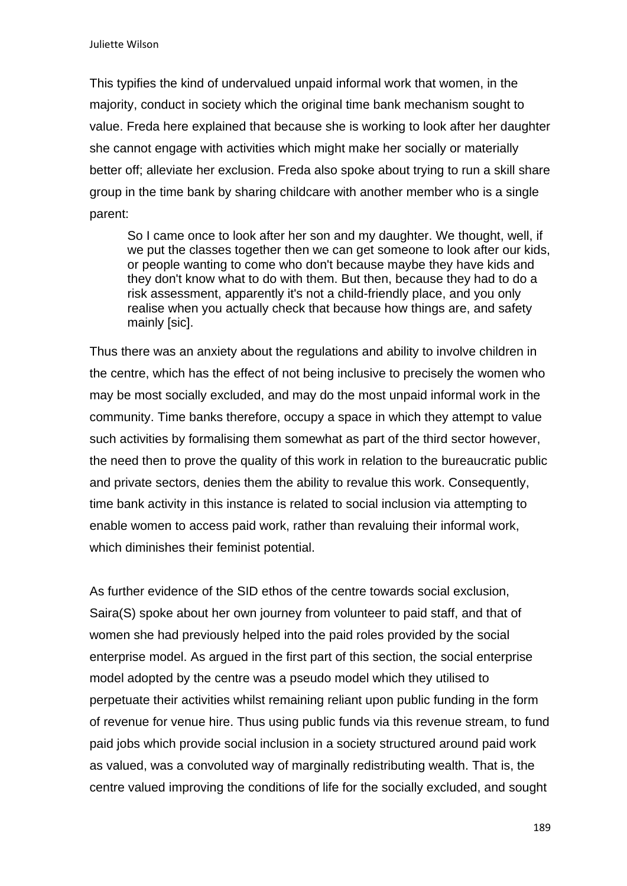This typifies the kind of undervalued unpaid informal work that women, in the majority, conduct in society which the original time bank mechanism sought to value. Freda here explained that because she is working to look after her daughter she cannot engage with activities which might make her socially or materially better off; alleviate her exclusion. Freda also spoke about trying to run a skill share group in the time bank by sharing childcare with another member who is a single parent:

So I came once to look after her son and my daughter. We thought, well, if we put the classes together then we can get someone to look after our kids, or people wanting to come who don't because maybe they have kids and they don't know what to do with them. But then, because they had to do a risk assessment, apparently it's not a child-friendly place, and you only realise when you actually check that because how things are, and safety mainly [sic].

Thus there was an anxiety about the regulations and ability to involve children in the centre, which has the effect of not being inclusive to precisely the women who may be most socially excluded, and may do the most unpaid informal work in the community. Time banks therefore, occupy a space in which they attempt to value such activities by formalising them somewhat as part of the third sector however, the need then to prove the quality of this work in relation to the bureaucratic public and private sectors, denies them the ability to revalue this work. Consequently, time bank activity in this instance is related to social inclusion via attempting to enable women to access paid work, rather than revaluing their informal work, which diminishes their feminist potential.

As further evidence of the SID ethos of the centre towards social exclusion, Saira(S) spoke about her own journey from volunteer to paid staff, and that of women she had previously helped into the paid roles provided by the social enterprise model. As argued in the first part of this section, the social enterprise model adopted by the centre was a pseudo model which they utilised to perpetuate their activities whilst remaining reliant upon public funding in the form of revenue for venue hire. Thus using public funds via this revenue stream, to fund paid jobs which provide social inclusion in a society structured around paid work as valued, was a convoluted way of marginally redistributing wealth. That is, the centre valued improving the conditions of life for the socially excluded, and sought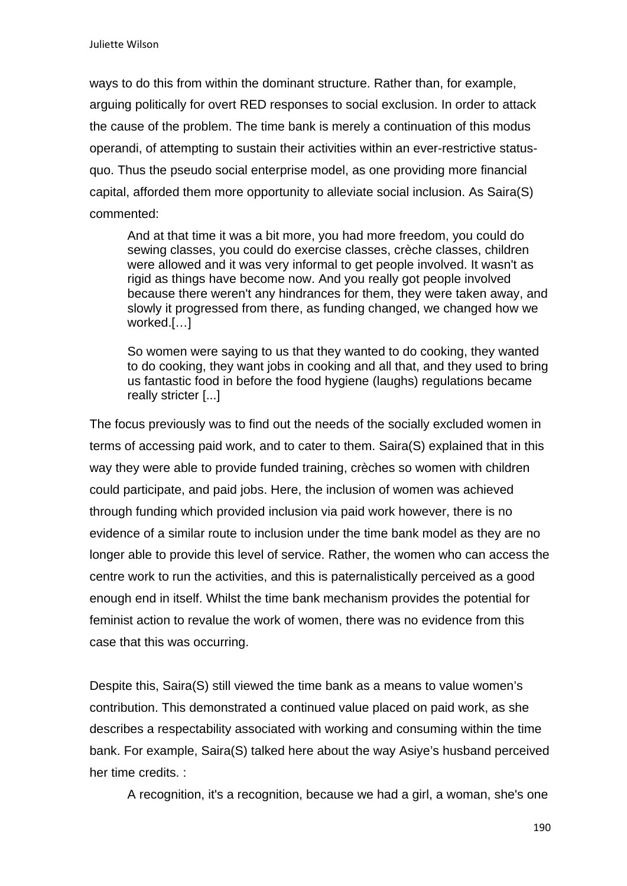ways to do this from within the dominant structure. Rather than, for example, arguing politically for overt RED responses to social exclusion. In order to attack the cause of the problem. The time bank is merely a continuation of this modus operandi, of attempting to sustain their activities within an ever-restrictive statusquo. Thus the pseudo social enterprise model, as one providing more financial capital, afforded them more opportunity to alleviate social inclusion. As Saira(S) commented:

And at that time it was a bit more, you had more freedom, you could do sewing classes, you could do exercise classes, crèche classes, children were allowed and it was very informal to get people involved. It wasn't as rigid as things have become now. And you really got people involved because there weren't any hindrances for them, they were taken away, and slowly it progressed from there, as funding changed, we changed how we worked.[…]

So women were saying to us that they wanted to do cooking, they wanted to do cooking, they want jobs in cooking and all that, and they used to bring us fantastic food in before the food hygiene (laughs) regulations became really stricter [...]

The focus previously was to find out the needs of the socially excluded women in terms of accessing paid work, and to cater to them. Saira(S) explained that in this way they were able to provide funded training, crèches so women with children could participate, and paid jobs. Here, the inclusion of women was achieved through funding which provided inclusion via paid work however, there is no evidence of a similar route to inclusion under the time bank model as they are no longer able to provide this level of service. Rather, the women who can access the centre work to run the activities, and this is paternalistically perceived as a good enough end in itself. Whilst the time bank mechanism provides the potential for feminist action to revalue the work of women, there was no evidence from this case that this was occurring.

Despite this, Saira(S) still viewed the time bank as a means to value women's contribution. This demonstrated a continued value placed on paid work, as she describes a respectability associated with working and consuming within the time bank. For example, Saira(S) talked here about the way Asiye's husband perceived her time credits. :

A recognition, it's a recognition, because we had a girl, a woman, she's one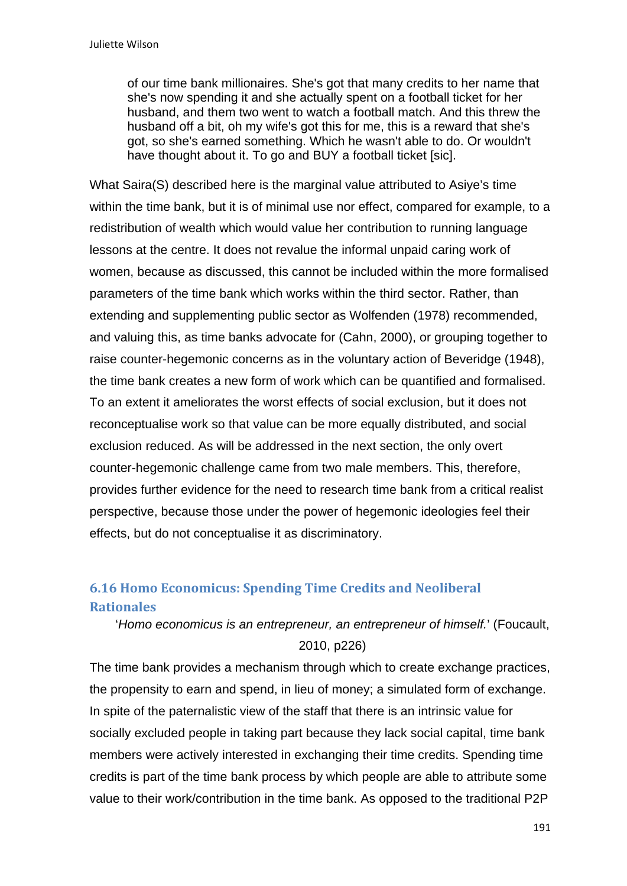of our time bank millionaires. She's got that many credits to her name that she's now spending it and she actually spent on a football ticket for her husband, and them two went to watch a football match. And this threw the husband off a bit, oh my wife's got this for me, this is a reward that she's got, so she's earned something. Which he wasn't able to do. Or wouldn't have thought about it. To go and BUY a football ticket [sic].

What Saira(S) described here is the marginal value attributed to Asiye's time within the time bank, but it is of minimal use nor effect, compared for example, to a redistribution of wealth which would value her contribution to running language lessons at the centre. It does not revalue the informal unpaid caring work of women, because as discussed, this cannot be included within the more formalised parameters of the time bank which works within the third sector. Rather, than extending and supplementing public sector as Wolfenden (1978) recommended, and valuing this, as time banks advocate for (Cahn, 2000), or grouping together to raise counter-hegemonic concerns as in the voluntary action of Beveridge (1948), the time bank creates a new form of work which can be quantified and formalised. To an extent it ameliorates the worst effects of social exclusion, but it does not reconceptualise work so that value can be more equally distributed, and social exclusion reduced. As will be addressed in the next section, the only overt counter-hegemonic challenge came from two male members. This, therefore, provides further evidence for the need to research time bank from a critical realist perspective, because those under the power of hegemonic ideologies feel their effects, but do not conceptualise it as discriminatory.

# **6.16 Homo Economicus: Spending Time Credits and Neoliberal Rationales**

'*Homo economicus is an entrepreneur, an entrepreneur of himself.*' (Foucault, 2010, p226)

The time bank provides a mechanism through which to create exchange practices, the propensity to earn and spend, in lieu of money; a simulated form of exchange. In spite of the paternalistic view of the staff that there is an intrinsic value for socially excluded people in taking part because they lack social capital, time bank members were actively interested in exchanging their time credits. Spending time credits is part of the time bank process by which people are able to attribute some value to their work/contribution in the time bank. As opposed to the traditional P2P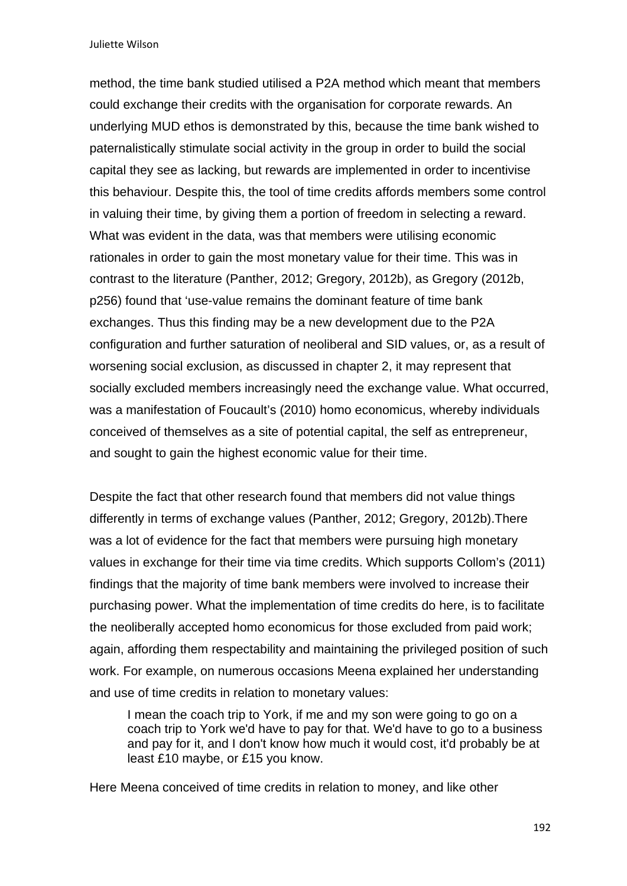Juliette Wilson

method, the time bank studied utilised a P2A method which meant that members could exchange their credits with the organisation for corporate rewards. An underlying MUD ethos is demonstrated by this, because the time bank wished to paternalistically stimulate social activity in the group in order to build the social capital they see as lacking, but rewards are implemented in order to incentivise this behaviour. Despite this, the tool of time credits affords members some control in valuing their time, by giving them a portion of freedom in selecting a reward. What was evident in the data, was that members were utilising economic rationales in order to gain the most monetary value for their time. This was in contrast to the literature (Panther, 2012; Gregory, 2012b), as Gregory (2012b, p256) found that 'use-value remains the dominant feature of time bank exchanges. Thus this finding may be a new development due to the P2A configuration and further saturation of neoliberal and SID values, or, as a result of worsening social exclusion, as discussed in chapter 2, it may represent that socially excluded members increasingly need the exchange value. What occurred, was a manifestation of Foucault's (2010) homo economicus, whereby individuals conceived of themselves as a site of potential capital, the self as entrepreneur, and sought to gain the highest economic value for their time.

Despite the fact that other research found that members did not value things differently in terms of exchange values (Panther, 2012; Gregory, 2012b).There was a lot of evidence for the fact that members were pursuing high monetary values in exchange for their time via time credits. Which supports Collom's (2011) findings that the majority of time bank members were involved to increase their purchasing power. What the implementation of time credits do here, is to facilitate the neoliberally accepted homo economicus for those excluded from paid work; again, affording them respectability and maintaining the privileged position of such work. For example, on numerous occasions Meena explained her understanding and use of time credits in relation to monetary values:

I mean the coach trip to York, if me and my son were going to go on a coach trip to York we'd have to pay for that. We'd have to go to a business and pay for it, and I don't know how much it would cost, it'd probably be at least £10 maybe, or £15 you know.

Here Meena conceived of time credits in relation to money, and like other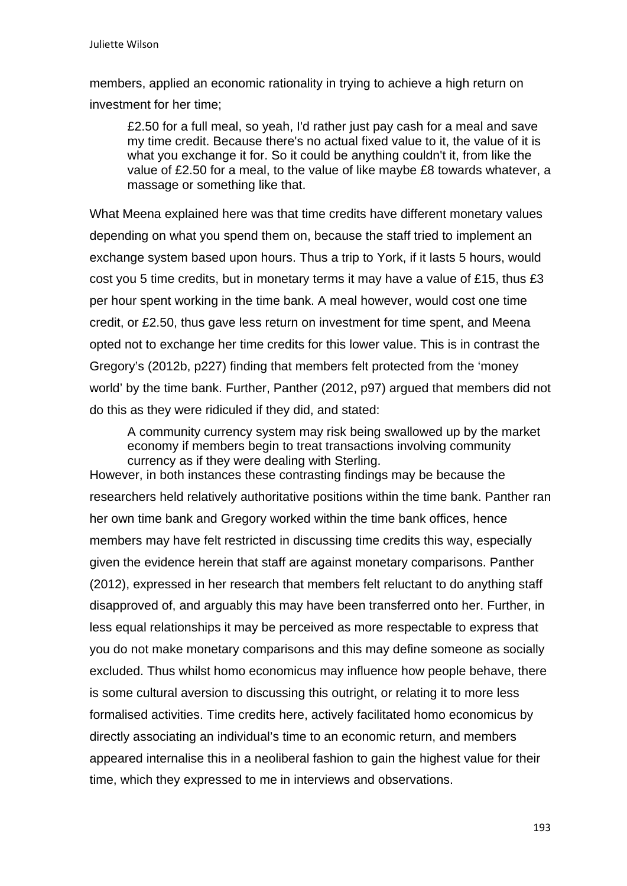members, applied an economic rationality in trying to achieve a high return on investment for her time;

£2.50 for a full meal, so yeah, I'd rather just pay cash for a meal and save my time credit. Because there's no actual fixed value to it, the value of it is what you exchange it for. So it could be anything couldn't it, from like the value of £2.50 for a meal, to the value of like maybe £8 towards whatever, a massage or something like that.

What Meena explained here was that time credits have different monetary values depending on what you spend them on, because the staff tried to implement an exchange system based upon hours. Thus a trip to York, if it lasts 5 hours, would cost you 5 time credits, but in monetary terms it may have a value of £15, thus £3 per hour spent working in the time bank. A meal however, would cost one time credit, or £2.50, thus gave less return on investment for time spent, and Meena opted not to exchange her time credits for this lower value. This is in contrast the Gregory's (2012b, p227) finding that members felt protected from the 'money world' by the time bank. Further, Panther (2012, p97) argued that members did not do this as they were ridiculed if they did, and stated:

A community currency system may risk being swallowed up by the market economy if members begin to treat transactions involving community currency as if they were dealing with Sterling.

However, in both instances these contrasting findings may be because the researchers held relatively authoritative positions within the time bank. Panther ran her own time bank and Gregory worked within the time bank offices, hence members may have felt restricted in discussing time credits this way, especially given the evidence herein that staff are against monetary comparisons. Panther (2012), expressed in her research that members felt reluctant to do anything staff disapproved of, and arguably this may have been transferred onto her. Further, in less equal relationships it may be perceived as more respectable to express that you do not make monetary comparisons and this may define someone as socially excluded. Thus whilst homo economicus may influence how people behave, there is some cultural aversion to discussing this outright, or relating it to more less formalised activities. Time credits here, actively facilitated homo economicus by directly associating an individual's time to an economic return, and members appeared internalise this in a neoliberal fashion to gain the highest value for their time, which they expressed to me in interviews and observations.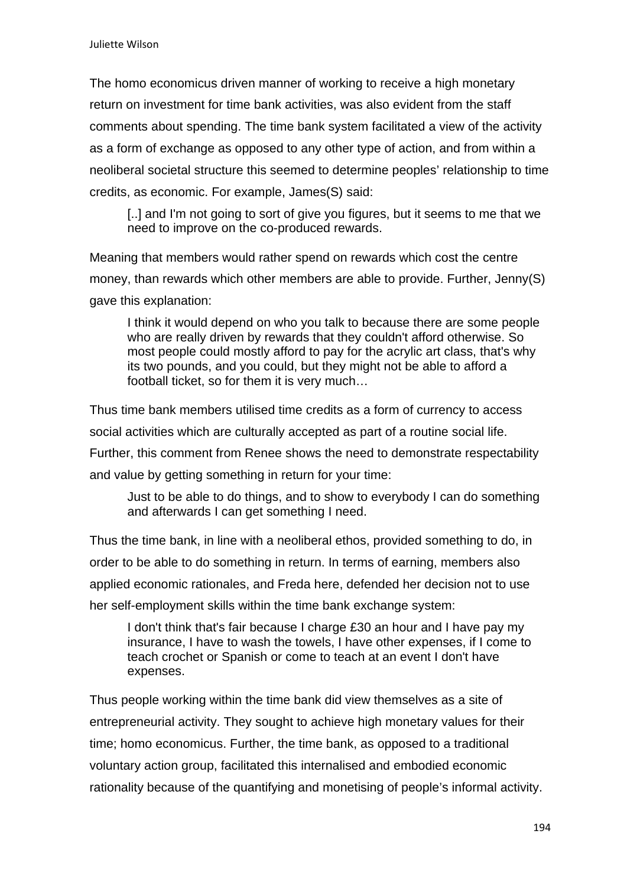The homo economicus driven manner of working to receive a high monetary return on investment for time bank activities, was also evident from the staff comments about spending. The time bank system facilitated a view of the activity as a form of exchange as opposed to any other type of action, and from within a neoliberal societal structure this seemed to determine peoples' relationship to time credits, as economic. For example, James(S) said:

[..] and I'm not going to sort of give you figures, but it seems to me that we need to improve on the co-produced rewards.

Meaning that members would rather spend on rewards which cost the centre money, than rewards which other members are able to provide. Further, Jenny(S) gave this explanation:

I think it would depend on who you talk to because there are some people who are really driven by rewards that they couldn't afford otherwise. So most people could mostly afford to pay for the acrylic art class, that's why its two pounds, and you could, but they might not be able to afford a football ticket, so for them it is very much…

Thus time bank members utilised time credits as a form of currency to access social activities which are culturally accepted as part of a routine social life. Further, this comment from Renee shows the need to demonstrate respectability and value by getting something in return for your time:

Just to be able to do things, and to show to everybody I can do something and afterwards I can get something I need.

Thus the time bank, in line with a neoliberal ethos, provided something to do, in order to be able to do something in return. In terms of earning, members also applied economic rationales, and Freda here, defended her decision not to use her self-employment skills within the time bank exchange system:

I don't think that's fair because I charge £30 an hour and I have pay my insurance, I have to wash the towels, I have other expenses, if I come to teach crochet or Spanish or come to teach at an event I don't have expenses.

Thus people working within the time bank did view themselves as a site of entrepreneurial activity. They sought to achieve high monetary values for their time; homo economicus. Further, the time bank, as opposed to a traditional voluntary action group, facilitated this internalised and embodied economic rationality because of the quantifying and monetising of people's informal activity.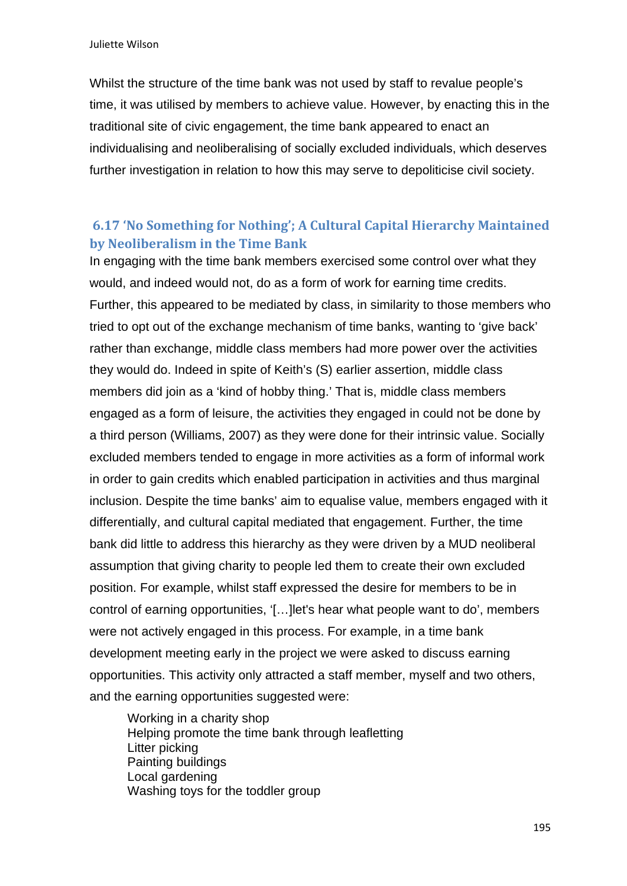Whilst the structure of the time bank was not used by staff to revalue people's time, it was utilised by members to achieve value. However, by enacting this in the traditional site of civic engagement, the time bank appeared to enact an individualising and neoliberalising of socially excluded individuals, which deserves further investigation in relation to how this may serve to depoliticise civil society.

# **6.17 'No Something for Nothing'; A Cultural Capital Hierarchy Maintained by Neoliberalism in the Time Bank**

In engaging with the time bank members exercised some control over what they would, and indeed would not, do as a form of work for earning time credits. Further, this appeared to be mediated by class, in similarity to those members who tried to opt out of the exchange mechanism of time banks, wanting to 'give back' rather than exchange, middle class members had more power over the activities they would do. Indeed in spite of Keith's (S) earlier assertion, middle class members did join as a 'kind of hobby thing.' That is, middle class members engaged as a form of leisure, the activities they engaged in could not be done by a third person (Williams, 2007) as they were done for their intrinsic value. Socially excluded members tended to engage in more activities as a form of informal work in order to gain credits which enabled participation in activities and thus marginal inclusion. Despite the time banks' aim to equalise value, members engaged with it differentially, and cultural capital mediated that engagement. Further, the time bank did little to address this hierarchy as they were driven by a MUD neoliberal assumption that giving charity to people led them to create their own excluded position. For example, whilst staff expressed the desire for members to be in control of earning opportunities, '[…]let's hear what people want to do', members were not actively engaged in this process. For example, in a time bank development meeting early in the project we were asked to discuss earning opportunities. This activity only attracted a staff member, myself and two others, and the earning opportunities suggested were:

 Working in a charity shop Helping promote the time bank through leafletting Litter picking Painting buildings Local gardening Washing toys for the toddler group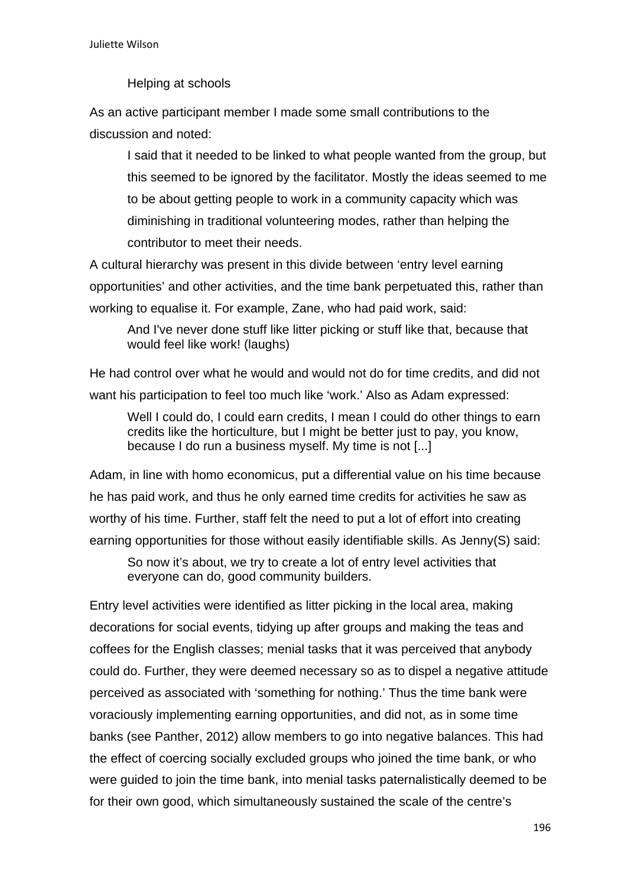Helping at schools

As an active participant member I made some small contributions to the discussion and noted:

I said that it needed to be linked to what people wanted from the group, but this seemed to be ignored by the facilitator. Mostly the ideas seemed to me to be about getting people to work in a community capacity which was diminishing in traditional volunteering modes, rather than helping the contributor to meet their needs.

A cultural hierarchy was present in this divide between 'entry level earning opportunities' and other activities, and the time bank perpetuated this, rather than working to equalise it. For example, Zane, who had paid work, said:

And I've never done stuff like litter picking or stuff like that, because that would feel like work! (laughs)

He had control over what he would and would not do for time credits, and did not want his participation to feel too much like 'work.' Also as Adam expressed:

Well I could do, I could earn credits, I mean I could do other things to earn credits like the horticulture, but I might be better just to pay, you know, because I do run a business myself. My time is not [...]

Adam, in line with homo economicus, put a differential value on his time because he has paid work, and thus he only earned time credits for activities he saw as worthy of his time. Further, staff felt the need to put a lot of effort into creating earning opportunities for those without easily identifiable skills. As Jenny(S) said:

So now it's about, we try to create a lot of entry level activities that everyone can do, good community builders.

Entry level activities were identified as litter picking in the local area, making decorations for social events, tidying up after groups and making the teas and coffees for the English classes; menial tasks that it was perceived that anybody could do. Further, they were deemed necessary so as to dispel a negative attitude perceived as associated with 'something for nothing.' Thus the time bank were voraciously implementing earning opportunities, and did not, as in some time banks (see Panther, 2012) allow members to go into negative balances. This had the effect of coercing socially excluded groups who joined the time bank, or who were guided to join the time bank, into menial tasks paternalistically deemed to be for their own good, which simultaneously sustained the scale of the centre's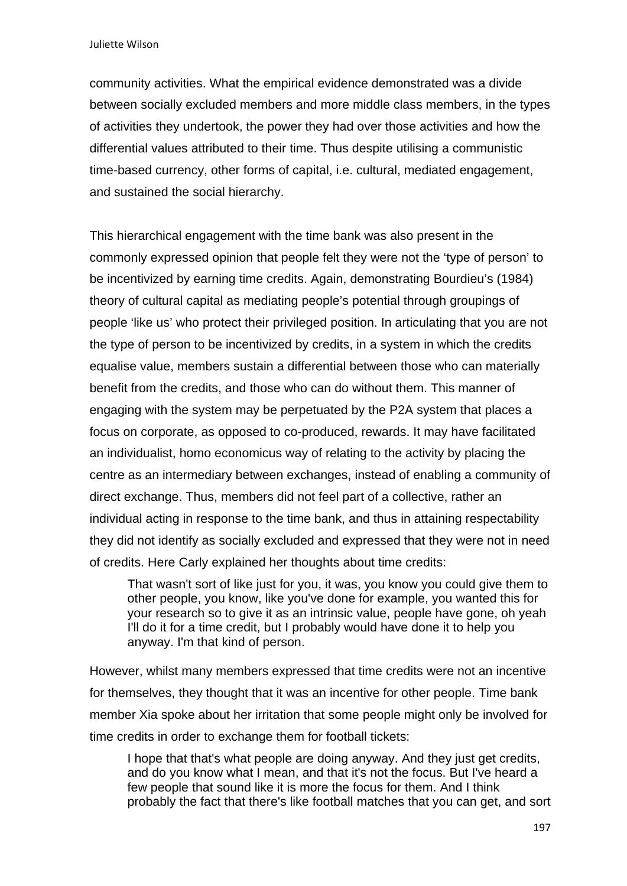community activities. What the empirical evidence demonstrated was a divide between socially excluded members and more middle class members, in the types of activities they undertook, the power they had over those activities and how the differential values attributed to their time. Thus despite utilising a communistic time-based currency, other forms of capital, i.e. cultural, mediated engagement, and sustained the social hierarchy.

This hierarchical engagement with the time bank was also present in the commonly expressed opinion that people felt they were not the 'type of person' to be incentivized by earning time credits. Again, demonstrating Bourdieu's (1984) theory of cultural capital as mediating people's potential through groupings of people 'like us' who protect their privileged position. In articulating that you are not the type of person to be incentivized by credits, in a system in which the credits equalise value, members sustain a differential between those who can materially benefit from the credits, and those who can do without them. This manner of engaging with the system may be perpetuated by the P2A system that places a focus on corporate, as opposed to co-produced, rewards. It may have facilitated an individualist, homo economicus way of relating to the activity by placing the centre as an intermediary between exchanges, instead of enabling a community of direct exchange. Thus, members did not feel part of a collective, rather an individual acting in response to the time bank, and thus in attaining respectability they did not identify as socially excluded and expressed that they were not in need of credits. Here Carly explained her thoughts about time credits:

That wasn't sort of like just for you, it was, you know you could give them to other people, you know, like you've done for example, you wanted this for your research so to give it as an intrinsic value, people have gone, oh yeah I'll do it for a time credit, but I probably would have done it to help you anyway. I'm that kind of person.

However, whilst many members expressed that time credits were not an incentive for themselves, they thought that it was an incentive for other people. Time bank member Xia spoke about her irritation that some people might only be involved for time credits in order to exchange them for football tickets:

I hope that that's what people are doing anyway. And they just get credits, and do you know what I mean, and that it's not the focus. But I've heard a few people that sound like it is more the focus for them. And I think probably the fact that there's like football matches that you can get, and sort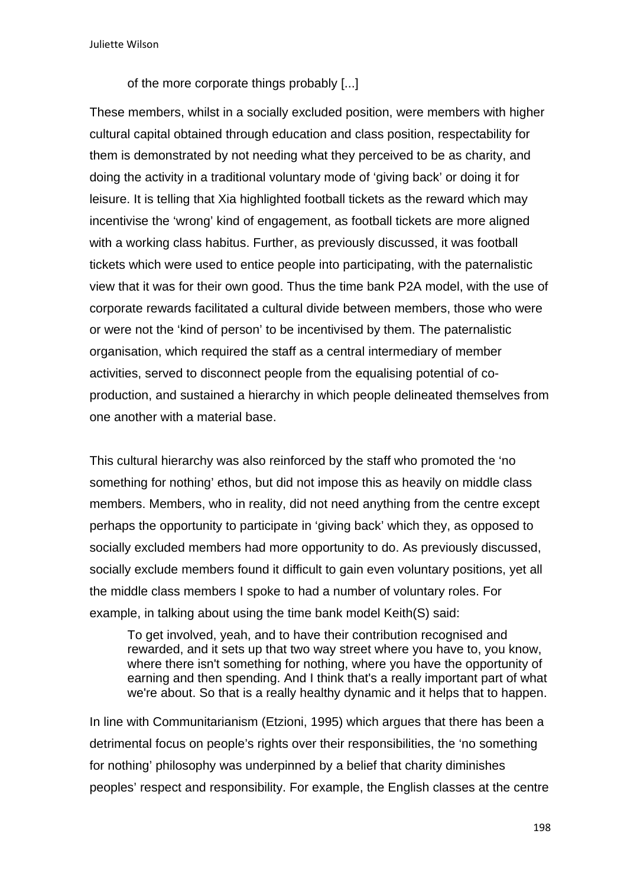of the more corporate things probably [...]

These members, whilst in a socially excluded position, were members with higher cultural capital obtained through education and class position, respectability for them is demonstrated by not needing what they perceived to be as charity, and doing the activity in a traditional voluntary mode of 'giving back' or doing it for leisure. It is telling that Xia highlighted football tickets as the reward which may incentivise the 'wrong' kind of engagement, as football tickets are more aligned with a working class habitus. Further, as previously discussed, it was football tickets which were used to entice people into participating, with the paternalistic view that it was for their own good. Thus the time bank P2A model, with the use of corporate rewards facilitated a cultural divide between members, those who were or were not the 'kind of person' to be incentivised by them. The paternalistic organisation, which required the staff as a central intermediary of member activities, served to disconnect people from the equalising potential of coproduction, and sustained a hierarchy in which people delineated themselves from one another with a material base.

This cultural hierarchy was also reinforced by the staff who promoted the 'no something for nothing' ethos, but did not impose this as heavily on middle class members. Members, who in reality, did not need anything from the centre except perhaps the opportunity to participate in 'giving back' which they, as opposed to socially excluded members had more opportunity to do. As previously discussed, socially exclude members found it difficult to gain even voluntary positions, yet all the middle class members I spoke to had a number of voluntary roles. For example, in talking about using the time bank model Keith(S) said:

To get involved, yeah, and to have their contribution recognised and rewarded, and it sets up that two way street where you have to, you know, where there isn't something for nothing, where you have the opportunity of earning and then spending. And I think that's a really important part of what we're about. So that is a really healthy dynamic and it helps that to happen.

In line with Communitarianism (Etzioni, 1995) which argues that there has been a detrimental focus on people's rights over their responsibilities, the 'no something for nothing' philosophy was underpinned by a belief that charity diminishes peoples' respect and responsibility. For example, the English classes at the centre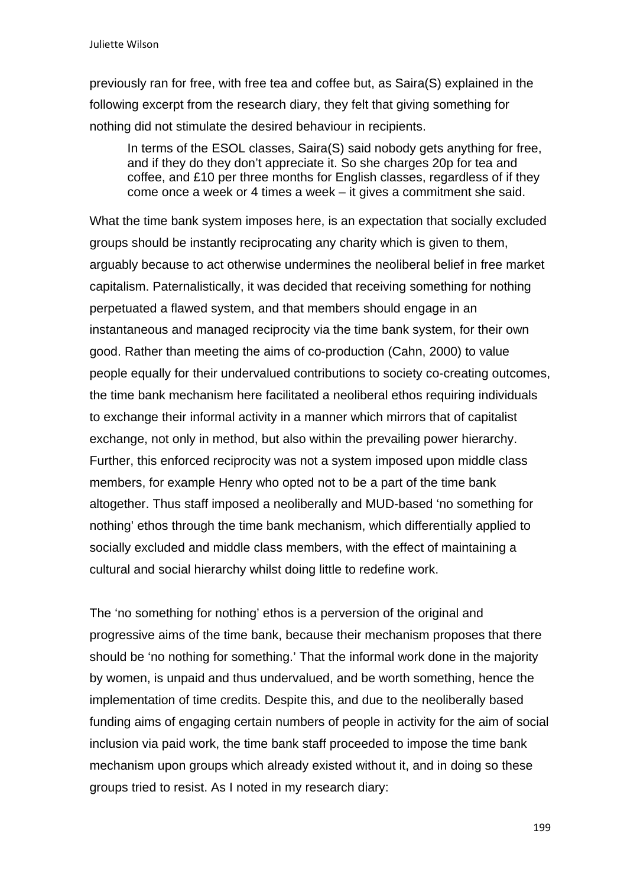previously ran for free, with free tea and coffee but, as Saira(S) explained in the following excerpt from the research diary, they felt that giving something for nothing did not stimulate the desired behaviour in recipients.

In terms of the ESOL classes, Saira(S) said nobody gets anything for free, and if they do they don't appreciate it. So she charges 20p for tea and coffee, and £10 per three months for English classes, regardless of if they come once a week or 4 times a week – it gives a commitment she said.

What the time bank system imposes here, is an expectation that socially excluded groups should be instantly reciprocating any charity which is given to them, arguably because to act otherwise undermines the neoliberal belief in free market capitalism. Paternalistically, it was decided that receiving something for nothing perpetuated a flawed system, and that members should engage in an instantaneous and managed reciprocity via the time bank system, for their own good. Rather than meeting the aims of co-production (Cahn, 2000) to value people equally for their undervalued contributions to society co-creating outcomes, the time bank mechanism here facilitated a neoliberal ethos requiring individuals to exchange their informal activity in a manner which mirrors that of capitalist exchange, not only in method, but also within the prevailing power hierarchy. Further, this enforced reciprocity was not a system imposed upon middle class members, for example Henry who opted not to be a part of the time bank altogether. Thus staff imposed a neoliberally and MUD-based 'no something for nothing' ethos through the time bank mechanism, which differentially applied to socially excluded and middle class members, with the effect of maintaining a cultural and social hierarchy whilst doing little to redefine work.

The 'no something for nothing' ethos is a perversion of the original and progressive aims of the time bank, because their mechanism proposes that there should be 'no nothing for something.' That the informal work done in the majority by women, is unpaid and thus undervalued, and be worth something, hence the implementation of time credits. Despite this, and due to the neoliberally based funding aims of engaging certain numbers of people in activity for the aim of social inclusion via paid work, the time bank staff proceeded to impose the time bank mechanism upon groups which already existed without it, and in doing so these groups tried to resist. As I noted in my research diary: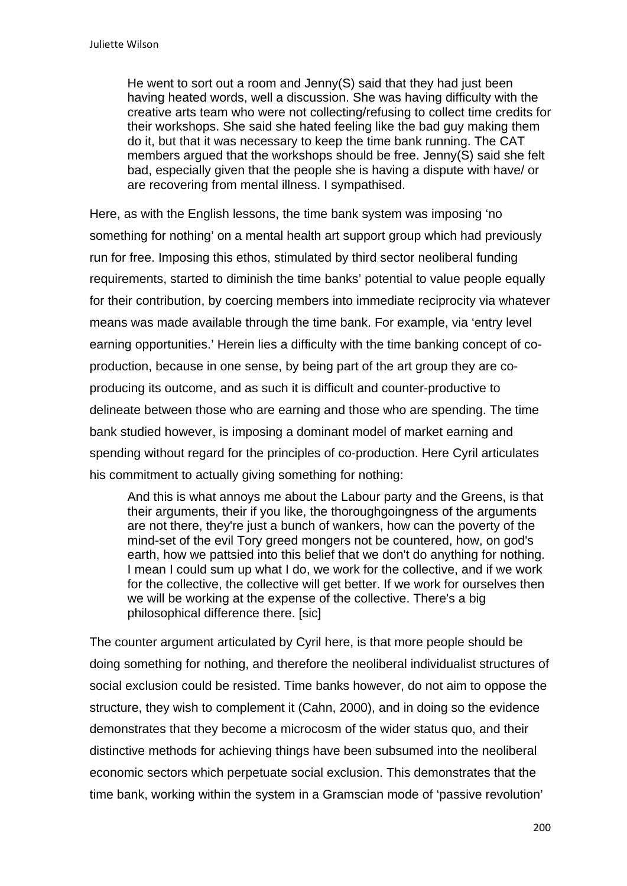He went to sort out a room and Jenny(S) said that they had just been having heated words, well a discussion. She was having difficulty with the creative arts team who were not collecting/refusing to collect time credits for their workshops. She said she hated feeling like the bad guy making them do it, but that it was necessary to keep the time bank running. The CAT members argued that the workshops should be free. Jenny(S) said she felt bad, especially given that the people she is having a dispute with have/ or are recovering from mental illness. I sympathised.

Here, as with the English lessons, the time bank system was imposing 'no something for nothing' on a mental health art support group which had previously run for free. Imposing this ethos, stimulated by third sector neoliberal funding requirements, started to diminish the time banks' potential to value people equally for their contribution, by coercing members into immediate reciprocity via whatever means was made available through the time bank. For example, via 'entry level earning opportunities.' Herein lies a difficulty with the time banking concept of coproduction, because in one sense, by being part of the art group they are coproducing its outcome, and as such it is difficult and counter-productive to delineate between those who are earning and those who are spending. The time bank studied however, is imposing a dominant model of market earning and spending without regard for the principles of co-production. Here Cyril articulates his commitment to actually giving something for nothing:

And this is what annoys me about the Labour party and the Greens, is that their arguments, their if you like, the thoroughgoingness of the arguments are not there, they're just a bunch of wankers, how can the poverty of the mind-set of the evil Tory greed mongers not be countered, how, on god's earth, how we pattsied into this belief that we don't do anything for nothing. I mean I could sum up what I do, we work for the collective, and if we work for the collective, the collective will get better. If we work for ourselves then we will be working at the expense of the collective. There's a big philosophical difference there. [sic]

The counter argument articulated by Cyril here, is that more people should be doing something for nothing, and therefore the neoliberal individualist structures of social exclusion could be resisted. Time banks however, do not aim to oppose the structure, they wish to complement it (Cahn, 2000), and in doing so the evidence demonstrates that they become a microcosm of the wider status quo, and their distinctive methods for achieving things have been subsumed into the neoliberal economic sectors which perpetuate social exclusion. This demonstrates that the time bank, working within the system in a Gramscian mode of 'passive revolution'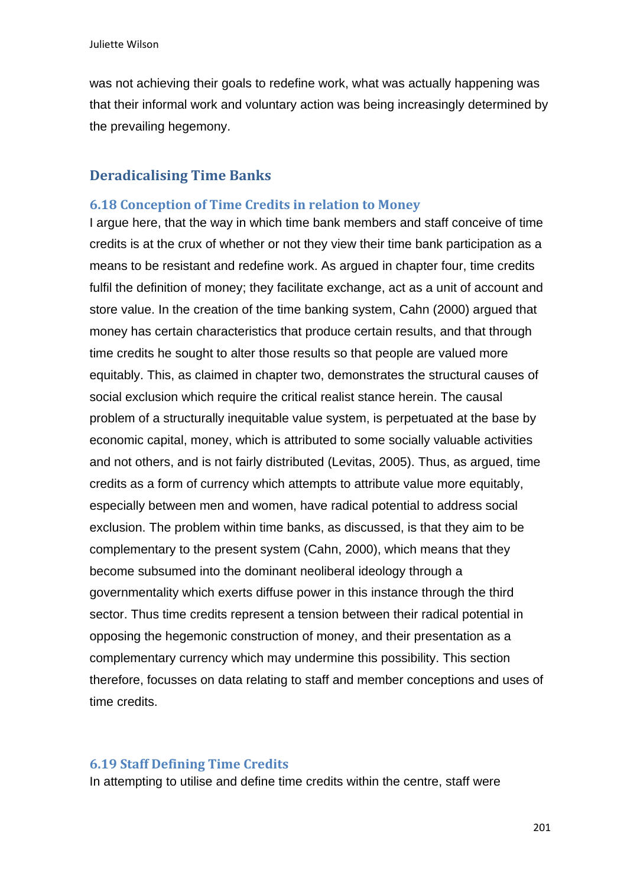was not achieving their goals to redefine work, what was actually happening was that their informal work and voluntary action was being increasingly determined by the prevailing hegemony.

# **Deradicalising Time Banks**

#### **6.18 Conception of Time Credits in relation to Money**

I argue here, that the way in which time bank members and staff conceive of time credits is at the crux of whether or not they view their time bank participation as a means to be resistant and redefine work. As argued in chapter four, time credits fulfil the definition of money; they facilitate exchange, act as a unit of account and store value. In the creation of the time banking system, Cahn (2000) argued that money has certain characteristics that produce certain results, and that through time credits he sought to alter those results so that people are valued more equitably. This, as claimed in chapter two, demonstrates the structural causes of social exclusion which require the critical realist stance herein. The causal problem of a structurally inequitable value system, is perpetuated at the base by economic capital, money, which is attributed to some socially valuable activities and not others, and is not fairly distributed (Levitas, 2005). Thus, as argued, time credits as a form of currency which attempts to attribute value more equitably, especially between men and women, have radical potential to address social exclusion. The problem within time banks, as discussed, is that they aim to be complementary to the present system (Cahn, 2000), which means that they become subsumed into the dominant neoliberal ideology through a governmentality which exerts diffuse power in this instance through the third sector. Thus time credits represent a tension between their radical potential in opposing the hegemonic construction of money, and their presentation as a complementary currency which may undermine this possibility. This section therefore, focusses on data relating to staff and member conceptions and uses of time credits.

### **6.19 Staff Defining Time Credits**

In attempting to utilise and define time credits within the centre, staff were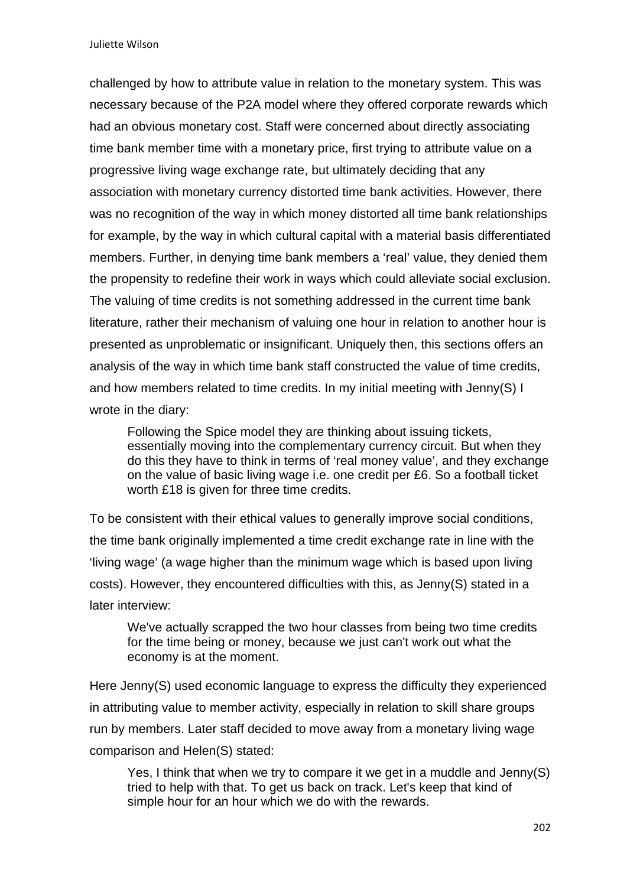challenged by how to attribute value in relation to the monetary system. This was necessary because of the P2A model where they offered corporate rewards which had an obvious monetary cost. Staff were concerned about directly associating time bank member time with a monetary price, first trying to attribute value on a progressive living wage exchange rate, but ultimately deciding that any association with monetary currency distorted time bank activities. However, there was no recognition of the way in which money distorted all time bank relationships for example, by the way in which cultural capital with a material basis differentiated members. Further, in denying time bank members a 'real' value, they denied them the propensity to redefine their work in ways which could alleviate social exclusion. The valuing of time credits is not something addressed in the current time bank literature, rather their mechanism of valuing one hour in relation to another hour is presented as unproblematic or insignificant. Uniquely then, this sections offers an analysis of the way in which time bank staff constructed the value of time credits, and how members related to time credits. In my initial meeting with Jenny(S) I wrote in the diary:

Following the Spice model they are thinking about issuing tickets, essentially moving into the complementary currency circuit. But when they do this they have to think in terms of 'real money value', and they exchange on the value of basic living wage i.e. one credit per £6. So a football ticket worth £18 is given for three time credits.

To be consistent with their ethical values to generally improve social conditions, the time bank originally implemented a time credit exchange rate in line with the 'living wage' (a wage higher than the minimum wage which is based upon living costs). However, they encountered difficulties with this, as Jenny(S) stated in a later interview:

We've actually scrapped the two hour classes from being two time credits for the time being or money, because we just can't work out what the economy is at the moment.

Here Jenny(S) used economic language to express the difficulty they experienced in attributing value to member activity, especially in relation to skill share groups run by members. Later staff decided to move away from a monetary living wage comparison and Helen(S) stated:

Yes, I think that when we try to compare it we get in a muddle and Jenny(S) tried to help with that. To get us back on track. Let's keep that kind of simple hour for an hour which we do with the rewards.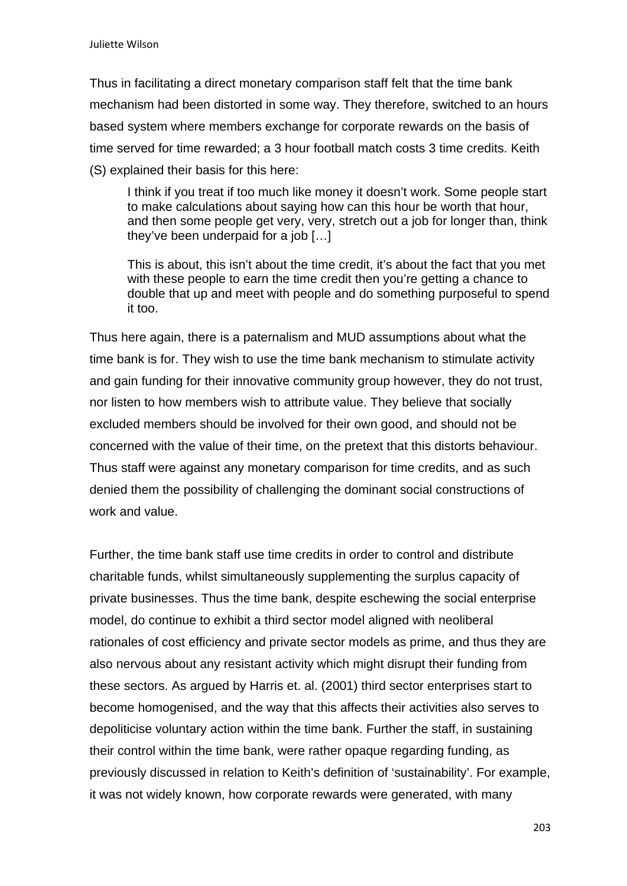Thus in facilitating a direct monetary comparison staff felt that the time bank mechanism had been distorted in some way. They therefore, switched to an hours based system where members exchange for corporate rewards on the basis of time served for time rewarded; a 3 hour football match costs 3 time credits. Keith (S) explained their basis for this here:

I think if you treat if too much like money it doesn't work. Some people start to make calculations about saying how can this hour be worth that hour, and then some people get very, very, stretch out a job for longer than, think they've been underpaid for a job […]

This is about, this isn't about the time credit, it's about the fact that you met with these people to earn the time credit then you're getting a chance to double that up and meet with people and do something purposeful to spend it too.

Thus here again, there is a paternalism and MUD assumptions about what the time bank is for. They wish to use the time bank mechanism to stimulate activity and gain funding for their innovative community group however, they do not trust, nor listen to how members wish to attribute value. They believe that socially excluded members should be involved for their own good, and should not be concerned with the value of their time, on the pretext that this distorts behaviour. Thus staff were against any monetary comparison for time credits, and as such denied them the possibility of challenging the dominant social constructions of work and value.

Further, the time bank staff use time credits in order to control and distribute charitable funds, whilst simultaneously supplementing the surplus capacity of private businesses. Thus the time bank, despite eschewing the social enterprise model, do continue to exhibit a third sector model aligned with neoliberal rationales of cost efficiency and private sector models as prime, and thus they are also nervous about any resistant activity which might disrupt their funding from these sectors. As argued by Harris et. al. (2001) third sector enterprises start to become homogenised, and the way that this affects their activities also serves to depoliticise voluntary action within the time bank. Further the staff, in sustaining their control within the time bank, were rather opaque regarding funding, as previously discussed in relation to Keith's definition of 'sustainability'. For example, it was not widely known, how corporate rewards were generated, with many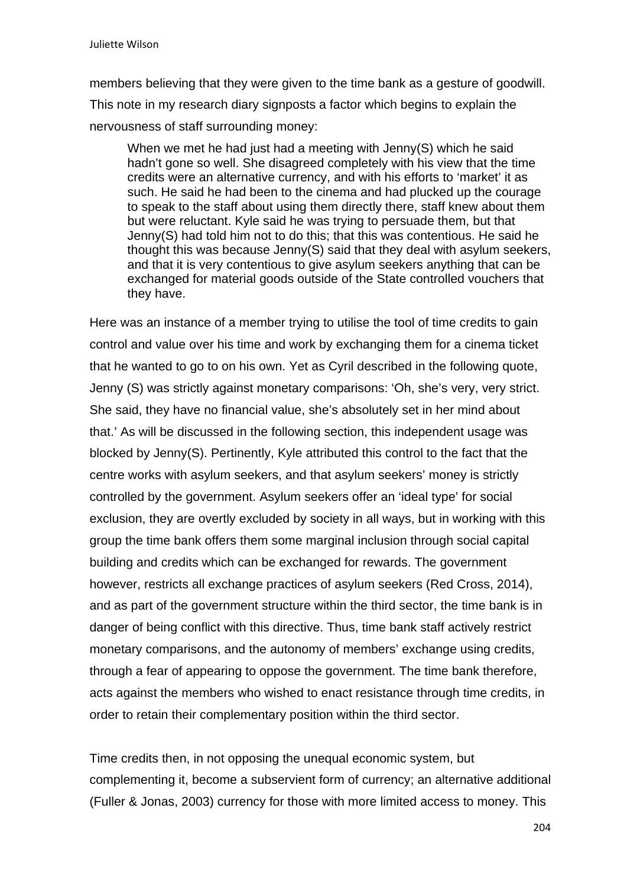members believing that they were given to the time bank as a gesture of goodwill. This note in my research diary signposts a factor which begins to explain the nervousness of staff surrounding money:

When we met he had just had a meeting with Jenny(S) which he said hadn't gone so well. She disagreed completely with his view that the time credits were an alternative currency, and with his efforts to 'market' it as such. He said he had been to the cinema and had plucked up the courage to speak to the staff about using them directly there, staff knew about them but were reluctant. Kyle said he was trying to persuade them, but that Jenny(S) had told him not to do this; that this was contentious. He said he thought this was because Jenny(S) said that they deal with asylum seekers, and that it is very contentious to give asylum seekers anything that can be exchanged for material goods outside of the State controlled vouchers that they have.

Here was an instance of a member trying to utilise the tool of time credits to gain control and value over his time and work by exchanging them for a cinema ticket that he wanted to go to on his own. Yet as Cyril described in the following quote, Jenny (S) was strictly against monetary comparisons: 'Oh, she's very, very strict. She said, they have no financial value, she's absolutely set in her mind about that.' As will be discussed in the following section, this independent usage was blocked by Jenny(S). Pertinently, Kyle attributed this control to the fact that the centre works with asylum seekers, and that asylum seekers' money is strictly controlled by the government. Asylum seekers offer an 'ideal type' for social exclusion, they are overtly excluded by society in all ways, but in working with this group the time bank offers them some marginal inclusion through social capital building and credits which can be exchanged for rewards. The government however, restricts all exchange practices of asylum seekers (Red Cross, 2014), and as part of the government structure within the third sector, the time bank is in danger of being conflict with this directive. Thus, time bank staff actively restrict monetary comparisons, and the autonomy of members' exchange using credits, through a fear of appearing to oppose the government. The time bank therefore, acts against the members who wished to enact resistance through time credits, in order to retain their complementary position within the third sector.

Time credits then, in not opposing the unequal economic system, but complementing it, become a subservient form of currency; an alternative additional (Fuller & Jonas, 2003) currency for those with more limited access to money. This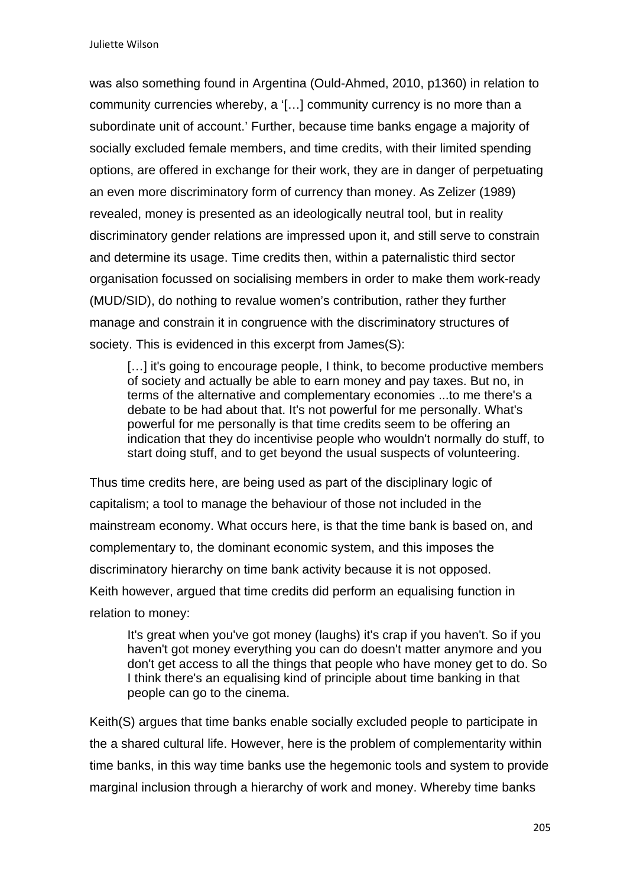was also something found in Argentina (Ould-Ahmed, 2010, p1360) in relation to community currencies whereby, a '[…] community currency is no more than a subordinate unit of account.' Further, because time banks engage a majority of socially excluded female members, and time credits, with their limited spending options, are offered in exchange for their work, they are in danger of perpetuating an even more discriminatory form of currency than money. As Zelizer (1989) revealed, money is presented as an ideologically neutral tool, but in reality discriminatory gender relations are impressed upon it, and still serve to constrain and determine its usage. Time credits then, within a paternalistic third sector organisation focussed on socialising members in order to make them work-ready (MUD/SID), do nothing to revalue women's contribution, rather they further manage and constrain it in congruence with the discriminatory structures of society. This is evidenced in this excerpt from James(S):

[...] it's going to encourage people, I think, to become productive members of society and actually be able to earn money and pay taxes. But no, in terms of the alternative and complementary economies ...to me there's a debate to be had about that. It's not powerful for me personally. What's powerful for me personally is that time credits seem to be offering an indication that they do incentivise people who wouldn't normally do stuff, to start doing stuff, and to get beyond the usual suspects of volunteering.

Thus time credits here, are being used as part of the disciplinary logic of capitalism; a tool to manage the behaviour of those not included in the mainstream economy. What occurs here, is that the time bank is based on, and complementary to, the dominant economic system, and this imposes the discriminatory hierarchy on time bank activity because it is not opposed. Keith however, argued that time credits did perform an equalising function in relation to money:

It's great when you've got money (laughs) it's crap if you haven't. So if you haven't got money everything you can do doesn't matter anymore and you don't get access to all the things that people who have money get to do. So I think there's an equalising kind of principle about time banking in that people can go to the cinema.

Keith(S) argues that time banks enable socially excluded people to participate in the a shared cultural life. However, here is the problem of complementarity within time banks, in this way time banks use the hegemonic tools and system to provide marginal inclusion through a hierarchy of work and money. Whereby time banks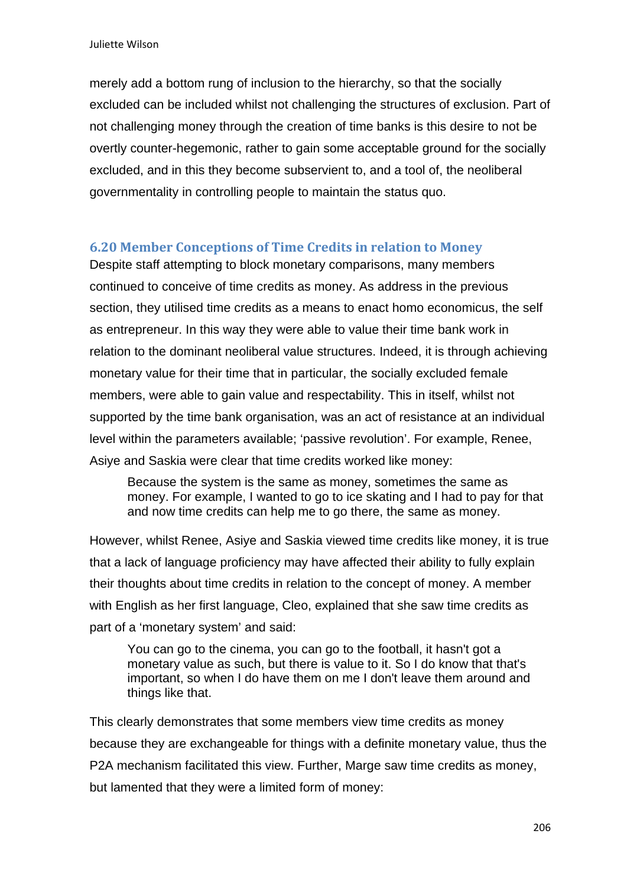merely add a bottom rung of inclusion to the hierarchy, so that the socially excluded can be included whilst not challenging the structures of exclusion. Part of not challenging money through the creation of time banks is this desire to not be overtly counter-hegemonic, rather to gain some acceptable ground for the socially excluded, and in this they become subservient to, and a tool of, the neoliberal governmentality in controlling people to maintain the status quo.

### **6.20 Member Conceptions of Time Credits in relation to Money**

Despite staff attempting to block monetary comparisons, many members continued to conceive of time credits as money. As address in the previous section, they utilised time credits as a means to enact homo economicus, the self as entrepreneur. In this way they were able to value their time bank work in relation to the dominant neoliberal value structures. Indeed, it is through achieving monetary value for their time that in particular, the socially excluded female members, were able to gain value and respectability. This in itself, whilst not supported by the time bank organisation, was an act of resistance at an individual level within the parameters available; 'passive revolution'. For example, Renee, Asiye and Saskia were clear that time credits worked like money:

Because the system is the same as money, sometimes the same as money. For example, I wanted to go to ice skating and I had to pay for that and now time credits can help me to go there, the same as money.

However, whilst Renee, Asiye and Saskia viewed time credits like money, it is true that a lack of language proficiency may have affected their ability to fully explain their thoughts about time credits in relation to the concept of money. A member with English as her first language, Cleo, explained that she saw time credits as part of a 'monetary system' and said:

You can go to the cinema, you can go to the football, it hasn't got a monetary value as such, but there is value to it. So I do know that that's important, so when I do have them on me I don't leave them around and things like that.

This clearly demonstrates that some members view time credits as money because they are exchangeable for things with a definite monetary value, thus the P2A mechanism facilitated this view. Further, Marge saw time credits as money, but lamented that they were a limited form of money: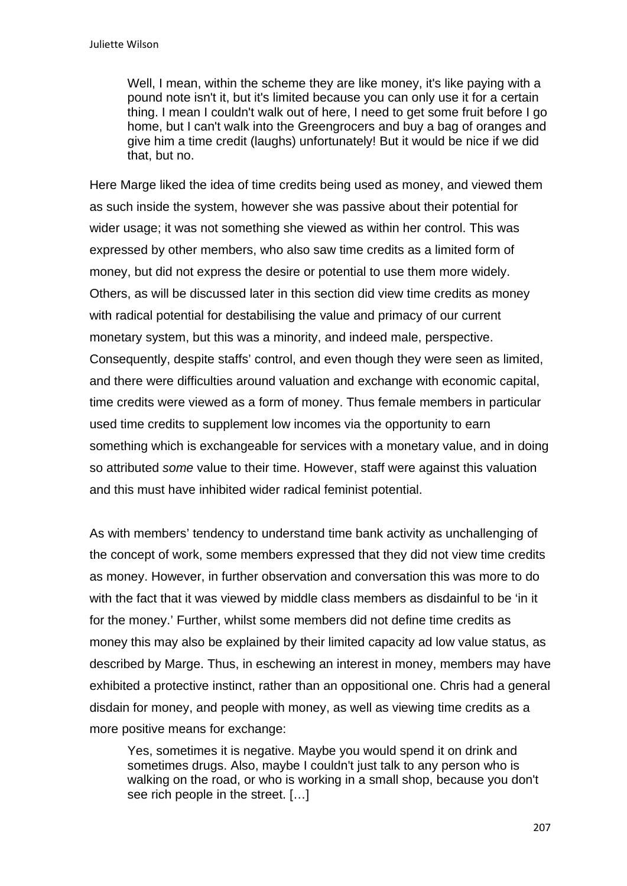Well, I mean, within the scheme they are like money, it's like paying with a pound note isn't it, but it's limited because you can only use it for a certain thing. I mean I couldn't walk out of here, I need to get some fruit before I go home, but I can't walk into the Greengrocers and buy a bag of oranges and give him a time credit (laughs) unfortunately! But it would be nice if we did that, but no.

Here Marge liked the idea of time credits being used as money, and viewed them as such inside the system, however she was passive about their potential for wider usage; it was not something she viewed as within her control. This was expressed by other members, who also saw time credits as a limited form of money, but did not express the desire or potential to use them more widely. Others, as will be discussed later in this section did view time credits as money with radical potential for destabilising the value and primacy of our current monetary system, but this was a minority, and indeed male, perspective. Consequently, despite staffs' control, and even though they were seen as limited, and there were difficulties around valuation and exchange with economic capital, time credits were viewed as a form of money. Thus female members in particular used time credits to supplement low incomes via the opportunity to earn something which is exchangeable for services with a monetary value, and in doing so attributed *some* value to their time. However, staff were against this valuation and this must have inhibited wider radical feminist potential.

As with members' tendency to understand time bank activity as unchallenging of the concept of work, some members expressed that they did not view time credits as money. However, in further observation and conversation this was more to do with the fact that it was viewed by middle class members as disdainful to be 'in it for the money.' Further, whilst some members did not define time credits as money this may also be explained by their limited capacity ad low value status, as described by Marge. Thus, in eschewing an interest in money, members may have exhibited a protective instinct, rather than an oppositional one. Chris had a general disdain for money, and people with money, as well as viewing time credits as a more positive means for exchange:

Yes, sometimes it is negative. Maybe you would spend it on drink and sometimes drugs. Also, maybe I couldn't just talk to any person who is walking on the road, or who is working in a small shop, because you don't see rich people in the street. […]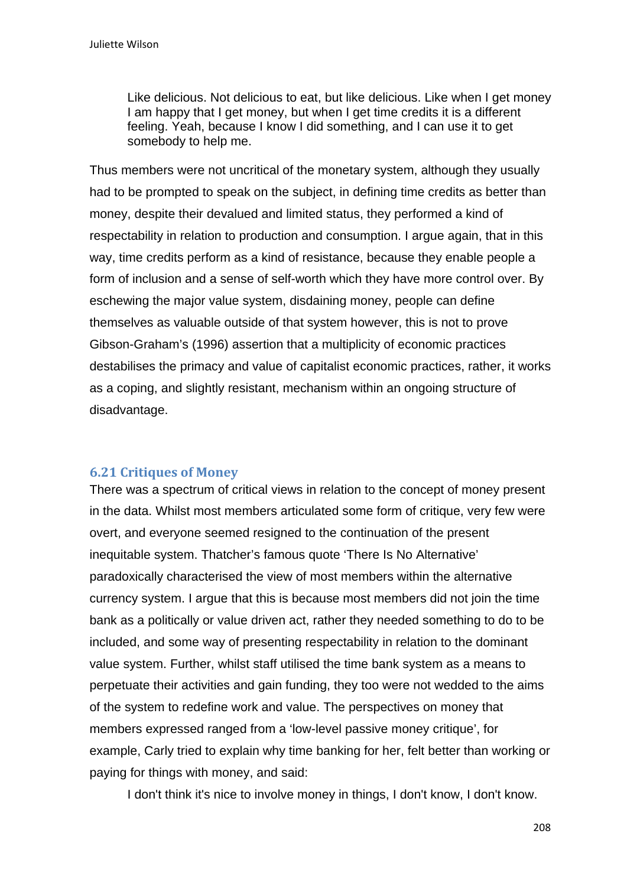Like delicious. Not delicious to eat, but like delicious. Like when I get money I am happy that I get money, but when I get time credits it is a different feeling. Yeah, because I know I did something, and I can use it to get somebody to help me.

Thus members were not uncritical of the monetary system, although they usually had to be prompted to speak on the subject, in defining time credits as better than money, despite their devalued and limited status, they performed a kind of respectability in relation to production and consumption. I argue again, that in this way, time credits perform as a kind of resistance, because they enable people a form of inclusion and a sense of self-worth which they have more control over. By eschewing the major value system, disdaining money, people can define themselves as valuable outside of that system however, this is not to prove Gibson-Graham's (1996) assertion that a multiplicity of economic practices destabilises the primacy and value of capitalist economic practices, rather, it works as a coping, and slightly resistant, mechanism within an ongoing structure of disadvantage.

# **6.21 Critiques of Money**

There was a spectrum of critical views in relation to the concept of money present in the data. Whilst most members articulated some form of critique, very few were overt, and everyone seemed resigned to the continuation of the present inequitable system. Thatcher's famous quote 'There Is No Alternative' paradoxically characterised the view of most members within the alternative currency system. I argue that this is because most members did not join the time bank as a politically or value driven act, rather they needed something to do to be included, and some way of presenting respectability in relation to the dominant value system. Further, whilst staff utilised the time bank system as a means to perpetuate their activities and gain funding, they too were not wedded to the aims of the system to redefine work and value. The perspectives on money that members expressed ranged from a 'low-level passive money critique', for example, Carly tried to explain why time banking for her, felt better than working or paying for things with money, and said:

I don't think it's nice to involve money in things, I don't know, I don't know.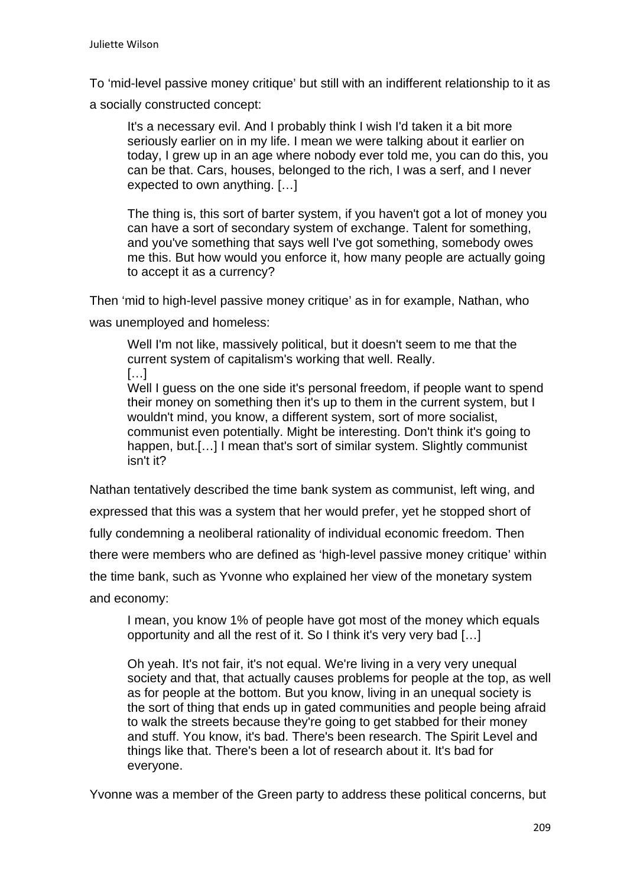To 'mid-level passive money critique' but still with an indifferent relationship to it as

a socially constructed concept:

It's a necessary evil. And I probably think I wish I'd taken it a bit more seriously earlier on in my life. I mean we were talking about it earlier on today, I grew up in an age where nobody ever told me, you can do this, you can be that. Cars, houses, belonged to the rich, I was a serf, and I never expected to own anything. […]

The thing is, this sort of barter system, if you haven't got a lot of money you can have a sort of secondary system of exchange. Talent for something, and you've something that says well I've got something, somebody owes me this. But how would you enforce it, how many people are actually going to accept it as a currency?

Then 'mid to high-level passive money critique' as in for example, Nathan, who

was unemployed and homeless:

Well I'm not like, massively political, but it doesn't seem to me that the current system of capitalism's working that well. Really.

[…]

Well I guess on the one side it's personal freedom, if people want to spend their money on something then it's up to them in the current system, but I wouldn't mind, you know, a different system, sort of more socialist, communist even potentially. Might be interesting. Don't think it's going to happen, but.[...] I mean that's sort of similar system. Slightly communist isn't it?

Nathan tentatively described the time bank system as communist, left wing, and expressed that this was a system that her would prefer, yet he stopped short of fully condemning a neoliberal rationality of individual economic freedom. Then there were members who are defined as 'high-level passive money critique' within the time bank, such as Yvonne who explained her view of the monetary system and economy:

I mean, you know 1% of people have got most of the money which equals opportunity and all the rest of it. So I think it's very very bad […]

Oh yeah. It's not fair, it's not equal. We're living in a very very unequal society and that, that actually causes problems for people at the top, as well as for people at the bottom. But you know, living in an unequal society is the sort of thing that ends up in gated communities and people being afraid to walk the streets because they're going to get stabbed for their money and stuff. You know, it's bad. There's been research. The Spirit Level and things like that. There's been a lot of research about it. It's bad for everyone.

Yvonne was a member of the Green party to address these political concerns, but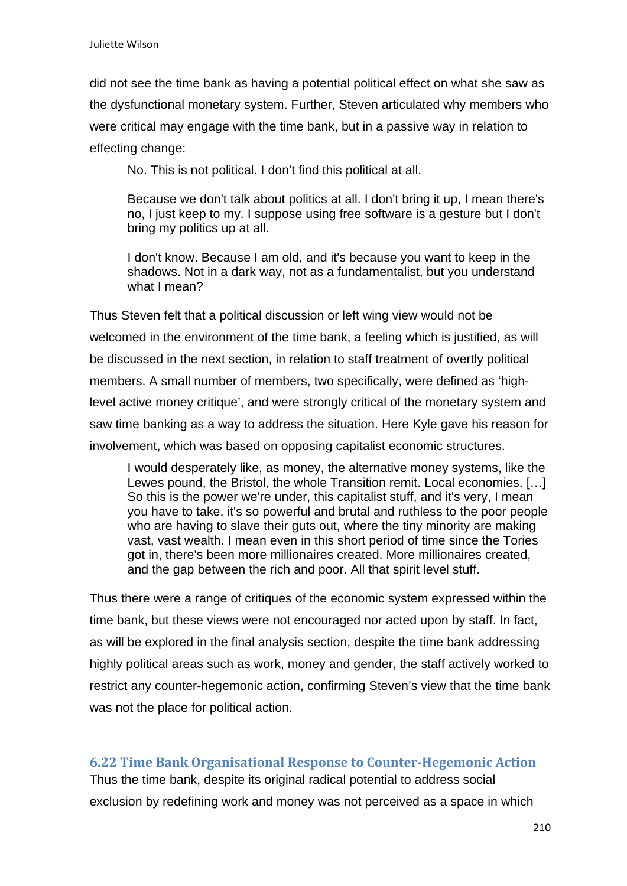did not see the time bank as having a potential political effect on what she saw as the dysfunctional monetary system. Further, Steven articulated why members who were critical may engage with the time bank, but in a passive way in relation to effecting change:

No. This is not political. I don't find this political at all.

Because we don't talk about politics at all. I don't bring it up, I mean there's no, I just keep to my. I suppose using free software is a gesture but I don't bring my politics up at all.

I don't know. Because I am old, and it's because you want to keep in the shadows. Not in a dark way, not as a fundamentalist, but you understand what I mean?

Thus Steven felt that a political discussion or left wing view would not be welcomed in the environment of the time bank, a feeling which is justified, as will be discussed in the next section, in relation to staff treatment of overtly political members. A small number of members, two specifically, were defined as 'highlevel active money critique', and were strongly critical of the monetary system and saw time banking as a way to address the situation. Here Kyle gave his reason for involvement, which was based on opposing capitalist economic structures.

I would desperately like, as money, the alternative money systems, like the Lewes pound, the Bristol, the whole Transition remit. Local economies. […] So this is the power we're under, this capitalist stuff, and it's very, I mean you have to take, it's so powerful and brutal and ruthless to the poor people who are having to slave their guts out, where the tiny minority are making vast, vast wealth. I mean even in this short period of time since the Tories got in, there's been more millionaires created. More millionaires created, and the gap between the rich and poor. All that spirit level stuff.

Thus there were a range of critiques of the economic system expressed within the time bank, but these views were not encouraged nor acted upon by staff. In fact, as will be explored in the final analysis section, despite the time bank addressing highly political areas such as work, money and gender, the staff actively worked to restrict any counter-hegemonic action, confirming Steven's view that the time bank was not the place for political action.

# **6.22 Time Bank Organisational Response to Counter‐Hegemonic Action**

Thus the time bank, despite its original radical potential to address social exclusion by redefining work and money was not perceived as a space in which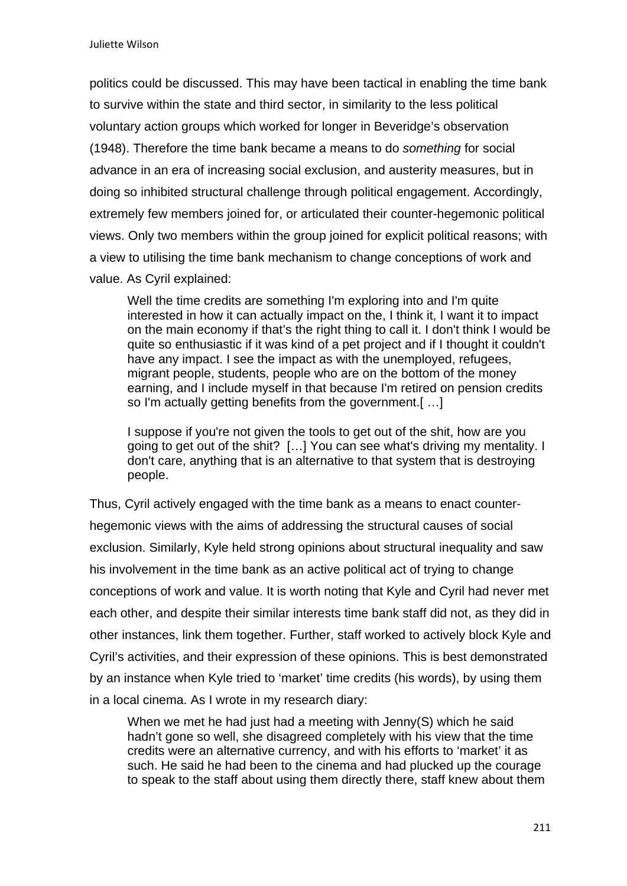politics could be discussed. This may have been tactical in enabling the time bank to survive within the state and third sector, in similarity to the less political voluntary action groups which worked for longer in Beveridge's observation (1948). Therefore the time bank became a means to do *something* for social advance in an era of increasing social exclusion, and austerity measures, but in doing so inhibited structural challenge through political engagement. Accordingly, extremely few members joined for, or articulated their counter-hegemonic political views. Only two members within the group joined for explicit political reasons; with a view to utilising the time bank mechanism to change conceptions of work and value. As Cyril explained:

Well the time credits are something I'm exploring into and I'm quite interested in how it can actually impact on the, I think it, I want it to impact on the main economy if that's the right thing to call it. I don't think I would be quite so enthusiastic if it was kind of a pet project and if I thought it couldn't have any impact. I see the impact as with the unemployed, refugees, migrant people, students, people who are on the bottom of the money earning, and I include myself in that because I'm retired on pension credits so I'm actually getting benefits from the government.[ …]

I suppose if you're not given the tools to get out of the shit, how are you going to get out of the shit? […] You can see what's driving my mentality. I don't care, anything that is an alternative to that system that is destroying people.

Thus, Cyril actively engaged with the time bank as a means to enact counterhegemonic views with the aims of addressing the structural causes of social exclusion. Similarly, Kyle held strong opinions about structural inequality and saw his involvement in the time bank as an active political act of trying to change conceptions of work and value. It is worth noting that Kyle and Cyril had never met each other, and despite their similar interests time bank staff did not, as they did in other instances, link them together. Further, staff worked to actively block Kyle and Cyril's activities, and their expression of these opinions. This is best demonstrated by an instance when Kyle tried to 'market' time credits (his words), by using them in a local cinema. As I wrote in my research diary:

When we met he had just had a meeting with Jenny(S) which he said hadn't gone so well, she disagreed completely with his view that the time credits were an alternative currency, and with his efforts to 'market' it as such. He said he had been to the cinema and had plucked up the courage to speak to the staff about using them directly there, staff knew about them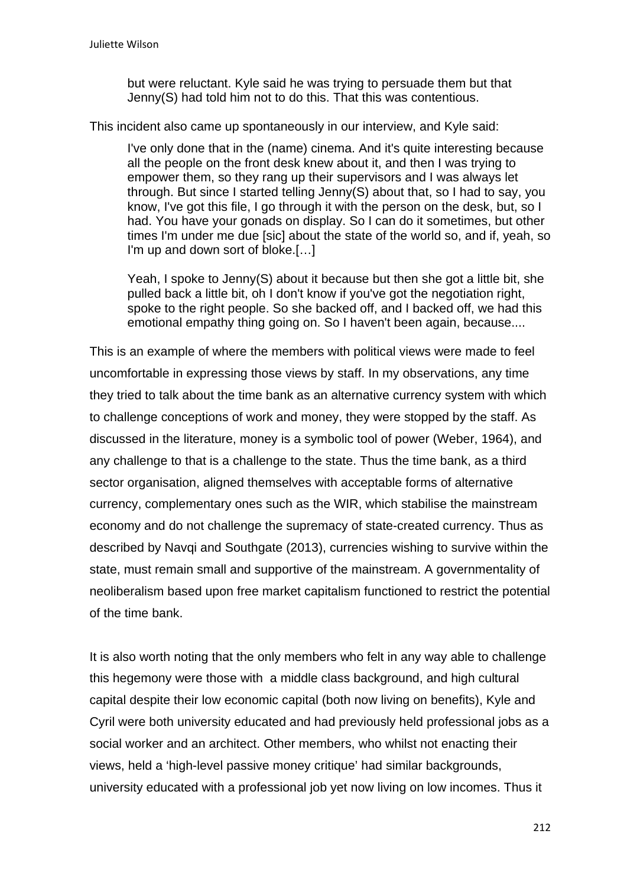but were reluctant. Kyle said he was trying to persuade them but that Jenny(S) had told him not to do this. That this was contentious.

This incident also came up spontaneously in our interview, and Kyle said:

I've only done that in the (name) cinema. And it's quite interesting because all the people on the front desk knew about it, and then I was trying to empower them, so they rang up their supervisors and I was always let through. But since I started telling Jenny(S) about that, so I had to say, you know, I've got this file, I go through it with the person on the desk, but, so I had. You have your gonads on display. So I can do it sometimes, but other times I'm under me due [sic] about the state of the world so, and if, yeah, so I'm up and down sort of bloke.[…]

Yeah, I spoke to Jenny(S) about it because but then she got a little bit, she pulled back a little bit, oh I don't know if you've got the negotiation right, spoke to the right people. So she backed off, and I backed off, we had this emotional empathy thing going on. So I haven't been again, because....

This is an example of where the members with political views were made to feel uncomfortable in expressing those views by staff. In my observations, any time they tried to talk about the time bank as an alternative currency system with which to challenge conceptions of work and money, they were stopped by the staff. As discussed in the literature, money is a symbolic tool of power (Weber, 1964), and any challenge to that is a challenge to the state. Thus the time bank, as a third sector organisation, aligned themselves with acceptable forms of alternative currency, complementary ones such as the WIR, which stabilise the mainstream economy and do not challenge the supremacy of state-created currency. Thus as described by Navqi and Southgate (2013), currencies wishing to survive within the state, must remain small and supportive of the mainstream. A governmentality of neoliberalism based upon free market capitalism functioned to restrict the potential of the time bank.

It is also worth noting that the only members who felt in any way able to challenge this hegemony were those with a middle class background, and high cultural capital despite their low economic capital (both now living on benefits), Kyle and Cyril were both university educated and had previously held professional jobs as a social worker and an architect. Other members, who whilst not enacting their views, held a 'high-level passive money critique' had similar backgrounds, university educated with a professional job yet now living on low incomes. Thus it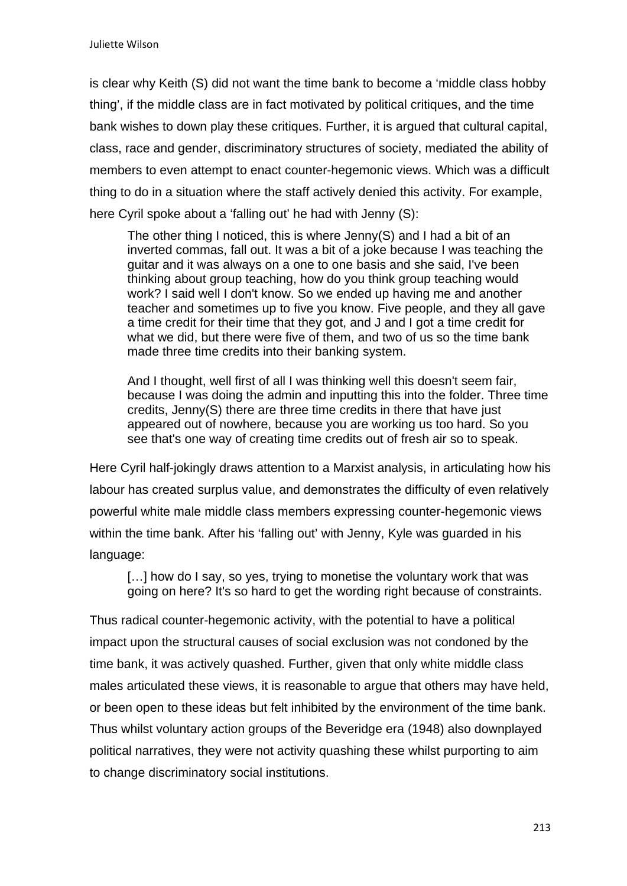is clear why Keith (S) did not want the time bank to become a 'middle class hobby thing', if the middle class are in fact motivated by political critiques, and the time bank wishes to down play these critiques. Further, it is argued that cultural capital, class, race and gender, discriminatory structures of society, mediated the ability of members to even attempt to enact counter-hegemonic views. Which was a difficult thing to do in a situation where the staff actively denied this activity. For example, here Cyril spoke about a 'falling out' he had with Jenny (S):

The other thing I noticed, this is where Jenny(S) and I had a bit of an inverted commas, fall out. It was a bit of a joke because I was teaching the guitar and it was always on a one to one basis and she said, I've been thinking about group teaching, how do you think group teaching would work? I said well I don't know. So we ended up having me and another teacher and sometimes up to five you know. Five people, and they all gave a time credit for their time that they got, and J and I got a time credit for what we did, but there were five of them, and two of us so the time bank made three time credits into their banking system.

And I thought, well first of all I was thinking well this doesn't seem fair, because I was doing the admin and inputting this into the folder. Three time credits, Jenny(S) there are three time credits in there that have just appeared out of nowhere, because you are working us too hard. So you see that's one way of creating time credits out of fresh air so to speak.

Here Cyril half-jokingly draws attention to a Marxist analysis, in articulating how his labour has created surplus value, and demonstrates the difficulty of even relatively powerful white male middle class members expressing counter-hegemonic views within the time bank. After his 'falling out' with Jenny, Kyle was guarded in his language:

[...] how do I say, so yes, trying to monetise the voluntary work that was going on here? It's so hard to get the wording right because of constraints.

Thus radical counter-hegemonic activity, with the potential to have a political impact upon the structural causes of social exclusion was not condoned by the time bank, it was actively quashed. Further, given that only white middle class males articulated these views, it is reasonable to argue that others may have held, or been open to these ideas but felt inhibited by the environment of the time bank. Thus whilst voluntary action groups of the Beveridge era (1948) also downplayed political narratives, they were not activity quashing these whilst purporting to aim to change discriminatory social institutions.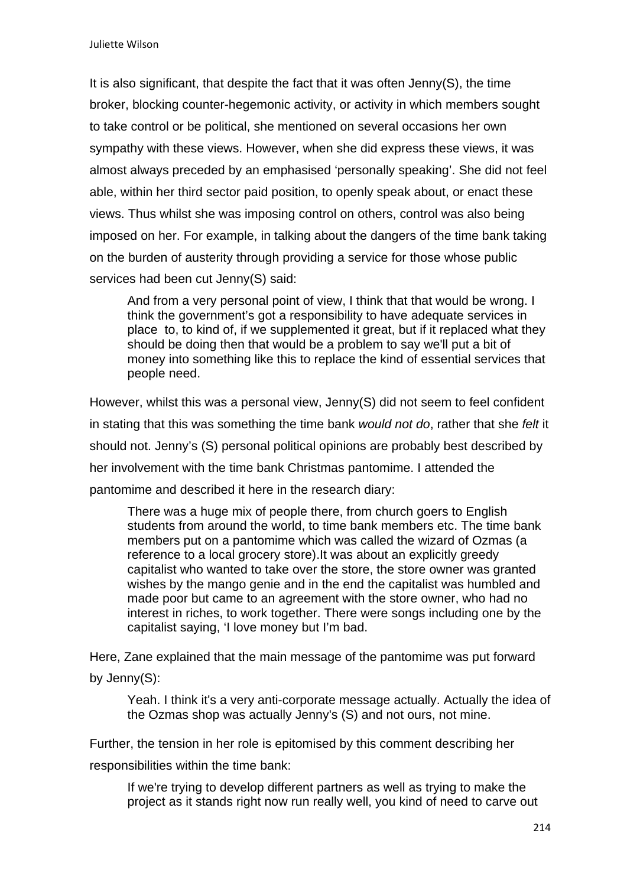It is also significant, that despite the fact that it was often Jenny(S), the time broker, blocking counter-hegemonic activity, or activity in which members sought to take control or be political, she mentioned on several occasions her own sympathy with these views. However, when she did express these views, it was almost always preceded by an emphasised 'personally speaking'. She did not feel able, within her third sector paid position, to openly speak about, or enact these views. Thus whilst she was imposing control on others, control was also being imposed on her. For example, in talking about the dangers of the time bank taking on the burden of austerity through providing a service for those whose public services had been cut Jenny(S) said:

And from a very personal point of view, I think that that would be wrong. I think the government's got a responsibility to have adequate services in place to, to kind of, if we supplemented it great, but if it replaced what they should be doing then that would be a problem to say we'll put a bit of money into something like this to replace the kind of essential services that people need.

However, whilst this was a personal view, Jenny(S) did not seem to feel confident in stating that this was something the time bank *would not do*, rather that she *felt* it should not. Jenny's (S) personal political opinions are probably best described by her involvement with the time bank Christmas pantomime. I attended the pantomime and described it here in the research diary:

There was a huge mix of people there, from church goers to English students from around the world, to time bank members etc. The time bank members put on a pantomime which was called the wizard of Ozmas (a reference to a local grocery store).It was about an explicitly greedy capitalist who wanted to take over the store, the store owner was granted wishes by the mango genie and in the end the capitalist was humbled and made poor but came to an agreement with the store owner, who had no interest in riches, to work together. There were songs including one by the capitalist saying, 'I love money but I'm bad.

Here, Zane explained that the main message of the pantomime was put forward by Jenny(S):

Yeah. I think it's a very anti-corporate message actually. Actually the idea of the Ozmas shop was actually Jenny's (S) and not ours, not mine.

Further, the tension in her role is epitomised by this comment describing her

responsibilities within the time bank:

If we're trying to develop different partners as well as trying to make the project as it stands right now run really well, you kind of need to carve out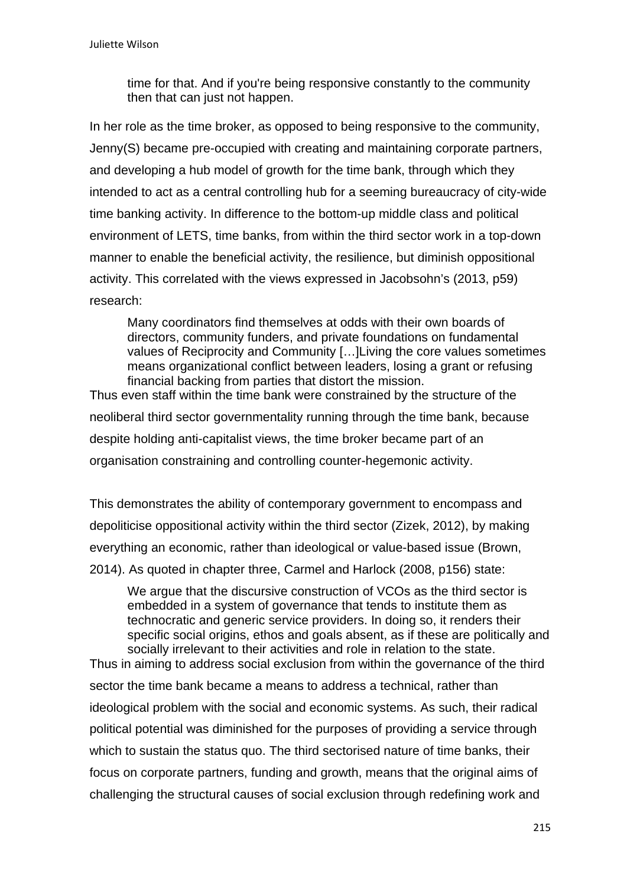time for that. And if you're being responsive constantly to the community then that can just not happen.

In her role as the time broker, as opposed to being responsive to the community, Jenny(S) became pre-occupied with creating and maintaining corporate partners, and developing a hub model of growth for the time bank, through which they intended to act as a central controlling hub for a seeming bureaucracy of city-wide time banking activity. In difference to the bottom-up middle class and political environment of LETS, time banks, from within the third sector work in a top-down manner to enable the beneficial activity, the resilience, but diminish oppositional activity. This correlated with the views expressed in Jacobsohn's (2013, p59) research:

Many coordinators find themselves at odds with their own boards of directors, community funders, and private foundations on fundamental values of Reciprocity and Community […]Living the core values sometimes means organizational conflict between leaders, losing a grant or refusing financial backing from parties that distort the mission.

Thus even staff within the time bank were constrained by the structure of the neoliberal third sector governmentality running through the time bank, because despite holding anti-capitalist views, the time broker became part of an organisation constraining and controlling counter-hegemonic activity.

This demonstrates the ability of contemporary government to encompass and depoliticise oppositional activity within the third sector (Zizek, 2012), by making everything an economic, rather than ideological or value-based issue (Brown, 2014). As quoted in chapter three, Carmel and Harlock (2008, p156) state:

We argue that the discursive construction of VCOs as the third sector is embedded in a system of governance that tends to institute them as technocratic and generic service providers. In doing so, it renders their specific social origins, ethos and goals absent, as if these are politically and socially irrelevant to their activities and role in relation to the state.

Thus in aiming to address social exclusion from within the governance of the third sector the time bank became a means to address a technical, rather than ideological problem with the social and economic systems. As such, their radical political potential was diminished for the purposes of providing a service through which to sustain the status quo. The third sectorised nature of time banks, their focus on corporate partners, funding and growth, means that the original aims of challenging the structural causes of social exclusion through redefining work and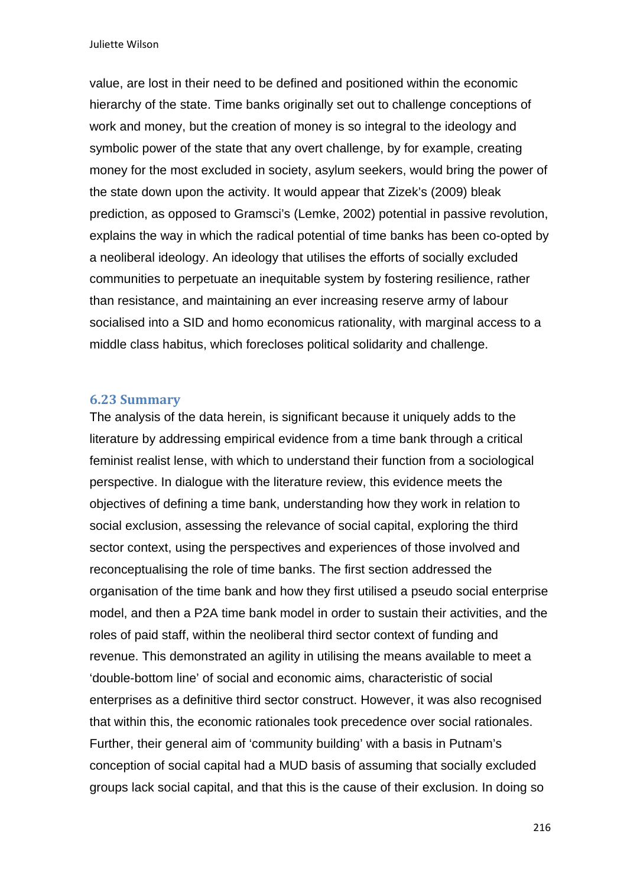value, are lost in their need to be defined and positioned within the economic hierarchy of the state. Time banks originally set out to challenge conceptions of work and money, but the creation of money is so integral to the ideology and symbolic power of the state that any overt challenge, by for example, creating money for the most excluded in society, asylum seekers, would bring the power of the state down upon the activity. It would appear that Zizek's (2009) bleak prediction, as opposed to Gramsci's (Lemke, 2002) potential in passive revolution, explains the way in which the radical potential of time banks has been co-opted by a neoliberal ideology. An ideology that utilises the efforts of socially excluded communities to perpetuate an inequitable system by fostering resilience, rather than resistance, and maintaining an ever increasing reserve army of labour socialised into a SID and homo economicus rationality, with marginal access to a middle class habitus, which forecloses political solidarity and challenge.

#### **6.23 Summary**

The analysis of the data herein, is significant because it uniquely adds to the literature by addressing empirical evidence from a time bank through a critical feminist realist lense, with which to understand their function from a sociological perspective. In dialogue with the literature review, this evidence meets the objectives of defining a time bank, understanding how they work in relation to social exclusion, assessing the relevance of social capital, exploring the third sector context, using the perspectives and experiences of those involved and reconceptualising the role of time banks. The first section addressed the organisation of the time bank and how they first utilised a pseudo social enterprise model, and then a P2A time bank model in order to sustain their activities, and the roles of paid staff, within the neoliberal third sector context of funding and revenue. This demonstrated an agility in utilising the means available to meet a 'double-bottom line' of social and economic aims, characteristic of social enterprises as a definitive third sector construct. However, it was also recognised that within this, the economic rationales took precedence over social rationales. Further, their general aim of 'community building' with a basis in Putnam's conception of social capital had a MUD basis of assuming that socially excluded groups lack social capital, and that this is the cause of their exclusion. In doing so

216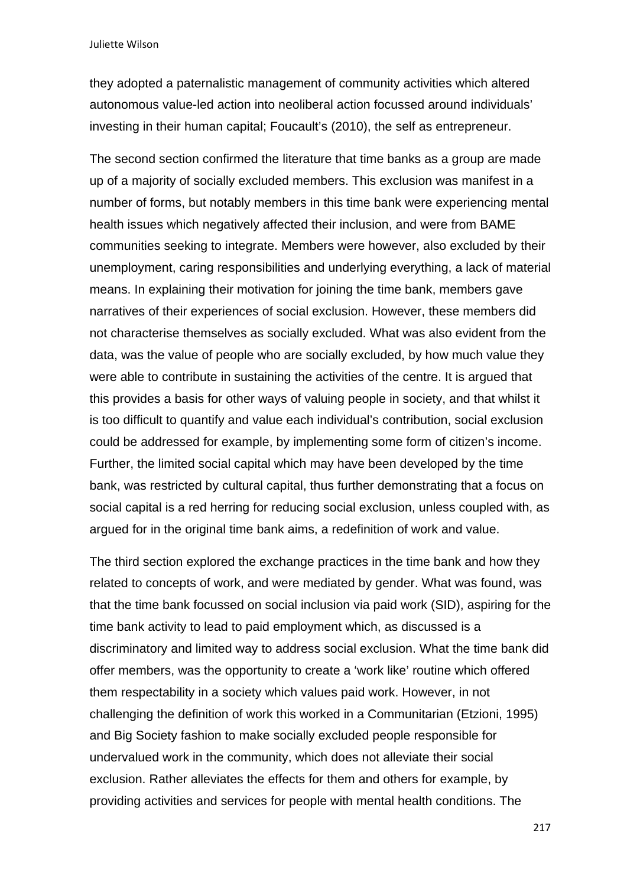they adopted a paternalistic management of community activities which altered autonomous value-led action into neoliberal action focussed around individuals' investing in their human capital; Foucault's (2010), the self as entrepreneur.

The second section confirmed the literature that time banks as a group are made up of a majority of socially excluded members. This exclusion was manifest in a number of forms, but notably members in this time bank were experiencing mental health issues which negatively affected their inclusion, and were from BAME communities seeking to integrate. Members were however, also excluded by their unemployment, caring responsibilities and underlying everything, a lack of material means. In explaining their motivation for joining the time bank, members gave narratives of their experiences of social exclusion. However, these members did not characterise themselves as socially excluded. What was also evident from the data, was the value of people who are socially excluded, by how much value they were able to contribute in sustaining the activities of the centre. It is argued that this provides a basis for other ways of valuing people in society, and that whilst it is too difficult to quantify and value each individual's contribution, social exclusion could be addressed for example, by implementing some form of citizen's income. Further, the limited social capital which may have been developed by the time bank, was restricted by cultural capital, thus further demonstrating that a focus on social capital is a red herring for reducing social exclusion, unless coupled with, as argued for in the original time bank aims, a redefinition of work and value.

The third section explored the exchange practices in the time bank and how they related to concepts of work, and were mediated by gender. What was found, was that the time bank focussed on social inclusion via paid work (SID), aspiring for the time bank activity to lead to paid employment which, as discussed is a discriminatory and limited way to address social exclusion. What the time bank did offer members, was the opportunity to create a 'work like' routine which offered them respectability in a society which values paid work. However, in not challenging the definition of work this worked in a Communitarian (Etzioni, 1995) and Big Society fashion to make socially excluded people responsible for undervalued work in the community, which does not alleviate their social exclusion. Rather alleviates the effects for them and others for example, by providing activities and services for people with mental health conditions. The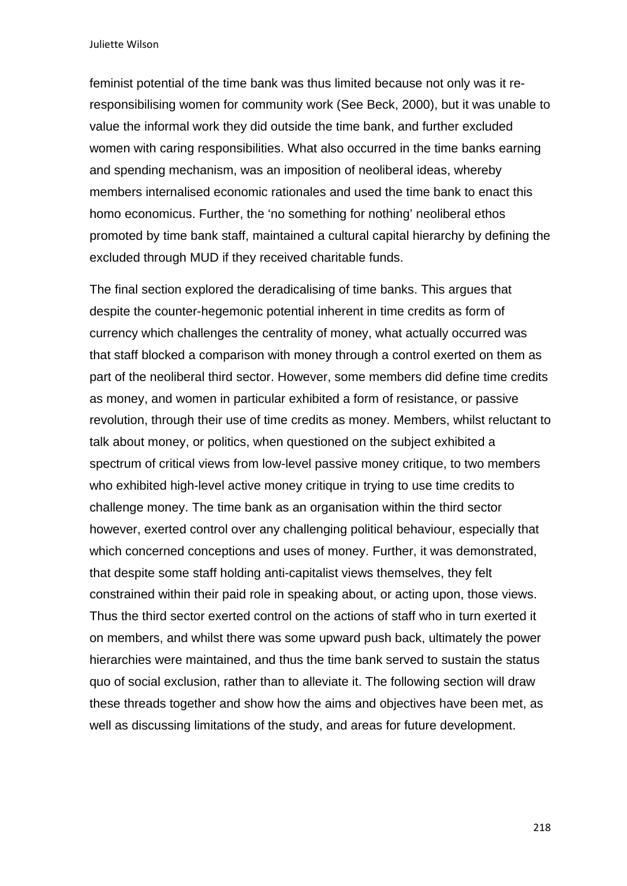feminist potential of the time bank was thus limited because not only was it reresponsibilising women for community work (See Beck, 2000), but it was unable to value the informal work they did outside the time bank, and further excluded women with caring responsibilities. What also occurred in the time banks earning and spending mechanism, was an imposition of neoliberal ideas, whereby members internalised economic rationales and used the time bank to enact this homo economicus. Further, the 'no something for nothing' neoliberal ethos promoted by time bank staff, maintained a cultural capital hierarchy by defining the excluded through MUD if they received charitable funds.

The final section explored the deradicalising of time banks. This argues that despite the counter-hegemonic potential inherent in time credits as form of currency which challenges the centrality of money, what actually occurred was that staff blocked a comparison with money through a control exerted on them as part of the neoliberal third sector. However, some members did define time credits as money, and women in particular exhibited a form of resistance, or passive revolution, through their use of time credits as money. Members, whilst reluctant to talk about money, or politics, when questioned on the subject exhibited a spectrum of critical views from low-level passive money critique, to two members who exhibited high-level active money critique in trying to use time credits to challenge money. The time bank as an organisation within the third sector however, exerted control over any challenging political behaviour, especially that which concerned conceptions and uses of money. Further, it was demonstrated, that despite some staff holding anti-capitalist views themselves, they felt constrained within their paid role in speaking about, or acting upon, those views. Thus the third sector exerted control on the actions of staff who in turn exerted it on members, and whilst there was some upward push back, ultimately the power hierarchies were maintained, and thus the time bank served to sustain the status quo of social exclusion, rather than to alleviate it. The following section will draw these threads together and show how the aims and objectives have been met, as well as discussing limitations of the study, and areas for future development.

218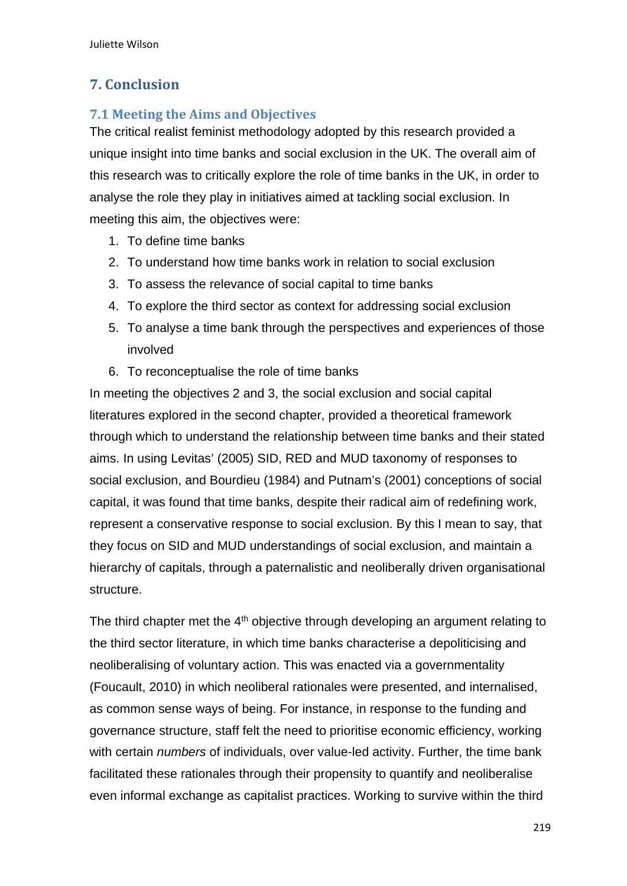# **7. Conclusion**

### **7.1 Meeting the Aims and Objectives**

The critical realist feminist methodology adopted by this research provided a unique insight into time banks and social exclusion in the UK. The overall aim of this research was to critically explore the role of time banks in the UK, in order to analyse the role they play in initiatives aimed at tackling social exclusion. In meeting this aim, the objectives were:

- 1. To define time banks
- 2. To understand how time banks work in relation to social exclusion
- 3. To assess the relevance of social capital to time banks
- 4. To explore the third sector as context for addressing social exclusion
- 5. To analyse a time bank through the perspectives and experiences of those involved
- 6. To reconceptualise the role of time banks

In meeting the objectives 2 and 3, the social exclusion and social capital literatures explored in the second chapter, provided a theoretical framework through which to understand the relationship between time banks and their stated aims. In using Levitas' (2005) SID, RED and MUD taxonomy of responses to social exclusion, and Bourdieu (1984) and Putnam's (2001) conceptions of social capital, it was found that time banks, despite their radical aim of redefining work, represent a conservative response to social exclusion. By this I mean to say, that they focus on SID and MUD understandings of social exclusion, and maintain a hierarchy of capitals, through a paternalistic and neoliberally driven organisational structure.

The third chapter met the  $4<sup>th</sup>$  objective through developing an argument relating to the third sector literature, in which time banks characterise a depoliticising and neoliberalising of voluntary action. This was enacted via a governmentality (Foucault, 2010) in which neoliberal rationales were presented, and internalised, as common sense ways of being. For instance, in response to the funding and governance structure, staff felt the need to prioritise economic efficiency, working with certain *numbers* of individuals, over value-led activity. Further, the time bank facilitated these rationales through their propensity to quantify and neoliberalise even informal exchange as capitalist practices. Working to survive within the third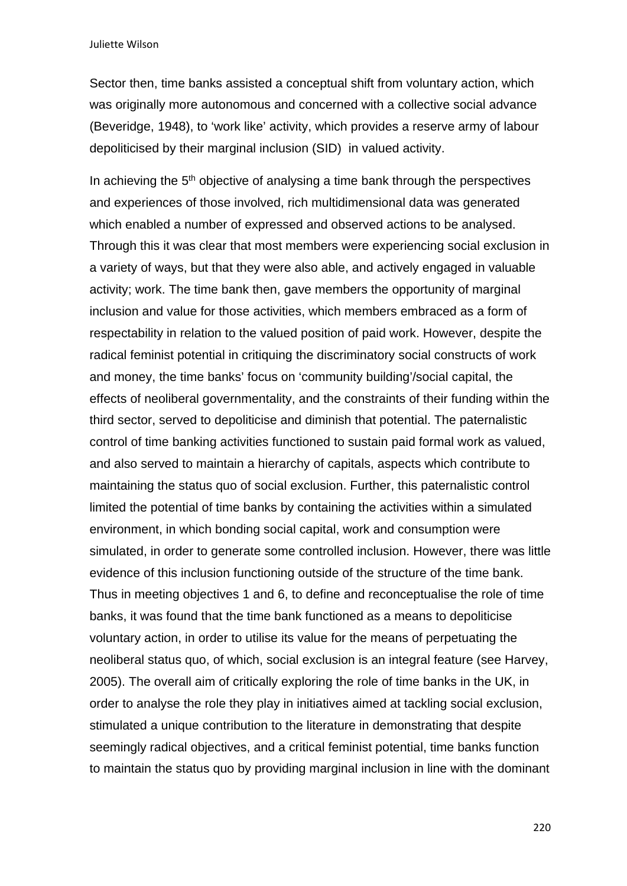Sector then, time banks assisted a conceptual shift from voluntary action, which was originally more autonomous and concerned with a collective social advance (Beveridge, 1948), to 'work like' activity, which provides a reserve army of labour depoliticised by their marginal inclusion (SID) in valued activity.

In achieving the  $5<sup>th</sup>$  objective of analysing a time bank through the perspectives and experiences of those involved, rich multidimensional data was generated which enabled a number of expressed and observed actions to be analysed. Through this it was clear that most members were experiencing social exclusion in a variety of ways, but that they were also able, and actively engaged in valuable activity; work. The time bank then, gave members the opportunity of marginal inclusion and value for those activities, which members embraced as a form of respectability in relation to the valued position of paid work. However, despite the radical feminist potential in critiquing the discriminatory social constructs of work and money, the time banks' focus on 'community building'/social capital, the effects of neoliberal governmentality, and the constraints of their funding within the third sector, served to depoliticise and diminish that potential. The paternalistic control of time banking activities functioned to sustain paid formal work as valued, and also served to maintain a hierarchy of capitals, aspects which contribute to maintaining the status quo of social exclusion. Further, this paternalistic control limited the potential of time banks by containing the activities within a simulated environment, in which bonding social capital, work and consumption were simulated, in order to generate some controlled inclusion. However, there was little evidence of this inclusion functioning outside of the structure of the time bank. Thus in meeting objectives 1 and 6, to define and reconceptualise the role of time banks, it was found that the time bank functioned as a means to depoliticise voluntary action, in order to utilise its value for the means of perpetuating the neoliberal status quo, of which, social exclusion is an integral feature (see Harvey, 2005). The overall aim of critically exploring the role of time banks in the UK, in order to analyse the role they play in initiatives aimed at tackling social exclusion, stimulated a unique contribution to the literature in demonstrating that despite seemingly radical objectives, and a critical feminist potential, time banks function to maintain the status quo by providing marginal inclusion in line with the dominant

220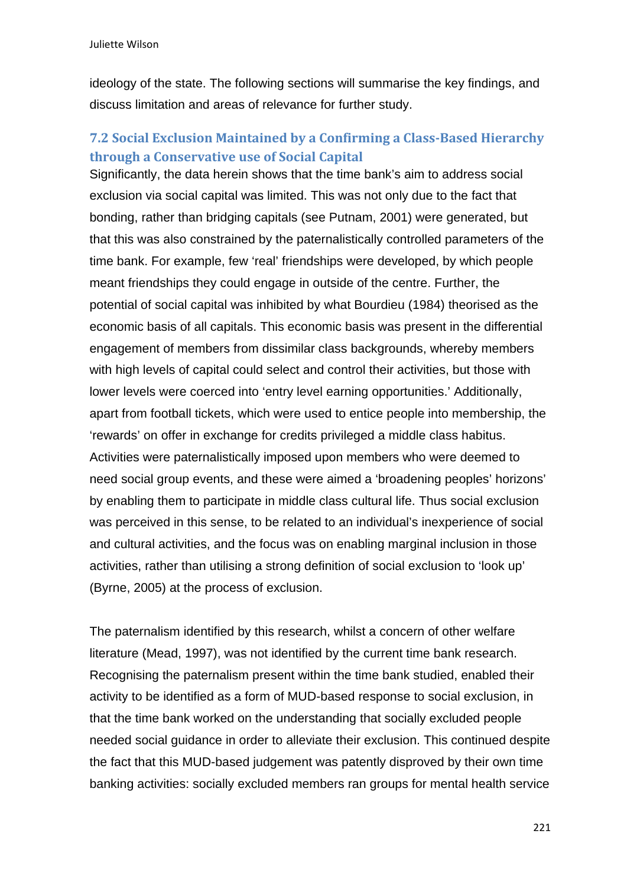ideology of the state. The following sections will summarise the key findings, and discuss limitation and areas of relevance for further study.

### **7.2 Social Exclusion Maintained by a Confirming a Class‐Based Hierarchy through a Conservative use of Social Capital**

Significantly, the data herein shows that the time bank's aim to address social exclusion via social capital was limited. This was not only due to the fact that bonding, rather than bridging capitals (see Putnam, 2001) were generated, but that this was also constrained by the paternalistically controlled parameters of the time bank. For example, few 'real' friendships were developed, by which people meant friendships they could engage in outside of the centre. Further, the potential of social capital was inhibited by what Bourdieu (1984) theorised as the economic basis of all capitals. This economic basis was present in the differential engagement of members from dissimilar class backgrounds, whereby members with high levels of capital could select and control their activities, but those with lower levels were coerced into 'entry level earning opportunities.' Additionally, apart from football tickets, which were used to entice people into membership, the 'rewards' on offer in exchange for credits privileged a middle class habitus. Activities were paternalistically imposed upon members who were deemed to need social group events, and these were aimed a 'broadening peoples' horizons' by enabling them to participate in middle class cultural life. Thus social exclusion was perceived in this sense, to be related to an individual's inexperience of social and cultural activities, and the focus was on enabling marginal inclusion in those activities, rather than utilising a strong definition of social exclusion to 'look up' (Byrne, 2005) at the process of exclusion.

The paternalism identified by this research, whilst a concern of other welfare literature (Mead, 1997), was not identified by the current time bank research. Recognising the paternalism present within the time bank studied, enabled their activity to be identified as a form of MUD-based response to social exclusion, in that the time bank worked on the understanding that socially excluded people needed social guidance in order to alleviate their exclusion. This continued despite the fact that this MUD-based judgement was patently disproved by their own time banking activities: socially excluded members ran groups for mental health service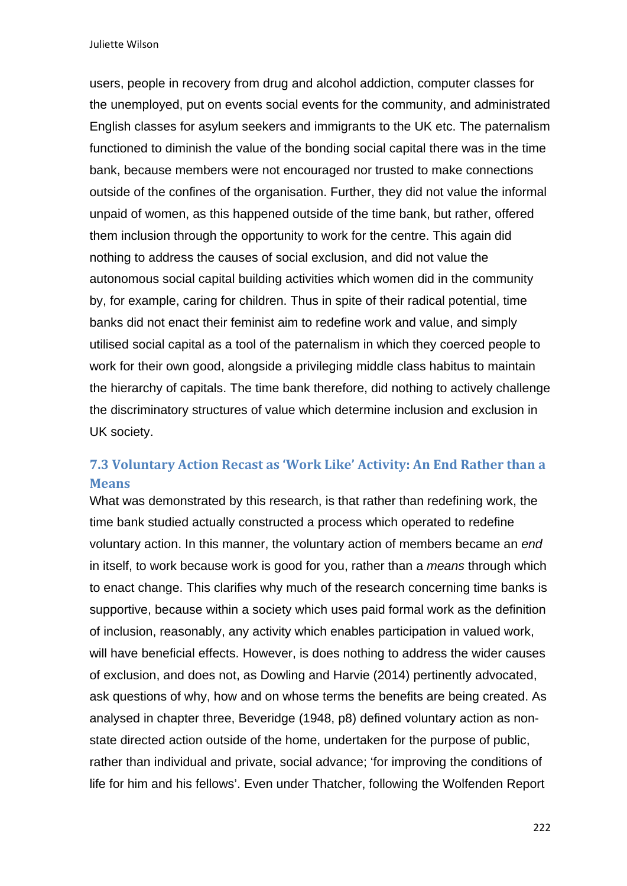users, people in recovery from drug and alcohol addiction, computer classes for the unemployed, put on events social events for the community, and administrated English classes for asylum seekers and immigrants to the UK etc. The paternalism functioned to diminish the value of the bonding social capital there was in the time bank, because members were not encouraged nor trusted to make connections outside of the confines of the organisation. Further, they did not value the informal unpaid of women, as this happened outside of the time bank, but rather, offered them inclusion through the opportunity to work for the centre. This again did nothing to address the causes of social exclusion, and did not value the autonomous social capital building activities which women did in the community by, for example, caring for children. Thus in spite of their radical potential, time banks did not enact their feminist aim to redefine work and value, and simply utilised social capital as a tool of the paternalism in which they coerced people to work for their own good, alongside a privileging middle class habitus to maintain the hierarchy of capitals. The time bank therefore, did nothing to actively challenge the discriminatory structures of value which determine inclusion and exclusion in UK society.

## **7.3 Voluntary Action Recast as 'Work Like' Activity: An End Rather than a Means**

What was demonstrated by this research, is that rather than redefining work, the time bank studied actually constructed a process which operated to redefine voluntary action. In this manner, the voluntary action of members became an *end* in itself, to work because work is good for you, rather than a *means* through which to enact change. This clarifies why much of the research concerning time banks is supportive, because within a society which uses paid formal work as the definition of inclusion, reasonably, any activity which enables participation in valued work, will have beneficial effects. However, is does nothing to address the wider causes of exclusion, and does not, as Dowling and Harvie (2014) pertinently advocated, ask questions of why, how and on whose terms the benefits are being created. As analysed in chapter three, Beveridge (1948, p8) defined voluntary action as nonstate directed action outside of the home, undertaken for the purpose of public, rather than individual and private, social advance; 'for improving the conditions of life for him and his fellows'. Even under Thatcher, following the Wolfenden Report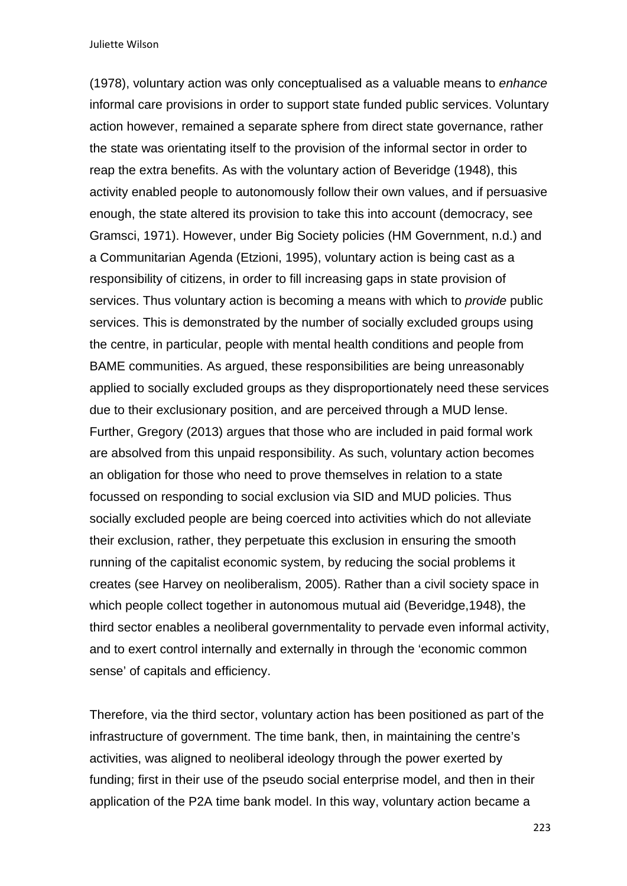(1978), voluntary action was only conceptualised as a valuable means to *enhance*  informal care provisions in order to support state funded public services. Voluntary action however, remained a separate sphere from direct state governance, rather the state was orientating itself to the provision of the informal sector in order to reap the extra benefits. As with the voluntary action of Beveridge (1948), this activity enabled people to autonomously follow their own values, and if persuasive enough, the state altered its provision to take this into account (democracy, see Gramsci, 1971). However, under Big Society policies (HM Government, n.d.) and a Communitarian Agenda (Etzioni, 1995), voluntary action is being cast as a responsibility of citizens, in order to fill increasing gaps in state provision of services. Thus voluntary action is becoming a means with which to *provide* public services. This is demonstrated by the number of socially excluded groups using the centre, in particular, people with mental health conditions and people from BAME communities. As argued, these responsibilities are being unreasonably applied to socially excluded groups as they disproportionately need these services due to their exclusionary position, and are perceived through a MUD lense. Further, Gregory (2013) argues that those who are included in paid formal work are absolved from this unpaid responsibility. As such, voluntary action becomes an obligation for those who need to prove themselves in relation to a state focussed on responding to social exclusion via SID and MUD policies. Thus socially excluded people are being coerced into activities which do not alleviate their exclusion, rather, they perpetuate this exclusion in ensuring the smooth running of the capitalist economic system, by reducing the social problems it creates (see Harvey on neoliberalism, 2005). Rather than a civil society space in which people collect together in autonomous mutual aid (Beveridge, 1948), the third sector enables a neoliberal governmentality to pervade even informal activity, and to exert control internally and externally in through the 'economic common sense' of capitals and efficiency.

Therefore, via the third sector, voluntary action has been positioned as part of the infrastructure of government. The time bank, then, in maintaining the centre's activities, was aligned to neoliberal ideology through the power exerted by funding; first in their use of the pseudo social enterprise model, and then in their application of the P2A time bank model. In this way, voluntary action became a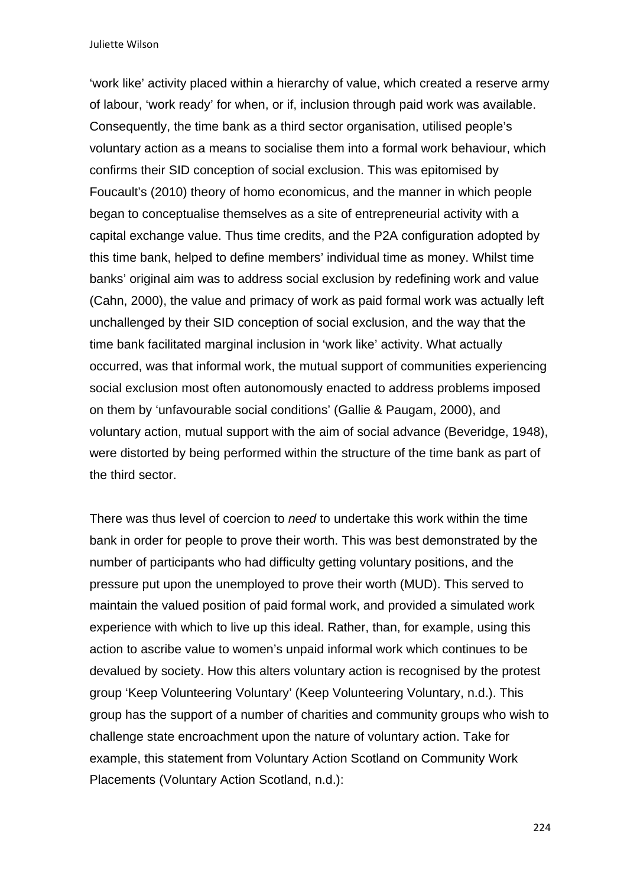'work like' activity placed within a hierarchy of value, which created a reserve army of labour, 'work ready' for when, or if, inclusion through paid work was available. Consequently, the time bank as a third sector organisation, utilised people's voluntary action as a means to socialise them into a formal work behaviour, which confirms their SID conception of social exclusion. This was epitomised by Foucault's (2010) theory of homo economicus, and the manner in which people began to conceptualise themselves as a site of entrepreneurial activity with a capital exchange value. Thus time credits, and the P2A configuration adopted by this time bank, helped to define members' individual time as money. Whilst time banks' original aim was to address social exclusion by redefining work and value (Cahn, 2000), the value and primacy of work as paid formal work was actually left unchallenged by their SID conception of social exclusion, and the way that the time bank facilitated marginal inclusion in 'work like' activity. What actually occurred, was that informal work, the mutual support of communities experiencing social exclusion most often autonomously enacted to address problems imposed on them by 'unfavourable social conditions' (Gallie & Paugam, 2000), and voluntary action, mutual support with the aim of social advance (Beveridge, 1948), were distorted by being performed within the structure of the time bank as part of the third sector.

There was thus level of coercion to *need* to undertake this work within the time bank in order for people to prove their worth. This was best demonstrated by the number of participants who had difficulty getting voluntary positions, and the pressure put upon the unemployed to prove their worth (MUD). This served to maintain the valued position of paid formal work, and provided a simulated work experience with which to live up this ideal. Rather, than, for example, using this action to ascribe value to women's unpaid informal work which continues to be devalued by society. How this alters voluntary action is recognised by the protest group 'Keep Volunteering Voluntary' (Keep Volunteering Voluntary, n.d.). This group has the support of a number of charities and community groups who wish to challenge state encroachment upon the nature of voluntary action. Take for example, this statement from Voluntary Action Scotland on Community Work Placements (Voluntary Action Scotland, n.d.):

224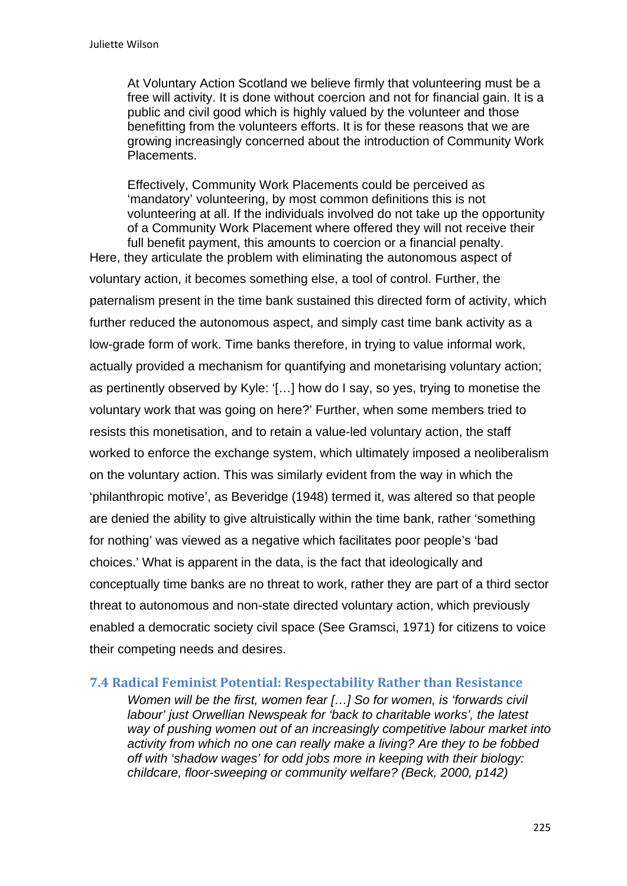At Voluntary Action Scotland we believe firmly that volunteering must be a free will activity. It is done without coercion and not for financial gain. It is a public and civil good which is highly valued by the volunteer and those benefitting from the volunteers efforts. It is for these reasons that we are growing increasingly concerned about the introduction of Community Work Placements.

Effectively, Community Work Placements could be perceived as 'mandatory' volunteering, by most common definitions this is not volunteering at all. If the individuals involved do not take up the opportunity of a Community Work Placement where offered they will not receive their full benefit payment, this amounts to coercion or a financial penalty.

Here, they articulate the problem with eliminating the autonomous aspect of voluntary action, it becomes something else, a tool of control. Further, the paternalism present in the time bank sustained this directed form of activity, which further reduced the autonomous aspect, and simply cast time bank activity as a low-grade form of work. Time banks therefore, in trying to value informal work, actually provided a mechanism for quantifying and monetarising voluntary action; as pertinently observed by Kyle: '[…] how do I say, so yes, trying to monetise the voluntary work that was going on here?' Further, when some members tried to resists this monetisation, and to retain a value-led voluntary action, the staff worked to enforce the exchange system, which ultimately imposed a neoliberalism on the voluntary action. This was similarly evident from the way in which the 'philanthropic motive', as Beveridge (1948) termed it, was altered so that people are denied the ability to give altruistically within the time bank, rather 'something for nothing' was viewed as a negative which facilitates poor people's 'bad choices.' What is apparent in the data, is the fact that ideologically and conceptually time banks are no threat to work, rather they are part of a third sector threat to autonomous and non-state directed voluntary action, which previously enabled a democratic society civil space (See Gramsci, 1971) for citizens to voice their competing needs and desires.

#### **7.4 Radical Feminist Potential: Respectability Rather than Resistance**

*Women will be the first, women fear […] So for women, is 'forwards civil labour' just Orwellian Newspeak for 'back to charitable works', the latest way of pushing women out of an increasingly competitive labour market into activity from which no one can really make a living? Are they to be fobbed off with 'shadow wages' for odd jobs more in keeping with their biology: childcare, floor-sweeping or community welfare? (Beck, 2000, p142)*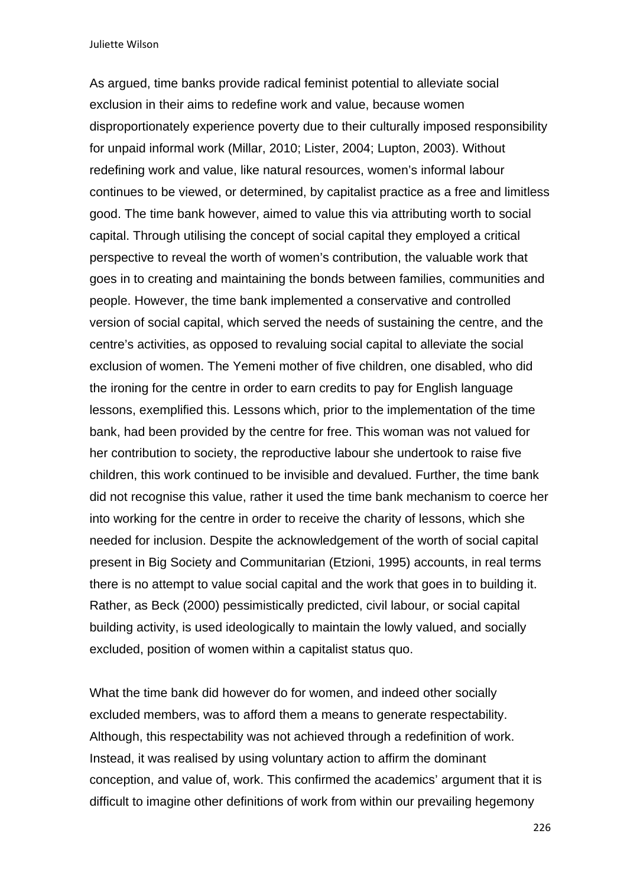As argued, time banks provide radical feminist potential to alleviate social exclusion in their aims to redefine work and value, because women disproportionately experience poverty due to their culturally imposed responsibility for unpaid informal work (Millar, 2010; Lister, 2004; Lupton, 2003). Without redefining work and value, like natural resources, women's informal labour continues to be viewed, or determined, by capitalist practice as a free and limitless good. The time bank however, aimed to value this via attributing worth to social capital. Through utilising the concept of social capital they employed a critical perspective to reveal the worth of women's contribution, the valuable work that goes in to creating and maintaining the bonds between families, communities and people. However, the time bank implemented a conservative and controlled version of social capital, which served the needs of sustaining the centre, and the centre's activities, as opposed to revaluing social capital to alleviate the social exclusion of women. The Yemeni mother of five children, one disabled, who did the ironing for the centre in order to earn credits to pay for English language lessons, exemplified this. Lessons which, prior to the implementation of the time bank, had been provided by the centre for free. This woman was not valued for her contribution to society, the reproductive labour she undertook to raise five children, this work continued to be invisible and devalued. Further, the time bank did not recognise this value, rather it used the time bank mechanism to coerce her into working for the centre in order to receive the charity of lessons, which she needed for inclusion. Despite the acknowledgement of the worth of social capital present in Big Society and Communitarian (Etzioni, 1995) accounts, in real terms there is no attempt to value social capital and the work that goes in to building it. Rather, as Beck (2000) pessimistically predicted, civil labour, or social capital building activity, is used ideologically to maintain the lowly valued, and socially excluded, position of women within a capitalist status quo.

What the time bank did however do for women, and indeed other socially excluded members, was to afford them a means to generate respectability. Although, this respectability was not achieved through a redefinition of work. Instead, it was realised by using voluntary action to affirm the dominant conception, and value of, work. This confirmed the academics' argument that it is difficult to imagine other definitions of work from within our prevailing hegemony

226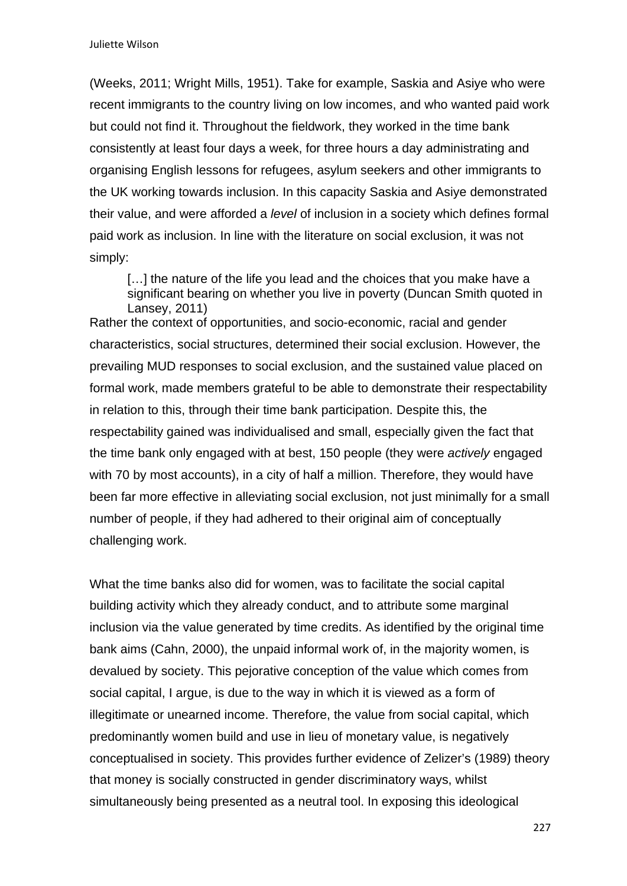(Weeks, 2011; Wright Mills, 1951). Take for example, Saskia and Asiye who were recent immigrants to the country living on low incomes, and who wanted paid work but could not find it. Throughout the fieldwork, they worked in the time bank consistently at least four days a week, for three hours a day administrating and organising English lessons for refugees, asylum seekers and other immigrants to the UK working towards inclusion. In this capacity Saskia and Asiye demonstrated their value, and were afforded a *level* of inclusion in a society which defines formal paid work as inclusion. In line with the literature on social exclusion, it was not simply:

[...] the nature of the life you lead and the choices that you make have a significant bearing on whether you live in poverty (Duncan Smith quoted in Lansey, 2011)

Rather the context of opportunities, and socio-economic, racial and gender characteristics, social structures, determined their social exclusion. However, the prevailing MUD responses to social exclusion, and the sustained value placed on formal work, made members grateful to be able to demonstrate their respectability in relation to this, through their time bank participation. Despite this, the respectability gained was individualised and small, especially given the fact that the time bank only engaged with at best, 150 people (they were *actively* engaged with 70 by most accounts), in a city of half a million. Therefore, they would have been far more effective in alleviating social exclusion, not just minimally for a small number of people, if they had adhered to their original aim of conceptually challenging work.

What the time banks also did for women, was to facilitate the social capital building activity which they already conduct, and to attribute some marginal inclusion via the value generated by time credits. As identified by the original time bank aims (Cahn, 2000), the unpaid informal work of, in the majority women, is devalued by society. This pejorative conception of the value which comes from social capital, I argue, is due to the way in which it is viewed as a form of illegitimate or unearned income. Therefore, the value from social capital, which predominantly women build and use in lieu of monetary value, is negatively conceptualised in society. This provides further evidence of Zelizer's (1989) theory that money is socially constructed in gender discriminatory ways, whilst simultaneously being presented as a neutral tool. In exposing this ideological

227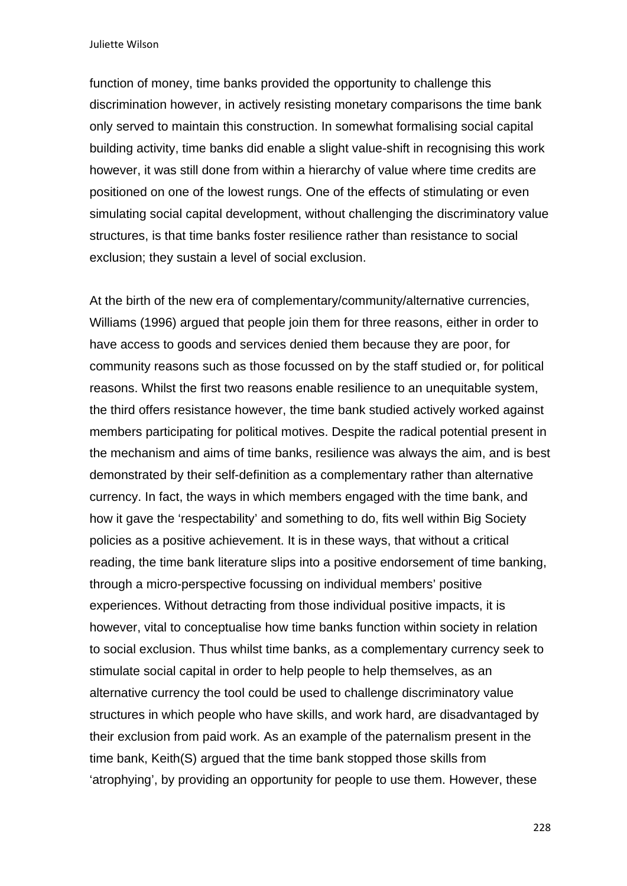function of money, time banks provided the opportunity to challenge this discrimination however, in actively resisting monetary comparisons the time bank only served to maintain this construction. In somewhat formalising social capital building activity, time banks did enable a slight value-shift in recognising this work however, it was still done from within a hierarchy of value where time credits are positioned on one of the lowest rungs. One of the effects of stimulating or even simulating social capital development, without challenging the discriminatory value structures, is that time banks foster resilience rather than resistance to social exclusion; they sustain a level of social exclusion.

At the birth of the new era of complementary/community/alternative currencies, Williams (1996) argued that people join them for three reasons, either in order to have access to goods and services denied them because they are poor, for community reasons such as those focussed on by the staff studied or, for political reasons. Whilst the first two reasons enable resilience to an unequitable system, the third offers resistance however, the time bank studied actively worked against members participating for political motives. Despite the radical potential present in the mechanism and aims of time banks, resilience was always the aim, and is best demonstrated by their self-definition as a complementary rather than alternative currency. In fact, the ways in which members engaged with the time bank, and how it gave the 'respectability' and something to do, fits well within Big Society policies as a positive achievement. It is in these ways, that without a critical reading, the time bank literature slips into a positive endorsement of time banking, through a micro-perspective focussing on individual members' positive experiences. Without detracting from those individual positive impacts, it is however, vital to conceptualise how time banks function within society in relation to social exclusion. Thus whilst time banks, as a complementary currency seek to stimulate social capital in order to help people to help themselves, as an alternative currency the tool could be used to challenge discriminatory value structures in which people who have skills, and work hard, are disadvantaged by their exclusion from paid work. As an example of the paternalism present in the time bank, Keith(S) argued that the time bank stopped those skills from 'atrophying', by providing an opportunity for people to use them. However, these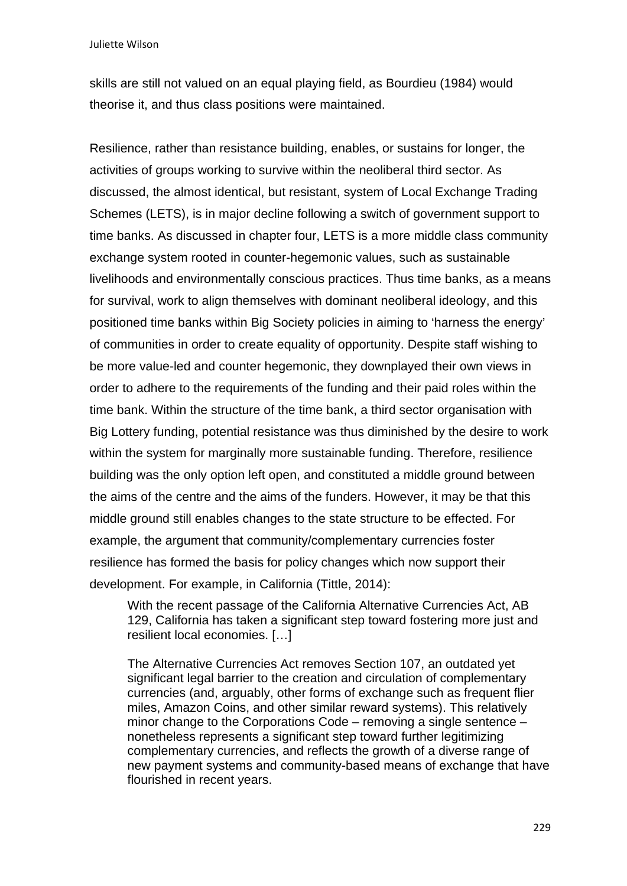skills are still not valued on an equal playing field, as Bourdieu (1984) would theorise it, and thus class positions were maintained.

Resilience, rather than resistance building, enables, or sustains for longer, the activities of groups working to survive within the neoliberal third sector. As discussed, the almost identical, but resistant, system of Local Exchange Trading Schemes (LETS), is in major decline following a switch of government support to time banks. As discussed in chapter four, LETS is a more middle class community exchange system rooted in counter-hegemonic values, such as sustainable livelihoods and environmentally conscious practices. Thus time banks, as a means for survival, work to align themselves with dominant neoliberal ideology, and this positioned time banks within Big Society policies in aiming to 'harness the energy' of communities in order to create equality of opportunity. Despite staff wishing to be more value-led and counter hegemonic, they downplayed their own views in order to adhere to the requirements of the funding and their paid roles within the time bank. Within the structure of the time bank, a third sector organisation with Big Lottery funding, potential resistance was thus diminished by the desire to work within the system for marginally more sustainable funding. Therefore, resilience building was the only option left open, and constituted a middle ground between the aims of the centre and the aims of the funders. However, it may be that this middle ground still enables changes to the state structure to be effected. For example, the argument that community/complementary currencies foster resilience has formed the basis for policy changes which now support their development. For example, in California (Tittle, 2014):

With the recent passage of the California Alternative Currencies Act, AB 129, California has taken a significant step toward fostering more just and resilient local economies. […]

The Alternative Currencies Act removes Section 107, an outdated yet significant legal barrier to the creation and circulation of complementary currencies (and, arguably, other forms of exchange such as frequent flier miles, Amazon Coins, and other similar reward systems). This relatively minor change to the Corporations Code – removing a single sentence – nonetheless represents a significant step toward further legitimizing complementary currencies, and reflects the growth of a diverse range of new payment systems and community-based means of exchange that have flourished in recent years.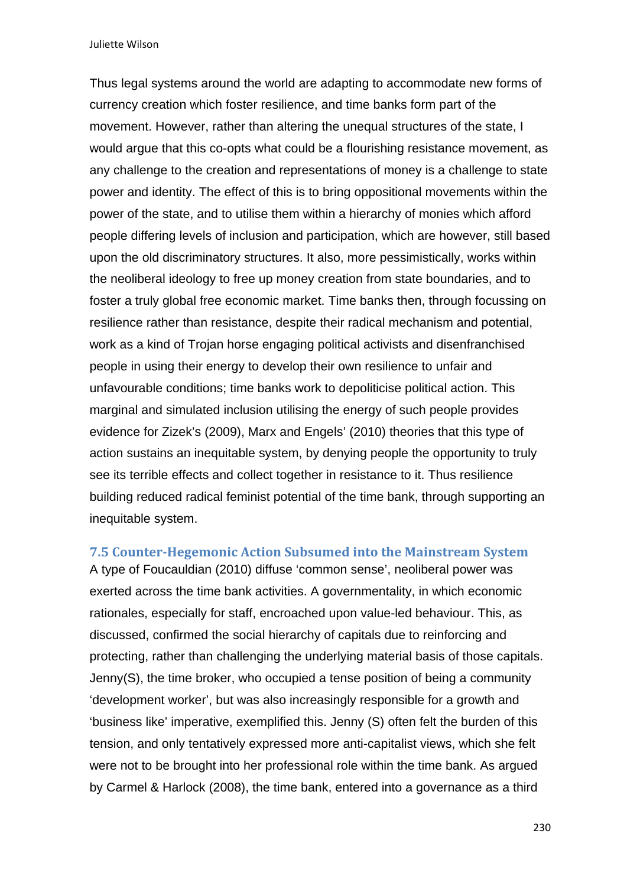Thus legal systems around the world are adapting to accommodate new forms of currency creation which foster resilience, and time banks form part of the movement. However, rather than altering the unequal structures of the state, I would argue that this co-opts what could be a flourishing resistance movement, as any challenge to the creation and representations of money is a challenge to state power and identity. The effect of this is to bring oppositional movements within the power of the state, and to utilise them within a hierarchy of monies which afford people differing levels of inclusion and participation, which are however, still based upon the old discriminatory structures. It also, more pessimistically, works within the neoliberal ideology to free up money creation from state boundaries, and to foster a truly global free economic market. Time banks then, through focussing on resilience rather than resistance, despite their radical mechanism and potential, work as a kind of Trojan horse engaging political activists and disenfranchised people in using their energy to develop their own resilience to unfair and unfavourable conditions; time banks work to depoliticise political action. This marginal and simulated inclusion utilising the energy of such people provides evidence for Zizek's (2009), Marx and Engels' (2010) theories that this type of action sustains an inequitable system, by denying people the opportunity to truly see its terrible effects and collect together in resistance to it. Thus resilience building reduced radical feminist potential of the time bank, through supporting an inequitable system.

**7.5 Counter‐Hegemonic Action Subsumed into the Mainstream System** 

A type of Foucauldian (2010) diffuse 'common sense', neoliberal power was exerted across the time bank activities. A governmentality, in which economic rationales, especially for staff, encroached upon value-led behaviour. This, as discussed, confirmed the social hierarchy of capitals due to reinforcing and protecting, rather than challenging the underlying material basis of those capitals. Jenny(S), the time broker, who occupied a tense position of being a community 'development worker', but was also increasingly responsible for a growth and 'business like' imperative, exemplified this. Jenny (S) often felt the burden of this tension, and only tentatively expressed more anti-capitalist views, which she felt were not to be brought into her professional role within the time bank. As argued by Carmel & Harlock (2008), the time bank, entered into a governance as a third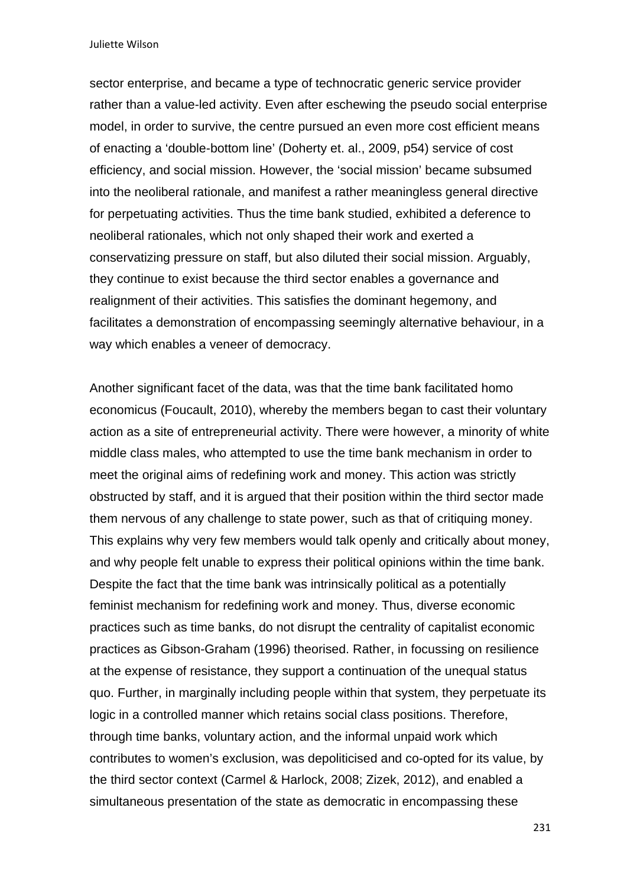sector enterprise, and became a type of technocratic generic service provider rather than a value-led activity. Even after eschewing the pseudo social enterprise model, in order to survive, the centre pursued an even more cost efficient means of enacting a 'double-bottom line' (Doherty et. al., 2009, p54) service of cost efficiency, and social mission. However, the 'social mission' became subsumed into the neoliberal rationale, and manifest a rather meaningless general directive for perpetuating activities. Thus the time bank studied, exhibited a deference to neoliberal rationales, which not only shaped their work and exerted a conservatizing pressure on staff, but also diluted their social mission. Arguably, they continue to exist because the third sector enables a governance and realignment of their activities. This satisfies the dominant hegemony, and facilitates a demonstration of encompassing seemingly alternative behaviour, in a way which enables a veneer of democracy.

Another significant facet of the data, was that the time bank facilitated homo economicus (Foucault, 2010), whereby the members began to cast their voluntary action as a site of entrepreneurial activity. There were however, a minority of white middle class males, who attempted to use the time bank mechanism in order to meet the original aims of redefining work and money. This action was strictly obstructed by staff, and it is argued that their position within the third sector made them nervous of any challenge to state power, such as that of critiquing money. This explains why very few members would talk openly and critically about money, and why people felt unable to express their political opinions within the time bank. Despite the fact that the time bank was intrinsically political as a potentially feminist mechanism for redefining work and money. Thus, diverse economic practices such as time banks, do not disrupt the centrality of capitalist economic practices as Gibson-Graham (1996) theorised. Rather, in focussing on resilience at the expense of resistance, they support a continuation of the unequal status quo. Further, in marginally including people within that system, they perpetuate its logic in a controlled manner which retains social class positions. Therefore, through time banks, voluntary action, and the informal unpaid work which contributes to women's exclusion, was depoliticised and co-opted for its value, by the third sector context (Carmel & Harlock, 2008; Zizek, 2012), and enabled a simultaneous presentation of the state as democratic in encompassing these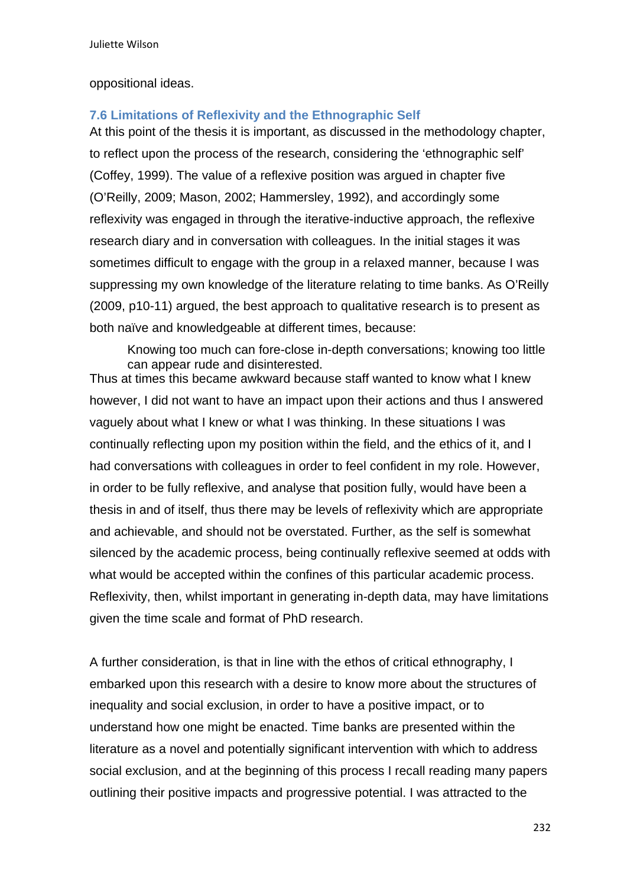#### oppositional ideas.

### **7.6 Limitations of Reflexivity and the Ethnographic Self**

At this point of the thesis it is important, as discussed in the methodology chapter, to reflect upon the process of the research, considering the 'ethnographic self' (Coffey, 1999). The value of a reflexive position was argued in chapter five (O'Reilly, 2009; Mason, 2002; Hammersley, 1992), and accordingly some reflexivity was engaged in through the iterative-inductive approach, the reflexive research diary and in conversation with colleagues. In the initial stages it was sometimes difficult to engage with the group in a relaxed manner, because I was suppressing my own knowledge of the literature relating to time banks. As O'Reilly (2009, p10-11) argued, the best approach to qualitative research is to present as both naïve and knowledgeable at different times, because:

Knowing too much can fore-close in-depth conversations; knowing too little can appear rude and disinterested.

Thus at times this became awkward because staff wanted to know what I knew however, I did not want to have an impact upon their actions and thus I answered vaguely about what I knew or what I was thinking. In these situations I was continually reflecting upon my position within the field, and the ethics of it, and I had conversations with colleagues in order to feel confident in my role. However, in order to be fully reflexive, and analyse that position fully, would have been a thesis in and of itself, thus there may be levels of reflexivity which are appropriate and achievable, and should not be overstated. Further, as the self is somewhat silenced by the academic process, being continually reflexive seemed at odds with what would be accepted within the confines of this particular academic process. Reflexivity, then, whilst important in generating in-depth data, may have limitations given the time scale and format of PhD research.

A further consideration, is that in line with the ethos of critical ethnography, I embarked upon this research with a desire to know more about the structures of inequality and social exclusion, in order to have a positive impact, or to understand how one might be enacted. Time banks are presented within the literature as a novel and potentially significant intervention with which to address social exclusion, and at the beginning of this process I recall reading many papers outlining their positive impacts and progressive potential. I was attracted to the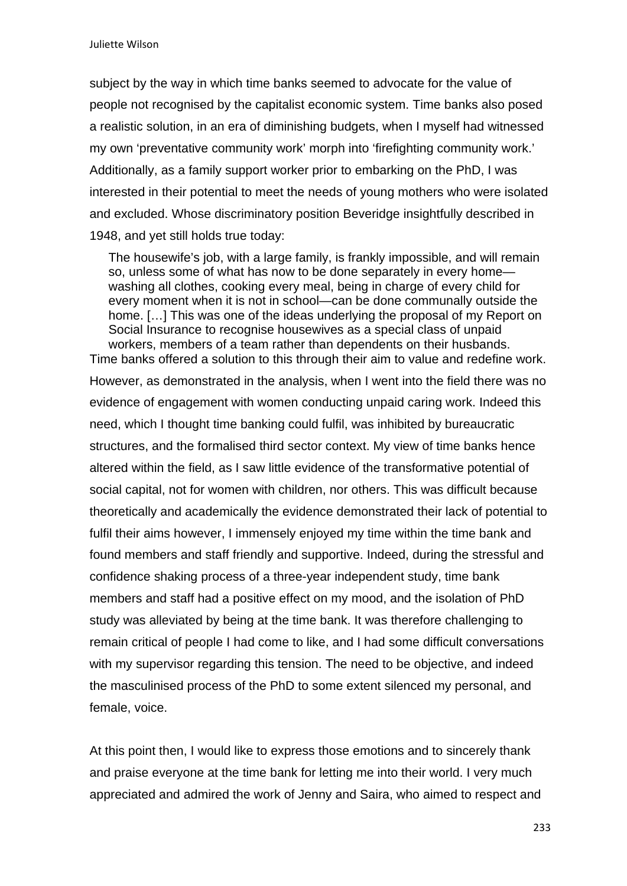subject by the way in which time banks seemed to advocate for the value of people not recognised by the capitalist economic system. Time banks also posed a realistic solution, in an era of diminishing budgets, when I myself had witnessed my own 'preventative community work' morph into 'firefighting community work.' Additionally, as a family support worker prior to embarking on the PhD, I was interested in their potential to meet the needs of young mothers who were isolated and excluded. Whose discriminatory position Beveridge insightfully described in 1948, and yet still holds true today:

The housewife's job, with a large family, is frankly impossible, and will remain so, unless some of what has now to be done separately in every home washing all clothes, cooking every meal, being in charge of every child for every moment when it is not in school—can be done communally outside the home. [...] This was one of the ideas underlying the proposal of my Report on Social Insurance to recognise housewives as a special class of unpaid workers, members of a team rather than dependents on their husbands.

Time banks offered a solution to this through their aim to value and redefine work. However, as demonstrated in the analysis, when I went into the field there was no evidence of engagement with women conducting unpaid caring work. Indeed this need, which I thought time banking could fulfil, was inhibited by bureaucratic structures, and the formalised third sector context. My view of time banks hence altered within the field, as I saw little evidence of the transformative potential of social capital, not for women with children, nor others. This was difficult because theoretically and academically the evidence demonstrated their lack of potential to fulfil their aims however, I immensely enjoyed my time within the time bank and found members and staff friendly and supportive. Indeed, during the stressful and confidence shaking process of a three-year independent study, time bank members and staff had a positive effect on my mood, and the isolation of PhD study was alleviated by being at the time bank. It was therefore challenging to remain critical of people I had come to like, and I had some difficult conversations with my supervisor regarding this tension. The need to be objective, and indeed the masculinised process of the PhD to some extent silenced my personal, and female, voice.

At this point then, I would like to express those emotions and to sincerely thank and praise everyone at the time bank for letting me into their world. I very much appreciated and admired the work of Jenny and Saira, who aimed to respect and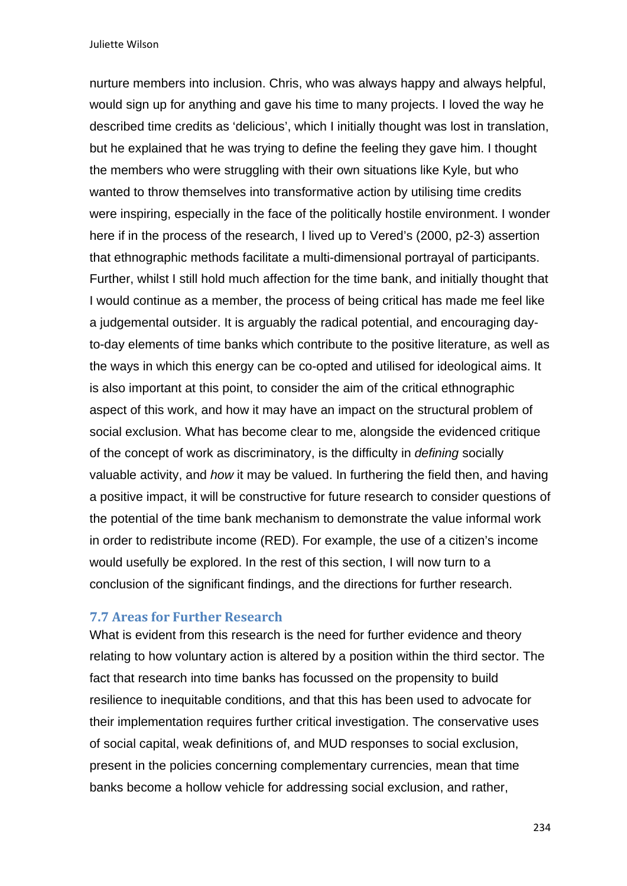nurture members into inclusion. Chris, who was always happy and always helpful, would sign up for anything and gave his time to many projects. I loved the way he described time credits as 'delicious', which I initially thought was lost in translation, but he explained that he was trying to define the feeling they gave him. I thought the members who were struggling with their own situations like Kyle, but who wanted to throw themselves into transformative action by utilising time credits were inspiring, especially in the face of the politically hostile environment. I wonder here if in the process of the research, I lived up to Vered's (2000, p2-3) assertion that ethnographic methods facilitate a multi-dimensional portrayal of participants. Further, whilst I still hold much affection for the time bank, and initially thought that I would continue as a member, the process of being critical has made me feel like a judgemental outsider. It is arguably the radical potential, and encouraging dayto-day elements of time banks which contribute to the positive literature, as well as the ways in which this energy can be co-opted and utilised for ideological aims. It is also important at this point, to consider the aim of the critical ethnographic aspect of this work, and how it may have an impact on the structural problem of social exclusion. What has become clear to me, alongside the evidenced critique of the concept of work as discriminatory, is the difficulty in *defining* socially valuable activity, and *how* it may be valued. In furthering the field then, and having a positive impact, it will be constructive for future research to consider questions of the potential of the time bank mechanism to demonstrate the value informal work in order to redistribute income (RED). For example, the use of a citizen's income would usefully be explored. In the rest of this section, I will now turn to a conclusion of the significant findings, and the directions for further research.

#### **7.7 Areas for Further Research**

What is evident from this research is the need for further evidence and theory relating to how voluntary action is altered by a position within the third sector. The fact that research into time banks has focussed on the propensity to build resilience to inequitable conditions, and that this has been used to advocate for their implementation requires further critical investigation. The conservative uses of social capital, weak definitions of, and MUD responses to social exclusion, present in the policies concerning complementary currencies, mean that time banks become a hollow vehicle for addressing social exclusion, and rather,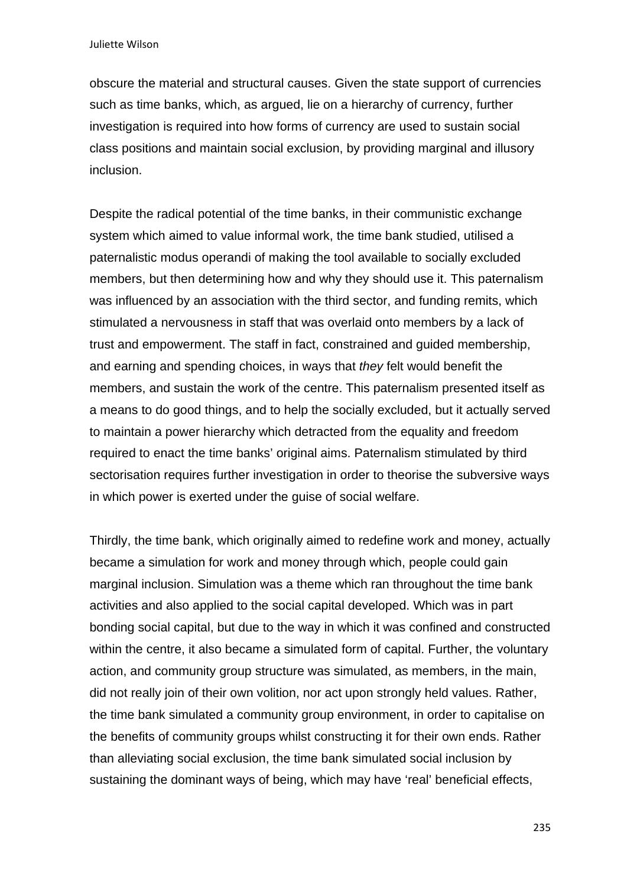obscure the material and structural causes. Given the state support of currencies such as time banks, which, as argued, lie on a hierarchy of currency, further investigation is required into how forms of currency are used to sustain social class positions and maintain social exclusion, by providing marginal and illusory inclusion.

Despite the radical potential of the time banks, in their communistic exchange system which aimed to value informal work, the time bank studied, utilised a paternalistic modus operandi of making the tool available to socially excluded members, but then determining how and why they should use it. This paternalism was influenced by an association with the third sector, and funding remits, which stimulated a nervousness in staff that was overlaid onto members by a lack of trust and empowerment. The staff in fact, constrained and guided membership, and earning and spending choices, in ways that *they* felt would benefit the members, and sustain the work of the centre. This paternalism presented itself as a means to do good things, and to help the socially excluded, but it actually served to maintain a power hierarchy which detracted from the equality and freedom required to enact the time banks' original aims. Paternalism stimulated by third sectorisation requires further investigation in order to theorise the subversive ways in which power is exerted under the guise of social welfare.

Thirdly, the time bank, which originally aimed to redefine work and money, actually became a simulation for work and money through which, people could gain marginal inclusion. Simulation was a theme which ran throughout the time bank activities and also applied to the social capital developed. Which was in part bonding social capital, but due to the way in which it was confined and constructed within the centre, it also became a simulated form of capital. Further, the voluntary action, and community group structure was simulated, as members, in the main, did not really join of their own volition, nor act upon strongly held values. Rather, the time bank simulated a community group environment, in order to capitalise on the benefits of community groups whilst constructing it for their own ends. Rather than alleviating social exclusion, the time bank simulated social inclusion by sustaining the dominant ways of being, which may have 'real' beneficial effects,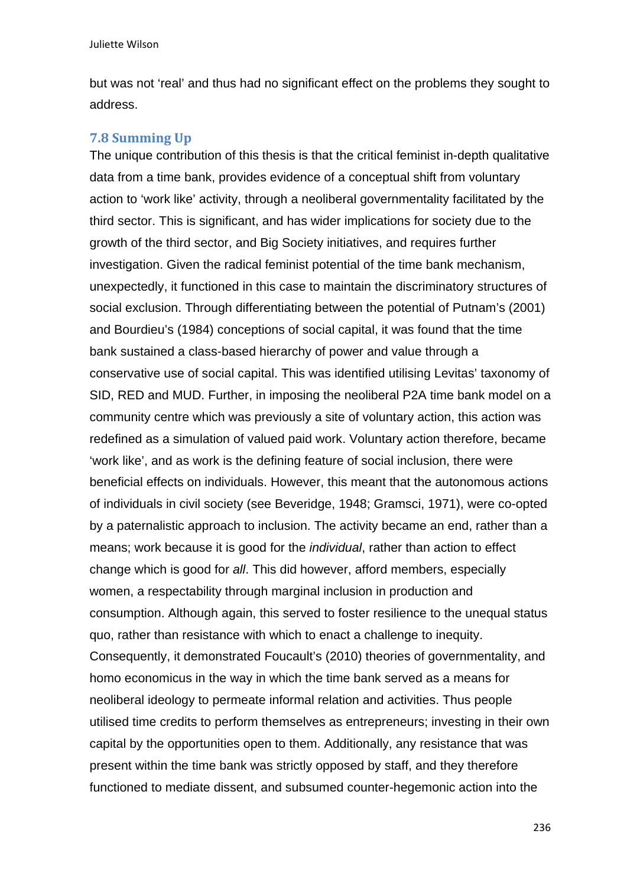but was not 'real' and thus had no significant effect on the problems they sought to address.

#### **7.8 Summing Up**

The unique contribution of this thesis is that the critical feminist in-depth qualitative data from a time bank, provides evidence of a conceptual shift from voluntary action to 'work like' activity, through a neoliberal governmentality facilitated by the third sector. This is significant, and has wider implications for society due to the growth of the third sector, and Big Society initiatives, and requires further investigation. Given the radical feminist potential of the time bank mechanism, unexpectedly, it functioned in this case to maintain the discriminatory structures of social exclusion. Through differentiating between the potential of Putnam's (2001) and Bourdieu's (1984) conceptions of social capital, it was found that the time bank sustained a class-based hierarchy of power and value through a conservative use of social capital. This was identified utilising Levitas' taxonomy of SID, RED and MUD. Further, in imposing the neoliberal P2A time bank model on a community centre which was previously a site of voluntary action, this action was redefined as a simulation of valued paid work. Voluntary action therefore, became 'work like', and as work is the defining feature of social inclusion, there were beneficial effects on individuals. However, this meant that the autonomous actions of individuals in civil society (see Beveridge, 1948; Gramsci, 1971), were co-opted by a paternalistic approach to inclusion. The activity became an end, rather than a means; work because it is good for the *individual*, rather than action to effect change which is good for *all*. This did however, afford members, especially women, a respectability through marginal inclusion in production and consumption. Although again, this served to foster resilience to the unequal status quo, rather than resistance with which to enact a challenge to inequity. Consequently, it demonstrated Foucault's (2010) theories of governmentality, and homo economicus in the way in which the time bank served as a means for neoliberal ideology to permeate informal relation and activities. Thus people utilised time credits to perform themselves as entrepreneurs; investing in their own capital by the opportunities open to them. Additionally, any resistance that was present within the time bank was strictly opposed by staff, and they therefore functioned to mediate dissent, and subsumed counter-hegemonic action into the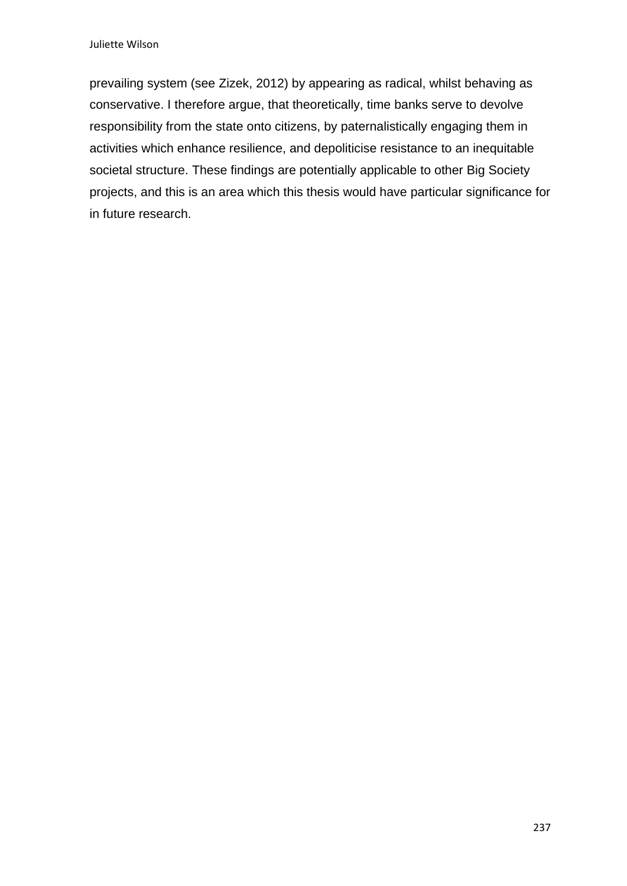prevailing system (see Zizek, 2012) by appearing as radical, whilst behaving as conservative. I therefore argue, that theoretically, time banks serve to devolve responsibility from the state onto citizens, by paternalistically engaging them in activities which enhance resilience, and depoliticise resistance to an inequitable societal structure. These findings are potentially applicable to other Big Society projects, and this is an area which this thesis would have particular significance for in future research.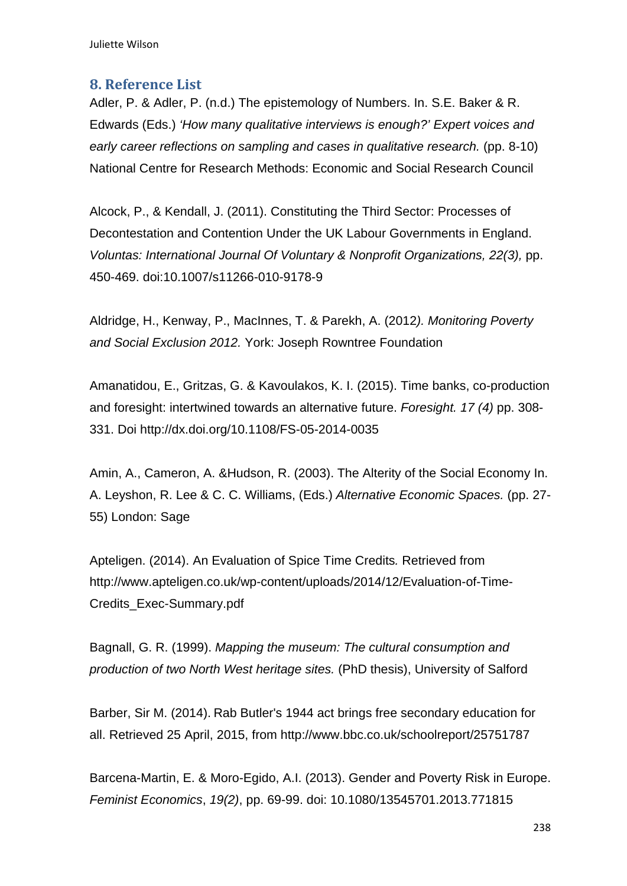### **8.** Reference List

Adler, P. & Adler, P. (n.d.) The epistemology of Numbers. In. S.E. Baker & R. Edwards (Eds.) *'How many qualitative interviews is enough?' Expert voices and early career reflections on sampling and cases in qualitative research.* (pp. 8-10) National Centre for Research Methods: Economic and Social Research Council

Alcock, P., & Kendall, J. (2011). Constituting the Third Sector: Processes of Decontestation and Contention Under the UK Labour Governments in England. *Voluntas: International Journal Of Voluntary & Nonprofit Organizations, 22(3),* pp. 450-469. doi:10.1007/s11266-010-9178-9

Aldridge, H., Kenway, P., MacInnes, T. & Parekh, A. (2012*). Monitoring Poverty and Social Exclusion 2012.* York: Joseph Rowntree Foundation

Amanatidou, E., Gritzas, G. & Kavoulakos, K. I. (2015). Time banks, co-production and foresight: intertwined towards an alternative future. *Foresight. 17 (4)* pp. 308- 331. Doi http://dx.doi.org/10.1108/FS-05-2014-0035

Amin, A., Cameron, A. &Hudson, R. (2003). The Alterity of the Social Economy In. A. Leyshon, R. Lee & C. C. Williams, (Eds.) *Alternative Economic Spaces.* (pp. 27- 55) London: Sage

Apteligen. (2014). An Evaluation of Spice Time Credits*.* Retrieved from http://www.apteligen.co.uk/wp-content/uploads/2014/12/Evaluation-of-Time-Credits\_Exec-Summary.pdf

Bagnall, G. R. (1999). *Mapping the museum: The cultural consumption and production of two North West heritage sites.* (PhD thesis), University of Salford

Barber, Sir M. (2014). Rab Butler's 1944 act brings free secondary education for all. Retrieved 25 April, 2015, from http://www.bbc.co.uk/schoolreport/25751787

Barcena-Martin, E. & Moro-Egido, A.I. (2013). Gender and Poverty Risk in Europe. *Feminist Economics*, *19(2)*, pp. 69-99. doi: 10.1080/13545701.2013.771815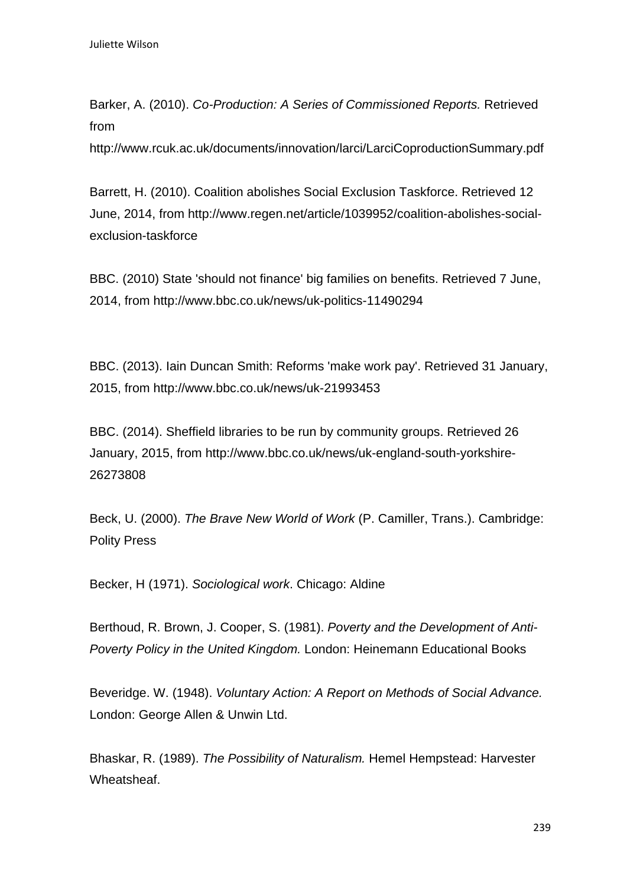Barker, A. (2010). *Co-Production: A Series of Commissioned Reports.* Retrieved from

http://www.rcuk.ac.uk/documents/innovation/larci/LarciCoproductionSummary.pdf

Barrett, H. (2010). Coalition abolishes Social Exclusion Taskforce. Retrieved 12 June, 2014, from http://www.regen.net/article/1039952/coalition-abolishes-socialexclusion-taskforce

BBC. (2010) State 'should not finance' big families on benefits. Retrieved 7 June, 2014, from http://www.bbc.co.uk/news/uk-politics-11490294

BBC. (2013). Iain Duncan Smith: Reforms 'make work pay'. Retrieved 31 January, 2015, from http://www.bbc.co.uk/news/uk-21993453

BBC. (2014). Sheffield libraries to be run by community groups. Retrieved 26 January, 2015, from http://www.bbc.co.uk/news/uk-england-south-yorkshire-26273808

Beck, U. (2000). *The Brave New World of Work* (P. Camiller, Trans.). Cambridge: Polity Press

Becker, H (1971). *Sociological work*. Chicago: Aldine

Berthoud, R. Brown, J. Cooper, S. (1981). *Poverty and the Development of Anti-Poverty Policy in the United Kingdom.* London: Heinemann Educational Books

Beveridge. W. (1948). *Voluntary Action: A Report on Methods of Social Advance.*  London: George Allen & Unwin Ltd.

Bhaskar, R. (1989). *The Possibility of Naturalism.* Hemel Hempstead: Harvester Wheatsheaf.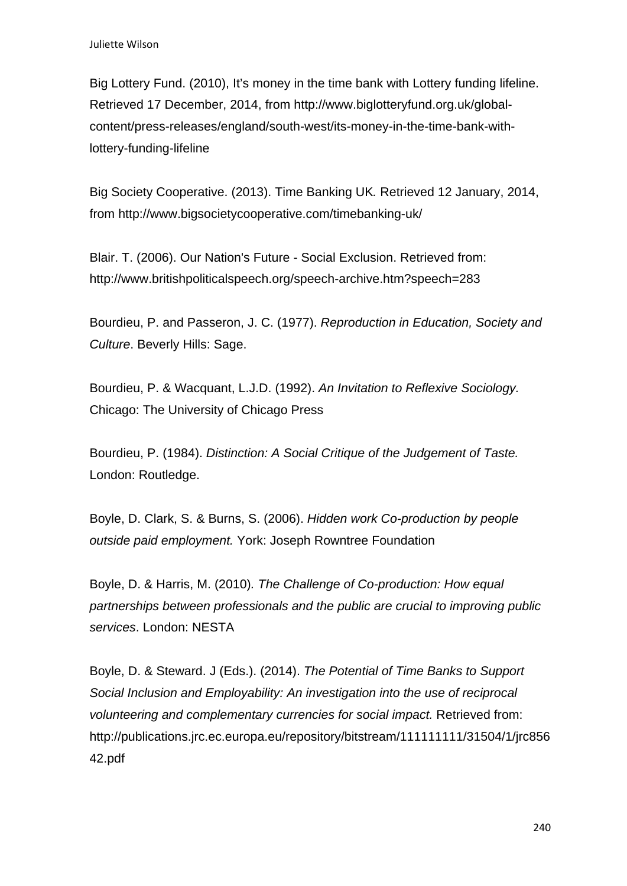Big Lottery Fund. (2010), It's money in the time bank with Lottery funding lifeline. Retrieved 17 December, 2014, from http://www.biglotteryfund.org.uk/globalcontent/press-releases/england/south-west/its-money-in-the-time-bank-withlottery-funding-lifeline

Big Society Cooperative. (2013). Time Banking UK*.* Retrieved 12 January, 2014, from http://www.bigsocietycooperative.com/timebanking-uk/

Blair. T. (2006). Our Nation's Future - Social Exclusion. Retrieved from: http://www.britishpoliticalspeech.org/speech-archive.htm?speech=283

Bourdieu, P. and Passeron, J. C. (1977). *Reproduction in Education, Society and Culture*. Beverly Hills: Sage.

Bourdieu, P. & Wacquant, L.J.D. (1992). *An Invitation to Reflexive Sociology.*  Chicago: The University of Chicago Press

Bourdieu, P. (1984). *Distinction: A Social Critique of the Judgement of Taste.*  London: Routledge.

Boyle, D. Clark, S. & Burns, S. (2006). *Hidden work Co-production by people outside paid employment.* York: Joseph Rowntree Foundation

Boyle, D. & Harris, M. (2010)*. The Challenge of Co-production: How equal partnerships between professionals and the public are crucial to improving public services*. London: NESTA

Boyle, D. & Steward. J (Eds.). (2014). *The Potential of Time Banks to Support Social Inclusion and Employability: An investigation into the use of reciprocal volunteering and complementary currencies for social impact.* Retrieved from: http://publications.jrc.ec.europa.eu/repository/bitstream/111111111/31504/1/jrc856 42.pdf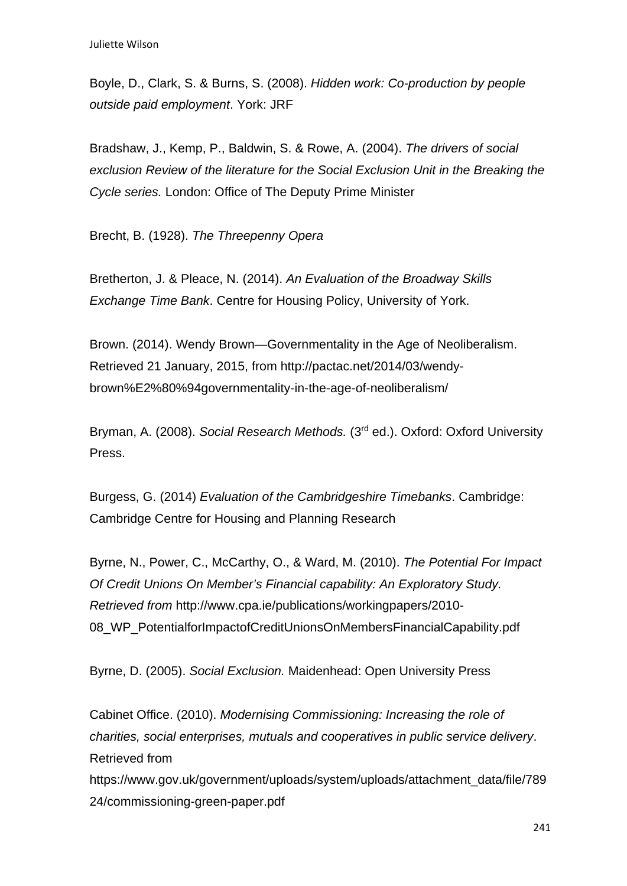Boyle, D., Clark, S. & Burns, S. (2008). *Hidden work: Co-production by people outside paid employment*. York: JRF

Bradshaw, J., Kemp, P., Baldwin, S. & Rowe, A. (2004). *The drivers of social exclusion Review of the literature for the Social Exclusion Unit in the Breaking the Cycle series.* London: Office of The Deputy Prime Minister

Brecht, B. (1928). *The Threepenny Opera*

Bretherton, J. & Pleace, N. (2014). *An Evaluation of the Broadway Skills Exchange Time Bank*. Centre for Housing Policy, University of York.

Brown. (2014). Wendy Brown—Governmentality in the Age of Neoliberalism. Retrieved 21 January, 2015, from http://pactac.net/2014/03/wendybrown%E2%80%94governmentality-in-the-age-of-neoliberalism/

Bryman, A. (2008). *Social Research Methods.* (3rd ed.). Oxford: Oxford University Press.

Burgess, G. (2014) *Evaluation of the Cambridgeshire Timebanks*. Cambridge: Cambridge Centre for Housing and Planning Research

Byrne, N., Power, C., McCarthy, O., & Ward, M. (2010). *The Potential For Impact Of Credit Unions On Member's Financial capability: An Exploratory Study. Retrieved from* http://www.cpa.ie/publications/workingpapers/2010- 08 WP PotentialforImpactofCreditUnionsOnMembersFinancialCapability.pdf

Byrne, D. (2005). *Social Exclusion.* Maidenhead: Open University Press

Cabinet Office. (2010). *Modernising Commissioning: Increasing the role of charities, social enterprises, mutuals and cooperatives in public service delivery*. Retrieved from

https://www.gov.uk/government/uploads/system/uploads/attachment\_data/file/789 24/commissioning-green-paper.pdf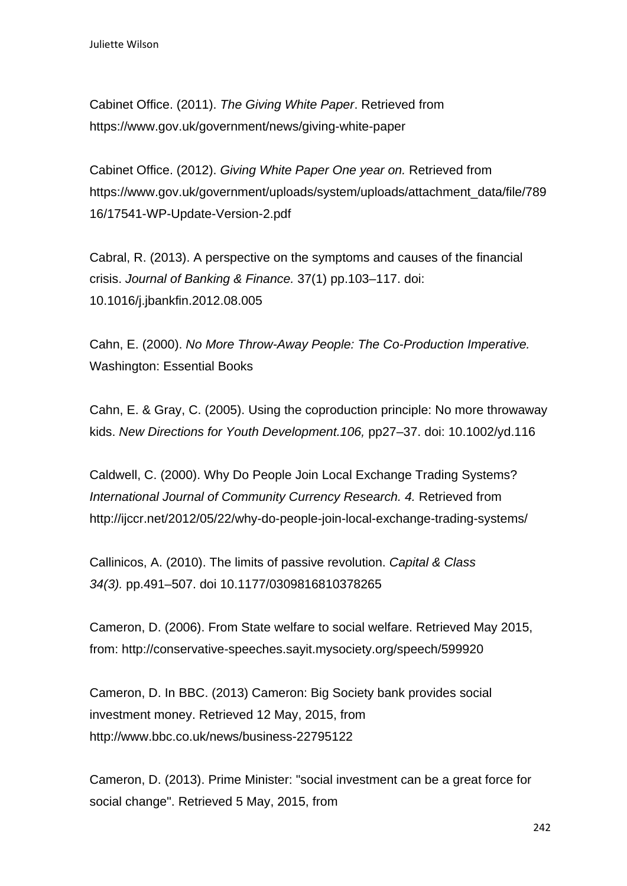Cabinet Office. (2011). *The Giving White Paper*. Retrieved from https://www.gov.uk/government/news/giving-white-paper

Cabinet Office. (2012). *Giving White Paper One year on.* Retrieved from https://www.gov.uk/government/uploads/system/uploads/attachment\_data/file/789 16/17541-WP-Update-Version-2.pdf

Cabral, R. (2013). A perspective on the symptoms and causes of the financial crisis. *Journal of Banking & Finance.* 37(1) pp.103–117. doi: 10.1016/j.jbankfin.2012.08.005

Cahn, E. (2000). *No More Throw-Away People: The Co-Production Imperative.*  Washington: Essential Books

Cahn, E. & Gray, C. (2005). Using the coproduction principle: No more throwaway kids. *New Directions for Youth Development.106,* pp27–37. doi: 10.1002/yd.116

Caldwell, C. (2000). Why Do People Join Local Exchange Trading Systems? *International Journal of Community Currency Research. 4.* Retrieved from http://ijccr.net/2012/05/22/why-do-people-join-local-exchange-trading-systems/

Callinicos, A. (2010). The limits of passive revolution. *Capital & Class 34(3).* pp.491–507. doi 10.1177/0309816810378265

Cameron, D. (2006). From State welfare to social welfare. Retrieved May 2015, from: http://conservative-speeches.sayit.mysociety.org/speech/599920

Cameron, D. In BBC. (2013) Cameron: Big Society bank provides social investment money. Retrieved 12 May, 2015, from http://www.bbc.co.uk/news/business-22795122

Cameron, D. (2013). Prime Minister: "social investment can be a great force for social change". Retrieved 5 May, 2015, from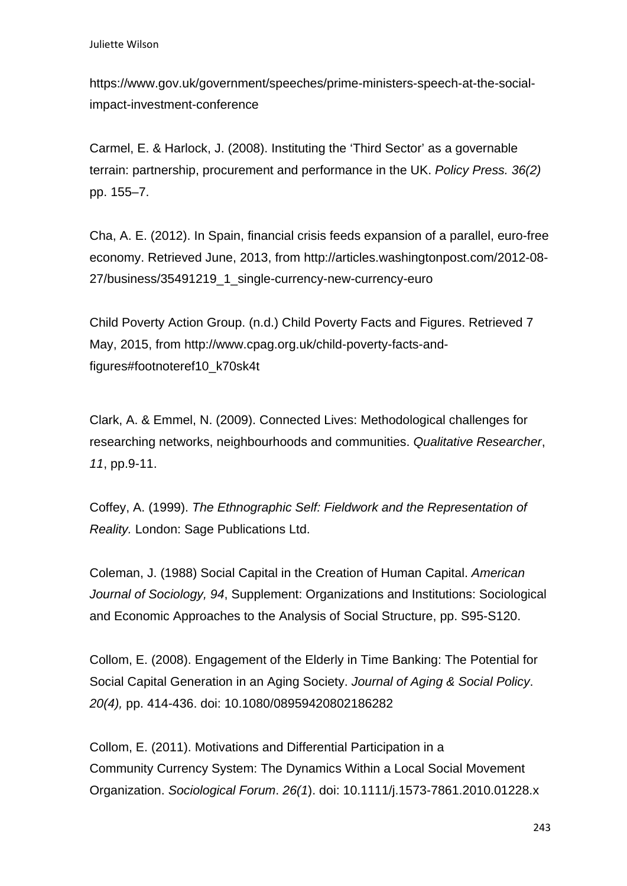https://www.gov.uk/government/speeches/prime-ministers-speech-at-the-socialimpact-investment-conference

Carmel, E. & Harlock, J. (2008). Instituting the 'Third Sector' as a governable terrain: partnership, procurement and performance in the UK. *Policy Press. 36(2)* pp. 155–7.

Cha, A. E. (2012). In Spain, financial crisis feeds expansion of a parallel, euro-free economy. Retrieved June, 2013, from http://articles.washingtonpost.com/2012-08- 27/business/35491219\_1\_single-currency-new-currency-euro

Child Poverty Action Group. (n.d.) Child Poverty Facts and Figures. Retrieved 7 May, 2015, from http://www.cpag.org.uk/child-poverty-facts-andfigures#footnoteref10\_k70sk4t

Clark, A. & Emmel, N. (2009). Connected Lives: Methodological challenges for researching networks, neighbourhoods and communities. *Qualitative Researcher*, *11*, pp.9-11.

Coffey, A. (1999). *The Ethnographic Self: Fieldwork and the Representation of Reality.* London: Sage Publications Ltd.

Coleman, J. (1988) Social Capital in the Creation of Human Capital. *American Journal of Sociology, 94*, Supplement: Organizations and Institutions: Sociological and Economic Approaches to the Analysis of Social Structure, pp. S95-S120.

Collom, E. (2008). Engagement of the Elderly in Time Banking: The Potential for Social Capital Generation in an Aging Society. *Journal of Aging & Social Policy*. *20(4),* pp. 414-436. doi: 10.1080/08959420802186282

Collom, E. (2011). Motivations and Differential Participation in a Community Currency System: The Dynamics Within a Local Social Movement Organization. *Sociological Forum*. *26(1*). doi: 10.1111/j.1573-7861.2010.01228.x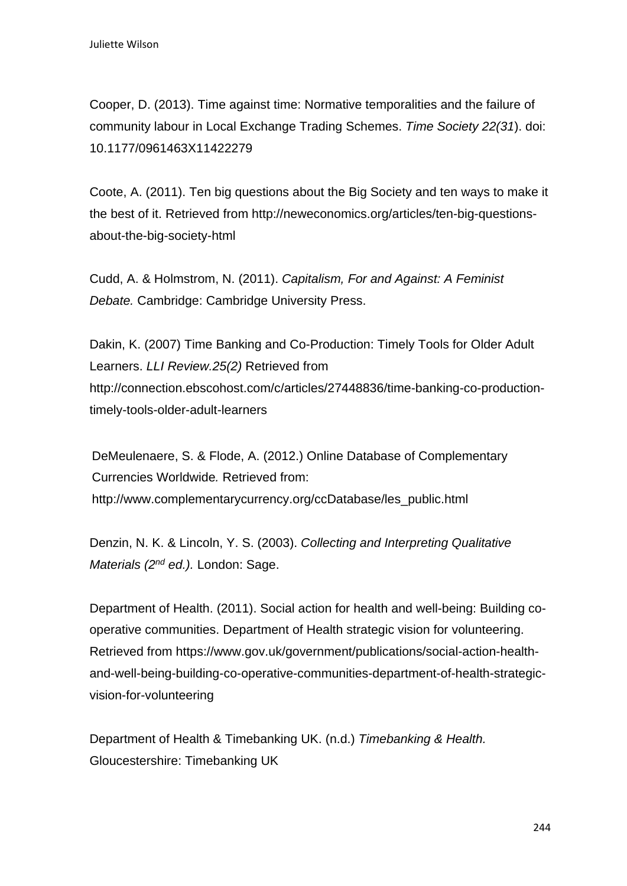Cooper, D. (2013). Time against time: Normative temporalities and the failure of community labour in Local Exchange Trading Schemes. *Time Society 22(31*). doi: 10.1177/0961463X11422279

Coote, A. (2011). Ten big questions about the Big Society and ten ways to make it the best of it. Retrieved from http://neweconomics.org/articles/ten-big-questionsabout-the-big-society-html

Cudd, A. & Holmstrom, N. (2011). *Capitalism, For and Against: A Feminist Debate.* Cambridge: Cambridge University Press.

Dakin, K. (2007) Time Banking and Co-Production: Timely Tools for Older Adult Learners. *LLI Review.25(2)* Retrieved from http://connection.ebscohost.com/c/articles/27448836/time-banking-co-productiontimely-tools-older-adult-learners

DeMeulenaere, S. & Flode, A. (2012.) Online Database of Complementary Currencies Worldwide*.* Retrieved from: http://www.complementarycurrency.org/ccDatabase/les\_public.html

Denzin, N. K. & Lincoln, Y. S. (2003). *Collecting and Interpreting Qualitative Materials (2nd ed.).* London: Sage.

Department of Health. (2011). Social action for health and well-being: Building cooperative communities. Department of Health strategic vision for volunteering. Retrieved from https://www.gov.uk/government/publications/social-action-healthand-well-being-building-co-operative-communities-department-of-health-strategicvision-for-volunteering

Department of Health & Timebanking UK. (n.d.) *Timebanking & Health.*  Gloucestershire: Timebanking UK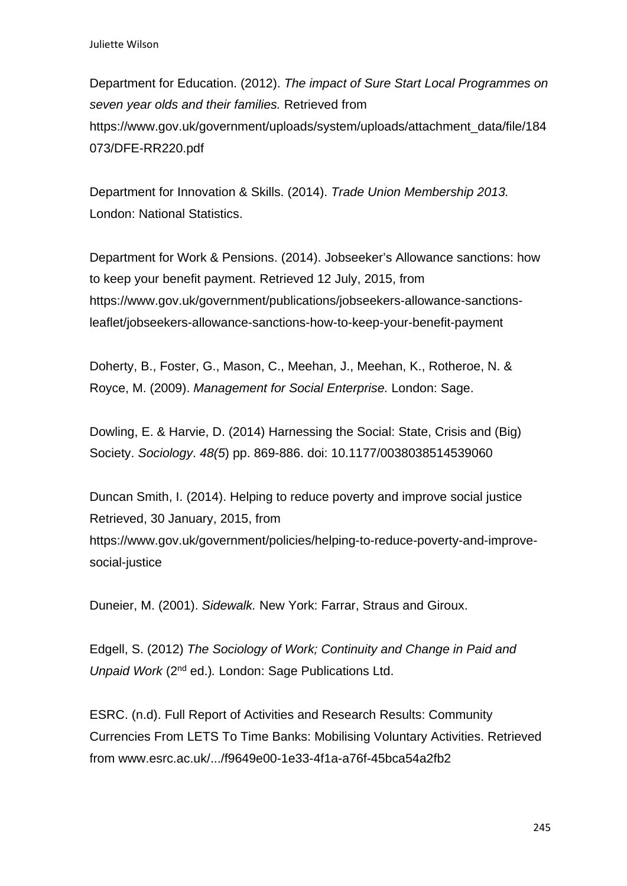Department for Education. (2012). *The impact of Sure Start Local Programmes on seven year olds and their families.* Retrieved from https://www.gov.uk/government/uploads/system/uploads/attachment\_data/file/184 073/DFE-RR220.pdf

Department for Innovation & Skills. (2014). *Trade Union Membership 2013.*  London: National Statistics.

Department for Work & Pensions. (2014). Jobseeker's Allowance sanctions: how to keep your benefit payment. Retrieved 12 July, 2015, from https://www.gov.uk/government/publications/jobseekers-allowance-sanctionsleaflet/jobseekers-allowance-sanctions-how-to-keep-your-benefit-payment

Doherty, B., Foster, G., Mason, C., Meehan, J., Meehan, K., Rotheroe, N. & Royce, M. (2009). *Management for Social Enterprise.* London: Sage.

Dowling, E. & Harvie, D. (2014) Harnessing the Social: State, Crisis and (Big) Society. *Sociology*. *48(5*) pp. 869-886. doi: 10.1177/0038038514539060

Duncan Smith, I. (2014). Helping to reduce poverty and improve social justice Retrieved, 30 January, 2015, from https://www.gov.uk/government/policies/helping-to-reduce-poverty-and-improvesocial-justice

Duneier, M. (2001). *Sidewalk.* New York: Farrar, Straus and Giroux.

Edgell, S. (2012) *The Sociology of Work; Continuity and Change in Paid and Unpaid Work* (2nd ed.)*.* London: Sage Publications Ltd.

ESRC. (n.d). Full Report of Activities and Research Results: Community Currencies From LETS To Time Banks: Mobilising Voluntary Activities. Retrieved from www.esrc.ac.uk/.../f9649e00-1e33-4f1a-a76f-45bca54a2fb2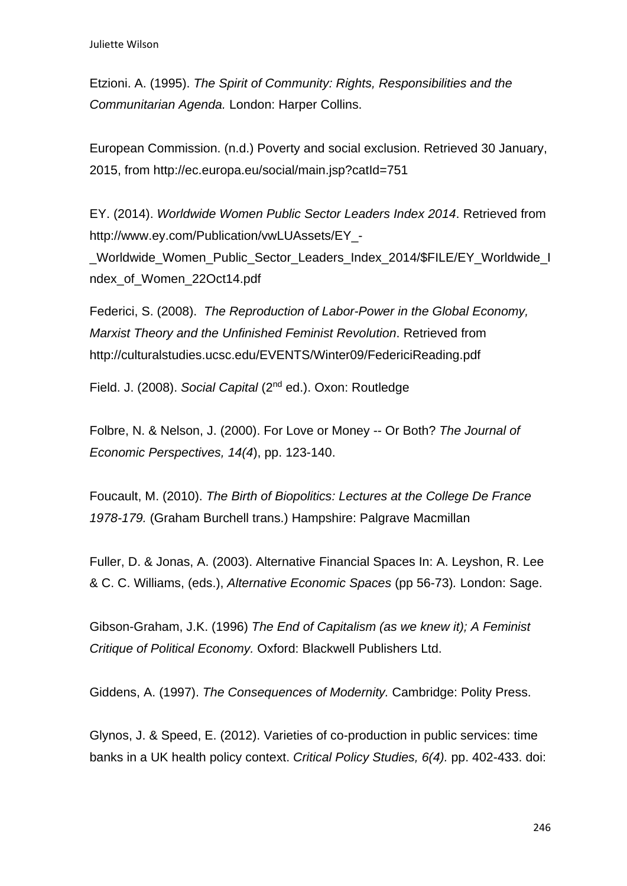Etzioni. A. (1995). *The Spirit of Community: Rights, Responsibilities and the Communitarian Agenda.* London: Harper Collins.

European Commission. (n.d.) Poverty and social exclusion. Retrieved 30 January, 2015, from http://ec.europa.eu/social/main.jsp?catId=751

EY. (2014). *Worldwide Women Public Sector Leaders Index 2014*. Retrieved from http://www.ey.com/Publication/vwLUAssets/EY\_-

\_Worldwide\_Women\_Public\_Sector\_Leaders\_Index\_2014/\$FILE/EY\_Worldwide\_I ndex\_of\_Women\_22Oct14.pdf

Federici, S. (2008). *The Reproduction of Labor-Power in the Global Economy, Marxist Theory and the Unfinished Feminist Revolution*. Retrieved from http://culturalstudies.ucsc.edu/EVENTS/Winter09/FedericiReading.pdf

Field. J. (2008). *Social Capital* (2nd ed.). Oxon: Routledge

Folbre, N. & Nelson, J. (2000). For Love or Money -- Or Both? *The Journal of Economic Perspectives, 14(4*), pp. 123-140.

Foucault, M. (2010). *The Birth of Biopolitics: Lectures at the College De France 1978-179.* (Graham Burchell trans.) Hampshire: Palgrave Macmillan

Fuller, D. & Jonas, A. (2003). Alternative Financial Spaces In: A. Leyshon, R. Lee & C. C. Williams, (eds.), *Alternative Economic Spaces* (pp 56-73)*.* London: Sage.

Gibson-Graham, J.K. (1996) *The End of Capitalism (as we knew it); A Feminist Critique of Political Economy.* Oxford: Blackwell Publishers Ltd.

Giddens, A. (1997). *The Consequences of Modernity.* Cambridge: Polity Press.

Glynos, J. & Speed, E. (2012). Varieties of co-production in public services: time banks in a UK health policy context. *Critical Policy Studies, 6(4).* pp. 402-433. doi: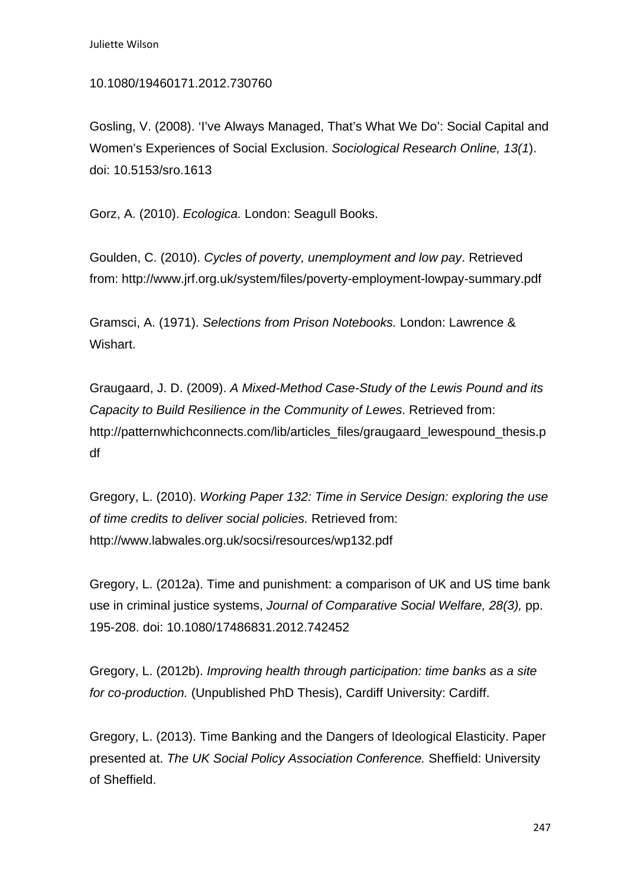#### 10.1080/19460171.2012.730760

Gosling, V. (2008). 'I've Always Managed, That's What We Do': Social Capital and Women's Experiences of Social Exclusion. *Sociological Research Online, 13(1*). doi: 10.5153/sro.1613

Gorz, A. (2010). *Ecologica.* London: Seagull Books.

Goulden, C. (2010). *Cycles of poverty, unemployment and low pay*. Retrieved from: http://www.jrf.org.uk/system/files/poverty-employment-lowpay-summary.pdf

Gramsci, A. (1971). *Selections from Prison Notebooks.* London: Lawrence & Wishart.

Graugaard, J. D. (2009). *A Mixed-Method Case-Study of the Lewis Pound and its Capacity to Build Resilience in the Community of Lewes*. Retrieved from: http://patternwhichconnects.com/lib/articles\_files/graugaard\_lewespound\_thesis.p df

Gregory, L. (2010). *Working Paper 132: Time in Service Design: exploring the use of time credits to deliver social policies.* Retrieved from: http://www.labwales.org.uk/socsi/resources/wp132.pdf

Gregory, L. (2012a). Time and punishment: a comparison of UK and US time bank use in criminal justice systems, *Journal of Comparative Social Welfare, 28(3),* pp. 195-208. doi: 10.1080/17486831.2012.742452

Gregory, L. (2012b). *Improving health through participation: time banks as a site for co-production.* (Unpublished PhD Thesis), Cardiff University: Cardiff.

Gregory, L. (2013). Time Banking and the Dangers of Ideological Elasticity. Paper presented at. *The UK Social Policy Association Conference.* Sheffield: University of Sheffield.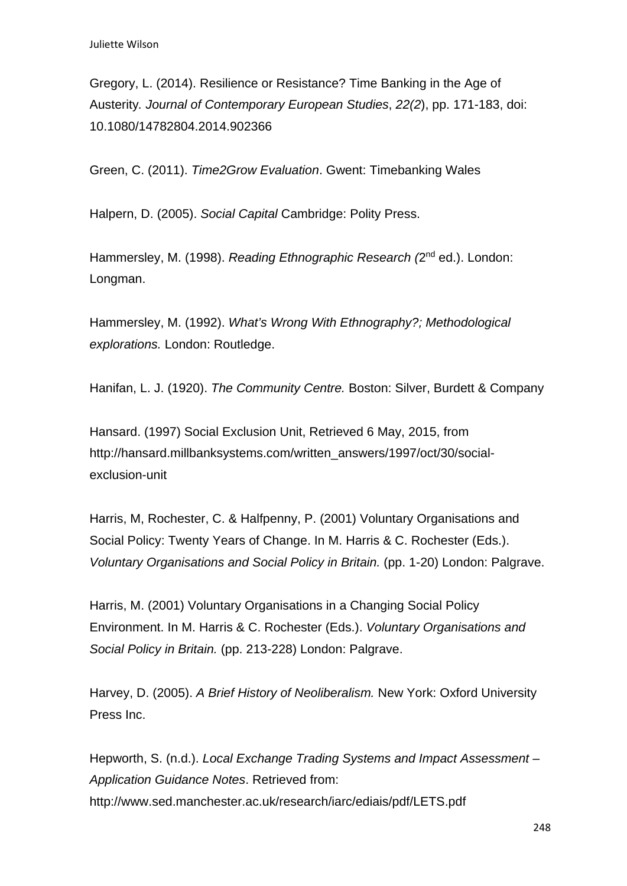Gregory, L. (2014). Resilience or Resistance? Time Banking in the Age of Austerity*. Journal of Contemporary European Studies*, *22(2*), pp. 171-183, doi: 10.1080/14782804.2014.902366

Green, C. (2011). *Time2Grow Evaluation*. Gwent: Timebanking Wales

Halpern, D. (2005). *Social Capital* Cambridge: Polity Press.

Hammersley, M. (1998). *Reading Ethnographic Research (*2nd ed.). London: Longman.

Hammersley, M. (1992). *What's Wrong With Ethnography?; Methodological explorations.* London: Routledge.

Hanifan, L. J. (1920). *The Community Centre.* Boston: Silver, Burdett & Company

Hansard. (1997) Social Exclusion Unit, Retrieved 6 May, 2015, from http://hansard.millbanksystems.com/written\_answers/1997/oct/30/socialexclusion-unit

Harris, M, Rochester, C. & Halfpenny, P. (2001) Voluntary Organisations and Social Policy: Twenty Years of Change. In M. Harris & C. Rochester (Eds.). *Voluntary Organisations and Social Policy in Britain.* (pp. 1-20) London: Palgrave.

Harris, M. (2001) Voluntary Organisations in a Changing Social Policy Environment. In M. Harris & C. Rochester (Eds.). *Voluntary Organisations and Social Policy in Britain.* (pp. 213-228) London: Palgrave.

Harvey, D. (2005). *A Brief History of Neoliberalism.* New York: Oxford University Press Inc.

Hepworth, S. (n.d.). *Local Exchange Trading Systems and Impact Assessment – Application Guidance Notes*. Retrieved from: http://www.sed.manchester.ac.uk/research/iarc/ediais/pdf/LETS.pdf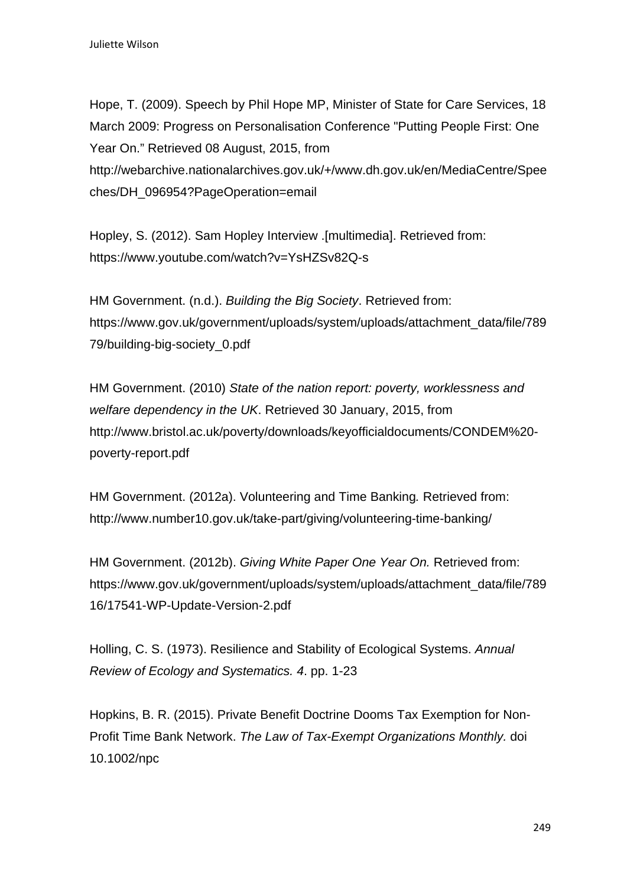Hope, T. (2009). Speech by Phil Hope MP, Minister of State for Care Services, 18 March 2009: Progress on Personalisation Conference "Putting People First: One Year On." Retrieved 08 August, 2015, from http://webarchive.nationalarchives.gov.uk/+/www.dh.gov.uk/en/MediaCentre/Spee ches/DH\_096954?PageOperation=email

Hopley, S. (2012). Sam Hopley Interview .[multimedia]. Retrieved from: https://www.youtube.com/watch?v=YsHZSv82Q-s

HM Government. (n.d.). *Building the Big Society*. Retrieved from: https://www.gov.uk/government/uploads/system/uploads/attachment\_data/file/789 79/building-big-society\_0.pdf

HM Government. (2010) *State of the nation report: poverty, worklessness and welfare dependency in the UK*. Retrieved 30 January, 2015, from http://www.bristol.ac.uk/poverty/downloads/keyofficialdocuments/CONDEM%20 poverty-report.pdf

HM Government. (2012a). Volunteering and Time Banking*.* Retrieved from: http://www.number10.gov.uk/take-part/giving/volunteering-time-banking/

HM Government. (2012b). *Giving White Paper One Year On.* Retrieved from: https://www.gov.uk/government/uploads/system/uploads/attachment\_data/file/789 16/17541-WP-Update-Version-2.pdf

Holling, C. S. (1973). Resilience and Stability of Ecological Systems. *Annual Review of Ecology and Systematics. 4*. pp. 1-23

Hopkins, B. R. (2015). Private Benefit Doctrine Dooms Tax Exemption for Non-Profit Time Bank Network. *The Law of Tax-Exempt Organizations Monthly.* doi 10.1002/npc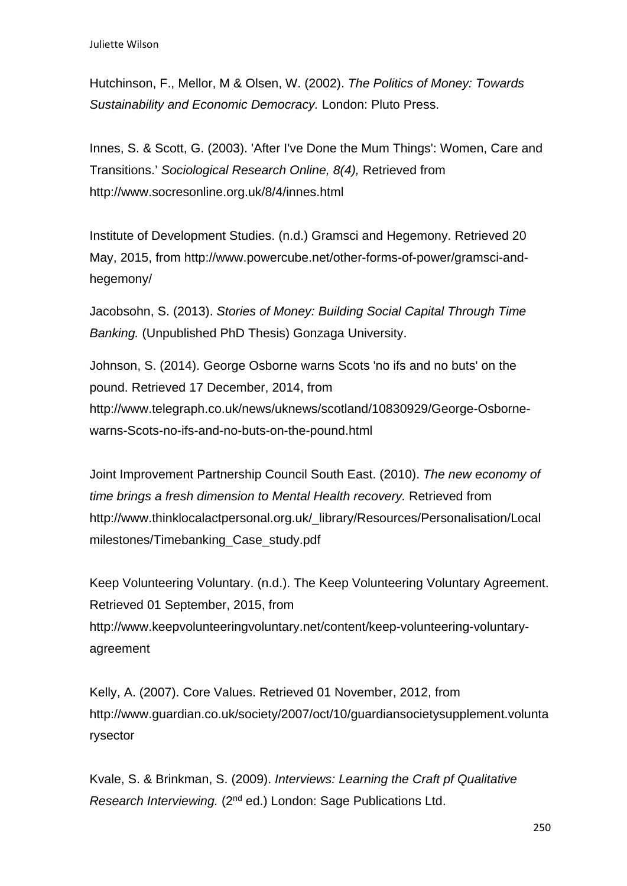Hutchinson, F., Mellor, M & Olsen, W. (2002). *The Politics of Money: Towards Sustainability and Economic Democracy.* London: Pluto Press.

Innes, S. & Scott, G. (2003). 'After I've Done the Mum Things': Women, Care and Transitions.' *Sociological Research Online, 8(4),* Retrieved from http://www.socresonline.org.uk/8/4/innes.html

Institute of Development Studies. (n.d.) Gramsci and Hegemony. Retrieved 20 May, 2015, from http://www.powercube.net/other-forms-of-power/gramsci-andhegemony/

Jacobsohn, S. (2013). *Stories of Money: Building Social Capital Through Time Banking.* (Unpublished PhD Thesis) Gonzaga University.

Johnson, S. (2014). George Osborne warns Scots 'no ifs and no buts' on the pound. Retrieved 17 December, 2014, from http://www.telegraph.co.uk/news/uknews/scotland/10830929/George-Osbornewarns-Scots-no-ifs-and-no-buts-on-the-pound.html

Joint Improvement Partnership Council South East. (2010). *The new economy of time brings a fresh dimension to Mental Health recovery.* Retrieved from http://www.thinklocalactpersonal.org.uk/\_library/Resources/Personalisation/Local milestones/Timebanking\_Case\_study.pdf

Keep Volunteering Voluntary. (n.d.). The Keep Volunteering Voluntary Agreement. Retrieved 01 September, 2015, from http://www.keepvolunteeringvoluntary.net/content/keep-volunteering-voluntaryagreement

Kelly, A. (2007). Core Values. Retrieved 01 November, 2012, from http://www.guardian.co.uk/society/2007/oct/10/guardiansocietysupplement.volunta rysector

Kvale, S. & Brinkman, S. (2009). *Interviews: Learning the Craft pf Qualitative Research Interviewing.* (2<sup>nd</sup> ed.) London: Sage Publications Ltd.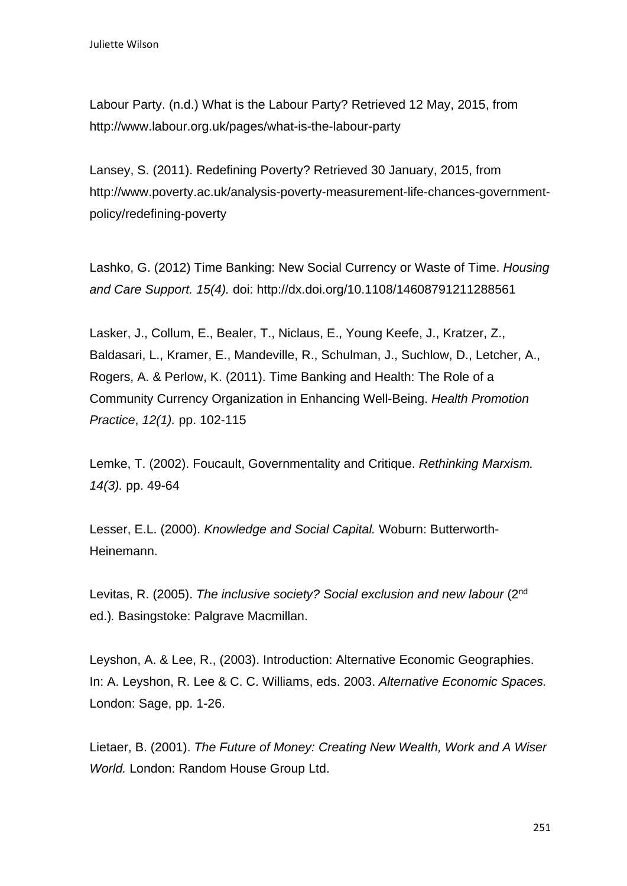Labour Party. (n.d.) What is the Labour Party? Retrieved 12 May, 2015, from http://www.labour.org.uk/pages/what-is-the-labour-party

Lansey, S. (2011). Redefining Poverty? Retrieved 30 January, 2015, from http://www.poverty.ac.uk/analysis-poverty-measurement-life-chances-governmentpolicy/redefining-poverty

Lashko, G. (2012) Time Banking: New Social Currency or Waste of Time. *Housing and Care Support. 15(4).* doi: http://dx.doi.org/10.1108/14608791211288561

Lasker, J., Collum, E., Bealer, T., Niclaus, E., Young Keefe, J., Kratzer, Z., Baldasari, L., Kramer, E., Mandeville, R., Schulman, J., Suchlow, D., Letcher, A., Rogers, A. & Perlow, K. (2011). Time Banking and Health: The Role of a Community Currency Organization in Enhancing Well-Being. *Health Promotion Practice*, *12(1).* pp. 102-115

Lemke, T. (2002). Foucault, Governmentality and Critique. *Rethinking Marxism. 14(3).* pp. 49-64

Lesser, E.L. (2000). *Knowledge and Social Capital.* Woburn: Butterworth-Heinemann.

Levitas, R. (2005). *The inclusive society? Social exclusion and new labour* (2<sup>nd</sup> ed.)*.* Basingstoke: Palgrave Macmillan.

Leyshon, A. & Lee, R., (2003). Introduction: Alternative Economic Geographies. In: A. Leyshon, R. Lee & C. C. Williams, eds. 2003. *Alternative Economic Spaces.*  London: Sage, pp. 1-26.

Lietaer, B. (2001). *The Future of Money: Creating New Wealth, Work and A Wiser World.* London: Random House Group Ltd.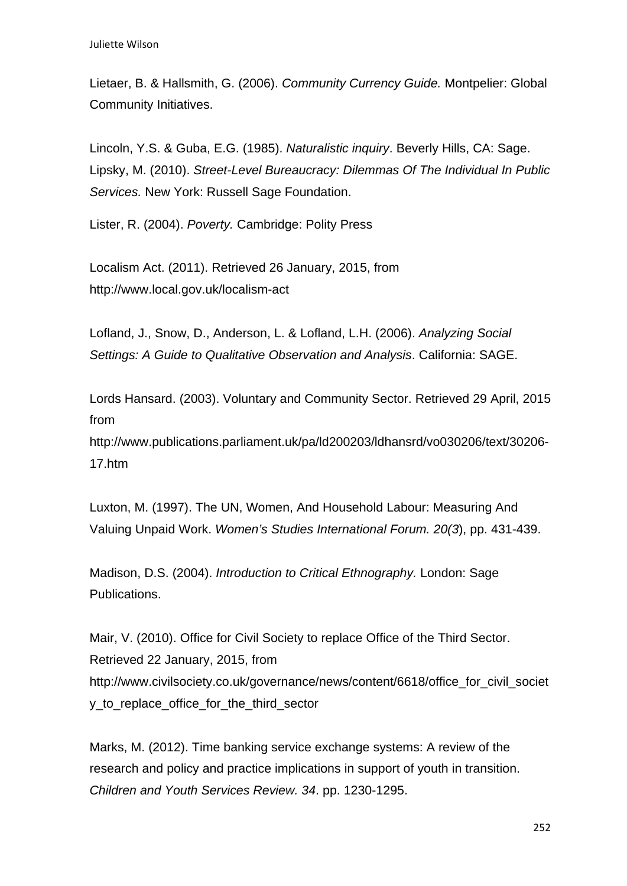Lietaer, B. & Hallsmith, G. (2006). *Community Currency Guide.* Montpelier: Global Community Initiatives.

Lincoln, Y.S. & Guba, E.G. (1985). *Naturalistic inquiry*. Beverly Hills, CA: Sage. Lipsky, M. (2010). *Street-Level Bureaucracy: Dilemmas Of The Individual In Public Services.* New York: Russell Sage Foundation.

Lister, R. (2004). *Poverty.* Cambridge: Polity Press

Localism Act. (2011). Retrieved 26 January, 2015, from http://www.local.gov.uk/localism-act

Lofland, J., Snow, D., Anderson, L. & Lofland, L.H. (2006). *Analyzing Social Settings: A Guide to Qualitative Observation and Analysis*. California: SAGE.

Lords Hansard. (2003). Voluntary and Community Sector. Retrieved 29 April, 2015 from

http://www.publications.parliament.uk/pa/ld200203/ldhansrd/vo030206/text/30206- 17.htm

Luxton, M. (1997). The UN, Women, And Household Labour: Measuring And Valuing Unpaid Work. *Women's Studies International Forum. 20(3*), pp. 431-439.

Madison, D.S. (2004). *Introduction to Critical Ethnography.* London: Sage Publications.

Mair, V. (2010). Office for Civil Society to replace Office of the Third Sector. Retrieved 22 January, 2015, from http://www.civilsociety.co.uk/governance/news/content/6618/office for civil societ y\_to\_replace\_office\_for\_the\_third\_sector

Marks, M. (2012). Time banking service exchange systems: A review of the research and policy and practice implications in support of youth in transition. *Children and Youth Services Review. 34*. pp. 1230-1295.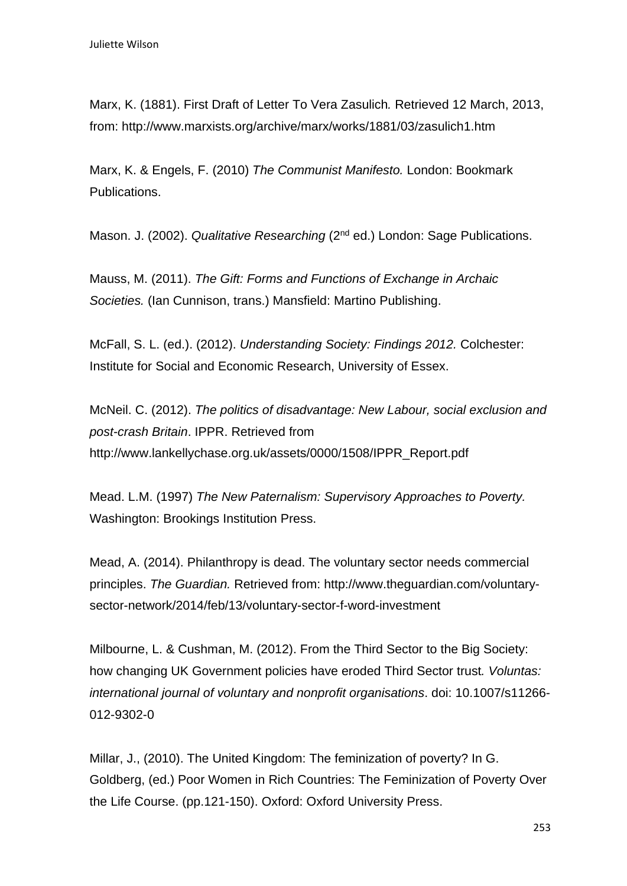Marx, K. (1881). First Draft of Letter To Vera Zasulich*.* Retrieved 12 March, 2013, from: http://www.marxists.org/archive/marx/works/1881/03/zasulich1.htm

Marx, K. & Engels, F. (2010) *The Communist Manifesto.* London: Bookmark Publications.

Mason. J. (2002). *Qualitative Researching* (2<sup>nd</sup> ed.) London: Sage Publications.

Mauss, M. (2011). *The Gift: Forms and Functions of Exchange in Archaic Societies.* (Ian Cunnison, trans.) Mansfield: Martino Publishing.

McFall, S. L. (ed.). (2012). *Understanding Society: Findings 2012.* Colchester: Institute for Social and Economic Research, University of Essex.

McNeil. C. (2012). *The politics of disadvantage: New Labour, social exclusion and post-crash Britain*. IPPR. Retrieved from http://www.lankellychase.org.uk/assets/0000/1508/IPPR\_Report.pdf

Mead. L.M. (1997) *The New Paternalism: Supervisory Approaches to Poverty.*  Washington: Brookings Institution Press.

Mead, A. (2014). Philanthropy is dead. The voluntary sector needs commercial principles. *The Guardian.* Retrieved from: http://www.theguardian.com/voluntarysector-network/2014/feb/13/voluntary-sector-f-word-investment

Milbourne, L. & Cushman, M. (2012). From the Third Sector to the Big Society: how changing UK Government policies have eroded Third Sector trust*. Voluntas: international journal of voluntary and nonprofit organisations*. doi: 10.1007/s11266- 012-9302-0

Millar, J., (2010). The United Kingdom: The feminization of poverty? In G. Goldberg, (ed.) Poor Women in Rich Countries: The Feminization of Poverty Over the Life Course. (pp.121-150). Oxford: Oxford University Press.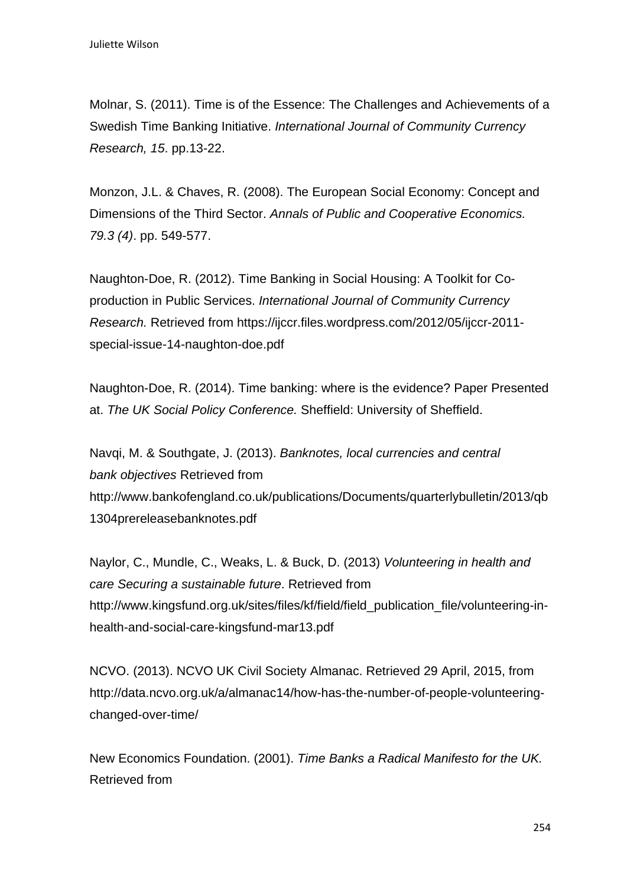Molnar, S. (2011). Time is of the Essence: The Challenges and Achievements of a Swedish Time Banking Initiative. *International Journal of Community Currency Research, 15*. pp.13-22.

Monzon, J.L. & Chaves, R. (2008). The European Social Economy: Concept and Dimensions of the Third Sector. *Annals of Public and Cooperative Economics. 79.3 (4)*. pp. 549-577.

Naughton-Doe, R. (2012). Time Banking in Social Housing: A Toolkit for Coproduction in Public Services. *International Journal of Community Currency Research.* Retrieved from https://ijccr.files.wordpress.com/2012/05/ijccr-2011 special-issue-14-naughton-doe.pdf

Naughton-Doe, R. (2014). Time banking: where is the evidence? Paper Presented at. *The UK Social Policy Conference.* Sheffield: University of Sheffield.

Navqi, M. & Southgate, J. (2013). *Banknotes, local currencies and central bank objectives* Retrieved from http://www.bankofengland.co.uk/publications/Documents/quarterlybulletin/2013/qb 1304prereleasebanknotes.pdf

Naylor, C., Mundle, C., Weaks, L. & Buck, D. (2013) *Volunteering in health and care Securing a sustainable future*. Retrieved from http://www.kingsfund.org.uk/sites/files/kf/field/field\_publication\_file/volunteering-inhealth-and-social-care-kingsfund-mar13.pdf

NCVO. (2013). NCVO UK Civil Society Almanac. Retrieved 29 April, 2015, from http://data.ncvo.org.uk/a/almanac14/how-has-the-number-of-people-volunteeringchanged-over-time/

New Economics Foundation. (2001). *Time Banks a Radical Manifesto for the UK.*  Retrieved from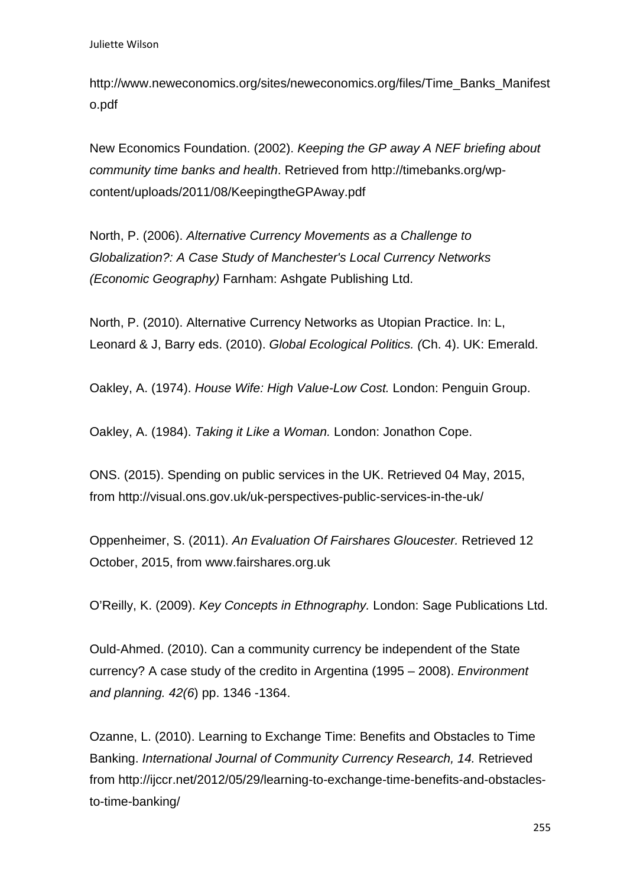http://www.neweconomics.org/sites/neweconomics.org/files/Time\_Banks\_Manifest o.pdf

New Economics Foundation. (2002). *Keeping the GP away A NEF briefing about community time banks and health*. Retrieved from http://timebanks.org/wpcontent/uploads/2011/08/KeepingtheGPAway.pdf

North, P. (2006). *Alternative Currency Movements as a Challenge to Globalization?: A Case Study of Manchester's Local Currency Networks (Economic Geography)* Farnham: Ashgate Publishing Ltd.

North, P. (2010). Alternative Currency Networks as Utopian Practice. In: L, Leonard & J, Barry eds. (2010). *Global Ecological Politics. (*Ch. 4). UK: Emerald.

Oakley, A. (1974). *House Wife: High Value-Low Cost.* London: Penguin Group.

Oakley, A. (1984). *Taking it Like a Woman.* London: Jonathon Cope.

ONS. (2015). Spending on public services in the UK. Retrieved 04 May, 2015, from http://visual.ons.gov.uk/uk-perspectives-public-services-in-the-uk/

Oppenheimer, S. (2011). *An Evaluation Of Fairshares Gloucester.* Retrieved 12 October, 2015, from www.fairshares.org.uk

O'Reilly, K. (2009). *Key Concepts in Ethnography.* London: Sage Publications Ltd.

Ould-Ahmed. (2010). Can a community currency be independent of the State currency? A case study of the credito in Argentina (1995 – 2008). *Environment and planning. 42(6*) pp. 1346 -1364.

Ozanne, L. (2010). Learning to Exchange Time: Benefits and Obstacles to Time Banking. *International Journal of Community Currency Research, 14.* Retrieved from http://ijccr.net/2012/05/29/learning-to-exchange-time-benefits-and-obstaclesto-time-banking/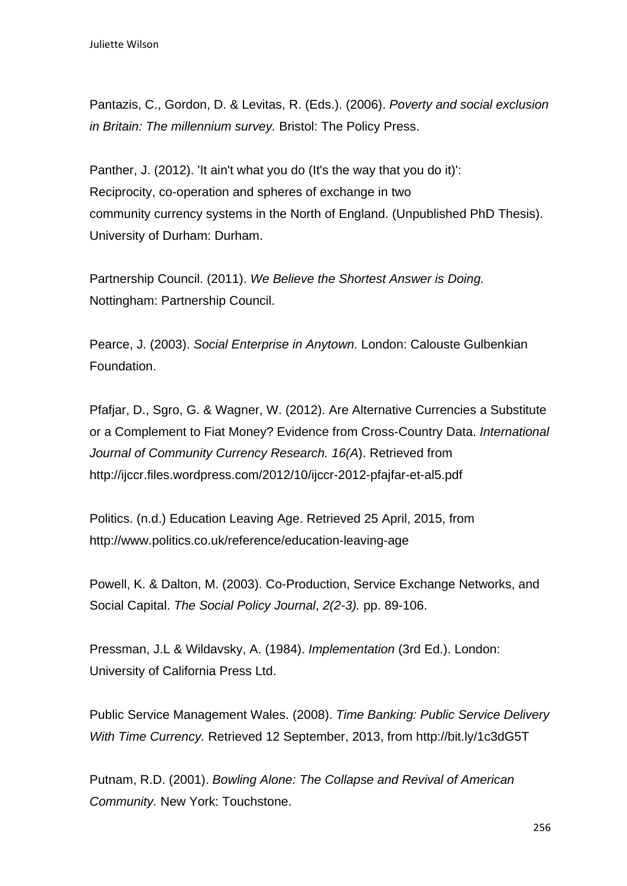Pantazis, C., Gordon, D. & Levitas, R. (Eds.). (2006). *Poverty and social exclusion in Britain: The millennium survey.* Bristol: The Policy Press.

Panther, J. (2012). 'It ain't what you do (It's the way that you do it)': Reciprocity, co-operation and spheres of exchange in two community currency systems in the North of England. (Unpublished PhD Thesis). University of Durham: Durham.

Partnership Council. (2011). *We Believe the Shortest Answer is Doing.*  Nottingham: Partnership Council.

Pearce, J. (2003). *Social Enterprise in Anytown.* London: Calouste Gulbenkian Foundation.

Pfafjar, D., Sgro, G. & Wagner, W. (2012). Are Alternative Currencies a Substitute or a Complement to Fiat Money? Evidence from Cross-Country Data. *International Journal of Community Currency Research. 16(A*). Retrieved from http://ijccr.files.wordpress.com/2012/10/ijccr-2012-pfajfar-et-al5.pdf

Politics. (n.d.) Education Leaving Age. Retrieved 25 April, 2015, from http://www.politics.co.uk/reference/education-leaving-age

Powell, K. & Dalton, M. (2003). Co-Production, Service Exchange Networks, and Social Capital. *The Social Policy Journal*, *2(2-3).* pp. 89-106.

Pressman, J.L & Wildavsky, A. (1984). *Implementation* (3rd Ed.). London: University of California Press Ltd.

Public Service Management Wales. (2008). *Time Banking: Public Service Delivery With Time Currency.* Retrieved 12 September, 2013, from http://bit.ly/1c3dG5T

Putnam, R.D. (2001). *Bowling Alone: The Collapse and Revival of American Community.* New York: Touchstone.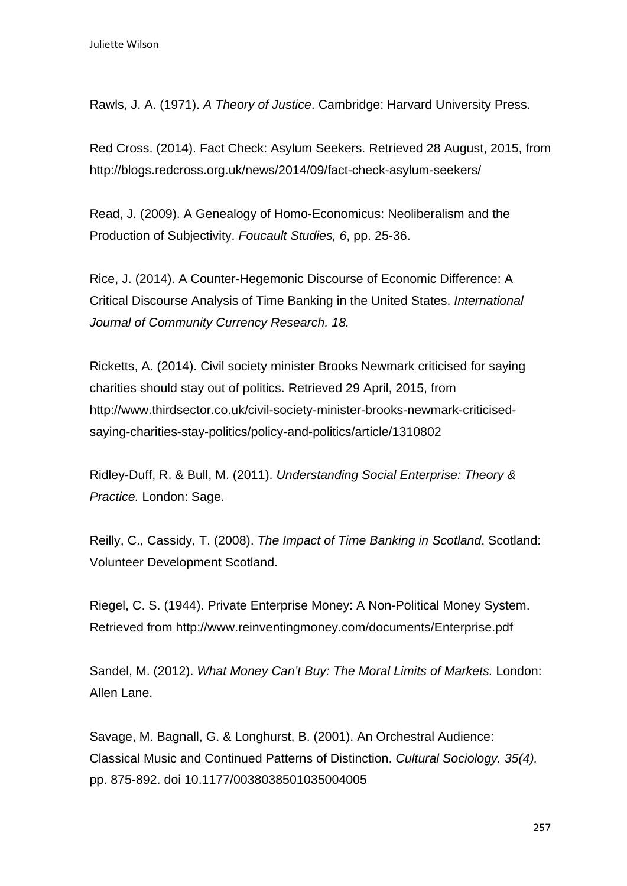Rawls, J. A. (1971). *A Theory of Justice*. Cambridge: Harvard University Press.

Red Cross. (2014). Fact Check: Asylum Seekers. Retrieved 28 August, 2015, from http://blogs.redcross.org.uk/news/2014/09/fact-check-asylum-seekers/

Read, J. (2009). A Genealogy of Homo-Economicus: Neoliberalism and the Production of Subjectivity. *Foucault Studies, 6*, pp. 25-36.

Rice, J. (2014). A Counter-Hegemonic Discourse of Economic Difference: A Critical Discourse Analysis of Time Banking in the United States. *International Journal of Community Currency Research. 18.*

Ricketts, A. (2014). Civil society minister Brooks Newmark criticised for saying charities should stay out of politics. Retrieved 29 April, 2015, from http://www.thirdsector.co.uk/civil-society-minister-brooks-newmark-criticisedsaying-charities-stay-politics/policy-and-politics/article/1310802

Ridley-Duff, R. & Bull, M. (2011). *Understanding Social Enterprise: Theory & Practice.* London: Sage.

Reilly, C., Cassidy, T. (2008). *The Impact of Time Banking in Scotland*. Scotland: Volunteer Development Scotland.

Riegel, C. S. (1944). Private Enterprise Money: A Non-Political Money System. Retrieved from http://www.reinventingmoney.com/documents/Enterprise.pdf

Sandel, M. (2012). *What Money Can't Buy: The Moral Limits of Markets.* London: Allen Lane.

Savage, M. Bagnall, G. & Longhurst, B. (2001). An Orchestral Audience: Classical Music and Continued Patterns of Distinction. *Cultural Sociology. 35(4).*  pp. 875-892. doi 10.1177/0038038501035004005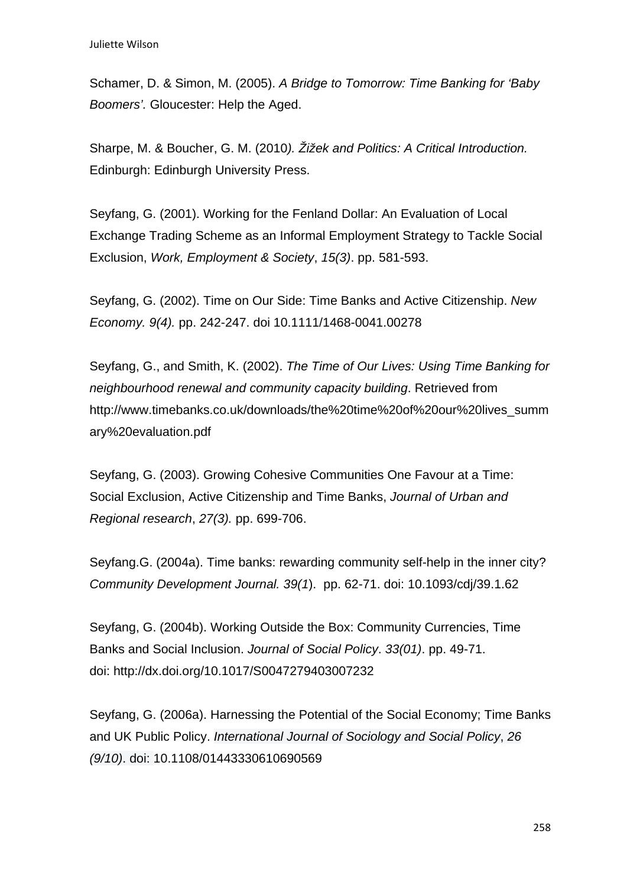Schamer, D. & Simon, M. (2005). *A Bridge to Tomorrow: Time Banking for 'Baby Boomers'.* Gloucester: Help the Aged.

Sharpe, M. & Boucher, G. M. (2010*). Žižek and Politics: A Critical Introduction.*  Edinburgh: Edinburgh University Press.

Seyfang, G. (2001). Working for the Fenland Dollar: An Evaluation of Local Exchange Trading Scheme as an Informal Employment Strategy to Tackle Social Exclusion, *Work, Employment & Society*, *15(3)*. pp. 581-593.

Seyfang, G. (2002). Time on Our Side: Time Banks and Active Citizenship. *New Economy. 9(4).* pp. 242-247. doi 10.1111/1468-0041.00278

Seyfang, G., and Smith, K. (2002). *The Time of Our Lives: Using Time Banking for neighbourhood renewal and community capacity building*. Retrieved from http://www.timebanks.co.uk/downloads/the%20time%20of%20our%20lives\_summ ary%20evaluation.pdf

Seyfang, G. (2003). Growing Cohesive Communities One Favour at a Time: Social Exclusion, Active Citizenship and Time Banks, *Journal of Urban and Regional research*, *27(3).* pp. 699-706.

Seyfang.G. (2004a). Time banks: rewarding community self-help in the inner city? *Community Development Journal. 39(1*). pp. 62-71. doi: 10.1093/cdj/39.1.62

Seyfang, G. (2004b). Working Outside the Box: Community Currencies, Time Banks and Social Inclusion. *Journal of Social Policy*. *33(01)*. pp. 49-71. doi: http://dx.doi.org/10.1017/S0047279403007232

Seyfang, G. (2006a). Harnessing the Potential of the Social Economy; Time Banks and UK Public Policy. *International Journal of Sociology and Social Policy*, *26 (9/10)*. doi: 10.1108/01443330610690569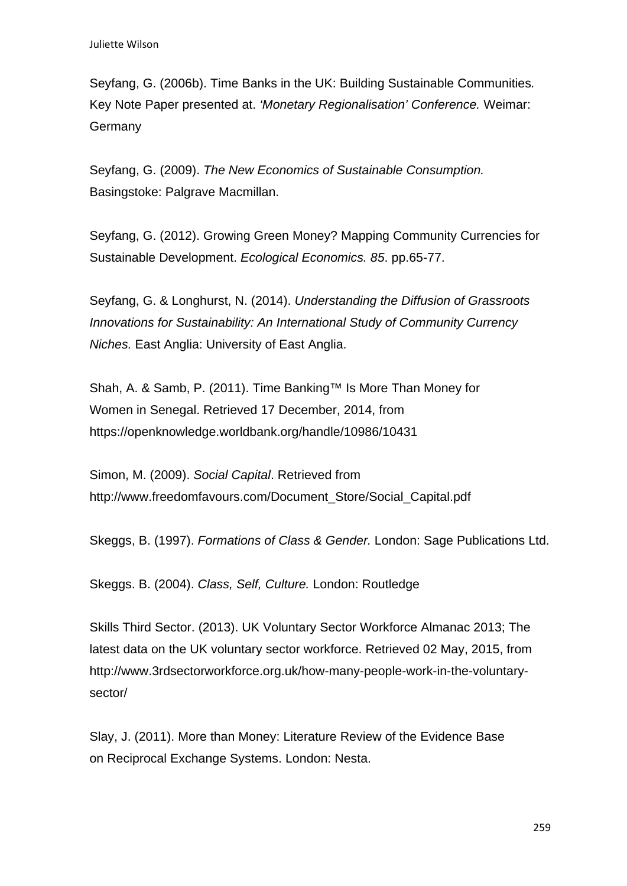Seyfang, G. (2006b). Time Banks in the UK: Building Sustainable Communities*.*  Key Note Paper presented at. *'Monetary Regionalisation' Conference.* Weimar: **Germany** 

Seyfang, G. (2009). *The New Economics of Sustainable Consumption.*  Basingstoke: Palgrave Macmillan.

Seyfang, G. (2012). Growing Green Money? Mapping Community Currencies for Sustainable Development. *Ecological Economics. 85*. pp.65-77.

Seyfang, G. & Longhurst, N. (2014). *Understanding the Diffusion of Grassroots Innovations for Sustainability: An International Study of Community Currency Niches.* East Anglia: University of East Anglia.

Shah, A. & Samb, P. (2011). Time Banking™ Is More Than Money for Women in Senegal. Retrieved 17 December, 2014, from https://openknowledge.worldbank.org/handle/10986/10431

Simon, M. (2009). *Social Capital*. Retrieved from http://www.freedomfavours.com/Document\_Store/Social\_Capital.pdf

Skeggs, B. (1997). *Formations of Class & Gender.* London: Sage Publications Ltd.

Skeggs. B. (2004). *Class, Self, Culture.* London: Routledge

Skills Third Sector. (2013). UK Voluntary Sector Workforce Almanac 2013; The latest data on the UK voluntary sector workforce. Retrieved 02 May, 2015, from http://www.3rdsectorworkforce.org.uk/how-many-people-work-in-the-voluntarysector/

Slay, J. (2011). More than Money: Literature Review of the Evidence Base on Reciprocal Exchange Systems. London: Nesta.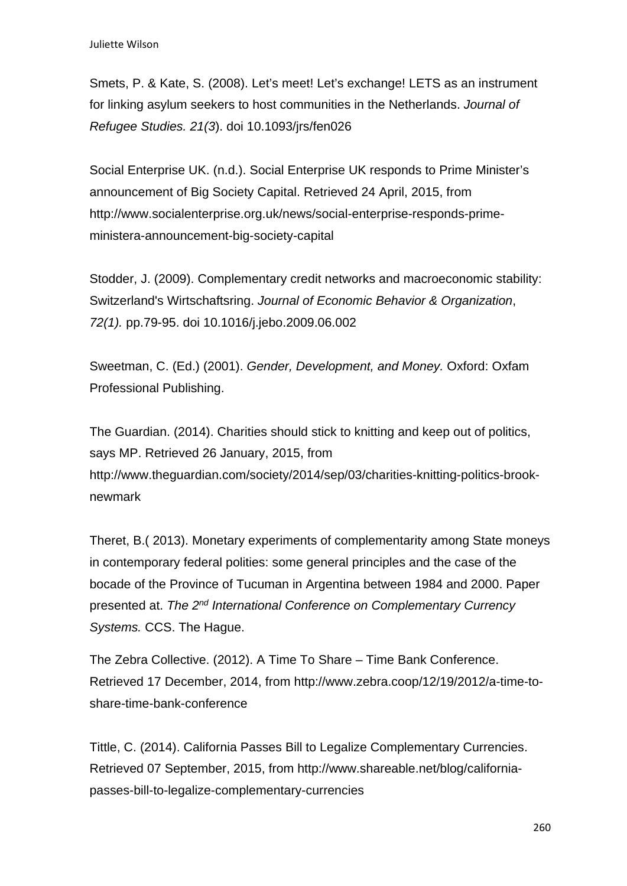Smets, P. & Kate, S. (2008). Let's meet! Let's exchange! LETS as an instrument for linking asylum seekers to host communities in the Netherlands. *Journal of Refugee Studies. 21(3*). doi 10.1093/jrs/fen026

Social Enterprise UK. (n.d.). Social Enterprise UK responds to Prime Minister's announcement of Big Society Capital. Retrieved 24 April, 2015, from http://www.socialenterprise.org.uk/news/social-enterprise-responds-primeministera-announcement-big-society-capital

Stodder, J. (2009). Complementary credit networks and macroeconomic stability: Switzerland's Wirtschaftsring. *Journal of Economic Behavior & Organization*, *72(1).* pp.79-95. doi 10.1016/j.jebo.2009.06.002

Sweetman, C. (Ed.) (2001). *Gender, Development, and Money.* Oxford: Oxfam Professional Publishing.

The Guardian. (2014). Charities should stick to knitting and keep out of politics, says MP. Retrieved 26 January, 2015, from http://www.theguardian.com/society/2014/sep/03/charities-knitting-politics-brooknewmark

Theret, B.( 2013). Monetary experiments of complementarity among State moneys in contemporary federal polities: some general principles and the case of the bocade of the Province of Tucuman in Argentina between 1984 and 2000. Paper presented at. *The 2nd International Conference on Complementary Currency Systems.* CCS. The Hague.

The Zebra Collective. (2012). A Time To Share – Time Bank Conference. Retrieved 17 December, 2014, from http://www.zebra.coop/12/19/2012/a-time-toshare-time-bank-conference

Tittle, C. (2014). California Passes Bill to Legalize Complementary Currencies. Retrieved 07 September, 2015, from http://www.shareable.net/blog/californiapasses-bill-to-legalize-complementary-currencies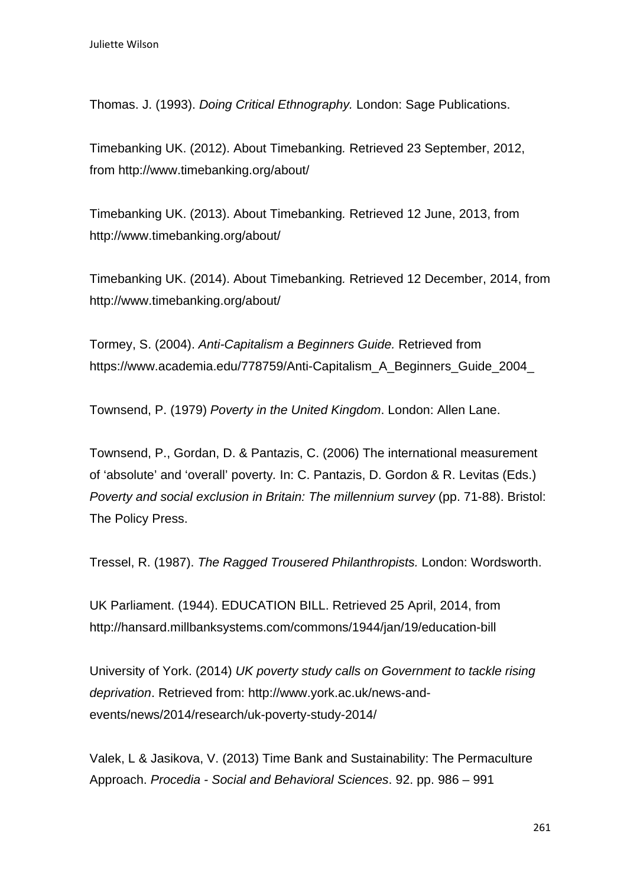Thomas. J. (1993). *Doing Critical Ethnography.* London: Sage Publications.

Timebanking UK. (2012). About Timebanking*.* Retrieved 23 September, 2012, from http://www.timebanking.org/about/

Timebanking UK. (2013). About Timebanking*.* Retrieved 12 June, 2013, from http://www.timebanking.org/about/

Timebanking UK. (2014). About Timebanking*.* Retrieved 12 December, 2014, from http://www.timebanking.org/about/

Tormey, S. (2004). *Anti-Capitalism a Beginners Guide.* Retrieved from https://www.academia.edu/778759/Anti-Capitalism\_A\_Beginners\_Guide\_2004

Townsend, P. (1979) *Poverty in the United Kingdom*. London: Allen Lane.

Townsend, P., Gordan, D. & Pantazis, C. (2006) The international measurement of 'absolute' and 'overall' poverty*.* In: C. Pantazis, D. Gordon & R. Levitas (Eds.) *Poverty and social exclusion in Britain: The millennium survey (pp. 71-88). Bristol:* The Policy Press.

Tressel, R. (1987). *The Ragged Trousered Philanthropists.* London: Wordsworth.

UK Parliament. (1944). EDUCATION BILL. Retrieved 25 April, 2014, from http://hansard.millbanksystems.com/commons/1944/jan/19/education-bill

University of York. (2014) *UK poverty study calls on Government to tackle rising deprivation*. Retrieved from: http://www.york.ac.uk/news-andevents/news/2014/research/uk-poverty-study-2014/

Valek, L & Jasikova, V. (2013) Time Bank and Sustainability: The Permaculture Approach. *Procedia - Social and Behavioral Sciences*. 92. pp. 986 – 991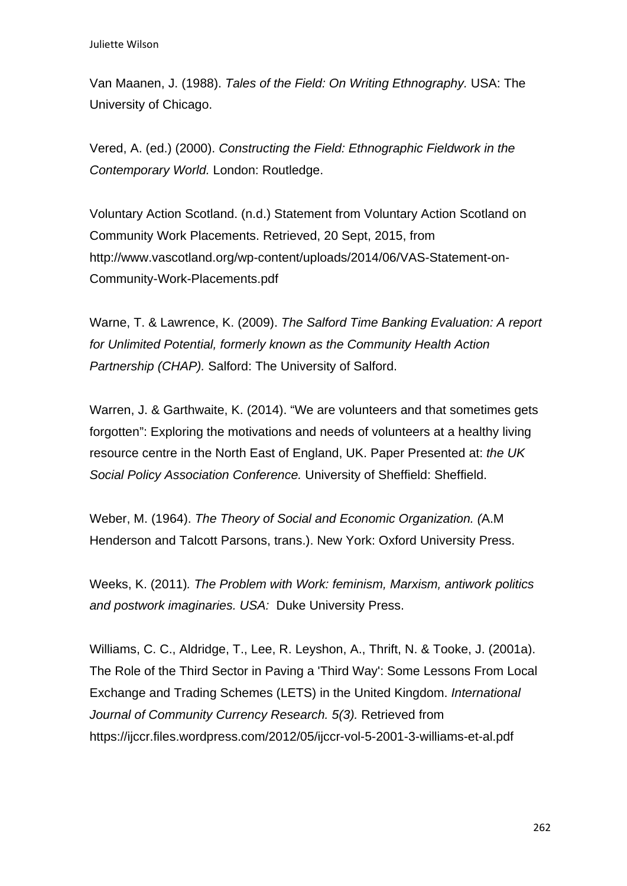Van Maanen, J. (1988). *Tales of the Field: On Writing Ethnography.* USA: The University of Chicago.

Vered, A. (ed.) (2000). *Constructing the Field: Ethnographic Fieldwork in the Contemporary World.* London: Routledge.

Voluntary Action Scotland. (n.d.) Statement from Voluntary Action Scotland on Community Work Placements. Retrieved, 20 Sept, 2015, from http://www.vascotland.org/wp-content/uploads/2014/06/VAS-Statement-on-Community-Work-Placements.pdf

Warne, T. & Lawrence, K. (2009). *The Salford Time Banking Evaluation: A report for Unlimited Potential, formerly known as the Community Health Action Partnership (CHAP).* Salford: The University of Salford.

Warren, J. & Garthwaite, K. (2014). "We are volunteers and that sometimes gets forgotten": Exploring the motivations and needs of volunteers at a healthy living resource centre in the North East of England, UK. Paper Presented at: *the UK Social Policy Association Conference.* University of Sheffield: Sheffield.

Weber, M. (1964). *The Theory of Social and Economic Organization. (*A.M Henderson and Talcott Parsons, trans.). New York: Oxford University Press.

Weeks, K. (2011)*. The Problem with Work: feminism, Marxism, antiwork politics and postwork imaginaries. USA:* Duke University Press.

Williams, C. C., Aldridge, T., Lee, R. Leyshon, A., Thrift, N. & Tooke, J. (2001a). The Role of the Third Sector in Paving a 'Third Way': Some Lessons From Local Exchange and Trading Schemes (LETS) in the United Kingdom. *International*  Journal of Community Currency Research, 5(3). Retrieved from https://ijccr.files.wordpress.com/2012/05/ijccr-vol-5-2001-3-williams-et-al.pdf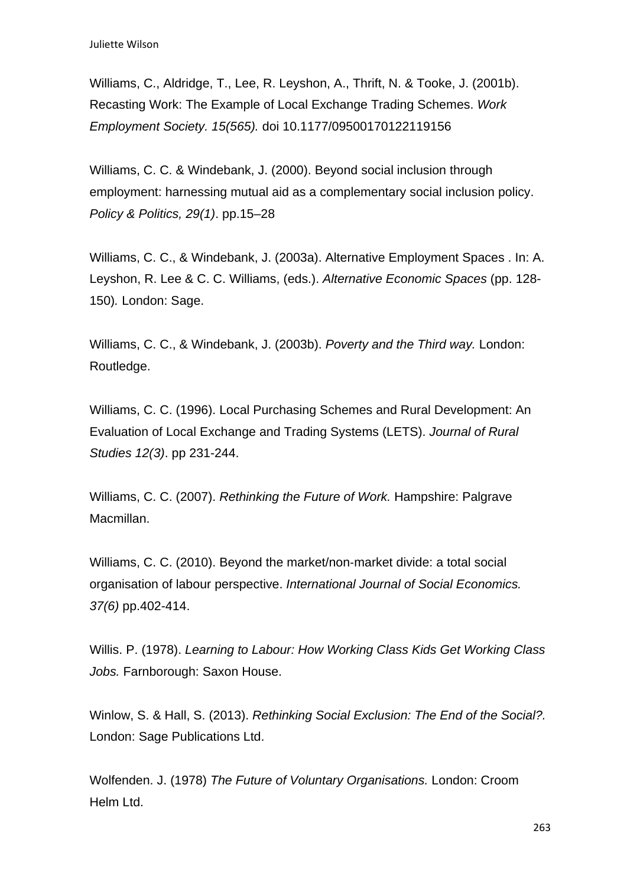Williams, C., Aldridge, T., Lee, R. Leyshon, A., Thrift, N. & Tooke, J. (2001b). Recasting Work: The Example of Local Exchange Trading Schemes. *Work Employment Society. 15(565).* doi 10.1177/09500170122119156

Williams, C. C. & Windebank, J. (2000). Beyond social inclusion through employment: harnessing mutual aid as a complementary social inclusion policy. *Policy & Politics, 29(1)*. pp.15–28

Williams, C. C., & Windebank, J. (2003a). Alternative Employment Spaces . In: A. Leyshon, R. Lee & C. C. Williams, (eds.). *Alternative Economic Spaces* (pp. 128- 150)*.* London: Sage.

Williams, C. C., & Windebank, J. (2003b). *Poverty and the Third way.* London: Routledge.

Williams, C. C. (1996). Local Purchasing Schemes and Rural Development: An Evaluation of Local Exchange and Trading Systems (LETS). *Journal of Rural Studies 12(3)*. pp 231-244.

Williams, C. C. (2007). *Rethinking the Future of Work.* Hampshire: Palgrave Macmillan.

Williams, C. C. (2010). Beyond the market/non‐market divide: a total social organisation of labour perspective. *International Journal of Social Economics. 37(6)* pp.402-414.

Willis. P. (1978). *Learning to Labour: How Working Class Kids Get Working Class Jobs.* Farnborough: Saxon House.

Winlow, S. & Hall, S. (2013). *Rethinking Social Exclusion: The End of the Social?.*  London: Sage Publications Ltd.

Wolfenden. J. (1978) *The Future of Voluntary Organisations.* London: Croom Helm Ltd.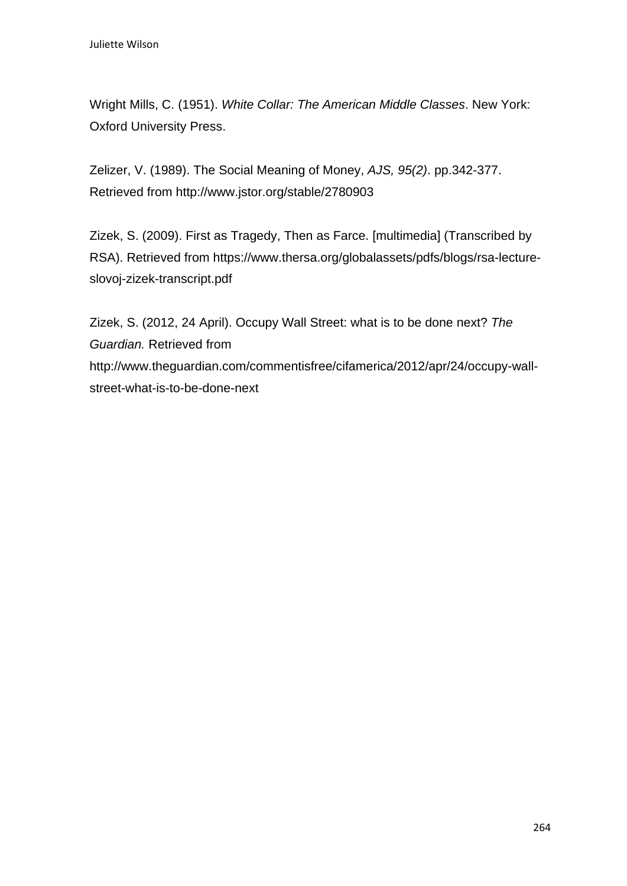Wright Mills, C. (1951). *White Collar: The American Middle Classes*. New York: Oxford University Press.

Zelizer, V. (1989). The Social Meaning of Money, *AJS, 95(2)*. pp.342-377. Retrieved from http://www.jstor.org/stable/2780903

Zizek, S. (2009). First as Tragedy, Then as Farce. [multimedia] (Transcribed by RSA). Retrieved from https://www.thersa.org/globalassets/pdfs/blogs/rsa-lectureslovoj-zizek-transcript.pdf

Zizek, S. (2012, 24 April). Occupy Wall Street: what is to be done next? *The Guardian.* Retrieved from http://www.theguardian.com/commentisfree/cifamerica/2012/apr/24/occupy-wallstreet-what-is-to-be-done-next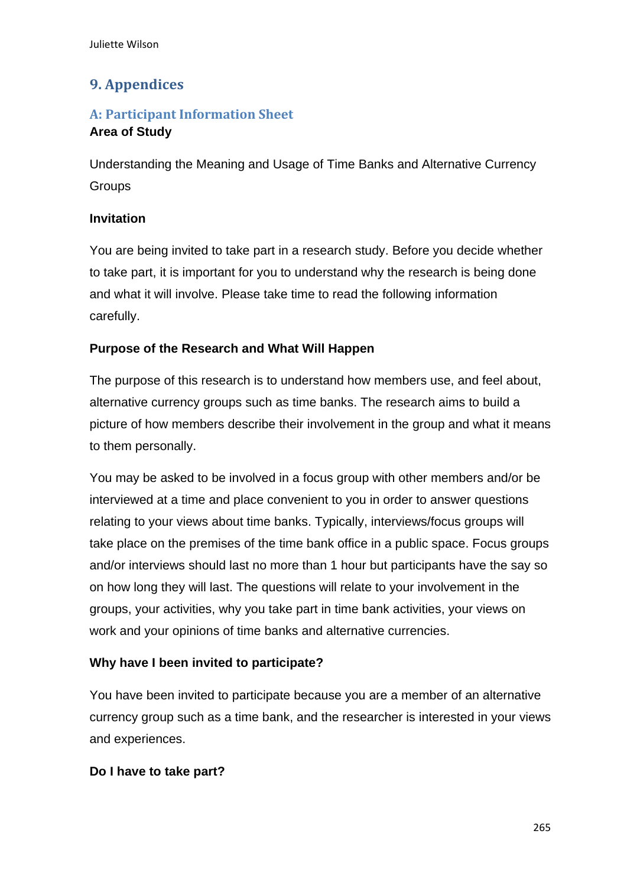# **9. Appendices**

# **A: Participant Information Sheet**

# **Area of Study**

Understanding the Meaning and Usage of Time Banks and Alternative Currency **Groups** 

### **Invitation**

You are being invited to take part in a research study. Before you decide whether to take part, it is important for you to understand why the research is being done and what it will involve. Please take time to read the following information carefully.

### **Purpose of the Research and What Will Happen**

The purpose of this research is to understand how members use, and feel about, alternative currency groups such as time banks. The research aims to build a picture of how members describe their involvement in the group and what it means to them personally.

You may be asked to be involved in a focus group with other members and/or be interviewed at a time and place convenient to you in order to answer questions relating to your views about time banks. Typically, interviews/focus groups will take place on the premises of the time bank office in a public space. Focus groups and/or interviews should last no more than 1 hour but participants have the say so on how long they will last. The questions will relate to your involvement in the groups, your activities, why you take part in time bank activities, your views on work and your opinions of time banks and alternative currencies.

# **Why have I been invited to participate?**

You have been invited to participate because you are a member of an alternative currency group such as a time bank, and the researcher is interested in your views and experiences.

### **Do I have to take part?**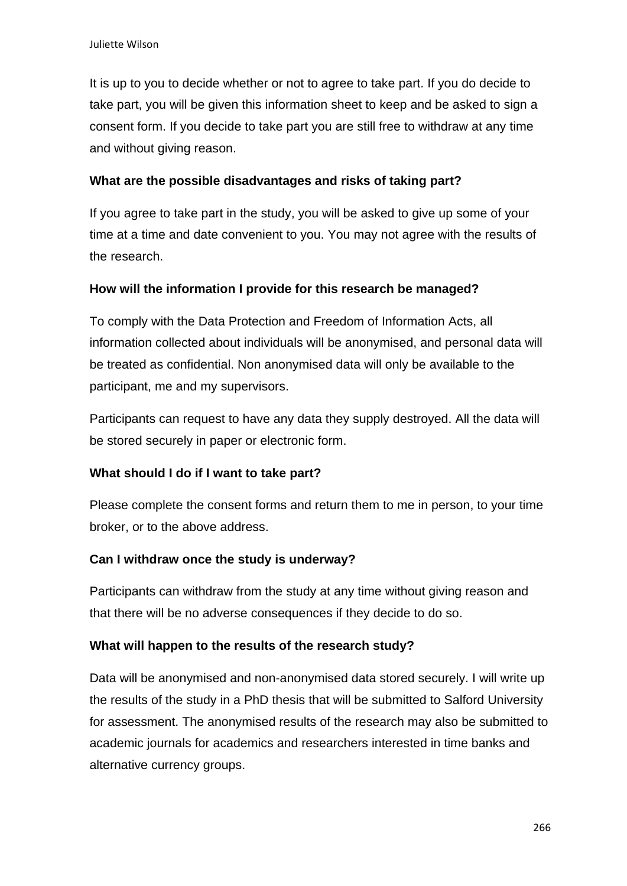It is up to you to decide whether or not to agree to take part. If you do decide to take part, you will be given this information sheet to keep and be asked to sign a consent form. If you decide to take part you are still free to withdraw at any time and without giving reason.

#### **What are the possible disadvantages and risks of taking part?**

If you agree to take part in the study, you will be asked to give up some of your time at a time and date convenient to you. You may not agree with the results of the research.

#### **How will the information I provide for this research be managed?**

To comply with the Data Protection and Freedom of Information Acts, all information collected about individuals will be anonymised, and personal data will be treated as confidential. Non anonymised data will only be available to the participant, me and my supervisors.

Participants can request to have any data they supply destroyed. All the data will be stored securely in paper or electronic form.

#### **What should I do if I want to take part?**

Please complete the consent forms and return them to me in person, to your time broker, or to the above address.

#### **Can I withdraw once the study is underway?**

Participants can withdraw from the study at any time without giving reason and that there will be no adverse consequences if they decide to do so.

#### **What will happen to the results of the research study?**

Data will be anonymised and non-anonymised data stored securely. I will write up the results of the study in a PhD thesis that will be submitted to Salford University for assessment. The anonymised results of the research may also be submitted to academic journals for academics and researchers interested in time banks and alternative currency groups.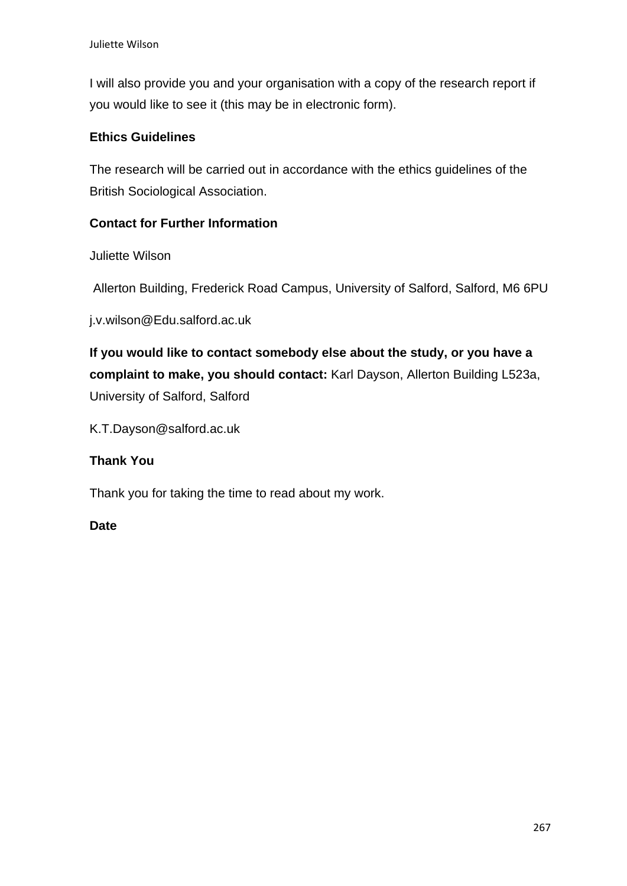I will also provide you and your organisation with a copy of the research report if you would like to see it (this may be in electronic form).

### **Ethics Guidelines**

The research will be carried out in accordance with the ethics guidelines of the British Sociological Association.

### **Contact for Further Information**

Juliette Wilson

Allerton Building, Frederick Road Campus, University of Salford, Salford, M6 6PU

j.v.wilson@Edu.salford.ac.uk

**If you would like to contact somebody else about the study, or you have a complaint to make, you should contact:** Karl Dayson, Allerton Building L523a, University of Salford, Salford

K.T.Dayson@salford.ac.uk

### **Thank You**

Thank you for taking the time to read about my work.

#### **Date**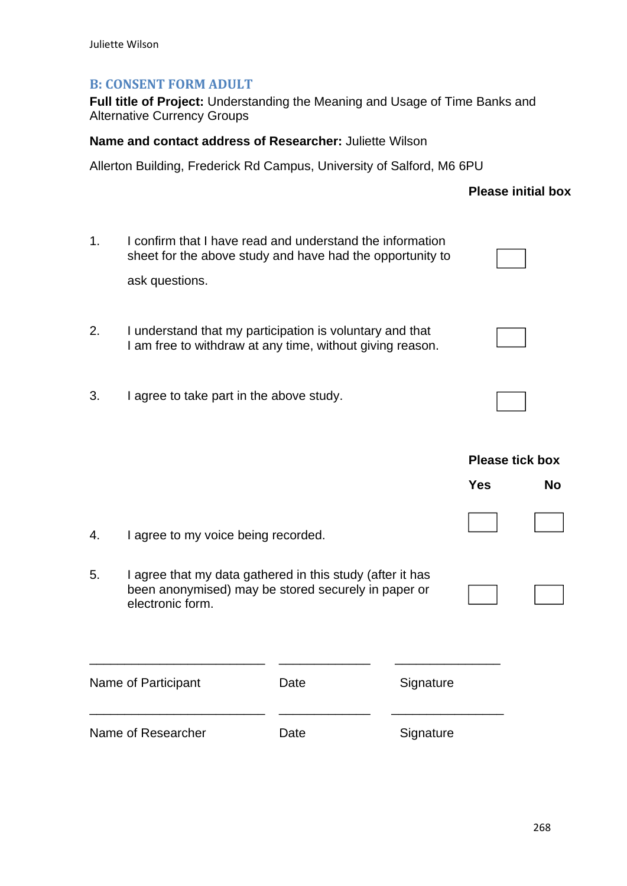### **B: CONSENT FORM ADULT**

**Full title of Project:** Understanding the Meaning and Usage of Time Banks and Alternative Currency Groups

**Name and contact address of Researcher:** Juliette Wilson

Allerton Building, Frederick Rd Campus, University of Salford, M6 6PU

### **Please initial box**

- 1. I confirm that I have read and understand the information sheet for the above study and have had the opportunity to ask questions. 2. I understand that my participation is voluntary and that
- I am free to withdraw at any time, without giving reason.
- 3. I agree to take part in the above study.

|                    |                                                                                                                                      |      |           | <b>Please tick box</b> |           |
|--------------------|--------------------------------------------------------------------------------------------------------------------------------------|------|-----------|------------------------|-----------|
|                    |                                                                                                                                      |      |           | <b>Yes</b>             | <b>No</b> |
| 4.                 | I agree to my voice being recorded.                                                                                                  |      |           |                        |           |
| 5.                 | I agree that my data gathered in this study (after it has<br>been anonymised) may be stored securely in paper or<br>electronic form. |      |           |                        |           |
|                    | Name of Participant                                                                                                                  | Date | Signature |                        |           |
| Name of Researcher |                                                                                                                                      | Date | Signature |                        |           |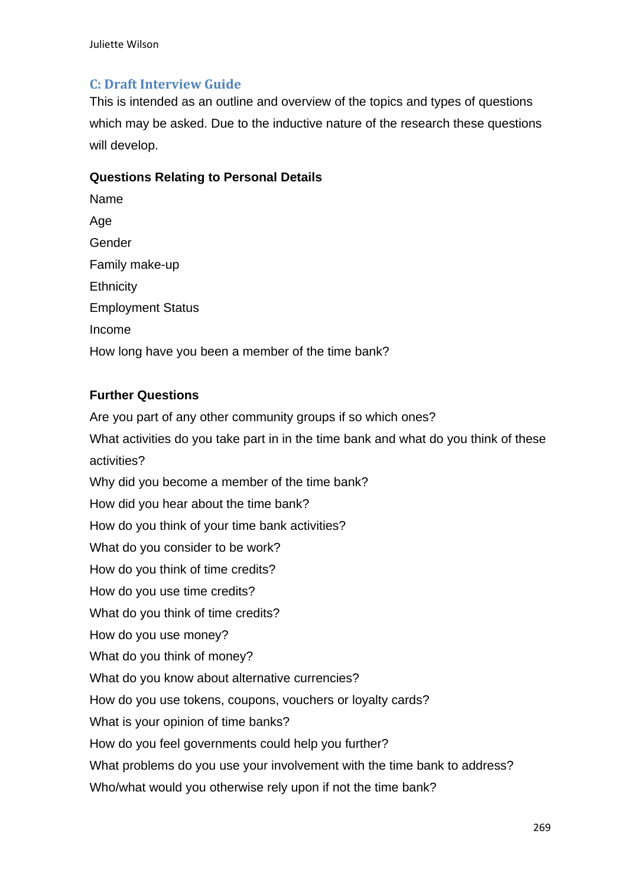# **C: Draft Interview Guide**

This is intended as an outline and overview of the topics and types of questions which may be asked. Due to the inductive nature of the research these questions will develop.

### **Questions Relating to Personal Details**

| Name                                              |  |  |  |  |
|---------------------------------------------------|--|--|--|--|
| Age                                               |  |  |  |  |
| Gender                                            |  |  |  |  |
| Family make-up                                    |  |  |  |  |
| Ethnicity                                         |  |  |  |  |
| <b>Employment Status</b>                          |  |  |  |  |
| Income                                            |  |  |  |  |
| How long have you been a member of the time bank? |  |  |  |  |

### **Further Questions**

Are you part of any other community groups if so which ones? What activities do you take part in in the time bank and what do you think of these activities? Why did you become a member of the time bank? How did you hear about the time bank? How do you think of your time bank activities? What do you consider to be work? How do you think of time credits? How do you use time credits? What do you think of time credits? How do you use money? What do you think of money? What do you know about alternative currencies? How do you use tokens, coupons, vouchers or loyalty cards? What is your opinion of time banks? How do you feel governments could help you further? What problems do you use your involvement with the time bank to address? Who/what would you otherwise rely upon if not the time bank?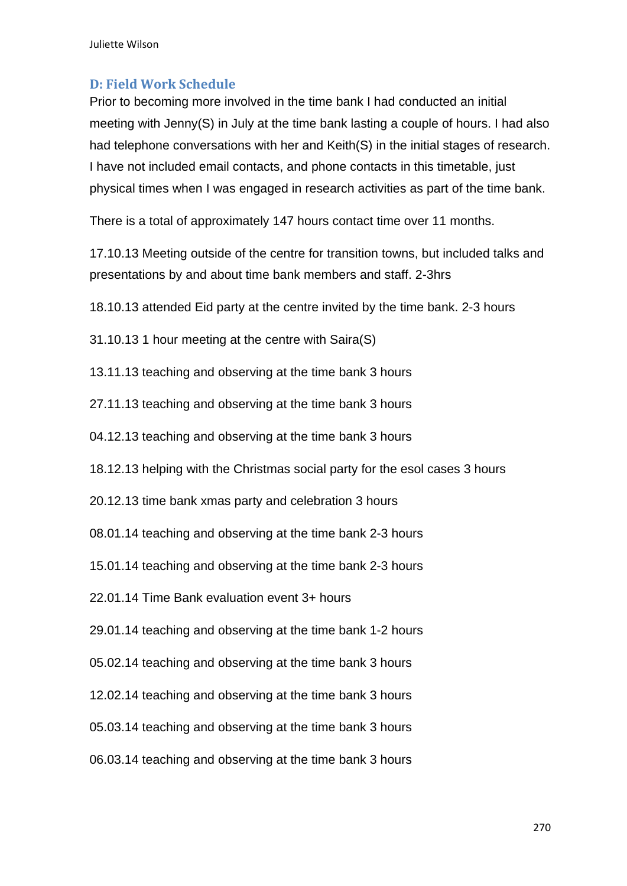Juliette Wilson

### **D: Field Work Schedule**

Prior to becoming more involved in the time bank I had conducted an initial meeting with Jenny(S) in July at the time bank lasting a couple of hours. I had also had telephone conversations with her and Keith(S) in the initial stages of research. I have not included email contacts, and phone contacts in this timetable, just physical times when I was engaged in research activities as part of the time bank.

There is a total of approximately 147 hours contact time over 11 months.

17.10.13 Meeting outside of the centre for transition towns, but included talks and presentations by and about time bank members and staff. 2-3hrs

18.10.13 attended Eid party at the centre invited by the time bank. 2-3 hours

- 31.10.13 1 hour meeting at the centre with Saira(S)
- 13.11.13 teaching and observing at the time bank 3 hours
- 27.11.13 teaching and observing at the time bank 3 hours
- 04.12.13 teaching and observing at the time bank 3 hours
- 18.12.13 helping with the Christmas social party for the esol cases 3 hours
- 20.12.13 time bank xmas party and celebration 3 hours
- 08.01.14 teaching and observing at the time bank 2-3 hours
- 15.01.14 teaching and observing at the time bank 2-3 hours
- 22.01.14 Time Bank evaluation event 3+ hours
- 29.01.14 teaching and observing at the time bank 1-2 hours
- 05.02.14 teaching and observing at the time bank 3 hours
- 12.02.14 teaching and observing at the time bank 3 hours
- 05.03.14 teaching and observing at the time bank 3 hours
- 06.03.14 teaching and observing at the time bank 3 hours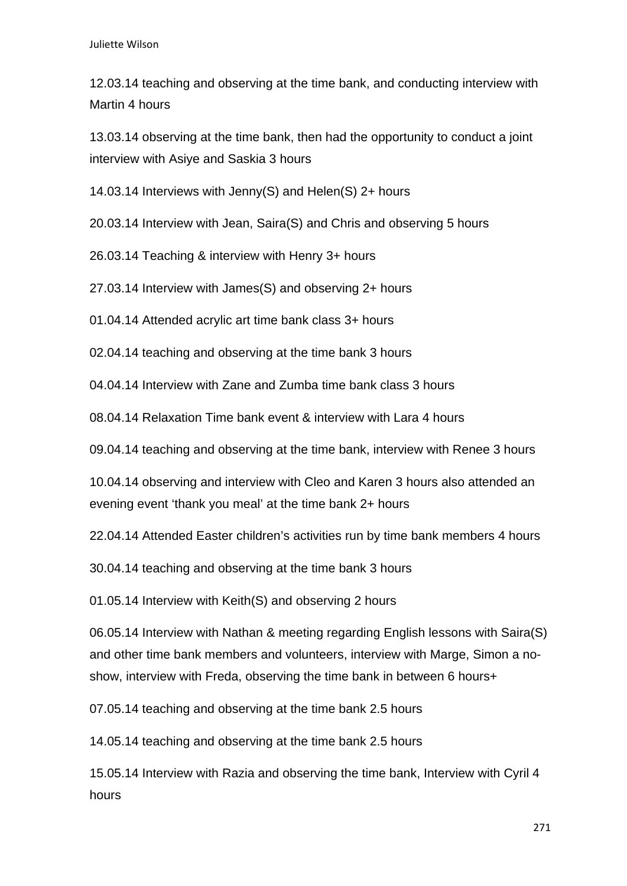12.03.14 teaching and observing at the time bank, and conducting interview with Martin 4 hours

13.03.14 observing at the time bank, then had the opportunity to conduct a joint interview with Asiye and Saskia 3 hours

14.03.14 Interviews with Jenny(S) and Helen(S) 2+ hours

20.03.14 Interview with Jean, Saira(S) and Chris and observing 5 hours

26.03.14 Teaching & interview with Henry 3+ hours

27.03.14 Interview with James(S) and observing 2+ hours

01.04.14 Attended acrylic art time bank class 3+ hours

02.04.14 teaching and observing at the time bank 3 hours

04.04.14 Interview with Zane and Zumba time bank class 3 hours

08.04.14 Relaxation Time bank event & interview with Lara 4 hours

09.04.14 teaching and observing at the time bank, interview with Renee 3 hours

10.04.14 observing and interview with Cleo and Karen 3 hours also attended an evening event 'thank you meal' at the time bank 2+ hours

22.04.14 Attended Easter children's activities run by time bank members 4 hours

30.04.14 teaching and observing at the time bank 3 hours

01.05.14 Interview with Keith(S) and observing 2 hours

06.05.14 Interview with Nathan & meeting regarding English lessons with Saira(S) and other time bank members and volunteers, interview with Marge, Simon a noshow, interview with Freda, observing the time bank in between 6 hours+

07.05.14 teaching and observing at the time bank 2.5 hours

14.05.14 teaching and observing at the time bank 2.5 hours

15.05.14 Interview with Razia and observing the time bank, Interview with Cyril 4 hours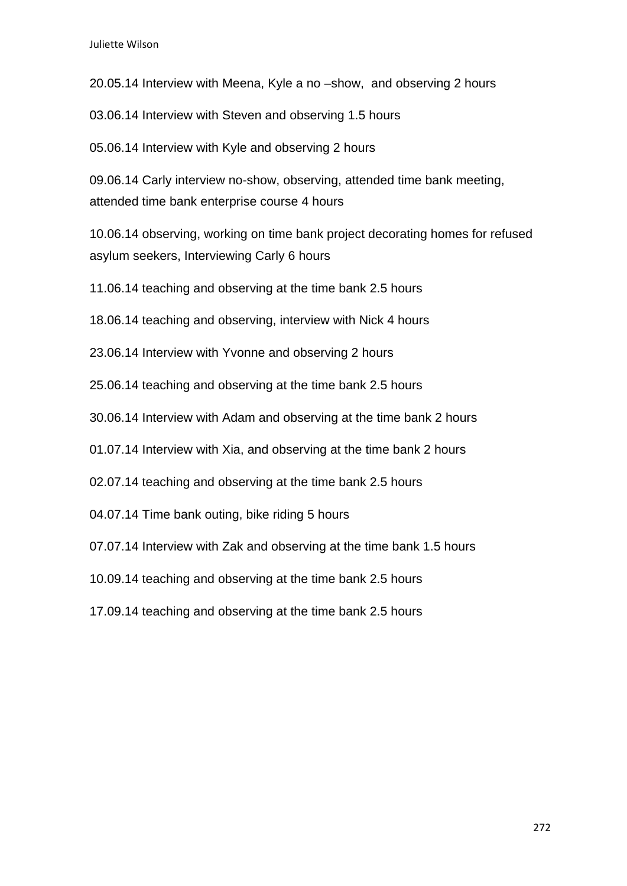20.05.14 Interview with Meena, Kyle a no –show, and observing 2 hours

03.06.14 Interview with Steven and observing 1.5 hours

05.06.14 Interview with Kyle and observing 2 hours

09.06.14 Carly interview no-show, observing, attended time bank meeting, attended time bank enterprise course 4 hours

10.06.14 observing, working on time bank project decorating homes for refused asylum seekers, Interviewing Carly 6 hours

11.06.14 teaching and observing at the time bank 2.5 hours

18.06.14 teaching and observing, interview with Nick 4 hours

23.06.14 Interview with Yvonne and observing 2 hours

25.06.14 teaching and observing at the time bank 2.5 hours

30.06.14 Interview with Adam and observing at the time bank 2 hours

01.07.14 Interview with Xia, and observing at the time bank 2 hours

02.07.14 teaching and observing at the time bank 2.5 hours

04.07.14 Time bank outing, bike riding 5 hours

07.07.14 Interview with Zak and observing at the time bank 1.5 hours

10.09.14 teaching and observing at the time bank 2.5 hours

17.09.14 teaching and observing at the time bank 2.5 hours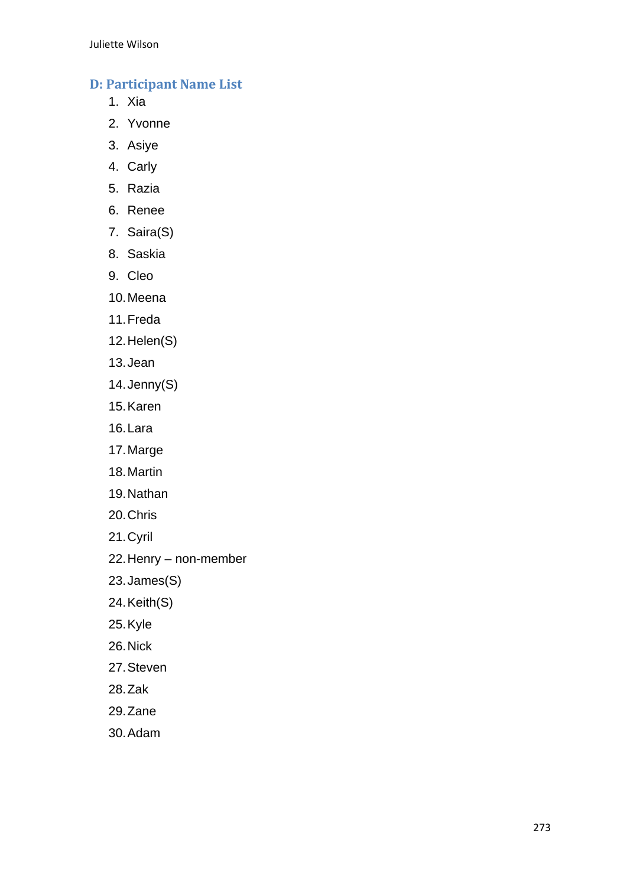# **D: Participant Name List**

- 1. Xia
- 2. Yvonne
- 3. Asiye
- 4. Carly
- 5. Razia
- 6. Renee
- 7. Saira(S)
- 8. Saskia
- 9. Cleo
- 10. Meena
- 11. Freda
- 12. Helen(S)
- 13. Jean
- 14. Jenny(S)
- 15. Karen
- 16. Lara
- 17. Marge
- 18. Martin
- 19. Nathan
- 20. Chris
- 21. Cyril
- 22. Henry non-member
- 23. James(S)
- 24. Keith(S)
- 25. Kyle
- 26. Nick
- 27. Steven
- 28. Zak
- 29. Zane
- 30. Adam